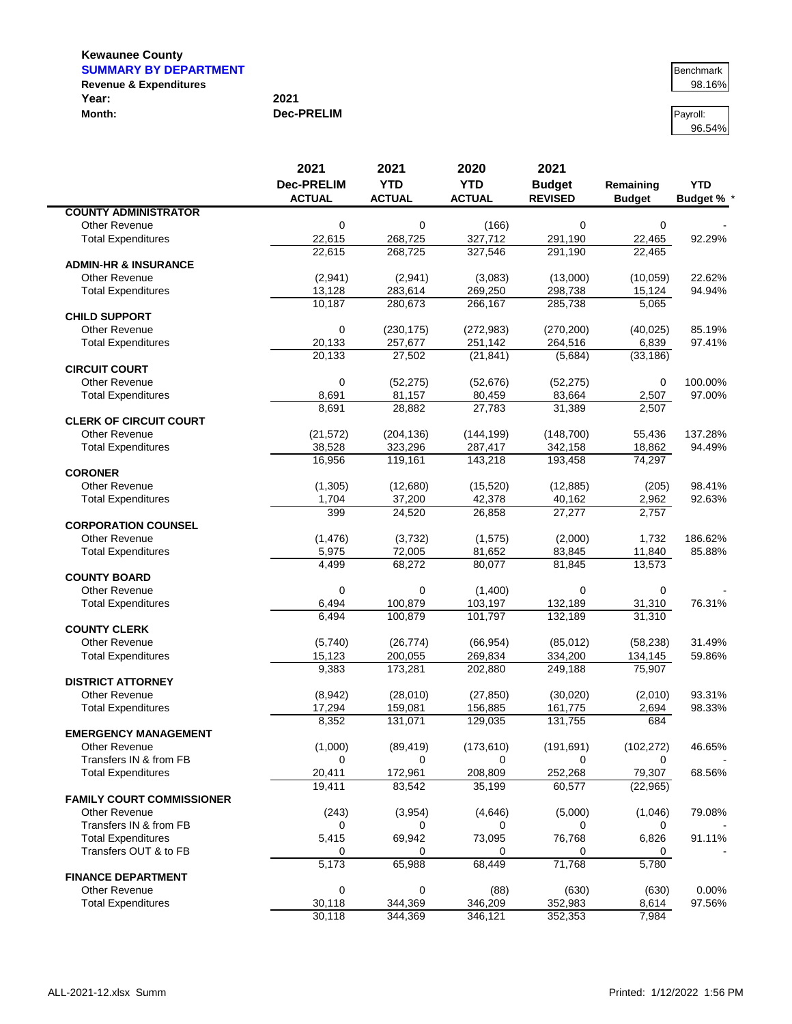| <b>SUMMARY BY DEPARTMENT</b>      |                   | Benchmark |
|-----------------------------------|-------------------|-----------|
| <b>Revenue &amp; Expenditures</b> |                   | 98.16%    |
| Year:                             | 2021              |           |
| Month:                            | <b>Dec-PRELIM</b> | Pavroll:  |

96.54%

|                                                   | 2021              | 2021             | 2020             | 2021           |                       |                   |
|---------------------------------------------------|-------------------|------------------|------------------|----------------|-----------------------|-------------------|
|                                                   | <b>Dec-PRELIM</b> | <b>YTD</b>       | <b>YTD</b>       | <b>Budget</b>  | Remaining             | <b>YTD</b>        |
|                                                   | <b>ACTUAL</b>     | <b>ACTUAL</b>    | <b>ACTUAL</b>    | <b>REVISED</b> | <b>Budget</b>         | <b>Budget % *</b> |
| <b>COUNTY ADMINISTRATOR</b>                       |                   |                  |                  |                |                       |                   |
| <b>Other Revenue</b><br><b>Total Expenditures</b> | 0<br>22,615       | 0<br>268,725     | (166)<br>327,712 | 0<br>291,190   | $\mathbf 0$<br>22,465 | 92.29%            |
|                                                   | 22,615            | 268.725          | 327,546          | 291,190        | 22,465                |                   |
| <b>ADMIN-HR &amp; INSURANCE</b>                   |                   |                  |                  |                |                       |                   |
| <b>Other Revenue</b>                              | (2,941)           | (2,941)          | (3,083)          | (13,000)       | (10,059)              | 22.62%            |
| <b>Total Expenditures</b>                         | 13,128            | 283,614          | 269,250          | 298,738        | 15,124                | 94.94%            |
|                                                   | 10,187            | 280,673          | 266,167          | 285,738        | 5,065                 |                   |
| <b>CHILD SUPPORT</b>                              |                   |                  |                  |                |                       |                   |
| <b>Other Revenue</b>                              | 0                 | (230, 175)       | (272, 983)       | (270, 200)     | (40, 025)             | 85.19%            |
| <b>Total Expenditures</b>                         | 20,133            | 257,677          | 251,142          | 264,516        | 6,839                 | 97.41%            |
|                                                   | 20,133            | 27,502           | (21, 841)        | (5,684)        | (33, 186)             |                   |
| <b>CIRCUIT COURT</b>                              |                   |                  |                  |                |                       |                   |
| <b>Other Revenue</b>                              | 0                 | (52, 275)        | (52, 676)        | (52, 275)      | 0                     | 100.00%           |
| <b>Total Expenditures</b>                         | 8,691             | 81,157           | 80,459           | 83,664         | 2,507                 | 97.00%            |
|                                                   | 8,691             | 28,882           | 27,783           | 31,389         | 2,507                 |                   |
| <b>CLERK OF CIRCUIT COURT</b>                     |                   |                  |                  |                |                       |                   |
| <b>Other Revenue</b>                              | (21, 572)         | (204, 136)       | (144, 199)       | (148, 700)     | 55,436                | 137.28%           |
| <b>Total Expenditures</b>                         | 38,528            | 323,296          | 287,417          | 342,158        | 18,862                | 94.49%            |
|                                                   | 16,956            | 119,161          | 143,218          | 193,458        | 74,297                |                   |
| <b>CORONER</b>                                    |                   |                  |                  |                |                       |                   |
| <b>Other Revenue</b>                              | (1, 305)          | (12,680)         | (15, 520)        | (12, 885)      | (205)                 | 98.41%            |
| <b>Total Expenditures</b>                         | 1,704             | 37,200           | 42,378           | 40,162         | 2,962                 | 92.63%            |
|                                                   | 399               | 24,520           | 26,858           | 27,277         | 2,757                 |                   |
| <b>CORPORATION COUNSEL</b>                        |                   |                  |                  |                |                       |                   |
| <b>Other Revenue</b>                              | (1, 476)          | (3,732)          | (1, 575)         | (2,000)        | 1,732                 | 186.62%           |
| <b>Total Expenditures</b>                         | 5,975<br>4,499    | 72,005<br>68,272 | 81,652<br>80,077 | 83,845         | 11,840                | 85.88%            |
| <b>COUNTY BOARD</b>                               |                   |                  |                  | 81,845         | 13,573                |                   |
| <b>Other Revenue</b>                              | 0                 | 0                | (1,400)          | 0              | $\mathbf 0$           |                   |
| <b>Total Expenditures</b>                         | 6,494             | 100,879          | 103,197          | 132,189        | 31,310                | 76.31%            |
|                                                   | 6,494             | 100,879          | 101,797          | 132,189        | 31,310                |                   |
| <b>COUNTY CLERK</b>                               |                   |                  |                  |                |                       |                   |
| <b>Other Revenue</b>                              | (5,740)           | (26, 774)        | (66, 954)        | (85,012)       | (58, 238)             | 31.49%            |
| <b>Total Expenditures</b>                         | 15,123            | 200,055          | 269,834          | 334,200        | 134,145               | 59.86%            |
|                                                   | 9,383             | 173,281          | 202,880          | 249,188        | 75,907                |                   |
| <b>DISTRICT ATTORNEY</b>                          |                   |                  |                  |                |                       |                   |
| <b>Other Revenue</b>                              | (8,942)           | (28,010)         | (27, 850)        | (30,020)       | (2,010)               | 93.31%            |
| <b>Total Expenditures</b>                         | 17,294            | 159,081          | 156,885          | 161,775        | 2,694                 | 98.33%            |
|                                                   | 8,352             | 131,071          | 129,035          | 131,755        | 684                   |                   |
| <b>EMERGENCY MANAGEMENT</b>                       |                   |                  |                  |                |                       |                   |
| Other Revenue                                     | (1,000)           | (89, 419)        | (173, 610)       | (191, 691)     | (102, 272)            | 46.65%            |
| Transfers IN & from FB                            | 0                 | 0                | 0                | 0              | 0                     |                   |
| <b>Total Expenditures</b>                         | 20,411            | 172,961          | 208,809          | 252,268        | 79,307                | 68.56%            |
|                                                   | 19,411            | 83,542           | 35,199           | 60,577         | (22, 965)             |                   |
| <b>FAMILY COURT COMMISSIONER</b>                  |                   |                  |                  |                |                       |                   |
| <b>Other Revenue</b>                              | (243)             | (3,954)          | (4,646)          | (5,000)        | (1,046)               | 79.08%            |
| Transfers IN & from FB                            | 0                 | 0                | 0                | 0              | 0                     |                   |
| <b>Total Expenditures</b>                         | 5,415             | 69,942           | 73,095           | 76,768         | 6,826                 | 91.11%            |
| Transfers OUT & to FB                             | 0<br>5,173        | 0<br>65,988      | 0<br>68,449      | 0<br>71,768    | 0<br>5,780            |                   |
| <b>FINANCE DEPARTMENT</b>                         |                   |                  |                  |                |                       |                   |
| <b>Other Revenue</b>                              | 0                 | 0                | (88)             | (630)          | (630)                 | 0.00%             |
| <b>Total Expenditures</b>                         | 30,118            | 344,369          | 346,209          | 352,983        | 8,614                 | 97.56%            |
|                                                   | 30,118            | 344,369          | 346,121          | 352,353        | 7,984                 |                   |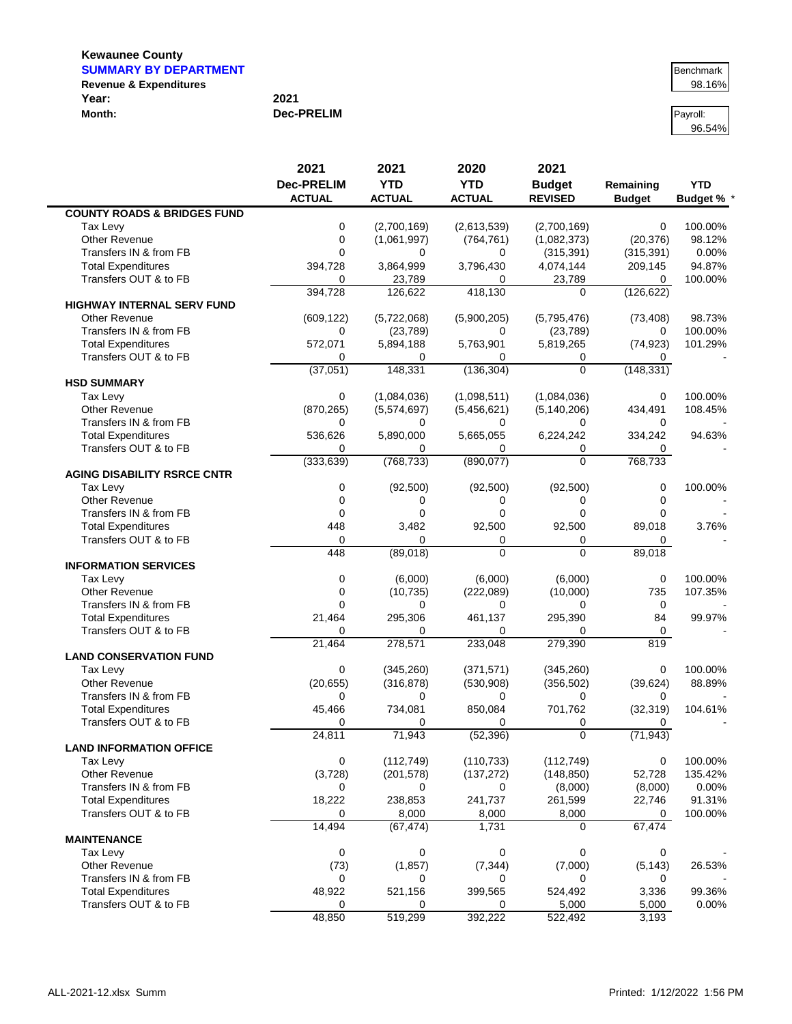$\blacksquare$ 

| <b>SUMMARY BY DEPARTMENT</b>      |                   | Benchmark |
|-----------------------------------|-------------------|-----------|
| <b>Revenue &amp; Expenditures</b> |                   | 98.16%    |
| Year:                             | 2021              |           |
| Month:                            | <b>Dec-PRELIM</b> | Pavroll:  |

96.54%

|                                        | 2021              | 2021            | 2020            | 2021                   |                |                 |
|----------------------------------------|-------------------|-----------------|-----------------|------------------------|----------------|-----------------|
|                                        | <b>Dec-PRELIM</b> | <b>YTD</b>      | <b>YTD</b>      | <b>Budget</b>          | Remaining      | <b>YTD</b>      |
|                                        | <b>ACTUAL</b>     | <b>ACTUAL</b>   | <b>ACTUAL</b>   | <b>REVISED</b>         | <b>Budget</b>  | <b>Budget %</b> |
| <b>COUNTY ROADS &amp; BRIDGES FUND</b> |                   |                 |                 |                        |                |                 |
| Tax Levy                               | $\mathbf 0$       | (2,700,169)     | (2,613,539)     | (2,700,169)            | 0              | 100.00%         |
| <b>Other Revenue</b>                   | 0                 | (1,061,997)     | (764, 761)      | (1,082,373)            | (20, 376)      | 98.12%          |
| Transfers IN & from FB                 | $\Omega$          | 0               | 0               | (315, 391)             | (315, 391)     | 0.00%           |
| <b>Total Expenditures</b>              | 394,728           | 3,864,999       | 3,796,430       | 4,074,144              | 209,145        | 94.87%          |
| Transfers OUT & to FB                  | 0                 | 23,789          | 0               | 23,789                 | 0              | 100.00%         |
|                                        | 394,728           | 126,622         | 418,130         | $\Omega$               | (126, 622)     |                 |
| <b>HIGHWAY INTERNAL SERV FUND</b>      |                   |                 |                 |                        |                |                 |
| <b>Other Revenue</b>                   | (609, 122)        | (5,722,068)     | (5,900,205)     | (5,795,476)            | (73, 408)      | 98.73%          |
| Transfers IN & from FB                 | 0                 | (23, 789)       | 0               | (23, 789)              | 0              | 100.00%         |
| <b>Total Expenditures</b>              | 572,071           | 5,894,188       | 5,763,901       | 5,819,265              | (74, 923)      | 101.29%         |
| Transfers OUT & to FB                  | 0                 | 0               | 0               | 0                      | 0              |                 |
| <b>HSD SUMMARY</b>                     | (37,051)          | 148,331         | (136, 304)      | 0                      | (148, 331)     |                 |
| Tax Levy                               | 0                 | (1,084,036)     | (1,098,511)     | (1,084,036)            | 0              | 100.00%         |
| <b>Other Revenue</b>                   | (870, 265)        | (5,574,697)     | (5,456,621)     | (5, 140, 206)          | 434,491        | 108.45%         |
| Transfers IN & from FB                 | 0                 | 0               | 0               | 0                      | 0              |                 |
| <b>Total Expenditures</b>              | 536,626           | 5,890,000       | 5,665,055       | 6,224,242              | 334,242        | 94.63%          |
| Transfers OUT & to FB                  | 0                 | 0               | 0               | 0                      | 0              |                 |
|                                        | (333, 639)        | (768, 733)      | (890, 077)      | $\Omega$               | 768,733        |                 |
| <b>AGING DISABILITY RSRCE CNTR</b>     |                   |                 |                 |                        |                |                 |
| Tax Levy                               | 0                 | (92, 500)       | (92, 500)       | (92, 500)              | 0              | 100.00%         |
| <b>Other Revenue</b>                   | $\mathbf 0$       | 0               | 0               | 0                      | 0              |                 |
| Transfers IN & from FB                 | $\mathbf 0$       | $\mathbf 0$     | $\overline{0}$  | $\Omega$               | 0              |                 |
| <b>Total Expenditures</b>              | 448               | 3,482           | 92,500          | 92,500                 | 89,018         | 3.76%           |
| Transfers OUT & to FB                  | $\mathbf 0$       | $\Omega$        | 0               | 0                      | 0              |                 |
|                                        | 448               | (89,018)        | $\overline{0}$  | $\overline{0}$         | 89,018         |                 |
| <b>INFORMATION SERVICES</b>            |                   |                 |                 |                        |                |                 |
| Tax Levy                               | 0                 | (6,000)         | (6,000)         | (6,000)                | 0              | 100.00%         |
| <b>Other Revenue</b>                   | $\mathbf 0$       | (10, 735)       | (222,089)       | (10,000)               | 735            | 107.35%         |
| Transfers IN & from FB                 | $\Omega$          | 0               | 0               | 0                      | 0              |                 |
| <b>Total Expenditures</b>              | 21,464            | 295,306         | 461,137         | 295,390                | 84             | 99.97%          |
| Transfers OUT & to FB                  | $\Omega$          | $\Omega$        | 0               | $\Omega$               | 0              |                 |
|                                        | 21,464            | 278,571         | 233,048         | 279,390                | 819            |                 |
| <b>LAND CONSERVATION FUND</b>          |                   |                 |                 |                        |                |                 |
| Tax Levy<br>Other Revenue              | 0                 | (345, 260)      | (371, 571)      | (345, 260)             | 0              | 100.00%         |
| Transfers IN & from FB                 | (20, 655)<br>0    | (316, 878)<br>0 | (530, 908)<br>0 | (356, 502)<br>$\Omega$ | (39, 624)<br>0 | 88.89%          |
| <b>Total Expenditures</b>              | 45,466            | 734,081         | 850,084         | 701,762                | (32, 319)      | 104.61%         |
| Transfers OUT & to FB                  | 0                 | $\Omega$        | 0               | 0                      | 0              |                 |
|                                        | 24,811            | 71,943          | (52, 396)       | $\overline{0}$         | (71, 943)      |                 |
| <b>LAND INFORMATION OFFICE</b>         |                   |                 |                 |                        |                |                 |
| Tax Levy                               | 0                 | (112, 749)      | (110, 733)      | (112, 749)             | 0              | 100.00%         |
| <b>Other Revenue</b>                   | (3,728)           | (201, 578)      | (137, 272)      | (148, 850)             | 52,728         | 135.42%         |
| Transfers IN & from FB                 | 0                 | 0               | 0               | (8,000)                | (8,000)        | 0.00%           |
| <b>Total Expenditures</b>              | 18,222            | 238,853         | 241,737         | 261,599                | 22,746         | 91.31%          |
| Transfers OUT & to FB                  | 0                 | 8,000           | 8,000           | 8,000                  | 0              | 100.00%         |
|                                        | 14,494            | (67, 474)       | 1,731           | $\Omega$               | 67,474         |                 |
| <b>MAINTENANCE</b>                     |                   |                 |                 |                        |                |                 |
| Tax Levy                               | 0                 | 0               | 0               | 0                      | 0              |                 |
| <b>Other Revenue</b>                   | (73)              | (1, 857)        | (7, 344)        | (7,000)                | (5, 143)       | 26.53%          |
| Transfers IN & from FB                 | 0                 | 0               | 0               | 0                      | 0              |                 |
| <b>Total Expenditures</b>              | 48,922            | 521,156         | 399,565         | 524,492                | 3,336          | 99.36%          |
| Transfers OUT & to FB                  | 0                 | 0               | 0               | 5,000                  | 5,000          | 0.00%           |
|                                        | 48,850            | 519,299         | 392,222         | 522,492                | 3,193          |                 |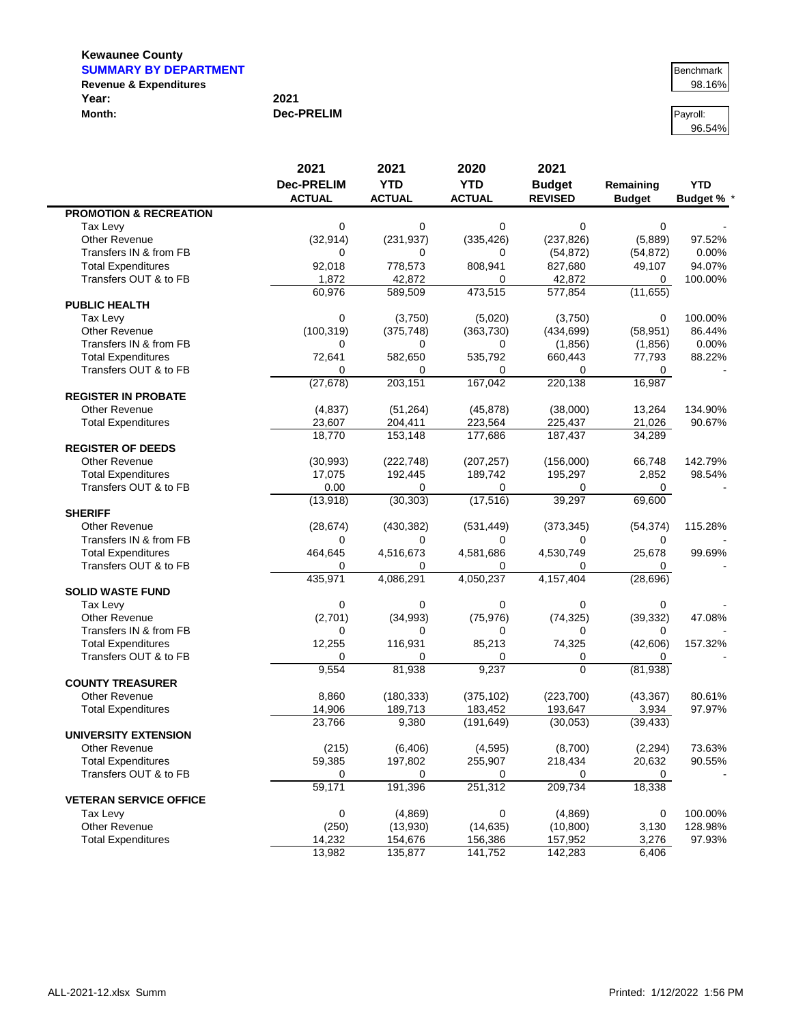| <b>SUMMARY BY DEPARTMENT</b>      |                   | Benchmark |
|-----------------------------------|-------------------|-----------|
| <b>Revenue &amp; Expenditures</b> |                   | 98.16%    |
| Year:                             | 2021              |           |
| Month:                            | <b>Dec-PRELIM</b> | Pavroll:  |

96.54%

|                                                    | 2021              | 2021          | 2020          | 2021           |               |                   |
|----------------------------------------------------|-------------------|---------------|---------------|----------------|---------------|-------------------|
|                                                    | <b>Dec-PRELIM</b> | <b>YTD</b>    | <b>YTD</b>    | <b>Budget</b>  | Remaining     | <b>YTD</b>        |
|                                                    | <b>ACTUAL</b>     | <b>ACTUAL</b> | <b>ACTUAL</b> | <b>REVISED</b> | <b>Budget</b> | <b>Budget % *</b> |
| <b>PROMOTION &amp; RECREATION</b>                  |                   |               |               |                |               |                   |
| Tax Levy                                           | 0                 | 0             | 0             | 0              | 0             |                   |
| <b>Other Revenue</b>                               | (32, 914)         | (231, 937)    | (335, 426)    | (237, 826)     | (5,889)       | 97.52%            |
| Transfers IN & from FB                             | 0                 | $\Omega$      | $\Omega$      | (54, 872)      | (54, 872)     | 0.00%             |
| <b>Total Expenditures</b>                          | 92,018            | 778,573       | 808,941       | 827,680        | 49,107        | 94.07%            |
| Transfers OUT & to FB                              | 1,872             | 42,872        | 0             | 42,872         | 0             | 100.00%           |
|                                                    | 60,976            | 589,509       | 473,515       | 577,854        | (11, 655)     |                   |
| <b>PUBLIC HEALTH</b>                               |                   |               |               |                |               |                   |
| Tax Levy                                           | 0                 | (3,750)       | (5,020)       | (3,750)        | 0             | 100.00%           |
| Other Revenue                                      | (100, 319)        | (375, 748)    | (363, 730)    | (434, 699)     | (58, 951)     | 86.44%            |
| Transfers IN & from FB                             | 0                 | 0             | 0             | (1,856)        | (1,856)       | 0.00%             |
| <b>Total Expenditures</b>                          | 72,641            | 582,650       | 535,792       | 660,443        | 77,793        | 88.22%            |
| Transfers OUT & to FB                              | 0                 | $\Omega$      | 0             | 0              | $\Omega$      |                   |
|                                                    | (27, 678)         | 203,151       | 167,042       | 220,138        | 16,987        |                   |
| <b>REGISTER IN PROBATE</b>                         |                   |               |               |                |               |                   |
| <b>Other Revenue</b>                               | (4, 837)          | (51, 264)     | (45, 878)     | (38,000)       | 13,264        | 134.90%           |
| <b>Total Expenditures</b>                          | 23,607            | 204,411       | 223,564       | 225,437        | 21,026        | 90.67%            |
|                                                    | 18,770            | 153,148       | 177,686       | 187,437        | 34,289        |                   |
| <b>REGISTER OF DEEDS</b>                           |                   |               |               |                |               |                   |
| <b>Other Revenue</b>                               | (30, 993)         | (222, 748)    | (207, 257)    | (156,000)      | 66,748        | 142.79%           |
| <b>Total Expenditures</b>                          | 17,075            | 192,445       | 189,742       | 195,297        | 2,852         | 98.54%            |
| Transfers OUT & to FB                              | 0.00              | $\Omega$      | 0             | 0              | 0             |                   |
|                                                    | (13,918)          | (30, 303)     | (17, 516)     | 39,297         | 69,600        |                   |
| <b>SHERIFF</b>                                     |                   |               |               |                |               |                   |
| Other Revenue                                      | (28, 674)         | (430, 382)    | (531, 449)    | (373, 345)     | (54, 374)     | 115.28%           |
| Transfers IN & from FB                             | 0                 | 0             | 0             | 0              | 0             |                   |
| <b>Total Expenditures</b>                          | 464,645           | 4,516,673     | 4,581,686     | 4,530,749      | 25,678        | 99.69%            |
| Transfers OUT & to FB                              | 0                 | 0             | 0             | 0              | 0             |                   |
|                                                    | 435,971           | 4,086,291     | 4,050,237     | 4,157,404      | (28, 696)     |                   |
| <b>SOLID WASTE FUND</b>                            |                   |               |               |                |               |                   |
| Tax Levy                                           | 0                 | $\mathbf 0$   | 0             | 0              | $\mathbf 0$   |                   |
| Other Revenue                                      | (2,701)           | (34, 993)     | (75, 976)     | (74, 325)      | (39, 332)     | 47.08%            |
| Transfers IN & from FB                             | 0                 | $\Omega$      | 0             | 0              | 0             |                   |
| <b>Total Expenditures</b>                          | 12,255            | 116,931       | 85,213        | 74,325         | (42, 606)     | 157.32%           |
| Transfers OUT & to FB                              | 0                 | $\Omega$      | $\Omega$      | 0              | 0             |                   |
|                                                    | 9,554             | 81,938        | 9,237         | $\Omega$       | (81, 938)     |                   |
| <b>COUNTY TREASURER</b>                            |                   |               |               |                |               |                   |
| <b>Other Revenue</b>                               | 8,860             | (180, 333)    | (375, 102)    | (223, 700)     | (43, 367)     | 80.61%            |
| <b>Total Expenditures</b>                          | 14,906            | 189,713       | 183,452       | 193,647        | 3,934         | 97.97%            |
|                                                    | 23,766            | 9,380         | (191, 649)    | (30,053)       | (39, 433)     |                   |
| <b>UNIVERSITY EXTENSION</b>                        |                   |               |               |                |               |                   |
| Other Revenue                                      | (215)             | (6, 406)      | (4, 595)      | (8,700)        | (2, 294)      | 73.63%            |
|                                                    |                   |               |               |                |               |                   |
| <b>Total Expenditures</b><br>Transfers OUT & to FB | 59,385            | 197,802       | 255,907       | 218,434        | 20,632        | 90.55%            |
|                                                    | 0                 | 0             | 0             | 0<br>209,734   | 0             |                   |
|                                                    | 59,171            | 191,396       | 251,312       |                | 18,338        |                   |
| <b>VETERAN SERVICE OFFICE</b>                      |                   |               |               |                |               |                   |
| Tax Levy                                           | 0                 | (4,869)       | 0             | (4,869)        | 0             | 100.00%           |
| Other Revenue                                      | (250)             | (13,930)      | (14, 635)     | (10, 800)      | 3,130         | 128.98%           |
| <b>Total Expenditures</b>                          | 14,232            | 154,676       | 156,386       | 157,952        | 3,276         | 97.93%            |
|                                                    | 13,982            | 135,877       | 141,752       | 142,283        | 6,406         |                   |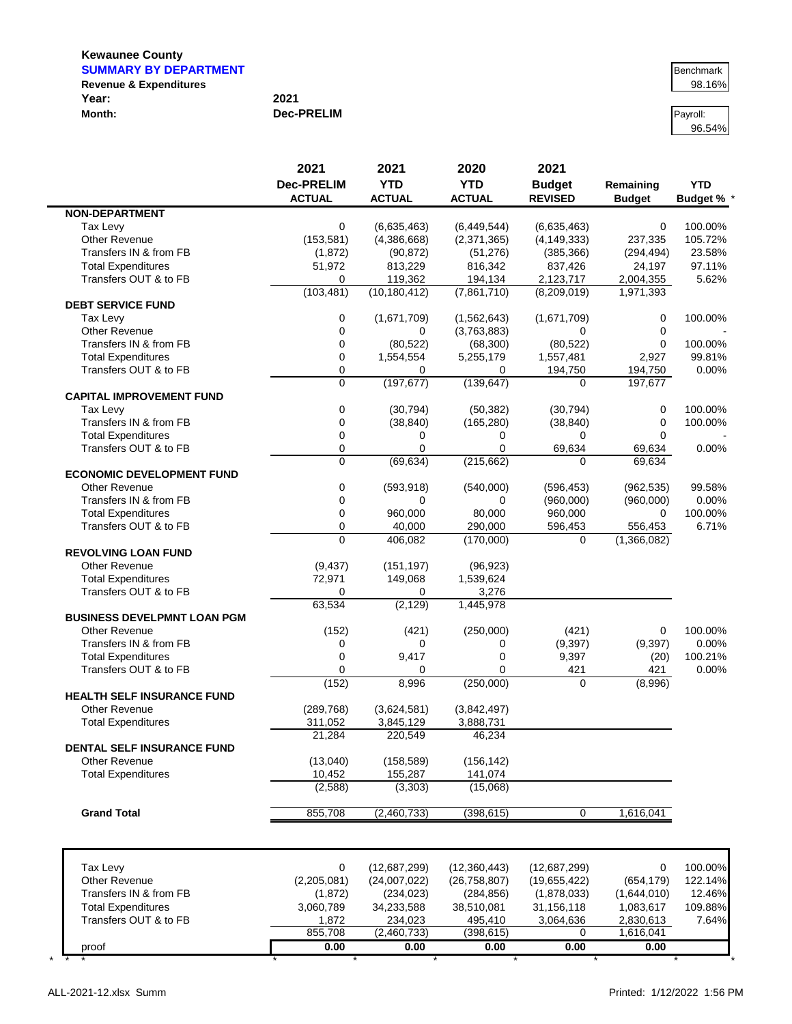**Kewaunee County SUMMARY BY DEPARTMENT BENCHMARY BY DEPARTMENT** 

**NON-DEPARTMENT**

**DEBT SERVICE FUND**

**CAPITAL IMPROVEMENT FUND**

**ECONOMIC DEVELOPMENT FUND**

**REVOLVING LOAN FUND**

| <b>Revenue &amp; Expenditures</b> |                   | 98.16%   |
|-----------------------------------|-------------------|----------|
| Year:                             | 2021              |          |
| Month:                            | <b>Dec-PRELIM</b> | Payroll: |

|                                                           | 0.00        | 0.00         |                | 0.00         | 0.00        |          |
|-----------------------------------------------------------|-------------|--------------|----------------|--------------|-------------|----------|
|                                                           | 855,708     | (2,460,733)  | (398,615)      | 0            | 1,616,041   |          |
| Transfers OUT & to FB                                     | 1,872       | 234.023      | 495,410        | 3,064,636    | 2,830,613   | 7.64%    |
| <b>Total Expenditures</b>                                 | 3,060,789   | 34,233,588   | 38,510,081     | 31,156,118   | 1,083,617   | 109.88%  |
| Transfers IN & from FB                                    | (1, 872)    | (234, 023)   | (284, 856)     | (1,878,033)  | (1,644,010) | 12.46%   |
| Other Revenue                                             | (2,205,081) | (24,007,022) | (26, 758, 807) | (19,655,422) | (654, 179)  | 122.14%  |
| Tax Levy                                                  | $\Omega$    | (12,687,299) | (12,360,443)   | (12,687,299) | 0           | 100.00%  |
|                                                           |             |              |                |              |             |          |
| <b>Grand Total</b>                                        | 855,708     | (2,460,733)  | (398, 615)     | $\Omega$     | 1,616,041   |          |
|                                                           | (2,588)     | (3,303)      | (15,068)       |              |             |          |
| <b>Total Expenditures</b>                                 | 10,452      | 155.287      | 141,074        |              |             |          |
| <b>Other Revenue</b>                                      | (13,040)    | (158, 589)   | (156, 142)     |              |             |          |
| <b>DENTAL SELF INSURANCE FUND</b>                         |             |              |                |              |             |          |
|                                                           | 21,284      | 220,549      | 46,234         |              |             |          |
| <b>Total Expenditures</b>                                 | 311,052     | 3,845,129    | 3,888,731      |              |             |          |
| <b>HEALTH SELF INSURANCE FUND</b><br><b>Other Revenue</b> | (289, 768)  | (3,624,581)  | (3,842,497)    |              |             |          |
|                                                           | (152)       | 8,996        | (250,000)      | 0            | (8,996)     |          |
| Transfers OUT & to FB                                     |             | 0            |                | 421          | 421         | $0.00\%$ |
| <b>Total Expenditures</b>                                 | O           | 9,417        |                | 9,397        | (20)        | 100.21%  |
| Transfers IN & from FB                                    |             | 0            |                | (9, 397)     | (9, 397)    | 0.00%    |
| <b>Other Revenue</b>                                      | (152)       | (421)        | (250,000)      | (421)        | 0           | 100.00%  |
|                                                           |             |              |                |              |             |          |

Other Revenue (9,437) (151,197) (96,923) Total Expenditures 1,539,624 Transfers OUT & to FB 0 0 3,276

**2021 2021 2020 2021**

Tax Levy 0 (6,635,463) (6,449,544) (6,635,463) 0 100.00% Other Revenue (153,581) (4,386,668) (2,371,365) (4,149,333) 237,335 105.72% Transfers IN & from FB (1,872) (90,872) (51,276) (385,366) (294,494) 23.58% Total Expenditures 51,972 813,229 816,342 837,426 24,197 97.11% Transfers OUT & to FB 0 119,362 194,134 2,123,717 2,004,355 5.62%

Tax Levy 0 (1,671,709) (1,562,643) (1,671,709) 0 100.00% Other Revenue 0 0 (3,763,883) 0 0 - Transfers IN & from FB 0 (80,522) (68,300) (80,522) 0 100.00% Total Expenditures 0 1,554,554 5,255,179 1,557,481 2,927 99.81% Transfers OUT & to FB 0 0 0 194,750 194,750 0.00%

Tax Levy 0 (30,794) (50,382) (30,794) 0 100.00% Transfers IN & from FB 0 (38,840) (165,280) (38,840) 0 100.00%

Transfers OUT & to FB 0 0 0 0 0 69,634 69,634 0.00%

Other Revenue 0 (593,918) (540,000) (596,453) (962,535) 99.58% Transfers IN & from FB 0 0 0 (960,000) (960,000) 0.00% Total Expenditures 0 960,000 80,000 960,000 0 100.00% Transfers OUT & to FB 0 40,000 290,000 596,453 556,453 6.71%

63,534 (2,129) 1,445,978

Total Expenditures and the control of the control of the control of the control of the control of the control o

**Dec-PRELIM YTD YTD Budget Remaining YTD ACTUAL ACTUAL ACTUAL REVISED Budget Budget %** \*

(103,481) (10,180,412) (7,861,710) (8,209,019) 1,971,393

0 (197,677) (139,647) 0 197,677

0 (69,634) (215,662) 0 69,634

0 406,082 (170,000) 0 (1,366,082)

96.54%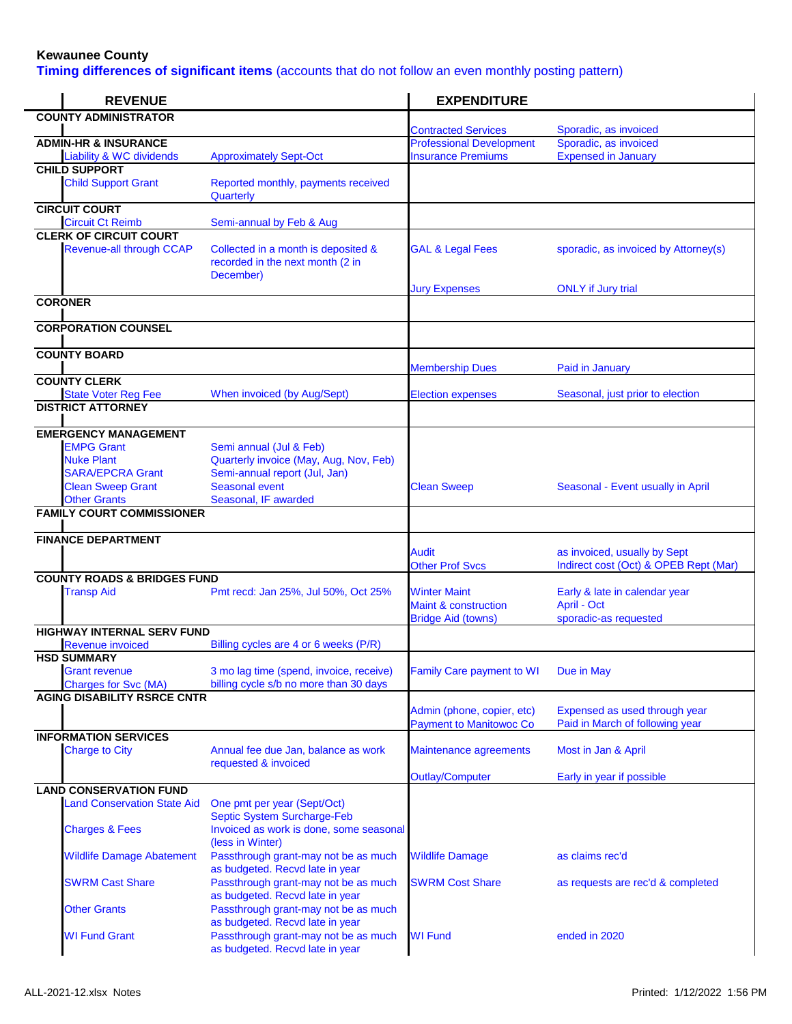**Timing differences of significant items** (accounts that do not follow an even monthly posting pattern)

| <b>REVENUE</b>                                                                                                                                      |                                                                                                                                              | <b>EXPENDITURE</b>                                                                  |                                                                       |
|-----------------------------------------------------------------------------------------------------------------------------------------------------|----------------------------------------------------------------------------------------------------------------------------------------------|-------------------------------------------------------------------------------------|-----------------------------------------------------------------------|
| <b>COUNTY ADMINISTRATOR</b>                                                                                                                         |                                                                                                                                              |                                                                                     |                                                                       |
| <b>ADMIN-HR &amp; INSURANCE</b>                                                                                                                     |                                                                                                                                              | <b>Contracted Services</b><br><b>Professional Development</b>                       | Sporadic, as invoiced<br>Sporadic, as invoiced                        |
| <b>Liability &amp; WC dividends</b>                                                                                                                 | <b>Approximately Sept-Oct</b>                                                                                                                | <b>Insurance Premiums</b>                                                           | <b>Expensed in January</b>                                            |
| <b>CHILD SUPPORT</b><br><b>Child Support Grant</b>                                                                                                  | Reported monthly, payments received<br>Quarterly                                                                                             |                                                                                     |                                                                       |
| <b>CIRCUIT COURT</b><br><b>Circuit Ct Reimb</b>                                                                                                     | Semi-annual by Feb & Aug                                                                                                                     |                                                                                     |                                                                       |
| <b>CLERK OF CIRCUIT COURT</b><br><b>Revenue-all through CCAP</b>                                                                                    | Collected in a month is deposited &<br>recorded in the next month (2 in<br>December)                                                         | <b>GAL &amp; Legal Fees</b>                                                         | sporadic, as invoiced by Attorney(s)                                  |
| <b>CORONER</b>                                                                                                                                      |                                                                                                                                              | <b>Jury Expenses</b>                                                                | <b>ONLY</b> if Jury trial                                             |
| <b>CORPORATION COUNSEL</b>                                                                                                                          |                                                                                                                                              |                                                                                     |                                                                       |
| <b>COUNTY BOARD</b>                                                                                                                                 |                                                                                                                                              |                                                                                     |                                                                       |
| <b>COUNTY CLERK</b>                                                                                                                                 |                                                                                                                                              | <b>Membership Dues</b>                                                              | Paid in January                                                       |
| <b>State Voter Reg Fee</b>                                                                                                                          | When invoiced (by Aug/Sept)                                                                                                                  | <b>Election expenses</b>                                                            | Seasonal, just prior to election                                      |
| <b>DISTRICT ATTORNEY</b>                                                                                                                            |                                                                                                                                              |                                                                                     |                                                                       |
| <b>EMERGENCY MANAGEMENT</b><br><b>EMPG Grant</b><br><b>Nuke Plant</b><br><b>SARA/EPCRA Grant</b><br><b>Clean Sweep Grant</b><br><b>Other Grants</b> | Semi annual (Jul & Feb)<br>Quarterly invoice (May, Aug, Nov, Feb)<br>Semi-annual report (Jul, Jan)<br>Seasonal event<br>Seasonal, IF awarded | <b>Clean Sweep</b>                                                                  | Seasonal - Event usually in April                                     |
| <b>FAMILY COURT COMMISSIONER</b>                                                                                                                    |                                                                                                                                              |                                                                                     |                                                                       |
| <b>FINANCE DEPARTMENT</b>                                                                                                                           |                                                                                                                                              | <b>Audit</b><br><b>Other Prof Svcs</b>                                              | as invoiced, usually by Sept<br>Indirect cost (Oct) & OPEB Rept (Mar) |
| <b>COUNTY ROADS &amp; BRIDGES FUND</b><br><b>Transp Aid</b>                                                                                         | Pmt recd: Jan 25%, Jul 50%, Oct 25%                                                                                                          | <b>Winter Maint</b><br><b>Maint &amp; construction</b><br><b>Bridge Aid (towns)</b> | Early & late in calendar year<br>April - Oct<br>sporadic-as requested |
| <b>HIGHWAY INTERNAL SERV FUND</b>                                                                                                                   |                                                                                                                                              |                                                                                     |                                                                       |
| <b>Revenue invoiced</b><br><b>HSD SUMMARY</b><br>Grant revenue<br><b>Charges for Svc (MA)</b>                                                       | Billing cycles are 4 or 6 weeks (P/R)<br>3 mo lag time (spend, invoice, receive)<br>billing cycle s/b no more than 30 days                   | <b>Family Care payment to WI</b>                                                    | Due in May                                                            |
| <b>AGING DISABILITY RSRCE CNTR</b>                                                                                                                  |                                                                                                                                              | Admin (phone, copier, etc)<br><b>Payment to Manitowoc Co</b>                        | Expensed as used through year<br>Paid in March of following year      |
| <b>INFORMATION SERVICES</b><br><b>Charge to City</b>                                                                                                | Annual fee due Jan, balance as work<br>requested & invoiced                                                                                  | Maintenance agreements                                                              | Most in Jan & April                                                   |
|                                                                                                                                                     |                                                                                                                                              | Outlay/Computer                                                                     | Early in year if possible                                             |
| <b>LAND CONSERVATION FUND</b><br><b>Land Conservation State Aid</b><br><b>Charges &amp; Fees</b>                                                    | One pmt per year (Sept/Oct)<br>Septic System Surcharge-Feb<br>Invoiced as work is done, some seasonal                                        |                                                                                     |                                                                       |
| <b>Wildlife Damage Abatement</b>                                                                                                                    | (less in Winter)<br>Passthrough grant-may not be as much                                                                                     | <b>Wildlife Damage</b>                                                              | as claims rec'd                                                       |
| <b>SWRM Cast Share</b>                                                                                                                              | as budgeted. Recvd late in year<br>Passthrough grant-may not be as much                                                                      | <b>SWRM Cost Share</b>                                                              | as requests are rec'd & completed                                     |
| <b>Other Grants</b>                                                                                                                                 | as budgeted. Recvd late in year<br>Passthrough grant-may not be as much<br>as budgeted. Recvd late in year                                   |                                                                                     |                                                                       |
| <b>WI Fund Grant</b>                                                                                                                                | Passthrough grant-may not be as much<br>as budgeted. Recvd late in year                                                                      | <b>WI Fund</b>                                                                      | ended in 2020                                                         |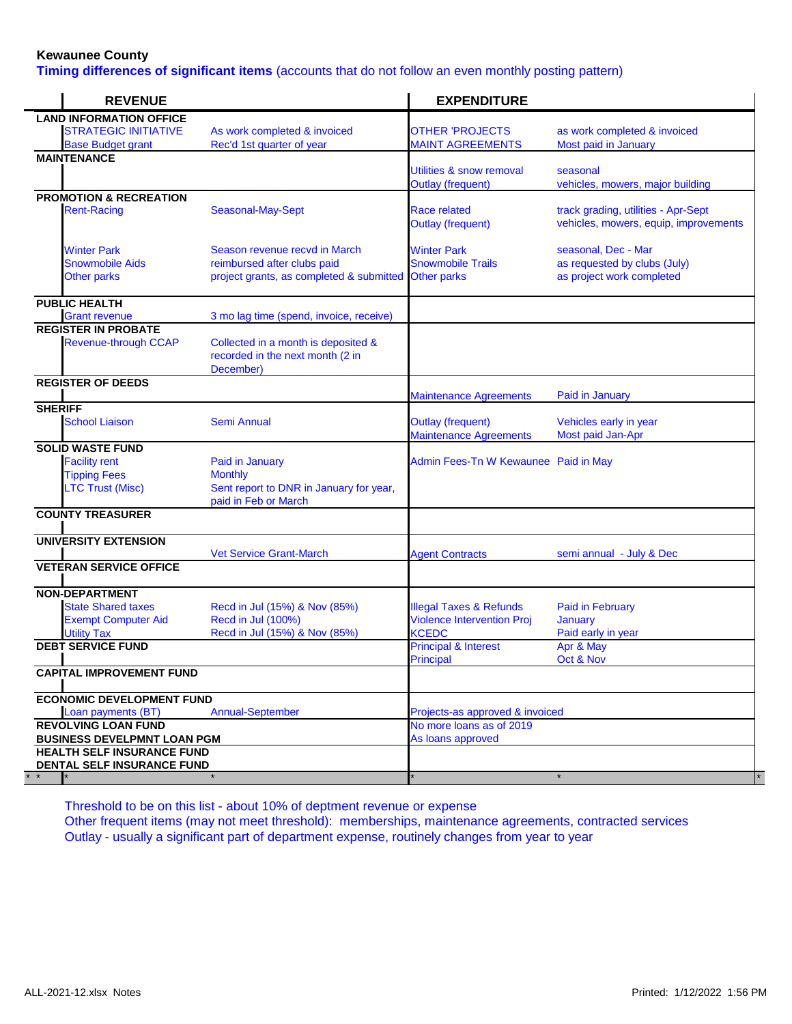**Timing differences of significant items** (accounts that do not follow an even monthly posting pattern)

| <b>REVENUE</b>                     |                                                                                      | <b>EXPENDITURE</b>                       |                                                                              |
|------------------------------------|--------------------------------------------------------------------------------------|------------------------------------------|------------------------------------------------------------------------------|
| <b>LAND INFORMATION OFFICE</b>     |                                                                                      |                                          |                                                                              |
| <b>STRATEGIC INITIATIVE</b>        | As work completed & invoiced                                                         | <b>OTHER 'PROJECTS</b>                   | as work completed & invoiced                                                 |
| <b>Base Budget grant</b>           | Rec'd 1st quarter of year                                                            | <b>MAINT AGREEMENTS</b>                  | Most paid in January                                                         |
| <b>MAINTENANCE</b>                 |                                                                                      |                                          |                                                                              |
|                                    |                                                                                      | Utilities & snow removal                 | seasonal                                                                     |
|                                    |                                                                                      | <b>Outlay (frequent)</b>                 | vehicles, mowers, major building                                             |
| <b>PROMOTION &amp; RECREATION</b>  |                                                                                      |                                          |                                                                              |
| <b>Rent-Racing</b>                 | Seasonal-May-Sept                                                                    | Race related<br><b>Outlay (frequent)</b> | track grading, utilities - Apr-Sept<br>vehicles, mowers, equip, improvements |
| <b>Winter Park</b>                 | Season revenue recyd in March                                                        | <b>Winter Park</b>                       | seasonal, Dec - Mar                                                          |
| <b>Snowmobile Aids</b>             | reimbursed after clubs paid                                                          | <b>Snowmobile Trails</b>                 | as requested by clubs (July)                                                 |
| <b>Other parks</b>                 | project grants, as completed & submitted Other parks                                 |                                          | as project work completed                                                    |
|                                    |                                                                                      |                                          |                                                                              |
| <b>PUBLIC HEALTH</b>               |                                                                                      |                                          |                                                                              |
| <b>Grant revenue</b>               | 3 mo lag time (spend, invoice, receive)                                              |                                          |                                                                              |
| <b>REGISTER IN PROBATE</b>         |                                                                                      |                                          |                                                                              |
| <b>Revenue-through CCAP</b>        | Collected in a month is deposited &<br>recorded in the next month (2 in<br>December) |                                          |                                                                              |
| <b>REGISTER OF DEEDS</b>           |                                                                                      |                                          |                                                                              |
|                                    |                                                                                      | <b>Maintenance Agreements</b>            | Paid in January                                                              |
| <b>SHERIFF</b>                     |                                                                                      |                                          |                                                                              |
| <b>School Liaison</b>              | <b>Semi Annual</b>                                                                   | <b>Outlay (frequent)</b>                 | Vehicles early in year                                                       |
|                                    |                                                                                      | <b>Maintenance Agreements</b>            | Most paid Jan-Apr                                                            |
| <b>SOLID WASTE FUND</b>            |                                                                                      |                                          |                                                                              |
| <b>Facility rent</b>               | Paid in January                                                                      | Admin Fees-Tn W Kewaunee Paid in May     |                                                                              |
| <b>Tipping Fees</b>                | <b>Monthly</b>                                                                       |                                          |                                                                              |
| <b>LTC Trust (Misc)</b>            | Sent report to DNR in January for year,<br>paid in Feb or March                      |                                          |                                                                              |
| <b>COUNTY TREASURER</b>            |                                                                                      |                                          |                                                                              |
| <b>UNIVERSITY EXTENSION</b>        |                                                                                      |                                          |                                                                              |
|                                    | <b>Vet Service Grant-March</b>                                                       | <b>Agent Contracts</b>                   | semi annual - July & Dec                                                     |
| <b>VETERAN SERVICE OFFICE</b>      |                                                                                      |                                          |                                                                              |
| <b>NON-DEPARTMENT</b>              |                                                                                      |                                          |                                                                              |
| <b>State Shared taxes</b>          | Recd in Jul (15%) & Nov (85%)                                                        | <b>Illegal Taxes &amp; Refunds</b>       | <b>Paid in February</b>                                                      |
| <b>Exempt Computer Aid</b>         | Recd in Jul (100%)                                                                   | <b>Violence Intervention Proj</b>        | <b>January</b>                                                               |
| <b>Utility Tax</b>                 | Recd in Jul (15%) & Nov (85%)                                                        | <b>KCEDC</b>                             | Paid early in year                                                           |
| <b>DEBT SERVICE FUND</b>           |                                                                                      | <b>Principal &amp; Interest</b>          | Apr & May                                                                    |
|                                    |                                                                                      | <b>Principal</b>                         | Oct & Nov                                                                    |
| <b>CAPITAL IMPROVEMENT FUND</b>    |                                                                                      |                                          |                                                                              |
|                                    |                                                                                      |                                          |                                                                              |
| <b>ECONOMIC DEVELOPMENT FUND</b>   |                                                                                      |                                          |                                                                              |
| Loan payments (BT)                 | <b>Annual-September</b>                                                              | Projects-as approved & invoiced          |                                                                              |
| <b>REVOLVING LOAN FUND</b>         |                                                                                      | No more loans as of 2019                 |                                                                              |
| <b>BUSINESS DEVELPMNT LOAN PGM</b> |                                                                                      | As loans approved                        |                                                                              |
| <b>HEALTH SELF INSURANCE FUND</b>  |                                                                                      |                                          |                                                                              |
| DENTAL SELF INSURANCE FUND         |                                                                                      |                                          |                                                                              |
|                                    |                                                                                      |                                          |                                                                              |

Threshold to be on this list - about 10% of deptment revenue or expense Other frequent items (may not meet threshold): memberships, maintenance agreements, contracted services Outlay - usually a significant part of department expense, routinely changes from year to year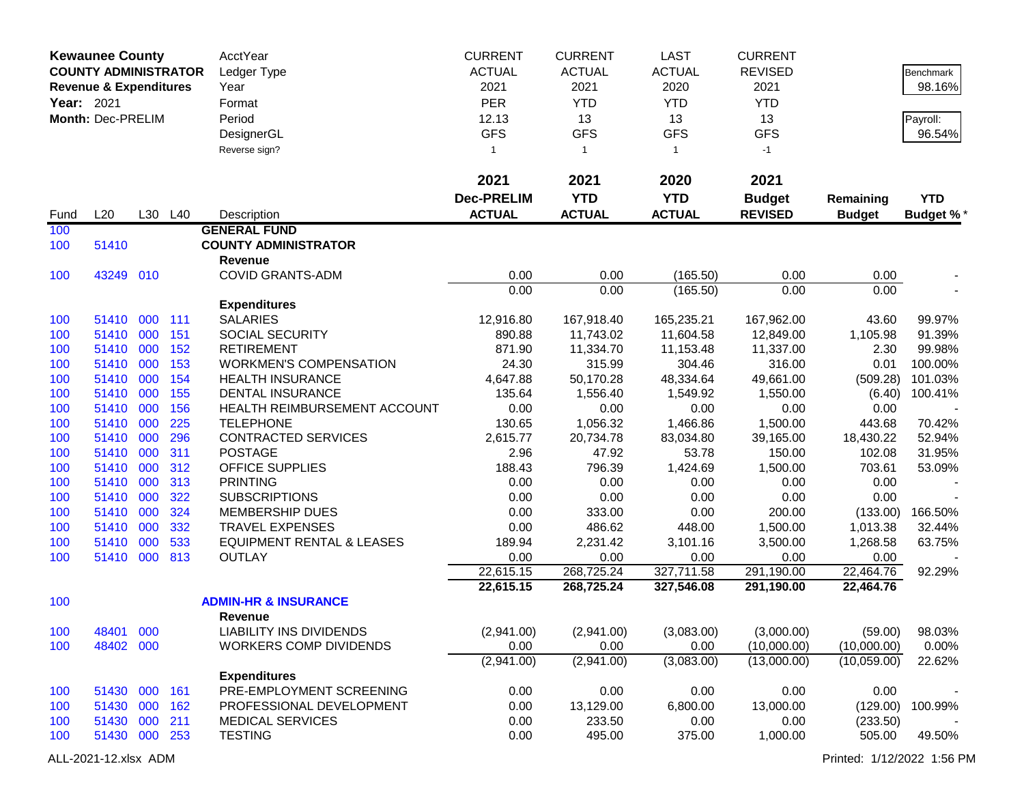| <b>Kewaunee County</b><br><b>COUNTY ADMINISTRATOR</b><br><b>Revenue &amp; Expenditures</b><br>Year: 2021<br>Month: Dec-PRELIM |                |            | AcctYear<br>Ledger Type<br>Year<br>Format<br>Period<br>DesignerGL | <b>CURRENT</b><br><b>ACTUAL</b><br>2021<br>PER<br>12.13<br><b>GFS</b> | <b>CURRENT</b><br><b>ACTUAL</b><br>2021<br><b>YTD</b><br>13<br><b>GFS</b> | LAST<br><b>ACTUAL</b><br>2020<br><b>YTD</b><br>13<br><b>GFS</b> | <b>CURRENT</b><br><b>REVISED</b><br>2021<br><b>YTD</b><br>13<br><b>GFS</b> |                  | Benchmark<br>98.16%<br>Payroll:<br>96.54% |                  |
|-------------------------------------------------------------------------------------------------------------------------------|----------------|------------|-------------------------------------------------------------------|-----------------------------------------------------------------------|---------------------------------------------------------------------------|-----------------------------------------------------------------|----------------------------------------------------------------------------|------------------|-------------------------------------------|------------------|
|                                                                                                                               |                |            |                                                                   | Reverse sign?                                                         | $\overline{\mathbf{1}}$<br>2021                                           | $\mathbf{1}$<br>2021                                            | $\mathbf{1}$<br>2020                                                       | $-1$<br>2021     |                                           |                  |
|                                                                                                                               |                |            |                                                                   |                                                                       | <b>Dec-PRELIM</b>                                                         | <b>YTD</b>                                                      | <b>YTD</b>                                                                 | <b>Budget</b>    | Remaining                                 | <b>YTD</b>       |
| Fund                                                                                                                          | L20            |            | L30 L40                                                           | Description                                                           | <b>ACTUAL</b>                                                             | <b>ACTUAL</b>                                                   | <b>ACTUAL</b>                                                              | <b>REVISED</b>   | <b>Budget</b>                             | <b>Budget %*</b> |
| 100                                                                                                                           |                |            |                                                                   | <b>GENERAL FUND</b>                                                   |                                                                           |                                                                 |                                                                            |                  |                                           |                  |
| 100                                                                                                                           | 51410          |            |                                                                   | <b>COUNTY ADMINISTRATOR</b>                                           |                                                                           |                                                                 |                                                                            |                  |                                           |                  |
|                                                                                                                               |                |            |                                                                   | Revenue                                                               |                                                                           |                                                                 |                                                                            |                  |                                           |                  |
| 100                                                                                                                           | 43249 010      |            |                                                                   | <b>COVID GRANTS-ADM</b>                                               | 0.00                                                                      | 0.00                                                            | (165.50)                                                                   | 0.00             | 0.00                                      |                  |
|                                                                                                                               |                |            |                                                                   |                                                                       | 0.00                                                                      | 0.00                                                            | (165.50)                                                                   | 0.00             | 0.00                                      |                  |
| 100                                                                                                                           | 51410          | 000        | 111                                                               | <b>Expenditures</b><br><b>SALARIES</b>                                | 12,916.80                                                                 |                                                                 | 165,235.21                                                                 | 167,962.00       | 43.60                                     | 99.97%           |
| 100                                                                                                                           | 51410          | 000        | 151                                                               | SOCIAL SECURITY                                                       | 890.88                                                                    | 167,918.40<br>11,743.02                                         | 11,604.58                                                                  | 12,849.00        | 1,105.98                                  | 91.39%           |
| 100                                                                                                                           | 51410          | 000        | 152                                                               | <b>RETIREMENT</b>                                                     | 871.90                                                                    | 11,334.70                                                       | 11,153.48                                                                  | 11,337.00        | 2.30                                      | 99.98%           |
| 100                                                                                                                           | 51410          | 000        | 153                                                               | <b>WORKMEN'S COMPENSATION</b>                                         | 24.30                                                                     | 315.99                                                          | 304.46                                                                     | 316.00           | 0.01                                      | 100.00%          |
| 100                                                                                                                           | 51410          | 000        | 154                                                               | <b>HEALTH INSURANCE</b>                                               | 4,647.88                                                                  | 50,170.28                                                       | 48,334.64                                                                  | 49,661.00        | (509.28)                                  | 101.03%          |
| 100                                                                                                                           | 51410          | 000        | 155                                                               | <b>DENTAL INSURANCE</b>                                               | 135.64                                                                    | 1,556.40                                                        | 1,549.92                                                                   | 1,550.00         | (6.40)                                    | 100.41%          |
| 100                                                                                                                           | 51410          | 000        | 156                                                               | HEALTH REIMBURSEMENT ACCOUNT                                          | 0.00                                                                      | 0.00                                                            | 0.00                                                                       | 0.00             | 0.00                                      |                  |
| 100                                                                                                                           | 51410          | 000        | 225                                                               | <b>TELEPHONE</b>                                                      | 130.65                                                                    | 1,056.32                                                        | 1,466.86                                                                   | 1,500.00         | 443.68                                    | 70.42%           |
| 100                                                                                                                           | 51410          | 000        | 296                                                               | <b>CONTRACTED SERVICES</b>                                            | 2,615.77                                                                  | 20,734.78                                                       | 83,034.80                                                                  | 39,165.00        | 18,430.22                                 | 52.94%           |
| 100                                                                                                                           | 51410          | 000        | 311                                                               | <b>POSTAGE</b>                                                        | 2.96                                                                      | 47.92                                                           | 53.78                                                                      | 150.00           | 102.08                                    | 31.95%           |
| 100                                                                                                                           | 51410          | 000        | 312                                                               | OFFICE SUPPLIES                                                       | 188.43                                                                    | 796.39                                                          | 1,424.69                                                                   | 1,500.00         | 703.61                                    | 53.09%           |
| 100                                                                                                                           | 51410          | 000        | 313                                                               | <b>PRINTING</b>                                                       | 0.00                                                                      | 0.00                                                            | 0.00                                                                       | 0.00             | 0.00                                      |                  |
| 100                                                                                                                           | 51410          | 000        | 322                                                               | <b>SUBSCRIPTIONS</b>                                                  | 0.00                                                                      | 0.00                                                            | 0.00                                                                       | 0.00             | 0.00                                      |                  |
| 100                                                                                                                           | 51410          | 000        | 324                                                               | MEMBERSHIP DUES                                                       | 0.00                                                                      | 333.00                                                          | 0.00                                                                       | 200.00           | (133.00)                                  | 166.50%          |
| 100                                                                                                                           | 51410          | 000        | 332                                                               | <b>TRAVEL EXPENSES</b>                                                | 0.00                                                                      | 486.62                                                          | 448.00                                                                     | 1,500.00         | 1,013.38                                  | 32.44%           |
| 100<br>100                                                                                                                    | 51410<br>51410 | 000<br>000 | 533<br>813                                                        | <b>EQUIPMENT RENTAL &amp; LEASES</b><br><b>OUTLAY</b>                 | 189.94<br>0.00                                                            | 2,231.42<br>0.00                                                | 3,101.16<br>0.00                                                           | 3,500.00<br>0.00 | 1,268.58<br>0.00                          | 63.75%           |
|                                                                                                                               |                |            |                                                                   |                                                                       | 22,615.15                                                                 | 268,725.24                                                      | 327,711.58                                                                 | 291,190.00       | 22,464.76                                 | 92.29%           |
|                                                                                                                               |                |            |                                                                   |                                                                       | 22,615.15                                                                 | 268,725.24                                                      | 327,546.08                                                                 | 291,190.00       | 22,464.76                                 |                  |
| 100                                                                                                                           |                |            |                                                                   | <b>ADMIN-HR &amp; INSURANCE</b>                                       |                                                                           |                                                                 |                                                                            |                  |                                           |                  |
|                                                                                                                               |                |            |                                                                   | Revenue                                                               |                                                                           |                                                                 |                                                                            |                  |                                           |                  |
| 100                                                                                                                           | 48401 000      |            |                                                                   | <b>LIABILITY INS DIVIDENDS</b>                                        | (2,941.00)                                                                | (2,941.00)                                                      | (3,083.00)                                                                 | (3,000.00)       | (59.00)                                   | 98.03%           |
| 100                                                                                                                           | 48402 000      |            |                                                                   | <b>WORKERS COMP DIVIDENDS</b>                                         | 0.00                                                                      | 0.00                                                            | 0.00                                                                       | (10,000.00)      | (10,000.00)                               | 0.00%            |
|                                                                                                                               |                |            |                                                                   |                                                                       | (2,941.00)                                                                | (2,941.00)                                                      | (3,083.00)                                                                 | (13,000.00)      | (10,059.00)                               | 22.62%           |
|                                                                                                                               |                |            |                                                                   | <b>Expenditures</b>                                                   |                                                                           |                                                                 |                                                                            |                  |                                           |                  |
| 100                                                                                                                           | 51430 000 161  |            |                                                                   | PRE-EMPLOYMENT SCREENING                                              | 0.00                                                                      | 0.00                                                            | 0.00                                                                       | 0.00             | 0.00                                      |                  |
| 100                                                                                                                           | 51430          | 000        | 162                                                               | PROFESSIONAL DEVELOPMENT                                              | 0.00                                                                      | 13,129.00                                                       | 6,800.00                                                                   | 13,000.00        | (129.00)                                  | 100.99%          |
| 100                                                                                                                           | 51430          | 000        | 211                                                               | <b>MEDICAL SERVICES</b>                                               | 0.00                                                                      | 233.50                                                          | 0.00                                                                       | 0.00             | (233.50)                                  |                  |
| 100                                                                                                                           | 51430 000 253  |            |                                                                   | <b>TESTING</b>                                                        | 0.00                                                                      | 495.00                                                          | 375.00                                                                     | 1,000.00         | 505.00                                    | 49.50%           |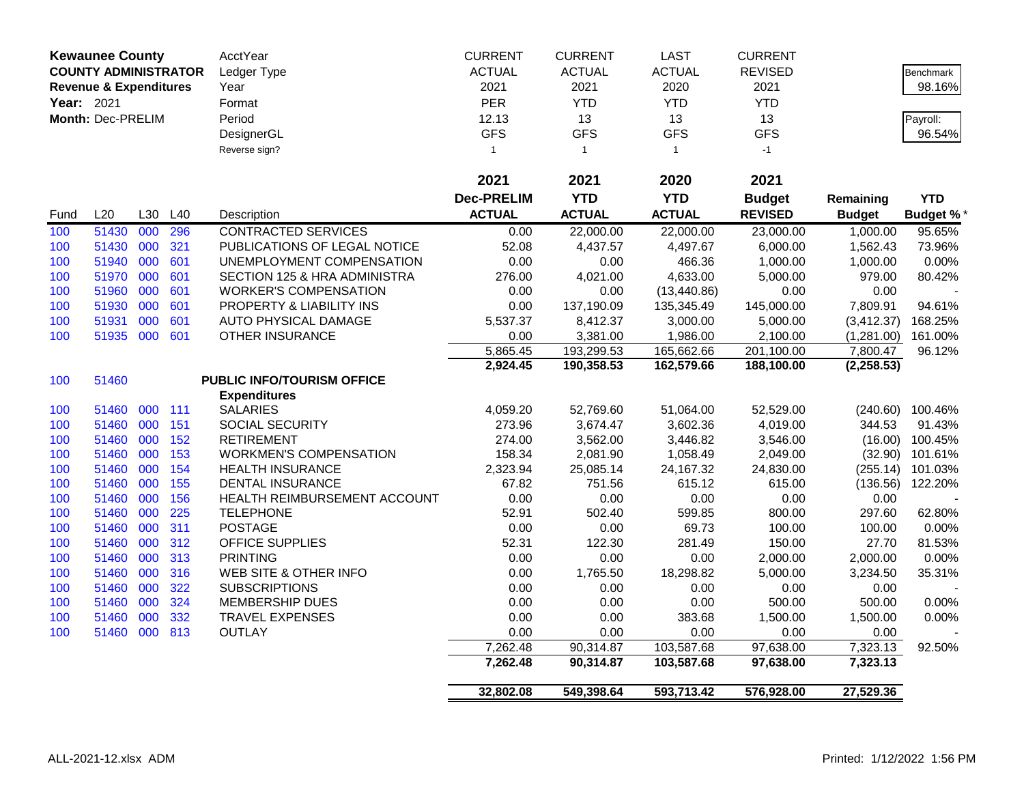|            | <b>Kewaunee County</b>            |     |     | <b>AcctYear</b>               | <b>CURRENT</b>    | <b>CURRENT</b> | <b>LAST</b>   | <b>CURRENT</b> |               |                   |
|------------|-----------------------------------|-----|-----|-------------------------------|-------------------|----------------|---------------|----------------|---------------|-------------------|
|            | <b>COUNTY ADMINISTRATOR</b>       |     |     | Ledger Type                   | <b>ACTUAL</b>     | <b>ACTUAL</b>  | <b>ACTUAL</b> | <b>REVISED</b> |               | <b>Benchmark</b>  |
|            | <b>Revenue &amp; Expenditures</b> |     |     | Year                          | 2021              | 2021           | 2020          | 2021           |               | 98.16%            |
| Year: 2021 |                                   |     |     | Format                        | PER               | <b>YTD</b>     | <b>YTD</b>    | <b>YTD</b>     |               |                   |
|            | Month: Dec-PRELIM                 |     |     | Period                        | 12.13             | 13             | 13            | 13             |               | Payroll:          |
|            |                                   |     |     | DesignerGL                    | <b>GFS</b>        | <b>GFS</b>     | <b>GFS</b>    | <b>GFS</b>     |               | 96.54%            |
|            |                                   |     |     | Reverse sign?                 | $\mathbf{1}$      | $\overline{1}$ | $\mathbf{1}$  | $-1$           |               |                   |
|            |                                   |     |     |                               |                   |                |               |                |               |                   |
|            |                                   |     |     |                               | 2021              | 2021           | 2020          | 2021           |               |                   |
|            |                                   |     |     |                               | <b>Dec-PRELIM</b> | <b>YTD</b>     | <b>YTD</b>    | <b>Budget</b>  | Remaining     | <b>YTD</b>        |
| Fund       | L20                               | L30 | L40 | Description                   | <b>ACTUAL</b>     | <b>ACTUAL</b>  | <b>ACTUAL</b> | <b>REVISED</b> | <b>Budget</b> | <b>Budget %</b>   |
| 100        | 51430                             | 000 | 296 | <b>CONTRACTED SERVICES</b>    | 0.00              | 22,000.00      | 22,000.00     | 23,000.00      | 1,000.00      | 95.65%            |
| 100        | 51430                             | 000 | 321 | PUBLICATIONS OF LEGAL NOTICE  | 52.08             | 4,437.57       | 4,497.67      | 6,000.00       | 1,562.43      | 73.96%            |
| 100        | 51940                             | 000 | 601 | UNEMPLOYMENT COMPENSATION     | 0.00              | 0.00           | 466.36        | 1,000.00       | 1,000.00      | 0.00%             |
| 100        | 51970                             | 000 | 601 | SECTION 125 & HRA ADMINISTRA  | 276.00            | 4,021.00       | 4,633.00      | 5,000.00       | 979.00        | 80.42%            |
| 100        | 51960                             | 000 | 601 | <b>WORKER'S COMPENSATION</b>  | 0.00              | 0.00           | (13, 440.86)  | 0.00           | 0.00          |                   |
| 100        | 51930                             | 000 | 601 | PROPERTY & LIABILITY INS      | 0.00              | 137,190.09     | 135,345.49    | 145,000.00     | 7,809.91      | 94.61%            |
| 100        | 51931                             | 000 | 601 | AUTO PHYSICAL DAMAGE          | 5,537.37          | 8,412.37       | 3,000.00      | 5,000.00       | (3, 412.37)   | 168.25%           |
| 100        | 51935 000                         |     | 601 | OTHER INSURANCE               | 0.00              | 3,381.00       | 1,986.00      | 2,100.00       | (1,281.00)    | 161.00%           |
|            |                                   |     |     |                               | 5,865.45          | 193,299.53     | 165,662.66    | 201,100.00     | 7,800.47      | 96.12%            |
|            |                                   |     |     |                               | 2,924.45          | 190,358.53     | 162,579.66    | 188,100.00     | (2, 258.53)   |                   |
| 100        | 51460                             |     |     | PUBLIC INFO/TOURISM OFFICE    |                   |                |               |                |               |                   |
|            |                                   |     |     | <b>Expenditures</b>           |                   |                |               |                |               |                   |
| 100        | 51460                             | 000 | 111 | <b>SALARIES</b>               | 4,059.20          | 52,769.60      | 51,064.00     | 52,529.00      | (240.60)      | 100.46%           |
| 100        | 51460                             | 000 | 151 | SOCIAL SECURITY               | 273.96            | 3,674.47       | 3,602.36      | 4,019.00       | 344.53        | 91.43%            |
| 100        | 51460                             | 000 | 152 | <b>RETIREMENT</b>             | 274.00            | 3,562.00       | 3,446.82      | 3,546.00       |               | $(16.00)$ 100.45% |
| 100        | 51460                             | 000 | 153 | <b>WORKMEN'S COMPENSATION</b> | 158.34            | 2,081.90       | 1,058.49      | 2,049.00       | (32.90)       | 101.61%           |
| 100        | 51460                             | 000 | 154 | <b>HEALTH INSURANCE</b>       | 2,323.94          | 25,085.14      | 24,167.32     | 24,830.00      | (255.14)      | 101.03%           |
| 100        | 51460                             | 000 | 155 | <b>DENTAL INSURANCE</b>       | 67.82             | 751.56         | 615.12        | 615.00         | (136.56)      | 122.20%           |
| 100        | 51460                             | 000 | 156 | HEALTH REIMBURSEMENT ACCOUNT  | 0.00              | 0.00           | 0.00          | 0.00           | 0.00          |                   |
| 100        | 51460                             | 000 | 225 | <b>TELEPHONE</b>              | 52.91             | 502.40         | 599.85        | 800.00         | 297.60        | 62.80%            |
| 100        | 51460                             | 000 | 311 | <b>POSTAGE</b>                | 0.00              | 0.00           | 69.73         | 100.00         | 100.00        | 0.00%             |
| 100        | 51460                             | 000 | 312 | <b>OFFICE SUPPLIES</b>        | 52.31             | 122.30         | 281.49        | 150.00         | 27.70         | 81.53%            |
| 100        | 51460                             | 000 | 313 | <b>PRINTING</b>               | 0.00              | 0.00           | 0.00          | 2,000.00       | 2,000.00      | 0.00%             |
| 100        | 51460                             | 000 | 316 | WEB SITE & OTHER INFO         | 0.00              | 1,765.50       | 18,298.82     | 5,000.00       | 3,234.50      | 35.31%            |
| 100        | 51460                             | 000 | 322 | <b>SUBSCRIPTIONS</b>          | 0.00              | 0.00           | 0.00          | 0.00           | 0.00          |                   |
| 100        | 51460                             | 000 | 324 | <b>MEMBERSHIP DUES</b>        | 0.00              | 0.00           | 0.00          | 500.00         | 500.00        | 0.00%             |
| 100        | 51460                             | 000 | 332 | <b>TRAVEL EXPENSES</b>        | 0.00              | 0.00           | 383.68        | 1,500.00       | 1,500.00      | $0.00\%$          |
| 100        | 51460 000                         |     | 813 | <b>OUTLAY</b>                 | 0.00              | 0.00           | 0.00          | 0.00           | 0.00          |                   |
|            |                                   |     |     |                               | 7,262.48          | 90,314.87      | 103,587.68    | 97,638.00      | 7,323.13      | 92.50%            |
|            |                                   |     |     |                               | 7,262.48          | 90,314.87      | 103,587.68    | 97,638.00      | 7,323.13      |                   |
|            |                                   |     |     |                               | 32,802.08         | 549,398.64     | 593,713.42    | 576,928.00     | 27,529.36     |                   |
|            |                                   |     |     |                               |                   |                |               |                |               |                   |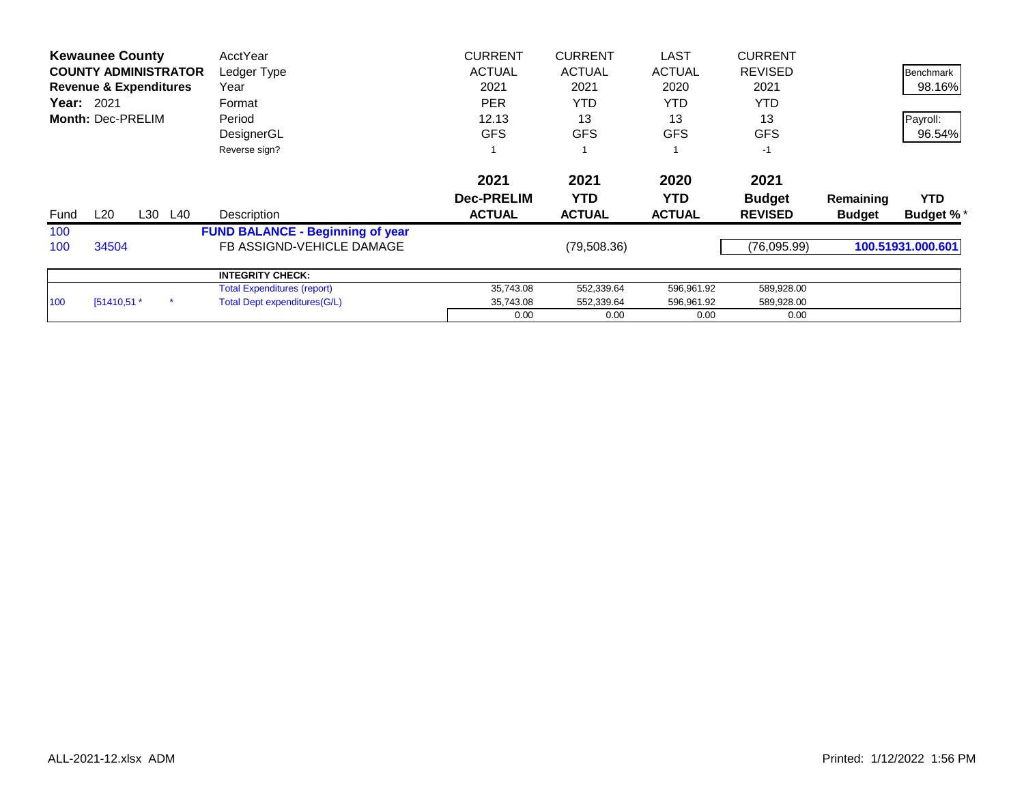|      | <b>Kewaunee County</b>            |     | AcctYear                                | <b>CURRENT</b>    | <b>CURRENT</b> | <b>LAST</b>   | <b>CURRENT</b> |               |                   |
|------|-----------------------------------|-----|-----------------------------------------|-------------------|----------------|---------------|----------------|---------------|-------------------|
|      | <b>COUNTY ADMINISTRATOR</b>       |     | Ledger Type                             | <b>ACTUAL</b>     | <b>ACTUAL</b>  | <b>ACTUAL</b> | <b>REVISED</b> |               | <b>Benchmark</b>  |
|      | <b>Revenue &amp; Expenditures</b> |     | Year                                    | 2021              | 2021           | 2020          | 2021           |               | 98.16%            |
|      | <b>Year: 2021</b>                 |     | Format                                  | <b>PER</b>        | <b>YTD</b>     | YTD.          | <b>YTD</b>     |               |                   |
|      | Month: Dec-PRELIM                 |     | Period                                  | 12.13             | 13             | 13            | 13             |               | Payroll:          |
|      |                                   |     | DesignerGL                              | <b>GFS</b>        | <b>GFS</b>     | <b>GFS</b>    | <b>GFS</b>     |               | 96.54%            |
|      |                                   |     | Reverse sign?                           |                   |                |               | $-1$           |               |                   |
|      |                                   |     |                                         | 2021              | 2021           | 2020          | 2021           |               |                   |
|      |                                   |     |                                         | <b>Dec-PRELIM</b> | <b>YTD</b>     | <b>YTD</b>    | <b>Budget</b>  | Remaining     | <b>YTD</b>        |
| Fund | L20<br>L30                        | L40 | Description                             | <b>ACTUAL</b>     | <b>ACTUAL</b>  | <b>ACTUAL</b> | <b>REVISED</b> | <b>Budget</b> | <b>Budget %*</b>  |
| 100  |                                   |     | <b>FUND BALANCE - Beginning of year</b> |                   |                |               |                |               |                   |
| 100  | 34504                             |     | FB ASSIGND-VEHICLE DAMAGE               |                   | (79, 508.36)   |               | (76,095.99)    |               | 100.51931.000.601 |
|      |                                   |     | <b>INTEGRITY CHECK:</b>                 |                   |                |               |                |               |                   |
|      |                                   |     | <b>Total Expenditures (report)</b>      | 35,743.08         | 552,339.64     | 596,961.92    | 589,928.00     |               |                   |
| 100  | [51410,51 *                       |     | Total Dept expenditures (G/L)           | 35,743.08         | 552,339.64     | 596,961.92    | 589,928.00     |               |                   |
|      |                                   |     |                                         | 0.00              | 0.00           | 0.00          | 0.00           |               |                   |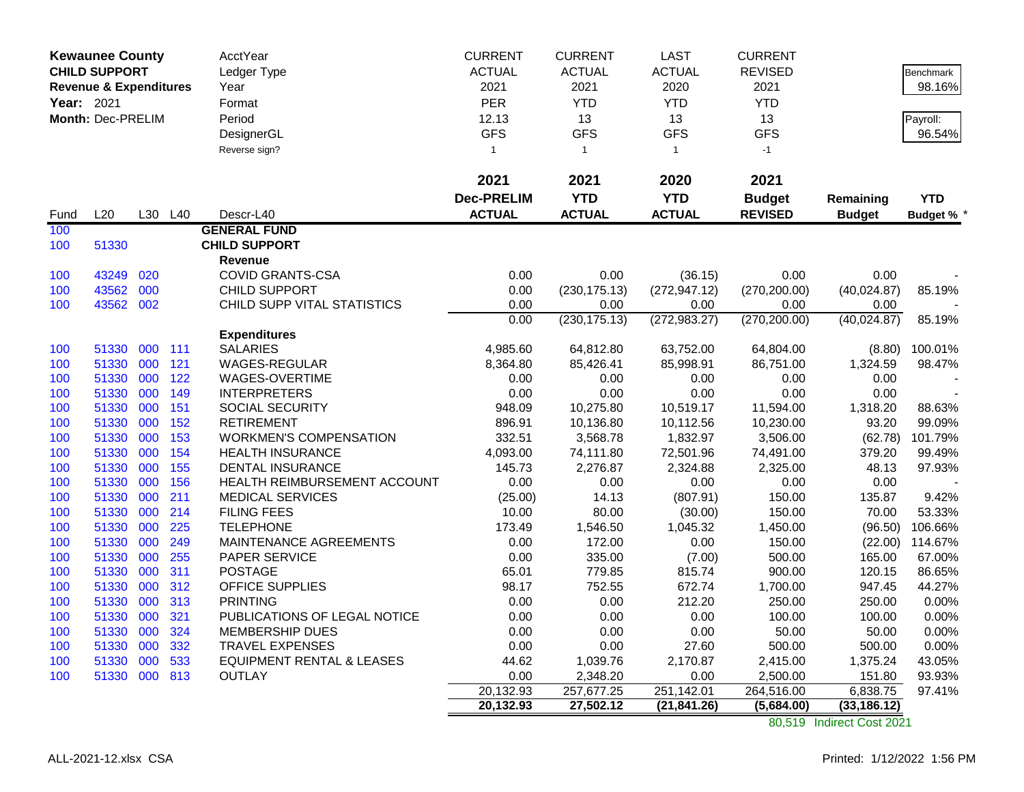|            | <b>Kewaunee County</b>            |     |     | AcctYear                             | <b>CURRENT</b>    | <b>CURRENT</b>         | <b>LAST</b>        | <b>CURRENT</b>         |                    |                  |
|------------|-----------------------------------|-----|-----|--------------------------------------|-------------------|------------------------|--------------------|------------------------|--------------------|------------------|
|            | <b>CHILD SUPPORT</b>              |     |     | Ledger Type                          | <b>ACTUAL</b>     | <b>ACTUAL</b>          | <b>ACTUAL</b>      | <b>REVISED</b>         |                    | Benchmark        |
|            | <b>Revenue &amp; Expenditures</b> |     |     | Year                                 | 2021              | 2021                   | 2020               | 2021                   |                    | 98.16%           |
| Year: 2021 |                                   |     |     | Format                               | PER               | <b>YTD</b>             | <b>YTD</b>         | <b>YTD</b>             |                    |                  |
|            | Month: Dec-PRELIM                 |     |     | Period                               | 12.13             | 13                     | 13                 | 13                     |                    | Payroll:         |
|            |                                   |     |     | DesignerGL                           | <b>GFS</b>        | <b>GFS</b>             | <b>GFS</b>         | <b>GFS</b>             |                    | 96.54%           |
|            |                                   |     |     | Reverse sign?                        | $\mathbf{1}$      | $\mathbf{1}$           | $\mathbf{1}$       | $-1$                   |                    |                  |
|            |                                   |     |     |                                      | 2021              | 2021                   | 2020               | 2021                   |                    |                  |
|            |                                   |     |     |                                      | <b>Dec-PRELIM</b> | <b>YTD</b>             | <b>YTD</b>         | <b>Budget</b>          | Remaining          | <b>YTD</b>       |
| Fund       | L20                               | L30 | L40 | Descr-L40                            | <b>ACTUAL</b>     | <b>ACTUAL</b>          | <b>ACTUAL</b>      | <b>REVISED</b>         | <b>Budget</b>      | <b>Budget %</b>  |
| 100        |                                   |     |     | <b>GENERAL FUND</b>                  |                   |                        |                    |                        |                    |                  |
| 100        | 51330                             |     |     | <b>CHILD SUPPORT</b>                 |                   |                        |                    |                        |                    |                  |
|            |                                   |     |     | <b>Revenue</b>                       |                   |                        |                    |                        |                    |                  |
| 100        | 43249                             | 020 |     | <b>COVID GRANTS-CSA</b>              | 0.00              | 0.00                   | (36.15)            | 0.00                   | 0.00               |                  |
| 100        | 43562                             | 000 |     | CHILD SUPPORT                        | 0.00              | (230, 175.13)          | (272, 947.12)      | (270, 200.00)          | (40,024.87)        | 85.19%           |
| 100        | 43562 002                         |     |     | CHILD SUPP VITAL STATISTICS          | 0.00              | 0.00                   | 0.00               | 0.00                   | 0.00               |                  |
|            |                                   |     |     |                                      | 0.00              | (230, 175.13)          | (272, 983.27)      | (270, 200.00)          | (40,024.87)        | 85.19%           |
|            |                                   |     |     | <b>Expenditures</b>                  |                   |                        |                    |                        |                    |                  |
| 100        | 51330                             | 000 | 111 | <b>SALARIES</b>                      | 4,985.60          | 64,812.80              | 63,752.00          | 64,804.00              | (8.80)             | 100.01%          |
| 100        | 51330                             | 000 | 121 | <b>WAGES-REGULAR</b>                 | 8,364.80          | 85,426.41              | 85,998.91          | 86,751.00              | 1,324.59           | 98.47%           |
| 100        | 51330                             | 000 | 122 | WAGES-OVERTIME                       | 0.00              | 0.00                   | 0.00               | 0.00                   | 0.00               |                  |
| 100        | 51330                             | 000 | 149 | <b>INTERPRETERS</b>                  | 0.00              | 0.00                   | 0.00               | 0.00                   | 0.00               |                  |
| 100        | 51330                             | 000 | 151 | SOCIAL SECURITY                      | 948.09            | 10,275.80              | 10,519.17          | 11,594.00              | 1,318.20           | 88.63%           |
| 100        | 51330                             | 000 | 152 | <b>RETIREMENT</b>                    | 896.91            | 10,136.80              | 10,112.56          | 10,230.00              | 93.20              | 99.09%           |
| 100        | 51330                             | 000 | 153 | <b>WORKMEN'S COMPENSATION</b>        | 332.51            | 3,568.78               | 1,832.97           | 3,506.00               | (62.78)            | 101.79%          |
| 100        | 51330                             | 000 | 154 | <b>HEALTH INSURANCE</b>              | 4,093.00          | 74,111.80              | 72,501.96          | 74,491.00              | 379.20             | 99.49%           |
| 100        | 51330                             | 000 | 155 | <b>DENTAL INSURANCE</b>              | 145.73            | 2,276.87               | 2,324.88           | 2,325.00               | 48.13              | 97.93%           |
| 100        | 51330                             | 000 | 156 | HEALTH REIMBURSEMENT ACCOUNT         | 0.00              | 0.00                   | 0.00               | 0.00                   | 0.00               |                  |
| 100        | 51330                             | 000 | 211 | <b>MEDICAL SERVICES</b>              | (25.00)           | 14.13                  | (807.91)           | 150.00                 | 135.87             | 9.42%            |
| 100        | 51330                             | 000 | 214 | <b>FILING FEES</b>                   | 10.00             | 80.00                  | (30.00)            | 150.00                 | 70.00              | 53.33%           |
| 100        | 51330                             | 000 | 225 | <b>TELEPHONE</b>                     | 173.49            | 1,546.50               | 1,045.32           | 1,450.00               | (96.50)            | 106.66%          |
| 100        | 51330                             | 000 | 249 | MAINTENANCE AGREEMENTS               | 0.00              | 172.00                 | 0.00               | 150.00                 | (22.00)            | 114.67%          |
| 100        | 51330                             | 000 | 255 | PAPER SERVICE                        | 0.00              | 335.00                 | (7.00)             | 500.00                 | 165.00             | 67.00%           |
| 100        | 51330                             | 000 | 311 | <b>POSTAGE</b>                       | 65.01             | 779.85                 | 815.74             | 900.00                 | 120.15             | 86.65%           |
| 100        | 51330                             | 000 | 312 | <b>OFFICE SUPPLIES</b>               | 98.17             | 752.55                 | 672.74             | 1,700.00               | 947.45             | 44.27%           |
| 100        | 51330                             | 000 | 313 | <b>PRINTING</b>                      | 0.00              | 0.00                   | 212.20             | 250.00                 | 250.00             | 0.00%            |
| 100        | 51330                             | 000 | 321 | PUBLICATIONS OF LEGAL NOTICE         | 0.00              | 0.00                   | 0.00               | 100.00                 | 100.00             | 0.00%            |
| 100        | 51330                             | 000 | 324 | MEMBERSHIP DUES                      | 0.00              | 0.00                   | 0.00               | 50.00                  | 50.00              | 0.00%            |
| 100        | 51330                             | 000 | 332 | <b>TRAVEL EXPENSES</b>               | 0.00              | 0.00                   | 27.60              | 500.00                 | 500.00             | 0.00%<br>43.05%  |
| 100        | 51330                             | 000 | 533 | <b>EQUIPMENT RENTAL &amp; LEASES</b> | 44.62             | 1,039.76               | 2,170.87           | 2,415.00               | 1,375.24           |                  |
| 100        | 51330                             | 000 | 813 | <b>OUTLAY</b>                        | 0.00<br>20,132.93 | 2,348.20<br>257,677.25 | 0.00<br>251,142.01 | 2,500.00<br>264,516.00 | 151.80<br>6,838.75 | 93.93%<br>97.41% |
|            |                                   |     |     |                                      | 20,132.93         | 27,502.12              | (21, 841.26)       | (5,684.00)             | (33, 186.12)       |                  |
|            |                                   |     |     |                                      |                   |                        |                    |                        |                    |                  |

80,519 Indirect Cost 2021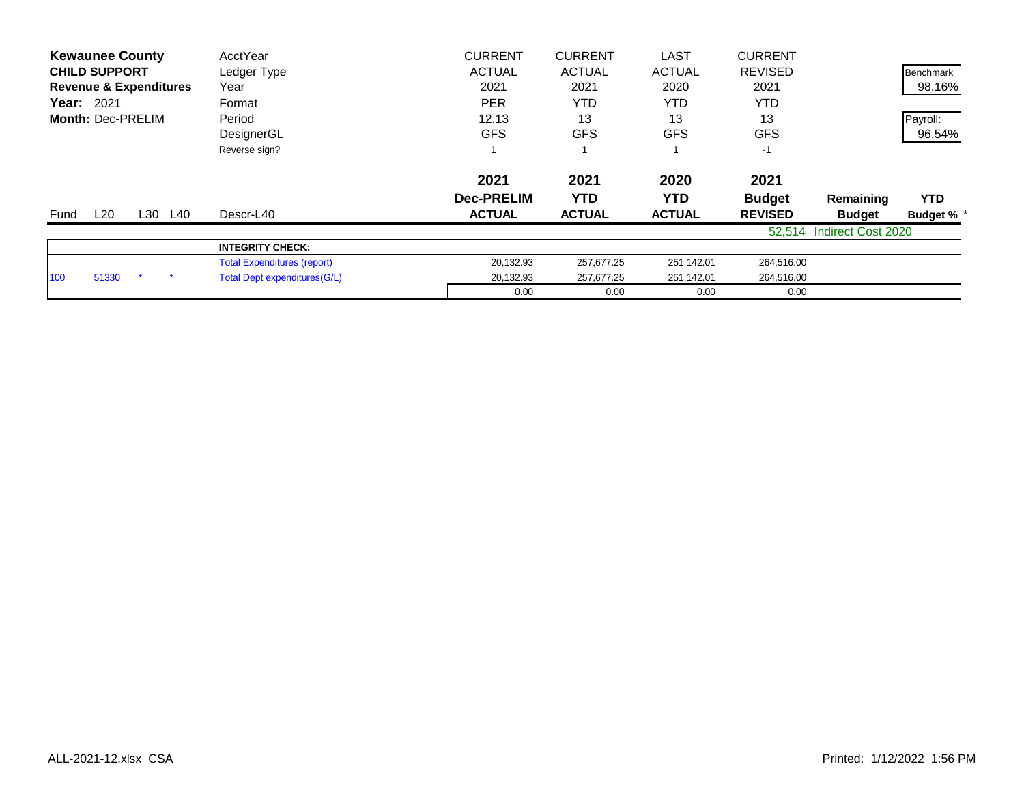| <b>Kewaunee County</b>            | AcctYear                           | <b>CURRENT</b>    | <b>CURRENT</b> | <b>LAST</b>   | <b>CURRENT</b> |                    |                  |
|-----------------------------------|------------------------------------|-------------------|----------------|---------------|----------------|--------------------|------------------|
| <b>CHILD SUPPORT</b>              | Ledger Type                        | <b>ACTUAL</b>     | <b>ACTUAL</b>  | <b>ACTUAL</b> | <b>REVISED</b> |                    | <b>Benchmark</b> |
| <b>Revenue &amp; Expenditures</b> | Year                               | 2021              | 2021           | 2020          | 2021           |                    | 98.16%           |
| <b>Year: 2021</b>                 | Format                             | <b>PER</b>        | <b>YTD</b>     | YTD           | YTD            |                    |                  |
| <b>Month: Dec-PRELIM</b>          | Period                             | 12.13             | 13             | 13            | 13             |                    | Payroll:         |
|                                   | DesignerGL                         | <b>GFS</b>        | <b>GFS</b>     | <b>GFS</b>    | <b>GFS</b>     |                    | 96.54%           |
|                                   | Reverse sign?                      |                   |                |               | $-1$           |                    |                  |
|                                   |                                    | 2021              | 2021           | 2020          | 2021           |                    |                  |
|                                   |                                    | <b>Dec-PRELIM</b> | <b>YTD</b>     | YTD.          | <b>Budget</b>  | Remaining          | <b>YTD</b>       |
| L20<br>L30 L40<br>Fund            | Descr-L40                          | <b>ACTUAL</b>     | <b>ACTUAL</b>  | <b>ACTUAL</b> | <b>REVISED</b> | <b>Budget</b>      | <b>Budget %</b>  |
|                                   |                                    |                   |                |               | 52,514         | Indirect Cost 2020 |                  |
|                                   | <b>INTEGRITY CHECK:</b>            |                   |                |               |                |                    |                  |
|                                   | <b>Total Expenditures (report)</b> | 20,132.93         | 257,677.25     | 251,142.01    | 264,516.00     |                    |                  |
| 51330<br>100                      | Total Dept expenditures (G/L)      | 20,132.93         | 257,677.25     | 251,142.01    | 264,516.00     |                    |                  |
|                                   |                                    | 0.00              | 0.00           | 0.00          | 0.00           |                    |                  |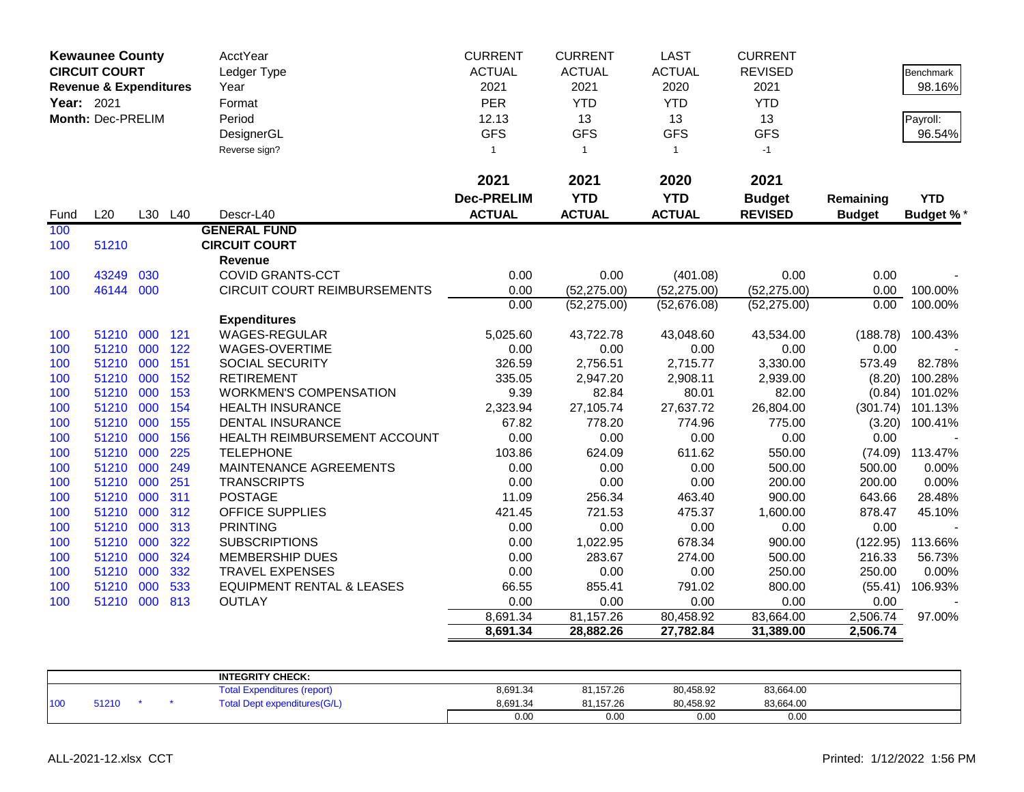| PER<br><b>YTD</b><br><b>YTD</b><br><b>YTD</b><br>Year: 2021<br>Format<br>13<br>Month: Dec-PRELIM<br>Period<br>12.13<br>13<br>13<br><b>GFS</b><br><b>GFS</b><br><b>GFS</b><br><b>GFS</b><br>DesignerGL<br>Reverse sign?<br>$\mathbf{1}$<br>$-1$<br>$\overline{1}$<br>$\overline{1}$<br>2021<br>2021<br>2021<br>2020<br><b>Dec-PRELIM</b><br><b>YTD</b><br><b>YTD</b><br><b>Budget</b><br>Remaining<br>L20<br><b>ACTUAL</b><br><b>ACTUAL</b><br><b>ACTUAL</b><br>L30 L40<br>Descr-L40<br><b>REVISED</b><br>Fund<br><b>Budget</b><br><b>GENERAL FUND</b><br>100<br><b>CIRCUIT COURT</b><br>51210<br>100<br><b>Revenue</b><br>030<br><b>COVID GRANTS-CCT</b><br>0.00<br>0.00<br>0.00<br>43249<br>0.00<br>(401.08)<br>100<br>000<br>46144<br><b>CIRCUIT COURT REIMBURSEMENTS</b><br>0.00<br>(52, 275.00)<br>(52, 275.00)<br>(52, 275.00)<br>0.00<br>100<br>0.00<br>0.00<br>(52, 275.00)<br>(52,676.08)<br>(52, 275.00)<br><b>Expenditures</b><br>000<br>121<br><b>WAGES-REGULAR</b><br>5,025.60<br>51210<br>43,722.78<br>43,048.60<br>43,534.00<br>(188.78)<br>100<br>000<br>122<br>51210<br>WAGES-OVERTIME<br>0.00<br>0.00<br>0.00<br>0.00<br>100<br>0.00<br>51210 000<br>151<br>SOCIAL SECURITY<br>326.59<br>2,756.51<br>2,715.77<br>3,330.00<br>573.49<br>100<br>000<br>2,908.11<br>51210<br>152<br><b>RETIREMENT</b><br>335.05<br>2,947.20<br>2,939.00<br>(8.20)<br>100<br>51210<br>000<br>153<br><b>WORKMEN'S COMPENSATION</b><br>9.39<br>82.84<br>80.01<br>82.00<br>100<br>(0.84)<br>51210 000<br>27,637.72<br>26,804.00<br>100<br>154<br><b>HEALTH INSURANCE</b><br>2,323.94<br>27,105.74<br>(301.74)<br>51210 000<br>155<br><b>DENTAL INSURANCE</b><br>67.82<br>778.20<br>774.96<br>775.00<br>100<br>(3.20)<br>51210 000<br>156<br>HEALTH REIMBURSEMENT ACCOUNT<br>0.00<br>0.00<br>0.00<br>0.00<br>100<br>0.00<br>000<br>225<br>51210<br><b>TELEPHONE</b><br>103.86<br>624.09<br>611.62<br>550.00<br>(74.09) 113.47%<br>100<br>000<br>0.00<br>51210<br>249<br>MAINTENANCE AGREEMENTS<br>0.00<br>0.00<br>500.00<br>100<br>500.00<br>51210 000<br>251<br><b>TRANSCRIPTS</b><br>0.00<br>0.00<br>0.00<br>200.00<br>200.00<br>100<br>311<br>900.00<br>51210<br>000<br><b>POSTAGE</b><br>11.09<br>256.34<br>463.40<br>643.66<br>100<br>51210<br>000<br>312<br><b>OFFICE SUPPLIES</b><br>421.45<br>721.53<br>475.37<br>1,600.00<br>878.47<br>100<br>000<br>313<br><b>PRINTING</b><br>0.00<br>0.00<br>0.00<br>51210<br>0.00<br>0.00<br>100<br><b>SUBSCRIPTIONS</b><br>51210<br>000<br>322<br>0.00<br>1,022.95<br>678.34<br>900.00<br>100<br>(122.95)<br>324<br>51210 000<br><b>MEMBERSHIP DUES</b><br>0.00<br>283.67<br>274.00<br>500.00<br>216.33<br>100<br>51210<br>000<br>332<br><b>TRAVEL EXPENSES</b><br>0.00<br>0.00<br>0.00<br>250.00<br>250.00<br>100<br>51210<br>000<br>533<br>855.41<br>791.02<br>800.00<br>100<br><b>EQUIPMENT RENTAL &amp; LEASES</b><br>66.55<br>(55.41) |     | <b>Kewaunee County</b><br><b>CIRCUIT COURT</b><br><b>Revenue &amp; Expenditures</b> |     |     | <b>AcctYear</b><br>Ledger Type<br>Year | <b>CURRENT</b><br><b>ACTUAL</b><br>2021 | <b>CURRENT</b><br><b>ACTUAL</b><br>2021 | <b>LAST</b><br><b>ACTUAL</b><br>2020 | <b>CURRENT</b><br><b>REVISED</b><br>2021 |      | Benchmark<br>98.16% |
|----------------------------------------------------------------------------------------------------------------------------------------------------------------------------------------------------------------------------------------------------------------------------------------------------------------------------------------------------------------------------------------------------------------------------------------------------------------------------------------------------------------------------------------------------------------------------------------------------------------------------------------------------------------------------------------------------------------------------------------------------------------------------------------------------------------------------------------------------------------------------------------------------------------------------------------------------------------------------------------------------------------------------------------------------------------------------------------------------------------------------------------------------------------------------------------------------------------------------------------------------------------------------------------------------------------------------------------------------------------------------------------------------------------------------------------------------------------------------------------------------------------------------------------------------------------------------------------------------------------------------------------------------------------------------------------------------------------------------------------------------------------------------------------------------------------------------------------------------------------------------------------------------------------------------------------------------------------------------------------------------------------------------------------------------------------------------------------------------------------------------------------------------------------------------------------------------------------------------------------------------------------------------------------------------------------------------------------------------------------------------------------------------------------------------------------------------------------------------------------------------------------------------------------------------------------------------------------------------------------------------------------------------------------------------------------------------------------------------------------------------------------------------------------------------------------------------------------------------------------------------------|-----|-------------------------------------------------------------------------------------|-----|-----|----------------------------------------|-----------------------------------------|-----------------------------------------|--------------------------------------|------------------------------------------|------|---------------------|
|                                                                                                                                                                                                                                                                                                                                                                                                                                                                                                                                                                                                                                                                                                                                                                                                                                                                                                                                                                                                                                                                                                                                                                                                                                                                                                                                                                                                                                                                                                                                                                                                                                                                                                                                                                                                                                                                                                                                                                                                                                                                                                                                                                                                                                                                                                                                                                                                                                                                                                                                                                                                                                                                                                                                                                                                                                                                                  |     |                                                                                     |     |     |                                        |                                         |                                         |                                      |                                          |      |                     |
|                                                                                                                                                                                                                                                                                                                                                                                                                                                                                                                                                                                                                                                                                                                                                                                                                                                                                                                                                                                                                                                                                                                                                                                                                                                                                                                                                                                                                                                                                                                                                                                                                                                                                                                                                                                                                                                                                                                                                                                                                                                                                                                                                                                                                                                                                                                                                                                                                                                                                                                                                                                                                                                                                                                                                                                                                                                                                  |     |                                                                                     |     |     |                                        |                                         |                                         |                                      |                                          |      | Payroll:            |
|                                                                                                                                                                                                                                                                                                                                                                                                                                                                                                                                                                                                                                                                                                                                                                                                                                                                                                                                                                                                                                                                                                                                                                                                                                                                                                                                                                                                                                                                                                                                                                                                                                                                                                                                                                                                                                                                                                                                                                                                                                                                                                                                                                                                                                                                                                                                                                                                                                                                                                                                                                                                                                                                                                                                                                                                                                                                                  |     |                                                                                     |     |     |                                        |                                         |                                         |                                      |                                          |      | 96.54%              |
|                                                                                                                                                                                                                                                                                                                                                                                                                                                                                                                                                                                                                                                                                                                                                                                                                                                                                                                                                                                                                                                                                                                                                                                                                                                                                                                                                                                                                                                                                                                                                                                                                                                                                                                                                                                                                                                                                                                                                                                                                                                                                                                                                                                                                                                                                                                                                                                                                                                                                                                                                                                                                                                                                                                                                                                                                                                                                  |     |                                                                                     |     |     |                                        |                                         |                                         |                                      |                                          |      |                     |
|                                                                                                                                                                                                                                                                                                                                                                                                                                                                                                                                                                                                                                                                                                                                                                                                                                                                                                                                                                                                                                                                                                                                                                                                                                                                                                                                                                                                                                                                                                                                                                                                                                                                                                                                                                                                                                                                                                                                                                                                                                                                                                                                                                                                                                                                                                                                                                                                                                                                                                                                                                                                                                                                                                                                                                                                                                                                                  |     |                                                                                     |     |     |                                        |                                         |                                         |                                      |                                          |      |                     |
|                                                                                                                                                                                                                                                                                                                                                                                                                                                                                                                                                                                                                                                                                                                                                                                                                                                                                                                                                                                                                                                                                                                                                                                                                                                                                                                                                                                                                                                                                                                                                                                                                                                                                                                                                                                                                                                                                                                                                                                                                                                                                                                                                                                                                                                                                                                                                                                                                                                                                                                                                                                                                                                                                                                                                                                                                                                                                  |     |                                                                                     |     |     |                                        |                                         |                                         |                                      |                                          |      | <b>YTD</b>          |
|                                                                                                                                                                                                                                                                                                                                                                                                                                                                                                                                                                                                                                                                                                                                                                                                                                                                                                                                                                                                                                                                                                                                                                                                                                                                                                                                                                                                                                                                                                                                                                                                                                                                                                                                                                                                                                                                                                                                                                                                                                                                                                                                                                                                                                                                                                                                                                                                                                                                                                                                                                                                                                                                                                                                                                                                                                                                                  |     |                                                                                     |     |     |                                        |                                         |                                         |                                      |                                          |      | <b>Budget %*</b>    |
|                                                                                                                                                                                                                                                                                                                                                                                                                                                                                                                                                                                                                                                                                                                                                                                                                                                                                                                                                                                                                                                                                                                                                                                                                                                                                                                                                                                                                                                                                                                                                                                                                                                                                                                                                                                                                                                                                                                                                                                                                                                                                                                                                                                                                                                                                                                                                                                                                                                                                                                                                                                                                                                                                                                                                                                                                                                                                  |     |                                                                                     |     |     |                                        |                                         |                                         |                                      |                                          |      |                     |
|                                                                                                                                                                                                                                                                                                                                                                                                                                                                                                                                                                                                                                                                                                                                                                                                                                                                                                                                                                                                                                                                                                                                                                                                                                                                                                                                                                                                                                                                                                                                                                                                                                                                                                                                                                                                                                                                                                                                                                                                                                                                                                                                                                                                                                                                                                                                                                                                                                                                                                                                                                                                                                                                                                                                                                                                                                                                                  |     |                                                                                     |     |     |                                        |                                         |                                         |                                      |                                          |      |                     |
|                                                                                                                                                                                                                                                                                                                                                                                                                                                                                                                                                                                                                                                                                                                                                                                                                                                                                                                                                                                                                                                                                                                                                                                                                                                                                                                                                                                                                                                                                                                                                                                                                                                                                                                                                                                                                                                                                                                                                                                                                                                                                                                                                                                                                                                                                                                                                                                                                                                                                                                                                                                                                                                                                                                                                                                                                                                                                  |     |                                                                                     |     |     |                                        |                                         |                                         |                                      |                                          |      |                     |
|                                                                                                                                                                                                                                                                                                                                                                                                                                                                                                                                                                                                                                                                                                                                                                                                                                                                                                                                                                                                                                                                                                                                                                                                                                                                                                                                                                                                                                                                                                                                                                                                                                                                                                                                                                                                                                                                                                                                                                                                                                                                                                                                                                                                                                                                                                                                                                                                                                                                                                                                                                                                                                                                                                                                                                                                                                                                                  |     |                                                                                     |     |     |                                        |                                         |                                         |                                      |                                          |      |                     |
|                                                                                                                                                                                                                                                                                                                                                                                                                                                                                                                                                                                                                                                                                                                                                                                                                                                                                                                                                                                                                                                                                                                                                                                                                                                                                                                                                                                                                                                                                                                                                                                                                                                                                                                                                                                                                                                                                                                                                                                                                                                                                                                                                                                                                                                                                                                                                                                                                                                                                                                                                                                                                                                                                                                                                                                                                                                                                  |     |                                                                                     |     |     |                                        |                                         |                                         |                                      |                                          |      | 100.00%             |
|                                                                                                                                                                                                                                                                                                                                                                                                                                                                                                                                                                                                                                                                                                                                                                                                                                                                                                                                                                                                                                                                                                                                                                                                                                                                                                                                                                                                                                                                                                                                                                                                                                                                                                                                                                                                                                                                                                                                                                                                                                                                                                                                                                                                                                                                                                                                                                                                                                                                                                                                                                                                                                                                                                                                                                                                                                                                                  |     |                                                                                     |     |     |                                        |                                         |                                         |                                      |                                          |      | 100.00%             |
|                                                                                                                                                                                                                                                                                                                                                                                                                                                                                                                                                                                                                                                                                                                                                                                                                                                                                                                                                                                                                                                                                                                                                                                                                                                                                                                                                                                                                                                                                                                                                                                                                                                                                                                                                                                                                                                                                                                                                                                                                                                                                                                                                                                                                                                                                                                                                                                                                                                                                                                                                                                                                                                                                                                                                                                                                                                                                  |     |                                                                                     |     |     |                                        |                                         |                                         |                                      |                                          |      |                     |
|                                                                                                                                                                                                                                                                                                                                                                                                                                                                                                                                                                                                                                                                                                                                                                                                                                                                                                                                                                                                                                                                                                                                                                                                                                                                                                                                                                                                                                                                                                                                                                                                                                                                                                                                                                                                                                                                                                                                                                                                                                                                                                                                                                                                                                                                                                                                                                                                                                                                                                                                                                                                                                                                                                                                                                                                                                                                                  |     |                                                                                     |     |     |                                        |                                         |                                         |                                      |                                          |      | 100.43%             |
|                                                                                                                                                                                                                                                                                                                                                                                                                                                                                                                                                                                                                                                                                                                                                                                                                                                                                                                                                                                                                                                                                                                                                                                                                                                                                                                                                                                                                                                                                                                                                                                                                                                                                                                                                                                                                                                                                                                                                                                                                                                                                                                                                                                                                                                                                                                                                                                                                                                                                                                                                                                                                                                                                                                                                                                                                                                                                  |     |                                                                                     |     |     |                                        |                                         |                                         |                                      |                                          |      |                     |
|                                                                                                                                                                                                                                                                                                                                                                                                                                                                                                                                                                                                                                                                                                                                                                                                                                                                                                                                                                                                                                                                                                                                                                                                                                                                                                                                                                                                                                                                                                                                                                                                                                                                                                                                                                                                                                                                                                                                                                                                                                                                                                                                                                                                                                                                                                                                                                                                                                                                                                                                                                                                                                                                                                                                                                                                                                                                                  |     |                                                                                     |     |     |                                        |                                         |                                         |                                      |                                          |      | 82.78%              |
|                                                                                                                                                                                                                                                                                                                                                                                                                                                                                                                                                                                                                                                                                                                                                                                                                                                                                                                                                                                                                                                                                                                                                                                                                                                                                                                                                                                                                                                                                                                                                                                                                                                                                                                                                                                                                                                                                                                                                                                                                                                                                                                                                                                                                                                                                                                                                                                                                                                                                                                                                                                                                                                                                                                                                                                                                                                                                  |     |                                                                                     |     |     |                                        |                                         |                                         |                                      |                                          |      | 100.28%             |
|                                                                                                                                                                                                                                                                                                                                                                                                                                                                                                                                                                                                                                                                                                                                                                                                                                                                                                                                                                                                                                                                                                                                                                                                                                                                                                                                                                                                                                                                                                                                                                                                                                                                                                                                                                                                                                                                                                                                                                                                                                                                                                                                                                                                                                                                                                                                                                                                                                                                                                                                                                                                                                                                                                                                                                                                                                                                                  |     |                                                                                     |     |     |                                        |                                         |                                         |                                      |                                          |      | 101.02%             |
|                                                                                                                                                                                                                                                                                                                                                                                                                                                                                                                                                                                                                                                                                                                                                                                                                                                                                                                                                                                                                                                                                                                                                                                                                                                                                                                                                                                                                                                                                                                                                                                                                                                                                                                                                                                                                                                                                                                                                                                                                                                                                                                                                                                                                                                                                                                                                                                                                                                                                                                                                                                                                                                                                                                                                                                                                                                                                  |     |                                                                                     |     |     |                                        |                                         |                                         |                                      |                                          |      | 101.13%             |
|                                                                                                                                                                                                                                                                                                                                                                                                                                                                                                                                                                                                                                                                                                                                                                                                                                                                                                                                                                                                                                                                                                                                                                                                                                                                                                                                                                                                                                                                                                                                                                                                                                                                                                                                                                                                                                                                                                                                                                                                                                                                                                                                                                                                                                                                                                                                                                                                                                                                                                                                                                                                                                                                                                                                                                                                                                                                                  |     |                                                                                     |     |     |                                        |                                         |                                         |                                      |                                          |      | 100.41%             |
|                                                                                                                                                                                                                                                                                                                                                                                                                                                                                                                                                                                                                                                                                                                                                                                                                                                                                                                                                                                                                                                                                                                                                                                                                                                                                                                                                                                                                                                                                                                                                                                                                                                                                                                                                                                                                                                                                                                                                                                                                                                                                                                                                                                                                                                                                                                                                                                                                                                                                                                                                                                                                                                                                                                                                                                                                                                                                  |     |                                                                                     |     |     |                                        |                                         |                                         |                                      |                                          |      |                     |
|                                                                                                                                                                                                                                                                                                                                                                                                                                                                                                                                                                                                                                                                                                                                                                                                                                                                                                                                                                                                                                                                                                                                                                                                                                                                                                                                                                                                                                                                                                                                                                                                                                                                                                                                                                                                                                                                                                                                                                                                                                                                                                                                                                                                                                                                                                                                                                                                                                                                                                                                                                                                                                                                                                                                                                                                                                                                                  |     |                                                                                     |     |     |                                        |                                         |                                         |                                      |                                          |      |                     |
|                                                                                                                                                                                                                                                                                                                                                                                                                                                                                                                                                                                                                                                                                                                                                                                                                                                                                                                                                                                                                                                                                                                                                                                                                                                                                                                                                                                                                                                                                                                                                                                                                                                                                                                                                                                                                                                                                                                                                                                                                                                                                                                                                                                                                                                                                                                                                                                                                                                                                                                                                                                                                                                                                                                                                                                                                                                                                  |     |                                                                                     |     |     |                                        |                                         |                                         |                                      |                                          |      | 0.00%               |
|                                                                                                                                                                                                                                                                                                                                                                                                                                                                                                                                                                                                                                                                                                                                                                                                                                                                                                                                                                                                                                                                                                                                                                                                                                                                                                                                                                                                                                                                                                                                                                                                                                                                                                                                                                                                                                                                                                                                                                                                                                                                                                                                                                                                                                                                                                                                                                                                                                                                                                                                                                                                                                                                                                                                                                                                                                                                                  |     |                                                                                     |     |     |                                        |                                         |                                         |                                      |                                          |      | 0.00%               |
|                                                                                                                                                                                                                                                                                                                                                                                                                                                                                                                                                                                                                                                                                                                                                                                                                                                                                                                                                                                                                                                                                                                                                                                                                                                                                                                                                                                                                                                                                                                                                                                                                                                                                                                                                                                                                                                                                                                                                                                                                                                                                                                                                                                                                                                                                                                                                                                                                                                                                                                                                                                                                                                                                                                                                                                                                                                                                  |     |                                                                                     |     |     |                                        |                                         |                                         |                                      |                                          |      | 28.48%<br>45.10%    |
|                                                                                                                                                                                                                                                                                                                                                                                                                                                                                                                                                                                                                                                                                                                                                                                                                                                                                                                                                                                                                                                                                                                                                                                                                                                                                                                                                                                                                                                                                                                                                                                                                                                                                                                                                                                                                                                                                                                                                                                                                                                                                                                                                                                                                                                                                                                                                                                                                                                                                                                                                                                                                                                                                                                                                                                                                                                                                  |     |                                                                                     |     |     |                                        |                                         |                                         |                                      |                                          |      |                     |
|                                                                                                                                                                                                                                                                                                                                                                                                                                                                                                                                                                                                                                                                                                                                                                                                                                                                                                                                                                                                                                                                                                                                                                                                                                                                                                                                                                                                                                                                                                                                                                                                                                                                                                                                                                                                                                                                                                                                                                                                                                                                                                                                                                                                                                                                                                                                                                                                                                                                                                                                                                                                                                                                                                                                                                                                                                                                                  |     |                                                                                     |     |     |                                        |                                         |                                         |                                      |                                          |      | 113.66%             |
|                                                                                                                                                                                                                                                                                                                                                                                                                                                                                                                                                                                                                                                                                                                                                                                                                                                                                                                                                                                                                                                                                                                                                                                                                                                                                                                                                                                                                                                                                                                                                                                                                                                                                                                                                                                                                                                                                                                                                                                                                                                                                                                                                                                                                                                                                                                                                                                                                                                                                                                                                                                                                                                                                                                                                                                                                                                                                  |     |                                                                                     |     |     |                                        |                                         |                                         |                                      |                                          |      | 56.73%              |
|                                                                                                                                                                                                                                                                                                                                                                                                                                                                                                                                                                                                                                                                                                                                                                                                                                                                                                                                                                                                                                                                                                                                                                                                                                                                                                                                                                                                                                                                                                                                                                                                                                                                                                                                                                                                                                                                                                                                                                                                                                                                                                                                                                                                                                                                                                                                                                                                                                                                                                                                                                                                                                                                                                                                                                                                                                                                                  |     |                                                                                     |     |     |                                        |                                         |                                         |                                      |                                          |      | 0.00%               |
|                                                                                                                                                                                                                                                                                                                                                                                                                                                                                                                                                                                                                                                                                                                                                                                                                                                                                                                                                                                                                                                                                                                                                                                                                                                                                                                                                                                                                                                                                                                                                                                                                                                                                                                                                                                                                                                                                                                                                                                                                                                                                                                                                                                                                                                                                                                                                                                                                                                                                                                                                                                                                                                                                                                                                                                                                                                                                  |     |                                                                                     |     |     |                                        |                                         |                                         |                                      |                                          |      | 106.93%             |
|                                                                                                                                                                                                                                                                                                                                                                                                                                                                                                                                                                                                                                                                                                                                                                                                                                                                                                                                                                                                                                                                                                                                                                                                                                                                                                                                                                                                                                                                                                                                                                                                                                                                                                                                                                                                                                                                                                                                                                                                                                                                                                                                                                                                                                                                                                                                                                                                                                                                                                                                                                                                                                                                                                                                                                                                                                                                                  | 100 | 51210                                                                               | 000 | 813 | <b>OUTLAY</b>                          | 0.00                                    | 0.00                                    | 0.00                                 | 0.00                                     | 0.00 |                     |
| 80,458.92<br>83,664.00<br>8,691.34<br>81,157.26<br>2,506.74                                                                                                                                                                                                                                                                                                                                                                                                                                                                                                                                                                                                                                                                                                                                                                                                                                                                                                                                                                                                                                                                                                                                                                                                                                                                                                                                                                                                                                                                                                                                                                                                                                                                                                                                                                                                                                                                                                                                                                                                                                                                                                                                                                                                                                                                                                                                                                                                                                                                                                                                                                                                                                                                                                                                                                                                                      |     |                                                                                     |     |     |                                        |                                         |                                         |                                      |                                          |      | 97.00%              |
| 8,691.34<br>2,506.74<br>28,882.26<br>27,782.84<br>31,389.00                                                                                                                                                                                                                                                                                                                                                                                                                                                                                                                                                                                                                                                                                                                                                                                                                                                                                                                                                                                                                                                                                                                                                                                                                                                                                                                                                                                                                                                                                                                                                                                                                                                                                                                                                                                                                                                                                                                                                                                                                                                                                                                                                                                                                                                                                                                                                                                                                                                                                                                                                                                                                                                                                                                                                                                                                      |     |                                                                                     |     |     |                                        |                                         |                                         |                                      |                                          |      |                     |

|     |       |  | <b>INTEGRITY CHECK:</b>             |          |           |           |           |  |
|-----|-------|--|-------------------------------------|----------|-----------|-----------|-----------|--|
|     |       |  | i otal '<br>Expenditures (report)   | 8,691.34 | 81,157.26 | 80,458.92 | 83,664.00 |  |
| 100 | 51210 |  | <b>Total Dept expenditures(G/L)</b> | 8,691.34 | 81,157.26 | 80,458.92 | 83,664.00 |  |
|     |       |  |                                     | 0.00     | 0.00      | 0.00      | 0.00      |  |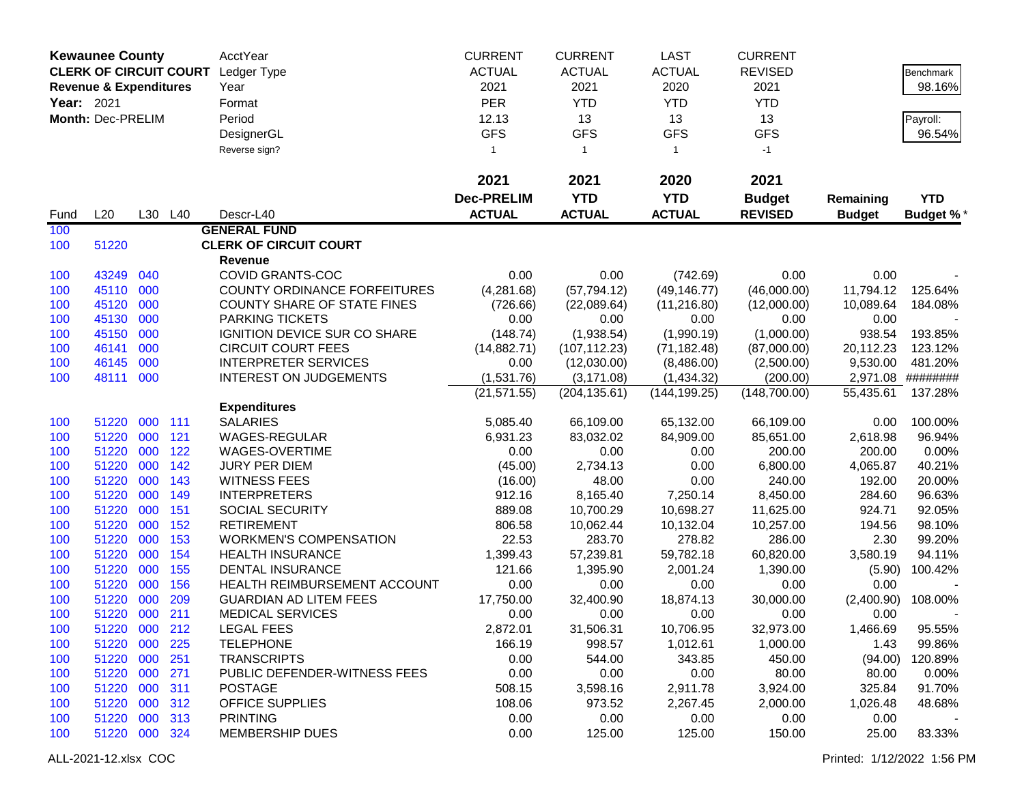|            | <b>Kewaunee County</b>            |     |         | AcctYear                            | <b>CURRENT</b>          | <b>CURRENT</b> | <b>LAST</b>   | <b>CURRENT</b> |               |                    |
|------------|-----------------------------------|-----|---------|-------------------------------------|-------------------------|----------------|---------------|----------------|---------------|--------------------|
|            | <b>CLERK OF CIRCUIT COURT</b>     |     |         | Ledger Type                         | <b>ACTUAL</b>           | <b>ACTUAL</b>  | <b>ACTUAL</b> | <b>REVISED</b> |               | Benchmark          |
|            | <b>Revenue &amp; Expenditures</b> |     |         | Year                                | 2021                    | 2021           | 2020          | 2021           |               | 98.16%             |
| Year: 2021 |                                   |     |         | Format                              | <b>PER</b>              | <b>YTD</b>     | <b>YTD</b>    | <b>YTD</b>     |               |                    |
|            | Month: Dec-PRELIM                 |     |         | Period                              | 12.13                   | 13             | 13            | 13             |               |                    |
|            |                                   |     |         |                                     | <b>GFS</b>              | <b>GFS</b>     | <b>GFS</b>    | <b>GFS</b>     |               | Payroll:<br>96.54% |
|            |                                   |     |         | DesignerGL                          |                         |                |               |                |               |                    |
|            |                                   |     |         | Reverse sign?                       | $\overline{\mathbf{1}}$ | $\mathbf{1}$   | $\mathbf{1}$  | $-1$           |               |                    |
|            |                                   |     |         |                                     | 2021                    | 2021           | 2020          | 2021           |               |                    |
|            |                                   |     |         |                                     | <b>Dec-PRELIM</b>       | <b>YTD</b>     | <b>YTD</b>    | <b>Budget</b>  | Remaining     | <b>YTD</b>         |
| Fund       | L20                               |     | L30 L40 | Descr-L40                           | <b>ACTUAL</b>           | <b>ACTUAL</b>  | <b>ACTUAL</b> | <b>REVISED</b> | <b>Budget</b> | <b>Budget %*</b>   |
| 100        |                                   |     |         | <b>GENERAL FUND</b>                 |                         |                |               |                |               |                    |
| 100        | 51220                             |     |         | <b>CLERK OF CIRCUIT COURT</b>       |                         |                |               |                |               |                    |
|            |                                   |     |         | Revenue                             |                         |                |               |                |               |                    |
| 100        | 43249                             | 040 |         | <b>COVID GRANTS-COC</b>             | 0.00                    | 0.00           | (742.69)      | 0.00           | 0.00          |                    |
| 100        | 45110                             | 000 |         | <b>COUNTY ORDINANCE FORFEITURES</b> | (4,281.68)              | (57, 794.12)   | (49, 146.77)  | (46,000.00)    | 11,794.12     | 125.64%            |
| 100        | 45120                             | 000 |         | <b>COUNTY SHARE OF STATE FINES</b>  | (726.66)                | (22,089.64)    | (11, 216.80)  | (12,000.00)    | 10,089.64     | 184.08%            |
| 100        | 45130                             | 000 |         | PARKING TICKETS                     | 0.00                    | 0.00           | 0.00          | 0.00           | 0.00          |                    |
| 100        | 45150                             | 000 |         | IGNITION DEVICE SUR CO SHARE        | (148.74)                | (1,938.54)     | (1,990.19)    | (1,000.00)     | 938.54        | 193.85%            |
| 100        | 46141                             | 000 |         | <b>CIRCUIT COURT FEES</b>           | (14,882.71)             | (107, 112.23)  | (71, 182.48)  | (87,000.00)    | 20,112.23     | 123.12%            |
| 100        | 46145                             | 000 |         | <b>INTERPRETER SERVICES</b>         | 0.00                    | (12,030.00)    | (8,486.00)    | (2,500.00)     | 9,530.00      | 481.20%            |
| 100        | 48111                             | 000 |         | <b>INTEREST ON JUDGEMENTS</b>       | (1,531.76)              | (3, 171.08)    | (1,434.32)    | (200.00)       | 2,971.08      | ########           |
|            |                                   |     |         |                                     | (21, 571.55)            | (204, 135.61)  | (144, 199.25) | (148,700.00)   | 55,435.61     | 137.28%            |
|            |                                   |     |         | <b>Expenditures</b>                 |                         |                |               |                |               |                    |
| 100        | 51220                             | 000 | 111     | <b>SALARIES</b>                     | 5,085.40                | 66,109.00      | 65,132.00     | 66,109.00      | 0.00          | 100.00%            |
| 100        | 51220                             | 000 | 121     | WAGES-REGULAR                       | 6,931.23                | 83,032.02      | 84,909.00     | 85,651.00      | 2,618.98      | 96.94%             |
| 100        | 51220                             | 000 | 122     | WAGES-OVERTIME                      | 0.00                    | 0.00           | 0.00          | 200.00         | 200.00        | 0.00%              |
| 100        | 51220                             | 000 | 142     | <b>JURY PER DIEM</b>                | (45.00)                 | 2,734.13       | 0.00          | 6,800.00       | 4,065.87      | 40.21%             |
| 100        | 51220                             | 000 | 143     | <b>WITNESS FEES</b>                 | (16.00)                 | 48.00          | 0.00          | 240.00         | 192.00        | 20.00%             |
| 100        | 51220                             | 000 | 149     | <b>INTERPRETERS</b>                 | 912.16                  | 8,165.40       | 7,250.14      | 8,450.00       | 284.60        | 96.63%             |
| 100        | 51220                             | 000 | 151     | <b>SOCIAL SECURITY</b>              | 889.08                  | 10,700.29      | 10,698.27     | 11,625.00      | 924.71        | 92.05%             |
| 100        | 51220                             | 000 | 152     | <b>RETIREMENT</b>                   | 806.58                  | 10,062.44      | 10,132.04     | 10,257.00      | 194.56        | 98.10%             |
| 100        | 51220                             | 000 | 153     | <b>WORKMEN'S COMPENSATION</b>       | 22.53                   | 283.70         | 278.82        | 286.00         | 2.30          | 99.20%             |
| 100        | 51220                             | 000 | 154     | <b>HEALTH INSURANCE</b>             | 1,399.43                | 57,239.81      | 59,782.18     | 60,820.00      | 3,580.19      | 94.11%             |
| 100        | 51220                             | 000 | 155     | <b>DENTAL INSURANCE</b>             | 121.66                  | 1,395.90       | 2,001.24      | 1,390.00       | (5.90)        | 100.42%            |
| 100        | 51220                             | 000 | 156     | HEALTH REIMBURSEMENT ACCOUNT        | 0.00                    | 0.00           | 0.00          | 0.00           | 0.00          |                    |
| 100        | 51220                             | 000 | 209     | <b>GUARDIAN AD LITEM FEES</b>       | 17,750.00               | 32,400.90      | 18,874.13     | 30,000.00      | (2,400.90)    | 108.00%            |
| 100        | 51220 000                         |     | 211     | <b>MEDICAL SERVICES</b>             | 0.00                    | 0.00           | 0.00          | 0.00           | 0.00          |                    |
| 100        | 51220 000 212                     |     |         | <b>LEGAL FEES</b>                   | 2,872.01                | 31,506.31      | 10,706.95     | 32,973.00      | 1,466.69      | 95.55%             |
| 100        | 51220                             | 000 | 225     | <b>TELEPHONE</b>                    | 166.19                  | 998.57         | 1,012.61      | 1,000.00       | 1.43          | 99.86%             |
| 100        | 51220                             | 000 | 251     | <b>TRANSCRIPTS</b>                  | 0.00                    | 544.00         | 343.85        | 450.00         | (94.00)       | 120.89%            |
| 100        | 51220                             | 000 | 271     | PUBLIC DEFENDER-WITNESS FEES        | 0.00                    | 0.00           | 0.00          | 80.00          | 80.00         | 0.00%              |
| 100        | 51220                             | 000 | 311     | <b>POSTAGE</b>                      | 508.15                  | 3,598.16       | 2,911.78      | 3,924.00       | 325.84        | 91.70%             |
| 100        | 51220                             | 000 | 312     | OFFICE SUPPLIES                     | 108.06                  | 973.52         | 2,267.45      | 2,000.00       | 1,026.48      | 48.68%             |
| 100        | 51220                             | 000 | 313     | <b>PRINTING</b>                     | 0.00                    | 0.00           | 0.00          | 0.00           | 0.00          |                    |
| 100        | 51220 000 324                     |     |         | <b>MEMBERSHIP DUES</b>              | 0.00                    | 125.00         | 125.00        | 150.00         | 25.00         | 83.33%             |
|            |                                   |     |         |                                     |                         |                |               |                |               |                    |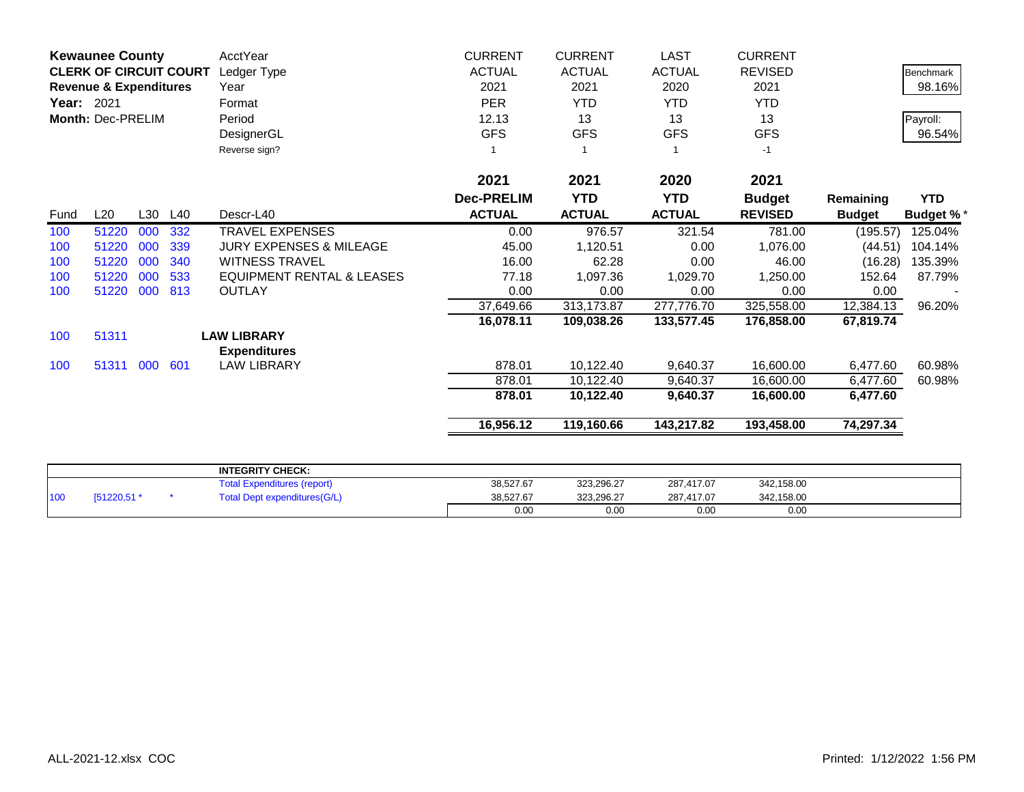|            | <b>Kewaunee County</b>            |     |     | AcctYear                                                      | <b>CURRENT</b>    | <b>CURRENT</b> | <b>LAST</b>   | <b>CURRENT</b> |               |                  |
|------------|-----------------------------------|-----|-----|---------------------------------------------------------------|-------------------|----------------|---------------|----------------|---------------|------------------|
|            | <b>CLERK OF CIRCUIT COURT</b>     |     |     | Ledger Type                                                   | <b>ACTUAL</b>     | <b>ACTUAL</b>  | <b>ACTUAL</b> | <b>REVISED</b> |               | <b>Benchmark</b> |
|            | <b>Revenue &amp; Expenditures</b> |     |     | Year                                                          | 2021              | 2021           | 2020          | 2021           |               | 98.16%           |
| Year: 2021 |                                   |     |     | Format                                                        | <b>PER</b>        | <b>YTD</b>     | <b>YTD</b>    | <b>YTD</b>     |               |                  |
|            | Month: Dec-PRELIM                 |     |     | Period                                                        | 12.13             | 13             | 13            | 13             |               | Payroll:         |
|            |                                   |     |     | DesignerGL                                                    | <b>GFS</b>        | <b>GFS</b>     | <b>GFS</b>    | <b>GFS</b>     |               | 96.54%           |
|            |                                   |     |     | Reverse sign?                                                 |                   |                |               | $-1$           |               |                  |
|            |                                   |     |     |                                                               | 2021              | 2021           | 2020          | 2021           |               |                  |
|            |                                   |     |     |                                                               | <b>Dec-PRELIM</b> | <b>YTD</b>     | <b>YTD</b>    | <b>Budget</b>  | Remaining     | <b>YTD</b>       |
| Fund       | L20                               | L30 | L40 | Descr-L40                                                     | <b>ACTUAL</b>     | <b>ACTUAL</b>  | <b>ACTUAL</b> | <b>REVISED</b> | <b>Budget</b> | <b>Budget %*</b> |
| 100        | 51220                             | 000 | 332 | <b>TRAVEL EXPENSES</b>                                        | 0.00              | 976.57         | 321.54        | 781.00         | (195.57)      | 125.04%          |
| 100        | 51220                             | 000 | 339 | <b>JURY EXPENSES &amp; MILEAGE</b>                            | 45.00             | 1,120.51       | 0.00          | 1,076.00       | (44.51)       | 104.14%          |
| 100        | 51220                             | 000 | 340 | <b>WITNESS TRAVEL</b>                                         | 16.00             | 62.28          | 0.00          | 46.00          | (16.28)       | 135.39%          |
| 100        | 51220                             | 000 | 533 | <b>EQUIPMENT RENTAL &amp; LEASES</b>                          | 77.18             | 1,097.36       | 1,029.70      | 1,250.00       | 152.64        | 87.79%           |
| 100        | 51220                             | 000 | 813 | <b>OUTLAY</b>                                                 | 0.00              | 0.00           | 0.00          | 0.00           | 0.00          |                  |
|            |                                   |     |     |                                                               | 37,649.66         | 313,173.87     | 277,776.70    | 325,558.00     | 12,384.13     | 96.20%           |
|            |                                   |     |     |                                                               | 16,078.11         | 109,038.26     | 133,577.45    | 176,858.00     | 67,819.74     |                  |
| 100        | 51311                             |     |     | <b>LAW LIBRARY</b>                                            |                   |                |               |                |               |                  |
|            |                                   |     |     | <b>Expenditures</b>                                           |                   |                |               |                |               |                  |
| 100        | 51311 000                         |     | 601 | <b>LAW LIBRARY</b>                                            | 878.01            | 10,122.40      | 9,640.37      | 16,600.00      | 6,477.60      | 60.98%           |
|            |                                   |     |     |                                                               | 878.01            | 10,122.40      | 9,640.37      | 16,600.00      | 6,477.60      | 60.98%           |
|            |                                   |     |     |                                                               | 878.01            | 10,122.40      | 9,640.37      | 16,600.00      | 6,477.60      |                  |
|            |                                   |     |     |                                                               | 16,956.12         | 119,160.66     | 143,217.82    | 193,458.00     | 74,297.34     |                  |
|            |                                   |     |     |                                                               |                   |                |               |                |               |                  |
|            |                                   |     |     | <b>INTEGRITY CHECK:</b><br><b>Total Expenditures (report)</b> | 38.527.67         | 323.296.27     | 287.417.07    | 342.158.00     |               |                  |

|     |                                               | <b>INTEGRITY CHECK:</b>             |           |            |            |            |  |
|-----|-----------------------------------------------|-------------------------------------|-----------|------------|------------|------------|--|
|     |                                               | Total Expenditures (report)         | 38,527.67 | 323,296.27 | 287,417.07 | 342,158.00 |  |
| 100 | $T = 4.000 \text{ E} + \text{m}$<br>. כ,ט∠∠ור | <b>Total Dept expenditures(G/L)</b> | 38,527.67 | 323,296.27 | 287,417.07 | 342,158.00 |  |
|     |                                               |                                     | 0.00      | 0.00       | 0.00       | 0.00       |  |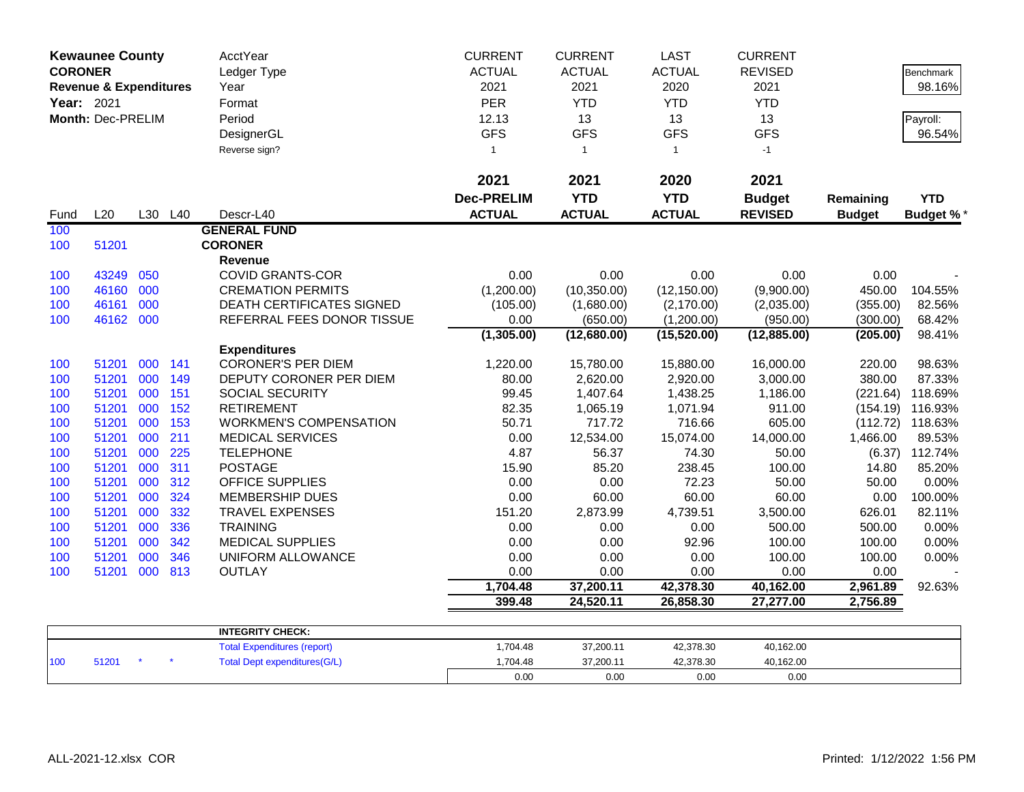| <b>CORONER</b> | <b>Kewaunee County</b>            |     |     | <b>AcctYear</b><br>Ledger Type      | <b>CURRENT</b><br><b>ACTUAL</b> | <b>CURRENT</b><br><b>ACTUAL</b> | <b>LAST</b><br><b>ACTUAL</b> | <b>CURRENT</b><br><b>REVISED</b> |               | Benchmark        |
|----------------|-----------------------------------|-----|-----|-------------------------------------|---------------------------------|---------------------------------|------------------------------|----------------------------------|---------------|------------------|
|                | <b>Revenue &amp; Expenditures</b> |     |     | Year                                | 2021                            | 2021                            | 2020                         | 2021                             |               | 98.16%           |
| Year: 2021     |                                   |     |     | Format                              | PER                             | <b>YTD</b>                      | <b>YTD</b>                   | <b>YTD</b>                       |               |                  |
|                | Month: Dec-PRELIM                 |     |     | Period                              | 12.13                           | 13                              | 13                           | 13                               |               | Payroll:         |
|                |                                   |     |     | DesignerGL                          | <b>GFS</b>                      | <b>GFS</b>                      | <b>GFS</b>                   | <b>GFS</b>                       |               | 96.54%           |
|                |                                   |     |     | Reverse sign?                       | $\mathbf{1}$                    | $\mathbf{1}$                    | $\mathbf{1}$                 | $-1$                             |               |                  |
|                |                                   |     |     |                                     | 2021                            | 2021                            | 2020                         | 2021                             |               |                  |
|                |                                   |     |     |                                     | <b>Dec-PRELIM</b>               | <b>YTD</b>                      | <b>YTD</b>                   | <b>Budget</b>                    | Remaining     | <b>YTD</b>       |
| Fund           | L20                               | L30 | L40 | Descr-L40                           | <b>ACTUAL</b>                   | <b>ACTUAL</b>                   | <b>ACTUAL</b>                | <b>REVISED</b>                   | <b>Budget</b> | <b>Budget %*</b> |
| 100            |                                   |     |     | <b>GENERAL FUND</b>                 |                                 |                                 |                              |                                  |               |                  |
| 100            | 51201                             |     |     | <b>CORONER</b>                      |                                 |                                 |                              |                                  |               |                  |
|                |                                   |     |     | Revenue                             |                                 |                                 |                              |                                  |               |                  |
| 100            | 43249                             | 050 |     | <b>COVID GRANTS-COR</b>             | 0.00                            | 0.00                            | 0.00                         | 0.00                             | 0.00          |                  |
| 100            | 46160                             | 000 |     | <b>CREMATION PERMITS</b>            | (1,200.00)                      | (10, 350.00)                    | (12, 150.00)                 | (9,900.00)                       | 450.00        | 104.55%          |
| 100            | 46161                             | 000 |     | <b>DEATH CERTIFICATES SIGNED</b>    | (105.00)                        | (1,680.00)                      | (2, 170.00)                  | (2,035.00)                       | (355.00)      | 82.56%           |
| 100            | 46162 000                         |     |     | REFERRAL FEES DONOR TISSUE          | 0.00                            | (650.00)                        | (1,200.00)                   | (950.00)                         | (300.00)      | 68.42%           |
|                |                                   |     |     |                                     | (1,305.00)                      | (12,680.00)                     | (15,520.00)                  | (12,885.00)                      | (205.00)      | 98.41%           |
|                |                                   |     |     | <b>Expenditures</b>                 |                                 |                                 |                              |                                  |               |                  |
| 100            | 51201                             | 000 | 141 | <b>CORONER'S PER DIEM</b>           | 1,220.00                        | 15,780.00                       | 15,880.00                    | 16,000.00                        | 220.00        | 98.63%           |
| 100            | 51201                             | 000 | 149 | DEPUTY CORONER PER DIEM             | 80.00                           | 2,620.00                        | 2,920.00                     | 3,000.00                         | 380.00        | 87.33%           |
| 100            | 51201                             | 000 | 151 | SOCIAL SECURITY                     | 99.45                           | 1,407.64                        | 1,438.25                     | 1,186.00                         | (221.64)      | 118.69%          |
| 100            | 51201                             | 000 | 152 | <b>RETIREMENT</b>                   | 82.35                           | 1,065.19                        | 1,071.94                     | 911.00                           | (154.19)      | 116.93%          |
| 100            | 51201                             | 000 | 153 | <b>WORKMEN'S COMPENSATION</b>       | 50.71                           | 717.72                          | 716.66                       | 605.00                           | (112.72)      | 118.63%          |
| 100            | 51201                             | 000 | 211 | <b>MEDICAL SERVICES</b>             | 0.00                            | 12,534.00                       | 15,074.00                    | 14,000.00                        | 1,466.00      | 89.53%           |
| 100            | 51201                             | 000 | 225 | <b>TELEPHONE</b>                    | 4.87                            | 56.37                           | 74.30                        | 50.00                            |               | $(6.37)$ 112.74% |
| 100            | 51201                             | 000 | 311 | <b>POSTAGE</b>                      | 15.90                           | 85.20                           | 238.45                       | 100.00                           | 14.80         | 85.20%           |
| 100            | 51201                             | 000 | 312 | <b>OFFICE SUPPLIES</b>              | 0.00                            | 0.00                            | 72.23                        | 50.00                            | 50.00         | 0.00%            |
| 100            | 51201                             | 000 | 324 | <b>MEMBERSHIP DUES</b>              | 0.00                            | 60.00                           | 60.00                        | 60.00                            | 0.00          | 100.00%          |
| 100            | 51201                             | 000 | 332 | <b>TRAVEL EXPENSES</b>              | 151.20                          | 2,873.99                        | 4,739.51                     | 3,500.00                         | 626.01        | 82.11%           |
| 100            | 51201                             | 000 | 336 | <b>TRAINING</b>                     | 0.00                            | 0.00                            | 0.00                         | 500.00                           | 500.00        | 0.00%            |
| 100            | 51201                             | 000 | 342 | <b>MEDICAL SUPPLIES</b>             | 0.00                            | 0.00                            | 92.96                        | 100.00                           | 100.00        | 0.00%            |
| 100            | 51201                             | 000 | 346 | UNIFORM ALLOWANCE                   | 0.00                            | 0.00                            | 0.00                         | 100.00                           | 100.00        | 0.00%            |
| 100            | 51201                             | 000 | 813 | <b>OUTLAY</b>                       | 0.00                            | 0.00                            | 0.00                         | 0.00                             | 0.00          |                  |
|                |                                   |     |     |                                     | 1,704.48                        | 37,200.11                       | 42,378.30                    | 40,162.00                        | 2,961.89      | 92.63%           |
|                |                                   |     |     |                                     | 399.48                          | 24,520.11                       | 26,858.30                    | 27,277.00                        | 2,756.89      |                  |
|                |                                   |     |     | <b>INTEGRITY CHECK:</b>             |                                 |                                 |                              |                                  |               |                  |
|                |                                   |     |     | <b>Total Expenditures (report)</b>  | 1,704.48                        | 37,200.11                       | 42,378.30                    | 40,162.00                        |               |                  |
| 100            | 51201                             |     |     | <b>Total Dept expenditures(G/L)</b> | 1,704.48                        | 37,200.11                       | 42,378.30                    | 40,162.00                        |               |                  |
|                |                                   |     |     |                                     | 0.00                            | 0.00                            | 0.00                         | 0.00                             |               |                  |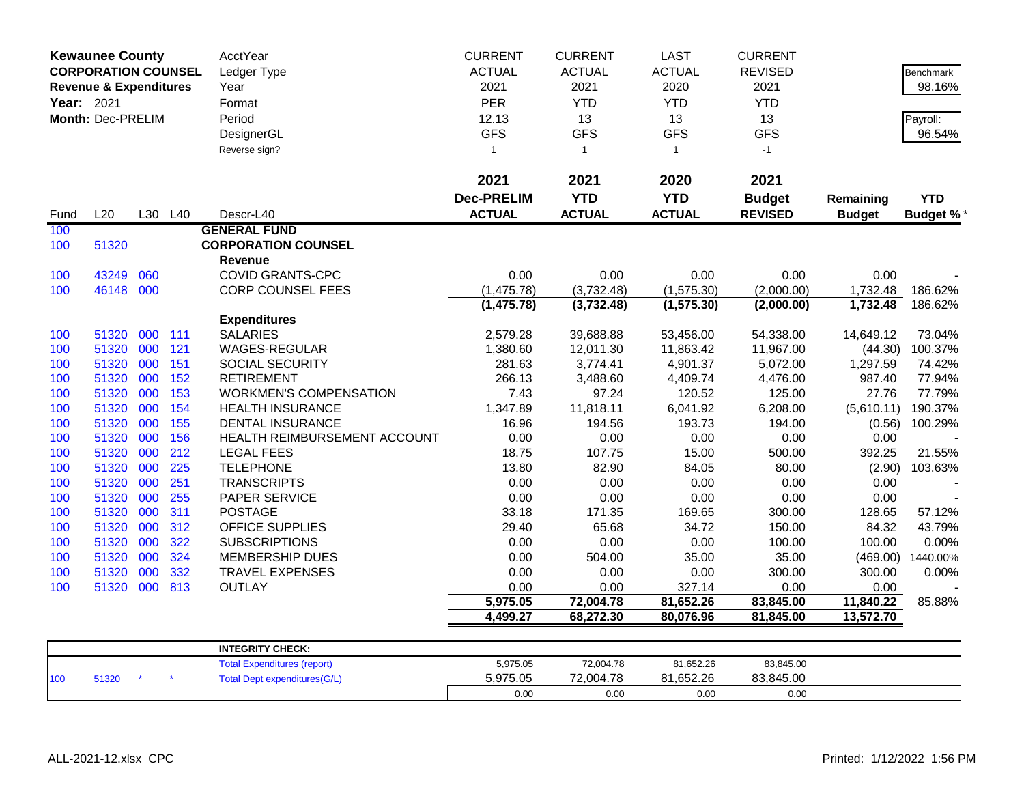|            | <b>Kewaunee County</b>            |         |     | AcctYear                            | <b>CURRENT</b>    | <b>CURRENT</b> | <b>LAST</b>   | <b>CURRENT</b> |               |                   |
|------------|-----------------------------------|---------|-----|-------------------------------------|-------------------|----------------|---------------|----------------|---------------|-------------------|
|            | <b>CORPORATION COUNSEL</b>        |         |     | Ledger Type                         | <b>ACTUAL</b>     | <b>ACTUAL</b>  | <b>ACTUAL</b> | <b>REVISED</b> |               | <b>Benchmark</b>  |
|            | <b>Revenue &amp; Expenditures</b> |         |     | Year                                | 2021              | 2021           | 2020          | 2021           |               | 98.16%            |
| Year: 2021 |                                   |         |     | Format                              | <b>PER</b>        | <b>YTD</b>     | <b>YTD</b>    | <b>YTD</b>     |               |                   |
|            | Month: Dec-PRELIM                 |         |     | Period                              | 12.13             | 13             | 13            | 13             |               | Payroll:          |
|            |                                   |         |     | DesignerGL                          | <b>GFS</b>        | <b>GFS</b>     | <b>GFS</b>    | <b>GFS</b>     |               | 96.54%            |
|            |                                   |         |     | Reverse sign?                       | $\overline{1}$    | $\overline{1}$ | $\mathbf{1}$  | $-1$           |               |                   |
|            |                                   |         |     |                                     |                   |                |               |                |               |                   |
|            |                                   |         |     |                                     | 2021              | 2021           | 2020          | 2021           |               |                   |
|            |                                   |         |     |                                     | <b>Dec-PRELIM</b> | <b>YTD</b>     | <b>YTD</b>    | <b>Budget</b>  | Remaining     | <b>YTD</b>        |
| Fund       | L20                               | L30 L40 |     | Descr-L40                           | <b>ACTUAL</b>     | <b>ACTUAL</b>  | <b>ACTUAL</b> | <b>REVISED</b> | <b>Budget</b> | <b>Budget %*</b>  |
| 100        |                                   |         |     | <b>GENERAL FUND</b>                 |                   |                |               |                |               |                   |
| 100        | 51320                             |         |     | <b>CORPORATION COUNSEL</b>          |                   |                |               |                |               |                   |
|            |                                   |         |     | Revenue                             |                   |                |               |                |               |                   |
| 100        | 43249                             | 060     |     | <b>COVID GRANTS-CPC</b>             | 0.00              | 0.00           | 0.00          | 0.00           | 0.00          |                   |
| 100        | 46148                             | 000     |     | <b>CORP COUNSEL FEES</b>            | (1,475.78)        | (3,732.48)     | (1, 575.30)   | (2,000.00)     | 1,732.48      | 186.62%           |
|            |                                   |         |     |                                     | (1, 475.78)       | (3,732.48)     | (1, 575.30)   | (2,000.00)     | 1,732.48      | 186.62%           |
|            |                                   |         |     | <b>Expenditures</b>                 |                   |                |               |                |               |                   |
| 100        | 51320                             | 000     | 111 | <b>SALARIES</b>                     | 2,579.28          | 39,688.88      | 53,456.00     | 54,338.00      | 14,649.12     | 73.04%            |
| 100        | 51320                             | 000     | 121 | <b>WAGES-REGULAR</b>                | 1,380.60          | 12,011.30      | 11,863.42     | 11,967.00      | (44.30)       | 100.37%           |
| 100        | 51320                             | 000     | 151 | <b>SOCIAL SECURITY</b>              | 281.63            | 3,774.41       | 4,901.37      | 5,072.00       | 1,297.59      | 74.42%            |
| 100        | 51320                             | 000     | 152 | <b>RETIREMENT</b>                   | 266.13            | 3,488.60       | 4,409.74      | 4,476.00       | 987.40        | 77.94%            |
| 100        | 51320                             | 000     | 153 | <b>WORKMEN'S COMPENSATION</b>       | 7.43              | 97.24          | 120.52        | 125.00         | 27.76         | 77.79%            |
| 100        | 51320                             | 000     | 154 | <b>HEALTH INSURANCE</b>             | 1,347.89          | 11,818.11      | 6,041.92      | 6,208.00       | (5,610.11)    | 190.37%           |
| 100        | 51320                             | 000     | 155 | <b>DENTAL INSURANCE</b>             | 16.96             | 194.56         | 193.73        | 194.00         | (0.56)        | 100.29%           |
| 100        | 51320                             | 000     | 156 | HEALTH REIMBURSEMENT ACCOUNT        | 0.00              | 0.00           | 0.00          | 0.00           | 0.00          |                   |
| 100        | 51320                             | 000     | 212 | <b>LEGAL FEES</b>                   | 18.75             | 107.75         | 15.00         | 500.00         | 392.25        | 21.55%            |
| 100        | 51320                             | 000     | 225 | <b>TELEPHONE</b>                    | 13.80             | 82.90          | 84.05         | 80.00          | (2.90)        | 103.63%           |
| 100        | 51320                             | 000     | 251 | <b>TRANSCRIPTS</b>                  | 0.00              | 0.00           | 0.00          | 0.00           | 0.00          |                   |
| 100        | 51320                             | 000     | 255 | PAPER SERVICE                       | 0.00              | 0.00           | 0.00          | 0.00           | 0.00          |                   |
| 100        | 51320                             | 000     | 311 | <b>POSTAGE</b>                      | 33.18             | 171.35         | 169.65        | 300.00         | 128.65        | 57.12%            |
| 100        | 51320                             | 000     | 312 | <b>OFFICE SUPPLIES</b>              | 29.40             | 65.68          | 34.72         | 150.00         | 84.32         | 43.79%            |
| 100        | 51320                             | 000     | 322 | <b>SUBSCRIPTIONS</b>                | 0.00              | 0.00           | 0.00          | 100.00         | 100.00        | 0.00%             |
| 100        | 51320                             | 000     | 324 | <b>MEMBERSHIP DUES</b>              | 0.00              | 504.00         | 35.00         | 35.00          |               | (469.00) 1440.00% |
| 100        | 51320                             | 000     | 332 | <b>TRAVEL EXPENSES</b>              | 0.00              | 0.00           | 0.00          | 300.00         | 300.00        | 0.00%             |
| 100        | 51320                             | 000     | 813 | <b>OUTLAY</b>                       | 0.00              | 0.00           | 327.14        | 0.00           | 0.00          |                   |
|            |                                   |         |     |                                     | 5,975.05          | 72,004.78      | 81,652.26     | 83,845.00      | 11,840.22     | 85.88%            |
|            |                                   |         |     |                                     | 4,499.27          | 68,272.30      | 80,076.96     | 81,845.00      | 13,572.70     |                   |
|            |                                   |         |     |                                     |                   |                |               |                |               |                   |
|            |                                   |         |     | <b>INTEGRITY CHECK:</b>             |                   |                |               |                |               |                   |
|            |                                   |         |     | <b>Total Expenditures (report)</b>  | 5,975.05          | 72,004.78      | 81,652.26     | 83,845.00      |               |                   |
| 100        | 51320                             |         |     | <b>Total Dept expenditures(G/L)</b> | 5,975.05          | 72,004.78      | 81,652.26     | 83,845.00      |               |                   |
|            |                                   |         |     |                                     | 0.00              | 0.00           | 0.00          | 0.00           |               |                   |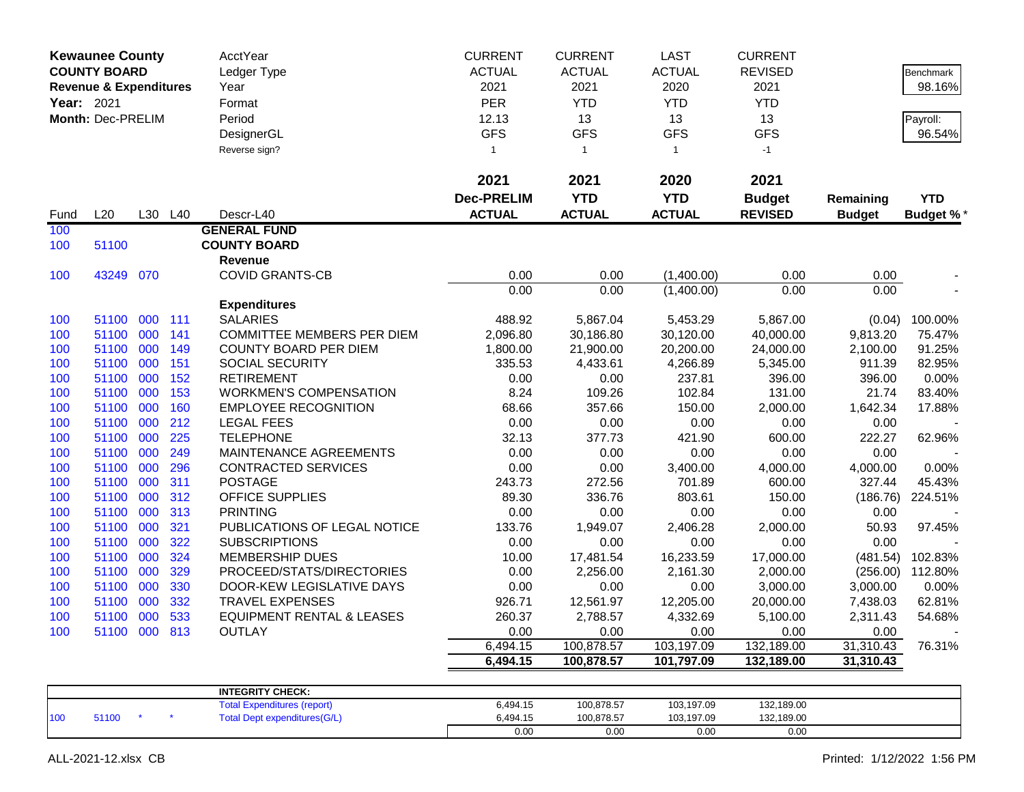|            | <b>Kewaunee County</b>            |     |         | AcctYear                             | <b>CURRENT</b>    | <b>CURRENT</b> | <b>LAST</b>   | <b>CURRENT</b> |               |                  |
|------------|-----------------------------------|-----|---------|--------------------------------------|-------------------|----------------|---------------|----------------|---------------|------------------|
|            | <b>COUNTY BOARD</b>               |     |         | Ledger Type                          | <b>ACTUAL</b>     | <b>ACTUAL</b>  | <b>ACTUAL</b> | <b>REVISED</b> |               | Benchmark        |
|            | <b>Revenue &amp; Expenditures</b> |     |         | Year                                 | 2021              | 2021           | 2020          | 2021           |               | 98.16%           |
| Year: 2021 |                                   |     |         | Format                               | <b>PER</b>        | <b>YTD</b>     | <b>YTD</b>    | <b>YTD</b>     |               |                  |
|            | <b>Month: Dec-PRELIM</b>          |     |         | Period                               | 12.13             | 13             | 13            | 13             |               | Payroll:         |
|            |                                   |     |         | DesignerGL                           | <b>GFS</b>        | <b>GFS</b>     | <b>GFS</b>    | <b>GFS</b>     |               | 96.54%           |
|            |                                   |     |         | Reverse sign?                        | $\mathbf{1}$      | $\mathbf{1}$   | $\mathbf{1}$  | $-1$           |               |                  |
|            |                                   |     |         |                                      |                   |                |               |                |               |                  |
|            |                                   |     |         |                                      | 2021              | 2021           | 2020          | 2021           |               |                  |
|            |                                   |     |         |                                      | <b>Dec-PRELIM</b> | <b>YTD</b>     | <b>YTD</b>    | <b>Budget</b>  | Remaining     | <b>YTD</b>       |
| Fund       | L20                               |     | L30 L40 | Descr-L40                            | <b>ACTUAL</b>     | <b>ACTUAL</b>  | <b>ACTUAL</b> | <b>REVISED</b> | <b>Budget</b> | <b>Budget %</b>  |
| 100        |                                   |     |         | <b>GENERAL FUND</b>                  |                   |                |               |                |               |                  |
| 100        | 51100                             |     |         | <b>COUNTY BOARD</b>                  |                   |                |               |                |               |                  |
|            |                                   |     |         | Revenue                              |                   |                |               |                |               |                  |
| 100        | 43249 070                         |     |         | <b>COVID GRANTS-CB</b>               | 0.00              | 0.00           | (1,400.00)    | 0.00           | 0.00          |                  |
|            |                                   |     |         |                                      | 0.00              | 0.00           | (1,400.00)    | 0.00           | 0.00          |                  |
|            |                                   |     |         | <b>Expenditures</b>                  |                   |                |               |                |               |                  |
| 100        | 51100                             | 000 | 111     | <b>SALARIES</b>                      | 488.92            | 5,867.04       | 5,453.29      | 5,867.00       | (0.04)        | 100.00%          |
| 100        | 51100                             | 000 | 141     | <b>COMMITTEE MEMBERS PER DIEM</b>    | 2,096.80          | 30,186.80      | 30,120.00     | 40,000.00      | 9,813.20      | 75.47%           |
| 100        | 51100                             | 000 | 149     | <b>COUNTY BOARD PER DIEM</b>         | 1,800.00          | 21,900.00      | 20,200.00     | 24,000.00      | 2,100.00      | 91.25%           |
| 100        | 51100                             | 000 | 151     | SOCIAL SECURITY                      | 335.53            | 4,433.61       | 4,266.89      | 5,345.00       | 911.39        | 82.95%           |
| 100        | 51100                             | 000 | 152     | <b>RETIREMENT</b>                    | 0.00              | 0.00           | 237.81        | 396.00         | 396.00        | 0.00%            |
| 100        | 51100                             | 000 | 153     | <b>WORKMEN'S COMPENSATION</b>        | 8.24              | 109.26         | 102.84        | 131.00         | 21.74         | 83.40%           |
| 100        | 51100                             | 000 | 160     | <b>EMPLOYEE RECOGNITION</b>          | 68.66             | 357.66         | 150.00        | 2,000.00       | 1,642.34      | 17.88%           |
| 100        | 51100                             | 000 | 212     | <b>LEGAL FEES</b>                    | 0.00              | 0.00           | 0.00          | 0.00           | 0.00          |                  |
| 100        | 51100                             | 000 | 225     | <b>TELEPHONE</b>                     | 32.13             | 377.73         | 421.90        | 600.00         | 222.27        | 62.96%           |
| 100        | 51100                             | 000 | 249     | MAINTENANCE AGREEMENTS               | 0.00              | 0.00           | 0.00          | 0.00           | 0.00          |                  |
| 100        | 51100                             | 000 | 296     | <b>CONTRACTED SERVICES</b>           | 0.00              | 0.00           | 3,400.00      | 4,000.00       | 4,000.00      | 0.00%            |
| 100        | 51100                             | 000 | 311     | <b>POSTAGE</b>                       | 243.73            | 272.56         | 701.89        | 600.00         | 327.44        | 45.43%           |
| 100        | 51100                             | 000 | 312     | <b>OFFICE SUPPLIES</b>               | 89.30             | 336.76         | 803.61        | 150.00         | (186.76)      | 224.51%          |
| 100        | 51100                             | 000 | 313     | <b>PRINTING</b>                      | 0.00              | 0.00           | 0.00          | 0.00           | 0.00          |                  |
| 100        | 51100                             | 000 | 321     | PUBLICATIONS OF LEGAL NOTICE         | 133.76            | 1,949.07       | 2,406.28      | 2,000.00       | 50.93         | 97.45%           |
| 100        | 51100                             | 000 | 322     | <b>SUBSCRIPTIONS</b>                 | 0.00              | 0.00           | 0.00          | 0.00           | 0.00          |                  |
| 100        | 51100                             | 000 | 324     | <b>MEMBERSHIP DUES</b>               | 10.00             | 17,481.54      | 16,233.59     | 17,000.00      | (481.54)      | 102.83%          |
| 100        | 51100                             | 000 | 329     | PROCEED/STATS/DIRECTORIES            | 0.00              | 2,256.00       | 2,161.30      | 2,000.00       |               | (256.00) 112.80% |
| 100        | 51100                             | 000 | 330     | DOOR-KEW LEGISLATIVE DAYS            | 0.00              | 0.00           | 0.00          | 3,000.00       | 3,000.00      | 0.00%            |
| 100        | 51100                             | 000 | 332     | <b>TRAVEL EXPENSES</b>               | 926.71            | 12,561.97      | 12,205.00     | 20,000.00      | 7,438.03      | 62.81%           |
| 100        | 51100                             | 000 | 533     | <b>EQUIPMENT RENTAL &amp; LEASES</b> | 260.37            | 2,788.57       | 4,332.69      | 5,100.00       | 2,311.43      | 54.68%           |
| 100        | 51100                             | 000 | 813     | <b>OUTLAY</b>                        | 0.00              | 0.00           | 0.00          | 0.00           | 0.00          |                  |
|            |                                   |     |         |                                      | 6,494.15          | 100,878.57     | 103,197.09    | 132,189.00     | 31,310.43     | 76.31%           |
|            |                                   |     |         |                                      | 6,494.15          | 100,878.57     | 101,797.09    | 132,189.00     | 31,310.43     |                  |
|            |                                   |     |         |                                      |                   |                |               |                |               |                  |
|            |                                   |     |         | <b>INTEGRITY CHECK:</b>              | 0.10117           | 100.070.57     | 10010700      | 10010000       |               |                  |

|     |      |  | INIEURII I UNEUR.                   |          |            |            |            |  |
|-----|------|--|-------------------------------------|----------|------------|------------|------------|--|
|     |      |  | <b>Fotal Expenditures (report)</b>  | 6,494.15 | 100,878.57 | 103,197.09 | 132,189.00 |  |
| 100 | 1100 |  | <b>Total Dept expenditures(G/L)</b> | 494.15.ذ | 100,878.57 | 103.197.09 | 132,189.00 |  |
|     |      |  |                                     | 0.00     | 0.00       | 0.00       | 0.00       |  |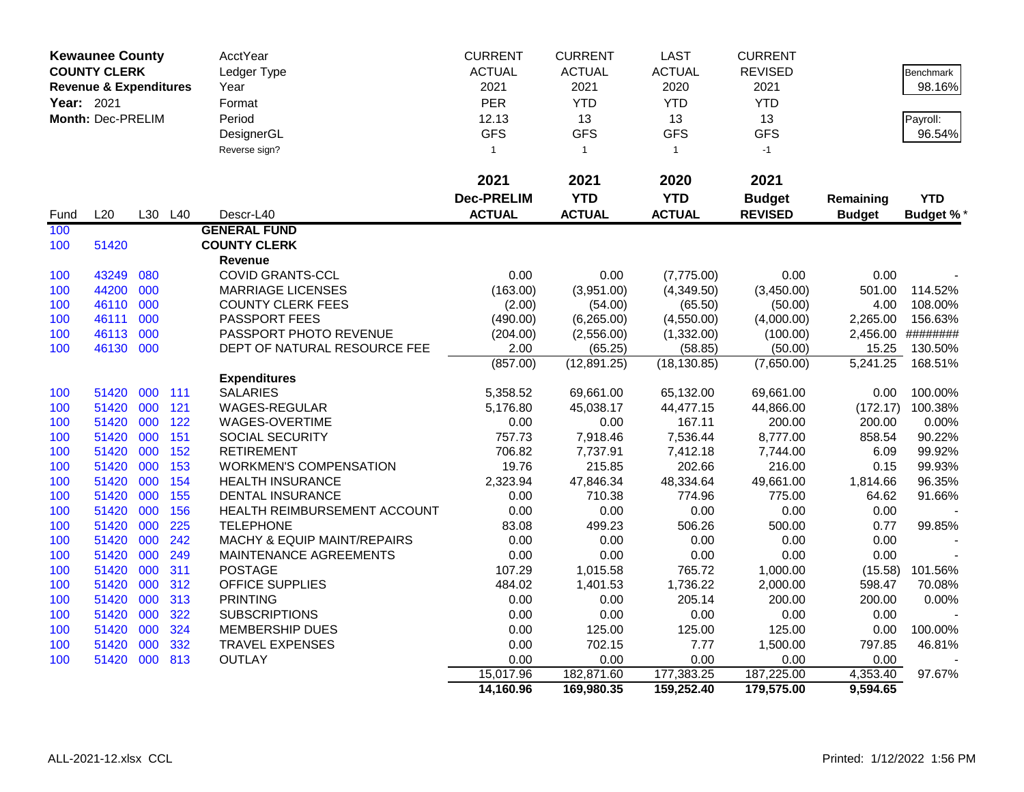|                                                                      | <b>Kewaunee County</b> |     |     | AcctYear                      | <b>CURRENT</b>    | <b>CURRENT</b> | <b>LAST</b>   | <b>CURRENT</b> |               |                  |
|----------------------------------------------------------------------|------------------------|-----|-----|-------------------------------|-------------------|----------------|---------------|----------------|---------------|------------------|
|                                                                      | <b>COUNTY CLERK</b>    |     |     | Ledger Type                   | <b>ACTUAL</b>     | <b>ACTUAL</b>  | <b>ACTUAL</b> | <b>REVISED</b> |               | <b>Benchmark</b> |
| <b>Revenue &amp; Expenditures</b><br>Year: 2021<br>Month: Dec-PRELIM |                        |     |     | Year                          | 2021              | 2021           | 2020          | 2021           |               | 98.16%           |
|                                                                      |                        |     |     | Format                        | PER               | <b>YTD</b>     | <b>YTD</b>    | <b>YTD</b>     |               |                  |
|                                                                      |                        |     |     | Period                        | 12.13             | 13             | 13            | 13             |               | Payroll:         |
|                                                                      |                        |     |     | DesignerGL                    | <b>GFS</b>        | <b>GFS</b>     | <b>GFS</b>    | <b>GFS</b>     |               | 96.54%           |
|                                                                      |                        |     |     | Reverse sign?                 | $\mathbf{1}$      | $\mathbf{1}$   | $\mathbf{1}$  | $-1$           |               |                  |
|                                                                      |                        |     |     |                               |                   |                |               |                |               |                  |
|                                                                      |                        |     |     |                               | 2021              | 2021           | 2020          | 2021           |               |                  |
|                                                                      |                        |     |     |                               | <b>Dec-PRELIM</b> | <b>YTD</b>     | <b>YTD</b>    | <b>Budget</b>  | Remaining     | <b>YTD</b>       |
| Fund                                                                 | L20                    | L30 | L40 | Descr-L40                     | <b>ACTUAL</b>     | <b>ACTUAL</b>  | <b>ACTUAL</b> | <b>REVISED</b> | <b>Budget</b> | <b>Budget %*</b> |
| 100                                                                  |                        |     |     | <b>GENERAL FUND</b>           |                   |                |               |                |               |                  |
| 100                                                                  | 51420                  |     |     | <b>COUNTY CLERK</b>           |                   |                |               |                |               |                  |
|                                                                      |                        |     |     | Revenue                       |                   |                |               |                |               |                  |
| 100                                                                  | 43249                  | 080 |     | <b>COVID GRANTS-CCL</b>       | 0.00              | 0.00           | (7,775.00)    | 0.00           | 0.00          |                  |
| 100                                                                  | 44200                  | 000 |     | <b>MARRIAGE LICENSES</b>      | (163.00)          | (3,951.00)     | (4,349.50)    | (3,450.00)     | 501.00        | 114.52%          |
| 100                                                                  | 46110                  | 000 |     | <b>COUNTY CLERK FEES</b>      | (2.00)            | (54.00)        | (65.50)       | (50.00)        | 4.00          | 108.00%          |
| 100                                                                  | 46111                  | 000 |     | PASSPORT FEES                 | (490.00)          | (6,265.00)     | (4,550.00)    | (4,000.00)     | 2,265.00      | 156.63%          |
| 100                                                                  | 46113                  | 000 |     | PASSPORT PHOTO REVENUE        | (204.00)          | (2,556.00)     | (1,332.00)    | (100.00)       | 2,456.00      | ########         |
| 100                                                                  | 46130                  | 000 |     | DEPT OF NATURAL RESOURCE FEE  | 2.00              | (65.25)        | (58.85)       | (50.00)        | 15.25         | 130.50%          |
|                                                                      |                        |     |     |                               | (857.00)          | (12,891.25)    | (18, 130.85)  | (7,650.00)     | 5,241.25      | 168.51%          |
|                                                                      |                        |     |     | <b>Expenditures</b>           |                   |                |               |                |               |                  |
| 100                                                                  | 51420                  | 000 | 111 | <b>SALARIES</b>               | 5,358.52          | 69,661.00      | 65,132.00     | 69,661.00      | 0.00          | 100.00%          |
| 100                                                                  | 51420                  | 000 | 121 | <b>WAGES-REGULAR</b>          | 5,176.80          | 45,038.17      | 44,477.15     | 44,866.00      | (172.17)      | 100.38%          |
| 100                                                                  | 51420                  | 000 | 122 | WAGES-OVERTIME                | 0.00              | 0.00           | 167.11        | 200.00         | 200.00        | 0.00%            |
| 100                                                                  | 51420                  | 000 | 151 | SOCIAL SECURITY               | 757.73            | 7,918.46       | 7,536.44      | 8,777.00       | 858.54        | 90.22%           |
| 100                                                                  | 51420                  | 000 | 152 | <b>RETIREMENT</b>             | 706.82            | 7,737.91       | 7,412.18      | 7,744.00       | 6.09          | 99.92%           |
| 100                                                                  | 51420                  | 000 | 153 | <b>WORKMEN'S COMPENSATION</b> | 19.76             | 215.85         | 202.66        | 216.00         | 0.15          | 99.93%           |
| 100                                                                  | 51420                  | 000 | 154 | <b>HEALTH INSURANCE</b>       | 2,323.94          | 47,846.34      | 48,334.64     | 49,661.00      | 1,814.66      | 96.35%           |
| 100                                                                  | 51420                  | 000 | 155 | <b>DENTAL INSURANCE</b>       | 0.00              | 710.38         | 774.96        | 775.00         | 64.62         | 91.66%           |
| 100                                                                  | 51420                  | 000 | 156 | HEALTH REIMBURSEMENT ACCOUNT  | 0.00              | 0.00           | 0.00          | 0.00           | 0.00          |                  |
| 100                                                                  | 51420                  | 000 | 225 | <b>TELEPHONE</b>              | 83.08             | 499.23         | 506.26        | 500.00         | 0.77          | 99.85%           |
| 100                                                                  | 51420                  | 000 | 242 | MACHY & EQUIP MAINT/REPAIRS   | 0.00              | 0.00           | 0.00          | 0.00           | 0.00          |                  |
| 100                                                                  | 51420                  | 000 | 249 | MAINTENANCE AGREEMENTS        | 0.00              | 0.00           | 0.00          | 0.00           | 0.00          |                  |
| 100                                                                  | 51420                  | 000 | 311 | <b>POSTAGE</b>                | 107.29            | 1,015.58       | 765.72        | 1,000.00       | (15.58)       | 101.56%          |
| 100                                                                  | 51420                  | 000 | 312 | <b>OFFICE SUPPLIES</b>        | 484.02            | 1,401.53       | 1,736.22      | 2,000.00       | 598.47        | 70.08%           |
| 100                                                                  | 51420                  | 000 | 313 | <b>PRINTING</b>               | 0.00              | 0.00           | 205.14        | 200.00         | 200.00        | 0.00%            |
| 100                                                                  | 51420                  | 000 | 322 | <b>SUBSCRIPTIONS</b>          | 0.00              | 0.00           | 0.00          | 0.00           | 0.00          |                  |
| 100                                                                  | 51420                  | 000 | 324 | <b>MEMBERSHIP DUES</b>        | 0.00              | 125.00         | 125.00        | 125.00         | 0.00          | 100.00%          |
| 100                                                                  | 51420                  | 000 | 332 | <b>TRAVEL EXPENSES</b>        | 0.00              | 702.15         | 7.77          | 1,500.00       | 797.85        | 46.81%           |
| 100                                                                  | 51420                  | 000 | 813 | <b>OUTLAY</b>                 | 0.00              | 0.00           | 0.00          | 0.00           | 0.00          |                  |
|                                                                      |                        |     |     |                               | 15,017.96         | 182,871.60     | 177,383.25    | 187,225.00     | 4,353.40      | 97.67%           |
|                                                                      |                        |     |     |                               | 14,160.96         | 169,980.35     | 159,252.40    | 179,575.00     | 9,594.65      |                  |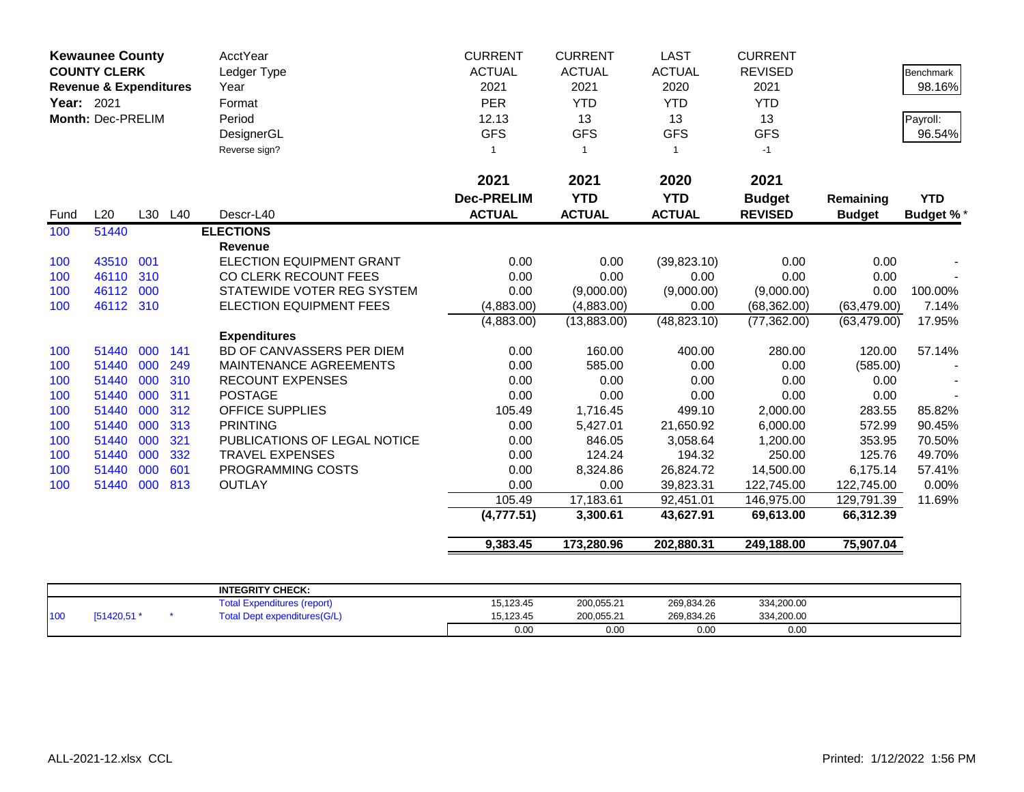|                                                                        | <b>Kewaunee County</b> |               |               | <b>AcctYear</b>                 | <b>CURRENT</b>    | <b>CURRENT</b> | <b>LAST</b>      | <b>CURRENT</b> |               |                  |
|------------------------------------------------------------------------|------------------------|---------------|---------------|---------------------------------|-------------------|----------------|------------------|----------------|---------------|------------------|
| <b>COUNTY CLERK</b><br><b>Revenue &amp; Expenditures</b><br>Year: 2021 | Ledger Type            | <b>ACTUAL</b> | <b>ACTUAL</b> | <b>ACTUAL</b>                   | <b>REVISED</b>    |                | <b>Benchmark</b> |                |               |                  |
|                                                                        | Month: Dec-PRELIM      |               |               | Year                            | 2021              | 2021           | 2020             | 2021           |               | 98.16%           |
|                                                                        |                        |               |               | Format                          | <b>PER</b>        | <b>YTD</b>     | <b>YTD</b>       | <b>YTD</b>     |               |                  |
|                                                                        |                        |               |               | Period                          | 12.13             | 13             | 13               | 13             |               | Payroll:         |
|                                                                        |                        |               |               | DesignerGL                      | <b>GFS</b>        | <b>GFS</b>     | <b>GFS</b>       | <b>GFS</b>     |               | 96.54%           |
|                                                                        |                        |               |               | Reverse sign?                   |                   | $\overline{1}$ | $\mathbf{1}$     | $-1$           |               |                  |
|                                                                        |                        |               |               |                                 | 2021              | 2021           | 2020             | 2021           |               |                  |
|                                                                        |                        |               |               |                                 | <b>Dec-PRELIM</b> | <b>YTD</b>     | <b>YTD</b>       | <b>Budget</b>  | Remaining     | <b>YTD</b>       |
| Fund                                                                   | L20                    |               | L30 L40       | Descr-L40                       | <b>ACTUAL</b>     | <b>ACTUAL</b>  | <b>ACTUAL</b>    | <b>REVISED</b> | <b>Budget</b> | <b>Budget %*</b> |
| 100                                                                    | 51440                  |               |               | <b>ELECTIONS</b>                |                   |                |                  |                |               |                  |
|                                                                        |                        |               |               | <b>Revenue</b>                  |                   |                |                  |                |               |                  |
| 100                                                                    | 43510                  | 001           |               | <b>ELECTION EQUIPMENT GRANT</b> | 0.00              | 0.00           | (39,823.10)      | 0.00           | 0.00          |                  |
| 100                                                                    | 46110                  | 310           |               | CO CLERK RECOUNT FEES           | 0.00              | 0.00           | 0.00             | 0.00           | 0.00          |                  |
| 100                                                                    | 46112                  | 000           |               | STATEWIDE VOTER REG SYSTEM      | 0.00              | (9,000.00)     | (9,000.00)       | (9,000.00)     | 0.00          | 100.00%          |
| 100                                                                    | 46112 310              |               |               | <b>ELECTION EQUIPMENT FEES</b>  | (4,883.00)        | (4,883.00)     | 0.00             | (68, 362.00)   | (63, 479.00)  | 7.14%            |
|                                                                        |                        |               |               |                                 | (4,883.00)        | (13,883.00)    | (48, 823.10)     | (77, 362.00)   | (63, 479.00)  | 17.95%           |
|                                                                        |                        |               |               | <b>Expenditures</b>             |                   |                |                  |                |               |                  |
| 100                                                                    | 51440                  | 000           | 141           | BD OF CANVASSERS PER DIEM       | 0.00              | 160.00         | 400.00           | 280.00         | 120.00        | 57.14%           |
| 100                                                                    | 51440                  | 000           | 249           | MAINTENANCE AGREEMENTS          | 0.00              | 585.00         | 0.00             | 0.00           | (585.00)      |                  |
| 100                                                                    | 51440                  | 000           | 310           | <b>RECOUNT EXPENSES</b>         | 0.00              | 0.00           | 0.00             | 0.00           | 0.00          |                  |
| 100                                                                    | 51440                  | 000           | 311           | <b>POSTAGE</b>                  | 0.00              | 0.00           | 0.00             | 0.00           | 0.00          |                  |
| 100                                                                    | 51440                  | 000           | 312           | <b>OFFICE SUPPLIES</b>          | 105.49            | 1,716.45       | 499.10           | 2,000.00       | 283.55        | 85.82%           |
| 100                                                                    | 51440                  | 000           | 313           | <b>PRINTING</b>                 | 0.00              | 5,427.01       | 21,650.92        | 6,000.00       | 572.99        | 90.45%           |
| 100                                                                    | 51440                  | 000           | 321           | PUBLICATIONS OF LEGAL NOTICE    | 0.00              | 846.05         | 3,058.64         | 1,200.00       | 353.95        | 70.50%           |
| 100                                                                    | 51440                  | 000           | 332           | <b>TRAVEL EXPENSES</b>          | 0.00              | 124.24         | 194.32           | 250.00         | 125.76        | 49.70%           |
| 100                                                                    | 51440                  | 000           | 601           | PROGRAMMING COSTS               | 0.00              | 8,324.86       | 26,824.72        | 14,500.00      | 6,175.14      | 57.41%           |
| 100                                                                    | 51440                  | 000           | 813           | <b>OUTLAY</b>                   | 0.00              | 0.00           | 39,823.31        | 122,745.00     | 122,745.00    | 0.00%            |
|                                                                        |                        |               |               |                                 | 105.49            | 17,183.61      | 92,451.01        | 146,975.00     | 129,791.39    | 11.69%           |
|                                                                        |                        |               |               |                                 | (4,777.51)        | 3,300.61       | 43,627.91        | 69,613.00      | 66,312.39     |                  |
|                                                                        |                        |               |               |                                 | 9,383.45          | 173,280.96     | 202,880.31       | 249,188.00     | 75,907.04     |                  |

|     |            | <b>INTEGRITY CHECK:</b>             |           |            |            |            |  |
|-----|------------|-------------------------------------|-----------|------------|------------|------------|--|
|     |            | <b>Expenditures (report)</b>        | 15,123.45 | 200,055.21 | 269,834.26 | 334,200.00 |  |
| 100 | [51420,51] | <b>Total Dept expenditures(G/L)</b> | 15.123.45 | 200,055.21 | 269,834.26 | 334,200.00 |  |
|     |            |                                     | 0.00      | 0.00       | 0.00       | 0.00       |  |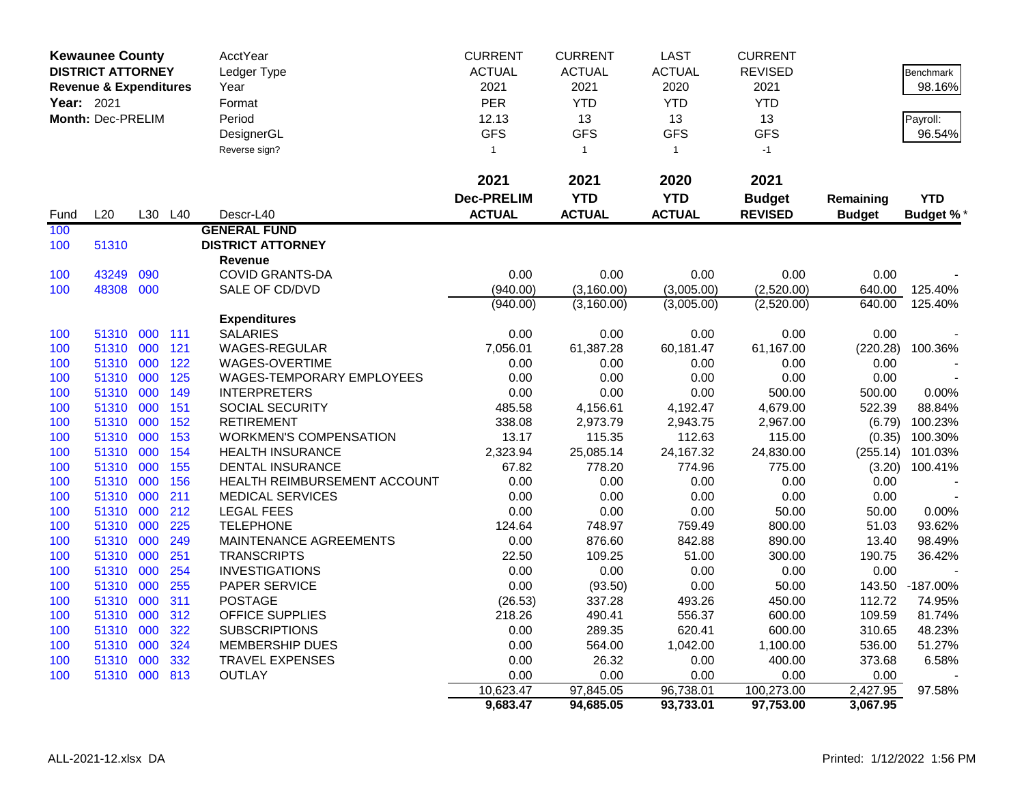|                                                                                                  | <b>Kewaunee County</b> |         |            | AcctYear                      | <b>CURRENT</b>    | <b>CURRENT</b>    | <b>LAST</b>       | <b>CURRENT</b>     |                  |                  |
|--------------------------------------------------------------------------------------------------|------------------------|---------|------------|-------------------------------|-------------------|-------------------|-------------------|--------------------|------------------|------------------|
|                                                                                                  |                        |         |            | Ledger Type                   | <b>ACTUAL</b>     | <b>ACTUAL</b>     | <b>ACTUAL</b>     | <b>REVISED</b>     |                  | <b>Benchmark</b> |
| <b>DISTRICT ATTORNEY</b><br><b>Revenue &amp; Expenditures</b><br>Year: 2021<br>Month: Dec-PRELIM | Year                   | 2021    | 2021       | 2020                          | 2021              |                   | 98.16%            |                    |                  |                  |
|                                                                                                  |                        |         |            | Format                        | <b>PER</b>        | <b>YTD</b>        | <b>YTD</b>        | <b>YTD</b>         |                  |                  |
|                                                                                                  |                        |         |            | Period                        | 12.13             | 13                | 13                | 13                 |                  | Payroll:         |
|                                                                                                  |                        |         |            | DesignerGL                    | <b>GFS</b>        | <b>GFS</b>        | <b>GFS</b>        | <b>GFS</b>         |                  | 96.54%           |
|                                                                                                  |                        |         |            | Reverse sign?                 | $\mathbf{1}$      | $\mathbf{1}$      | $\mathbf{1}$      | $-1$               |                  |                  |
|                                                                                                  |                        |         |            |                               |                   |                   |                   |                    |                  |                  |
|                                                                                                  |                        |         |            |                               | 2021              | 2021              | 2020              | 2021               |                  |                  |
|                                                                                                  |                        |         |            |                               | <b>Dec-PRELIM</b> | <b>YTD</b>        | <b>YTD</b>        | <b>Budget</b>      | Remaining        | <b>YTD</b>       |
| Fund                                                                                             | L20                    | L30     | L40        | Descr-L40                     | <b>ACTUAL</b>     | <b>ACTUAL</b>     | <b>ACTUAL</b>     | <b>REVISED</b>     | <b>Budget</b>    | <b>Budget %*</b> |
| 100                                                                                              |                        |         |            | <b>GENERAL FUND</b>           |                   |                   |                   |                    |                  |                  |
| 100                                                                                              | 51310                  |         |            | <b>DISTRICT ATTORNEY</b>      |                   |                   |                   |                    |                  |                  |
|                                                                                                  |                        |         |            | Revenue                       |                   |                   |                   |                    |                  |                  |
| 100                                                                                              | 43249                  | 090     |            | <b>COVID GRANTS-DA</b>        | 0.00              | 0.00              | 0.00              | 0.00               | 0.00             |                  |
| 100                                                                                              | 48308 000              |         |            | SALE OF CD/DVD                | (940.00)          | (3, 160.00)       | (3,005.00)        | (2,520.00)         | 640.00           | 125.40%          |
|                                                                                                  |                        |         |            |                               | (940.00)          | (3,160.00)        | (3,005.00)        | (2,520.00)         | 640.00           | 125.40%          |
|                                                                                                  |                        |         |            | <b>Expenditures</b>           |                   |                   |                   |                    |                  |                  |
| 100                                                                                              | 51310                  | 000 111 |            | <b>SALARIES</b>               | 0.00              | 0.00              | 0.00              | 0.00               | 0.00             |                  |
| 100                                                                                              | 51310                  | 000     | 121        | WAGES-REGULAR                 | 7,056.01          | 61,387.28         | 60,181.47         | 61,167.00          | (220.28)         | 100.36%          |
| 100                                                                                              | 51310                  | 000     | 122        | WAGES-OVERTIME                | 0.00              | 0.00              | 0.00              | 0.00               | 0.00             |                  |
| 100                                                                                              | 51310                  | 000     | 125        | WAGES-TEMPORARY EMPLOYEES     | 0.00              | 0.00              | 0.00              | 0.00               | 0.00             |                  |
| 100                                                                                              | 51310                  | 000     | 149        | <b>INTERPRETERS</b>           | 0.00              | 0.00              | 0.00              | 500.00             | 500.00           | 0.00%            |
| 100                                                                                              | 51310                  | 000     | 151        | SOCIAL SECURITY               | 485.58            | 4,156.61          | 4,192.47          | 4,679.00           | 522.39           | 88.84%           |
| 100                                                                                              | 51310                  | 000     | 152        | <b>RETIREMENT</b>             | 338.08            | 2,973.79          | 2,943.75          | 2,967.00           | (6.79)           | 100.23%          |
| 100                                                                                              | 51310                  | 000     | 153        | <b>WORKMEN'S COMPENSATION</b> | 13.17             | 115.35            | 112.63            | 115.00             | (0.35)           | 100.30%          |
| 100                                                                                              | 51310                  | 000     | 154        | <b>HEALTH INSURANCE</b>       | 2,323.94          | 25,085.14         | 24,167.32         | 24,830.00          | (255.14)         | 101.03%          |
| 100                                                                                              | 51310                  | 000     | 155        | <b>DENTAL INSURANCE</b>       | 67.82             | 778.20            | 774.96            | 775.00             | (3.20)           | 100.41%          |
| 100                                                                                              | 51310                  | 000     | 156        | HEALTH REIMBURSEMENT ACCOUNT  | 0.00              | 0.00              | 0.00              | 0.00               | 0.00             |                  |
| 100                                                                                              | 51310                  | 000     | 211        | <b>MEDICAL SERVICES</b>       | 0.00              | 0.00              | 0.00              | 0.00               | 0.00             |                  |
| 100                                                                                              | 51310                  | 000     | 212        | <b>LEGAL FEES</b>             | 0.00              | 0.00              | 0.00              | 50.00              | 50.00            | 0.00%            |
| 100                                                                                              | 51310                  | 000     | 225        | <b>TELEPHONE</b>              | 124.64            | 748.97            | 759.49            | 800.00             | 51.03            | 93.62%           |
| 100                                                                                              | 51310                  | 000     | 249        | MAINTENANCE AGREEMENTS        | 0.00              | 876.60            | 842.88            | 890.00             | 13.40            | 98.49%           |
| 100                                                                                              | 51310                  | 000     | 251        | <b>TRANSCRIPTS</b>            | 22.50             | 109.25            | 51.00             | 300.00             | 190.75           | 36.42%           |
| 100                                                                                              | 51310                  | 000     | 254        | <b>INVESTIGATIONS</b>         | 0.00              | 0.00              | 0.00              | 0.00               | 0.00             |                  |
| 100                                                                                              | 51310                  | 000     | 255        | PAPER SERVICE                 | 0.00              | (93.50)           | 0.00              | 50.00              |                  | 143.50 -187.00%  |
| 100                                                                                              | 51310                  | 000     | 311        | <b>POSTAGE</b>                | (26.53)           | 337.28            | 493.26            | 450.00             | 112.72           | 74.95%           |
| 100                                                                                              | 51310                  | 000     | 312        | <b>OFFICE SUPPLIES</b>        | 218.26            | 490.41            | 556.37            | 600.00             | 109.59           | 81.74%           |
| 100                                                                                              | 51310                  | 000     | 322        | <b>SUBSCRIPTIONS</b>          | 0.00              | 289.35            | 620.41            | 600.00             | 310.65           | 48.23%           |
| 100                                                                                              | 51310                  | 000     | 324        | <b>MEMBERSHIP DUES</b>        | 0.00              | 564.00            | 1,042.00          | 1,100.00           | 536.00           | 51.27%           |
| 100                                                                                              | 51310                  | 000     | 332<br>813 | <b>TRAVEL EXPENSES</b>        | 0.00              | 26.32             | 0.00              | 400.00             | 373.68           | 6.58%            |
| 100                                                                                              | 51310                  | 000     |            | <b>OUTLAY</b>                 | 0.00<br>10,623.47 | 0.00<br>97,845.05 | 0.00<br>96,738.01 | 0.00<br>100,273.00 | 0.00<br>2,427.95 | 97.58%           |
|                                                                                                  |                        |         |            |                               | 9,683.47          | 94,685.05         | 93,733.01         | 97,753.00          | 3,067.95         |                  |
|                                                                                                  |                        |         |            |                               |                   |                   |                   |                    |                  |                  |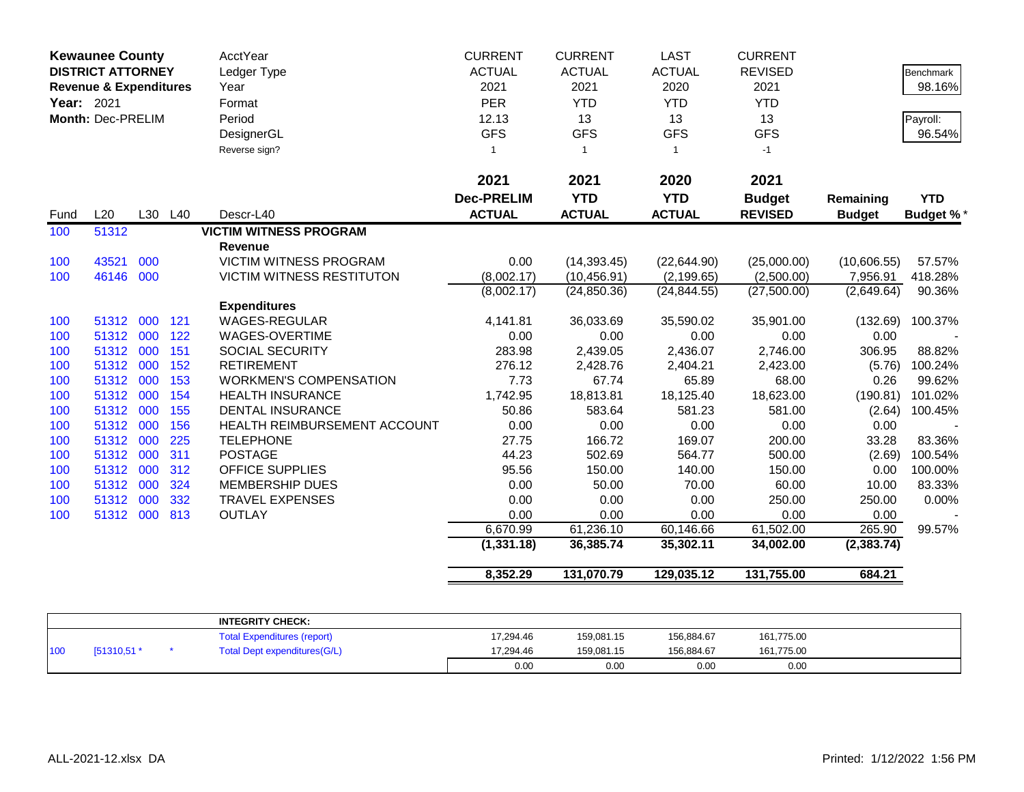| <b>Kewaunee County</b><br><b>DISTRICT ATTORNEY</b><br><b>Revenue &amp; Expenditures</b><br>Year: 2021<br>Month: Dec-PRELIM |           |     | AcctYear<br>Ledger Type<br>Year<br>Format<br>Period<br>DesignerGL<br>Reverse sign? | <b>CURRENT</b><br><b>ACTUAL</b><br>2021<br><b>PER</b><br>12.13<br><b>GFS</b><br>$\mathbf{1}$ | <b>CURRENT</b><br><b>ACTUAL</b><br>2021<br><b>YTD</b><br>13<br><b>GFS</b><br>$\overline{1}$ | <b>LAST</b><br><b>ACTUAL</b><br>2020<br><b>YTD</b><br>13<br><b>GFS</b><br>$\mathbf{1}$ | <b>CURRENT</b><br><b>REVISED</b><br>2021<br><b>YTD</b><br>13<br><b>GFS</b><br>$-1$ |                                 | <b>Benchmark</b><br>98.16%<br>Payroll:<br>96.54% |                                |
|----------------------------------------------------------------------------------------------------------------------------|-----------|-----|------------------------------------------------------------------------------------|----------------------------------------------------------------------------------------------|---------------------------------------------------------------------------------------------|----------------------------------------------------------------------------------------|------------------------------------------------------------------------------------|---------------------------------|--------------------------------------------------|--------------------------------|
|                                                                                                                            |           |     |                                                                                    |                                                                                              | 2021                                                                                        | 2021                                                                                   | 2020                                                                               | 2021                            |                                                  |                                |
| Fund                                                                                                                       | L20       | L30 | L40                                                                                | Descr-L40                                                                                    | <b>Dec-PRELIM</b><br><b>ACTUAL</b>                                                          | <b>YTD</b><br><b>ACTUAL</b>                                                            | <b>YTD</b><br><b>ACTUAL</b>                                                        | <b>Budget</b><br><b>REVISED</b> | Remaining<br><b>Budget</b>                       | <b>YTD</b><br><b>Budget %*</b> |
| 100                                                                                                                        | 51312     |     |                                                                                    | <b>VICTIM WITNESS PROGRAM</b>                                                                |                                                                                             |                                                                                        |                                                                                    |                                 |                                                  |                                |
|                                                                                                                            |           |     |                                                                                    | Revenue                                                                                      |                                                                                             |                                                                                        |                                                                                    |                                 |                                                  |                                |
| 100                                                                                                                        | 43521     | 000 |                                                                                    | <b>VICTIM WITNESS PROGRAM</b>                                                                | 0.00                                                                                        | (14, 393.45)                                                                           | (22, 644.90)                                                                       | (25,000.00)                     | (10,606.55)                                      | 57.57%                         |
| 100                                                                                                                        | 46146     | 000 |                                                                                    | <b>VICTIM WITNESS RESTITUTON</b>                                                             | (8,002.17)<br>(8,002.17)                                                                    | (10, 456.91)<br>(24, 850.36)                                                           | (2, 199.65)<br>(24, 844.55)                                                        | (2,500.00)<br>(27,500.00)       | 7,956.91<br>(2,649.64)                           | 418.28%<br>90.36%              |
|                                                                                                                            |           |     |                                                                                    | <b>Expenditures</b>                                                                          |                                                                                             |                                                                                        |                                                                                    |                                 |                                                  |                                |
| 100                                                                                                                        | 51312     | 000 | 121                                                                                | <b>WAGES-REGULAR</b>                                                                         | 4,141.81                                                                                    | 36,033.69                                                                              | 35,590.02                                                                          | 35,901.00                       | (132.69)                                         | 100.37%                        |
| 100                                                                                                                        | 51312     | 000 | 122                                                                                | <b>WAGES-OVERTIME</b>                                                                        | 0.00                                                                                        | 0.00                                                                                   | 0.00                                                                               | 0.00                            | 0.00                                             |                                |
| 100                                                                                                                        | 51312     | 000 | 151                                                                                | SOCIAL SECURITY                                                                              | 283.98                                                                                      | 2,439.05                                                                               | 2,436.07                                                                           | 2,746.00                        | 306.95                                           | 88.82%                         |
| 100                                                                                                                        | 51312     | 000 | 152                                                                                | <b>RETIREMENT</b>                                                                            | 276.12                                                                                      | 2,428.76                                                                               | 2,404.21                                                                           | 2,423.00                        | (5.76)                                           | 100.24%                        |
| 100                                                                                                                        | 51312     | 000 | 153                                                                                | <b>WORKMEN'S COMPENSATION</b>                                                                | 7.73                                                                                        | 67.74                                                                                  | 65.89                                                                              | 68.00                           | 0.26                                             | 99.62%                         |
| 100                                                                                                                        | 51312     | 000 | 154                                                                                | <b>HEALTH INSURANCE</b>                                                                      | 1,742.95                                                                                    | 18,813.81                                                                              | 18,125.40                                                                          | 18,623.00                       | (190.81)                                         | 101.02%                        |
| 100                                                                                                                        | 51312     | 000 | 155                                                                                | <b>DENTAL INSURANCE</b>                                                                      | 50.86                                                                                       | 583.64                                                                                 | 581.23                                                                             | 581.00                          | (2.64)                                           | 100.45%                        |
| 100                                                                                                                        | 51312     | 000 | 156                                                                                | HEALTH REIMBURSEMENT ACCOUNT                                                                 | 0.00                                                                                        | 0.00                                                                                   | 0.00                                                                               | 0.00                            | 0.00                                             |                                |
| 100                                                                                                                        | 51312     | 000 | 225                                                                                | <b>TELEPHONE</b>                                                                             | 27.75                                                                                       | 166.72                                                                                 | 169.07                                                                             | 200.00                          | 33.28                                            | 83.36%                         |
| 100                                                                                                                        | 51312     | 000 | 311                                                                                | <b>POSTAGE</b>                                                                               | 44.23                                                                                       | 502.69                                                                                 | 564.77                                                                             | 500.00                          | (2.69)                                           | 100.54%                        |
| 100                                                                                                                        | 51312     | 000 | 312                                                                                | <b>OFFICE SUPPLIES</b>                                                                       | 95.56                                                                                       | 150.00                                                                                 | 140.00                                                                             | 150.00                          | 0.00                                             | 100.00%                        |
| 100                                                                                                                        | 51312     | 000 | 324                                                                                | <b>MEMBERSHIP DUES</b>                                                                       | 0.00                                                                                        | 50.00                                                                                  | 70.00                                                                              | 60.00                           | 10.00                                            | 83.33%                         |
| 100                                                                                                                        | 51312     | 000 | 332                                                                                | <b>TRAVEL EXPENSES</b>                                                                       | 0.00                                                                                        | 0.00                                                                                   | 0.00                                                                               | 250.00                          | 250.00                                           | 0.00%                          |
| 100                                                                                                                        | 51312 000 |     | 813                                                                                | <b>OUTLAY</b>                                                                                | 0.00                                                                                        | 0.00                                                                                   | 0.00                                                                               | 0.00                            | 0.00                                             |                                |
|                                                                                                                            |           |     |                                                                                    |                                                                                              | 6,670.99                                                                                    | 61,236.10                                                                              | 60,146.66                                                                          | 61,502.00                       | 265.90                                           | 99.57%                         |
|                                                                                                                            |           |     |                                                                                    |                                                                                              | (1, 331.18)                                                                                 | 36,385.74                                                                              | 35,302.11                                                                          | 34,002.00                       | (2, 383.74)                                      |                                |
|                                                                                                                            |           |     |                                                                                    |                                                                                              | 8,352.29                                                                                    | 131,070.79                                                                             | 129,035.12                                                                         | 131,755.00                      | 684.21                                           |                                |

|     |             | <b>INTEGRITY CHECK:</b>            |           |            |            |            |  |
|-----|-------------|------------------------------------|-----------|------------|------------|------------|--|
|     |             | <b>Total Expenditures (report)</b> | 17.294.46 | 159.081.15 | 156.884.67 | 161,775.00 |  |
| 100 | [51310,51 * | Total Dept expenditures (G/L)      | 17.294.46 | 159.081.15 | 156.884.67 | 161,775.00 |  |
|     |             |                                    | 0.00      | 0.00       | 0.00       | 0.00       |  |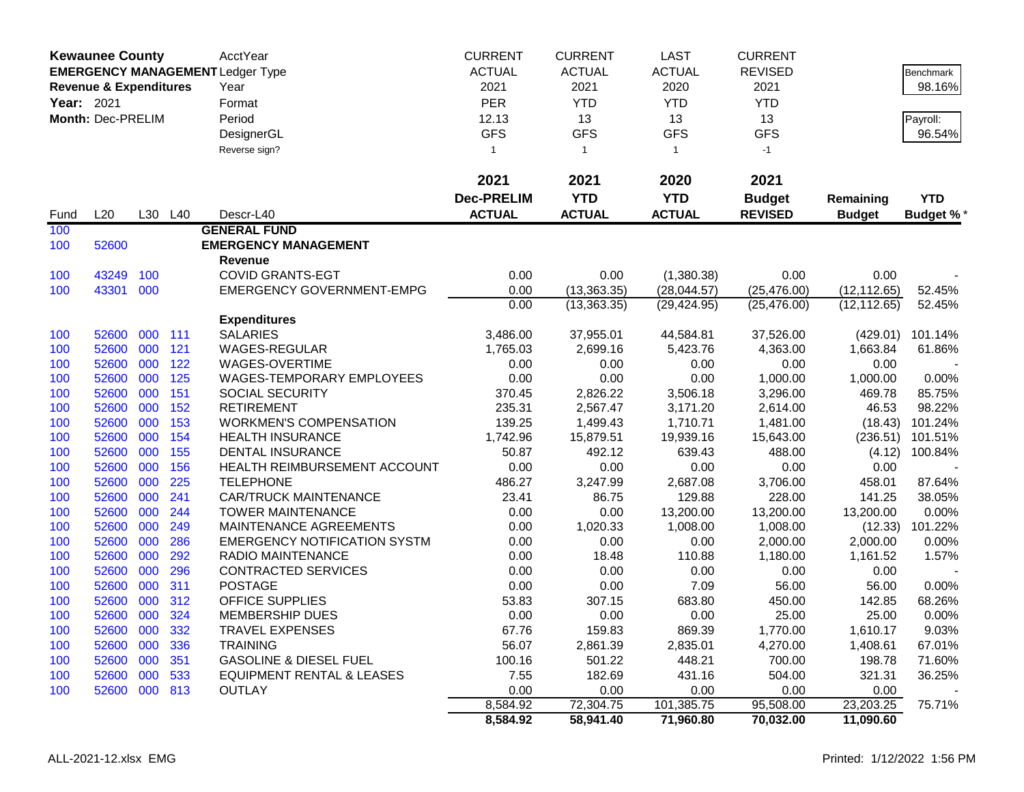|            | <b>Kewaunee County</b>            |     |         | <b>AcctYear</b>                         | <b>CURRENT</b>    | <b>CURRENT</b> | <b>LAST</b>   | <b>CURRENT</b> |               |                  |
|------------|-----------------------------------|-----|---------|-----------------------------------------|-------------------|----------------|---------------|----------------|---------------|------------------|
|            |                                   |     |         | <b>EMERGENCY MANAGEMENT Ledger Type</b> | <b>ACTUAL</b>     | <b>ACTUAL</b>  | <b>ACTUAL</b> | <b>REVISED</b> |               | Benchmark        |
|            | <b>Revenue &amp; Expenditures</b> |     |         | Year                                    | 2021              | 2021           | 2020          | 2021           |               | 98.16%           |
| Year: 2021 |                                   |     |         | Format                                  | <b>PER</b>        | <b>YTD</b>     | <b>YTD</b>    | <b>YTD</b>     |               |                  |
|            | Month: Dec-PRELIM                 |     |         | Period                                  | 12.13             | 13             | 13            | 13             |               | Payroll:         |
|            |                                   |     |         | DesignerGL                              | <b>GFS</b>        | <b>GFS</b>     | <b>GFS</b>    | <b>GFS</b>     |               | 96.54%           |
|            |                                   |     |         | Reverse sign?                           | $\mathbf{1}$      | $\overline{1}$ | $\mathbf{1}$  | $-1$           |               |                  |
|            |                                   |     |         |                                         |                   |                |               |                |               |                  |
|            |                                   |     |         |                                         | 2021              | 2021           | 2020          | 2021           |               |                  |
|            |                                   |     |         |                                         | <b>Dec-PRELIM</b> | <b>YTD</b>     | <b>YTD</b>    | <b>Budget</b>  | Remaining     | <b>YTD</b>       |
| Fund       | L20                               |     | L30 L40 | Descr-L40                               | <b>ACTUAL</b>     | <b>ACTUAL</b>  | <b>ACTUAL</b> | <b>REVISED</b> | <b>Budget</b> | <b>Budget %*</b> |
| 100        |                                   |     |         | <b>GENERAL FUND</b>                     |                   |                |               |                |               |                  |
| 100        | 52600                             |     |         | <b>EMERGENCY MANAGEMENT</b>             |                   |                |               |                |               |                  |
|            |                                   |     |         | <b>Revenue</b>                          |                   |                |               |                |               |                  |
| 100        | 43249                             | 100 |         | <b>COVID GRANTS-EGT</b>                 | 0.00              | 0.00           | (1,380.38)    | 0.00           | 0.00          |                  |
| 100        | 43301                             | 000 |         | <b>EMERGENCY GOVERNMENT-EMPG</b>        | 0.00              | (13, 363.35)   | (28,044.57)   | (25, 476.00)   | (12, 112.65)  | 52.45%           |
|            |                                   |     |         |                                         | 0.00              | (13, 363.35)   | (29, 424.95)  | (25, 476.00)   | (12, 112.65)  | 52.45%           |
|            |                                   |     |         | <b>Expenditures</b>                     |                   |                |               |                |               |                  |
| 100        | 52600                             | 000 | 111     | <b>SALARIES</b>                         | 3,486.00          | 37,955.01      | 44,584.81     | 37,526.00      | (429.01)      | 101.14%          |
| 100        | 52600                             | 000 | 121     | WAGES-REGULAR                           | 1,765.03          | 2,699.16       | 5,423.76      | 4,363.00       | 1,663.84      | 61.86%           |
| 100        | 52600                             | 000 | 122     | WAGES-OVERTIME                          | 0.00              | 0.00           | 0.00          | 0.00           | 0.00          |                  |
| 100        | 52600                             | 000 | 125     | WAGES-TEMPORARY EMPLOYEES               | 0.00              | 0.00           | 0.00          | 1,000.00       | 1,000.00      | 0.00%            |
| 100        | 52600                             | 000 | 151     | SOCIAL SECURITY                         | 370.45            | 2,826.22       | 3,506.18      | 3,296.00       | 469.78        | 85.75%           |
| 100        | 52600                             | 000 | 152     | <b>RETIREMENT</b>                       | 235.31            | 2,567.47       | 3,171.20      | 2,614.00       | 46.53         | 98.22%           |
| 100        | 52600                             | 000 | 153     | <b>WORKMEN'S COMPENSATION</b>           | 139.25            | 1,499.43       | 1,710.71      | 1,481.00       | (18.43)       | 101.24%          |
| 100        | 52600                             | 000 | 154     | <b>HEALTH INSURANCE</b>                 | 1,742.96          | 15,879.51      | 19,939.16     | 15,643.00      | (236.51)      | 101.51%          |
| 100        | 52600                             | 000 | 155     | <b>DENTAL INSURANCE</b>                 | 50.87             | 492.12         | 639.43        | 488.00         | (4.12)        | 100.84%          |
| 100        | 52600                             | 000 | 156     | HEALTH REIMBURSEMENT ACCOUNT            | 0.00              | 0.00           | 0.00          | 0.00           | 0.00          |                  |
| 100        | 52600                             | 000 | 225     | <b>TELEPHONE</b>                        | 486.27            | 3,247.99       | 2,687.08      | 3,706.00       | 458.01        | 87.64%           |
| 100        | 52600                             | 000 | 241     | <b>CAR/TRUCK MAINTENANCE</b>            | 23.41             | 86.75          | 129.88        | 228.00         | 141.25        | 38.05%           |
| 100        | 52600                             | 000 | 244     | <b>TOWER MAINTENANCE</b>                | 0.00              | 0.00           | 13,200.00     | 13,200.00      | 13,200.00     | 0.00%            |
| 100        | 52600                             | 000 | 249     | MAINTENANCE AGREEMENTS                  | 0.00              | 1,020.33       | 1,008.00      | 1,008.00       |               | (12.33) 101.22%  |
| 100        | 52600                             | 000 | 286     | <b>EMERGENCY NOTIFICATION SYSTM</b>     | 0.00              | 0.00           | 0.00          | 2,000.00       | 2,000.00      | 0.00%            |
| 100        | 52600                             | 000 | 292     | <b>RADIO MAINTENANCE</b>                | 0.00              | 18.48          | 110.88        | 1,180.00       | 1,161.52      | 1.57%            |
| 100        | 52600                             | 000 | 296     | <b>CONTRACTED SERVICES</b>              | 0.00              | 0.00           | 0.00          | 0.00           | 0.00          |                  |
| 100        | 52600                             | 000 | 311     | <b>POSTAGE</b>                          | 0.00              | 0.00           | 7.09          | 56.00          | 56.00         | 0.00%            |
| 100        | 52600                             | 000 | 312     | <b>OFFICE SUPPLIES</b>                  | 53.83             | 307.15         | 683.80        | 450.00         | 142.85        | 68.26%           |
| 100        | 52600 000                         |     | 324     | <b>MEMBERSHIP DUES</b>                  | 0.00              | 0.00           | 0.00          | 25.00          | 25.00         | 0.00%            |
| 100        | 52600 000 332                     |     |         | <b>TRAVEL EXPENSES</b>                  | 67.76             | 159.83         | 869.39        | 1,770.00       | 1,610.17      | 9.03%            |
| 100        | 52600 000                         |     | 336     | <b>TRAINING</b>                         | 56.07             | 2,861.39       | 2,835.01      | 4,270.00       | 1,408.61      | 67.01%           |
| 100        | 52600 000                         |     | 351     | <b>GASOLINE &amp; DIESEL FUEL</b>       | 100.16            | 501.22         | 448.21        | 700.00         | 198.78        | 71.60%           |
| 100        | 52600 000 533                     |     |         | <b>EQUIPMENT RENTAL &amp; LEASES</b>    | 7.55              | 182.69         | 431.16        | 504.00         | 321.31        | 36.25%           |
| 100        | 52600 000 813                     |     |         | <b>OUTLAY</b>                           | 0.00              | 0.00           | 0.00          | 0.00           | 0.00          |                  |
|            |                                   |     |         |                                         | 8,584.92          | 72,304.75      | 101,385.75    | 95,508.00      | 23,203.25     | 75.71%           |
|            |                                   |     |         |                                         | 8,584.92          | 58,941.40      | 71,960.80     | 70,032.00      | 11,090.60     |                  |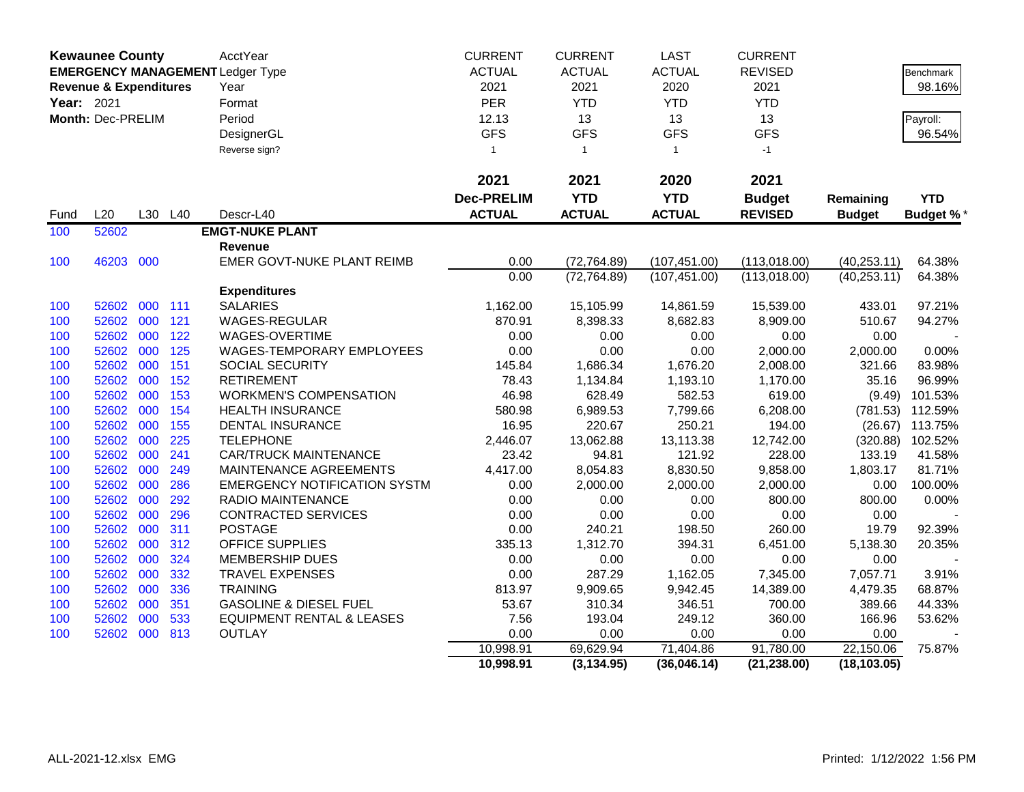|                                                                              | <b>Kewaunee County</b>          |               |               | <b>AcctYear</b>                      | <b>CURRENT</b>    | <b>CURRENT</b> | <b>LAST</b>   | <b>CURRENT</b> |               |                  |
|------------------------------------------------------------------------------|---------------------------------|---------------|---------------|--------------------------------------|-------------------|----------------|---------------|----------------|---------------|------------------|
| <b>EMERGENCY MANAGEMENT Ledger Type</b><br><b>Revenue &amp; Expenditures</b> |                                 | <b>ACTUAL</b> | <b>ACTUAL</b> | <b>ACTUAL</b>                        | <b>REVISED</b>    |                | Benchmark     |                |               |                  |
|                                                                              | Year: 2021<br>Month: Dec-PRELIM |               |               | Year                                 | 2021              | 2021           | 2020          | 2021           |               | 98.16%           |
|                                                                              |                                 |               |               | Format                               | <b>PER</b>        | <b>YTD</b>     | <b>YTD</b>    | <b>YTD</b>     |               |                  |
|                                                                              |                                 |               |               | Period                               | 12.13             | 13             | 13            | 13             |               | Payroll:         |
|                                                                              |                                 |               |               | DesignerGL                           | <b>GFS</b>        | <b>GFS</b>     | <b>GFS</b>    | <b>GFS</b>     |               | 96.54%           |
|                                                                              |                                 |               |               | Reverse sign?                        | $\mathbf{1}$      | $\mathbf{1}$   | $\mathbf{1}$  | $-1$           |               |                  |
|                                                                              |                                 |               |               |                                      | 2021              | 2021           | 2020          | 2021           |               |                  |
|                                                                              |                                 |               |               |                                      | <b>Dec-PRELIM</b> | <b>YTD</b>     | <b>YTD</b>    | <b>Budget</b>  | Remaining     | <b>YTD</b>       |
| Fund                                                                         | L20                             |               | L30 L40       | Descr-L40                            | <b>ACTUAL</b>     | <b>ACTUAL</b>  | <b>ACTUAL</b> | <b>REVISED</b> | <b>Budget</b> | <b>Budget %*</b> |
| 100                                                                          | 52602                           |               |               | <b>EMGT-NUKE PLANT</b>               |                   |                |               |                |               |                  |
|                                                                              |                                 |               |               | Revenue                              |                   |                |               |                |               |                  |
| 100                                                                          | 46203                           | 000           |               | EMER GOVT-NUKE PLANT REIMB           | 0.00              | (72, 764.89)   | (107, 451.00) | (113,018.00)   | (40, 253.11)  | 64.38%           |
|                                                                              |                                 |               |               |                                      | 0.00              | (72, 764.89)   | (107, 451.00) | (113,018.00)   | (40, 253.11)  | 64.38%           |
|                                                                              |                                 |               |               | <b>Expenditures</b>                  |                   |                |               |                |               |                  |
| 100                                                                          | 52602                           | 000           | 111           | <b>SALARIES</b>                      | 1,162.00          | 15,105.99      | 14,861.59     | 15,539.00      | 433.01        | 97.21%           |
| 100                                                                          | 52602                           | 000           | 121           | <b>WAGES-REGULAR</b>                 | 870.91            | 8,398.33       | 8,682.83      | 8,909.00       | 510.67        | 94.27%           |
| 100                                                                          | 52602                           | 000           | 122           | WAGES-OVERTIME                       | 0.00              | 0.00           | 0.00          | 0.00           | 0.00          |                  |
| 100                                                                          | 52602                           | 000           | 125           | WAGES-TEMPORARY EMPLOYEES            | 0.00              | 0.00           | 0.00          | 2,000.00       | 2,000.00      | 0.00%            |
| 100                                                                          | 52602                           | 000           | 151           | SOCIAL SECURITY                      | 145.84            | 1,686.34       | 1,676.20      | 2,008.00       | 321.66        | 83.98%           |
| 100                                                                          | 52602                           | 000           | 152           | <b>RETIREMENT</b>                    | 78.43             | 1,134.84       | 1,193.10      | 1,170.00       | 35.16         | 96.99%           |
| 100                                                                          | 52602                           | 000           | 153           | <b>WORKMEN'S COMPENSATION</b>        | 46.98             | 628.49         | 582.53        | 619.00         | (9.49)        | 101.53%          |
| 100                                                                          | 52602                           | 000           | 154           | <b>HEALTH INSURANCE</b>              | 580.98            | 6,989.53       | 7,799.66      | 6,208.00       | (781.53)      | 112.59%          |
| 100                                                                          | 52602                           | 000           | 155           | <b>DENTAL INSURANCE</b>              | 16.95             | 220.67         | 250.21        | 194.00         | (26.67)       | 113.75%          |
| 100                                                                          | 52602                           | 000           | 225           | <b>TELEPHONE</b>                     | 2,446.07          | 13,062.88      | 13,113.38     | 12,742.00      | (320.88)      | 102.52%          |
| 100                                                                          | 52602                           | 000           | 241           | <b>CAR/TRUCK MAINTENANCE</b>         | 23.42             | 94.81          | 121.92        | 228.00         | 133.19        | 41.58%           |
| 100                                                                          | 52602                           | 000           | 249           | MAINTENANCE AGREEMENTS               | 4,417.00          | 8,054.83       | 8,830.50      | 9,858.00       | 1,803.17      | 81.71%           |
| 100                                                                          | 52602                           | 000           | 286           | <b>EMERGENCY NOTIFICATION SYSTM</b>  | 0.00              | 2,000.00       | 2,000.00      | 2,000.00       | 0.00          | 100.00%          |
| 100                                                                          | 52602                           | 000           | 292           | RADIO MAINTENANCE                    | 0.00              | 0.00           | 0.00          | 800.00         | 800.00        | 0.00%            |
| 100                                                                          | 52602                           | 000           | 296           | CONTRACTED SERVICES                  | 0.00              | 0.00           | 0.00          | 0.00           | 0.00          |                  |
| 100                                                                          | 52602                           | 000           | 311           | <b>POSTAGE</b>                       | 0.00              | 240.21         | 198.50        | 260.00         | 19.79         | 92.39%           |
| 100                                                                          | 52602                           | 000           | 312           | OFFICE SUPPLIES                      | 335.13            | 1,312.70       | 394.31        | 6,451.00       | 5,138.30      | 20.35%           |
| 100                                                                          | 52602                           | 000           | 324           | <b>MEMBERSHIP DUES</b>               | 0.00              | 0.00           | 0.00          | 0.00           | 0.00          |                  |
| 100                                                                          | 52602                           | 000           | 332           | <b>TRAVEL EXPENSES</b>               | 0.00              | 287.29         | 1,162.05      | 7,345.00       | 7,057.71      | 3.91%            |
| 100                                                                          | 52602                           | 000           | 336           | <b>TRAINING</b>                      | 813.97            | 9,909.65       | 9,942.45      | 14,389.00      | 4,479.35      | 68.87%           |
| 100                                                                          | 52602                           | 000           | 351           | <b>GASOLINE &amp; DIESEL FUEL</b>    | 53.67             | 310.34         | 346.51        | 700.00         | 389.66        | 44.33%           |
| 100                                                                          | 52602                           | 000           | 533           | <b>EQUIPMENT RENTAL &amp; LEASES</b> | 7.56              | 193.04         | 249.12        | 360.00         | 166.96        | 53.62%           |
| 100                                                                          | 52602                           | 000           | 813           | <b>OUTLAY</b>                        | 0.00              | 0.00           | 0.00          | 0.00           | 0.00          |                  |
|                                                                              |                                 |               |               |                                      | 10,998.91         | 69,629.94      | 71,404.86     | 91,780.00      | 22,150.06     | 75.87%           |
|                                                                              |                                 |               |               |                                      | 10,998.91         | (3, 134.95)    | (36,046.14)   | (21, 238.00)   | (18, 103.05)  |                  |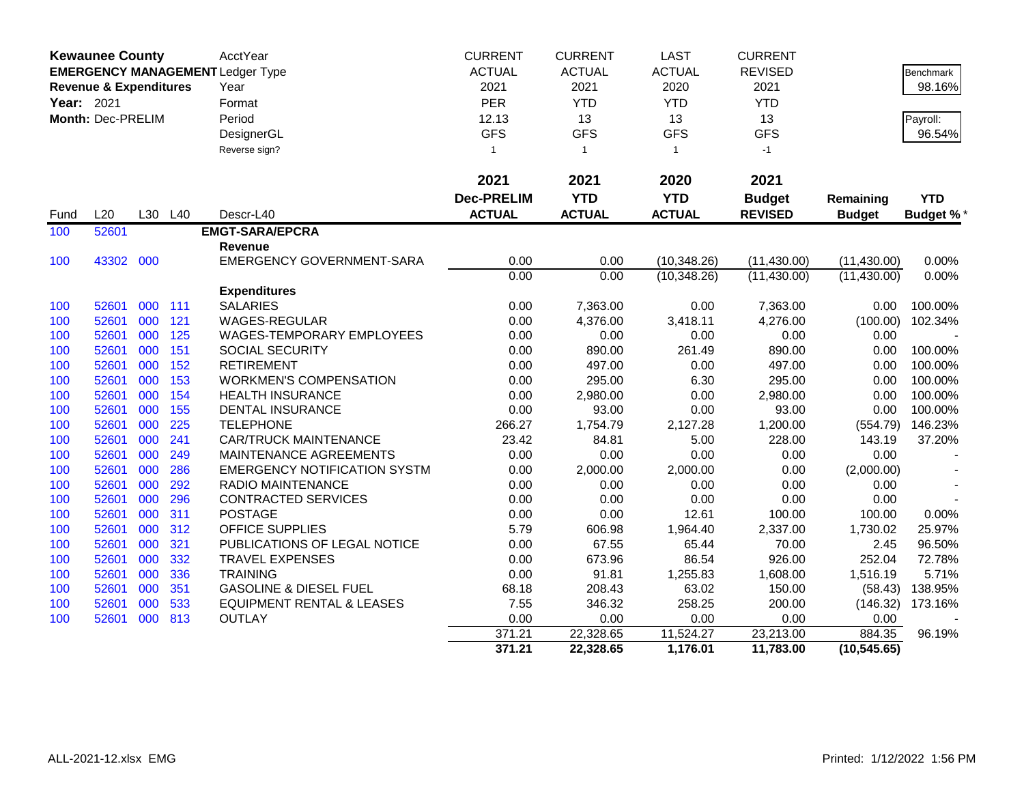|            | <b>Kewaunee County</b>            |     |         | AcctYear                                | <b>CURRENT</b>    | <b>CURRENT</b> | <b>LAST</b>   | <b>CURRENT</b> |               |                 |
|------------|-----------------------------------|-----|---------|-----------------------------------------|-------------------|----------------|---------------|----------------|---------------|-----------------|
|            |                                   |     |         | <b>EMERGENCY MANAGEMENT Ledger Type</b> | <b>ACTUAL</b>     | <b>ACTUAL</b>  | <b>ACTUAL</b> | <b>REVISED</b> |               | Benchmark       |
|            | <b>Revenue &amp; Expenditures</b> |     |         | Year                                    | 2021              | 2021           | 2020          | 2021           |               | 98.16%          |
| Year: 2021 |                                   |     |         | Format                                  | <b>PER</b>        | <b>YTD</b>     | <b>YTD</b>    | <b>YTD</b>     |               |                 |
|            | Month: Dec-PRELIM                 |     |         | Period                                  | 12.13             | 13             | 13            | 13             |               | Payroll:        |
|            |                                   |     |         | DesignerGL                              | <b>GFS</b>        | <b>GFS</b>     | <b>GFS</b>    | <b>GFS</b>     |               | 96.54%          |
|            |                                   |     |         | Reverse sign?                           | $\overline{1}$    | $\mathbf{1}$   | $\mathbf{1}$  | $-1$           |               |                 |
|            |                                   |     |         |                                         |                   |                |               |                |               |                 |
|            |                                   |     |         |                                         | 2021              | 2021           | 2020          | 2021           |               |                 |
|            |                                   |     |         |                                         | <b>Dec-PRELIM</b> | <b>YTD</b>     | <b>YTD</b>    | <b>Budget</b>  | Remaining     | <b>YTD</b>      |
| Fund       | L20                               |     | L30 L40 | Descr-L40                               | <b>ACTUAL</b>     | <b>ACTUAL</b>  | <b>ACTUAL</b> | <b>REVISED</b> | <b>Budget</b> | <b>Budget %</b> |
| 100        | 52601                             |     |         | <b>EMGT-SARA/EPCRA</b>                  |                   |                |               |                |               |                 |
|            |                                   |     |         | Revenue                                 |                   |                |               |                |               |                 |
| 100        | 43302                             | 000 |         | <b>EMERGENCY GOVERNMENT-SARA</b>        | 0.00              | 0.00           | (10, 348.26)  | (11, 430.00)   | (11, 430.00)  | 0.00%           |
|            |                                   |     |         |                                         | 0.00              | 0.00           | (10, 348.26)  | (11, 430.00)   | (11, 430.00)  | 0.00%           |
|            |                                   |     |         | <b>Expenditures</b>                     |                   |                |               |                |               |                 |
| 100        | 52601                             | 000 | 111     | <b>SALARIES</b>                         | 0.00              | 7,363.00       | 0.00          | 7,363.00       | 0.00          | 100.00%         |
| 100        | 52601                             | 000 | 121     | WAGES-REGULAR                           | 0.00              | 4,376.00       | 3,418.11      | 4,276.00       | (100.00)      | 102.34%         |
| 100        | 52601                             | 000 | 125     | <b>WAGES-TEMPORARY EMPLOYEES</b>        | 0.00              | 0.00           | 0.00          | 0.00           | 0.00          |                 |
| 100        | 52601                             | 000 | 151     | SOCIAL SECURITY                         | 0.00              | 890.00         | 261.49        | 890.00         | 0.00          | 100.00%         |
| 100        | 52601                             | 000 | 152     | <b>RETIREMENT</b>                       | 0.00              | 497.00         | 0.00          | 497.00         | 0.00          | 100.00%         |
| 100        | 52601                             | 000 | 153     | <b>WORKMEN'S COMPENSATION</b>           | 0.00              | 295.00         | 6.30          | 295.00         | 0.00          | 100.00%         |
| 100        | 52601                             | 000 | 154     | <b>HEALTH INSURANCE</b>                 | 0.00              | 2,980.00       | 0.00          | 2,980.00       | 0.00          | 100.00%         |
| 100        | 52601                             | 000 | 155     | <b>DENTAL INSURANCE</b>                 | 0.00              | 93.00          | 0.00          | 93.00          | 0.00          | 100.00%         |
| 100        | 52601                             | 000 | 225     | <b>TELEPHONE</b>                        | 266.27            | 1,754.79       | 2,127.28      | 1,200.00       | (554.79)      | 146.23%         |
| 100        | 52601                             | 000 | 241     | <b>CAR/TRUCK MAINTENANCE</b>            | 23.42             | 84.81          | 5.00          | 228.00         | 143.19        | 37.20%          |
| 100        | 52601                             | 000 | 249     | MAINTENANCE AGREEMENTS                  | 0.00              | 0.00           | 0.00          | 0.00           | 0.00          |                 |
| 100        | 52601                             | 000 | 286     | <b>EMERGENCY NOTIFICATION SYSTM</b>     | 0.00              | 2,000.00       | 2,000.00      | 0.00           | (2,000.00)    |                 |
| 100        | 52601                             | 000 | 292     | RADIO MAINTENANCE                       | 0.00              | 0.00           | 0.00          | 0.00           | 0.00          |                 |
| 100        | 52601                             | 000 | 296     | <b>CONTRACTED SERVICES</b>              | 0.00              | 0.00           | 0.00          | 0.00           | 0.00          |                 |
| 100        | 52601                             | 000 | 311     | <b>POSTAGE</b>                          | 0.00              | 0.00           | 12.61         | 100.00         | 100.00        | 0.00%           |
| 100        | 52601                             | 000 | 312     | <b>OFFICE SUPPLIES</b>                  | 5.79              | 606.98         | 1,964.40      | 2,337.00       | 1,730.02      | 25.97%          |
| 100        | 52601                             | 000 | 321     | PUBLICATIONS OF LEGAL NOTICE            | 0.00              | 67.55          | 65.44         | 70.00          | 2.45          | 96.50%          |
| 100        | 52601                             | 000 | 332     | <b>TRAVEL EXPENSES</b>                  | 0.00              | 673.96         | 86.54         | 926.00         | 252.04        | 72.78%          |
| 100        | 52601                             | 000 | 336     | <b>TRAINING</b>                         | 0.00              | 91.81          | 1,255.83      | 1,608.00       | 1,516.19      | 5.71%           |
| 100        | 52601                             | 000 | 351     | <b>GASOLINE &amp; DIESEL FUEL</b>       | 68.18             | 208.43         | 63.02         | 150.00         | (58.43)       | 138.95%         |
| 100        | 52601                             | 000 | 533     | <b>EQUIPMENT RENTAL &amp; LEASES</b>    | 7.55              | 346.32         | 258.25        | 200.00         | (146.32)      | 173.16%         |
| 100        | 52601                             | 000 | 813     | <b>OUTLAY</b>                           | 0.00              | 0.00           | 0.00          | 0.00           | 0.00          |                 |
|            |                                   |     |         |                                         | 371.21            | 22,328.65      | 11,524.27     | 23,213.00      | 884.35        | 96.19%          |
|            |                                   |     |         |                                         | 371.21            | 22,328.65      | 1,176.01      | 11,783.00      | (10, 545.65)  |                 |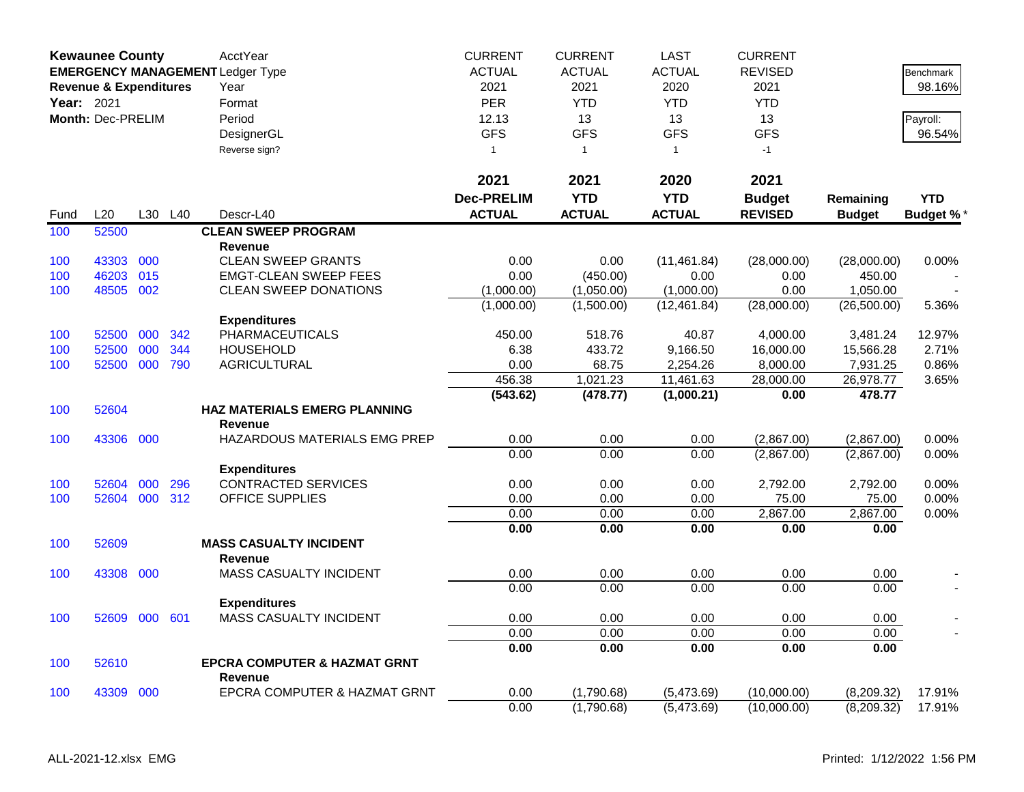|            | <b>Kewaunee County</b>            |     |     | AcctYear                                | <b>CURRENT</b>    | <b>CURRENT</b> | <b>LAST</b>   | <b>CURRENT</b> |               |                  |
|------------|-----------------------------------|-----|-----|-----------------------------------------|-------------------|----------------|---------------|----------------|---------------|------------------|
|            |                                   |     |     | <b>EMERGENCY MANAGEMENT Ledger Type</b> | <b>ACTUAL</b>     | <b>ACTUAL</b>  | <b>ACTUAL</b> | <b>REVISED</b> |               | Benchmark        |
|            | <b>Revenue &amp; Expenditures</b> |     |     | Year                                    | 2021              | 2021           | 2020          | 2021           |               | 98.16%           |
| Year: 2021 |                                   |     |     | Format                                  | PER               | <b>YTD</b>     | <b>YTD</b>    | <b>YTD</b>     |               |                  |
|            | Month: Dec-PRELIM                 |     |     | Period                                  | 12.13             | 13             | 13            | 13             |               | Payroll:         |
|            |                                   |     |     | DesignerGL                              | <b>GFS</b>        | <b>GFS</b>     | <b>GFS</b>    | <b>GFS</b>     |               | 96.54%           |
|            |                                   |     |     | Reverse sign?                           | $\overline{1}$    | $\overline{1}$ | $\mathbf{1}$  | $-1$           |               |                  |
|            |                                   |     |     |                                         |                   |                |               |                |               |                  |
|            |                                   |     |     |                                         | 2021              | 2021           | 2020          | 2021           |               |                  |
|            |                                   |     |     |                                         | <b>Dec-PRELIM</b> | <b>YTD</b>     | <b>YTD</b>    | <b>Budget</b>  | Remaining     | <b>YTD</b>       |
| Fund       | L20                               | L30 | L40 | Descr-L40                               | <b>ACTUAL</b>     | <b>ACTUAL</b>  | <b>ACTUAL</b> | <b>REVISED</b> | <b>Budget</b> | <b>Budget %*</b> |
| 100        | 52500                             |     |     | <b>CLEAN SWEEP PROGRAM</b>              |                   |                |               |                |               |                  |
|            |                                   |     |     | <b>Revenue</b>                          |                   |                |               |                |               |                  |
| 100        | 43303                             | 000 |     | <b>CLEAN SWEEP GRANTS</b>               | 0.00              | 0.00           | (11, 461.84)  | (28,000.00)    | (28,000.00)   | 0.00%            |
| 100        | 46203                             | 015 |     | <b>EMGT-CLEAN SWEEP FEES</b>            | 0.00              | (450.00)       | 0.00          | 0.00           | 450.00        |                  |
| 100        | 48505                             | 002 |     | <b>CLEAN SWEEP DONATIONS</b>            | (1,000.00)        | (1,050.00)     | (1,000.00)    | 0.00           | 1,050.00      |                  |
|            |                                   |     |     |                                         | (1,000.00)        | (1,500.00)     | (12, 461.84)  | (28,000.00)    | (26,500.00)   | 5.36%            |
|            |                                   |     |     | <b>Expenditures</b>                     |                   |                |               |                |               |                  |
| 100        | 52500                             | 000 | 342 | <b>PHARMACEUTICALS</b>                  | 450.00            | 518.76         | 40.87         | 4,000.00       | 3,481.24      | 12.97%           |
| 100        | 52500                             | 000 | 344 | <b>HOUSEHOLD</b>                        | 6.38              | 433.72         | 9,166.50      | 16,000.00      | 15,566.28     | 2.71%            |
| 100        | 52500                             | 000 | 790 | <b>AGRICULTURAL</b>                     | 0.00              | 68.75          | 2,254.26      | 8,000.00       | 7,931.25      | 0.86%            |
|            |                                   |     |     |                                         | 456.38            | 1,021.23       | 11,461.63     | 28,000.00      | 26,978.77     | 3.65%            |
|            |                                   |     |     |                                         | (543.62)          | (478.77)       | (1,000.21)    | 0.00           | 478.77        |                  |
| 100        | 52604                             |     |     | <b>HAZ MATERIALS EMERG PLANNING</b>     |                   |                |               |                |               |                  |
|            |                                   |     |     | <b>Revenue</b>                          |                   |                |               |                |               |                  |
| 100        | 43306                             | 000 |     | HAZARDOUS MATERIALS EMG PREP            | 0.00              | 0.00           | 0.00          | (2,867.00)     | (2,867.00)    | $0.00\%$         |
|            |                                   |     |     |                                         | 0.00              | 0.00           | 0.00          | (2,867.00)     | (2,867.00)    | 0.00%            |
|            |                                   |     |     | <b>Expenditures</b>                     |                   |                |               |                |               |                  |
| 100        | 52604                             | 000 | 296 | <b>CONTRACTED SERVICES</b>              | 0.00              | 0.00           | 0.00          | 2,792.00       | 2,792.00      | 0.00%            |
| 100        | 52604 000                         |     | 312 | <b>OFFICE SUPPLIES</b>                  | 0.00              | 0.00           | 0.00          | 75.00          | 75.00         | 0.00%            |
|            |                                   |     |     |                                         | 0.00              | 0.00           | 0.00          | 2,867.00       | 2,867.00      | 0.00%            |
|            |                                   |     |     |                                         | 0.00              | 0.00           | 0.00          | 0.00           | 0.00          |                  |
| 100        | 52609                             |     |     | <b>MASS CASUALTY INCIDENT</b>           |                   |                |               |                |               |                  |
|            |                                   |     |     | <b>Revenue</b>                          |                   |                |               |                |               |                  |
| 100        | 43308                             | 000 |     | MASS CASUALTY INCIDENT                  | 0.00              | 0.00           | 0.00          | 0.00           | 0.00          |                  |
|            |                                   |     |     |                                         | 0.00              | 0.00           | 0.00          | 0.00           | 0.00          |                  |
|            |                                   |     |     | <b>Expenditures</b>                     |                   |                |               |                |               |                  |
| 100        | 52609                             | 000 | 601 | <b>MASS CASUALTY INCIDENT</b>           | 0.00              | 0.00           | 0.00          | 0.00           | 0.00          |                  |
|            |                                   |     |     |                                         | 0.00              | 0.00           | 0.00          | 0.00           | 0.00          |                  |
|            |                                   |     |     |                                         | 0.00              | 0.00           | 0.00          | 0.00           | 0.00          |                  |
| 100        | 52610                             |     |     | <b>EPCRA COMPUTER &amp; HAZMAT GRNT</b> |                   |                |               |                |               |                  |
|            |                                   |     |     | <b>Revenue</b>                          |                   |                |               |                |               |                  |
| 100        | 43309                             | 000 |     | EPCRA COMPUTER & HAZMAT GRNT            | 0.00              | (1,790.68)     | (5,473.69)    | (10,000.00)    | (8,209.32)    | 17.91%           |
|            |                                   |     |     |                                         | 0.00              | (1,790.68)     | (5,473.69)    | (10,000.00)    | (8,209.32)    | 17.91%           |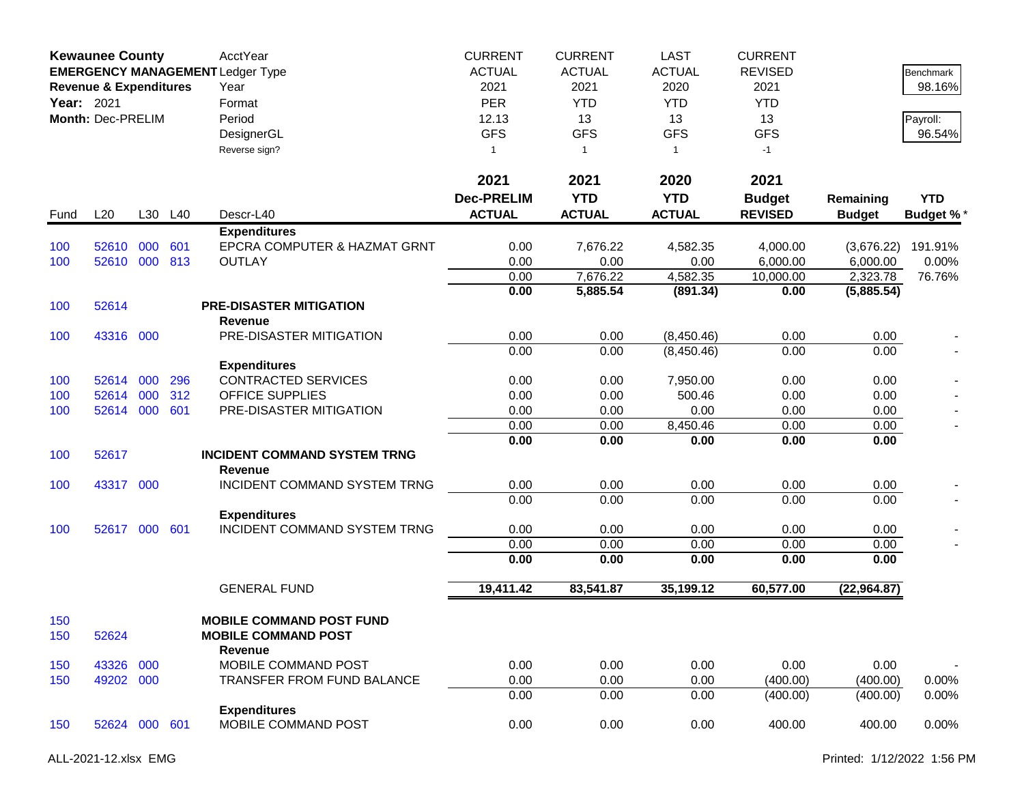|            | <b>Kewaunee County</b><br><b>EMERGENCY MANAGEMENT Ledger Type</b><br><b>Revenue &amp; Expenditures</b><br>Year: 2021<br>Month: Dec-PRELIM |     |     | AcctYear<br>Year<br>Format<br>Period<br>DesignerGL<br>Reverse sign? | <b>CURRENT</b><br><b>ACTUAL</b><br>2021<br>PER<br>12.13<br><b>GFS</b><br>$\mathbf{1}$ | <b>CURRENT</b><br><b>ACTUAL</b><br>2021<br><b>YTD</b><br>13<br><b>GFS</b><br>$\mathbf{1}$<br>2021 | <b>LAST</b><br><b>ACTUAL</b><br>2020<br><b>YTD</b><br>13<br><b>GFS</b><br>$\mathbf{1}$<br>2020 | <b>CURRENT</b><br><b>REVISED</b><br>2021<br><b>YTD</b><br>13<br><b>GFS</b><br>$-1$ |                            | Benchmark<br>98.16%<br>Payroll:<br>96.54% |
|------------|-------------------------------------------------------------------------------------------------------------------------------------------|-----|-----|---------------------------------------------------------------------|---------------------------------------------------------------------------------------|---------------------------------------------------------------------------------------------------|------------------------------------------------------------------------------------------------|------------------------------------------------------------------------------------|----------------------------|-------------------------------------------|
|            |                                                                                                                                           |     |     |                                                                     | 2021                                                                                  |                                                                                                   |                                                                                                | 2021                                                                               |                            |                                           |
| Fund       | L20                                                                                                                                       | L30 | L40 | Descr-L40                                                           | <b>Dec-PRELIM</b><br><b>ACTUAL</b>                                                    | <b>YTD</b><br><b>ACTUAL</b>                                                                       | <b>YTD</b><br><b>ACTUAL</b>                                                                    | <b>Budget</b><br><b>REVISED</b>                                                    | Remaining<br><b>Budget</b> | <b>YTD</b><br><b>Budget %*</b>            |
|            |                                                                                                                                           |     |     | <b>Expenditures</b>                                                 |                                                                                       |                                                                                                   |                                                                                                |                                                                                    |                            |                                           |
| 100        | 52610                                                                                                                                     | 000 | 601 | EPCRA COMPUTER & HAZMAT GRNT                                        | 0.00                                                                                  | 7,676.22                                                                                          | 4,582.35                                                                                       | 4,000.00                                                                           | (3,676.22)                 | 191.91%                                   |
| 100        | 52610                                                                                                                                     | 000 | 813 | <b>OUTLAY</b>                                                       | 0.00                                                                                  | 0.00                                                                                              | 0.00                                                                                           | 6,000.00                                                                           | 6,000.00                   | 0.00%                                     |
|            |                                                                                                                                           |     |     |                                                                     | 0.00                                                                                  | 7,676.22                                                                                          | 4,582.35                                                                                       | 10,000.00                                                                          | 2,323.78                   | 76.76%                                    |
| 100        | 52614                                                                                                                                     |     |     | <b>PRE-DISASTER MITIGATION</b><br>Revenue                           | 0.00                                                                                  | 5,885.54                                                                                          | (891.34)                                                                                       | 0.00                                                                               | (5,885.54)                 |                                           |
| 100        | 43316 000                                                                                                                                 |     |     | PRE-DISASTER MITIGATION                                             | 0.00                                                                                  | 0.00                                                                                              | (8,450.46)                                                                                     | 0.00                                                                               | 0.00                       |                                           |
|            |                                                                                                                                           |     |     |                                                                     | 0.00                                                                                  | 0.00                                                                                              | (8,450.46)                                                                                     | 0.00                                                                               | 0.00                       |                                           |
|            |                                                                                                                                           |     |     | <b>Expenditures</b>                                                 |                                                                                       |                                                                                                   |                                                                                                |                                                                                    |                            |                                           |
| 100        | 52614                                                                                                                                     | 000 | 296 | <b>CONTRACTED SERVICES</b>                                          | 0.00                                                                                  | 0.00                                                                                              | 7,950.00                                                                                       | 0.00                                                                               | 0.00                       |                                           |
| 100        | 52614                                                                                                                                     | 000 | 312 | <b>OFFICE SUPPLIES</b>                                              | 0.00                                                                                  | 0.00                                                                                              | 500.46                                                                                         | 0.00                                                                               | 0.00                       |                                           |
| 100        | 52614 000                                                                                                                                 |     | 601 | PRE-DISASTER MITIGATION                                             | 0.00                                                                                  | 0.00                                                                                              | 0.00                                                                                           | 0.00                                                                               | 0.00                       |                                           |
|            |                                                                                                                                           |     |     |                                                                     | 0.00                                                                                  | 0.00                                                                                              | 8,450.46                                                                                       | 0.00                                                                               | 0.00                       |                                           |
|            |                                                                                                                                           |     |     |                                                                     | 0.00                                                                                  | 0.00                                                                                              | 0.00                                                                                           | 0.00                                                                               | 0.00                       |                                           |
| 100        | 52617                                                                                                                                     |     |     | <b>INCIDENT COMMAND SYSTEM TRNG</b><br><b>Revenue</b>               |                                                                                       |                                                                                                   |                                                                                                |                                                                                    |                            |                                           |
| 100        | 43317 000                                                                                                                                 |     |     | INCIDENT COMMAND SYSTEM TRNG                                        | 0.00                                                                                  | 0.00                                                                                              | 0.00                                                                                           | 0.00                                                                               | 0.00                       |                                           |
|            |                                                                                                                                           |     |     |                                                                     | 0.00                                                                                  | 0.00                                                                                              | 0.00                                                                                           | 0.00                                                                               | 0.00                       |                                           |
| 100        | 52617                                                                                                                                     | 000 | 601 | <b>Expenditures</b><br>INCIDENT COMMAND SYSTEM TRNG                 | 0.00                                                                                  | 0.00                                                                                              | 0.00                                                                                           | 0.00                                                                               | 0.00                       |                                           |
|            |                                                                                                                                           |     |     |                                                                     | 0.00                                                                                  | 0.00                                                                                              | 0.00                                                                                           | 0.00                                                                               | 0.00                       |                                           |
|            |                                                                                                                                           |     |     |                                                                     | 0.00                                                                                  | 0.00                                                                                              | 0.00                                                                                           | 0.00                                                                               | 0.00                       |                                           |
|            |                                                                                                                                           |     |     | <b>GENERAL FUND</b>                                                 | 19,411.42                                                                             | 83,541.87                                                                                         | 35,199.12                                                                                      | 60,577.00                                                                          | (22,964.87)                |                                           |
| 150<br>150 | 52624                                                                                                                                     |     |     | <b>MOBILE COMMAND POST FUND</b><br><b>MOBILE COMMAND POST</b>       |                                                                                       |                                                                                                   |                                                                                                |                                                                                    |                            |                                           |
| 150        | 43326                                                                                                                                     | 000 |     | <b>Revenue</b><br>MOBILE COMMAND POST                               | 0.00                                                                                  | 0.00                                                                                              | 0.00                                                                                           | 0.00                                                                               | 0.00                       |                                           |
| 150        | 49202 000                                                                                                                                 |     |     | TRANSFER FROM FUND BALANCE                                          | 0.00                                                                                  | 0.00                                                                                              | 0.00                                                                                           | (400.00)                                                                           | (400.00)                   | $0.00\%$                                  |
|            |                                                                                                                                           |     |     |                                                                     | 0.00                                                                                  | 0.00                                                                                              | 0.00                                                                                           | (400.00)                                                                           | (400.00)                   | 0.00%                                     |
|            |                                                                                                                                           |     |     | <b>Expenditures</b>                                                 |                                                                                       |                                                                                                   |                                                                                                |                                                                                    |                            |                                           |
| 150        | 52624 000 601                                                                                                                             |     |     | MOBILE COMMAND POST                                                 | 0.00                                                                                  | 0.00                                                                                              | 0.00                                                                                           | 400.00                                                                             | 400.00                     | 0.00%                                     |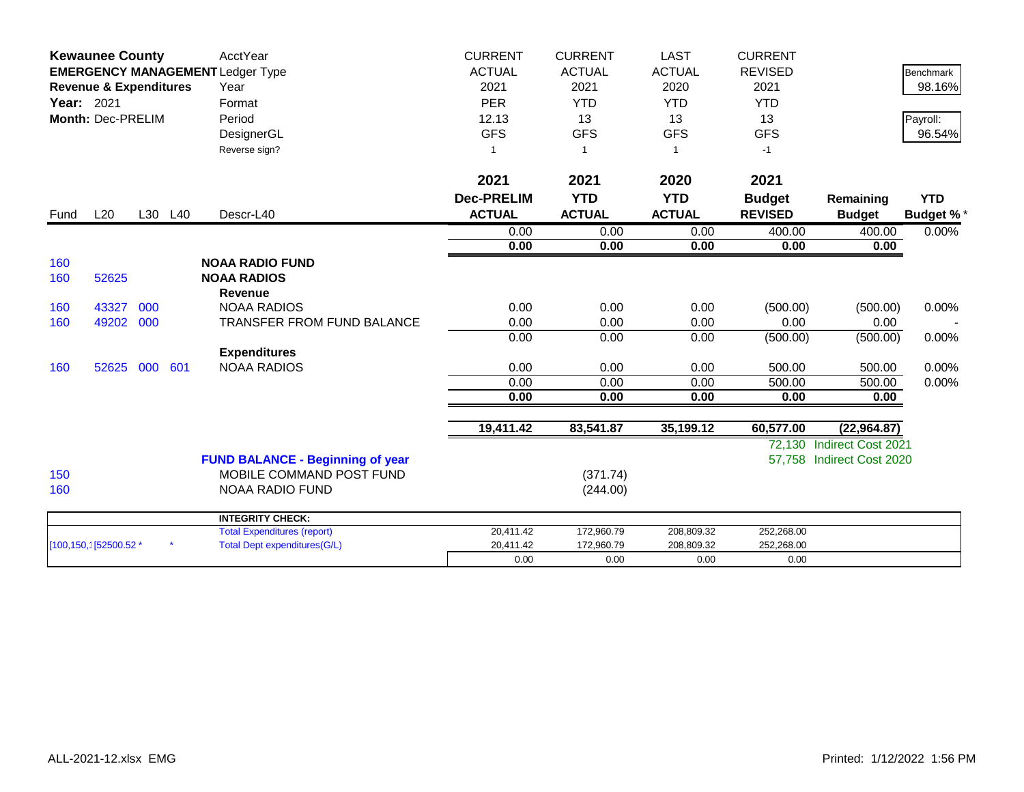|            | <b>Kewaunee County</b>            |     |         | <b>AcctYear</b>                         | <b>CURRENT</b>    | <b>CURRENT</b> | <b>LAST</b>    | <b>CURRENT</b> |                           |                  |
|------------|-----------------------------------|-----|---------|-----------------------------------------|-------------------|----------------|----------------|----------------|---------------------------|------------------|
|            |                                   |     |         | <b>EMERGENCY MANAGEMENT Ledger Type</b> | <b>ACTUAL</b>     | <b>ACTUAL</b>  | <b>ACTUAL</b>  | <b>REVISED</b> |                           | <b>Benchmark</b> |
|            | <b>Revenue &amp; Expenditures</b> |     |         | Year                                    | 2021              | 2021           | 2020           | 2021           |                           | 98.16%           |
| Year: 2021 |                                   |     |         | Format                                  | <b>PER</b>        | <b>YTD</b>     | <b>YTD</b>     | <b>YTD</b>     |                           |                  |
|            | Month: Dec-PRELIM                 |     |         | Period                                  | 12.13             | 13             | 13             | 13             |                           | Payroll:         |
|            |                                   |     |         | DesignerGL                              | <b>GFS</b>        | <b>GFS</b>     | <b>GFS</b>     | <b>GFS</b>     |                           | 96.54%           |
|            |                                   |     |         | Reverse sign?                           |                   | $\overline{1}$ | $\overline{1}$ | $-1$           |                           |                  |
|            |                                   |     |         |                                         | 2021              | 2021           | 2020           | 2021           |                           |                  |
|            |                                   |     |         |                                         | <b>Dec-PRELIM</b> | <b>YTD</b>     | <b>YTD</b>     | <b>Budget</b>  | Remaining                 | <b>YTD</b>       |
| Fund       | L20                               |     | L30 L40 | Descr-L40                               | <b>ACTUAL</b>     | <b>ACTUAL</b>  | <b>ACTUAL</b>  | <b>REVISED</b> | <b>Budget</b>             | <b>Budget %*</b> |
|            |                                   |     |         |                                         | 0.00              | 0.00           | 0.00           | 400.00         | 400.00                    | 0.00%            |
|            |                                   |     |         |                                         | 0.00              | 0.00           | 0.00           | 0.00           | 0.00                      |                  |
| 160        |                                   |     |         | <b>NOAA RADIO FUND</b>                  |                   |                |                |                |                           |                  |
| 160        | 52625                             |     |         | <b>NOAA RADIOS</b>                      |                   |                |                |                |                           |                  |
|            |                                   |     |         | <b>Revenue</b>                          |                   |                |                |                |                           |                  |
| 160        | 43327                             | 000 |         | <b>NOAA RADIOS</b>                      | 0.00              | 0.00           | 0.00           | (500.00)       | (500.00)                  | 0.00%            |
| 160        | 49202 000                         |     |         | TRANSFER FROM FUND BALANCE              | 0.00              | 0.00           | 0.00           | 0.00           | 0.00                      |                  |
|            |                                   |     |         |                                         | 0.00              | 0.00           | 0.00           | (500.00)       | (500.00)                  | 0.00%            |
|            |                                   |     |         | <b>Expenditures</b>                     |                   |                |                |                |                           |                  |
| 160        | 52625                             | 000 | 601     | <b>NOAA RADIOS</b>                      | 0.00              | 0.00           | 0.00           | 500.00         | 500.00                    | 0.00%            |
|            |                                   |     |         |                                         | 0.00              | 0.00           | 0.00           | 500.00         | 500.00                    | 0.00%            |
|            |                                   |     |         |                                         | 0.00              | 0.00           | 0.00           | 0.00           | 0.00                      |                  |
|            |                                   |     |         |                                         | 19,411.42         | 83,541.87      | 35,199.12      | 60,577.00      | (22, 964.87)              |                  |
|            |                                   |     |         |                                         |                   |                |                |                | 72,130 Indirect Cost 2021 |                  |
|            |                                   |     |         | <b>FUND BALANCE - Beginning of year</b> |                   |                |                |                | 57.758 Indirect Cost 2020 |                  |
| 150        |                                   |     |         | MOBILE COMMAND POST FUND                |                   | (371.74)       |                |                |                           |                  |
| 160        |                                   |     |         | NOAA RADIO FUND                         |                   | (244.00)       |                |                |                           |                  |
|            |                                   |     |         | <b>INTEGRITY CHECK:</b>                 |                   |                |                |                |                           |                  |
|            |                                   |     |         | <b>Total Expenditures (report)</b>      | 20,411.42         | 172,960.79     | 208,809.32     | 252,268.00     |                           |                  |
|            | [100,150,1[52500.52 *             |     |         | <b>Total Dept expenditures(G/L)</b>     | 20,411.42         | 172,960.79     | 208,809.32     | 252,268.00     |                           |                  |
|            |                                   |     |         |                                         | 0.00              | 0.00           | 0.00           | 0.00           |                           |                  |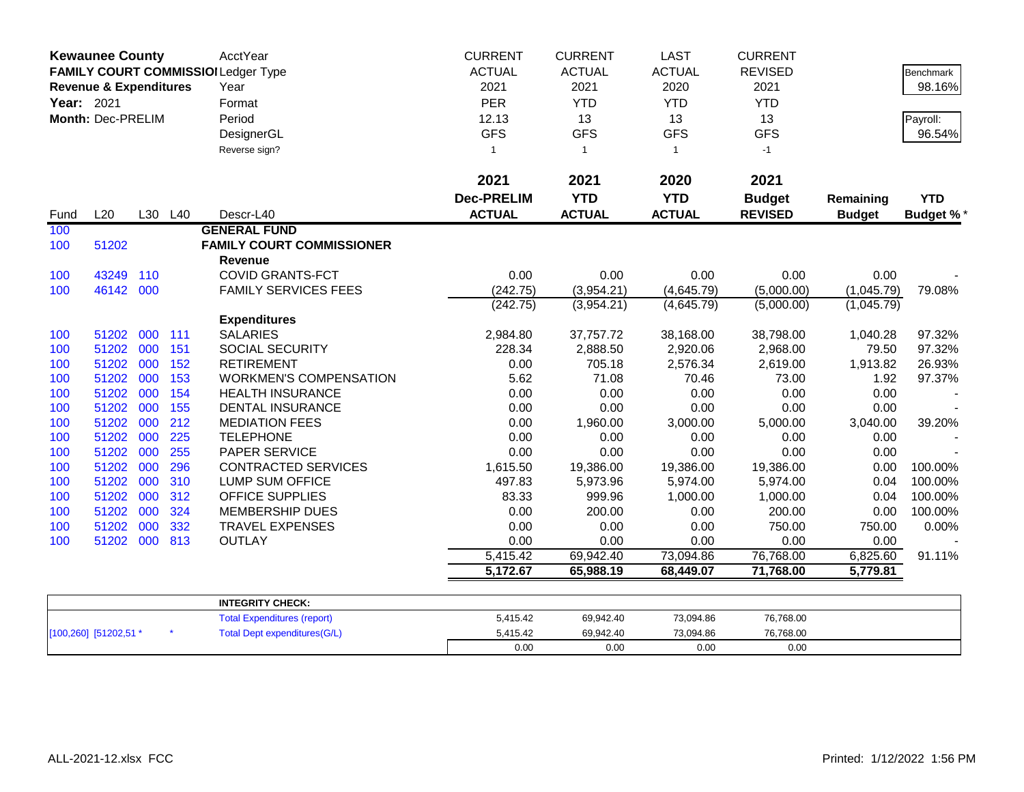| Year: 2021 | <b>Kewaunee County</b><br><b>Revenue &amp; Expenditures</b><br>Month: Dec-PRELIM |     |         | AcctYear<br>FAMILY COURT COMMISSIOI Ledger Type<br>Year<br>Format<br>Period<br>DesignerGL<br>Reverse sign? | <b>CURRENT</b><br><b>ACTUAL</b><br>2021<br><b>PER</b><br>12.13<br><b>GFS</b><br>-1<br>2021 | <b>CURRENT</b><br><b>ACTUAL</b><br>2021<br><b>YTD</b><br>13<br><b>GFS</b><br>$\overline{1}$<br>2021 | <b>LAST</b><br><b>ACTUAL</b><br>2020<br><b>YTD</b><br>13<br><b>GFS</b><br>$\mathbf{1}$<br>2020 | <b>CURRENT</b><br><b>REVISED</b><br>2021<br><b>YTD</b><br>13<br><b>GFS</b><br>$-1$<br>2021 |               | Benchmark<br>98.16%<br>Payroll:<br>96.54% |
|------------|----------------------------------------------------------------------------------|-----|---------|------------------------------------------------------------------------------------------------------------|--------------------------------------------------------------------------------------------|-----------------------------------------------------------------------------------------------------|------------------------------------------------------------------------------------------------|--------------------------------------------------------------------------------------------|---------------|-------------------------------------------|
|            |                                                                                  |     |         |                                                                                                            | <b>Dec-PRELIM</b>                                                                          | <b>YTD</b>                                                                                          | <b>YTD</b>                                                                                     | <b>Budget</b>                                                                              | Remaining     | <b>YTD</b>                                |
| Fund       | L20                                                                              |     | L30 L40 | Descr-L40                                                                                                  | <b>ACTUAL</b>                                                                              | <b>ACTUAL</b>                                                                                       | <b>ACTUAL</b>                                                                                  | <b>REVISED</b>                                                                             | <b>Budget</b> | <b>Budget %*</b>                          |
| 100<br>100 | 51202                                                                            |     |         | <b>GENERAL FUND</b><br><b>FAMILY COURT COMMISSIONER</b><br><b>Revenue</b>                                  |                                                                                            |                                                                                                     |                                                                                                |                                                                                            |               |                                           |
| 100        | 43249                                                                            | 110 |         | <b>COVID GRANTS-FCT</b>                                                                                    | 0.00                                                                                       | 0.00                                                                                                | 0.00                                                                                           | 0.00                                                                                       | 0.00          |                                           |
| 100        | 46142 000                                                                        |     |         | <b>FAMILY SERVICES FEES</b>                                                                                | (242.75)                                                                                   | (3,954.21)                                                                                          | (4,645.79)                                                                                     | (5,000.00)                                                                                 | (1,045.79)    | 79.08%                                    |
|            |                                                                                  |     |         |                                                                                                            | (242.75)                                                                                   | (3,954.21)                                                                                          | (4,645.79)                                                                                     | (5,000.00)                                                                                 | (1,045.79)    |                                           |
|            |                                                                                  |     |         | <b>Expenditures</b>                                                                                        |                                                                                            |                                                                                                     |                                                                                                |                                                                                            |               |                                           |
| 100        | 51202 000                                                                        |     | 111     | <b>SALARIES</b>                                                                                            | 2,984.80                                                                                   | 37,757.72                                                                                           | 38,168.00                                                                                      | 38,798.00                                                                                  | 1,040.28      | 97.32%                                    |
| 100        | 51202 000                                                                        |     | 151     | SOCIAL SECURITY                                                                                            | 228.34                                                                                     | 2,888.50                                                                                            | 2,920.06                                                                                       | 2,968.00                                                                                   | 79.50         | 97.32%                                    |
| 100        | 51202 000                                                                        |     | 152     | <b>RETIREMENT</b>                                                                                          | 0.00                                                                                       | 705.18                                                                                              | 2,576.34                                                                                       | 2,619.00                                                                                   | 1,913.82      | 26.93%                                    |
| 100        | 51202                                                                            | 000 | 153     | <b>WORKMEN'S COMPENSATION</b>                                                                              | 5.62                                                                                       | 71.08                                                                                               | 70.46                                                                                          | 73.00                                                                                      | 1.92          | 97.37%                                    |
| 100        | 51202                                                                            | 000 | 154     | <b>HEALTH INSURANCE</b>                                                                                    | 0.00                                                                                       | 0.00                                                                                                | 0.00                                                                                           | 0.00                                                                                       | 0.00          |                                           |
| 100        | 51202                                                                            | 000 | 155     | <b>DENTAL INSURANCE</b>                                                                                    | 0.00                                                                                       | 0.00                                                                                                | 0.00                                                                                           | 0.00                                                                                       | 0.00          |                                           |
| 100        | 51202 000                                                                        |     | 212     | <b>MEDIATION FEES</b>                                                                                      | 0.00                                                                                       | 1,960.00                                                                                            | 3,000.00                                                                                       | 5,000.00                                                                                   | 3,040.00      | 39.20%                                    |
| 100        | 51202                                                                            | 000 | 225     | <b>TELEPHONE</b>                                                                                           | 0.00                                                                                       | 0.00                                                                                                | 0.00                                                                                           | 0.00                                                                                       | 0.00          |                                           |
| 100        | 51202                                                                            | 000 | 255     | PAPER SERVICE                                                                                              | 0.00                                                                                       | 0.00                                                                                                | 0.00                                                                                           | 0.00                                                                                       | 0.00          |                                           |
| 100        | 51202                                                                            | 000 | 296     | <b>CONTRACTED SERVICES</b>                                                                                 | 1,615.50                                                                                   | 19,386.00                                                                                           | 19,386.00                                                                                      | 19,386.00                                                                                  | 0.00          | 100.00%                                   |
| 100        | 51202                                                                            | 000 | 310     | LUMP SUM OFFICE                                                                                            | 497.83                                                                                     | 5,973.96                                                                                            | 5,974.00                                                                                       | 5,974.00                                                                                   | 0.04          | 100.00%                                   |
| 100        | 51202                                                                            | 000 | 312     | <b>OFFICE SUPPLIES</b>                                                                                     | 83.33                                                                                      | 999.96                                                                                              | 1,000.00                                                                                       | 1,000.00                                                                                   | 0.04          | 100.00%                                   |
| 100        | 51202 000                                                                        |     | 324     | <b>MEMBERSHIP DUES</b>                                                                                     | 0.00                                                                                       | 200.00                                                                                              | 0.00                                                                                           | 200.00                                                                                     | 0.00          | 100.00%                                   |
| 100        | 51202                                                                            | 000 | 332     | <b>TRAVEL EXPENSES</b>                                                                                     | 0.00                                                                                       | 0.00                                                                                                | 0.00                                                                                           | 750.00                                                                                     | 750.00        | 0.00%                                     |
| 100        | 51202 000                                                                        |     | 813     | <b>OUTLAY</b>                                                                                              | 0.00                                                                                       | 0.00                                                                                                | 0.00                                                                                           | 0.00                                                                                       | 0.00          |                                           |
|            |                                                                                  |     |         |                                                                                                            | 5,415.42                                                                                   | 69,942.40                                                                                           | 73,094.86                                                                                      | 76,768.00                                                                                  | 6,825.60      | 91.11%                                    |
|            |                                                                                  |     |         |                                                                                                            | 5,172.67                                                                                   | 65,988.19                                                                                           | 68,449.07                                                                                      | 71,768.00                                                                                  | 5,779.81      |                                           |
|            |                                                                                  |     |         | <b>INTEGRITY CHECK:</b>                                                                                    |                                                                                            |                                                                                                     |                                                                                                |                                                                                            |               |                                           |
|            |                                                                                  |     |         | <b>Total Expenditures (report)</b>                                                                         | 5,415.42                                                                                   | 69,942.40                                                                                           | 73,094.86                                                                                      | 76,768.00                                                                                  |               |                                           |
|            | [100,260] [51202,51 *                                                            |     |         | <b>Total Dept expenditures(G/L)</b>                                                                        | 5,415.42                                                                                   | 69,942.40                                                                                           | 73,094.86                                                                                      | 76,768.00                                                                                  |               |                                           |
|            |                                                                                  |     |         |                                                                                                            | 0.00                                                                                       | 0.00                                                                                                | 0.00                                                                                           | 0.00                                                                                       |               |                                           |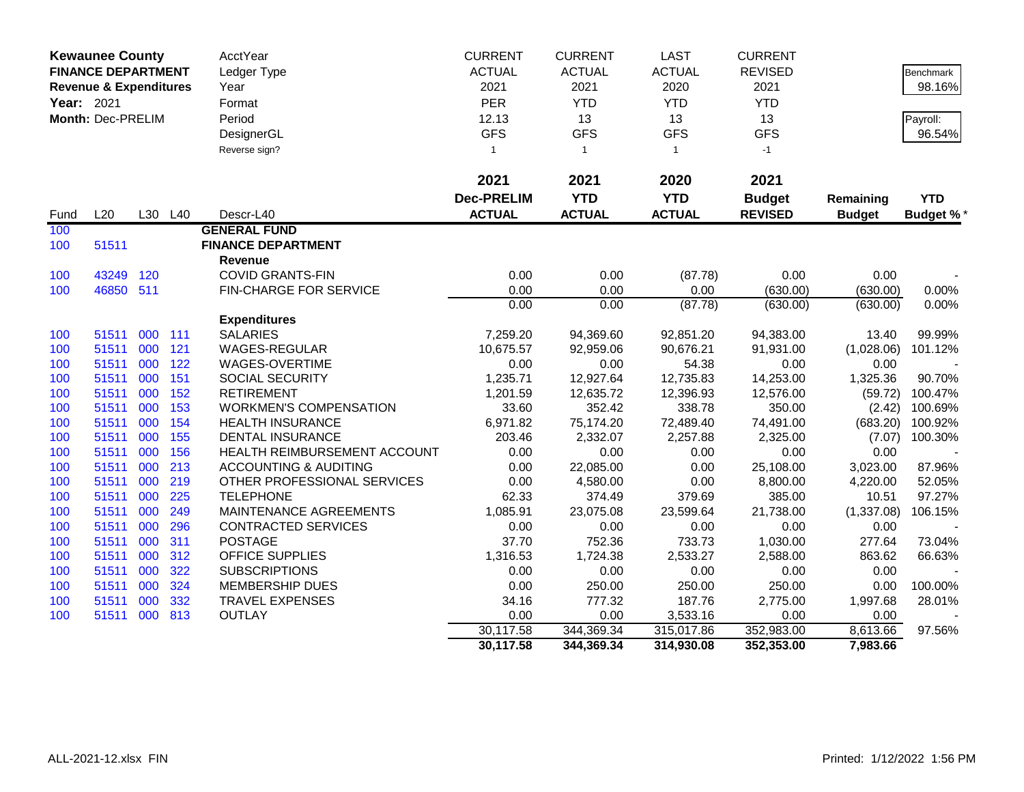| <b>Kewaunee County</b> |                                   |     | AcctYear | <b>CURRENT</b>                   | <b>CURRENT</b>    | <b>LAST</b>    | <b>CURRENT</b> |                |               |                  |
|------------------------|-----------------------------------|-----|----------|----------------------------------|-------------------|----------------|----------------|----------------|---------------|------------------|
|                        | <b>FINANCE DEPARTMENT</b>         |     |          | Ledger Type                      | <b>ACTUAL</b>     | <b>ACTUAL</b>  | <b>ACTUAL</b>  | <b>REVISED</b> |               | Benchmark        |
|                        | <b>Revenue &amp; Expenditures</b> |     |          | Year                             | 2021              | 2021           | 2020           | 2021           |               | 98.16%           |
| Year: 2021             |                                   |     |          | Format                           | <b>PER</b>        | <b>YTD</b>     | <b>YTD</b>     | <b>YTD</b>     |               |                  |
|                        | Month: Dec-PRELIM                 |     |          | Period                           | 12.13             | 13             | 13             | 13             |               | Payroll:         |
|                        |                                   |     |          | DesignerGL                       | <b>GFS</b>        | <b>GFS</b>     | <b>GFS</b>     | <b>GFS</b>     |               | 96.54%           |
|                        |                                   |     |          | Reverse sign?                    | $\mathbf{1}$      | $\overline{1}$ | $\mathbf{1}$   | $-1$           |               |                  |
|                        |                                   |     |          |                                  |                   |                |                |                |               |                  |
|                        |                                   |     |          |                                  | 2021              | 2021           | 2020           | 2021           |               |                  |
|                        |                                   |     |          |                                  | <b>Dec-PRELIM</b> | <b>YTD</b>     | <b>YTD</b>     | <b>Budget</b>  | Remaining     | <b>YTD</b>       |
| Fund                   | L20                               | L30 | L40      | Descr-L40                        | <b>ACTUAL</b>     | <b>ACTUAL</b>  | <b>ACTUAL</b>  | <b>REVISED</b> | <b>Budget</b> | <b>Budget %*</b> |
| 100                    |                                   |     |          | <b>GENERAL FUND</b>              |                   |                |                |                |               |                  |
| 100                    | 51511                             |     |          | <b>FINANCE DEPARTMENT</b>        |                   |                |                |                |               |                  |
|                        |                                   |     |          | <b>Revenue</b>                   |                   |                |                |                |               |                  |
| 100                    | 43249                             | 120 |          | <b>COVID GRANTS-FIN</b>          | 0.00              | 0.00           | (87.78)        | 0.00           | 0.00          |                  |
| 100                    | 46850 511                         |     |          | FIN-CHARGE FOR SERVICE           | 0.00              | 0.00           | 0.00           | (630.00)       | (630.00)      | 0.00%            |
|                        |                                   |     |          |                                  | 0.00              | 0.00           | (87.78)        | (630.00)       | (630.00)      | 0.00%            |
|                        |                                   |     |          | <b>Expenditures</b>              |                   |                |                |                |               |                  |
| 100                    | 51511                             | 000 | 111      | <b>SALARIES</b>                  | 7,259.20          | 94,369.60      | 92,851.20      | 94,383.00      | 13.40         | 99.99%           |
| 100                    | 51511                             | 000 | 121      | WAGES-REGULAR                    | 10,675.57         | 92,959.06      | 90,676.21      | 91,931.00      | (1,028.06)    | 101.12%          |
| 100                    | 51511                             | 000 | 122      | WAGES-OVERTIME                   | 0.00              | 0.00           | 54.38          | 0.00           | 0.00          |                  |
| 100                    | 51511                             | 000 | 151      | <b>SOCIAL SECURITY</b>           | 1,235.71          | 12,927.64      | 12,735.83      | 14,253.00      | 1,325.36      | 90.70%           |
| 100                    | 51511                             | 000 | 152      | <b>RETIREMENT</b>                | 1,201.59          | 12,635.72      | 12,396.93      | 12,576.00      | (59.72)       | 100.47%          |
| 100                    | 51511                             | 000 | 153      | <b>WORKMEN'S COMPENSATION</b>    | 33.60             | 352.42         | 338.78         | 350.00         | (2.42)        | 100.69%          |
| 100                    | 51511                             | 000 | 154      | <b>HEALTH INSURANCE</b>          | 6,971.82          | 75,174.20      | 72,489.40      | 74,491.00      | (683.20)      | 100.92%          |
| 100                    | 51511                             | 000 | 155      | <b>DENTAL INSURANCE</b>          | 203.46            | 2,332.07       | 2,257.88       | 2,325.00       | (7.07)        | 100.30%          |
| 100                    | 51511                             | 000 | 156      | HEALTH REIMBURSEMENT ACCOUNT     | 0.00              | 0.00           | 0.00           | 0.00           | 0.00          |                  |
| 100                    | 51511                             | 000 | 213      | <b>ACCOUNTING &amp; AUDITING</b> | 0.00              | 22,085.00      | 0.00           | 25,108.00      | 3,023.00      | 87.96%           |
| 100                    | 51511                             | 000 | 219      | OTHER PROFESSIONAL SERVICES      | 0.00              | 4,580.00       | 0.00           | 8,800.00       | 4,220.00      | 52.05%           |
| 100                    | 51511                             | 000 | 225      | <b>TELEPHONE</b>                 | 62.33             | 374.49         | 379.69         | 385.00         | 10.51         | 97.27%           |
| 100                    | 51511                             | 000 | 249      | MAINTENANCE AGREEMENTS           | 1,085.91          | 23,075.08      | 23,599.64      | 21,738.00      | (1,337.08)    | 106.15%          |
| 100                    | 51511                             | 000 | 296      | <b>CONTRACTED SERVICES</b>       | 0.00              | 0.00           | 0.00           | 0.00           | 0.00          |                  |
| 100                    | 51511                             | 000 | 311      | <b>POSTAGE</b>                   | 37.70             | 752.36         | 733.73         | 1,030.00       | 277.64        | 73.04%           |
| 100                    | 51511                             | 000 | 312      | <b>OFFICE SUPPLIES</b>           | 1,316.53          | 1,724.38       | 2,533.27       | 2,588.00       | 863.62        | 66.63%           |
| 100                    | 51511                             | 000 | 322      | <b>SUBSCRIPTIONS</b>             | 0.00              | 0.00           | 0.00           | 0.00           | 0.00          |                  |
| 100                    | 51511                             | 000 | 324      | <b>MEMBERSHIP DUES</b>           | 0.00              | 250.00         | 250.00         | 250.00         | 0.00          | 100.00%          |
| 100                    | 51511                             | 000 | 332      | <b>TRAVEL EXPENSES</b>           | 34.16             | 777.32         | 187.76         | 2,775.00       | 1,997.68      | 28.01%           |
| 100                    | 51511                             | 000 | 813      | <b>OUTLAY</b>                    | 0.00              | 0.00           | 3,533.16       | 0.00           | 0.00          |                  |
|                        |                                   |     |          |                                  | 30,117.58         | 344,369.34     | 315,017.86     | 352,983.00     | 8,613.66      | 97.56%           |
|                        |                                   |     |          |                                  | 30,117.58         | 344,369.34     | 314,930.08     | 352,353.00     | 7,983.66      |                  |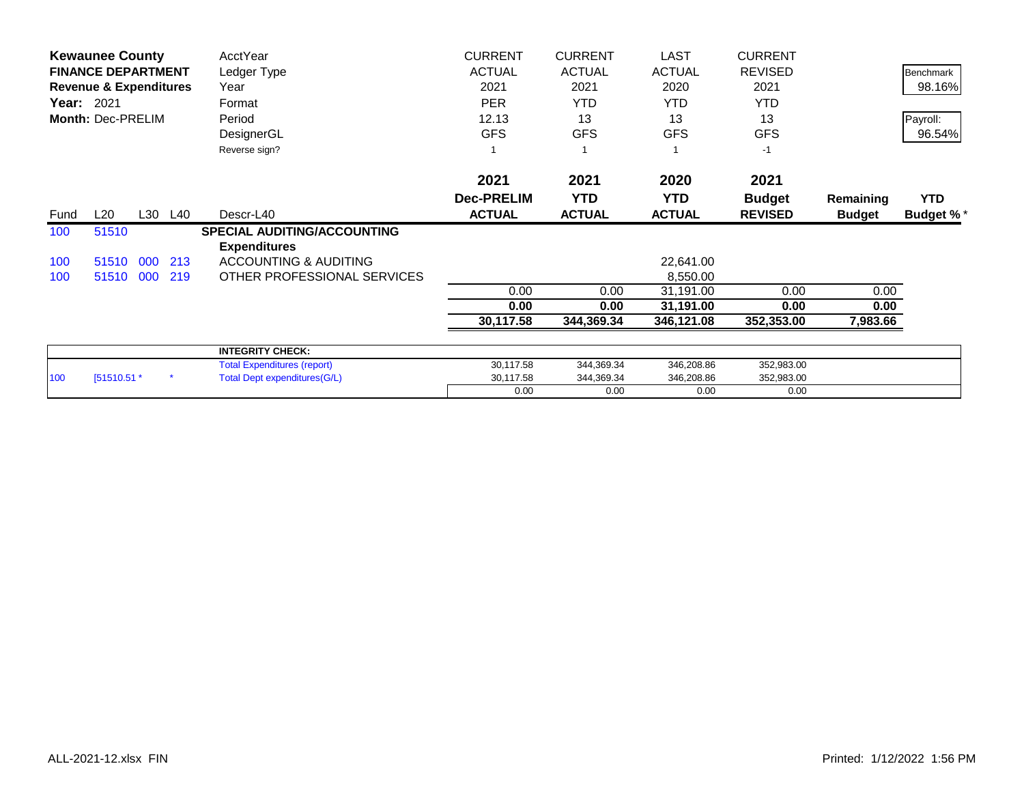| <b>Kewaunee County</b> |                                   |     |         | AcctYear                            | <b>CURRENT</b>     | <b>CURRENT</b>     | <b>LAST</b>   | <b>CURRENT</b>     |               |                  |
|------------------------|-----------------------------------|-----|---------|-------------------------------------|--------------------|--------------------|---------------|--------------------|---------------|------------------|
|                        | <b>FINANCE DEPARTMENT</b>         |     |         | Ledger Type                         | <b>ACTUAL</b>      | <b>ACTUAL</b>      | <b>ACTUAL</b> | <b>REVISED</b>     |               | Benchmark        |
|                        | <b>Revenue &amp; Expenditures</b> |     |         | Year                                | 2021<br><b>PER</b> | 2021<br><b>YTD</b> | 2020          | 2021<br><b>YTD</b> |               | 98.16%           |
| <b>Year: 2021</b>      |                                   |     |         | Format                              |                    |                    | <b>YTD</b>    |                    |               |                  |
|                        | Month: Dec-PRELIM                 |     |         | Period                              | 12.13              | 13                 | 13            | 13                 |               | Payroll:         |
|                        |                                   |     |         | DesignerGL                          | <b>GFS</b>         | <b>GFS</b>         | <b>GFS</b>    | <b>GFS</b>         |               | 96.54%           |
|                        |                                   |     |         | Reverse sign?                       |                    |                    |               | $-1$               |               |                  |
|                        |                                   |     |         |                                     | 2021               | 2021               | 2020          | 2021               |               |                  |
|                        |                                   |     |         |                                     | <b>Dec-PRELIM</b>  | <b>YTD</b>         | <b>YTD</b>    | <b>Budget</b>      | Remaining     | <b>YTD</b>       |
| Fund                   | L20                               |     | L30 L40 | Descr-L40                           | <b>ACTUAL</b>      | <b>ACTUAL</b>      | <b>ACTUAL</b> | <b>REVISED</b>     | <b>Budget</b> | <b>Budget %*</b> |
| 100                    | 51510                             |     |         | <b>SPECIAL AUDITING/ACCOUNTING</b>  |                    |                    |               |                    |               |                  |
|                        |                                   |     |         | <b>Expenditures</b>                 |                    |                    |               |                    |               |                  |
| 100                    | 51510                             | 000 | 213     | <b>ACCOUNTING &amp; AUDITING</b>    |                    |                    | 22,641.00     |                    |               |                  |
| 100                    | 51510 000                         |     | 219     | OTHER PROFESSIONAL SERVICES         |                    |                    | 8,550.00      |                    |               |                  |
|                        |                                   |     |         |                                     | 0.00               | 0.00               | 31,191.00     | 0.00               | 0.00          |                  |
|                        |                                   |     |         |                                     | 0.00               | 0.00               | 31,191.00     | 0.00               | 0.00          |                  |
|                        |                                   |     |         |                                     | 30,117.58          | 344,369.34         | 346,121.08    | 352,353.00         | 7,983.66      |                  |
|                        |                                   |     |         | <b>INTEGRITY CHECK:</b>             |                    |                    |               |                    |               |                  |
|                        |                                   |     |         | <b>Total Expenditures (report)</b>  | 30,117.58          | 344,369.34         | 346,208.86    | 352,983.00         |               |                  |
| 100                    | [51510.51 *                       |     |         | <b>Total Dept expenditures(G/L)</b> | 30,117.58          | 344,369.34         | 346,208.86    | 352,983.00         |               |                  |
|                        |                                   |     |         |                                     | 0.00               | 0.00               | 0.00          | 0.00               |               |                  |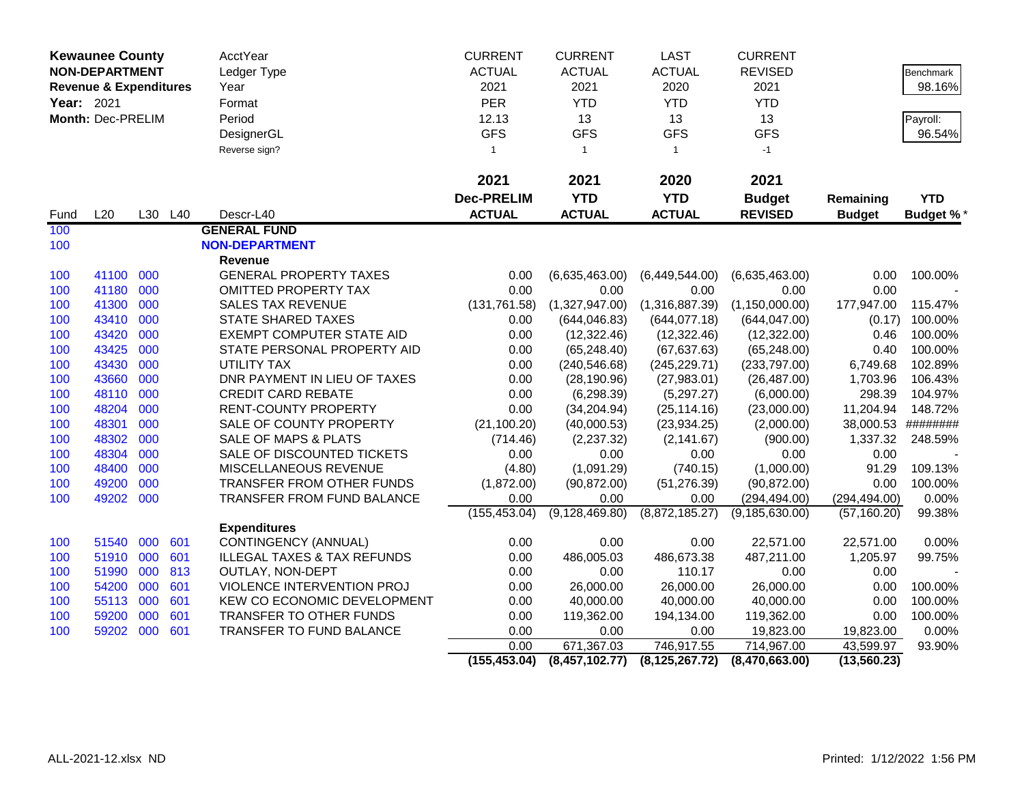|                                                            | <b>Kewaunee County</b> |     |             | <b>AcctYear</b>                        | <b>CURRENT</b>    | <b>CURRENT</b>   | <b>LAST</b>      | <b>CURRENT</b>   |               |                  |
|------------------------------------------------------------|------------------------|-----|-------------|----------------------------------------|-------------------|------------------|------------------|------------------|---------------|------------------|
| <b>NON-DEPARTMENT</b><br><b>Revenue &amp; Expenditures</b> |                        |     | Ledger Type | <b>ACTUAL</b>                          | <b>ACTUAL</b>     | <b>ACTUAL</b>    | <b>REVISED</b>   |                  | Benchmark     |                  |
|                                                            |                        |     |             | Year                                   | 2021              | 2021             | 2020             | 2021             |               | 98.16%           |
| Year: 2021                                                 |                        |     |             | Format                                 | PER               | <b>YTD</b>       | <b>YTD</b>       | <b>YTD</b>       |               |                  |
|                                                            | Month: Dec-PRELIM      |     |             | Period                                 | 12.13             | 13               | 13               | 13               |               | Payroll:         |
|                                                            |                        |     |             | DesignerGL                             | <b>GFS</b>        | <b>GFS</b>       | <b>GFS</b>       | <b>GFS</b>       |               | 96.54%           |
|                                                            |                        |     |             | Reverse sign?                          | $\mathbf{1}$      | $\mathbf{1}$     | $\mathbf{1}$     | $-1$             |               |                  |
|                                                            |                        |     |             |                                        | 2021              | 2021             | 2020             | 2021             |               |                  |
|                                                            |                        |     |             |                                        | <b>Dec-PRELIM</b> | <b>YTD</b>       | <b>YTD</b>       | <b>Budget</b>    | Remaining     | <b>YTD</b>       |
| Fund                                                       | L20                    |     | L30 L40     | Descr-L40                              | <b>ACTUAL</b>     | <b>ACTUAL</b>    | <b>ACTUAL</b>    | <b>REVISED</b>   | <b>Budget</b> | <b>Budget %*</b> |
| 100                                                        |                        |     |             | <b>GENERAL FUND</b>                    |                   |                  |                  |                  |               |                  |
| 100                                                        |                        |     |             | <b>NON-DEPARTMENT</b>                  |                   |                  |                  |                  |               |                  |
|                                                            |                        |     |             | Revenue                                |                   |                  |                  |                  |               |                  |
| 100                                                        | 41100 000              |     |             | <b>GENERAL PROPERTY TAXES</b>          | 0.00              | (6,635,463.00)   | (6,449,544.00)   | (6,635,463.00)   | 0.00          | 100.00%          |
| 100                                                        | 41180                  | 000 |             | <b>OMITTED PROPERTY TAX</b>            | 0.00              | 0.00             | 0.00             | 0.00             | 0.00          |                  |
| 100                                                        | 41300                  | 000 |             | <b>SALES TAX REVENUE</b>               | (131, 761.58)     | (1,327,947.00)   | (1,316,887.39)   | (1, 150, 000.00) | 177,947.00    | 115.47%          |
| 100                                                        | 43410                  | 000 |             | <b>STATE SHARED TAXES</b>              | 0.00              | (644, 046.83)    | (644, 077.18)    | (644, 047.00)    | (0.17)        | 100.00%          |
| 100                                                        | 43420                  | 000 |             | <b>EXEMPT COMPUTER STATE AID</b>       | 0.00              | (12, 322.46)     | (12, 322.46)     | (12,322.00)      | 0.46          | 100.00%          |
| 100                                                        | 43425                  | 000 |             | STATE PERSONAL PROPERTY AID            | 0.00              | (65, 248.40)     | (67, 637.63)     | (65, 248.00)     | 0.40          | 100.00%          |
| 100                                                        | 43430                  | 000 |             | UTILITY TAX                            | 0.00              | (240, 546.68)    | (245, 229.71)    | (233,797.00)     | 6,749.68      | 102.89%          |
| 100                                                        | 43660                  | 000 |             | DNR PAYMENT IN LIEU OF TAXES           | 0.00              | (28, 190.96)     | (27,983.01)      | (26, 487.00)     | 1,703.96      | 106.43%          |
| 100                                                        | 48110                  | 000 |             | <b>CREDIT CARD REBATE</b>              | 0.00              | (6, 298.39)      | (5,297.27)       | (6,000.00)       | 298.39        | 104.97%          |
| 100                                                        | 48204                  | 000 |             | <b>RENT-COUNTY PROPERTY</b>            | 0.00              | (34, 204.94)     | (25, 114.16)     | (23,000.00)      | 11,204.94     | 148.72%          |
| 100                                                        | 48301                  | 000 |             | SALE OF COUNTY PROPERTY                | (21, 100.20)      | (40,000.53)      | (23, 934.25)     | (2,000.00)       | 38,000.53     | ########         |
| 100                                                        | 48302                  | 000 |             | SALE OF MAPS & PLATS                   | (714.46)          | (2,237.32)       | (2, 141.67)      | (900.00)         | 1,337.32      | 248.59%          |
| 100                                                        | 48304                  | 000 |             | SALE OF DISCOUNTED TICKETS             | 0.00              | 0.00             | 0.00             | 0.00             | 0.00          |                  |
| 100                                                        | 48400                  | 000 |             | MISCELLANEOUS REVENUE                  | (4.80)            | (1,091.29)       | (740.15)         | (1,000.00)       | 91.29         | 109.13%          |
| 100                                                        | 49200                  | 000 |             | TRANSFER FROM OTHER FUNDS              | (1,872.00)        | (90, 872.00)     | (51, 276.39)     | (90, 872.00)     | 0.00          | 100.00%          |
| 100                                                        | 49202                  | 000 |             | <b>TRANSFER FROM FUND BALANCE</b>      | 0.00              | 0.00             | 0.00             | (294, 494.00)    | (294, 494.00) | 0.00%            |
|                                                            |                        |     |             |                                        | (155, 453.04)     | (9, 128, 469.80) | (8,872,185.27)   | (9, 185, 630.00) | (57, 160.20)  | 99.38%           |
|                                                            |                        |     |             | <b>Expenditures</b>                    |                   |                  |                  |                  |               |                  |
| 100                                                        | 51540                  | 000 | 601         | CONTINGENCY (ANNUAL)                   | 0.00              | 0.00             | 0.00             | 22,571.00        | 22,571.00     | 0.00%            |
| 100                                                        | 51910                  | 000 | 601         | <b>ILLEGAL TAXES &amp; TAX REFUNDS</b> | 0.00              | 486,005.03       | 486,673.38       | 487,211.00       | 1,205.97      | 99.75%           |
| 100                                                        | 51990                  | 000 | 813         | OUTLAY, NON-DEPT                       | 0.00              | 0.00             | 110.17           | 0.00             | 0.00          |                  |
| 100                                                        | 54200                  | 000 | 601         | VIOLENCE INTERVENTION PROJ             | 0.00              | 26,000.00        | 26,000.00        | 26,000.00        | 0.00          | 100.00%          |
| 100                                                        | 55113                  | 000 | 601         | KEW CO ECONOMIC DEVELOPMENT            | 0.00              | 40,000.00        | 40,000.00        | 40,000.00        | 0.00          | 100.00%          |
| 100                                                        | 59200                  | 000 | 601         | TRANSFER TO OTHER FUNDS                | 0.00              | 119,362.00       | 194,134.00       | 119,362.00       | 0.00          | 100.00%          |
| 100                                                        | 59202 000              |     | 601         | <b>TRANSFER TO FUND BALANCE</b>        | 0.00              | 0.00             | 0.00             | 19,823.00        | 19,823.00     | 0.00%            |
|                                                            |                        |     |             |                                        | 0.00              | 671,367.03       | 746,917.55       | 714,967.00       | 43,599.97     | 93.90%           |
|                                                            |                        |     |             |                                        | (155, 453.04)     | (8,457,102.77)   | (8, 125, 267.72) | (8,470,663.00)   | (13, 560.23)  |                  |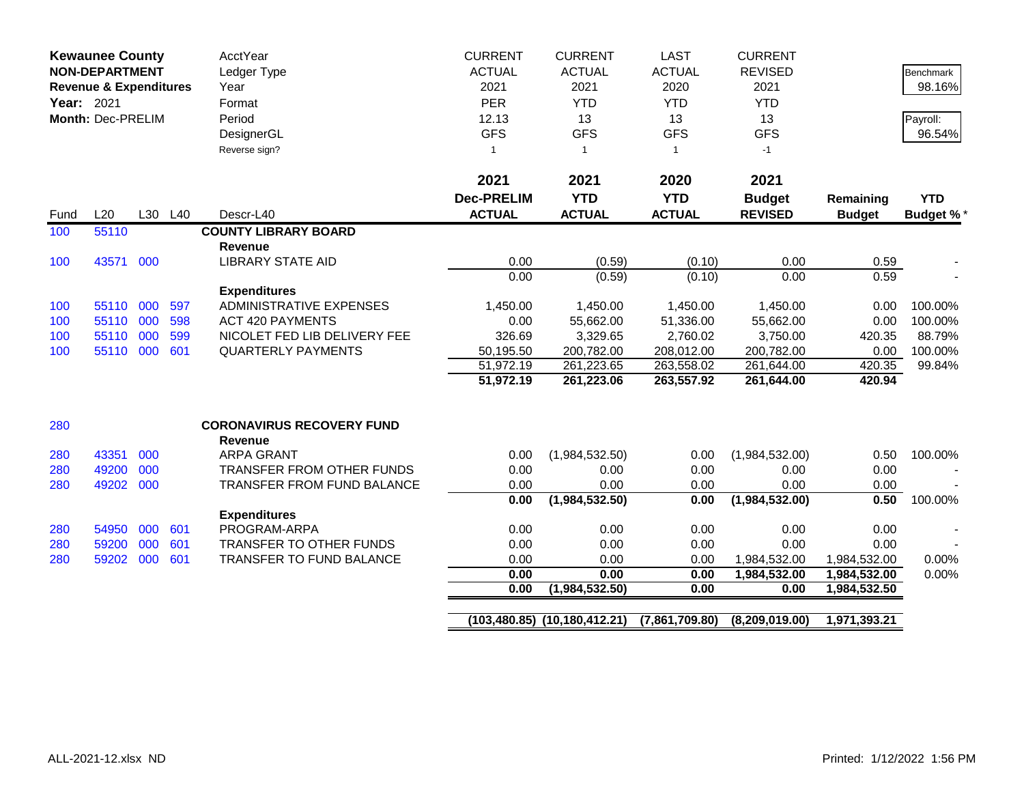| <b>Kewaunee County</b><br><b>NON-DEPARTMENT</b><br><b>Revenue &amp; Expenditures</b><br>Year: 2021<br>Month: Dec-PRELIM |           |     |         | <b>AcctYear</b><br>Ledger Type<br>Year<br>Format<br>Period<br>DesignerGL<br>Reverse sign? | <b>CURRENT</b><br><b>ACTUAL</b><br>2021<br><b>PER</b><br>12.13<br><b>GFS</b><br>$\overline{1}$<br>2021 | <b>CURRENT</b><br><b>ACTUAL</b><br>2021<br><b>YTD</b><br>13<br><b>GFS</b><br>$\overline{1}$<br>2021 | <b>LAST</b><br><b>ACTUAL</b><br>2020<br><b>YTD</b><br>13<br><b>GFS</b><br>$\mathbf{1}$<br>2020 | <b>CURRENT</b><br><b>REVISED</b><br>2021<br><b>YTD</b><br>13<br><b>GFS</b><br>$-1$<br>2021 |                  | <b>Benchmark</b><br>98.16%<br>Payroll:<br>96.54% |
|-------------------------------------------------------------------------------------------------------------------------|-----------|-----|---------|-------------------------------------------------------------------------------------------|--------------------------------------------------------------------------------------------------------|-----------------------------------------------------------------------------------------------------|------------------------------------------------------------------------------------------------|--------------------------------------------------------------------------------------------|------------------|--------------------------------------------------|
|                                                                                                                         |           |     |         |                                                                                           | <b>Dec-PRELIM</b>                                                                                      | <b>YTD</b>                                                                                          | <b>YTD</b>                                                                                     | <b>Budget</b>                                                                              | Remaining        | <b>YTD</b>                                       |
| Fund                                                                                                                    | L20       |     | L30 L40 | Descr-L40                                                                                 | <b>ACTUAL</b>                                                                                          | <b>ACTUAL</b>                                                                                       | <b>ACTUAL</b>                                                                                  | <b>REVISED</b>                                                                             | <b>Budget</b>    | <b>Budget %*</b>                                 |
| 100                                                                                                                     | 55110     |     |         | <b>COUNTY LIBRARY BOARD</b>                                                               |                                                                                                        |                                                                                                     |                                                                                                |                                                                                            |                  |                                                  |
|                                                                                                                         |           |     |         | <b>Revenue</b>                                                                            |                                                                                                        |                                                                                                     |                                                                                                |                                                                                            |                  |                                                  |
| 100                                                                                                                     | 43571 000 |     |         | <b>LIBRARY STATE AID</b>                                                                  | 0.00                                                                                                   | (0.59)                                                                                              | (0.10)                                                                                         | 0.00                                                                                       | 0.59             |                                                  |
|                                                                                                                         |           |     |         |                                                                                           | 0.00                                                                                                   | (0.59)                                                                                              | (0.10)                                                                                         | 0.00                                                                                       | 0.59             |                                                  |
|                                                                                                                         |           |     |         | <b>Expenditures</b>                                                                       |                                                                                                        |                                                                                                     |                                                                                                |                                                                                            |                  |                                                  |
| 100                                                                                                                     | 55110 000 |     | 597     | <b>ADMINISTRATIVE EXPENSES</b>                                                            | 1,450.00                                                                                               | 1,450.00                                                                                            | 1,450.00                                                                                       | 1,450.00                                                                                   | 0.00             | 100.00%                                          |
| 100                                                                                                                     | 55110 000 |     | 598     | <b>ACT 420 PAYMENTS</b>                                                                   | 0.00                                                                                                   | 55,662.00                                                                                           | 51,336.00                                                                                      | 55,662.00                                                                                  | 0.00             | 100.00%                                          |
| 100                                                                                                                     | 55110     | 000 | 599     | NICOLET FED LIB DELIVERY FEE                                                              | 326.69                                                                                                 | 3,329.65                                                                                            | 2,760.02                                                                                       | 3,750.00                                                                                   | 420.35           | 88.79%                                           |
| 100                                                                                                                     | 55110 000 |     | 601     | <b>QUARTERLY PAYMENTS</b>                                                                 | 50,195.50<br>51,972.19                                                                                 | 200,782.00<br>261,223.65                                                                            | 208,012.00<br>263,558.02                                                                       | 200,782.00                                                                                 | 0.00             | 100.00%<br>99.84%                                |
|                                                                                                                         |           |     |         |                                                                                           | 51,972.19                                                                                              | 261,223.06                                                                                          | 263,557.92                                                                                     | 261,644.00<br>261,644.00                                                                   | 420.35<br>420.94 |                                                  |
|                                                                                                                         |           |     |         |                                                                                           |                                                                                                        |                                                                                                     |                                                                                                |                                                                                            |                  |                                                  |
| 280                                                                                                                     |           |     |         | <b>CORONAVIRUS RECOVERY FUND</b><br><b>Revenue</b>                                        |                                                                                                        |                                                                                                     |                                                                                                |                                                                                            |                  |                                                  |
| 280                                                                                                                     | 43351     | 000 |         | <b>ARPA GRANT</b>                                                                         | 0.00                                                                                                   | (1,984,532.50)                                                                                      | 0.00                                                                                           | (1,984,532.00)                                                                             | 0.50             | 100.00%                                          |
| 280                                                                                                                     | 49200     | 000 |         | TRANSFER FROM OTHER FUNDS                                                                 | 0.00                                                                                                   | 0.00                                                                                                | 0.00                                                                                           | 0.00                                                                                       | 0.00             |                                                  |
| 280                                                                                                                     | 49202     | 000 |         | TRANSFER FROM FUND BALANCE                                                                | 0.00                                                                                                   | 0.00                                                                                                | 0.00                                                                                           | 0.00                                                                                       | 0.00             |                                                  |
|                                                                                                                         |           |     |         |                                                                                           | 0.00                                                                                                   | (1,984,532.50)                                                                                      | 0.00                                                                                           | (1,984,532.00)                                                                             | 0.50             | 100.00%                                          |
|                                                                                                                         |           |     |         | <b>Expenditures</b>                                                                       |                                                                                                        |                                                                                                     |                                                                                                |                                                                                            |                  |                                                  |
| 280                                                                                                                     | 54950     | 000 | 601     | PROGRAM-ARPA                                                                              | 0.00                                                                                                   | 0.00                                                                                                | 0.00                                                                                           | 0.00                                                                                       | 0.00             |                                                  |
| 280                                                                                                                     | 59200     | 000 | 601     | TRANSFER TO OTHER FUNDS                                                                   | 0.00                                                                                                   | 0.00                                                                                                | 0.00                                                                                           | 0.00                                                                                       | 0.00             |                                                  |
| 280                                                                                                                     | 59202     | 000 | 601     | TRANSFER TO FUND BALANCE                                                                  | 0.00                                                                                                   | 0.00                                                                                                | 0.00                                                                                           | 1,984,532.00                                                                               | 1,984,532.00     | 0.00%                                            |
|                                                                                                                         |           |     |         |                                                                                           | 0.00                                                                                                   | 0.00                                                                                                | 0.00                                                                                           | 1,984,532.00                                                                               | 1,984,532.00     | 0.00%                                            |
|                                                                                                                         |           |     |         |                                                                                           | 0.00                                                                                                   | (1,984,532.50)                                                                                      | 0.00                                                                                           | 0.00                                                                                       | 1,984,532.50     |                                                  |
|                                                                                                                         |           |     |         |                                                                                           |                                                                                                        |                                                                                                     |                                                                                                |                                                                                            |                  |                                                  |
|                                                                                                                         |           |     |         |                                                                                           |                                                                                                        | $(103, 480.85)$ $(10, 180, 412.21)$                                                                 | (7,861,709.80)                                                                                 | (8,209,019.00)                                                                             | 1,971,393.21     |                                                  |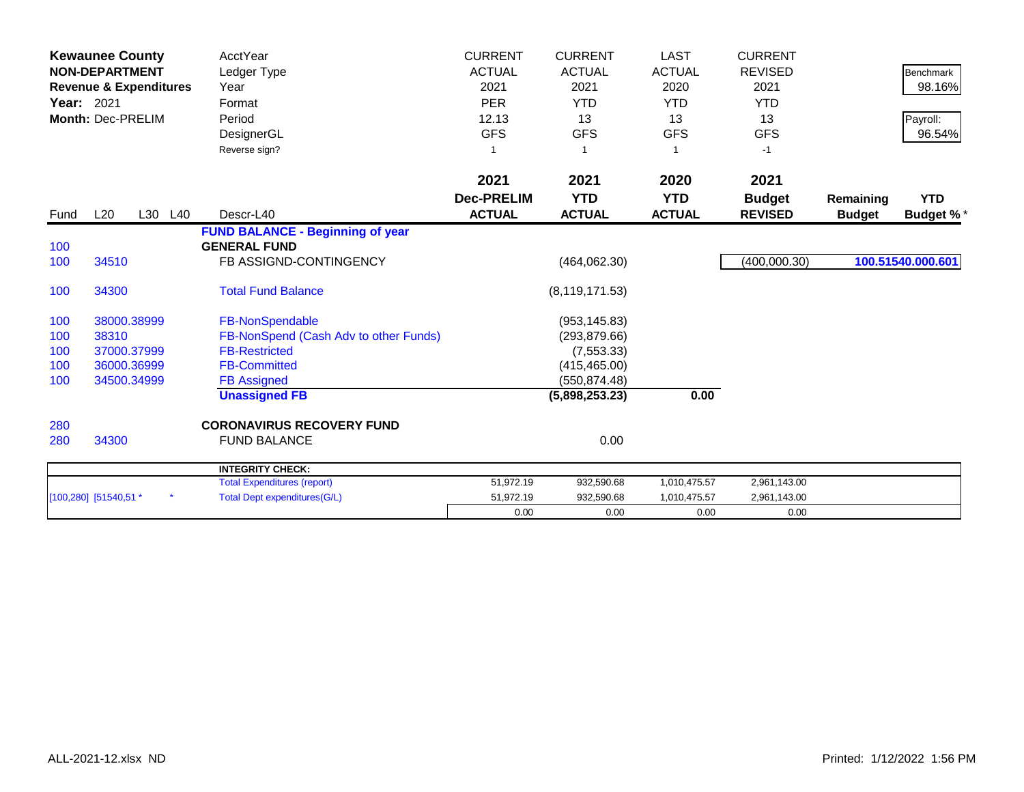| Year: 2021 | <b>Kewaunee County</b><br><b>NON-DEPARTMENT</b><br><b>Revenue &amp; Expenditures</b><br>Month: Dec-PRELIM |     | <b>AcctYear</b><br>Ledger Type<br>Year<br>Format<br>Period<br>DesignerGL<br>Reverse sign? | <b>CURRENT</b><br><b>ACTUAL</b><br>2021<br><b>PER</b><br>12.13<br><b>GFS</b> | <b>CURRENT</b><br><b>ACTUAL</b><br>2021<br><b>YTD</b><br>13<br><b>GFS</b><br>-1 | <b>LAST</b><br><b>ACTUAL</b><br>2020<br><b>YTD</b><br>13<br><b>GFS</b><br>1 | <b>CURRENT</b><br><b>REVISED</b><br>2021<br><b>YTD</b><br>13<br><b>GFS</b><br>$-1$ |               | <b>Benchmark</b><br>98.16%<br>Payroll:<br>96.54% |
|------------|-----------------------------------------------------------------------------------------------------------|-----|-------------------------------------------------------------------------------------------|------------------------------------------------------------------------------|---------------------------------------------------------------------------------|-----------------------------------------------------------------------------|------------------------------------------------------------------------------------|---------------|--------------------------------------------------|
|            |                                                                                                           |     |                                                                                           | 2021                                                                         | 2021                                                                            | 2020                                                                        | 2021                                                                               |               |                                                  |
|            |                                                                                                           |     |                                                                                           | <b>Dec-PRELIM</b>                                                            | <b>YTD</b>                                                                      | <b>YTD</b>                                                                  | <b>Budget</b>                                                                      | Remaining     | <b>YTD</b>                                       |
| Fund       | L20<br>L30                                                                                                | L40 | Descr-L40                                                                                 | <b>ACTUAL</b>                                                                | <b>ACTUAL</b>                                                                   | <b>ACTUAL</b>                                                               | <b>REVISED</b>                                                                     | <b>Budget</b> | <b>Budget %*</b>                                 |
|            |                                                                                                           |     | <b>FUND BALANCE - Beginning of year</b>                                                   |                                                                              |                                                                                 |                                                                             |                                                                                    |               |                                                  |
| 100        |                                                                                                           |     | <b>GENERAL FUND</b>                                                                       |                                                                              |                                                                                 |                                                                             |                                                                                    |               |                                                  |
| 100        | 34510                                                                                                     |     | FB ASSIGND-CONTINGENCY                                                                    |                                                                              | (464, 062.30)                                                                   |                                                                             | (400,000.30)                                                                       |               | 100.51540.000.601                                |
| 100        | 34300                                                                                                     |     | <b>Total Fund Balance</b>                                                                 |                                                                              | (8, 119, 171.53)                                                                |                                                                             |                                                                                    |               |                                                  |
| 100        | 38000.38999                                                                                               |     | FB-NonSpendable                                                                           |                                                                              | (953, 145.83)                                                                   |                                                                             |                                                                                    |               |                                                  |
| 100        | 38310                                                                                                     |     | FB-NonSpend (Cash Adv to other Funds)                                                     |                                                                              | (293, 879.66)                                                                   |                                                                             |                                                                                    |               |                                                  |
| 100        | 37000.37999                                                                                               |     | <b>FB-Restricted</b>                                                                      |                                                                              | (7, 553.33)                                                                     |                                                                             |                                                                                    |               |                                                  |
| 100        | 36000.36999                                                                                               |     | <b>FB-Committed</b>                                                                       |                                                                              | (415, 465.00)                                                                   |                                                                             |                                                                                    |               |                                                  |
| 100        | 34500.34999                                                                                               |     | <b>FB Assigned</b>                                                                        |                                                                              | (550, 874.48)                                                                   |                                                                             |                                                                                    |               |                                                  |
|            |                                                                                                           |     | <b>Unassigned FB</b>                                                                      |                                                                              | (5,898,253.23)                                                                  | 0.00                                                                        |                                                                                    |               |                                                  |
| 280        |                                                                                                           |     | <b>CORONAVIRUS RECOVERY FUND</b>                                                          |                                                                              |                                                                                 |                                                                             |                                                                                    |               |                                                  |
| 280        | 34300                                                                                                     |     | <b>FUND BALANCE</b>                                                                       |                                                                              | 0.00                                                                            |                                                                             |                                                                                    |               |                                                  |
|            |                                                                                                           |     | <b>INTEGRITY CHECK:</b>                                                                   |                                                                              |                                                                                 |                                                                             |                                                                                    |               |                                                  |
|            |                                                                                                           |     | <b>Total Expenditures (report)</b>                                                        | 51,972.19                                                                    | 932,590.68                                                                      | 1,010,475.57                                                                | 2,961,143.00                                                                       |               |                                                  |
|            | [100,280] [51540,51 *                                                                                     |     | <b>Total Dept expenditures(G/L)</b>                                                       | 51,972.19                                                                    | 932,590.68                                                                      | 1,010,475.57                                                                | 2,961,143.00                                                                       |               |                                                  |
|            |                                                                                                           |     |                                                                                           | 0.00                                                                         | 0.00                                                                            | 0.00                                                                        | 0.00                                                                               |               |                                                  |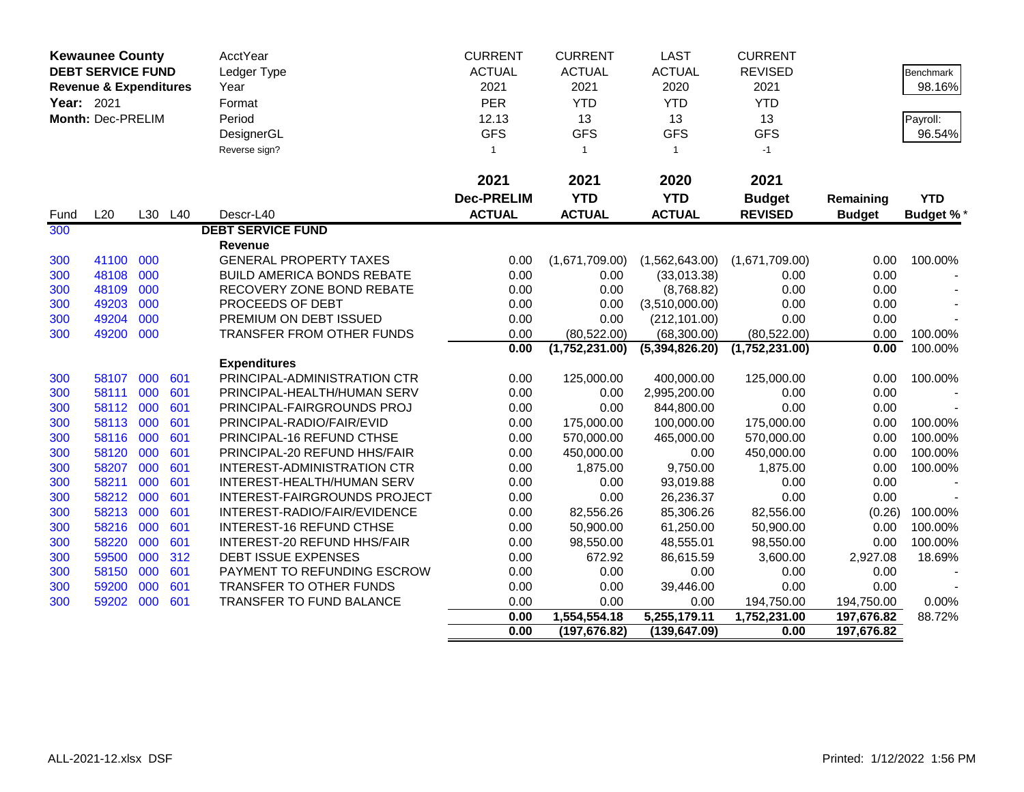|                                                               | <b>Kewaunee County</b> |     |             | AcctYear                            | <b>CURRENT</b>    | <b>CURRENT</b>                | <b>LAST</b>                   | <b>CURRENT</b>       |                          |                  |
|---------------------------------------------------------------|------------------------|-----|-------------|-------------------------------------|-------------------|-------------------------------|-------------------------------|----------------------|--------------------------|------------------|
| <b>DEBT SERVICE FUND</b><br><b>Revenue &amp; Expenditures</b> |                        |     | Ledger Type | <b>ACTUAL</b>                       | <b>ACTUAL</b>     | <b>ACTUAL</b>                 | <b>REVISED</b>                |                      | <b>Benchmark</b>         |                  |
|                                                               |                        |     |             | Year                                | 2021              | 2021                          | 2020                          | 2021                 |                          | 98.16%           |
| Year: 2021                                                    |                        |     |             | Format                              | PER               | <b>YTD</b>                    | <b>YTD</b>                    | <b>YTD</b>           |                          |                  |
|                                                               | Month: Dec-PRELIM      |     |             | Period                              | 12.13             | 13                            | 13                            | 13                   |                          | Payroll:         |
|                                                               |                        |     |             | DesignerGL                          | <b>GFS</b>        | <b>GFS</b>                    | <b>GFS</b>                    | <b>GFS</b>           |                          | 96.54%           |
|                                                               |                        |     |             | Reverse sign?                       | 1                 | $\overline{1}$                | $\mathbf{1}$                  | $-1$                 |                          |                  |
|                                                               |                        |     |             |                                     |                   |                               |                               |                      |                          |                  |
|                                                               |                        |     |             |                                     | 2021              | 2021                          | 2020                          | 2021                 |                          |                  |
|                                                               |                        |     |             |                                     | <b>Dec-PRELIM</b> | <b>YTD</b>                    | <b>YTD</b>                    | <b>Budget</b>        | Remaining                | <b>YTD</b>       |
| Fund                                                          | L20                    |     | L30 L40     | Descr-L40                           | <b>ACTUAL</b>     | <b>ACTUAL</b>                 | <b>ACTUAL</b>                 | <b>REVISED</b>       | <b>Budget</b>            | <b>Budget %*</b> |
| 300                                                           |                        |     |             | <b>DEBT SERVICE FUND</b>            |                   |                               |                               |                      |                          |                  |
|                                                               |                        |     |             | <b>Revenue</b>                      |                   |                               |                               |                      |                          |                  |
| 300                                                           | 41100                  | 000 |             | <b>GENERAL PROPERTY TAXES</b>       | 0.00              | (1,671,709.00)                | (1,562,643.00)                | (1,671,709.00)       | 0.00                     | 100.00%          |
| 300                                                           | 48108                  | 000 |             | <b>BUILD AMERICA BONDS REBATE</b>   | 0.00              | 0.00                          | (33,013.38)                   | 0.00                 | 0.00                     |                  |
| 300                                                           | 48109                  | 000 |             | RECOVERY ZONE BOND REBATE           | 0.00              | 0.00                          | (8,768.82)                    | 0.00                 | 0.00                     |                  |
| 300                                                           | 49203                  | 000 |             | PROCEEDS OF DEBT                    | 0.00              | 0.00                          | (3,510,000.00)                | 0.00                 | 0.00                     |                  |
| 300                                                           | 49204                  | 000 |             | PREMIUM ON DEBT ISSUED              | 0.00              | 0.00                          | (212, 101.00)                 | 0.00                 | 0.00                     |                  |
| 300                                                           | 49200                  | 000 |             | TRANSFER FROM OTHER FUNDS           | 0.00              | (80, 522.00)                  | (68,300.00)                   | (80, 522.00)         | 0.00                     | 100.00%          |
|                                                               |                        |     |             |                                     | 0.00              | (1,752,231.00)                | (5,394,826.20)                | (1,752,231.00)       | 0.00                     | 100.00%          |
|                                                               |                        |     |             | <b>Expenditures</b>                 |                   |                               |                               |                      |                          |                  |
| 300                                                           | 58107                  | 000 | 601         | PRINCIPAL-ADMINISTRATION CTR        | 0.00              | 125,000.00                    | 400,000.00                    | 125,000.00           | 0.00                     | 100.00%          |
| 300                                                           | 58111                  | 000 | 601         | PRINCIPAL-HEALTH/HUMAN SERV         | 0.00              | 0.00                          | 2,995,200.00                  | 0.00                 | 0.00                     |                  |
| 300                                                           | 58112                  | 000 | 601         | PRINCIPAL-FAIRGROUNDS PROJ          | 0.00              | 0.00                          | 844,800.00                    | 0.00                 | 0.00                     |                  |
| 300                                                           | 58113                  | 000 | 601         | PRINCIPAL-RADIO/FAIR/EVID           | 0.00              | 175,000.00                    | 100,000.00                    | 175,000.00           | 0.00                     | 100.00%          |
| 300                                                           | 58116                  | 000 | 601         | PRINCIPAL-16 REFUND CTHSE           | 0.00              | 570,000.00                    | 465,000.00                    | 570,000.00           | 0.00                     | 100.00%          |
| 300                                                           | 58120                  | 000 | 601         | PRINCIPAL-20 REFUND HHS/FAIR        | 0.00              | 450,000.00                    | 0.00                          | 450,000.00           | 0.00                     | 100.00%          |
| 300                                                           | 58207                  | 000 | 601         | <b>INTEREST-ADMINISTRATION CTR</b>  | 0.00              | 1,875.00                      | 9,750.00                      | 1,875.00             | 0.00                     | 100.00%          |
| 300                                                           | 58211                  | 000 | 601         | INTEREST-HEALTH/HUMAN SERV          | 0.00              | 0.00                          | 93,019.88                     | 0.00                 | 0.00                     |                  |
| 300                                                           | 58212                  | 000 | 601         | <b>INTEREST-FAIRGROUNDS PROJECT</b> | 0.00              | 0.00                          | 26,236.37                     | 0.00                 | 0.00                     |                  |
| 300                                                           | 58213                  | 000 | 601         | INTEREST-RADIO/FAIR/EVIDENCE        | 0.00              | 82,556.26                     | 85,306.26                     | 82,556.00            | (0.26)                   | 100.00%          |
| 300                                                           | 58216                  | 000 | 601         | <b>INTEREST-16 REFUND CTHSE</b>     | 0.00              | 50,900.00                     | 61,250.00                     | 50,900.00            | 0.00                     | 100.00%          |
| 300                                                           | 58220                  | 000 | 601         | INTEREST-20 REFUND HHS/FAIR         | 0.00              | 98,550.00                     | 48,555.01                     | 98,550.00            | 0.00                     | 100.00%          |
| 300                                                           | 59500                  | 000 | 312         | DEBT ISSUE EXPENSES                 | 0.00              | 672.92                        | 86,615.59                     | 3,600.00             | 2,927.08                 | 18.69%           |
| 300                                                           | 58150                  | 000 | 601         | PAYMENT TO REFUNDING ESCROW         | 0.00              | 0.00                          | 0.00                          | 0.00                 | 0.00                     |                  |
| 300                                                           | 59200                  | 000 | 601         | TRANSFER TO OTHER FUNDS             | 0.00              | 0.00                          | 39,446.00                     | 0.00                 | 0.00                     |                  |
| 300                                                           | 59202                  | 000 | 601         | TRANSFER TO FUND BALANCE            | 0.00              | 0.00                          | 0.00                          | 194,750.00           | 194,750.00               | 0.00%            |
|                                                               |                        |     |             |                                     | 0.00<br>0.00      | 1,554,554.18<br>(197, 676.82) | 5,255,179.11<br>(139, 647.09) | 1,752,231.00<br>0.00 | 197,676.82<br>197,676.82 | 88.72%           |
|                                                               |                        |     |             |                                     |                   |                               |                               |                      |                          |                  |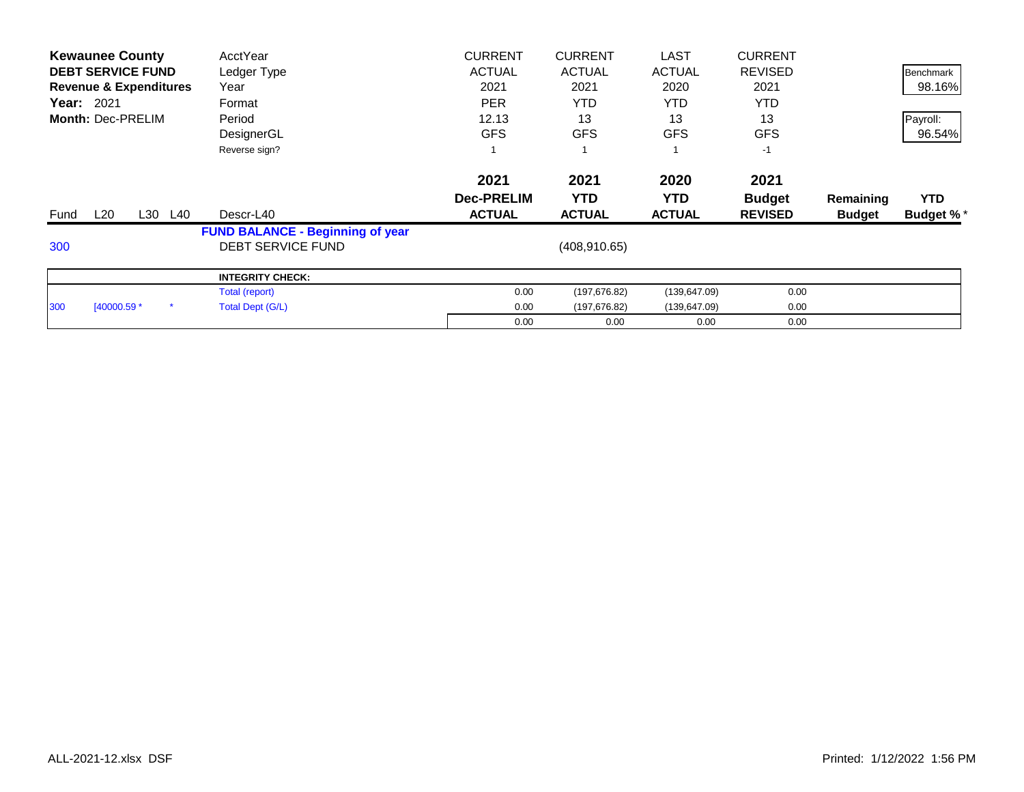|      | <b>Kewaunee County</b>            |            | AcctYear                                | <b>CURRENT</b>    | <b>CURRENT</b> |                          | <b>LAST</b>   | <b>CURRENT</b> |               |                  |
|------|-----------------------------------|------------|-----------------------------------------|-------------------|----------------|--------------------------|---------------|----------------|---------------|------------------|
|      | <b>DEBT SERVICE FUND</b>          |            | Ledger Type                             | <b>ACTUAL</b>     | <b>ACTUAL</b>  |                          | <b>ACTUAL</b> | <b>REVISED</b> |               | <b>Benchmark</b> |
|      | <b>Revenue &amp; Expenditures</b> |            | Year                                    | 2021              |                | 2021<br><b>YTD</b><br>13 | 2020          | 2021           |               | 98.16%           |
|      | <b>Year: 2021</b>                 |            | Format                                  | <b>PER</b>        |                |                          | <b>YTD</b>    | <b>YTD</b>     |               |                  |
|      | Month: Dec-PRELIM                 |            | Period                                  | 12.13             |                |                          | 13            | 13             |               | Payroll:         |
|      |                                   |            | DesignerGL                              | <b>GFS</b>        | <b>GFS</b>     |                          | <b>GFS</b>    | <b>GFS</b>     |               | 96.54%           |
|      |                                   |            | Reverse sign?                           |                   |                |                          |               | $-1$           |               |                  |
|      |                                   |            |                                         | 2021              | 2021           |                          | 2020          | 2021           |               |                  |
|      |                                   |            |                                         | <b>Dec-PRELIM</b> | <b>YTD</b>     |                          | YTD.          | <b>Budget</b>  | Remaining     | <b>YTD</b>       |
| Fund | L20                               | L30<br>L40 | Descr-L40                               | <b>ACTUAL</b>     | <b>ACTUAL</b>  |                          | <b>ACTUAL</b> | <b>REVISED</b> | <b>Budget</b> | <b>Budget %*</b> |
|      |                                   |            | <b>FUND BALANCE - Beginning of year</b> |                   |                |                          |               |                |               |                  |
| 300  |                                   |            | <b>DEBT SERVICE FUND</b>                |                   |                | (408, 910.65)            |               |                |               |                  |
|      |                                   |            | <b>INTEGRITY CHECK:</b>                 |                   |                |                          |               |                |               |                  |
|      |                                   |            | Total (report)                          |                   | 0.00           | (197, 676.82)            | (139, 647.09) | 0.00           |               |                  |
| 300  | [40000.59 *                       |            | Total Dept (G/L)                        |                   | 0.00           | (197, 676.82)            | (139, 647.09) | 0.00           |               |                  |
|      |                                   |            |                                         |                   | 0.00           | 0.00                     | 0.00          | 0.00           |               |                  |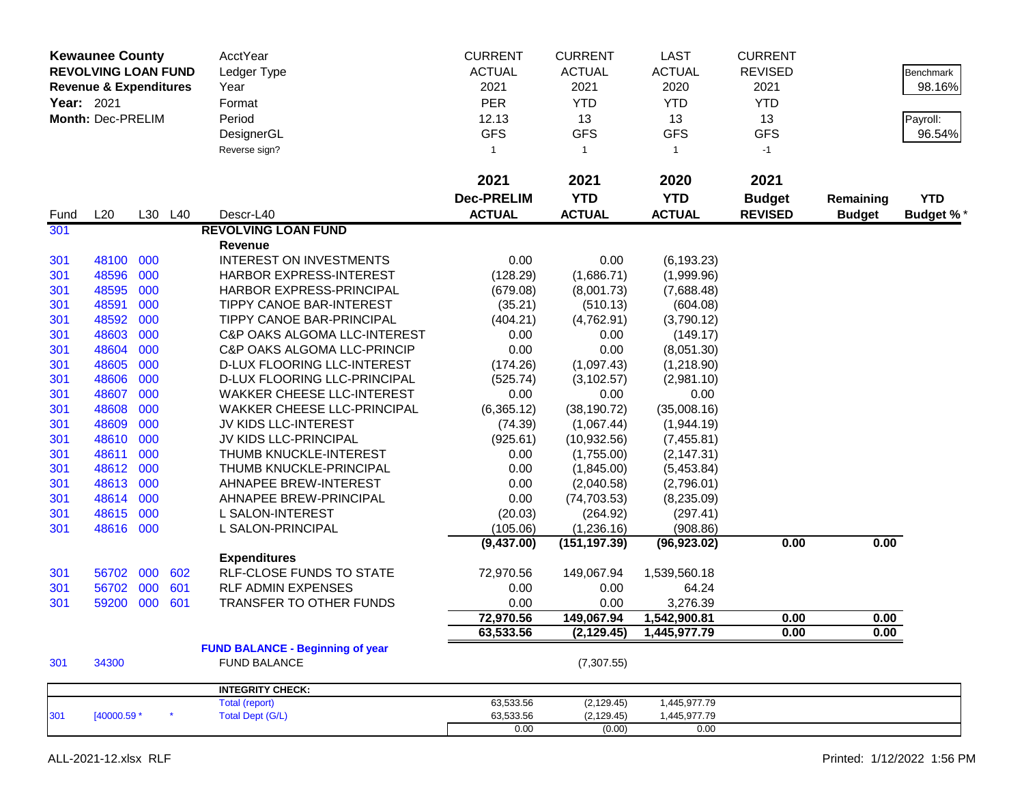| <b>Kewaunee County</b><br><b>REVOLVING LOAN FUND</b><br><b>Revenue &amp; Expenditures</b><br>Year: 2021<br>Month: Dec-PRELIM |             |     |         | AcctYear<br>Ledger Type<br>Year<br>Format<br>Period<br>DesignerGL<br>Reverse sign? | <b>CURRENT</b><br><b>ACTUAL</b><br>2021<br><b>PER</b><br>12.13<br><b>GFS</b><br>1 | <b>CURRENT</b><br><b>ACTUAL</b><br>2021<br><b>YTD</b><br>13<br><b>GFS</b><br>$\overline{1}$ | <b>LAST</b><br><b>ACTUAL</b><br>2020<br><b>YTD</b><br>13<br><b>GFS</b><br>$\mathbf{1}$ | <b>CURRENT</b><br><b>REVISED</b><br>2021<br><b>YTD</b><br>13<br><b>GFS</b><br>$-1$ |                            | <b>Benchmark</b><br>98.16%<br>Payroll:<br>96.54% |
|------------------------------------------------------------------------------------------------------------------------------|-------------|-----|---------|------------------------------------------------------------------------------------|-----------------------------------------------------------------------------------|---------------------------------------------------------------------------------------------|----------------------------------------------------------------------------------------|------------------------------------------------------------------------------------|----------------------------|--------------------------------------------------|
|                                                                                                                              |             |     |         |                                                                                    | 2021                                                                              | 2021                                                                                        | 2020                                                                                   | 2021                                                                               |                            |                                                  |
| Fund                                                                                                                         | L20         |     | L30 L40 | Descr-L40                                                                          | <b>Dec-PRELIM</b><br><b>ACTUAL</b>                                                | <b>YTD</b><br><b>ACTUAL</b>                                                                 | <b>YTD</b><br><b>ACTUAL</b>                                                            | <b>Budget</b><br><b>REVISED</b>                                                    | Remaining<br><b>Budget</b> | <b>YTD</b><br><b>Budget %*</b>                   |
| 301                                                                                                                          |             |     |         | <b>REVOLVING LOAN FUND</b>                                                         |                                                                                   |                                                                                             |                                                                                        |                                                                                    |                            |                                                  |
|                                                                                                                              |             |     |         | Revenue                                                                            |                                                                                   |                                                                                             |                                                                                        |                                                                                    |                            |                                                  |
| 301                                                                                                                          | 48100 000   |     |         | <b>INTEREST ON INVESTMENTS</b>                                                     | 0.00                                                                              | 0.00                                                                                        | (6, 193.23)                                                                            |                                                                                    |                            |                                                  |
| 301                                                                                                                          | 48596       | 000 |         | HARBOR EXPRESS-INTEREST                                                            | (128.29)                                                                          | (1,686.71)                                                                                  | (1,999.96)                                                                             |                                                                                    |                            |                                                  |
| 301                                                                                                                          | 48595       | 000 |         | HARBOR EXPRESS-PRINCIPAL                                                           | (679.08)                                                                          | (8,001.73)                                                                                  | (7,688.48)                                                                             |                                                                                    |                            |                                                  |
| 301                                                                                                                          | 48591       | 000 |         | <b>TIPPY CANOE BAR-INTEREST</b>                                                    | (35.21)                                                                           | (510.13)                                                                                    | (604.08)                                                                               |                                                                                    |                            |                                                  |
| 301                                                                                                                          | 48592       | 000 |         | TIPPY CANOE BAR-PRINCIPAL                                                          | (404.21)                                                                          | (4,762.91)                                                                                  | (3,790.12)                                                                             |                                                                                    |                            |                                                  |
| 301                                                                                                                          | 48603       | 000 |         | C&P OAKS ALGOMA LLC-INTEREST                                                       | 0.00                                                                              | 0.00                                                                                        | (149.17)                                                                               |                                                                                    |                            |                                                  |
| 301                                                                                                                          | 48604       | 000 |         | <b>C&amp;P OAKS ALGOMA LLC-PRINCIP</b>                                             | 0.00                                                                              | 0.00                                                                                        | (8,051.30)                                                                             |                                                                                    |                            |                                                  |
| 301                                                                                                                          | 48605       | 000 |         | D-LUX FLOORING LLC-INTEREST                                                        | (174.26)                                                                          | (1,097.43)                                                                                  | (1,218.90)                                                                             |                                                                                    |                            |                                                  |
| 301                                                                                                                          | 48606       | 000 |         | D-LUX FLOORING LLC-PRINCIPAL                                                       | (525.74)                                                                          | (3, 102.57)                                                                                 | (2,981.10)                                                                             |                                                                                    |                            |                                                  |
| 301                                                                                                                          | 48607       | 000 |         | <b>WAKKER CHEESE LLC-INTEREST</b>                                                  | 0.00                                                                              | 0.00                                                                                        | 0.00                                                                                   |                                                                                    |                            |                                                  |
| 301                                                                                                                          | 48608       | 000 |         | <b>WAKKER CHEESE LLC-PRINCIPAL</b>                                                 | (6,365.12)                                                                        | (38, 190.72)                                                                                | (35,008.16)                                                                            |                                                                                    |                            |                                                  |
| 301                                                                                                                          | 48609       | 000 |         | JV KIDS LLC-INTEREST                                                               | (74.39)                                                                           | (1,067.44)                                                                                  | (1,944.19)                                                                             |                                                                                    |                            |                                                  |
| 301                                                                                                                          | 48610       | 000 |         | JV KIDS LLC-PRINCIPAL                                                              | (925.61)                                                                          | (10, 932.56)                                                                                | (7,455.81)                                                                             |                                                                                    |                            |                                                  |
| 301                                                                                                                          | 48611       | 000 |         | THUMB KNUCKLE-INTEREST                                                             | 0.00                                                                              | (1,755.00)                                                                                  | (2, 147.31)                                                                            |                                                                                    |                            |                                                  |
| 301                                                                                                                          | 48612       | 000 |         | THUMB KNUCKLE-PRINCIPAL                                                            | 0.00                                                                              | (1,845.00)                                                                                  | (5,453.84)                                                                             |                                                                                    |                            |                                                  |
| 301                                                                                                                          | 48613       | 000 |         | AHNAPEE BREW-INTEREST                                                              | 0.00                                                                              | (2,040.58)                                                                                  | (2,796.01)                                                                             |                                                                                    |                            |                                                  |
| 301                                                                                                                          | 48614       | 000 |         | AHNAPEE BREW-PRINCIPAL                                                             | 0.00                                                                              | (74, 703.53)                                                                                | (8,235.09)                                                                             |                                                                                    |                            |                                                  |
| 301                                                                                                                          | 48615       | 000 |         | L SALON-INTEREST                                                                   | (20.03)                                                                           | (264.92)                                                                                    | (297.41)                                                                               |                                                                                    |                            |                                                  |
| 301                                                                                                                          | 48616 000   |     |         | L SALON-PRINCIPAL                                                                  | (105.06)                                                                          | (1,236.16)                                                                                  | (908.86)                                                                               |                                                                                    |                            |                                                  |
|                                                                                                                              |             |     |         |                                                                                    | (9,437.00)                                                                        | (151, 197.39)                                                                               | (96, 923.02)                                                                           | 0.00                                                                               | 0.00                       |                                                  |
|                                                                                                                              |             |     |         | <b>Expenditures</b>                                                                |                                                                                   |                                                                                             |                                                                                        |                                                                                    |                            |                                                  |
| 301                                                                                                                          | 56702       | 000 | 602     | <b>RLF-CLOSE FUNDS TO STATE</b>                                                    | 72,970.56                                                                         | 149,067.94                                                                                  | 1,539,560.18                                                                           |                                                                                    |                            |                                                  |
| 301                                                                                                                          | 56702       | 000 | 601     | RLF ADMIN EXPENSES                                                                 | 0.00                                                                              | 0.00                                                                                        | 64.24                                                                                  |                                                                                    |                            |                                                  |
| 301                                                                                                                          | 59200       | 000 | 601     | TRANSFER TO OTHER FUNDS                                                            | 0.00                                                                              | 0.00                                                                                        | 3,276.39                                                                               |                                                                                    |                            |                                                  |
|                                                                                                                              |             |     |         |                                                                                    | 72,970.56                                                                         | 149,067.94                                                                                  | 1,542,900.81                                                                           | 0.00                                                                               | 0.00                       |                                                  |
|                                                                                                                              |             |     |         |                                                                                    | 63,533.56                                                                         | (2, 129.45)                                                                                 | 1,445,977.79                                                                           | 0.00                                                                               | 0.00                       |                                                  |
|                                                                                                                              |             |     |         | <b>FUND BALANCE - Beginning of year</b>                                            |                                                                                   |                                                                                             |                                                                                        |                                                                                    |                            |                                                  |
| 301                                                                                                                          | 34300       |     |         | <b>FUND BALANCE</b>                                                                |                                                                                   | (7,307.55)                                                                                  |                                                                                        |                                                                                    |                            |                                                  |
|                                                                                                                              |             |     |         | <b>INTEGRITY CHECK:</b>                                                            |                                                                                   |                                                                                             |                                                                                        |                                                                                    |                            |                                                  |
|                                                                                                                              |             |     | $\star$ | Total (report)                                                                     | 63,533.56                                                                         | (2, 129.45)                                                                                 | 1,445,977.79                                                                           |                                                                                    |                            |                                                  |
| 301                                                                                                                          | [40000.59 * |     |         | <b>Total Dept (G/L)</b>                                                            | 63,533.56<br>0.00                                                                 | (2, 129.45)<br>(0.00)                                                                       | 1,445,977.79<br>0.00                                                                   |                                                                                    |                            |                                                  |
|                                                                                                                              |             |     |         |                                                                                    |                                                                                   |                                                                                             |                                                                                        |                                                                                    |                            |                                                  |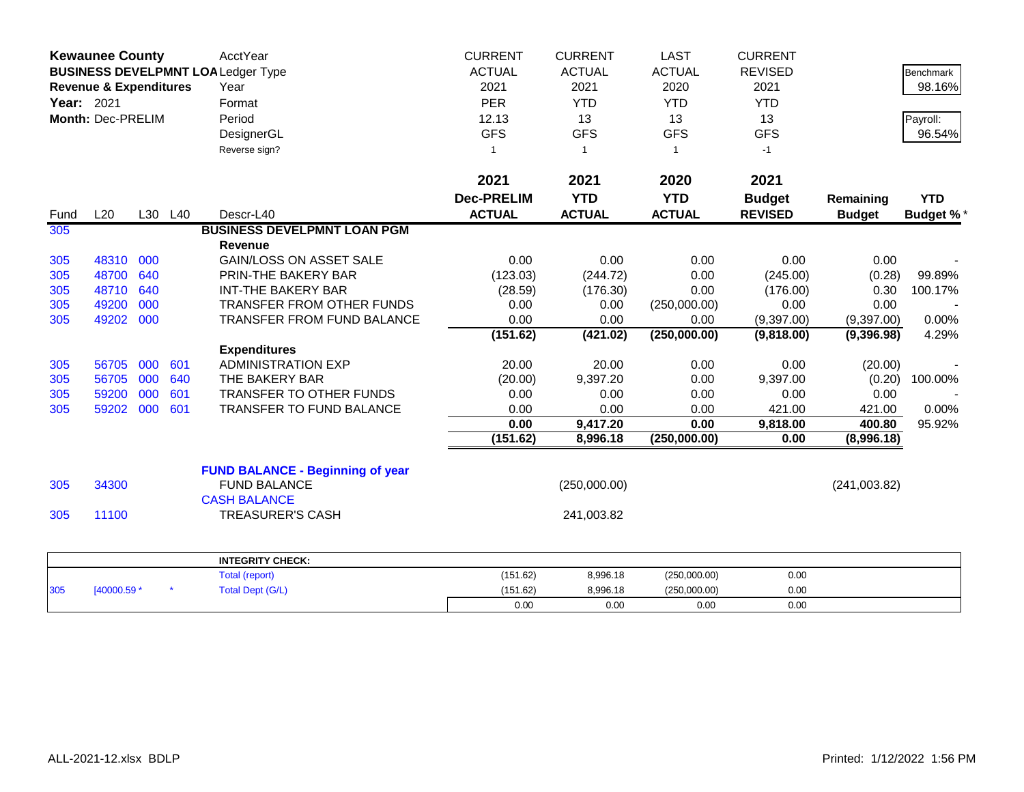|                   | <b>Kewaunee County</b>                                                        |         |     | AcctYear                                | <b>CURRENT</b>    | <b>CURRENT</b> | <b>LAST</b>   | <b>CURRENT</b> |               |                  |
|-------------------|-------------------------------------------------------------------------------|---------|-----|-----------------------------------------|-------------------|----------------|---------------|----------------|---------------|------------------|
|                   | <b>BUSINESS DEVELPMNT LOALedger Type</b><br><b>Revenue &amp; Expenditures</b> |         |     |                                         | <b>ACTUAL</b>     | <b>ACTUAL</b>  | <b>ACTUAL</b> | <b>REVISED</b> |               | Benchmark        |
|                   |                                                                               |         |     | Year                                    | 2021              | 2021           | 2020          | 2021           |               | 98.16%           |
| <b>Year: 2021</b> |                                                                               |         |     | Format                                  | <b>PER</b>        | <b>YTD</b>     | <b>YTD</b>    | <b>YTD</b>     |               |                  |
|                   | Month: Dec-PRELIM                                                             |         |     | Period                                  | 12.13             | 13             | 13            | 13             |               | Payroll:         |
|                   |                                                                               |         |     | DesignerGL                              | <b>GFS</b>        | <b>GFS</b>     | <b>GFS</b>    | <b>GFS</b>     |               | 96.54%           |
|                   |                                                                               |         |     | Reverse sign?                           | 1                 | $\overline{1}$ | $\mathbf{1}$  | $-1$           |               |                  |
|                   |                                                                               |         |     |                                         |                   |                |               |                |               |                  |
|                   |                                                                               |         |     |                                         | 2021              | 2021           | 2020          | 2021           |               |                  |
|                   |                                                                               |         |     |                                         | <b>Dec-PRELIM</b> | <b>YTD</b>     | <b>YTD</b>    | <b>Budget</b>  | Remaining     | <b>YTD</b>       |
| Fund              | L20                                                                           | L30 L40 |     | Descr-L40                               | <b>ACTUAL</b>     | <b>ACTUAL</b>  | <b>ACTUAL</b> | <b>REVISED</b> | <b>Budget</b> | <b>Budget %*</b> |
| 305               |                                                                               |         |     | <b>BUSINESS DEVELPMNT LOAN PGM</b>      |                   |                |               |                |               |                  |
|                   |                                                                               |         |     | <b>Revenue</b>                          |                   |                |               |                |               |                  |
| 305               | 48310                                                                         | 000     |     | <b>GAIN/LOSS ON ASSET SALE</b>          | 0.00              | 0.00           | 0.00          | 0.00           | 0.00          |                  |
| 305               | 48700                                                                         | 640     |     | PRIN-THE BAKERY BAR                     | (123.03)          | (244.72)       | 0.00          | (245.00)       | (0.28)        | 99.89%           |
| 305               | 48710                                                                         | 640     |     | <b>INT-THE BAKERY BAR</b>               | (28.59)           | (176.30)       | 0.00          | (176.00)       | 0.30          | 100.17%          |
| 305               | 49200                                                                         | 000     |     | TRANSFER FROM OTHER FUNDS               | 0.00              | 0.00           | (250,000.00)  | 0.00           | 0.00          |                  |
| 305               | 49202                                                                         | 000     |     | <b>TRANSFER FROM FUND BALANCE</b>       | 0.00              | 0.00           | 0.00          | (9,397.00)     | (9,397.00)    | 0.00%            |
|                   |                                                                               |         |     |                                         | (151.62)          | (421.02)       | (250,000.00)  | (9,818.00)     | (9,396.98)    | 4.29%            |
|                   |                                                                               |         |     | <b>Expenditures</b>                     |                   |                |               |                |               |                  |
| 305               | 56705                                                                         | 000     | 601 | <b>ADMINISTRATION EXP</b>               | 20.00             | 20.00          | 0.00          | 0.00           | (20.00)       |                  |
| 305               | 56705                                                                         | 000     | 640 | THE BAKERY BAR                          | (20.00)           | 9,397.20       | 0.00          | 9,397.00       | (0.20)        | 100.00%          |
| 305               | 59200                                                                         | 000     | 601 | <b>TRANSFER TO OTHER FUNDS</b>          | 0.00              | 0.00           | 0.00          | 0.00           | 0.00          |                  |
| 305               | 59202                                                                         | 000     | 601 | TRANSFER TO FUND BALANCE                | 0.00              | 0.00           | 0.00          | 421.00         | 421.00        | 0.00%            |
|                   |                                                                               |         |     |                                         | 0.00              | 9,417.20       | 0.00          | 9,818.00       | 400.80        | 95.92%           |
|                   |                                                                               |         |     |                                         | (151.62)          | 8,996.18       | (250,000.00)  | 0.00           | (8,996.18)    |                  |
|                   |                                                                               |         |     | <b>FUND BALANCE - Beginning of year</b> |                   |                |               |                |               |                  |
| 305               | 34300                                                                         |         |     | <b>FUND BALANCE</b>                     |                   | (250,000.00)   |               |                | (241,003.82)  |                  |
|                   |                                                                               |         |     | <b>CASH BALANCE</b>                     |                   |                |               |                |               |                  |
| 305               | 11100                                                                         |         |     | <b>TREASURER'S CASH</b>                 |                   | 241,003.82     |               |                |               |                  |
|                   |                                                                               |         |     |                                         |                   |                |               |                |               |                  |
|                   |                                                                               |         |     | <b>INTEGRITY CHECK:</b>                 |                   |                |               |                |               |                  |
|                   |                                                                               |         |     | <b>Total (report)</b>                   | (151.62)          | 8,996.18       | (250,000.00)  | 0.00           |               |                  |
| 305               | [40000.59 *                                                                   |         |     | <b>Total Dept (G/L)</b>                 | (151.62)          | 8,996.18       | (250,000.00)  | 0.00           |               |                  |
|                   |                                                                               |         |     |                                         | 0.00              | 0.00           | 0.00          | 0.00           |               |                  |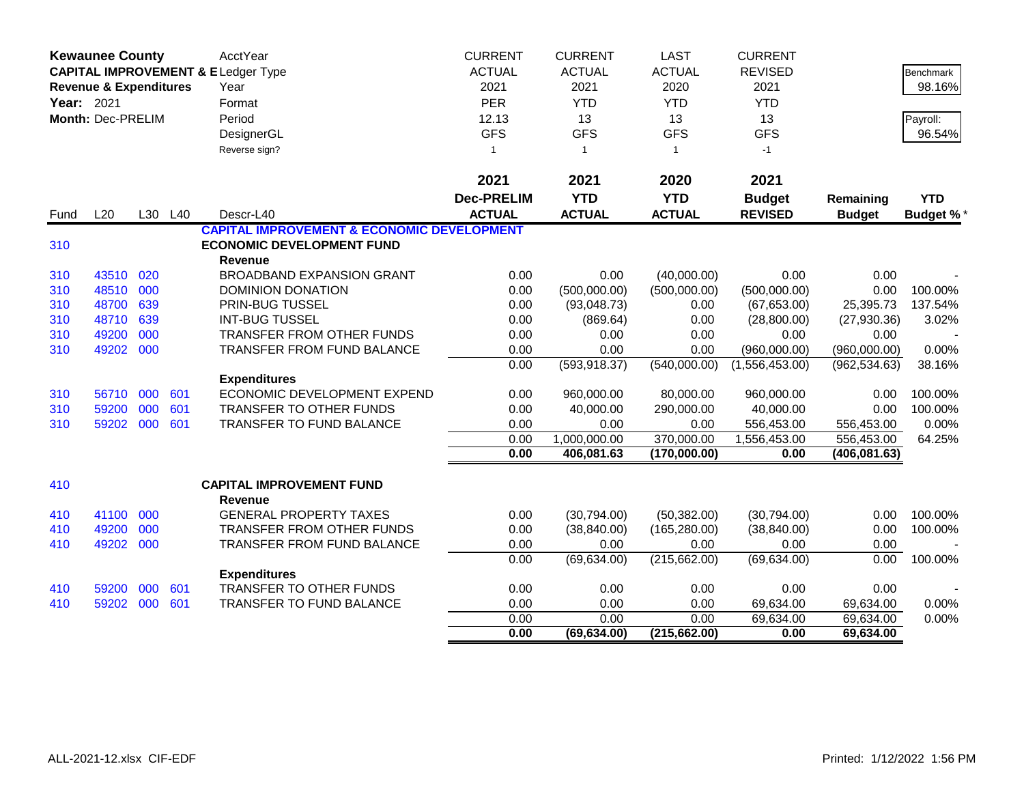|            | <b>Kewaunee County</b>            |     |         | AcctYear                                              | <b>CURRENT</b>    | <b>CURRENT</b> | <b>LAST</b>   | <b>CURRENT</b> |               |                  |
|------------|-----------------------------------|-----|---------|-------------------------------------------------------|-------------------|----------------|---------------|----------------|---------------|------------------|
|            |                                   |     |         | <b>CAPITAL IMPROVEMENT &amp; ELedger Type</b>         | <b>ACTUAL</b>     | <b>ACTUAL</b>  | <b>ACTUAL</b> | <b>REVISED</b> |               | <b>Benchmark</b> |
|            | <b>Revenue &amp; Expenditures</b> |     |         | Year                                                  | 2021              | 2021           | 2020          | 2021           |               | 98.16%           |
| Year: 2021 |                                   |     |         | Format                                                | <b>PER</b>        | <b>YTD</b>     | <b>YTD</b>    | <b>YTD</b>     |               |                  |
|            | Month: Dec-PRELIM                 |     |         | Period                                                | 12.13             | 13             | 13            | 13             |               | Payroll:         |
|            |                                   |     |         | DesignerGL                                            | <b>GFS</b>        | <b>GFS</b>     | <b>GFS</b>    | <b>GFS</b>     |               | 96.54%           |
|            |                                   |     |         | Reverse sign?                                         | 1                 | $\overline{1}$ | $\mathbf{1}$  | $-1$           |               |                  |
|            |                                   |     |         |                                                       |                   |                |               |                |               |                  |
|            |                                   |     |         |                                                       | 2021              | 2021           | 2020          | 2021           |               |                  |
|            |                                   |     |         |                                                       | <b>Dec-PRELIM</b> | <b>YTD</b>     | <b>YTD</b>    | <b>Budget</b>  | Remaining     | <b>YTD</b>       |
| Fund       | L20                               |     | L30 L40 | Descr-L40                                             | <b>ACTUAL</b>     | <b>ACTUAL</b>  | <b>ACTUAL</b> | <b>REVISED</b> | <b>Budget</b> | <b>Budget %*</b> |
|            |                                   |     |         | <b>CAPITAL IMPROVEMENT &amp; ECONOMIC DEVELOPMENT</b> |                   |                |               |                |               |                  |
| 310        |                                   |     |         | <b>ECONOMIC DEVELOPMENT FUND</b>                      |                   |                |               |                |               |                  |
|            |                                   |     |         | <b>Revenue</b>                                        |                   |                |               |                |               |                  |
| 310        | 43510                             | 020 |         | <b>BROADBAND EXPANSION GRANT</b>                      | 0.00              | 0.00           | (40,000.00)   | 0.00           | 0.00          |                  |
| 310        | 48510                             | 000 |         | DOMINION DONATION                                     | 0.00              | (500,000.00)   | (500,000.00)  | (500,000.00)   | 0.00          | 100.00%          |
| 310        | 48700                             | 639 |         | PRIN-BUG TUSSEL                                       | 0.00              | (93,048.73)    | 0.00          | (67, 653.00)   | 25,395.73     | 137.54%          |
| 310        | 48710 639                         |     |         | <b>INT-BUG TUSSEL</b>                                 | 0.00              | (869.64)       | 0.00          | (28,800.00)    | (27,930.36)   | 3.02%            |
| 310        | 49200                             | 000 |         | <b>TRANSFER FROM OTHER FUNDS</b>                      | 0.00              | 0.00           | 0.00          | 0.00           | 0.00          |                  |
| 310        | 49202                             | 000 |         | TRANSFER FROM FUND BALANCE                            | 0.00              | 0.00           | 0.00          | (960,000.00)   | (960,000.00)  | 0.00%            |
|            |                                   |     |         |                                                       | 0.00              | (593, 918.37)  | (540,000.00)  | (1,556,453.00) | (962, 534.63) | 38.16%           |
|            |                                   |     |         | <b>Expenditures</b>                                   |                   |                |               |                |               |                  |
| 310        | 56710                             | 000 | 601     | ECONOMIC DEVELOPMENT EXPEND                           | 0.00              | 960,000.00     | 80,000.00     | 960,000.00     | 0.00          | 100.00%          |
| 310        | 59200                             | 000 | 601     | TRANSFER TO OTHER FUNDS                               | 0.00              | 40,000.00      | 290,000.00    | 40,000.00      | 0.00          | 100.00%          |
| 310        | 59202 000                         |     | 601     | TRANSFER TO FUND BALANCE                              | 0.00              | 0.00           | 0.00          | 556,453.00     | 556,453.00    | 0.00%            |
|            |                                   |     |         |                                                       | 0.00              | 1,000,000.00   | 370,000.00    | 1,556,453.00   | 556,453.00    | 64.25%           |
|            |                                   |     |         |                                                       | 0.00              | 406,081.63     | (170,000.00)  | 0.00           | (406, 081.63) |                  |
| 410        |                                   |     |         | <b>CAPITAL IMPROVEMENT FUND</b>                       |                   |                |               |                |               |                  |
|            |                                   |     |         | <b>Revenue</b>                                        |                   |                |               |                |               |                  |
| 410        | 41100                             | 000 |         | <b>GENERAL PROPERTY TAXES</b>                         | 0.00              | (30,794.00)    | (50, 382.00)  | (30,794.00)    | 0.00          | 100.00%          |
| 410        | 49200                             | 000 |         | <b>TRANSFER FROM OTHER FUNDS</b>                      | 0.00              | (38, 840.00)   | (165, 280.00) | (38, 840.00)   | 0.00          | 100.00%          |
| 410        | 49202 000                         |     |         | TRANSFER FROM FUND BALANCE                            | 0.00              | 0.00           | 0.00          | 0.00           | 0.00          |                  |
|            |                                   |     |         |                                                       | 0.00              | (69, 634.00)   | (215, 662.00) | (69, 634.00)   | 0.00          | 100.00%          |
|            |                                   |     |         | <b>Expenditures</b>                                   |                   |                |               |                |               |                  |
| 410        | 59200                             | 000 | 601     | TRANSFER TO OTHER FUNDS                               | 0.00              | 0.00           | 0.00          | 0.00           | 0.00          |                  |
| 410        | 59202 000                         |     | 601     | TRANSFER TO FUND BALANCE                              | 0.00              | 0.00           | 0.00          | 69,634.00      | 69,634.00     | 0.00%            |
|            |                                   |     |         |                                                       | 0.00              | 0.00           | 0.00          | 69,634.00      | 69,634.00     | 0.00%            |
|            |                                   |     |         |                                                       | 0.00              | (69, 634.00)   | (215,662.00)  | 0.00           | 69,634.00     |                  |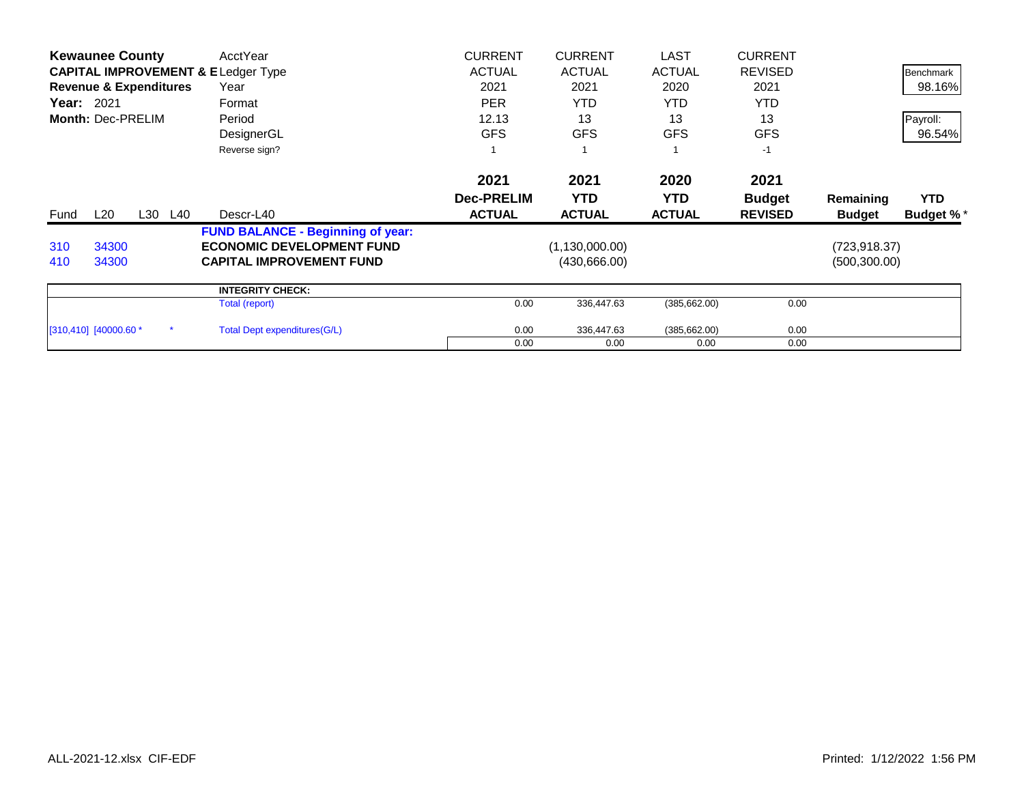|                   | <b>Kewaunee County</b>            |         | AcctYear                                      | <b>CURRENT</b>    | <b>CURRENT</b>   | LAST          | <b>CURRENT</b> |               |                  |
|-------------------|-----------------------------------|---------|-----------------------------------------------|-------------------|------------------|---------------|----------------|---------------|------------------|
|                   |                                   |         | <b>CAPITAL IMPROVEMENT &amp; ELedger Type</b> | <b>ACTUAL</b>     | <b>ACTUAL</b>    | <b>ACTUAL</b> | <b>REVISED</b> |               | Benchmark        |
|                   | <b>Revenue &amp; Expenditures</b> |         | Year                                          | 2021              | 2021             | 2020          | 2021           |               | 98.16%           |
| <b>Year: 2021</b> |                                   |         | Format                                        | <b>PER</b>        | <b>YTD</b>       | YTD.          | <b>YTD</b>     |               |                  |
|                   | Month: Dec-PRELIM                 |         | Period                                        | 12.13             | 13               | 13            | 13             |               | Payroll:         |
|                   |                                   |         | DesignerGL                                    | <b>GFS</b>        | <b>GFS</b>       | <b>GFS</b>    | <b>GFS</b>     |               | 96.54%           |
|                   |                                   |         | Reverse sign?                                 |                   |                  |               | $-1$           |               |                  |
|                   |                                   |         |                                               | 2021              | 2021             | 2020          | 2021           |               |                  |
|                   |                                   |         |                                               | <b>Dec-PRELIM</b> | <b>YTD</b>       | <b>YTD</b>    | <b>Budget</b>  | Remaining     | <b>YTD</b>       |
| Fund              | L20                               | L30 L40 | Descr-L40                                     | <b>ACTUAL</b>     | <b>ACTUAL</b>    | <b>ACTUAL</b> | <b>REVISED</b> | <b>Budget</b> | <b>Budget %*</b> |
|                   |                                   |         | <b>FUND BALANCE - Beginning of year:</b>      |                   |                  |               |                |               |                  |
| 310               | 34300                             |         | <b>ECONOMIC DEVELOPMENT FUND</b>              |                   | (1, 130, 000.00) |               |                | (723, 918.37) |                  |
| 410               | 34300                             |         | <b>CAPITAL IMPROVEMENT FUND</b>               |                   | (430,666.00)     |               |                | (500, 300.00) |                  |
|                   |                                   |         | <b>INTEGRITY CHECK:</b>                       |                   |                  |               |                |               |                  |
|                   |                                   |         | Total (report)                                | 0.00              | 336,447.63       | (385, 662.00) | 0.00           |               |                  |
|                   | $[310, 410]$ $[40000.60 *$        |         | Total Dept expenditures (G/L)                 | 0.00              | 336,447.63       | (385, 662.00) | 0.00           |               |                  |
|                   |                                   |         |                                               | 0.00              | 0.00             | 0.00          | 0.00           |               |                  |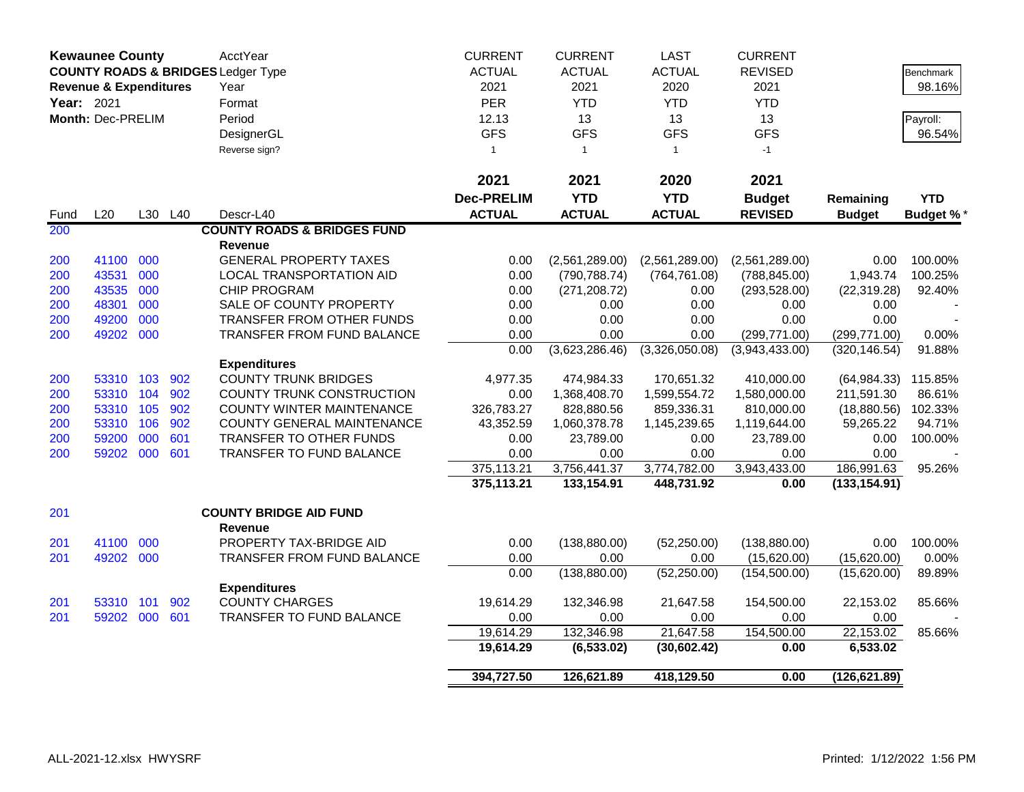|            | <b>Kewaunee County</b>            |     |         | AcctYear                                      | <b>CURRENT</b>    | <b>CURRENT</b> | <b>LAST</b>    | <b>CURRENT</b> |               |                  |
|------------|-----------------------------------|-----|---------|-----------------------------------------------|-------------------|----------------|----------------|----------------|---------------|------------------|
|            |                                   |     |         | <b>COUNTY ROADS &amp; BRIDGES Ledger Type</b> | <b>ACTUAL</b>     | <b>ACTUAL</b>  | <b>ACTUAL</b>  | <b>REVISED</b> |               | <b>Benchmark</b> |
|            | <b>Revenue &amp; Expenditures</b> |     |         | Year                                          | 2021              | 2021           | 2020           | 2021           |               | 98.16%           |
| Year: 2021 |                                   |     |         | Format                                        | <b>PER</b>        | <b>YTD</b>     | <b>YTD</b>     | <b>YTD</b>     |               |                  |
|            | Month: Dec-PRELIM                 |     |         | Period                                        | 12.13             | 13             | 13             | 13             |               | Payroll:         |
|            |                                   |     |         | DesignerGL                                    | <b>GFS</b>        | <b>GFS</b>     | <b>GFS</b>     | <b>GFS</b>     |               | 96.54%           |
|            |                                   |     |         | Reverse sign?                                 | $\mathbf{1}$      | $\overline{1}$ | $\mathbf{1}$   | $-1$           |               |                  |
|            |                                   |     |         |                                               |                   |                |                |                |               |                  |
|            |                                   |     |         |                                               | 2021              | 2021           | 2020           | 2021           |               |                  |
|            |                                   |     |         |                                               | <b>Dec-PRELIM</b> | <b>YTD</b>     | <b>YTD</b>     | <b>Budget</b>  | Remaining     | <b>YTD</b>       |
| Fund       | L20                               |     | L30 L40 | Descr-L40                                     | <b>ACTUAL</b>     | <b>ACTUAL</b>  | <b>ACTUAL</b>  | <b>REVISED</b> | <b>Budget</b> | <b>Budget %*</b> |
| 200        |                                   |     |         | <b>COUNTY ROADS &amp; BRIDGES FUND</b>        |                   |                |                |                |               |                  |
|            |                                   |     |         | <b>Revenue</b>                                |                   |                |                |                |               |                  |
| 200        | 41100                             | 000 |         | <b>GENERAL PROPERTY TAXES</b>                 | 0.00              | (2,561,289.00) | (2,561,289.00) | (2,561,289.00) | 0.00          | 100.00%          |
| 200        | 43531                             | 000 |         | LOCAL TRANSPORTATION AID                      | 0.00              | (790, 788.74)  | (764, 761.08)  | (788, 845.00)  | 1,943.74      | 100.25%          |
| 200        | 43535                             | 000 |         | <b>CHIP PROGRAM</b>                           | 0.00              | (271, 208.72)  | 0.00           | (293, 528.00)  | (22, 319.28)  | 92.40%           |
| 200        | 48301                             | 000 |         | SALE OF COUNTY PROPERTY                       | 0.00              | 0.00           | 0.00           | 0.00           | 0.00          |                  |
| 200        | 49200                             | 000 |         | TRANSFER FROM OTHER FUNDS                     | 0.00              | 0.00           | 0.00           | 0.00           | 0.00          |                  |
| 200        | 49202 000                         |     |         | TRANSFER FROM FUND BALANCE                    | 0.00              | 0.00           | 0.00           | (299, 771.00)  | (299, 771.00) | 0.00%            |
|            |                                   |     |         |                                               | 0.00              | (3,623,286.46) | (3,326,050.08) | (3,943,433.00) | (320, 146.54) | 91.88%           |
|            |                                   |     |         | <b>Expenditures</b>                           |                   |                |                |                |               |                  |
| 200        | 53310 103                         |     | 902     | <b>COUNTY TRUNK BRIDGES</b>                   | 4,977.35          | 474,984.33     | 170,651.32     | 410,000.00     | (64, 984.33)  | 115.85%          |
| 200        | 53310 104                         |     | 902     | COUNTY TRUNK CONSTRUCTION                     | 0.00              | 1,368,408.70   | 1,599,554.72   | 1,580,000.00   | 211,591.30    | 86.61%           |
| 200        | 53310 105                         |     | 902     | <b>COUNTY WINTER MAINTENANCE</b>              | 326,783.27        | 828,880.56     | 859,336.31     | 810,000.00     | (18,880.56)   | 102.33%          |
| 200        | 53310 106                         |     | 902     | COUNTY GENERAL MAINTENANCE                    | 43,352.59         | 1,060,378.78   | 1,145,239.65   | 1,119,644.00   | 59,265.22     | 94.71%           |
| 200        | 59200                             | 000 | 601     | TRANSFER TO OTHER FUNDS                       | 0.00              | 23,789.00      | 0.00           | 23,789.00      | 0.00          | 100.00%          |
| 200        | 59202 000                         |     | 601     | TRANSFER TO FUND BALANCE                      | 0.00              | 0.00           | 0.00           | 0.00           | 0.00          |                  |
|            |                                   |     |         |                                               | 375,113.21        | 3,756,441.37   | 3,774,782.00   | 3,943,433.00   | 186,991.63    | 95.26%           |
|            |                                   |     |         |                                               | 375,113.21        | 133,154.91     | 448,731.92     | 0.00           | (133, 154.91) |                  |
| 201        |                                   |     |         | <b>COUNTY BRIDGE AID FUND</b>                 |                   |                |                |                |               |                  |
|            |                                   |     |         | Revenue                                       |                   |                |                |                |               |                  |
| 201        | 41100 000                         |     |         | PROPERTY TAX-BRIDGE AID                       | 0.00              | (138, 880.00)  | (52, 250.00)   | (138, 880.00)  | 0.00          | 100.00%          |
| 201        | 49202                             | 000 |         | TRANSFER FROM FUND BALANCE                    | 0.00              | 0.00           | 0.00           | (15,620.00)    | (15,620.00)   | 0.00%            |
|            |                                   |     |         |                                               | 0.00              | (138, 880.00)  | (52, 250.00)   | (154, 500.00)  | (15,620.00)   | 89.89%           |
|            |                                   |     |         | <b>Expenditures</b>                           |                   |                |                |                |               |                  |
| 201        | 53310 101                         |     | 902     | <b>COUNTY CHARGES</b>                         | 19,614.29         | 132,346.98     | 21,647.58      | 154,500.00     | 22,153.02     | 85.66%           |
| 201        | 59202 000                         |     | 601     | TRANSFER TO FUND BALANCE                      | 0.00              | 0.00           | 0.00           | 0.00           | 0.00          |                  |
|            |                                   |     |         |                                               | 19,614.29         | 132,346.98     | 21,647.58      | 154,500.00     | 22,153.02     | 85.66%           |
|            |                                   |     |         |                                               | 19,614.29         | (6, 533.02)    | (30, 602.42)   | 0.00           | 6,533.02      |                  |
|            |                                   |     |         |                                               | 394,727.50        | 126,621.89     | 418,129.50     | 0.00           | (126, 621.89) |                  |
|            |                                   |     |         |                                               |                   |                |                |                |               |                  |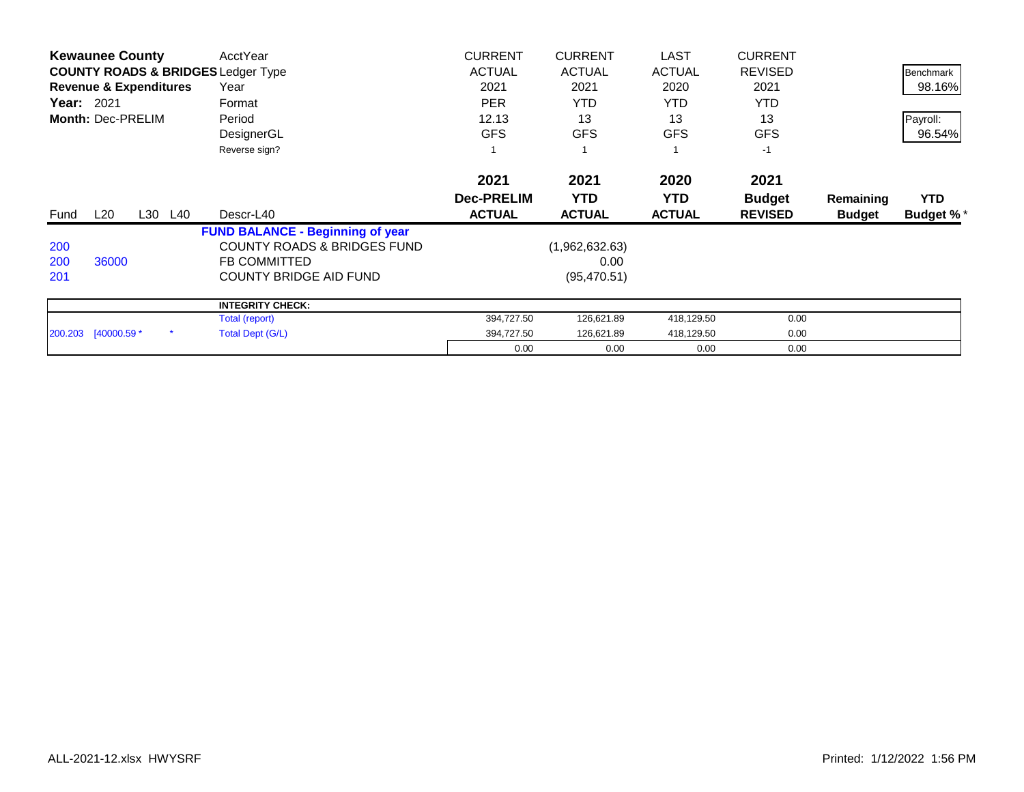|                   | <b>Kewaunee County</b> |                                   | AcctYear                                      | <b>CURRENT</b>    | <b>CURRENT</b> | <b>LAST</b>   | <b>CURRENT</b> |               |                  |
|-------------------|------------------------|-----------------------------------|-----------------------------------------------|-------------------|----------------|---------------|----------------|---------------|------------------|
|                   |                        |                                   | <b>COUNTY ROADS &amp; BRIDGES Ledger Type</b> | <b>ACTUAL</b>     | <b>ACTUAL</b>  | <b>ACTUAL</b> | <b>REVISED</b> |               | Benchmark        |
|                   |                        | <b>Revenue &amp; Expenditures</b> | Year                                          | 2021              | 2021           | 2020          | 2021           |               | 98.16%           |
| <b>Year: 2021</b> |                        |                                   | Format                                        | <b>PER</b>        | <b>YTD</b>     | YTD.          | <b>YTD</b>     |               |                  |
|                   | Month: Dec-PRELIM      |                                   | Period                                        | 12.13             | 13             | 13            | 13             |               | Payroll:         |
|                   |                        |                                   | DesignerGL                                    | <b>GFS</b>        | <b>GFS</b>     | <b>GFS</b>    | <b>GFS</b>     |               | 96.54%           |
|                   |                        |                                   | Reverse sign?                                 |                   |                |               | $-1$           |               |                  |
|                   |                        |                                   |                                               | 2021              | 2021           | 2020          | 2021           |               |                  |
|                   |                        |                                   |                                               | <b>Dec-PRELIM</b> | <b>YTD</b>     | <b>YTD</b>    | <b>Budget</b>  | Remaining     | <b>YTD</b>       |
|                   |                        |                                   |                                               |                   |                |               |                |               |                  |
| Fund              | L20                    | L30 L40                           | Descr-L40                                     | <b>ACTUAL</b>     | <b>ACTUAL</b>  | <b>ACTUAL</b> | <b>REVISED</b> | <b>Budget</b> | <b>Budget %*</b> |
|                   |                        |                                   | <b>FUND BALANCE - Beginning of year</b>       |                   |                |               |                |               |                  |
| 200               |                        |                                   | <b>COUNTY ROADS &amp; BRIDGES FUND</b>        |                   | (1,962,632.63) |               |                |               |                  |
| 200               | 36000                  |                                   | <b>FB COMMITTED</b>                           |                   | 0.00           |               |                |               |                  |
| 201               |                        |                                   | <b>COUNTY BRIDGE AID FUND</b>                 |                   | (95, 470.51)   |               |                |               |                  |
|                   |                        |                                   | <b>INTEGRITY CHECK:</b>                       |                   |                |               |                |               |                  |
|                   |                        |                                   | Total (report)                                | 394,727.50        | 126,621.89     | 418,129.50    | 0.00           |               |                  |
|                   | 200.203 [40000.59 *    |                                   | Total Dept (G/L)                              | 394,727.50        | 126,621.89     | 418,129.50    | 0.00           |               |                  |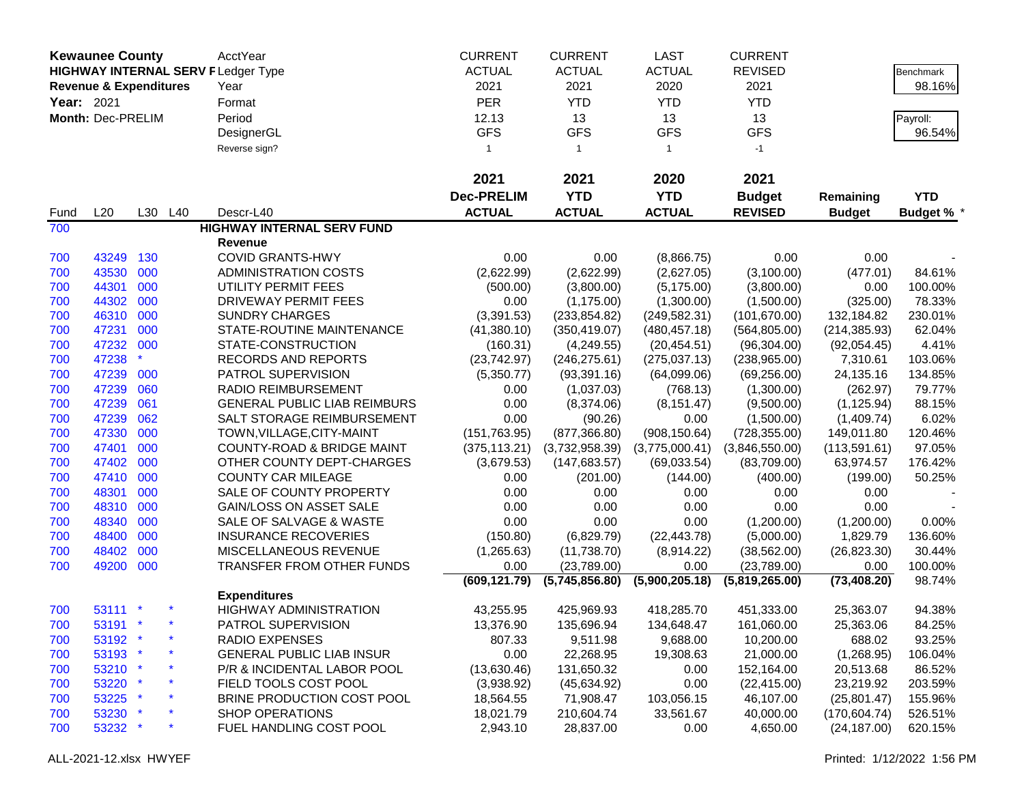|            | <b>Kewaunee County</b>            |     |         | AcctYear                                  | <b>CURRENT</b>    | <b>CURRENT</b> | LAST           | <b>CURRENT</b> |               |                   |
|------------|-----------------------------------|-----|---------|-------------------------------------------|-------------------|----------------|----------------|----------------|---------------|-------------------|
|            |                                   |     |         | <b>HIGHWAY INTERNAL SERV FLedger Type</b> | <b>ACTUAL</b>     | <b>ACTUAL</b>  | <b>ACTUAL</b>  | <b>REVISED</b> |               | Benchmark         |
|            | <b>Revenue &amp; Expenditures</b> |     |         | Year                                      | 2021              | 2021           | 2020           | 2021           |               | 98.16%            |
| Year: 2021 |                                   |     |         | Format                                    | <b>PER</b>        | <b>YTD</b>     | <b>YTD</b>     | <b>YTD</b>     |               |                   |
|            | Month: Dec-PRELIM                 |     |         | Period                                    | 12.13             | 13             | 13             | 13             |               | Payroll:          |
|            |                                   |     |         |                                           | <b>GFS</b>        | <b>GFS</b>     | <b>GFS</b>     | <b>GFS</b>     |               | 96.54%            |
|            |                                   |     |         | DesignerGL                                |                   |                |                |                |               |                   |
|            |                                   |     |         | Reverse sign?                             | $\overline{1}$    | $\mathbf{1}$   | $\mathbf{1}$   | $-1$           |               |                   |
|            |                                   |     |         |                                           | 2021              | 2021           | 2020           | 2021           |               |                   |
|            |                                   |     |         |                                           | <b>Dec-PRELIM</b> | <b>YTD</b>     | <b>YTD</b>     | <b>Budget</b>  | Remaining     | <b>YTD</b>        |
| Fund       | L20                               |     | L30 L40 | Descr-L40                                 | <b>ACTUAL</b>     | <b>ACTUAL</b>  | <b>ACTUAL</b>  | <b>REVISED</b> | <b>Budget</b> | <b>Budget % *</b> |
| 700        |                                   |     |         | <b>HIGHWAY INTERNAL SERV FUND</b>         |                   |                |                |                |               |                   |
|            |                                   |     |         | <b>Revenue</b>                            |                   |                |                |                |               |                   |
| 700        | 43249                             | 130 |         | <b>COVID GRANTS-HWY</b>                   | 0.00              | 0.00           | (8,866.75)     | 0.00           | 0.00          |                   |
| 700        | 43530                             | 000 |         | <b>ADMINISTRATION COSTS</b>               | (2,622.99)        | (2,622.99)     | (2,627.05)     | (3,100.00)     | (477.01)      | 84.61%            |
| 700        | 44301                             | 000 |         | UTILITY PERMIT FEES                       | (500.00)          | (3,800.00)     | (5, 175.00)    | (3,800.00)     | 0.00          | 100.00%           |
| 700        | 44302                             | 000 |         | <b>DRIVEWAY PERMIT FEES</b>               | 0.00              | (1, 175.00)    | (1,300.00)     | (1,500.00)     | (325.00)      | 78.33%            |
| 700        | 46310                             | 000 |         | <b>SUNDRY CHARGES</b>                     | (3,391.53)        | (233, 854.82)  | (249, 582.31)  | (101, 670.00)  | 132,184.82    | 230.01%           |
| 700        | 47231                             | 000 |         | STATE-ROUTINE MAINTENANCE                 | (41,380.10)       | (350, 419.07)  | (480, 457.18)  | (564, 805.00)  | (214, 385.93) | 62.04%            |
| 700        | 47232 000                         |     |         | STATE-CONSTRUCTION                        | (160.31)          | (4,249.55)     | (20, 454.51)   | (96, 304.00)   | (92,054.45)   | 4.41%             |
| 700        | 47238                             |     |         | RECORDS AND REPORTS                       | (23,742.97)       | (246, 275.61)  | (275, 037.13)  | (238,965.00)   | 7,310.61      | 103.06%           |
| 700        | 47239                             | 000 |         | PATROL SUPERVISION                        | (5,350.77)        | (93, 391.16)   | (64,099.06)    | (69, 256.00)   | 24,135.16     | 134.85%           |
| 700        | 47239                             | 060 |         | <b>RADIO REIMBURSEMENT</b>                | 0.00              | (1,037.03)     | (768.13)       | (1,300.00)     | (262.97)      | 79.77%            |
| 700        | 47239                             | 061 |         | <b>GENERAL PUBLIC LIAB REIMBURS</b>       | 0.00              | (8,374.06)     | (8, 151.47)    | (9,500.00)     | (1, 125.94)   | 88.15%            |
| 700        | 47239                             | 062 |         | SALT STORAGE REIMBURSEMENT                | 0.00              | (90.26)        | 0.00           | (1,500.00)     | (1,409.74)    | 6.02%             |
| 700        | 47330                             | 000 |         | TOWN, VILLAGE, CITY-MAINT                 | (151, 763.95)     | (877, 366.80)  | (908, 150.64)  | (728, 355.00)  | 149,011.80    | 120.46%           |
| 700        | 47401                             | 000 |         | <b>COUNTY-ROAD &amp; BRIDGE MAINT</b>     | (375, 113.21)     | (3,732,958.39) | (3,775,000.41) | (3,846,550.00) | (113, 591.61) | 97.05%            |
| 700        | 47402                             | 000 |         | OTHER COUNTY DEPT-CHARGES                 | (3,679.53)        | (147, 683.57)  | (69,033.54)    | (83,709.00)    | 63,974.57     | 176.42%           |
| 700        | 47410 000                         |     |         | <b>COUNTY CAR MILEAGE</b>                 | 0.00              | (201.00)       | (144.00)       | (400.00)       | (199.00)      | 50.25%            |
| 700        | 48301                             | 000 |         | SALE OF COUNTY PROPERTY                   | 0.00              | 0.00           | 0.00           | 0.00           | 0.00          |                   |
| 700        | 48310                             | 000 |         | <b>GAIN/LOSS ON ASSET SALE</b>            | 0.00              | 0.00           | 0.00           | 0.00           | 0.00          |                   |
| 700        | 48340                             | 000 |         | SALE OF SALVAGE & WASTE                   | 0.00              | 0.00           | 0.00           | (1,200.00)     | (1,200.00)    | 0.00%             |
| 700        | 48400                             | 000 |         | <b>INSURANCE RECOVERIES</b>               | (150.80)          | (6,829.79)     | (22, 443.78)   | (5,000.00)     | 1,829.79      | 136.60%           |
| 700        | 48402                             | 000 |         | MISCELLANEOUS REVENUE                     | (1,265.63)        | (11,738.70)    | (8,914.22)     | (38, 562.00)   | (26, 823.30)  | 30.44%            |
| 700        | 49200 000                         |     |         | TRANSFER FROM OTHER FUNDS                 | 0.00              | (23,789.00)    | 0.00           | (23,789.00)    | 0.00          | 100.00%           |
|            |                                   |     |         |                                           | (609, 121.79)     | (5,745,856.80) | (5,900,205.18) | (5,819,265.00) | (73, 408.20)  | 98.74%            |
|            |                                   |     |         | <b>Expenditures</b>                       |                   |                |                |                |               |                   |
| 700        | 53111 *                           |     |         | <b>HIGHWAY ADMINISTRATION</b>             | 43,255.95         | 425,969.93     | 418,285.70     | 451,333.00     | 25,363.07     | 94.38%            |
| 700        | 53191 *                           |     |         | PATROL SUPERVISION                        | 13,376.90         | 135,696.94     | 134,648.47     | 161,060.00     | 25,363.06     | 84.25%            |
| 700        | 53192 *                           |     |         | RADIO EXPENSES                            | 807.33            | 9,511.98       | 9,688.00       | 10,200.00      | 688.02        | 93.25%            |
| 700        | 53193 *                           |     |         | <b>GENERAL PUBLIC LIAB INSUR</b>          | 0.00              | 22,268.95      | 19,308.63      | 21,000.00      | (1,268.95)    | 106.04%           |
| 700        | 53210 *                           |     |         | P/R & INCIDENTAL LABOR POOL               | (13,630.46)       | 131,650.32     | 0.00           | 152,164.00     | 20,513.68     | 86.52%            |
| 700        | 53220 *                           |     |         | FIELD TOOLS COST POOL                     | (3,938.92)        | (45, 634.92)   | 0.00           | (22, 415.00)   | 23,219.92     | 203.59%           |
| 700        | 53225 *                           |     |         | BRINE PRODUCTION COST POOL                | 18,564.55         | 71,908.47      | 103,056.15     | 46,107.00      | (25,801.47)   | 155.96%           |
| 700        | 53230 *                           |     |         | <b>SHOP OPERATIONS</b>                    | 18,021.79         | 210,604.74     | 33,561.67      | 40,000.00      | (170, 604.74) | 526.51%           |
| 700        | 53232 *                           |     |         | FUEL HANDLING COST POOL                   | 2,943.10          | 28,837.00      | 0.00           | 4,650.00       | (24, 187.00)  | 620.15%           |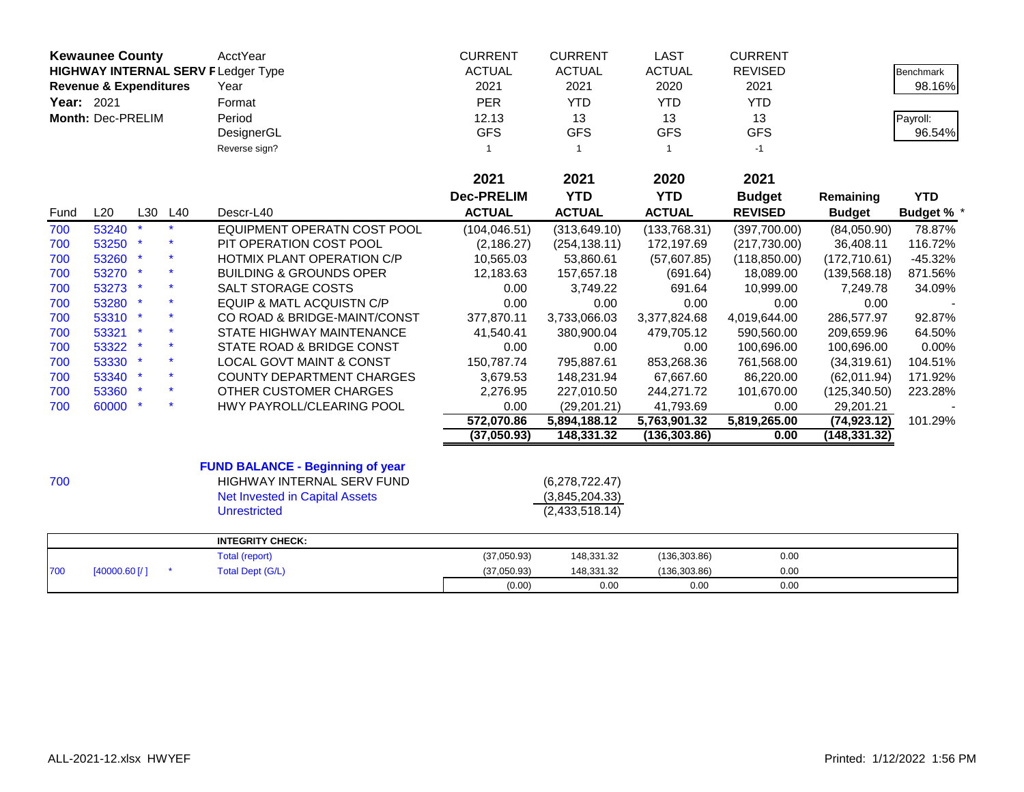| <b>Kewaunee County</b><br><b>HIGHWAY INTERNAL SERV F Ledger Type</b><br><b>Revenue &amp; Expenditures</b><br>Year: 2021<br>Month: Dec-PRELIM |            |         | <b>AcctYear</b><br>Year<br>Format<br>Period<br>DesignerGL<br>Reverse sign?                                                            | <b>CURRENT</b><br><b>ACTUAL</b><br>2021<br><b>PER</b><br>12.13<br><b>GFS</b><br>$\mathbf{1}$ | <b>CURRENT</b><br><b>ACTUAL</b><br>2021<br><b>YTD</b><br>13<br><b>GFS</b><br>$\overline{1}$ | <b>LAST</b><br><b>ACTUAL</b><br>2020<br><b>YTD</b><br>13<br><b>GFS</b><br>$\overline{1}$ | <b>CURRENT</b><br><b>REVISED</b><br>2021<br><b>YTD</b><br>13<br><b>GFS</b><br>$-1$ |                            | <b>Benchmark</b><br>98.16%<br>Payroll:<br>96.54% |
|----------------------------------------------------------------------------------------------------------------------------------------------|------------|---------|---------------------------------------------------------------------------------------------------------------------------------------|----------------------------------------------------------------------------------------------|---------------------------------------------------------------------------------------------|------------------------------------------------------------------------------------------|------------------------------------------------------------------------------------|----------------------------|--------------------------------------------------|
|                                                                                                                                              |            |         |                                                                                                                                       | 2021                                                                                         | 2021                                                                                        | 2020                                                                                     | 2021                                                                               |                            |                                                  |
|                                                                                                                                              |            |         |                                                                                                                                       | <b>Dec-PRELIM</b>                                                                            | <b>YTD</b>                                                                                  | <b>YTD</b>                                                                               |                                                                                    |                            |                                                  |
| Fund                                                                                                                                         | L20        | L30 L40 | Descr-L40                                                                                                                             | <b>ACTUAL</b>                                                                                | <b>ACTUAL</b>                                                                               | <b>ACTUAL</b>                                                                            | <b>Budget</b><br><b>REVISED</b>                                                    | Remaining<br><b>Budget</b> | <b>YTD</b><br>Budget % *                         |
| 700                                                                                                                                          | 53240      |         | EQUIPMENT OPERATN COST POOL                                                                                                           | (104, 046.51)                                                                                | (313, 649.10)                                                                               | (133,768.31)                                                                             | (397,700.00)                                                                       | (84,050.90)                | 78.87%                                           |
| 700                                                                                                                                          | 53250      |         | PIT OPERATION COST POOL                                                                                                               | (2, 186.27)                                                                                  | (254, 138.11)                                                                               | 172,197.69                                                                               | (217, 730.00)                                                                      | 36,408.11                  | 116.72%                                          |
| 700                                                                                                                                          | 53260 *    |         | HOTMIX PLANT OPERATION C/P                                                                                                            | 10,565.03                                                                                    | 53,860.61                                                                                   | (57,607.85)                                                                              | (118, 850.00)                                                                      | (172, 710.61)              | $-45.32%$                                        |
| 700                                                                                                                                          | 53270 *    |         | <b>BUILDING &amp; GROUNDS OPER</b>                                                                                                    | 12,183.63                                                                                    | 157,657.18                                                                                  | (691.64)                                                                                 | 18,089.00                                                                          | (139, 568.18)              | 871.56%                                          |
| 700                                                                                                                                          | 53273 *    |         | SALT STORAGE COSTS                                                                                                                    | 0.00                                                                                         | 3,749.22                                                                                    | 691.64                                                                                   | 10,999.00                                                                          | 7,249.78                   | 34.09%                                           |
| 700                                                                                                                                          | 53280 *    |         | <b>EQUIP &amp; MATL ACQUISTN C/P</b>                                                                                                  | 0.00                                                                                         | 0.00                                                                                        | 0.00                                                                                     | 0.00                                                                               | 0.00                       |                                                  |
| 700                                                                                                                                          | 53310 *    |         | CO ROAD & BRIDGE-MAINT/CONST                                                                                                          | 377,870.11                                                                                   | 3,733,066.03                                                                                | 3,377,824.68                                                                             | 4,019,644.00                                                                       | 286,577.97                 | 92.87%                                           |
| 700                                                                                                                                          | 53321 *    |         | STATE HIGHWAY MAINTENANCE                                                                                                             | 41,540.41                                                                                    | 380,900.04                                                                                  | 479,705.12                                                                               | 590,560.00                                                                         | 209,659.96                 | 64.50%                                           |
| 700                                                                                                                                          | 53322 *    |         | STATE ROAD & BRIDGE CONST                                                                                                             | 0.00                                                                                         | 0.00                                                                                        | 0.00                                                                                     | 100,696.00                                                                         | 100,696.00                 | 0.00%                                            |
| 700                                                                                                                                          | 53330 *    |         | <b>LOCAL GOVT MAINT &amp; CONST</b>                                                                                                   | 150,787.74                                                                                   | 795,887.61                                                                                  | 853,268.36                                                                               | 761,568.00                                                                         | (34, 319.61)               | 104.51%                                          |
| 700                                                                                                                                          | 53340 *    |         | <b>COUNTY DEPARTMENT CHARGES</b>                                                                                                      | 3,679.53                                                                                     | 148,231.94                                                                                  | 67,667.60                                                                                | 86,220.00                                                                          | (62,011.94)                | 171.92%                                          |
| 700                                                                                                                                          | 53360 *    |         | OTHER CUSTOMER CHARGES                                                                                                                | 2,276.95                                                                                     | 227,010.50                                                                                  | 244,271.72                                                                               | 101,670.00                                                                         | (125, 340.50)              | 223.28%                                          |
| 700                                                                                                                                          | 60000 *    |         | HWY PAYROLL/CLEARING POOL                                                                                                             | 0.00                                                                                         | (29, 201.21)                                                                                | 41,793.69                                                                                | 0.00                                                                               | 29,201.21                  |                                                  |
|                                                                                                                                              |            |         |                                                                                                                                       | 572,070.86                                                                                   | 5,894,188.12                                                                                | 5,763,901.32                                                                             | 5,819,265.00                                                                       | (74, 923.12)               | 101.29%                                          |
|                                                                                                                                              |            |         |                                                                                                                                       | (37,050.93)                                                                                  | 148,331.32                                                                                  | (136, 303.86)                                                                            | 0.00                                                                               | (148, 331.32)              |                                                  |
| 700                                                                                                                                          |            |         | <b>FUND BALANCE - Beginning of year</b><br>HIGHWAY INTERNAL SERV FUND<br><b>Net Invested in Capital Assets</b><br><b>Unrestricted</b> |                                                                                              | (6,278,722.47)<br>(3,845,204.33)<br>(2,433,518.14)                                          |                                                                                          |                                                                                    |                            |                                                  |
|                                                                                                                                              |            |         | <b>INTEGRITY CHECK:</b>                                                                                                               |                                                                                              |                                                                                             |                                                                                          |                                                                                    |                            |                                                  |
|                                                                                                                                              |            |         | Total (report)                                                                                                                        | (37,050.93)                                                                                  | 148,331.32                                                                                  | (136, 303.86)                                                                            | 0.00                                                                               |                            |                                                  |
| 700                                                                                                                                          | [40000.60] |         | <b>Total Dept (G/L)</b>                                                                                                               | (37,050.93)                                                                                  | 148,331.32                                                                                  | (136, 303.86)                                                                            | 0.00                                                                               |                            |                                                  |
|                                                                                                                                              |            |         |                                                                                                                                       | (0.00)                                                                                       | 0.00                                                                                        | 0.00                                                                                     | 0.00                                                                               |                            |                                                  |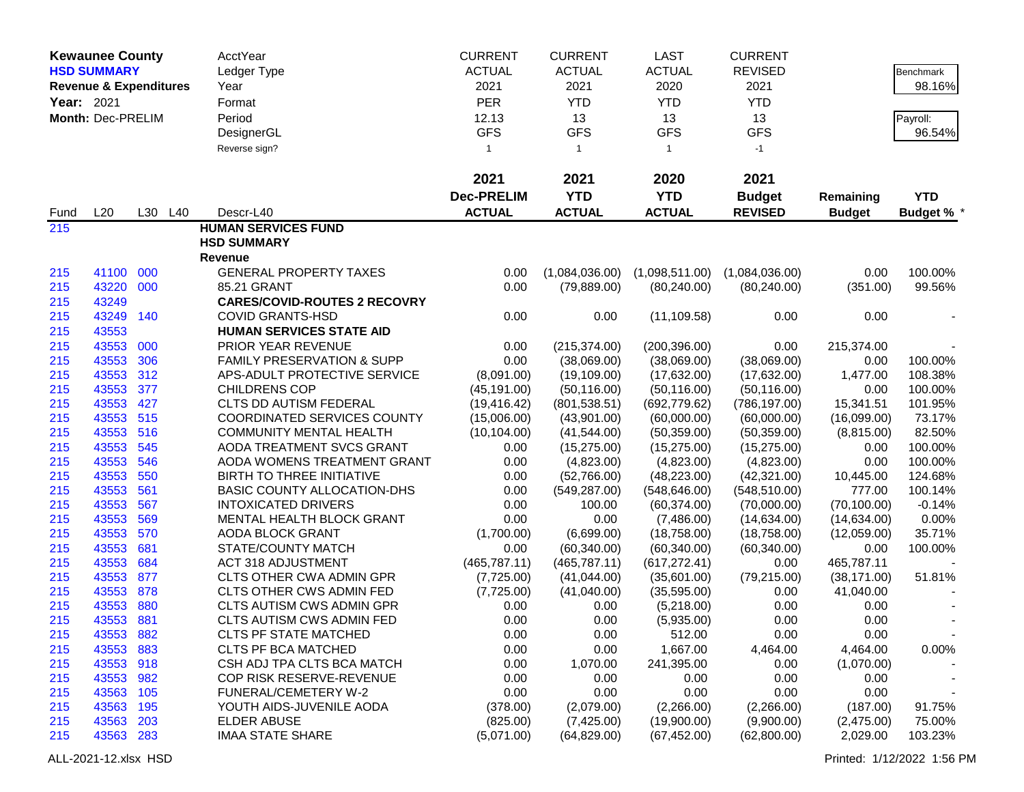|            | <b>Kewaunee County</b>            |         | AcctYear                              | <b>CURRENT</b>    | <b>CURRENT</b> | <b>LAST</b>    | <b>CURRENT</b> |               |                   |
|------------|-----------------------------------|---------|---------------------------------------|-------------------|----------------|----------------|----------------|---------------|-------------------|
|            | <b>HSD SUMMARY</b>                |         | Ledger Type                           | <b>ACTUAL</b>     | <b>ACTUAL</b>  | <b>ACTUAL</b>  | <b>REVISED</b> |               | <b>Benchmark</b>  |
|            | <b>Revenue &amp; Expenditures</b> |         | Year                                  | 2021              | 2021           | 2020           | 2021           |               | 98.16%            |
| Year: 2021 |                                   |         | Format                                | <b>PER</b>        | <b>YTD</b>     | <b>YTD</b>     | <b>YTD</b>     |               |                   |
|            | Month: Dec-PRELIM                 |         | Period                                | 12.13             | 13             | 13             | 13             |               | Payroll:          |
|            |                                   |         | DesignerGL                            | <b>GFS</b>        | <b>GFS</b>     | <b>GFS</b>     | <b>GFS</b>     |               | 96.54%            |
|            |                                   |         | Reverse sign?                         | $\mathbf{1}$      | $\mathbf{1}$   | -1             | $-1$           |               |                   |
|            |                                   |         |                                       |                   |                |                |                |               |                   |
|            |                                   |         |                                       | 2021              | 2021           | 2020           | 2021           |               |                   |
|            |                                   |         |                                       | <b>Dec-PRELIM</b> | <b>YTD</b>     | <b>YTD</b>     | <b>Budget</b>  | Remaining     | <b>YTD</b>        |
| Fund       | L20                               | L30 L40 | Descr-L40                             | <b>ACTUAL</b>     | <b>ACTUAL</b>  | <b>ACTUAL</b>  | <b>REVISED</b> | <b>Budget</b> | <b>Budget % *</b> |
| 215        |                                   |         | <b>HUMAN SERVICES FUND</b>            |                   |                |                |                |               |                   |
|            |                                   |         | <b>HSD SUMMARY</b>                    |                   |                |                |                |               |                   |
|            |                                   |         | <b>Revenue</b>                        |                   |                |                |                |               |                   |
| 215        | 41100 000                         |         | <b>GENERAL PROPERTY TAXES</b>         | 0.00              | (1,084,036.00) | (1,098,511.00) | (1,084,036.00) | 0.00          | 100.00%           |
| 215        | 43220 000                         |         | 85.21 GRANT                           | 0.00              | (79, 889.00)   | (80, 240.00)   | (80, 240.00)   | (351.00)      | 99.56%            |
| 215        | 43249                             |         | <b>CARES/COVID-ROUTES 2 RECOVRY</b>   |                   |                |                |                |               |                   |
| 215        | 43249                             | 140     | <b>COVID GRANTS-HSD</b>               | 0.00              | 0.00           | (11, 109.58)   | 0.00           | 0.00          |                   |
| 215        | 43553                             |         | <b>HUMAN SERVICES STATE AID</b>       |                   |                |                |                |               |                   |
| 215        | 43553                             | 000     | PRIOR YEAR REVENUE                    | 0.00              | (215, 374.00)  | (200, 396.00)  | 0.00           | 215,374.00    |                   |
| 215        | 43553                             | 306     | <b>FAMILY PRESERVATION &amp; SUPP</b> | 0.00              | (38,069.00)    | (38,069.00)    | (38,069.00)    | 0.00          | 100.00%           |
| 215        | 43553 312                         |         | APS-ADULT PROTECTIVE SERVICE          | (8,091.00)        | (19, 109.00)   | (17,632.00)    | (17,632.00)    | 1,477.00      | 108.38%           |
| 215        | 43553                             | 377     | <b>CHILDRENS COP</b>                  | (45, 191.00)      | (50, 116.00)   | (50, 116.00)   | (50, 116.00)   | 0.00          | 100.00%           |
| 215        | 43553                             | 427     | CLTS DD AUTISM FEDERAL                | (19, 416.42)      | (801, 538.51)  | (692, 779.62)  | (786, 197.00)  | 15,341.51     | 101.95%           |
| 215        | 43553 515                         |         | COORDINATED SERVICES COUNTY           | (15,006.00)       | (43,901.00)    | (60,000.00)    | (60,000.00)    | (16,099.00)   | 73.17%            |
| 215        | 43553                             | 516     | <b>COMMUNITY MENTAL HEALTH</b>        | (10, 104.00)      | (41,544.00)    | (50, 359.00)   | (50, 359.00)   | (8,815.00)    | 82.50%            |
| 215        | 43553                             | 545     | AODA TREATMENT SVCS GRANT             | 0.00              | (15, 275.00)   | (15, 275.00)   | (15, 275.00)   | 0.00          | 100.00%           |
| 215        | 43553                             | 546     | AODA WOMENS TREATMENT GRANT           | 0.00              | (4,823.00)     | (4,823.00)     | (4,823.00)     | 0.00          | 100.00%           |
| 215        | 43553                             | 550     | BIRTH TO THREE INITIATIVE             | 0.00              | (52,766.00)    | (48, 223.00)   | (42,321.00)    | 10,445.00     | 124.68%           |
| 215        | 43553                             | 561     | BASIC COUNTY ALLOCATION-DHS           | 0.00              | (549, 287.00)  | (548, 646.00)  | (548, 510.00)  | 777.00        | 100.14%           |
| 215        | 43553                             | 567     | <b>INTOXICATED DRIVERS</b>            | 0.00              | 100.00         | (60, 374.00)   | (70,000.00)    | (70, 100.00)  | $-0.14%$          |
| 215        | 43553                             | 569     | MENTAL HEALTH BLOCK GRANT             | 0.00              | 0.00           | (7,486.00)     | (14, 634.00)   | (14,634.00)   | 0.00%             |
| 215        | 43553                             | 570     | AODA BLOCK GRANT                      | (1,700.00)        | (6,699.00)     | (18,758.00)    | (18,758.00)    | (12,059.00)   | 35.71%            |
| 215        | 43553                             | 681     | STATE/COUNTY MATCH                    | 0.00              | (60, 340.00)   | (60, 340.00)   | (60, 340.00)   | 0.00          | 100.00%           |
| 215        | 43553                             | 684     | <b>ACT 318 ADJUSTMENT</b>             | (465, 787.11)     | (465, 787.11)  | (617, 272.41)  | 0.00           | 465,787.11    |                   |
| 215        | 43553                             | 877     | <b>CLTS OTHER CWA ADMIN GPR</b>       | (7,725.00)        | (41,044.00)    | (35,601.00)    | (79, 215.00)   | (38, 171.00)  | 51.81%            |
| 215        | 43553                             | 878     | CLTS OTHER CWS ADMIN FED              | (7,725.00)        | (41,040.00)    | (35,595.00)    | 0.00           | 41,040.00     |                   |
| 215        | 43553                             | 880     | CLTS AUTISM CWS ADMIN GPR             | 0.00              | 0.00           | (5,218.00)     | 0.00           | 0.00          |                   |
| 215        | 43553                             | 881     | <b>CLTS AUTISM CWS ADMIN FED</b>      | 0.00              | 0.00           | (5,935.00)     | 0.00           | 0.00          |                   |
| 215        | 43553                             | 882     | <b>CLTS PF STATE MATCHED</b>          | 0.00              | 0.00           | 512.00         | 0.00           | 0.00          |                   |
| 215        | 43553                             | 883     | <b>CLTS PF BCA MATCHED</b>            | 0.00              | 0.00           | 1,667.00       | 4,464.00       | 4,464.00      | 0.00%             |
| 215        | 43553 918                         |         | CSH ADJ TPA CLTS BCA MATCH            | 0.00              | 1,070.00       | 241,395.00     | 0.00           | (1,070.00)    |                   |
| 215        | 43553                             | 982     | COP RISK RESERVE-REVENUE              | 0.00              | 0.00           | 0.00           | 0.00           | 0.00          |                   |
| 215        | 43563                             | 105     | FUNERAL/CEMETERY W-2                  | 0.00              | 0.00           | 0.00           | 0.00           | 0.00          |                   |
| 215        | 43563                             | 195     | YOUTH AIDS-JUVENILE AODA              | (378.00)          | (2,079.00)     | (2,266.00)     | (2,266.00)     | (187.00)      | 91.75%            |
| 215        | 43563                             | 203     | <b>ELDER ABUSE</b>                    | (825.00)          | (7,425.00)     | (19,900.00)    | (9,900.00)     | (2,475.00)    | 75.00%            |
| 215        | 43563 283                         |         | <b>IMAA STATE SHARE</b>               | (5,071.00)        | (64, 829.00)   | (67, 452.00)   | (62,800.00)    | 2,029.00      | 103.23%           |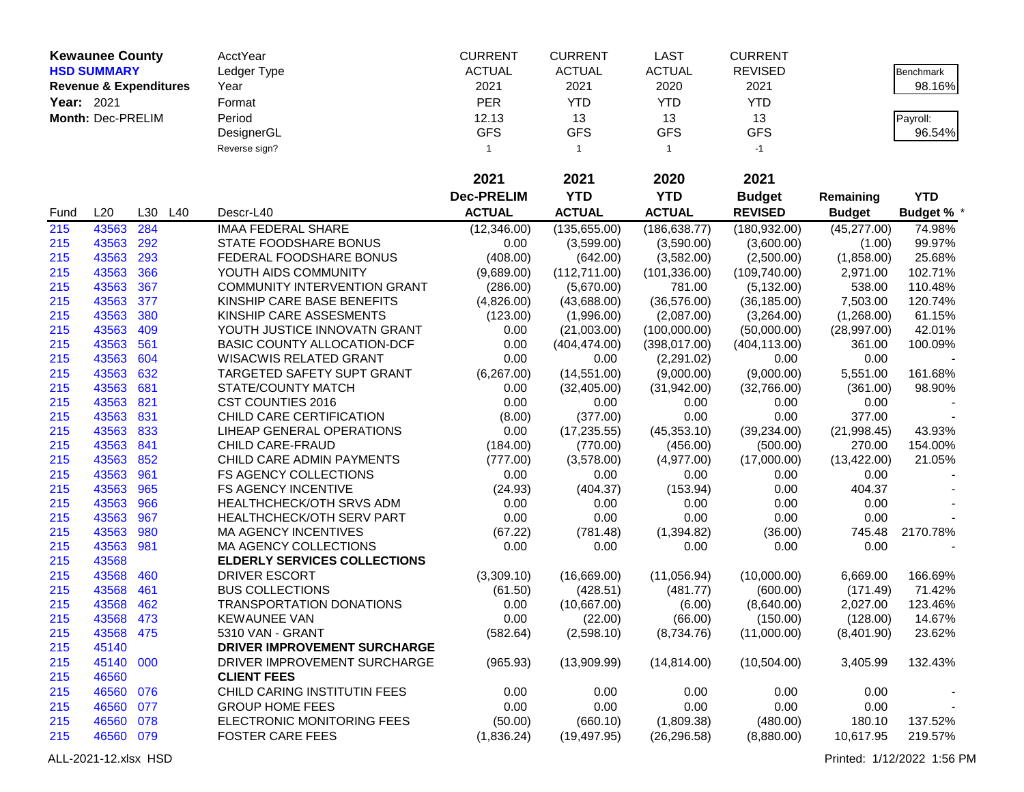|            | <b>Kewaunee County</b> |                                   | AcctYear                            | <b>CURRENT</b>    | <b>CURRENT</b> | <b>LAST</b>    | <b>CURRENT</b> |               |                   |
|------------|------------------------|-----------------------------------|-------------------------------------|-------------------|----------------|----------------|----------------|---------------|-------------------|
|            | <b>HSD SUMMARY</b>     |                                   | Ledger Type                         | <b>ACTUAL</b>     | <b>ACTUAL</b>  | <b>ACTUAL</b>  | <b>REVISED</b> |               | Benchmark         |
|            |                        | <b>Revenue &amp; Expenditures</b> | Year                                | 2021              | 2021           | 2020           | 2021           |               | 98.16%            |
| Year: 2021 |                        |                                   | Format                              | <b>PER</b>        | <b>YTD</b>     | <b>YTD</b>     | <b>YTD</b>     |               |                   |
|            | Month: Dec-PRELIM      |                                   | Period                              | 12.13             | 13             | 13             | 13             |               | Payroll:          |
|            |                        |                                   | DesignerGL                          | <b>GFS</b>        | <b>GFS</b>     | <b>GFS</b>     | <b>GFS</b>     |               | 96.54%            |
|            |                        |                                   | Reverse sign?                       | $\mathbf{1}$      | $\mathbf{1}$   | $\overline{1}$ | $-1$           |               |                   |
|            |                        |                                   |                                     |                   |                |                |                |               |                   |
|            |                        |                                   |                                     | 2021              | 2021           | 2020           | 2021           |               |                   |
|            |                        |                                   |                                     | <b>Dec-PRELIM</b> | <b>YTD</b>     | <b>YTD</b>     | <b>Budget</b>  | Remaining     | <b>YTD</b>        |
| Fund       | L20                    | L40<br>L30                        | Descr-L40                           | <b>ACTUAL</b>     | <b>ACTUAL</b>  | <b>ACTUAL</b>  | <b>REVISED</b> | <b>Budget</b> | <b>Budget % *</b> |
| 215        | 43563                  | 284                               | <b>IMAA FEDERAL SHARE</b>           | (12,346.00)       | (135, 655.00)  | (186, 638.77)  | (180, 932.00)  | (45, 277.00)  | 74.98%            |
| 215        | 43563                  | 292                               | STATE FOODSHARE BONUS               | 0.00              | (3,599.00)     | (3,590.00)     | (3,600.00)     | (1.00)        | 99.97%            |
| 215        | 43563                  | 293                               | FEDERAL FOODSHARE BONUS             | (408.00)          | (642.00)       | (3,582.00)     | (2,500.00)     | (1,858.00)    | 25.68%            |
| 215        | 43563                  | 366                               | YOUTH AIDS COMMUNITY                | (9,689.00)        | (112, 711.00)  | (101, 336.00)  | (109, 740.00)  | 2,971.00      | 102.71%           |
| 215        | 43563                  | 367                               | <b>COMMUNITY INTERVENTION GRANT</b> | (286.00)          | (5,670.00)     | 781.00         | (5, 132.00)    | 538.00        | 110.48%           |
| 215        | 43563                  | 377                               | KINSHIP CARE BASE BENEFITS          | (4,826.00)        | (43,688.00)    | (36,576.00)    | (36, 185.00)   | 7,503.00      | 120.74%           |
| 215        | 43563                  | 380                               | KINSHIP CARE ASSESMENTS             | (123.00)          | (1,996.00)     | (2,087.00)     | (3,264.00)     | (1,268.00)    | 61.15%            |
| 215        | 43563                  | 409                               | YOUTH JUSTICE INNOVATN GRANT        | 0.00              | (21,003.00)    | (100,000.00)   | (50,000.00)    | (28, 997.00)  | 42.01%            |
| 215        | 43563                  | 561                               | <b>BASIC COUNTY ALLOCATION-DCF</b>  | 0.00              | (404, 474.00)  | (398, 017.00)  | (404, 113.00)  | 361.00        | 100.09%           |
| 215        | 43563                  | 604                               | WISACWIS RELATED GRANT              | 0.00              | 0.00           | (2,291.02)     | 0.00           | 0.00          |                   |
| 215        | 43563                  | 632                               | <b>TARGETED SAFETY SUPT GRANT</b>   | (6,267.00)        | (14, 551.00)   | (9,000.00)     | (9,000.00)     | 5,551.00      | 161.68%           |
| 215        | 43563                  | 681                               | STATE/COUNTY MATCH                  | 0.00              | (32, 405.00)   | (31,942.00)    | (32,766.00)    | (361.00)      | 98.90%            |
| 215        | 43563                  | 821                               | CST COUNTIES 2016                   | 0.00              | 0.00           | 0.00           | 0.00           | 0.00          |                   |
| 215        | 43563                  | 831                               | CHILD CARE CERTIFICATION            | (8.00)            | (377.00)       | 0.00           | 0.00           | 377.00        |                   |
| 215        | 43563                  | 833                               | LIHEAP GENERAL OPERATIONS           | 0.00              | (17, 235.55)   | (45, 353.10)   | (39, 234.00)   | (21, 998.45)  | 43.93%            |
| 215        | 43563                  | 841                               | CHILD CARE-FRAUD                    | (184.00)          | (770.00)       | (456.00)       | (500.00)       | 270.00        | 154.00%           |
| 215        | 43563                  | 852                               | CHILD CARE ADMIN PAYMENTS           | (777.00)          | (3,578.00)     | (4,977.00)     | (17,000.00)    | (13, 422.00)  | 21.05%            |
| 215        | 43563                  | 961                               | FS AGENCY COLLECTIONS               | 0.00              | 0.00           | 0.00           | 0.00           | 0.00          |                   |
| 215        | 43563                  | 965                               | <b>FS AGENCY INCENTIVE</b>          | (24.93)           | (404.37)       | (153.94)       | 0.00           | 404.37        |                   |
| 215        | 43563                  | 966                               | <b>HEALTHCHECK/OTH SRVS ADM</b>     | 0.00              | 0.00           | 0.00           | 0.00           | 0.00          |                   |
| 215        | 43563                  | 967                               | HEALTHCHECK/OTH SERV PART           | 0.00              | 0.00           | 0.00           | 0.00           | 0.00          |                   |
| 215        | 43563                  | 980                               | MA AGENCY INCENTIVES                | (67.22)           | (781.48)       | (1, 394.82)    | (36.00)        | 745.48        | 2170.78%          |
| 215        | 43563                  | 981                               | MA AGENCY COLLECTIONS               | 0.00              | 0.00           | 0.00           | 0.00           | 0.00          |                   |
| 215        | 43568                  |                                   | <b>ELDERLY SERVICES COLLECTIONS</b> |                   |                |                |                |               |                   |
| 215        | 43568                  | 460                               | DRIVER ESCORT                       | (3,309.10)        | (16,669.00)    | (11,056.94)    | (10,000.00)    | 6,669.00      | 166.69%           |
| 215        | 43568                  | 461                               | <b>BUS COLLECTIONS</b>              | (61.50)           | (428.51)       | (481.77)       | (600.00)       | (171.49)      | 71.42%            |
| 215        | 43568                  | 462                               | <b>TRANSPORTATION DONATIONS</b>     | 0.00              | (10,667.00)    | (6.00)         | (8,640.00)     | 2,027.00      | 123.46%           |
| 215        | 43568 473              |                                   | <b>KEWAUNEE VAN</b>                 | 0.00              | (22.00)        | (66.00)        | (150.00)       | (128.00)      | 14.67%            |
| 215        | 43568 475              |                                   | 5310 VAN - GRANT                    | (582.64)          | (2,598.10)     | (8,734.76)     | (11,000.00)    | (8,401.90)    | 23.62%            |
| 215        | 45140                  |                                   | DRIVER IMPROVEMENT SURCHARGE        |                   |                |                |                |               |                   |
| 215        | 45140                  | 000                               | DRIVER IMPROVEMENT SURCHARGE        | (965.93)          | (13,909.99)    | (14, 814.00)   | (10,504.00)    | 3,405.99      | 132.43%           |
| 215        | 46560                  |                                   | <b>CLIENT FEES</b>                  |                   |                |                |                |               |                   |
| 215        | 46560 076              |                                   | CHILD CARING INSTITUTIN FEES        | 0.00              | 0.00           | 0.00           | 0.00           | 0.00          |                   |
| 215        | 46560 077              |                                   | <b>GROUP HOME FEES</b>              | 0.00              | 0.00           | 0.00           | 0.00           | 0.00          |                   |
| 215        | 46560 078              |                                   | <b>ELECTRONIC MONITORING FEES</b>   | (50.00)           | (660.10)       | (1,809.38)     | (480.00)       | 180.10        | 137.52%           |
| 215        | 46560 079              |                                   | <b>FOSTER CARE FEES</b>             | (1,836.24)        | (19, 497.95)   | (26, 296.58)   | (8,880.00)     | 10,617.95     | 219.57%           |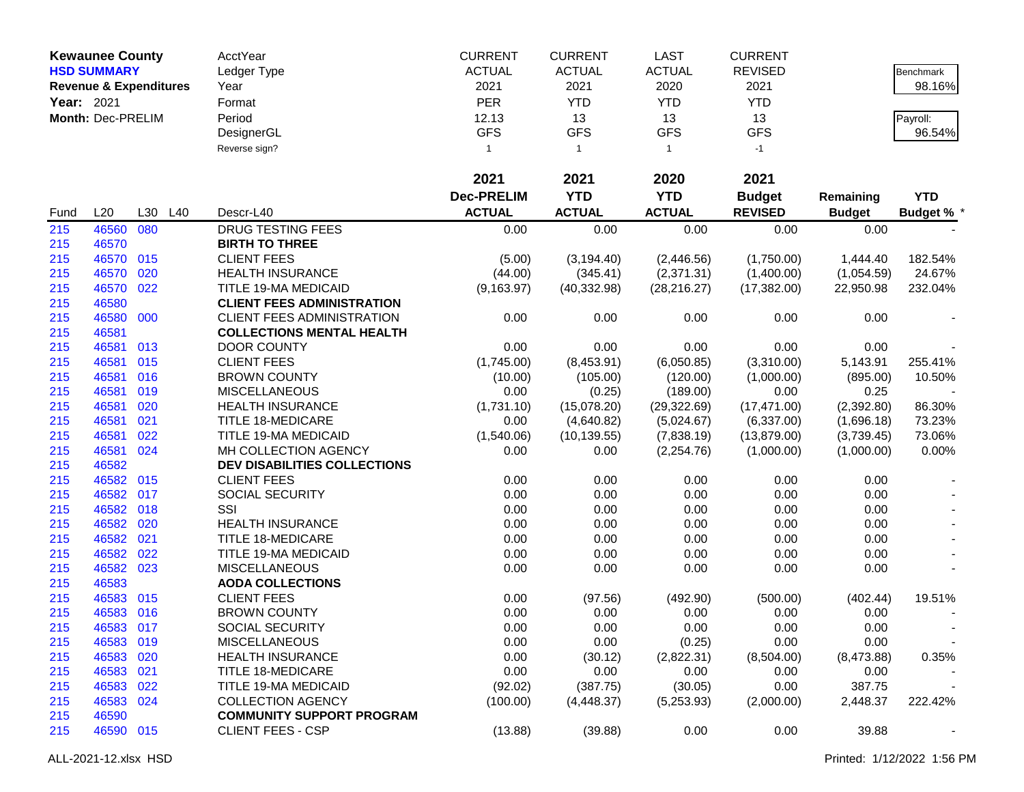|            | <b>Kewaunee County</b>            |     |     | AcctYear                                        | <b>CURRENT</b>    | <b>CURRENT</b>  | <b>LAST</b>          | <b>CURRENT</b>     |                    |                   |
|------------|-----------------------------------|-----|-----|-------------------------------------------------|-------------------|-----------------|----------------------|--------------------|--------------------|-------------------|
|            | <b>HSD SUMMARY</b>                |     |     | Ledger Type                                     | <b>ACTUAL</b>     | <b>ACTUAL</b>   | <b>ACTUAL</b>        | <b>REVISED</b>     |                    | Benchmark         |
|            | <b>Revenue &amp; Expenditures</b> |     |     | Year                                            | 2021              | 2021            | 2020                 | 2021               |                    | 98.16%            |
| Year: 2021 |                                   |     |     | Format                                          | <b>PER</b>        | <b>YTD</b>      | <b>YTD</b>           | <b>YTD</b>         |                    |                   |
|            | Month: Dec-PRELIM                 |     |     | Period                                          | 12.13             | 13              | 13                   | 13                 |                    | Payroll:          |
|            |                                   |     |     | DesignerGL                                      | <b>GFS</b>        | <b>GFS</b>      | <b>GFS</b>           | <b>GFS</b>         |                    | 96.54%            |
|            |                                   |     |     | Reverse sign?                                   | $\mathbf{1}$      | $\mathbf{1}$    | $\overline{1}$       | $-1$               |                    |                   |
|            |                                   |     |     |                                                 |                   |                 |                      |                    |                    |                   |
|            |                                   |     |     |                                                 | 2021              | 2021            | 2020                 | 2021               |                    |                   |
|            |                                   |     |     |                                                 | <b>Dec-PRELIM</b> | <b>YTD</b>      | <b>YTD</b>           | <b>Budget</b>      | Remaining          | <b>YTD</b>        |
| Fund       | L20                               | L30 | L40 | Descr-L40                                       | <b>ACTUAL</b>     | <b>ACTUAL</b>   | <b>ACTUAL</b>        | <b>REVISED</b>     | <b>Budget</b>      | <b>Budget % *</b> |
| 215        | 46560 080                         |     |     | DRUG TESTING FEES                               | 0.00              | 0.00            | 0.00                 | 0.00               | 0.00               |                   |
| 215        | 46570                             |     |     | <b>BIRTH TO THREE</b>                           |                   |                 |                      |                    |                    |                   |
| 215        | 46570 015                         |     |     | <b>CLIENT FEES</b>                              | (5.00)            | (3, 194.40)     | (2,446.56)           | (1,750.00)         | 1,444.40           | 182.54%           |
| 215        | 46570                             | 020 |     | <b>HEALTH INSURANCE</b>                         | (44.00)           | (345.41)        | (2,371.31)           | (1,400.00)         | (1,054.59)         | 24.67%            |
| 215        | 46570 022                         |     |     | TITLE 19-MA MEDICAID                            | (9, 163.97)       | (40, 332.98)    | (28, 216.27)         | (17, 382.00)       | 22,950.98          | 232.04%           |
| 215        | 46580                             |     |     | <b>CLIENT FEES ADMINISTRATION</b>               |                   |                 |                      |                    |                    |                   |
| 215        | 46580 000                         |     |     | CLIENT FEES ADMINISTRATION                      | 0.00              | 0.00            | 0.00                 | 0.00               | 0.00               |                   |
| 215        | 46581                             |     |     | <b>COLLECTIONS MENTAL HEALTH</b>                |                   |                 |                      |                    |                    |                   |
| 215        | 46581 013                         |     |     | <b>DOOR COUNTY</b>                              | 0.00              | 0.00            | 0.00                 | 0.00               | 0.00               |                   |
| 215        | 46581 015                         |     |     | <b>CLIENT FEES</b>                              | (1,745.00)        | (8,453.91)      | (6,050.85)           | (3,310.00)         | 5,143.91           | 255.41%           |
| 215        | 46581 016                         |     |     | <b>BROWN COUNTY</b>                             | (10.00)           | (105.00)        | (120.00)             | (1,000.00)         | (895.00)           | 10.50%            |
| 215        | 46581 019                         |     |     | <b>MISCELLANEOUS</b>                            | 0.00              | (0.25)          | (189.00)             | 0.00               | 0.25               |                   |
| 215        | 46581                             | 020 |     | <b>HEALTH INSURANCE</b>                         | (1,731.10)        | (15,078.20)     | (29, 322.69)         | (17, 471.00)       | (2,392.80)         | 86.30%            |
| 215        | 46581                             | 021 |     | TITLE 18-MEDICARE                               | 0.00              | (4,640.82)      | (5,024.67)           | (6,337.00)         | (1,696.18)         | 73.23%            |
| 215        | 46581                             | 022 |     | TITLE 19-MA MEDICAID                            | (1,540.06)        | (10, 139.55)    | (7,838.19)           | (13,879.00)        | (3,739.45)         | 73.06%            |
| 215        | 46581 024                         |     |     | MH COLLECTION AGENCY                            | 0.00              | 0.00            | (2, 254.76)          | (1,000.00)         | (1,000.00)         | 0.00%             |
| 215        | 46582                             |     |     | <b>DEV DISABILITIES COLLECTIONS</b>             |                   |                 |                      |                    |                    |                   |
| 215        | 46582 015                         |     |     | <b>CLIENT FEES</b>                              | 0.00              | 0.00            | 0.00                 | 0.00               | 0.00               |                   |
| 215        | 46582 017                         |     |     | SOCIAL SECURITY                                 | 0.00              | 0.00            | 0.00                 | 0.00               | 0.00               |                   |
| 215        | 46582 018                         |     |     | SSI                                             | 0.00              | 0.00            | 0.00                 | 0.00               | 0.00               |                   |
| 215        | 46582 020                         |     |     | <b>HEALTH INSURANCE</b>                         | 0.00              | 0.00            | 0.00                 | 0.00               | 0.00               |                   |
| 215        | 46582 021                         |     |     | <b>TITLE 18-MEDICARE</b>                        | 0.00              | 0.00            | 0.00                 | 0.00               | 0.00               |                   |
| 215        | 46582 022                         |     |     | TITLE 19-MA MEDICAID                            | 0.00              | 0.00            | 0.00                 | 0.00               | 0.00               |                   |
| 215        | 46582 023                         |     |     | <b>MISCELLANEOUS</b><br><b>AODA COLLECTIONS</b> | 0.00              | 0.00            | 0.00                 | 0.00               | 0.00               |                   |
| 215<br>215 | 46583<br>46583 015                |     |     | <b>CLIENT FEES</b>                              |                   |                 |                      |                    |                    |                   |
| 215        | 46583 016                         |     |     | <b>BROWN COUNTY</b>                             | 0.00<br>0.00      | (97.56)<br>0.00 | (492.90)<br>0.00     | (500.00)<br>0.00   | (402.44)<br>0.00   | 19.51%            |
|            |                                   |     |     |                                                 |                   |                 | 0.00                 |                    |                    |                   |
| 215        | 46583 017                         |     |     | SOCIAL SECURITY<br><b>MISCELLANEOUS</b>         | 0.00              | 0.00            |                      | 0.00               | 0.00               |                   |
| 215<br>215 | 46583 019<br>46583 020            |     |     | <b>HEALTH INSURANCE</b>                         | 0.00<br>0.00      | 0.00<br>(30.12) | (0.25)<br>(2,822.31) | 0.00<br>(8,504.00) | 0.00<br>(8,473.88) | 0.35%             |
| 215        | 46583 021                         |     |     | <b>TITLE 18-MEDICARE</b>                        | 0.00              | 0.00            | 0.00                 | 0.00               | 0.00               |                   |
| 215        | 46583 022                         |     |     | TITLE 19-MA MEDICAID                            | (92.02)           | (387.75)        | (30.05)              | 0.00               | 387.75             |                   |
| 215        | 46583 024                         |     |     | <b>COLLECTION AGENCY</b>                        | (100.00)          | (4,448.37)      | (5,253.93)           | (2,000.00)         | 2,448.37           | 222.42%           |
| 215        | 46590                             |     |     | <b>COMMUNITY SUPPORT PROGRAM</b>                |                   |                 |                      |                    |                    |                   |
| 215        | 46590 015                         |     |     | <b>CLIENT FEES - CSP</b>                        | (13.88)           | (39.88)         | 0.00                 | 0.00               | 39.88              |                   |
|            |                                   |     |     |                                                 |                   |                 |                      |                    |                    |                   |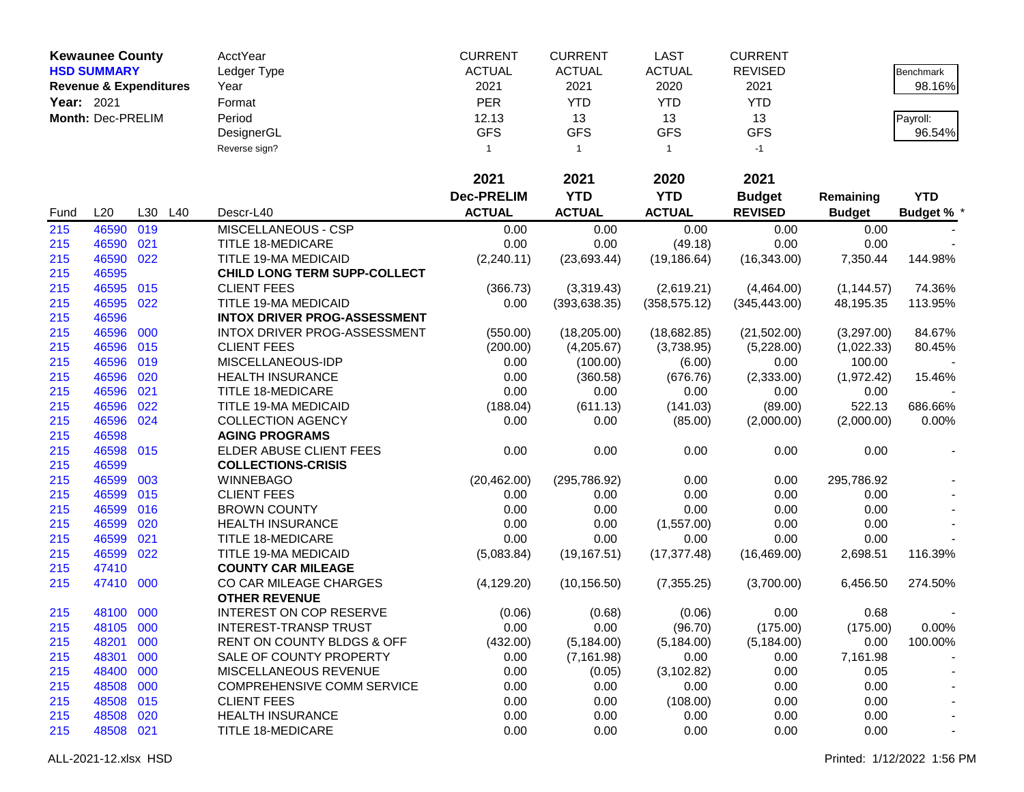|            | <b>Kewaunee County</b>            |     |     | AcctYear                            | <b>CURRENT</b>    | <b>CURRENT</b> | <b>LAST</b>    | <b>CURRENT</b> |               |                   |
|------------|-----------------------------------|-----|-----|-------------------------------------|-------------------|----------------|----------------|----------------|---------------|-------------------|
|            | <b>HSD SUMMARY</b>                |     |     | Ledger Type                         | <b>ACTUAL</b>     | <b>ACTUAL</b>  | <b>ACTUAL</b>  | <b>REVISED</b> |               | Benchmark         |
|            | <b>Revenue &amp; Expenditures</b> |     |     | Year                                | 2021              | 2021           | 2020           | 2021           |               | 98.16%            |
| Year: 2021 |                                   |     |     | Format                              | <b>PER</b>        | <b>YTD</b>     | <b>YTD</b>     | <b>YTD</b>     |               |                   |
|            | Month: Dec-PRELIM                 |     |     | Period                              | 12.13             | 13             | 13             | 13             |               | Payroll:          |
|            |                                   |     |     | DesignerGL                          | <b>GFS</b>        | <b>GFS</b>     | <b>GFS</b>     | <b>GFS</b>     |               | 96.54%            |
|            |                                   |     |     |                                     |                   |                |                |                |               |                   |
|            |                                   |     |     | Reverse sign?                       | $\mathbf{1}$      | $\mathbf{1}$   | $\overline{1}$ | $-1$           |               |                   |
|            |                                   |     |     |                                     | 2021              | 2021           | 2020           | 2021           |               |                   |
|            |                                   |     |     |                                     | <b>Dec-PRELIM</b> | <b>YTD</b>     | <b>YTD</b>     | <b>Budget</b>  | Remaining     | <b>YTD</b>        |
| Fund       | L20                               | L30 | L40 | Descr-L40                           | <b>ACTUAL</b>     | <b>ACTUAL</b>  | <b>ACTUAL</b>  | <b>REVISED</b> | <b>Budget</b> | <b>Budget % *</b> |
| 215        | 46590                             | 019 |     | MISCELLANEOUS - CSP                 | 0.00              | 0.00           | 0.00           | 0.00           | 0.00          |                   |
| 215        | 46590                             | 021 |     | <b>TITLE 18-MEDICARE</b>            | 0.00              | 0.00           | (49.18)        | 0.00           | 0.00          |                   |
| 215        | 46590                             | 022 |     | TITLE 19-MA MEDICAID                | (2,240.11)        | (23,693.44)    | (19, 186.64)   | (16, 343.00)   | 7,350.44      | 144.98%           |
| 215        | 46595                             |     |     | <b>CHILD LONG TERM SUPP-COLLECT</b> |                   |                |                |                |               |                   |
| 215        | 46595                             | 015 |     | <b>CLIENT FEES</b>                  | (366.73)          | (3,319.43)     | (2,619.21)     | (4,464.00)     | (1, 144.57)   | 74.36%            |
| 215        | 46595                             | 022 |     | TITLE 19-MA MEDICAID                | 0.00              | (393, 638.35)  | (358, 575.12)  | (345, 443.00)  | 48,195.35     | 113.95%           |
| 215        | 46596                             |     |     | <b>INTOX DRIVER PROG-ASSESSMENT</b> |                   |                |                |                |               |                   |
| 215        | 46596                             | 000 |     | INTOX DRIVER PROG-ASSESSMENT        | (550.00)          | (18, 205.00)   | (18,682.85)    | (21,502.00)    | (3,297.00)    | 84.67%            |
| 215        | 46596                             | 015 |     | <b>CLIENT FEES</b>                  | (200.00)          | (4,205.67)     | (3,738.95)     | (5,228.00)     | (1,022.33)    | 80.45%            |
| 215        | 46596                             | 019 |     | MISCELLANEOUS-IDP                   | 0.00              | (100.00)       | (6.00)         | 0.00           | 100.00        |                   |
| 215        | 46596                             | 020 |     | <b>HEALTH INSURANCE</b>             | 0.00              | (360.58)       | (676.76)       | (2,333.00)     | (1,972.42)    | 15.46%            |
| 215        | 46596                             | 021 |     | <b>TITLE 18-MEDICARE</b>            | 0.00              | 0.00           | 0.00           | 0.00           | 0.00          |                   |
| 215        | 46596                             | 022 |     | TITLE 19-MA MEDICAID                | (188.04)          | (611.13)       | (141.03)       | (89.00)        | 522.13        | 686.66%           |
| 215        | 46596                             | 024 |     | <b>COLLECTION AGENCY</b>            | 0.00              | 0.00           | (85.00)        | (2,000.00)     | (2,000.00)    | 0.00%             |
| 215        | 46598                             |     |     | <b>AGING PROGRAMS</b>               |                   |                |                |                |               |                   |
| 215        | 46598                             | 015 |     | ELDER ABUSE CLIENT FEES             | 0.00              | 0.00           | 0.00           | 0.00           | 0.00          |                   |
| 215        | 46599                             |     |     | <b>COLLECTIONS-CRISIS</b>           |                   |                |                |                |               |                   |
| 215        | 46599                             | 003 |     | <b>WINNEBAGO</b>                    | (20, 462.00)      | (295, 786.92)  | 0.00           | 0.00           | 295,786.92    |                   |
| 215        | 46599                             | 015 |     | <b>CLIENT FEES</b>                  | 0.00              | 0.00           | 0.00           | 0.00           | 0.00          |                   |
| 215        | 46599                             | 016 |     | <b>BROWN COUNTY</b>                 | 0.00              | 0.00           | 0.00           | 0.00           | 0.00          |                   |
| 215        | 46599                             | 020 |     | <b>HEALTH INSURANCE</b>             | 0.00              | 0.00           | (1,557.00)     | 0.00           | 0.00          |                   |
| 215        | 46599                             | 021 |     | TITLE 18-MEDICARE                   | 0.00              | 0.00           | 0.00           | 0.00           | 0.00          |                   |
| 215        | 46599                             | 022 |     | TITLE 19-MA MEDICAID                | (5,083.84)        | (19, 167.51)   | (17, 377.48)   | (16, 469.00)   | 2,698.51      | 116.39%           |
| 215        | 47410                             |     |     | <b>COUNTY CAR MILEAGE</b>           |                   |                |                |                |               |                   |
| 215        | 47410                             | 000 |     | CO CAR MILEAGE CHARGES              | (4, 129.20)       | (10, 156.50)   | (7, 355.25)    | (3,700.00)     | 6,456.50      | 274.50%           |
|            |                                   |     |     | <b>OTHER REVENUE</b>                |                   |                |                |                |               |                   |
| 215        | 48100 000                         |     |     | <b>INTEREST ON COP RESERVE</b>      | (0.06)            | (0.68)         | (0.06)         | 0.00           | 0.68          |                   |
| 215        | 48105 000                         |     |     | <b>INTEREST-TRANSP TRUST</b>        | 0.00              | 0.00           | (96.70)        | (175.00)       | (175.00)      | 0.00%             |
| 215        | 48201 000                         |     |     | RENT ON COUNTY BLDGS & OFF          | (432.00)          | (5, 184.00)    | (5, 184.00)    | (5, 184.00)    | 0.00          | 100.00%           |
| 215        | 48301                             | 000 |     | SALE OF COUNTY PROPERTY             | 0.00              | (7, 161.98)    | 0.00           | 0.00           | 7,161.98      |                   |
| 215        | 48400 000                         |     |     | MISCELLANEOUS REVENUE               | 0.00              | (0.05)         | (3, 102.82)    | 0.00           | 0.05          |                   |
| 215        | 48508 000                         |     |     | COMPREHENSIVE COMM SERVICE          | 0.00              | 0.00           | 0.00           | 0.00           | 0.00          |                   |
| 215        | 48508 015                         |     |     | <b>CLIENT FEES</b>                  | 0.00              | 0.00           | (108.00)       | 0.00           | 0.00          |                   |
| 215        | 48508 020                         |     |     | <b>HEALTH INSURANCE</b>             | 0.00              | 0.00           | 0.00           | 0.00           | 0.00          |                   |
| 215        | 48508 021                         |     |     | TITLE 18-MEDICARE                   | 0.00              | 0.00           | 0.00           | 0.00           | 0.00          |                   |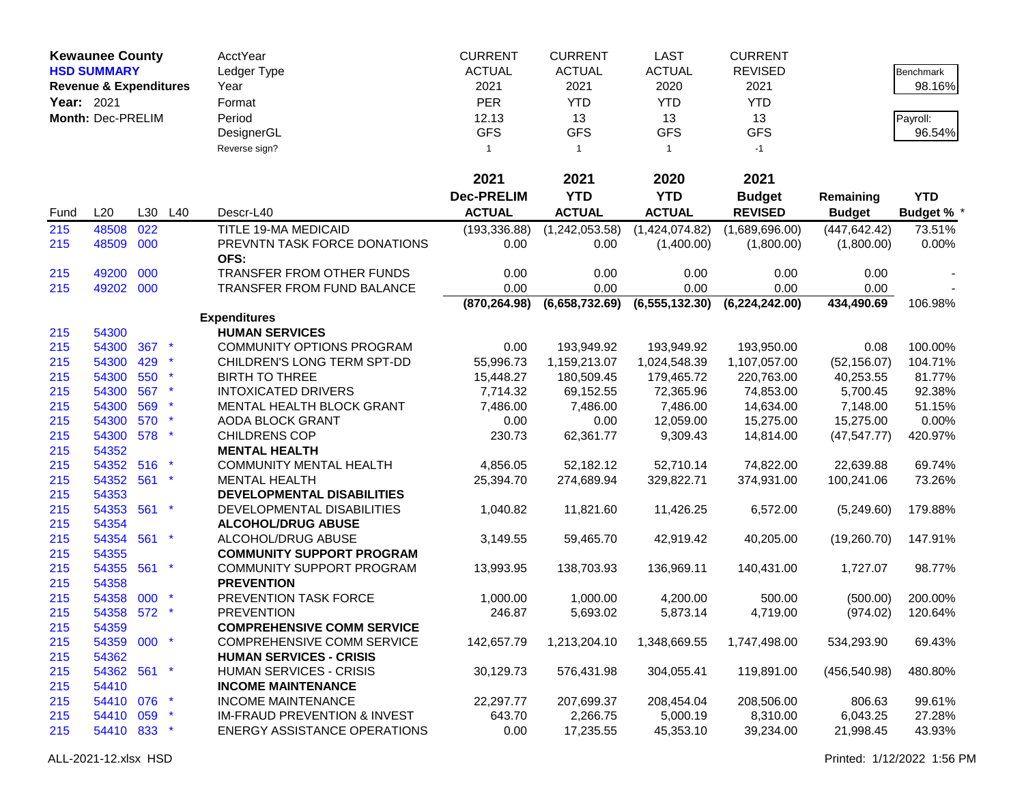|            | <b>Kewaunee County</b>            |     |                 | AcctYear                                | <b>CURRENT</b>    | <b>CURRENT</b> | <b>LAST</b>      | <b>CURRENT</b>   |               |                   |
|------------|-----------------------------------|-----|-----------------|-----------------------------------------|-------------------|----------------|------------------|------------------|---------------|-------------------|
|            | <b>HSD SUMMARY</b>                |     |                 | Ledger Type                             | <b>ACTUAL</b>     | <b>ACTUAL</b>  | <b>ACTUAL</b>    | <b>REVISED</b>   |               | Benchmark         |
|            | <b>Revenue &amp; Expenditures</b> |     |                 | Year                                    | 2021              | 2021           | 2020             | 2021             |               | 98.16%            |
| Year: 2021 |                                   |     |                 | Format                                  | <b>PER</b>        | <b>YTD</b>     | <b>YTD</b>       | <b>YTD</b>       |               |                   |
|            | Month: Dec-PRELIM                 |     |                 | Period                                  | 12.13             | 13             | 13               | 13               |               | Payroll:          |
|            |                                   |     |                 | DesignerGL                              | <b>GFS</b>        | <b>GFS</b>     | <b>GFS</b>       | <b>GFS</b>       |               | 96.54%            |
|            |                                   |     |                 | Reverse sign?                           | $\mathbf{1}$      | $\mathbf{1}$   | $\overline{1}$   | $-1$             |               |                   |
|            |                                   |     |                 |                                         |                   |                |                  |                  |               |                   |
|            |                                   |     |                 |                                         | 2021              | 2021           | 2020             | 2021             |               |                   |
|            |                                   |     |                 |                                         | <b>Dec-PRELIM</b> | <b>YTD</b>     | <b>YTD</b>       | <b>Budget</b>    | Remaining     | <b>YTD</b>        |
| Fund       | L20                               | L30 | L40             | Descr-L40                               | <b>ACTUAL</b>     | <b>ACTUAL</b>  | <b>ACTUAL</b>    | <b>REVISED</b>   | <b>Budget</b> | <b>Budget % *</b> |
| 215        | 48508                             | 022 |                 | TITLE 19-MA MEDICAID                    | (193, 336.88)     | (1,242,053.58) | (1,424,074.82)   | (1,689,696.00)   | (447, 642.42) | 73.51%            |
| 215        | 48509 000                         |     |                 | PREVNTN TASK FORCE DONATIONS            | 0.00              | 0.00           | (1,400.00)       | (1,800.00)       | (1,800.00)    | 0.00%             |
|            |                                   |     |                 | OFS:                                    |                   |                |                  |                  |               |                   |
| 215        | 49200                             | 000 |                 | TRANSFER FROM OTHER FUNDS               | 0.00              | 0.00           | 0.00             | 0.00             | 0.00          |                   |
| 215        | 49202 000                         |     |                 | <b>TRANSFER FROM FUND BALANCE</b>       | 0.00              | 0.00           | 0.00             | 0.00             | 0.00          |                   |
|            |                                   |     |                 |                                         | (870, 264.98)     | (6,658,732.69) | (6, 555, 132.30) | (6, 224, 242.00) | 434,490.69    | 106.98%           |
|            |                                   |     |                 | <b>Expenditures</b>                     |                   |                |                  |                  |               |                   |
| 215        | 54300                             |     |                 | <b>HUMAN SERVICES</b>                   |                   |                |                  |                  |               |                   |
| 215        | 54300                             | 367 |                 | <b>COMMUNITY OPTIONS PROGRAM</b>        | 0.00              | 193,949.92     | 193,949.92       | 193,950.00       | 0.08          | 100.00%           |
| 215        | 54300                             | 429 |                 | CHILDREN'S LONG TERM SPT-DD             | 55,996.73         | 1,159,213.07   | 1,024,548.39     | 1,107,057.00     | (52, 156.07)  | 104.71%           |
| 215        | 54300                             | 550 |                 | <b>BIRTH TO THREE</b>                   | 15,448.27         | 180,509.45     | 179,465.72       | 220,763.00       | 40,253.55     | 81.77%            |
| 215        | 54300                             | 567 |                 | <b>INTOXICATED DRIVERS</b>              | 7,714.32          | 69,152.55      | 72,365.96        | 74,853.00        | 5,700.45      | 92.38%            |
| 215        | 54300                             | 569 |                 | MENTAL HEALTH BLOCK GRANT               | 7,486.00          | 7,486.00       | 7,486.00         | 14,634.00        | 7,148.00      | 51.15%            |
| 215        | 54300                             | 570 |                 | <b>AODA BLOCK GRANT</b>                 | 0.00              | 0.00           | 12,059.00        | 15,275.00        | 15,275.00     | 0.00%             |
| 215        | 54300 578                         |     |                 | <b>CHILDRENS COP</b>                    | 230.73            | 62,361.77      | 9,309.43         | 14,814.00        | (47, 547.77)  | 420.97%           |
| 215        | 54352                             |     |                 | <b>MENTAL HEALTH</b>                    |                   |                |                  |                  |               |                   |
| 215        | 54352                             | 516 |                 | <b>COMMUNITY MENTAL HEALTH</b>          | 4,856.05          | 52,182.12      | 52,710.14        | 74,822.00        | 22,639.88     | 69.74%            |
| 215        | 54352 561                         |     | $\star$         | <b>MENTAL HEALTH</b>                    | 25,394.70         | 274,689.94     | 329,822.71       | 374,931.00       | 100,241.06    | 73.26%            |
| 215        | 54353                             |     |                 | DEVELOPMENTAL DISABILITIES              |                   |                |                  |                  |               |                   |
| 215        | 54353 561                         |     | $\star$         | DEVELOPMENTAL DISABILITIES              | 1,040.82          | 11,821.60      | 11,426.25        | 6,572.00         | (5,249.60)    | 179.88%           |
| 215        | 54354                             |     |                 | <b>ALCOHOL/DRUG ABUSE</b>               |                   |                |                  |                  |               |                   |
| 215        | 54354 561                         |     | $\star$         | ALCOHOL/DRUG ABUSE                      | 3,149.55          | 59,465.70      | 42,919.42        | 40,205.00        | (19,260.70)   | 147.91%           |
| 215        | 54355                             |     |                 | <b>COMMUNITY SUPPORT PROGRAM</b>        |                   |                |                  |                  |               |                   |
| 215        | 54355 561                         |     | $\star$         | COMMUNITY SUPPORT PROGRAM               | 13,993.95         | 138,703.93     | 136,969.11       | 140,431.00       | 1,727.07      | 98.77%            |
| 215        | 54358                             |     |                 | <b>PREVENTION</b>                       |                   |                |                  |                  |               |                   |
| 215        | 54358 000                         |     |                 | PREVENTION TASK FORCE                   | 1,000.00          | 1,000.00       | 4,200.00         | 500.00           | (500.00)      | 200.00%           |
| 215        | 54358 572                         |     |                 | <b>PREVENTION</b>                       | 246.87            | 5,693.02       | 5,873.14         | 4,719.00         | (974.02)      | 120.64%           |
| 215        | 54359                             |     |                 | <b>COMPREHENSIVE COMM SERVICE</b>       |                   |                |                  |                  |               |                   |
| 215        | 54359 000 *                       |     |                 | <b>COMPREHENSIVE COMM SERVICE</b>       | 142,657.79        | 1,213,204.10   | 1,348,669.55     | 1,747,498.00     | 534,293.90    | 69.43%            |
| 215        | 54362                             |     |                 | <b>HUMAN SERVICES - CRISIS</b>          |                   |                |                  |                  |               |                   |
| 215        | 54362 561 *                       |     |                 | <b>HUMAN SERVICES - CRISIS</b>          | 30,129.73         | 576,431.98     | 304,055.41       | 119,891.00       | (456, 540.98) | 480.80%           |
| 215        | 54410                             |     |                 | <b>INCOME MAINTENANCE</b>               |                   |                |                  |                  |               |                   |
| 215        | 54410 076                         |     | $\mathbf{\ast}$ | <b>INCOME MAINTENANCE</b>               | 22,297.77         | 207,699.37     | 208,454.04       | 208,506.00       | 806.63        | 99.61%            |
| 215        | 54410 059                         |     | $\mathbf{\ast}$ | <b>IM-FRAUD PREVENTION &amp; INVEST</b> | 643.70            | 2,266.75       | 5,000.19         | 8,310.00         | 6,043.25      | 27.28%            |
| 215        | 54410 833 *                       |     |                 | <b>ENERGY ASSISTANCE OPERATIONS</b>     | 0.00              | 17,235.55      | 45,353.10        | 39,234.00        | 21,998.45     | 43.93%            |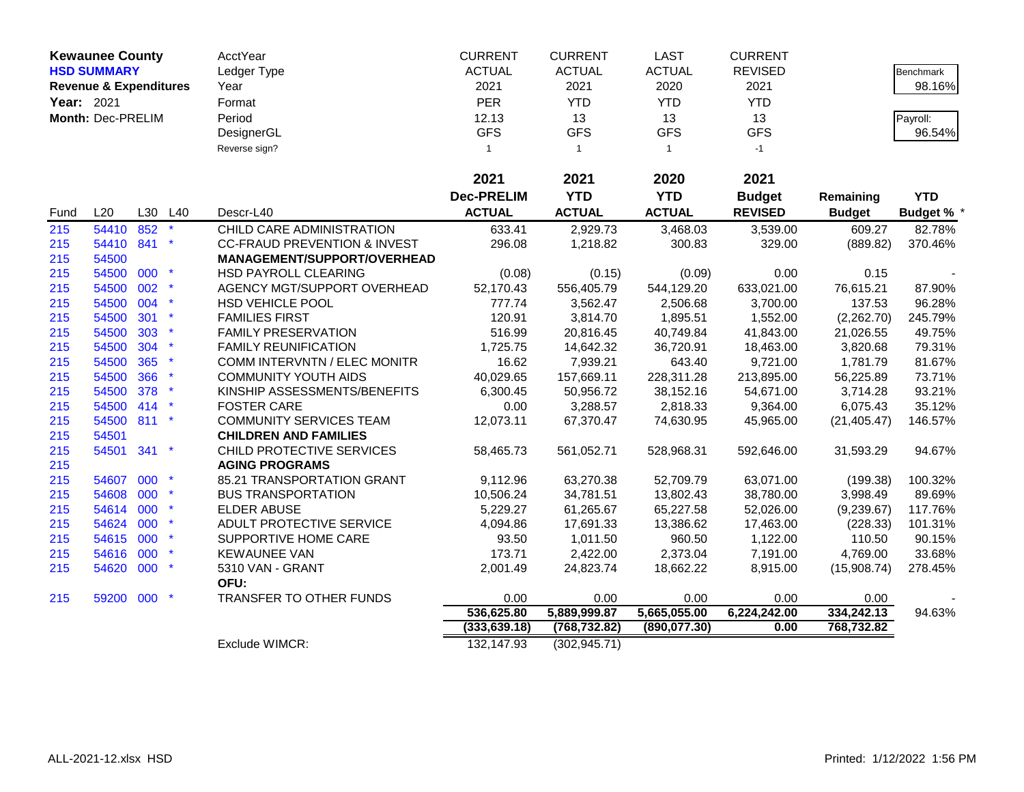|            | <b>Kewaunee County</b>            |     |         | <b>AcctYear</b>                         | <b>CURRENT</b>    | <b>CURRENT</b> | <b>LAST</b>    | <b>CURRENT</b> |                    |                   |
|------------|-----------------------------------|-----|---------|-----------------------------------------|-------------------|----------------|----------------|----------------|--------------------|-------------------|
|            | <b>HSD SUMMARY</b>                |     |         | Ledger Type                             | <b>ACTUAL</b>     | <b>ACTUAL</b>  | <b>ACTUAL</b>  | <b>REVISED</b> |                    | <b>Benchmark</b>  |
|            | <b>Revenue &amp; Expenditures</b> |     |         | Year                                    | 2021              | 2021           | 2020           | 2021           |                    | 98.16%            |
| Year: 2021 |                                   |     |         | Format                                  | <b>PER</b>        | <b>YTD</b>     | <b>YTD</b>     | <b>YTD</b>     |                    |                   |
|            | Month: Dec-PRELIM                 |     |         | Period                                  | 12.13             | 13             | 13             | 13             |                    | Payroll:          |
|            |                                   |     |         | DesignerGL                              | <b>GFS</b>        | <b>GFS</b>     | <b>GFS</b>     | <b>GFS</b>     |                    | 96.54%            |
|            |                                   |     |         | Reverse sign?                           | $\mathbf{1}$      | $\mathbf{1}$   | $\overline{1}$ | $-1$           |                    |                   |
|            |                                   |     |         |                                         |                   |                |                |                |                    |                   |
|            |                                   |     |         |                                         | 2021              | 2021           | 2020           | 2021           |                    |                   |
|            |                                   |     |         |                                         | <b>Dec-PRELIM</b> | <b>YTD</b>     | <b>YTD</b>     | <b>Budget</b>  | Remaining          | <b>YTD</b>        |
| Fund       | L20                               |     | L30 L40 | Descr-L40                               | <b>ACTUAL</b>     | <b>ACTUAL</b>  | <b>ACTUAL</b>  | <b>REVISED</b> | <b>Budget</b>      | <b>Budget % *</b> |
| 215        | 54410                             | 852 |         | CHILD CARE ADMINISTRATION               | 633.41            | 2,929.73       | 3,468.03       | 3,539.00       | 609.27             | 82.78%            |
| 215        | 54410 841                         |     | $\star$ | <b>CC-FRAUD PREVENTION &amp; INVEST</b> | 296.08            | 1,218.82       | 300.83         | 329.00         | (889.82)           | 370.46%           |
| 215        | 54500                             |     |         | MANAGEMENT/SUPPORT/OVERHEAD             |                   |                |                |                |                    |                   |
| 215        | 54500                             | 000 | $\star$ | <b>HSD PAYROLL CLEARING</b>             | (0.08)            | (0.15)         | (0.09)         | 0.00           | 0.15               |                   |
| 215        | 54500                             | 002 |         | AGENCY MGT/SUPPORT OVERHEAD             | 52,170.43         | 556,405.79     | 544,129.20     | 633,021.00     | 76,615.21          | 87.90%            |
| 215        | 54500                             | 004 | $\star$ | <b>HSD VEHICLE POOL</b>                 | 777.74            | 3,562.47       | 2,506.68       | 3,700.00       | 137.53             | 96.28%            |
| 215        | 54500                             | 301 | $\ast$  | <b>FAMILIES FIRST</b>                   | 120.91            | 3,814.70       | 1,895.51       | 1,552.00       | (2,262.70)         | 245.79%           |
| 215        | 54500                             | 303 |         | <b>FAMILY PRESERVATION</b>              | 516.99            | 20,816.45      | 40,749.84      | 41,843.00      | 21,026.55          | 49.75%            |
| 215        | 54500                             | 304 |         | <b>FAMILY REUNIFICATION</b>             | 1,725.75          | 14,642.32      | 36,720.91      | 18,463.00      | 3,820.68           | 79.31%            |
| 215        | 54500                             | 365 | $\star$ | COMM INTERVNTN / ELEC MONITR            | 16.62             | 7,939.21       | 643.40         | 9,721.00       | 1,781.79           | 81.67%            |
| 215        | 54500                             | 366 |         | <b>COMMUNITY YOUTH AIDS</b>             | 40,029.65         | 157,669.11     | 228,311.28     | 213,895.00     | 56,225.89          | 73.71%            |
| 215        | 54500                             | 378 |         | KINSHIP ASSESSMENTS/BENEFITS            | 6,300.45          | 50,956.72      | 38,152.16      | 54,671.00      | 3,714.28           | 93.21%            |
| 215        | 54500 414                         |     |         | <b>FOSTER CARE</b>                      | 0.00              | 3,288.57       | 2,818.33       | 9,364.00       | 6,075.43           | 35.12%            |
| 215        | 54500 811                         |     | $\star$ | <b>COMMUNITY SERVICES TEAM</b>          | 12,073.11         | 67,370.47      | 74,630.95      | 45,965.00      | (21, 405.47)       | 146.57%           |
| 215        | 54501                             |     |         | <b>CHILDREN AND FAMILIES</b>            |                   |                |                |                |                    |                   |
| 215        | 54501                             | 341 | $\star$ | CHILD PROTECTIVE SERVICES               | 58,465.73         | 561,052.71     | 528,968.31     | 592,646.00     | 31,593.29          | 94.67%            |
| 215        |                                   |     |         | <b>AGING PROGRAMS</b>                   |                   |                |                |                |                    |                   |
| 215        | 54607                             | 000 | $\star$ | 85.21 TRANSPORTATION GRANT              | 9,112.96          | 63,270.38      | 52,709.79      | 63,071.00      | (199.38)           | 100.32%           |
| 215        | 54608 000                         |     |         | <b>BUS TRANSPORTATION</b>               | 10,506.24         | 34,781.51      | 13,802.43      | 38,780.00      | 3,998.49           | 89.69%            |
| 215        | 54614 000                         |     | $\star$ | <b>ELDER ABUSE</b>                      | 5,229.27          | 61,265.67      | 65,227.58      | 52,026.00      | (9,239.67)         | 117.76%           |
| 215        | 54624 000                         |     | $\star$ | ADULT PROTECTIVE SERVICE                | 4,094.86          | 17,691.33      | 13,386.62      | 17,463.00      | (228.33)           | 101.31%           |
| 215        | 54615 000                         |     |         | SUPPORTIVE HOME CARE                    | 93.50             | 1,011.50       | 960.50         | 1,122.00       | 110.50             | 90.15%            |
| 215        | 54616                             | 000 | $\ast$  | <b>KEWAUNEE VAN</b>                     | 173.71            | 2,422.00       | 2,373.04       | 7,191.00       | 4,769.00           | 33.68%            |
| 215        | 54620 000                         |     | $\star$ | 5310 VAN - GRANT                        | 2,001.49          | 24,823.74      | 18,662.22      | 8,915.00       | (15,908.74)        | 278.45%           |
|            | 59200                             | 000 | $\star$ | OFU:<br>TRANSFER TO OTHER FUNDS         | 0.00              | 0.00           | 0.00           | 0.00           |                    |                   |
| 215        |                                   |     |         |                                         | 536,625.80        | 5,889,999.87   | 5,665,055.00   | 6,224,242.00   | 0.00<br>334,242.13 | 94.63%            |
|            |                                   |     |         |                                         | (333, 639.18)     | (768, 732.82)  | (890, 077.30)  | 0.00           | 768,732.82         |                   |
|            |                                   |     |         | Exclude WIMCR:                          | 132,147.93        | (302, 945.71)  |                |                |                    |                   |
|            |                                   |     |         |                                         |                   |                |                |                |                    |                   |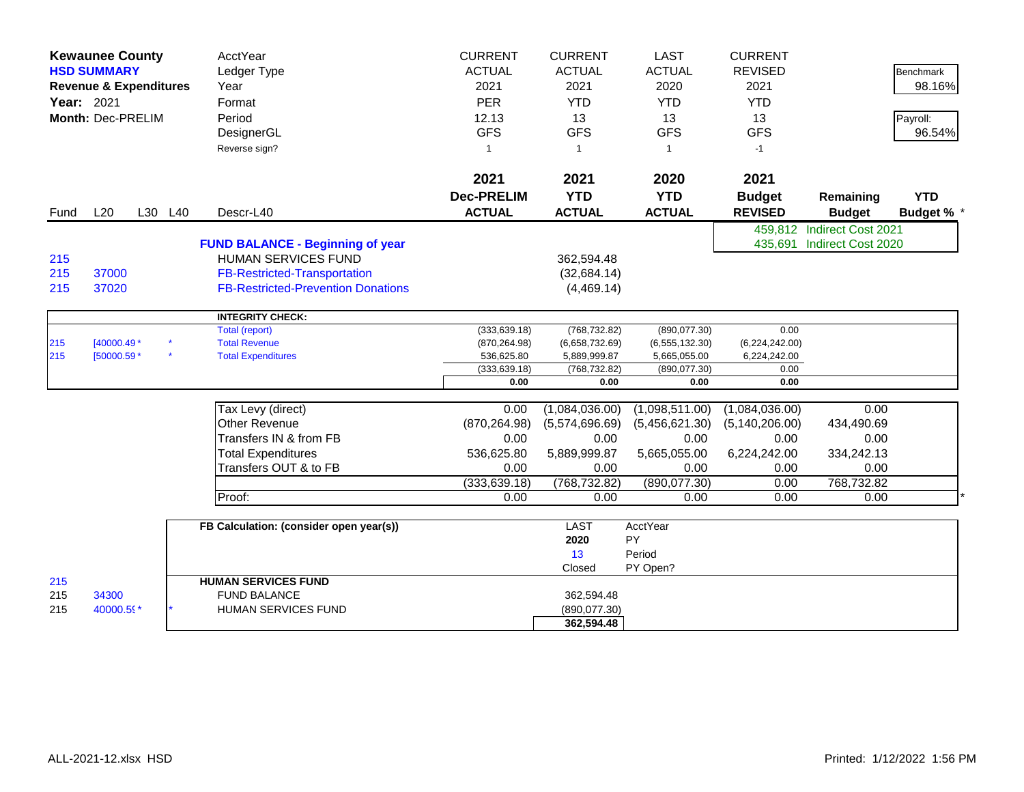|                   | <b>Kewaunee County</b>            |         | AcctYear                                                              | <b>CURRENT</b>    | <b>CURRENT</b> | <b>LAST</b>      | <b>CURRENT</b>   |                            |                   |
|-------------------|-----------------------------------|---------|-----------------------------------------------------------------------|-------------------|----------------|------------------|------------------|----------------------------|-------------------|
|                   | <b>HSD SUMMARY</b>                |         | Ledger Type                                                           | <b>ACTUAL</b>     | <b>ACTUAL</b>  | <b>ACTUAL</b>    | <b>REVISED</b>   |                            | <b>Benchmark</b>  |
|                   | <b>Revenue &amp; Expenditures</b> |         | Year                                                                  | 2021              | 2021           | 2020             | 2021             |                            | 98.16%            |
| <b>Year: 2021</b> |                                   |         | Format                                                                | <b>PER</b>        | <b>YTD</b>     | <b>YTD</b>       | <b>YTD</b>       |                            |                   |
|                   | Month: Dec-PRELIM                 |         | Period                                                                | 12.13             | 13             | 13               | 13               |                            | Payroll:          |
|                   |                                   |         | DesignerGL                                                            | <b>GFS</b>        | <b>GFS</b>     | <b>GFS</b>       | <b>GFS</b>       |                            | 96.54%            |
|                   |                                   |         | Reverse sign?                                                         | $\mathbf 1$       | $\overline{1}$ | $\mathbf{1}$     | $-1$             |                            |                   |
|                   |                                   |         |                                                                       |                   |                |                  |                  |                            |                   |
|                   |                                   |         |                                                                       | 2021              | 2021           | 2020             | 2021             |                            |                   |
|                   |                                   |         |                                                                       | <b>Dec-PRELIM</b> | <b>YTD</b>     | <b>YTD</b>       | <b>Budget</b>    | Remaining                  | <b>YTD</b>        |
| Fund              | L20                               | L30 L40 | Descr-L40                                                             | <b>ACTUAL</b>     | <b>ACTUAL</b>  | <b>ACTUAL</b>    | <b>REVISED</b>   | <b>Budget</b>              | <b>Budget % *</b> |
|                   |                                   |         |                                                                       |                   |                |                  |                  | 459,812 Indirect Cost 2021 |                   |
|                   |                                   |         |                                                                       |                   |                |                  |                  | 435,691 Indirect Cost 2020 |                   |
| 215               |                                   |         | <b>FUND BALANCE - Beginning of year</b><br><b>HUMAN SERVICES FUND</b> |                   | 362,594.48     |                  |                  |                            |                   |
| 215               | 37000                             |         | <b>FB-Restricted-Transportation</b>                                   |                   |                |                  |                  |                            |                   |
|                   | 37020                             |         | <b>FB-Restricted-Prevention Donations</b>                             |                   | (32, 684.14)   |                  |                  |                            |                   |
| 215               |                                   |         |                                                                       |                   | (4,469.14)     |                  |                  |                            |                   |
|                   |                                   |         | <b>INTEGRITY CHECK:</b>                                               |                   |                |                  |                  |                            |                   |
|                   |                                   |         | <b>Total (report)</b>                                                 | (333, 639.18)     | (768, 732.82)  | (890,077.30)     | 0.00             |                            |                   |
| 215               | $[40000.49*$                      |         | <b>Total Revenue</b>                                                  | (870, 264.98)     | (6,658,732.69) | (6, 555, 132.30) | (6,224,242.00)   |                            |                   |
| 215               | [50000.59 *                       |         | <b>Total Expenditures</b>                                             | 536,625.80        | 5,889,999.87   | 5,665,055.00     | 6,224,242.00     |                            |                   |
|                   |                                   |         |                                                                       | (333, 639.18)     | (768, 732.82)  | (890,077.30)     | 0.00             |                            |                   |
|                   |                                   |         |                                                                       | 0.00              | 0.00           | 0.00             | 0.00             |                            |                   |
|                   |                                   |         | Tax Levy (direct)                                                     | 0.00              | (1,084,036.00) | (1,098,511.00)   | (1,084,036.00)   | 0.00                       |                   |
|                   |                                   |         | <b>Other Revenue</b>                                                  | (870, 264.98)     | (5,574,696.69) | (5,456,621.30)   | (5, 140, 206.00) | 434,490.69                 |                   |
|                   |                                   |         | Transfers IN & from FB                                                | 0.00              | 0.00           | 0.00             | 0.00             | 0.00                       |                   |
|                   |                                   |         | <b>Total Expenditures</b>                                             | 536,625.80        | 5,889,999.87   | 5,665,055.00     | 6,224,242.00     | 334,242.13                 |                   |
|                   |                                   |         | Transfers OUT & to FB                                                 | 0.00              | 0.00           | 0.00             | 0.00             | 0.00                       |                   |
|                   |                                   |         |                                                                       | (333, 639.18)     | (768, 732.82)  | (890,077.30)     | 0.00             | 768,732.82                 |                   |
|                   |                                   |         | Proof:                                                                | 0.00              | 0.00           | 0.00             | 0.00             | 0.00                       |                   |
|                   |                                   |         |                                                                       |                   |                |                  |                  |                            |                   |
|                   |                                   |         | FB Calculation: (consider open year(s))                               |                   | <b>LAST</b>    | <b>AcctYear</b>  |                  |                            |                   |
|                   |                                   |         |                                                                       |                   | 2020           | PY               |                  |                            |                   |
|                   |                                   |         |                                                                       |                   | 13             | Period           |                  |                            |                   |
|                   |                                   |         |                                                                       |                   | Closed         | PY Open?         |                  |                            |                   |
| 215               |                                   |         | <b>HUMAN SERVICES FUND</b>                                            |                   |                |                  |                  |                            |                   |
| 215               | 34300                             |         | <b>FUND BALANCE</b>                                                   |                   | 362.594.48     |                  |                  |                            |                   |
| 215               | 40000.59*                         |         | <b>HUMAN SERVICES FUND</b>                                            |                   | (890, 077.30)  |                  |                  |                            |                   |
|                   |                                   |         |                                                                       |                   | 362,594.48     |                  |                  |                            |                   |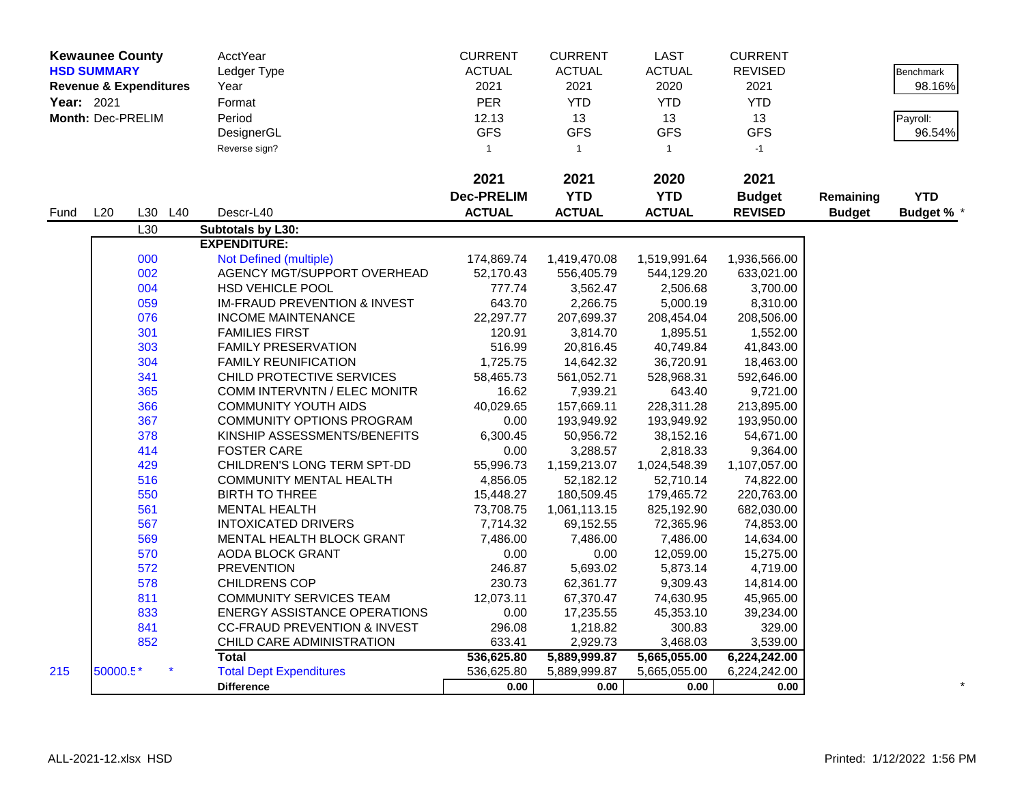|            | <b>Kewaunee County</b> |                                   | AcctYear                                | <b>CURRENT</b>    | <b>CURRENT</b> | LAST          | <b>CURRENT</b> |               |                   |
|------------|------------------------|-----------------------------------|-----------------------------------------|-------------------|----------------|---------------|----------------|---------------|-------------------|
|            | <b>HSD SUMMARY</b>     |                                   | Ledger Type                             | <b>ACTUAL</b>     | <b>ACTUAL</b>  | <b>ACTUAL</b> | <b>REVISED</b> |               | <b>Benchmark</b>  |
|            |                        | <b>Revenue &amp; Expenditures</b> | Year                                    | 2021              | 2021           | 2020          | 2021           |               | 98.16%            |
| Year: 2021 |                        |                                   | Format                                  | <b>PER</b>        | <b>YTD</b>     | <b>YTD</b>    | <b>YTD</b>     |               |                   |
|            | Month: Dec-PRELIM      |                                   | Period                                  | 12.13             | 13             | 13            | 13             |               | Payroll:          |
|            |                        |                                   | DesignerGL                              | <b>GFS</b>        | <b>GFS</b>     | <b>GFS</b>    | <b>GFS</b>     |               | 96.54%            |
|            |                        |                                   | Reverse sign?                           | $\mathbf{1}$      | $\mathbf{1}$   | $\mathbf{1}$  | $-1$           |               |                   |
|            |                        |                                   |                                         |                   |                |               |                |               |                   |
|            |                        |                                   |                                         | 2021              | 2021           | 2020          | 2021           |               |                   |
|            |                        |                                   |                                         | <b>Dec-PRELIM</b> | <b>YTD</b>     | <b>YTD</b>    | <b>Budget</b>  | Remaining     | <b>YTD</b>        |
| Fund       | L20                    | L30 L40                           | Descr-L40                               | <b>ACTUAL</b>     | <b>ACTUAL</b>  | <b>ACTUAL</b> | <b>REVISED</b> | <b>Budget</b> | <b>Budget % *</b> |
|            |                        | L30                               | Subtotals by L30:                       |                   |                |               |                |               |                   |
|            |                        |                                   | <b>EXPENDITURE:</b>                     |                   |                |               |                |               |                   |
|            |                        | 000                               | Not Defined (multiple)                  | 174,869.74        | 1,419,470.08   | 1,519,991.64  | 1,936,566.00   |               |                   |
|            |                        | 002                               | AGENCY MGT/SUPPORT OVERHEAD             | 52,170.43         | 556,405.79     | 544,129.20    | 633,021.00     |               |                   |
|            |                        | 004                               | <b>HSD VEHICLE POOL</b>                 | 777.74            | 3,562.47       | 2,506.68      | 3,700.00       |               |                   |
|            |                        | 059                               | <b>IM-FRAUD PREVENTION &amp; INVEST</b> | 643.70            | 2,266.75       | 5,000.19      | 8,310.00       |               |                   |
|            |                        | 076                               | <b>INCOME MAINTENANCE</b>               | 22,297.77         | 207,699.37     | 208,454.04    | 208,506.00     |               |                   |
|            |                        | 301                               | <b>FAMILIES FIRST</b>                   | 120.91            | 3,814.70       | 1,895.51      | 1,552.00       |               |                   |
|            |                        | 303                               | <b>FAMILY PRESERVATION</b>              | 516.99            | 20,816.45      | 40,749.84     | 41,843.00      |               |                   |
|            |                        | 304                               | <b>FAMILY REUNIFICATION</b>             | 1,725.75          | 14,642.32      | 36,720.91     | 18,463.00      |               |                   |
|            |                        | 341                               | CHILD PROTECTIVE SERVICES               | 58,465.73         | 561,052.71     | 528,968.31    | 592,646.00     |               |                   |
|            |                        | 365                               | <b>COMM INTERVNTN / ELEC MONITR</b>     | 16.62             | 7,939.21       | 643.40        | 9,721.00       |               |                   |
|            |                        | 366                               | <b>COMMUNITY YOUTH AIDS</b>             | 40,029.65         | 157,669.11     | 228,311.28    | 213,895.00     |               |                   |
|            |                        | 367                               | COMMUNITY OPTIONS PROGRAM               | 0.00              | 193,949.92     | 193,949.92    | 193,950.00     |               |                   |
|            |                        | 378                               | KINSHIP ASSESSMENTS/BENEFITS            | 6,300.45          | 50,956.72      | 38,152.16     | 54,671.00      |               |                   |
|            |                        | 414                               | <b>FOSTER CARE</b>                      | 0.00              | 3,288.57       | 2,818.33      | 9,364.00       |               |                   |
|            |                        | 429                               | CHILDREN'S LONG TERM SPT-DD             | 55,996.73         | 1,159,213.07   | 1,024,548.39  | 1,107,057.00   |               |                   |
|            |                        | 516                               | <b>COMMUNITY MENTAL HEALTH</b>          | 4,856.05          | 52,182.12      | 52,710.14     | 74,822.00      |               |                   |
|            |                        | 550                               | <b>BIRTH TO THREE</b>                   | 15,448.27         | 180,509.45     | 179,465.72    | 220,763.00     |               |                   |
|            |                        | 561                               | <b>MENTAL HEALTH</b>                    | 73,708.75         | 1,061,113.15   | 825,192.90    | 682,030.00     |               |                   |
|            |                        | 567                               | <b>INTOXICATED DRIVERS</b>              | 7,714.32          | 69,152.55      | 72,365.96     | 74,853.00      |               |                   |
|            |                        | 569                               | MENTAL HEALTH BLOCK GRANT               | 7,486.00          | 7,486.00       | 7,486.00      | 14,634.00      |               |                   |
|            |                        | 570                               | <b>AODA BLOCK GRANT</b>                 | 0.00              | 0.00           | 12,059.00     | 15,275.00      |               |                   |
|            |                        | 572                               | <b>PREVENTION</b>                       | 246.87            | 5,693.02       | 5,873.14      | 4,719.00       |               |                   |
|            |                        | 578                               | <b>CHILDRENS COP</b>                    | 230.73            | 62,361.77      | 9,309.43      | 14,814.00      |               |                   |
|            |                        | 811                               | COMMUNITY SERVICES TEAM                 | 12,073.11         | 67,370.47      | 74,630.95     | 45,965.00      |               |                   |
|            |                        | 833                               | <b>ENERGY ASSISTANCE OPERATIONS</b>     | 0.00              | 17,235.55      | 45,353.10     | 39,234.00      |               |                   |
|            |                        | 841                               | <b>CC-FRAUD PREVENTION &amp; INVEST</b> | 296.08            | 1,218.82       | 300.83        | 329.00         |               |                   |
|            |                        | 852                               | CHILD CARE ADMINISTRATION               | 633.41            | 2,929.73       | 3,468.03      | 3,539.00       |               |                   |
|            |                        |                                   | <b>Total</b>                            | 536,625.80        | 5,889,999.87   | 5,665,055.00  | 6,224,242.00   |               |                   |
| 215        | 50000.5*               |                                   | <b>Total Dept Expenditures</b>          | 536,625.80        | 5,889,999.87   | 5,665,055.00  | 6,224,242.00   |               |                   |
|            |                        |                                   | <b>Difference</b>                       | 0.00              | 0.00           | 0.00          | 0.00           |               |                   |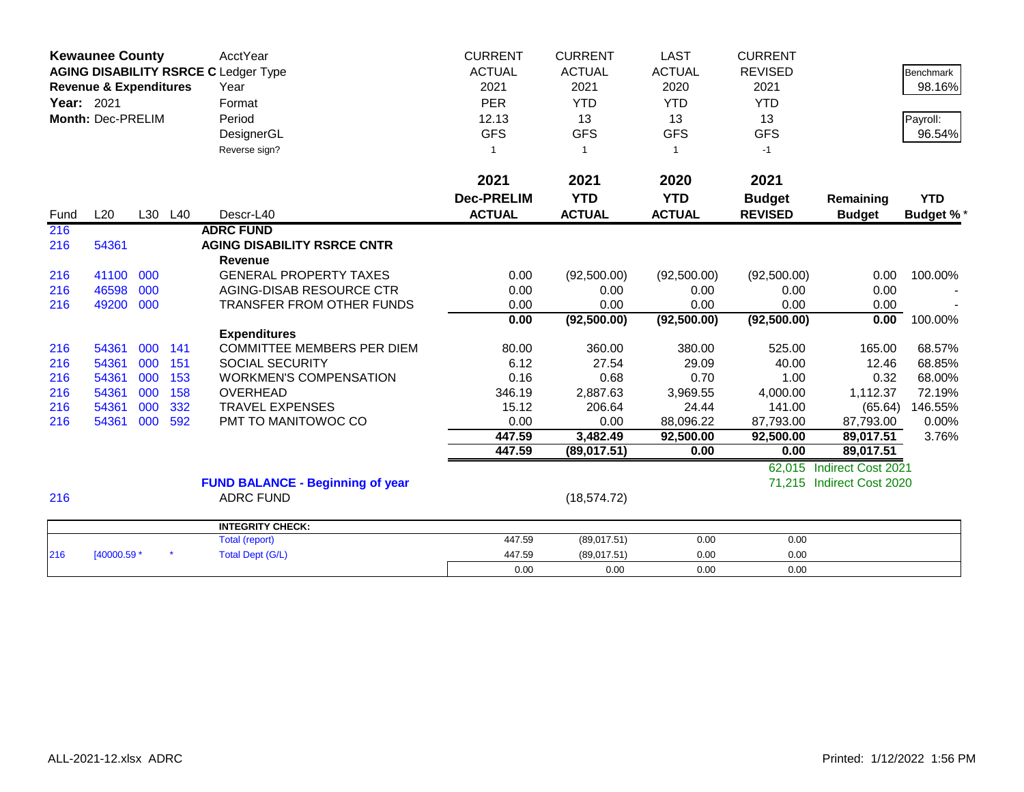|            | <b>Kewaunee County</b><br><b>AGING DISABILITY RSRCE C Ledger Type</b> |     |         | <b>AcctYear</b>                         | <b>CURRENT</b>           | <b>CURRENT</b> | <b>LAST</b>   | <b>CURRENT</b> |                           |                  |
|------------|-----------------------------------------------------------------------|-----|---------|-----------------------------------------|--------------------------|----------------|---------------|----------------|---------------------------|------------------|
|            |                                                                       |     |         |                                         | <b>ACTUAL</b>            | <b>ACTUAL</b>  | <b>ACTUAL</b> | <b>REVISED</b> |                           | <b>Benchmark</b> |
|            | <b>Revenue &amp; Expenditures</b>                                     |     |         | Year                                    | 2021                     | 2021           | 2020          | 2021           |                           | 98.16%           |
| Year: 2021 |                                                                       |     |         | Format                                  | <b>PER</b>               | <b>YTD</b>     | <b>YTD</b>    | <b>YTD</b>     |                           |                  |
|            | Month: Dec-PRELIM                                                     |     |         | Period                                  | 12.13                    | 13             | 13            | 13             |                           | Payroll:         |
|            |                                                                       |     |         | DesignerGL                              | <b>GFS</b>               | <b>GFS</b>     | <b>GFS</b>    | <b>GFS</b>     |                           | 96.54%           |
|            |                                                                       |     |         | Reverse sign?                           | $\overline{\phantom{a}}$ | $\mathbf{1}$   | 1             | $-1$           |                           |                  |
|            |                                                                       |     |         |                                         |                          |                |               |                |                           |                  |
|            |                                                                       |     |         |                                         | 2021                     | 2021           | 2020          | 2021           |                           |                  |
|            |                                                                       |     |         |                                         | <b>Dec-PRELIM</b>        | <b>YTD</b>     | <b>YTD</b>    | <b>Budget</b>  | Remaining                 | <b>YTD</b>       |
| Fund       | L20                                                                   |     | L30 L40 | Descr-L40                               | <b>ACTUAL</b>            | <b>ACTUAL</b>  | <b>ACTUAL</b> | <b>REVISED</b> | <b>Budget</b>             | <b>Budget %*</b> |
| 216        |                                                                       |     |         | <b>ADRC FUND</b>                        |                          |                |               |                |                           |                  |
| 216        | 54361                                                                 |     |         | <b>AGING DISABILITY RSRCE CNTR</b>      |                          |                |               |                |                           |                  |
|            |                                                                       |     |         | <b>Revenue</b>                          |                          |                |               |                |                           |                  |
| 216        | 41100                                                                 | 000 |         | <b>GENERAL PROPERTY TAXES</b>           | 0.00                     | (92,500.00)    | (92,500.00)   | (92,500.00)    | 0.00                      | 100.00%          |
| 216        | 46598                                                                 | 000 |         | AGING-DISAB RESOURCE CTR                | 0.00                     | 0.00           | 0.00          | 0.00           | 0.00                      |                  |
| 216        | 49200                                                                 | 000 |         | <b>TRANSFER FROM OTHER FUNDS</b>        | 0.00                     | 0.00           | 0.00          | 0.00           | 0.00                      |                  |
|            |                                                                       |     |         |                                         | 0.00                     | (92, 500.00)   | (92, 500.00)  | (92, 500.00)   | 0.00                      | 100.00%          |
|            |                                                                       |     |         | <b>Expenditures</b>                     |                          |                |               |                |                           |                  |
| 216        | 54361                                                                 | 000 | 141     | <b>COMMITTEE MEMBERS PER DIEM</b>       | 80.00                    | 360.00         | 380.00        | 525.00         | 165.00                    | 68.57%           |
| 216        | 54361                                                                 | 000 | 151     | <b>SOCIAL SECURITY</b>                  | 6.12                     | 27.54          | 29.09         | 40.00          | 12.46                     | 68.85%           |
| 216        | 54361                                                                 | 000 | 153     | <b>WORKMEN'S COMPENSATION</b>           | 0.16                     | 0.68           | 0.70          | 1.00           | 0.32                      | 68.00%           |
| 216        | 54361                                                                 | 000 | 158     | <b>OVERHEAD</b>                         | 346.19                   | 2,887.63       | 3,969.55      | 4,000.00       | 1,112.37                  | 72.19%           |
| 216        | 54361                                                                 | 000 | 332     | <b>TRAVEL EXPENSES</b>                  | 15.12                    | 206.64         | 24.44         | 141.00         | (65.64)                   | 146.55%          |
| 216        | 54361                                                                 | 000 | 592     | PMT TO MANITOWOC CO                     | 0.00                     | 0.00           | 88,096.22     | 87,793.00      | 87,793.00                 | $0.00\%$         |
|            |                                                                       |     |         |                                         | 447.59                   | 3,482.49       | 92,500.00     | 92,500.00      | 89,017.51                 | 3.76%            |
|            |                                                                       |     |         |                                         | 447.59                   | (89,017.51)    | 0.00          | 0.00           | 89,017.51                 |                  |
|            |                                                                       |     |         |                                         |                          |                |               | 62,015         | Indirect Cost 2021        |                  |
|            |                                                                       |     |         | <b>FUND BALANCE - Beginning of year</b> |                          |                |               | 71,215         | <b>Indirect Cost 2020</b> |                  |
| 216        |                                                                       |     |         | <b>ADRC FUND</b>                        |                          | (18, 574.72)   |               |                |                           |                  |
|            |                                                                       |     |         | <b>INTEGRITY CHECK:</b>                 |                          |                |               |                |                           |                  |
|            |                                                                       |     |         | <b>Total (report)</b>                   | 447.59                   | (89,017.51)    | 0.00          | 0.00           |                           |                  |
| 216        | [40000.59 *                                                           |     |         | <b>Total Dept (G/L)</b>                 | 447.59                   | (89,017.51)    | 0.00          | 0.00           |                           |                  |
|            |                                                                       |     |         |                                         | 0.00                     | 0.00           | 0.00          | 0.00           |                           |                  |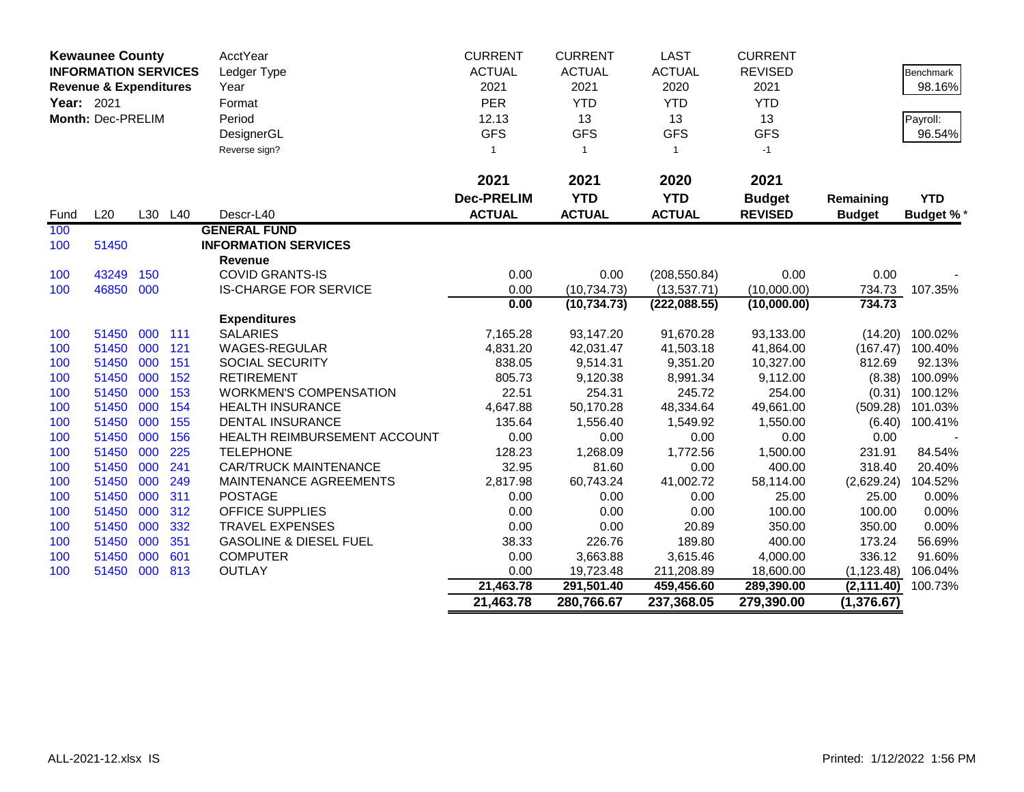| <b>Kewaunee County</b><br><b>INFORMATION SERVICES</b> |                                   |     | AcctYear | <b>CURRENT</b>                    | <b>CURRENT</b>    | <b>LAST</b>    | <b>CURRENT</b> |                |               |                  |
|-------------------------------------------------------|-----------------------------------|-----|----------|-----------------------------------|-------------------|----------------|----------------|----------------|---------------|------------------|
|                                                       | <b>Revenue &amp; Expenditures</b> |     |          | Ledger Type                       | <b>ACTUAL</b>     | <b>ACTUAL</b>  | <b>ACTUAL</b>  | <b>REVISED</b> |               | <b>Benchmark</b> |
|                                                       |                                   |     |          | Year                              | 2021              | 2021           | 2020           | 2021           |               | 98.16%           |
| Year: 2021                                            |                                   |     |          | Format                            | PER               | <b>YTD</b>     | <b>YTD</b>     | <b>YTD</b>     |               |                  |
|                                                       | Month: Dec-PRELIM                 |     |          | Period                            | 12.13             | 13             | 13             | 13             |               | Payroll:         |
|                                                       |                                   |     |          | DesignerGL                        | <b>GFS</b>        | <b>GFS</b>     | <b>GFS</b>     | <b>GFS</b>     |               | 96.54%           |
|                                                       |                                   |     |          | Reverse sign?                     | $\mathbf{1}$      | $\overline{1}$ | $\mathbf{1}$   | $-1$           |               |                  |
|                                                       |                                   |     |          |                                   |                   |                |                |                |               |                  |
|                                                       |                                   |     |          |                                   | 2021              | 2021           | 2020           | 2021           |               |                  |
|                                                       |                                   |     |          |                                   | <b>Dec-PRELIM</b> | <b>YTD</b>     | <b>YTD</b>     | <b>Budget</b>  | Remaining     | <b>YTD</b>       |
| Fund                                                  | L20                               |     | L30 L40  | Descr-L40                         | <b>ACTUAL</b>     | <b>ACTUAL</b>  | <b>ACTUAL</b>  | <b>REVISED</b> | <b>Budget</b> | <b>Budget %*</b> |
| 100                                                   |                                   |     |          | <b>GENERAL FUND</b>               |                   |                |                |                |               |                  |
| 100                                                   | 51450                             |     |          | <b>INFORMATION SERVICES</b>       |                   |                |                |                |               |                  |
|                                                       |                                   |     |          | <b>Revenue</b>                    |                   |                |                |                |               |                  |
| 100                                                   | 43249                             | 150 |          | <b>COVID GRANTS-IS</b>            | 0.00              | 0.00           | (208, 550.84)  | 0.00           | 0.00          |                  |
| 100                                                   | 46850                             | 000 |          | <b>IS-CHARGE FOR SERVICE</b>      | 0.00              | (10, 734.73)   | (13,537.71)    | (10,000.00)    | 734.73        | 107.35%          |
|                                                       |                                   |     |          |                                   | 0.00              | (10, 734.73)   | (222, 088.55)  | (10,000.00)    | 734.73        |                  |
|                                                       |                                   |     |          | <b>Expenditures</b>               |                   |                |                |                |               |                  |
| 100                                                   | 51450                             | 000 | 111      | <b>SALARIES</b>                   | 7,165.28          | 93,147.20      | 91,670.28      | 93,133.00      | (14.20)       | 100.02%          |
| 100                                                   | 51450                             | 000 | 121      | <b>WAGES-REGULAR</b>              | 4,831.20          | 42,031.47      | 41,503.18      | 41,864.00      | (167.47)      | 100.40%          |
| 100                                                   | 51450                             | 000 | 151      | <b>SOCIAL SECURITY</b>            | 838.05            | 9,514.31       | 9,351.20       | 10,327.00      | 812.69        | 92.13%           |
| 100                                                   | 51450                             | 000 | 152      | <b>RETIREMENT</b>                 | 805.73            | 9,120.38       | 8,991.34       | 9,112.00       | (8.38)        | 100.09%          |
| 100                                                   | 51450                             | 000 | 153      | <b>WORKMEN'S COMPENSATION</b>     | 22.51             | 254.31         | 245.72         | 254.00         | (0.31)        | 100.12%          |
| 100                                                   | 51450                             | 000 | 154      | <b>HEALTH INSURANCE</b>           | 4,647.88          | 50,170.28      | 48,334.64      | 49,661.00      | (509.28)      | 101.03%          |
| 100                                                   | 51450                             | 000 | 155      | <b>DENTAL INSURANCE</b>           | 135.64            | 1,556.40       | 1,549.92       | 1,550.00       | (6.40)        | 100.41%          |
| 100                                                   | 51450                             | 000 | 156      | HEALTH REIMBURSEMENT ACCOUNT      | 0.00              | 0.00           | 0.00           | 0.00           | 0.00          |                  |
| 100                                                   | 51450                             | 000 | 225      | <b>TELEPHONE</b>                  | 128.23            | 1,268.09       | 1,772.56       | 1,500.00       | 231.91        | 84.54%           |
| 100                                                   | 51450                             | 000 | 241      | <b>CAR/TRUCK MAINTENANCE</b>      | 32.95             | 81.60          | 0.00           | 400.00         | 318.40        | 20.40%           |
| 100                                                   | 51450                             | 000 | 249      | MAINTENANCE AGREEMENTS            | 2,817.98          | 60,743.24      | 41,002.72      | 58,114.00      | (2,629.24)    | 104.52%          |
| 100                                                   | 51450                             | 000 | 311      | <b>POSTAGE</b>                    | 0.00              | 0.00           | 0.00           | 25.00          | 25.00         | 0.00%            |
| 100                                                   | 51450                             | 000 | 312      | <b>OFFICE SUPPLIES</b>            | 0.00              | 0.00           | 0.00           | 100.00         | 100.00        | 0.00%            |
| 100                                                   | 51450                             | 000 | 332      | <b>TRAVEL EXPENSES</b>            | 0.00              | 0.00           | 20.89          | 350.00         | 350.00        | 0.00%            |
| 100                                                   | 51450                             | 000 | 351      | <b>GASOLINE &amp; DIESEL FUEL</b> | 38.33             | 226.76         | 189.80         | 400.00         | 173.24        | 56.69%           |
| 100                                                   | 51450                             | 000 | 601      | <b>COMPUTER</b>                   | 0.00              | 3,663.88       | 3,615.46       | 4,000.00       | 336.12        | 91.60%           |
| 100                                                   | 51450 000                         |     | 813      | <b>OUTLAY</b>                     | 0.00              | 19,723.48      | 211,208.89     | 18,600.00      | (1, 123.48)   | 106.04%          |
|                                                       |                                   |     |          |                                   | 21,463.78         | 291,501.40     | 459,456.60     | 289,390.00     | (2, 111.40)   | 100.73%          |
|                                                       |                                   |     |          |                                   | 21,463.78         | 280,766.67     | 237,368.05     | 279,390.00     | (1, 376.67)   |                  |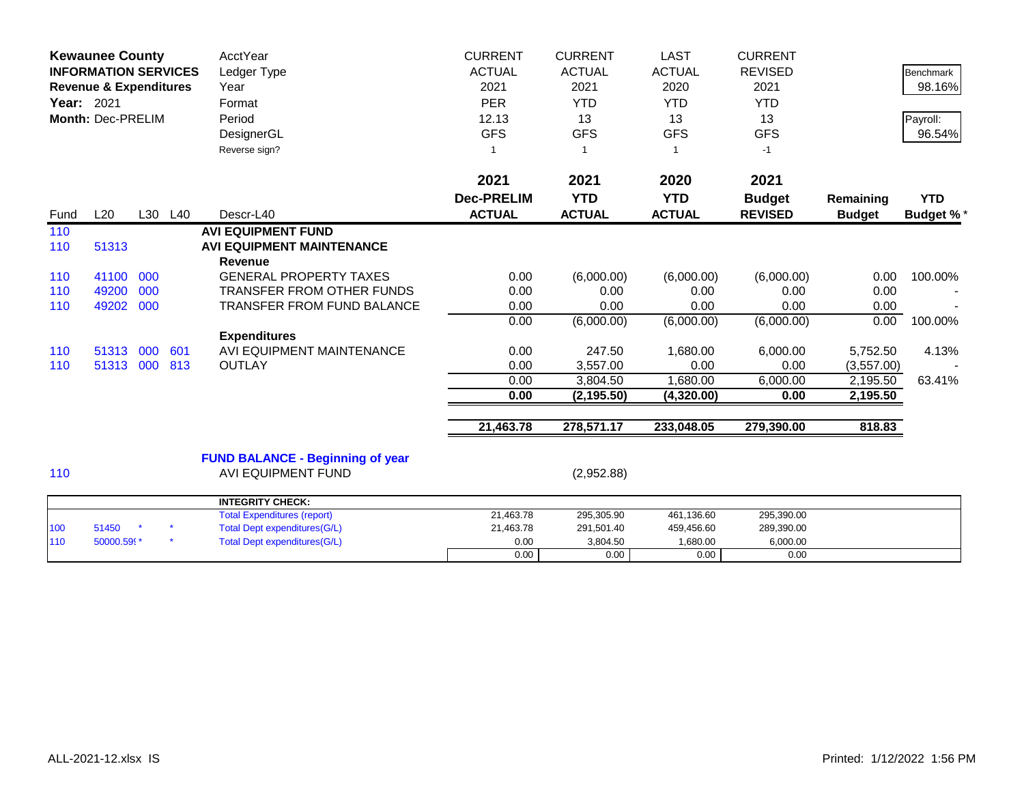|            | <b>Kewaunee County</b><br><b>INFORMATION SERVICES</b><br><b>Revenue &amp; Expenditures</b><br>Year: 2021<br><b>Month: Dec-PRELIM</b> |         |     | AcctYear<br>Ledger Type<br>Year<br>Format<br>Period<br>DesignerGL<br>Reverse sign? | <b>CURRENT</b><br><b>ACTUAL</b><br>2021<br><b>PER</b><br>12.13<br><b>GFS</b> | <b>CURRENT</b><br><b>ACTUAL</b><br>2021<br><b>YTD</b><br>13<br><b>GFS</b><br>-1 | <b>LAST</b><br><b>ACTUAL</b><br>2020<br><b>YTD</b><br>13<br><b>GFS</b> | <b>CURRENT</b><br><b>REVISED</b><br>2021<br><b>YTD</b><br>13<br><b>GFS</b><br>$-1$ |               | <b>Benchmark</b><br>98.16%<br>Payroll:<br>96.54% |
|------------|--------------------------------------------------------------------------------------------------------------------------------------|---------|-----|------------------------------------------------------------------------------------|------------------------------------------------------------------------------|---------------------------------------------------------------------------------|------------------------------------------------------------------------|------------------------------------------------------------------------------------|---------------|--------------------------------------------------|
|            |                                                                                                                                      |         |     |                                                                                    | 2021                                                                         | 2021                                                                            | 2020                                                                   | 2021                                                                               |               |                                                  |
|            |                                                                                                                                      |         |     |                                                                                    | <b>Dec-PRELIM</b>                                                            | <b>YTD</b>                                                                      | <b>YTD</b>                                                             | <b>Budget</b>                                                                      | Remaining     | <b>YTD</b>                                       |
| Fund       | L20                                                                                                                                  | L30 L40 |     | Descr-L40                                                                          | <b>ACTUAL</b>                                                                | <b>ACTUAL</b>                                                                   | <b>ACTUAL</b>                                                          | <b>REVISED</b>                                                                     | <b>Budget</b> | <b>Budget %*</b>                                 |
| 110<br>110 | 51313                                                                                                                                |         |     | <b>AVI EQUIPMENT FUND</b><br><b>AVI EQUIPMENT MAINTENANCE</b><br><b>Revenue</b>    |                                                                              |                                                                                 |                                                                        |                                                                                    |               |                                                  |
| 110        | 41100                                                                                                                                | 000     |     | <b>GENERAL PROPERTY TAXES</b>                                                      | 0.00                                                                         | (6,000.00)                                                                      | (6,000.00)                                                             | (6,000.00)                                                                         | 0.00          | 100.00%                                          |
| 110        | 49200                                                                                                                                | 000     |     | TRANSFER FROM OTHER FUNDS                                                          | 0.00                                                                         | 0.00                                                                            | 0.00                                                                   | 0.00                                                                               | 0.00          |                                                  |
| 110        | 49202                                                                                                                                | 000     |     | <b>TRANSFER FROM FUND BALANCE</b>                                                  | 0.00                                                                         | 0.00                                                                            | 0.00                                                                   | 0.00                                                                               | 0.00          |                                                  |
|            |                                                                                                                                      |         |     |                                                                                    | 0.00                                                                         | (6,000.00)                                                                      | (6,000.00)                                                             | (6,000.00)                                                                         | 0.00          | 100.00%                                          |
|            |                                                                                                                                      |         |     | <b>Expenditures</b>                                                                |                                                                              |                                                                                 |                                                                        |                                                                                    |               |                                                  |
| 110        | 51313                                                                                                                                | 000     | 601 | AVI EQUIPMENT MAINTENANCE                                                          | 0.00                                                                         | 247.50                                                                          | 1,680.00                                                               | 6,000.00                                                                           | 5,752.50      | 4.13%                                            |
| 110        | 51313                                                                                                                                | 000     | 813 | <b>OUTLAY</b>                                                                      | 0.00                                                                         | 3,557.00                                                                        | 0.00                                                                   | 0.00                                                                               | (3,557.00)    |                                                  |
|            |                                                                                                                                      |         |     |                                                                                    | 0.00                                                                         | 3,804.50                                                                        | 1,680.00                                                               | 6,000.00                                                                           | 2,195.50      | 63.41%                                           |
|            |                                                                                                                                      |         |     |                                                                                    | 0.00                                                                         | (2, 195.50)                                                                     | (4,320.00)                                                             | 0.00                                                                               | 2,195.50      |                                                  |
|            |                                                                                                                                      |         |     |                                                                                    | 21,463.78                                                                    | 278,571.17                                                                      | 233,048.05                                                             | 279,390.00                                                                         | 818.83        |                                                  |
| 110        |                                                                                                                                      |         |     | <b>FUND BALANCE - Beginning of year</b><br><b>AVI EQUIPMENT FUND</b>               |                                                                              | (2,952.88)                                                                      |                                                                        |                                                                                    |               |                                                  |
|            |                                                                                                                                      |         |     |                                                                                    |                                                                              |                                                                                 |                                                                        |                                                                                    |               |                                                  |
|            |                                                                                                                                      |         |     | <b>INTEGRITY CHECK:</b><br><b>Total Expenditures (report)</b>                      | 21,463.78                                                                    | 295,305.90                                                                      | 461,136.60                                                             | 295,390.00                                                                         |               |                                                  |
| 100        | 51450                                                                                                                                |         |     | <b>Total Dept expenditures(G/L)</b>                                                | 21,463.78                                                                    | 291,501.40                                                                      | 459,456.60                                                             | 289,390.00                                                                         |               |                                                  |
| 110        | 50000.599*                                                                                                                           |         |     | <b>Total Dept expenditures(G/L)</b>                                                | 0.00                                                                         | 3,804.50                                                                        | 1,680.00                                                               | 6,000.00                                                                           |               |                                                  |
|            |                                                                                                                                      |         |     |                                                                                    | 0.00                                                                         | 0.00                                                                            | 0.00                                                                   | 0.00                                                                               |               |                                                  |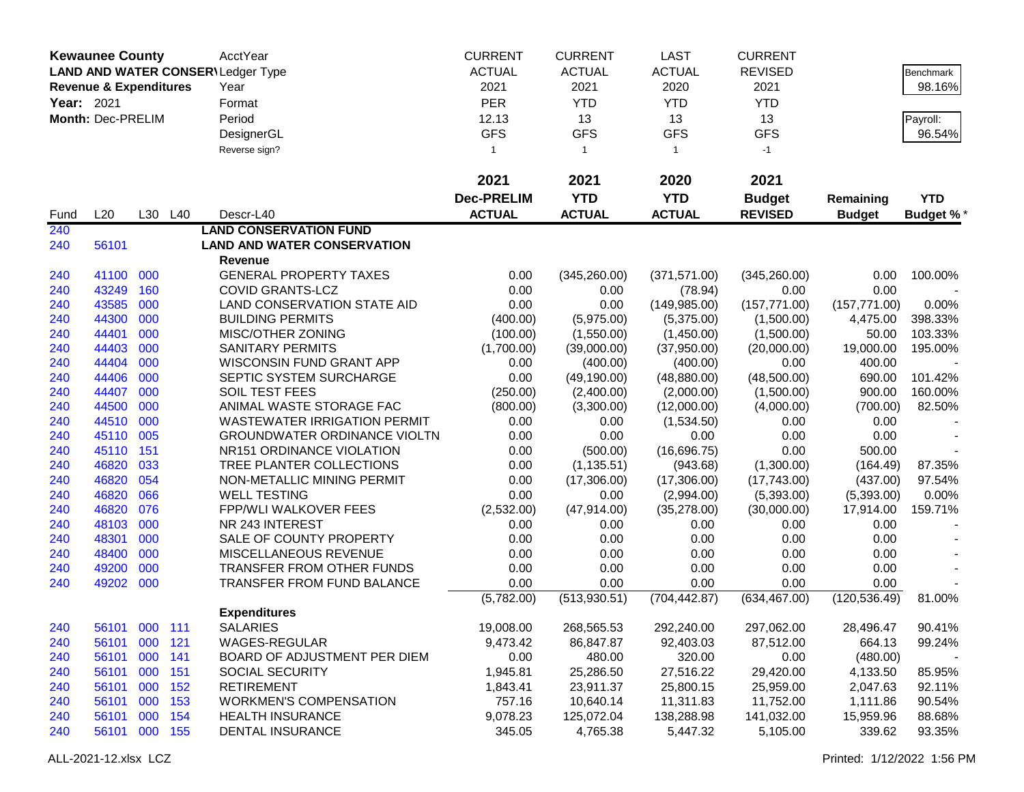|            | <b>Kewaunee County</b>            |     |         | AcctYear                                 | <b>CURRENT</b>          | <b>CURRENT</b> | <b>LAST</b>   | <b>CURRENT</b> |               |                    |
|------------|-----------------------------------|-----|---------|------------------------------------------|-------------------------|----------------|---------------|----------------|---------------|--------------------|
|            |                                   |     |         | <b>LAND AND WATER CONSER\Ledger Type</b> | <b>ACTUAL</b>           | <b>ACTUAL</b>  | <b>ACTUAL</b> | <b>REVISED</b> |               | <b>Benchmark</b>   |
|            | <b>Revenue &amp; Expenditures</b> |     |         | Year                                     | 2021                    | 2021           | 2020          | 2021           |               | 98.16%             |
| Year: 2021 |                                   |     |         | Format                                   | <b>PER</b>              | <b>YTD</b>     | <b>YTD</b>    | <b>YTD</b>     |               |                    |
|            | Month: Dec-PRELIM                 |     |         | Period                                   | 12.13                   | 13             | 13            | 13             |               |                    |
|            |                                   |     |         | DesignerGL                               | <b>GFS</b>              | <b>GFS</b>     | <b>GFS</b>    | <b>GFS</b>     |               | Payroll:<br>96.54% |
|            |                                   |     |         |                                          | $\overline{\mathbf{1}}$ |                |               |                |               |                    |
|            |                                   |     |         | Reverse sign?                            |                         | $\mathbf{1}$   | $\mathbf{1}$  | $-1$           |               |                    |
|            |                                   |     |         |                                          | 2021                    | 2021           | 2020          | 2021           |               |                    |
|            |                                   |     |         |                                          | <b>Dec-PRELIM</b>       | <b>YTD</b>     | <b>YTD</b>    | <b>Budget</b>  | Remaining     | <b>YTD</b>         |
| Fund       | L20                               |     | L30 L40 | Descr-L40                                | <b>ACTUAL</b>           | <b>ACTUAL</b>  | <b>ACTUAL</b> | <b>REVISED</b> | <b>Budget</b> | <b>Budget %*</b>   |
| 240        |                                   |     |         | <b>LAND CONSERVATION FUND</b>            |                         |                |               |                |               |                    |
| 240        | 56101                             |     |         | <b>LAND AND WATER CONSERVATION</b>       |                         |                |               |                |               |                    |
|            |                                   |     |         | Revenue                                  |                         |                |               |                |               |                    |
| 240        | 41100                             | 000 |         | <b>GENERAL PROPERTY TAXES</b>            | 0.00                    | (345, 260.00)  | (371, 571.00) | (345, 260.00)  | 0.00          | 100.00%            |
| 240        | 43249                             | 160 |         | <b>COVID GRANTS-LCZ</b>                  | 0.00                    | 0.00           | (78.94)       | 0.00           | 0.00          |                    |
| 240        | 43585                             | 000 |         | LAND CONSERVATION STATE AID              | 0.00                    | 0.00           | (149, 985.00) | (157, 771.00)  | (157, 771.00) | 0.00%              |
| 240        | 44300                             | 000 |         | <b>BUILDING PERMITS</b>                  | (400.00)                | (5,975.00)     | (5,375.00)    | (1,500.00)     | 4,475.00      | 398.33%            |
| 240        | 44401                             | 000 |         | MISC/OTHER ZONING                        | (100.00)                | (1,550.00)     | (1,450.00)    | (1,500.00)     | 50.00         | 103.33%            |
| 240        | 44403                             | 000 |         | <b>SANITARY PERMITS</b>                  | (1,700.00)              | (39,000.00)    | (37,950.00)   | (20,000.00)    | 19,000.00     | 195.00%            |
| 240        | 44404                             | 000 |         | <b>WISCONSIN FUND GRANT APP</b>          | 0.00                    | (400.00)       | (400.00)      | 0.00           | 400.00        |                    |
| 240        | 44406                             | 000 |         | SEPTIC SYSTEM SURCHARGE                  | 0.00                    | (49, 190.00)   | (48, 880.00)  | (48,500.00)    | 690.00        | 101.42%            |
| 240        | 44407                             | 000 |         | SOIL TEST FEES                           | (250.00)                | (2,400.00)     | (2,000.00)    | (1,500.00)     | 900.00        | 160.00%            |
| 240        | 44500                             | 000 |         | ANIMAL WASTE STORAGE FAC                 | (800.00)                | (3,300.00)     | (12,000.00)   | (4,000.00)     | (700.00)      | 82.50%             |
| 240        | 44510                             | 000 |         | <b>WASTEWATER IRRIGATION PERMIT</b>      | 0.00                    | 0.00           | (1,534.50)    | 0.00           | 0.00          |                    |
| 240        | 45110                             | 005 |         | <b>GROUNDWATER ORDINANCE VIOLTN</b>      | 0.00                    | 0.00           | 0.00          | 0.00           | 0.00          |                    |
| 240        | 45110                             | 151 |         | NR151 ORDINANCE VIOLATION                | 0.00                    | (500.00)       | (16,696.75)   | 0.00           | 500.00        |                    |
| 240        | 46820                             | 033 |         | TREE PLANTER COLLECTIONS                 | 0.00                    | (1, 135.51)    | (943.68)      | (1,300.00)     | (164.49)      | 87.35%             |
| 240        | 46820                             | 054 |         | NON-METALLIC MINING PERMIT               | 0.00                    | (17,306.00)    | (17,306.00)   | (17,743.00)    | (437.00)      | 97.54%             |
| 240        | 46820                             | 066 |         | <b>WELL TESTING</b>                      | 0.00                    | 0.00           | (2,994.00)    | (5,393.00)     | (5,393.00)    | 0.00%              |
| 240        | 46820                             | 076 |         | <b>FPP/WLI WALKOVER FEES</b>             | (2,532.00)              | (47, 914.00)   | (35, 278.00)  | (30,000.00)    | 17,914.00     | 159.71%            |
| 240        | 48103                             | 000 |         | NR 243 INTEREST                          | 0.00                    | 0.00           | 0.00          | 0.00           | 0.00          |                    |
| 240        | 48301                             | 000 |         | SALE OF COUNTY PROPERTY                  | 0.00                    | 0.00           | 0.00          | 0.00           | 0.00          |                    |
| 240        | 48400                             | 000 |         | MISCELLANEOUS REVENUE                    | 0.00                    | 0.00           | 0.00          | 0.00           | 0.00          |                    |
| 240        | 49200                             | 000 |         | TRANSFER FROM OTHER FUNDS                | 0.00                    | 0.00           | 0.00          | 0.00           | 0.00          |                    |
| 240        | 49202 000                         |     |         | TRANSFER FROM FUND BALANCE               | 0.00                    | 0.00           | 0.00          | 0.00           | 0.00          |                    |
|            |                                   |     |         |                                          | (5,782.00)              | (513, 930.51)  | (704, 442.87) | (634, 467.00)  | (120, 536.49) | 81.00%             |
|            |                                   |     |         | <b>Expenditures</b>                      |                         |                |               |                |               |                    |
| 240        | 56101 000 111                     |     |         | <b>SALARIES</b>                          | 19,008.00               | 268,565.53     | 292,240.00    | 297,062.00     | 28,496.47     | 90.41%             |
| 240        | 56101 000 121                     |     |         | WAGES-REGULAR                            | 9,473.42                | 86,847.87      | 92,403.03     | 87,512.00      | 664.13        | 99.24%             |
| 240        | 56101                             | 000 | 141     | BOARD OF ADJUSTMENT PER DIEM             | 0.00                    | 480.00         | 320.00        | 0.00           | (480.00)      |                    |
| 240        | 56101                             | 000 | 151     | <b>SOCIAL SECURITY</b>                   | 1,945.81                | 25,286.50      | 27,516.22     | 29,420.00      | 4,133.50      | 85.95%             |
| 240        | 56101                             | 000 | 152     | <b>RETIREMENT</b>                        | 1,843.41                | 23,911.37      | 25,800.15     | 25,959.00      | 2,047.63      | 92.11%             |
| 240        | 56101 000 153                     |     |         | <b>WORKMEN'S COMPENSATION</b>            | 757.16                  | 10,640.14      | 11,311.83     | 11,752.00      | 1,111.86      | 90.54%             |
| 240        | 56101                             | 000 | 154     | <b>HEALTH INSURANCE</b>                  | 9,078.23                | 125,072.04     | 138,288.98    | 141,032.00     | 15,959.96     | 88.68%             |
| 240        | 56101 000 155                     |     |         | DENTAL INSURANCE                         | 345.05                  | 4,765.38       | 5,447.32      | 5,105.00       | 339.62        | 93.35%             |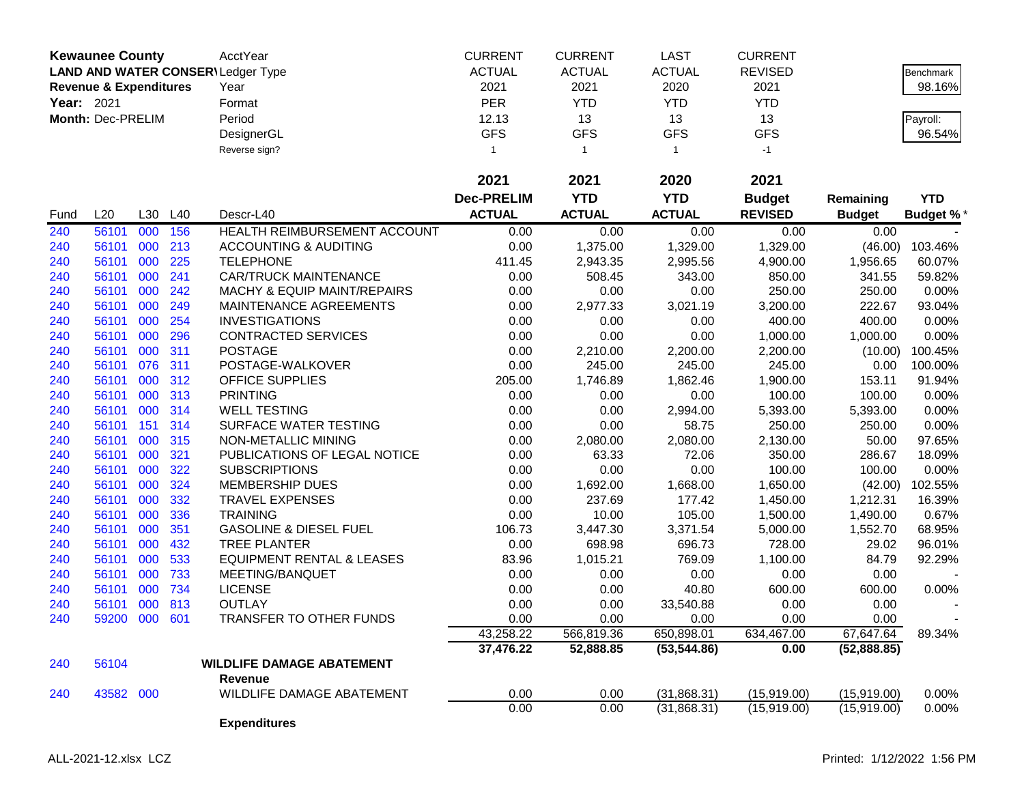|            | <b>Kewaunee County</b>            |     |     | AcctYear                             | <b>CURRENT</b>    | <b>CURRENT</b> | <b>LAST</b>   | <b>CURRENT</b> |               |                  |
|------------|-----------------------------------|-----|-----|--------------------------------------|-------------------|----------------|---------------|----------------|---------------|------------------|
|            |                                   |     |     | LAND AND WATER CONSER\Ledger Type    | <b>ACTUAL</b>     | <b>ACTUAL</b>  | <b>ACTUAL</b> | <b>REVISED</b> |               | Benchmark        |
|            | <b>Revenue &amp; Expenditures</b> |     |     | Year                                 | 2021              | 2021           | 2020          | 2021           |               | 98.16%           |
| Year: 2021 |                                   |     |     | Format                               | PER               | <b>YTD</b>     | <b>YTD</b>    | <b>YTD</b>     |               |                  |
|            | Month: Dec-PRELIM                 |     |     | Period                               | 12.13             | 13             | 13            | 13             |               | Payroll:         |
|            |                                   |     |     | DesignerGL                           | <b>GFS</b>        | <b>GFS</b>     | <b>GFS</b>    | <b>GFS</b>     |               | 96.54%           |
|            |                                   |     |     | Reverse sign?                        | 1                 | $\overline{1}$ | $\mathbf{1}$  | $-1$           |               |                  |
|            |                                   |     |     |                                      |                   |                |               |                |               |                  |
|            |                                   |     |     |                                      | 2021              | 2021           | 2020          | 2021           |               |                  |
|            |                                   |     |     |                                      | <b>Dec-PRELIM</b> | <b>YTD</b>     | <b>YTD</b>    | <b>Budget</b>  | Remaining     | <b>YTD</b>       |
| Fund       | L20                               | L30 | L40 | Descr-L40                            | <b>ACTUAL</b>     | <b>ACTUAL</b>  | <b>ACTUAL</b> | <b>REVISED</b> | <b>Budget</b> | <b>Budget %*</b> |
| 240        | 56101                             | 000 | 156 | HEALTH REIMBURSEMENT ACCOUNT         | 0.00              | 0.00           | 0.00          | 0.00           | 0.00          |                  |
| 240        | 56101                             | 000 | 213 | <b>ACCOUNTING &amp; AUDITING</b>     | 0.00              | 1,375.00       | 1,329.00      | 1,329.00       | (46.00)       | 103.46%          |
| 240        | 56101                             | 000 | 225 | <b>TELEPHONE</b>                     | 411.45            | 2,943.35       | 2,995.56      | 4,900.00       | 1,956.65      | 60.07%           |
| 240        | 56101                             | 000 | 241 | <b>CAR/TRUCK MAINTENANCE</b>         | 0.00              | 508.45         | 343.00        | 850.00         | 341.55        | 59.82%           |
| 240        | 56101                             | 000 | 242 | MACHY & EQUIP MAINT/REPAIRS          | 0.00              | 0.00           | 0.00          | 250.00         | 250.00        | 0.00%            |
| 240        | 56101                             | 000 | 249 | MAINTENANCE AGREEMENTS               | 0.00              | 2,977.33       | 3,021.19      | 3,200.00       | 222.67        | 93.04%           |
| 240        | 56101                             | 000 | 254 | <b>INVESTIGATIONS</b>                | 0.00              | 0.00           | 0.00          | 400.00         | 400.00        | 0.00%            |
| 240        | 56101                             | 000 | 296 | <b>CONTRACTED SERVICES</b>           | 0.00              | 0.00           | 0.00          | 1,000.00       | 1,000.00      | 0.00%            |
| 240        | 56101                             | 000 | 311 | <b>POSTAGE</b>                       | 0.00              | 2,210.00       | 2,200.00      | 2,200.00       | (10.00)       | 100.45%          |
| 240        | 56101 076                         |     | 311 | POSTAGE-WALKOVER                     | 0.00              | 245.00         | 245.00        | 245.00         | 0.00          | 100.00%          |
| 240        | 56101                             | 000 | 312 | OFFICE SUPPLIES                      | 205.00            | 1,746.89       | 1,862.46      | 1,900.00       | 153.11        | 91.94%           |
| 240        | 56101                             | 000 | 313 | <b>PRINTING</b>                      | 0.00              | 0.00           | 0.00          | 100.00         | 100.00        | 0.00%            |
| 240        | 56101                             | 000 | 314 | <b>WELL TESTING</b>                  | 0.00              | 0.00           | 2,994.00      | 5,393.00       | 5,393.00      | 0.00%            |
| 240        | 56101                             | 151 | 314 | SURFACE WATER TESTING                | 0.00              | 0.00           | 58.75         | 250.00         | 250.00        | 0.00%            |
| 240        | 56101                             | 000 | 315 | NON-METALLIC MINING                  | 0.00              | 2,080.00       | 2,080.00      | 2,130.00       | 50.00         | 97.65%           |
| 240        | 56101                             | 000 | 321 | PUBLICATIONS OF LEGAL NOTICE         | 0.00              | 63.33          | 72.06         | 350.00         | 286.67        | 18.09%           |
| 240        | 56101                             | 000 | 322 | <b>SUBSCRIPTIONS</b>                 | 0.00              | 0.00           | 0.00          | 100.00         | 100.00        | 0.00%            |
| 240        | 56101                             | 000 | 324 | MEMBERSHIP DUES                      | 0.00              | 1,692.00       | 1,668.00      | 1,650.00       | (42.00)       | 102.55%          |
| 240        | 56101                             | 000 | 332 | <b>TRAVEL EXPENSES</b>               | 0.00              | 237.69         | 177.42        | 1,450.00       | 1,212.31      | 16.39%           |
| 240        | 56101                             | 000 | 336 | <b>TRAINING</b>                      | 0.00              | 10.00          | 105.00        | 1,500.00       | 1,490.00      | 0.67%            |
| 240        | 56101                             | 000 | 351 | <b>GASOLINE &amp; DIESEL FUEL</b>    | 106.73            | 3,447.30       | 3,371.54      | 5,000.00       | 1,552.70      | 68.95%           |
| 240        | 56101                             | 000 | 432 | <b>TREE PLANTER</b>                  | 0.00              | 698.98         | 696.73        | 728.00         | 29.02         | 96.01%           |
| 240        | 56101                             | 000 | 533 | <b>EQUIPMENT RENTAL &amp; LEASES</b> | 83.96             | 1,015.21       | 769.09        | 1,100.00       | 84.79         | 92.29%           |
| 240        | 56101                             | 000 | 733 | MEETING/BANQUET                      | 0.00              | 0.00           | 0.00          | 0.00           | 0.00          |                  |
| 240        | 56101                             | 000 | 734 | <b>LICENSE</b>                       | 0.00              | 0.00           | 40.80         | 600.00         | 600.00        | 0.00%            |
| 240        | 56101                             | 000 | 813 | <b>OUTLAY</b>                        | 0.00              | 0.00           | 33,540.88     | 0.00           | 0.00          |                  |
| 240        | 59200                             | 000 | 601 | TRANSFER TO OTHER FUNDS              | 0.00              | 0.00           | 0.00          | 0.00           | 0.00          |                  |
|            |                                   |     |     |                                      | 43,258.22         | 566,819.36     | 650,898.01    | 634,467.00     | 67,647.64     | 89.34%           |
|            |                                   |     |     |                                      | 37,476.22         | 52,888.85      | (53, 544.86)  | 0.00           | (52,888.85)   |                  |
| 240        | 56104                             |     |     | <b>WILDLIFE DAMAGE ABATEMENT</b>     |                   |                |               |                |               |                  |
|            |                                   |     |     | Revenue                              |                   |                |               |                |               |                  |
| 240        | 43582 000                         |     |     | WILDLIFE DAMAGE ABATEMENT            | 0.00              | 0.00           | (31,868.31)   | (15,919.00)    | (15,919.00)   | 0.00%            |
|            |                                   |     |     |                                      | 0.00              | 0.00           | (31,868.31)   | (15,919.00)    | (15, 919.00)  | 0.00%            |
|            |                                   |     |     | <b>Expenditures</b>                  |                   |                |               |                |               |                  |
|            |                                   |     |     |                                      |                   |                |               |                |               |                  |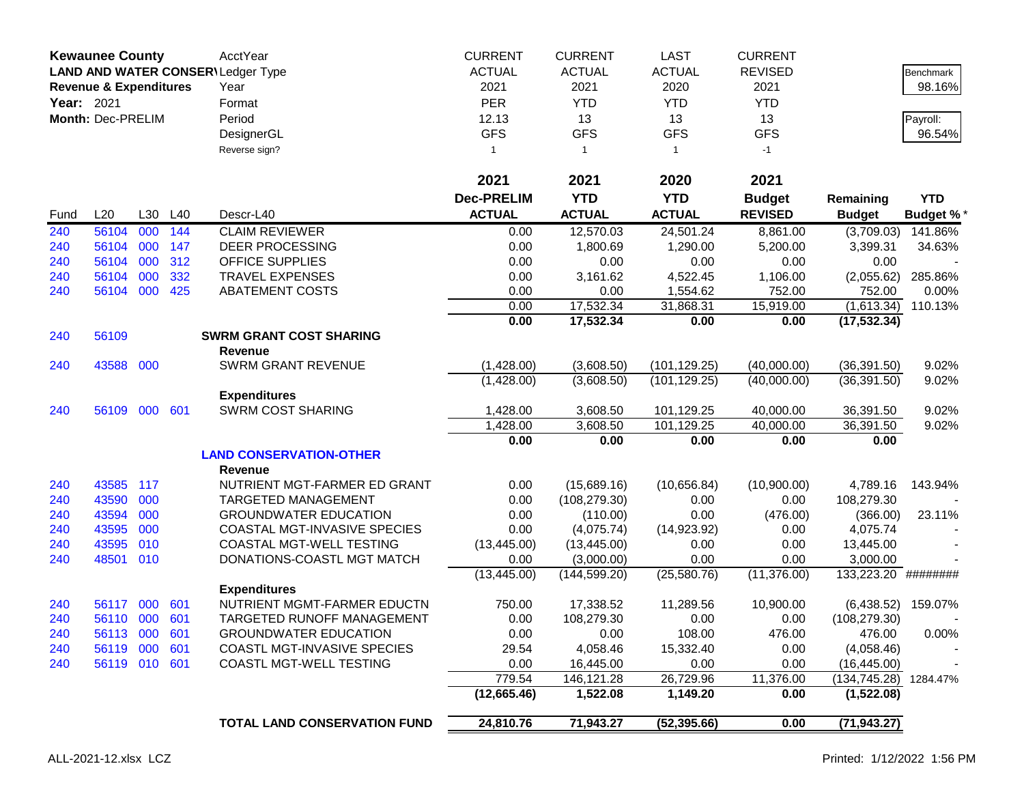|            | <b>Kewaunee County</b><br>LAND AND WATER CONSER\Ledger Type |            |         | AcctYear                                         | <b>CURRENT</b>    | <b>CURRENT</b>               | <b>LAST</b>   | <b>CURRENT</b> |                        |                  |
|------------|-------------------------------------------------------------|------------|---------|--------------------------------------------------|-------------------|------------------------------|---------------|----------------|------------------------|------------------|
|            |                                                             |            |         |                                                  | <b>ACTUAL</b>     | <b>ACTUAL</b>                | <b>ACTUAL</b> | <b>REVISED</b> |                        | Benchmark        |
|            | <b>Revenue &amp; Expenditures</b>                           |            |         | Year                                             | 2021              | 2021                         | 2020          | 2021           |                        | 98.16%           |
| Year: 2021 |                                                             |            |         | Format                                           | PER               | <b>YTD</b>                   | <b>YTD</b>    | <b>YTD</b>     |                        |                  |
|            | Month: Dec-PRELIM                                           |            |         | Period                                           | 12.13             | 13                           | 13            | 13             |                        | Payroll:         |
|            |                                                             |            |         | DesignerGL                                       | <b>GFS</b>        | <b>GFS</b>                   | <b>GFS</b>    | <b>GFS</b>     |                        | 96.54%           |
|            |                                                             |            |         | Reverse sign?                                    | 1                 | $\overline{1}$               | $\mathbf{1}$  | $-1$           |                        |                  |
|            |                                                             |            |         |                                                  | 2021              | 2021                         | 2020          | 2021           |                        |                  |
|            |                                                             |            |         |                                                  | <b>Dec-PRELIM</b> | <b>YTD</b>                   | <b>YTD</b>    | <b>Budget</b>  | Remaining              | <b>YTD</b>       |
| Fund       | L20                                                         |            | L30 L40 | Descr-L40                                        | <b>ACTUAL</b>     | <b>ACTUAL</b>                | <b>ACTUAL</b> | <b>REVISED</b> | <b>Budget</b>          | <b>Budget %*</b> |
| 240        | 56104                                                       | 000        | 144     | <b>CLAIM REVIEWER</b>                            | 0.00              | 12,570.03                    | 24,501.24     | 8,861.00       | (3,709.03)             | 141.86%          |
| 240        | 56104                                                       | 000        | 147     | <b>DEER PROCESSING</b>                           | 0.00              | 1,800.69                     | 1,290.00      | 5,200.00       | 3,399.31               | 34.63%           |
| 240        | 56104                                                       | 000        | 312     | <b>OFFICE SUPPLIES</b>                           | 0.00              | 0.00                         | 0.00          | 0.00           | 0.00                   |                  |
| 240        | 56104                                                       | 000        | 332     | <b>TRAVEL EXPENSES</b>                           | 0.00              | 3,161.62                     | 4,522.45      | 1,106.00       | (2,055.62)             | 285.86%          |
| 240        | 56104                                                       | 000        | 425     | <b>ABATEMENT COSTS</b>                           | 0.00              | 0.00                         | 1,554.62      | 752.00         | 752.00                 | 0.00%            |
|            |                                                             |            |         |                                                  | 0.00              | 17,532.34                    | 31,868.31     | 15,919.00      | (1,613.34)             | 110.13%          |
|            |                                                             |            |         |                                                  | 0.00              | 17,532.34                    | 0.00          | 0.00           | (17, 532.34)           |                  |
| 240        | 56109                                                       |            |         | <b>SWRM GRANT COST SHARING</b>                   |                   |                              |               |                |                        |                  |
|            |                                                             |            |         | Revenue                                          |                   |                              |               |                |                        |                  |
| 240        | 43588                                                       | 000        |         | <b>SWRM GRANT REVENUE</b>                        | (1,428.00)        | (3,608.50)                   | (101, 129.25) | (40,000.00)    | (36, 391.50)           | 9.02%            |
|            |                                                             |            |         |                                                  | (1,428.00)        | (3,608.50)                   | (101, 129.25) | (40,000.00)    | (36, 391.50)           | 9.02%            |
|            |                                                             |            |         | <b>Expenditures</b>                              |                   |                              |               |                |                        |                  |
| 240        | 56109                                                       | 000        | 601     | <b>SWRM COST SHARING</b>                         | 1,428.00          | 3,608.50                     | 101,129.25    | 40,000.00      | 36,391.50              | 9.02%            |
|            |                                                             |            |         |                                                  | 1,428.00          | 3,608.50                     | 101,129.25    | 40,000.00      | 36,391.50              | 9.02%            |
|            |                                                             |            |         |                                                  | 0.00              | 0.00                         | 0.00          | 0.00           | 0.00                   |                  |
|            |                                                             |            |         | <b>LAND CONSERVATION-OTHER</b><br><b>Revenue</b> |                   |                              |               |                |                        |                  |
|            |                                                             |            |         | NUTRIENT MGT-FARMER ED GRANT                     |                   |                              | (10,656.84)   | (10,900.00)    |                        |                  |
| 240<br>240 | 43585<br>43590                                              | 117<br>000 |         | <b>TARGETED MANAGEMENT</b>                       | 0.00<br>0.00      | (15,689.16)<br>(108, 279.30) | 0.00          | 0.00           | 4,789.16<br>108,279.30 | 143.94%          |
| 240        | 43594                                                       | 000        |         | <b>GROUNDWATER EDUCATION</b>                     | 0.00              | (110.00)                     | 0.00          | (476.00)       | (366.00)               | 23.11%           |
| 240        | 43595                                                       | 000        |         | COASTAL MGT-INVASIVE SPECIES                     | 0.00              | (4,075.74)                   | (14, 923.92)  | 0.00           | 4,075.74               |                  |
| 240        | 43595                                                       | 010        |         | COASTAL MGT-WELL TESTING                         | (13, 445.00)      | (13, 445.00)                 | 0.00          | 0.00           | 13,445.00              |                  |
| 240        | 48501                                                       | 010        |         | DONATIONS-COASTL MGT MATCH                       | 0.00              | (3,000.00)                   | 0.00          | 0.00           | 3,000.00               |                  |
|            |                                                             |            |         |                                                  | (13, 445.00)      | (144, 599.20)                | (25,580.76)   | (11, 376.00)   | 133,223.20 ########    |                  |
|            |                                                             |            |         | <b>Expenditures</b>                              |                   |                              |               |                |                        |                  |
| 240        | 56117                                                       | 000        | 601     | NUTRIENT MGMT-FARMER EDUCTN                      | 750.00            | 17,338.52                    | 11,289.56     | 10,900.00      | (6,438.52)             | 159.07%          |
| 240        | 56110 000                                                   |            | 601     | TARGETED RUNOFF MANAGEMENT                       | 0.00              | 108,279.30                   | 0.00          | 0.00           | (108, 279.30)          |                  |
| 240        | 56113 000 601                                               |            |         | <b>GROUNDWATER EDUCATION</b>                     | 0.00              | 0.00                         | 108.00        | 476.00         | 476.00                 | 0.00%            |
| 240        | 56119 000                                                   |            | 601     | <b>COASTL MGT-INVASIVE SPECIES</b>               | 29.54             | 4,058.46                     | 15,332.40     | 0.00           | (4,058.46)             |                  |
| 240        | 56119 010 601                                               |            |         | COASTL MGT-WELL TESTING                          | 0.00              | 16,445.00                    | 0.00          | 0.00           | (16, 445.00)           |                  |
|            |                                                             |            |         |                                                  | 779.54            | 146,121.28                   | 26,729.96     | 11,376.00      | (134, 745.28)          | 1284.47%         |
|            |                                                             |            |         |                                                  | (12,665.46)       | 1,522.08                     | 1,149.20      | 0.00           | (1,522.08)             |                  |
|            |                                                             |            |         | <b>TOTAL LAND CONSERVATION FUND</b>              | 24,810.76         | 71,943.27                    | (52, 395.66)  | 0.00           | (71, 943.27)           |                  |
|            |                                                             |            |         |                                                  |                   |                              |               |                |                        |                  |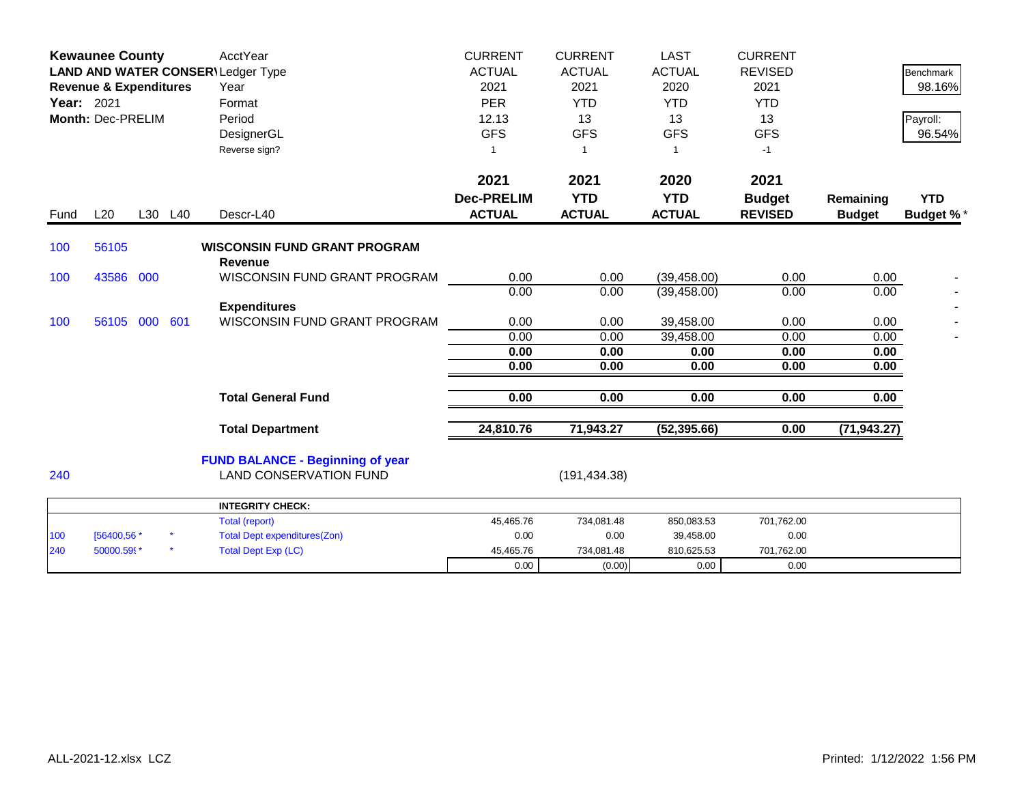|            | <b>Kewaunee County</b><br>LAND AND WATER CONSER\Ledger Type<br><b>Revenue &amp; Expenditures</b><br>Year: 2021<br>Month: Dec-PRELIM |  |         | <b>AcctYear</b><br>Year<br>Format<br>Period<br>DesignerGL<br>Reverse sign?                 | <b>CURRENT</b><br><b>ACTUAL</b><br>2021<br><b>PER</b><br>12.13<br><b>GFS</b><br>1 | <b>CURRENT</b><br><b>ACTUAL</b><br>2021<br><b>YTD</b><br>13<br><b>GFS</b><br>$\mathbf{1}$ | <b>LAST</b><br><b>ACTUAL</b><br>2020<br><b>YTD</b><br>13<br><b>GFS</b><br>-1 | <b>CURRENT</b><br><b>REVISED</b><br>2021<br><b>YTD</b><br>13<br><b>GFS</b><br>$-1$ |                            | Benchmark<br>98.16%<br>Payroll:<br>96.54% |
|------------|-------------------------------------------------------------------------------------------------------------------------------------|--|---------|--------------------------------------------------------------------------------------------|-----------------------------------------------------------------------------------|-------------------------------------------------------------------------------------------|------------------------------------------------------------------------------|------------------------------------------------------------------------------------|----------------------------|-------------------------------------------|
| Fund       | L20                                                                                                                                 |  | L30 L40 | Descr-L40                                                                                  | 2021<br><b>Dec-PRELIM</b><br><b>ACTUAL</b>                                        | 2021<br><b>YTD</b><br><b>ACTUAL</b>                                                       | 2020<br><b>YTD</b><br><b>ACTUAL</b>                                          | 2021<br><b>Budget</b><br><b>REVISED</b>                                            | Remaining<br><b>Budget</b> | <b>YTD</b><br><b>Budget %*</b>            |
| 100        | 56105                                                                                                                               |  |         | <b>WISCONSIN FUND GRANT PROGRAM</b>                                                        |                                                                                   |                                                                                           |                                                                              |                                                                                    |                            |                                           |
| 100        | 43586 000                                                                                                                           |  |         | <b>Revenue</b><br>WISCONSIN FUND GRANT PROGRAM                                             | 0.00<br>0.00                                                                      | 0.00<br>0.00                                                                              | (39, 458.00)<br>(39, 458.00)                                                 | 0.00<br>0.00                                                                       | 0.00<br>0.00               |                                           |
| 100        | 56105 000 601                                                                                                                       |  |         | <b>Expenditures</b><br>WISCONSIN FUND GRANT PROGRAM                                        | 0.00                                                                              | 0.00                                                                                      | 39,458.00                                                                    | 0.00                                                                               | 0.00                       |                                           |
|            |                                                                                                                                     |  |         |                                                                                            | 0.00<br>0.00<br>0.00                                                              | 0.00<br>0.00<br>0.00                                                                      | 39,458.00<br>0.00<br>0.00                                                    | 0.00<br>0.00<br>0.00                                                               | 0.00<br>0.00<br>0.00       |                                           |
|            |                                                                                                                                     |  |         | <b>Total General Fund</b>                                                                  | 0.00                                                                              | 0.00                                                                                      | 0.00                                                                         | 0.00                                                                               | 0.00                       |                                           |
|            |                                                                                                                                     |  |         | <b>Total Department</b>                                                                    | 24,810.76                                                                         | 71,943.27                                                                                 | (52, 395.66)                                                                 | 0.00                                                                               | (71, 943.27)               |                                           |
| 240        |                                                                                                                                     |  |         | <b>FUND BALANCE - Beginning of year</b><br><b>LAND CONSERVATION FUND</b>                   |                                                                                   | (191, 434.38)                                                                             |                                                                              |                                                                                    |                            |                                           |
|            |                                                                                                                                     |  |         | <b>INTEGRITY CHECK:</b>                                                                    |                                                                                   |                                                                                           |                                                                              |                                                                                    |                            |                                           |
| 100<br>240 | [56400,56 *<br>50000.599*                                                                                                           |  |         | <b>Total (report)</b><br><b>Total Dept expenditures(Zon)</b><br><b>Total Dept Exp (LC)</b> | 45,465.76<br>0.00<br>45,465.76                                                    | 734,081.48<br>0.00<br>734,081.48                                                          | 850,083.53<br>39,458.00<br>810,625.53                                        | 701,762.00<br>0.00<br>701,762.00                                                   |                            |                                           |
|            |                                                                                                                                     |  |         |                                                                                            | 0.00                                                                              | (0.00)                                                                                    | 0.00                                                                         | 0.00                                                                               |                            |                                           |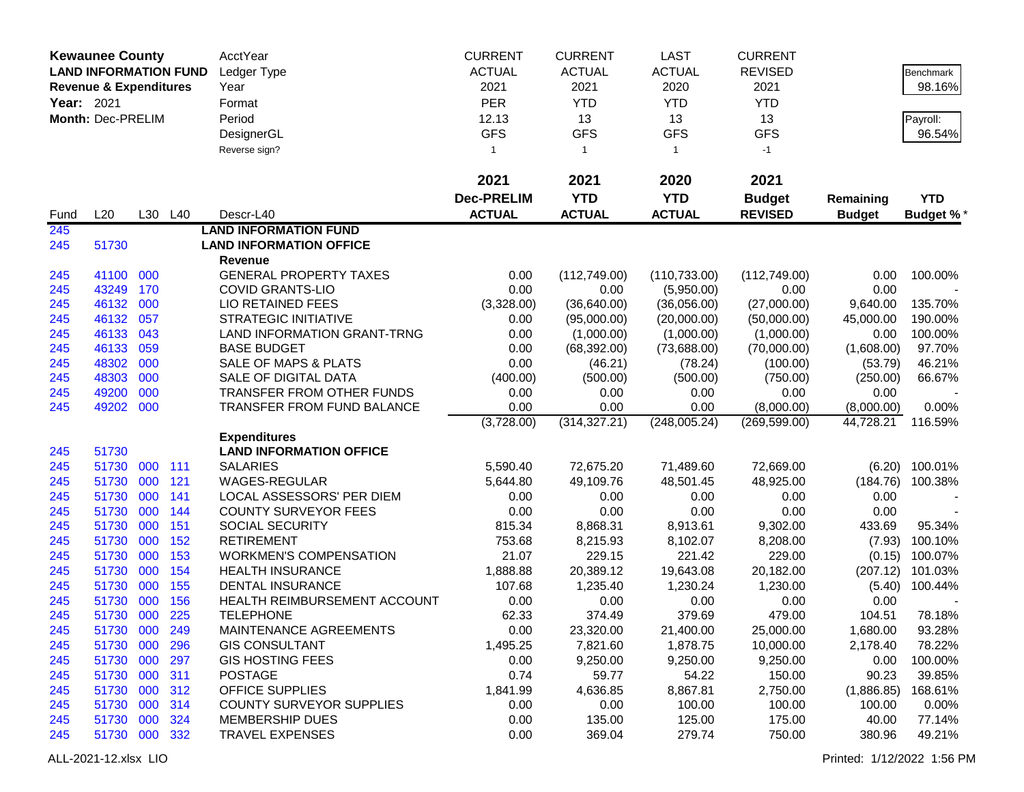|                   | <b>Kewaunee County</b>            |            |            | AcctYear                                                 | <b>CURRENT</b>    | <b>CURRENT</b> | <b>LAST</b>   | <b>CURRENT</b> |               |                  |
|-------------------|-----------------------------------|------------|------------|----------------------------------------------------------|-------------------|----------------|---------------|----------------|---------------|------------------|
|                   | <b>LAND INFORMATION FUND</b>      |            |            | Ledger Type                                              | <b>ACTUAL</b>     | <b>ACTUAL</b>  | <b>ACTUAL</b> | <b>REVISED</b> |               | <b>Benchmark</b> |
|                   | <b>Revenue &amp; Expenditures</b> |            |            | Year                                                     | 2021              | 2021           | 2020          | 2021           |               | 98.16%           |
| <b>Year: 2021</b> |                                   |            |            | Format                                                   | <b>PER</b>        | <b>YTD</b>     | <b>YTD</b>    | <b>YTD</b>     |               |                  |
|                   | Month: Dec-PRELIM                 |            |            | Period                                                   | 12.13             | 13             | 13            | 13             |               | Payroll:         |
|                   |                                   |            |            | DesignerGL                                               | <b>GFS</b>        | <b>GFS</b>     | <b>GFS</b>    | <b>GFS</b>     |               | 96.54%           |
|                   |                                   |            |            | Reverse sign?                                            | $\mathbf{1}$      | $\mathbf{1}$   | $\mathbf{1}$  | $-1$           |               |                  |
|                   |                                   |            |            |                                                          |                   |                |               |                |               |                  |
|                   |                                   |            |            |                                                          | 2021              | 2021           | 2020          | 2021           |               |                  |
|                   |                                   |            |            |                                                          | <b>Dec-PRELIM</b> | <b>YTD</b>     | <b>YTD</b>    | <b>Budget</b>  | Remaining     | <b>YTD</b>       |
| Fund              | L20                               |            | L30 L40    | Descr-L40                                                | <b>ACTUAL</b>     | <b>ACTUAL</b>  | <b>ACTUAL</b> | <b>REVISED</b> | <b>Budget</b> | <b>Budget %*</b> |
| 245               |                                   |            |            | <b>LAND INFORMATION FUND</b>                             |                   |                |               |                |               |                  |
| 245               | 51730                             |            |            | <b>LAND INFORMATION OFFICE</b>                           |                   |                |               |                |               |                  |
|                   |                                   |            |            | Revenue                                                  |                   |                |               |                |               |                  |
| 245               | 41100 000                         |            |            | <b>GENERAL PROPERTY TAXES</b>                            | 0.00              | (112, 749.00)  | (110, 733.00) | (112, 749.00)  | 0.00          | 100.00%          |
| 245               | 43249                             | 170        |            | <b>COVID GRANTS-LIO</b>                                  | 0.00              | 0.00           | (5,950.00)    | 0.00           | 0.00          |                  |
| 245               | 46132                             | 000        |            | LIO RETAINED FEES                                        | (3,328.00)        | (36, 640.00)   | (36,056.00)   | (27,000.00)    | 9,640.00      | 135.70%          |
| 245               | 46132                             | 057        |            | <b>STRATEGIC INITIATIVE</b>                              | 0.00              | (95,000.00)    | (20,000.00)   | (50,000.00)    | 45,000.00     | 190.00%          |
| 245               | 46133                             | 043        |            | LAND INFORMATION GRANT-TRNG                              | 0.00              | (1,000.00)     | (1,000.00)    | (1,000.00)     | 0.00          | 100.00%          |
| 245               | 46133                             | 059        |            | <b>BASE BUDGET</b>                                       | 0.00              | (68, 392.00)   | (73,688.00)   | (70,000.00)    | (1,608.00)    | 97.70%           |
| 245               | 48302                             | 000        |            | SALE OF MAPS & PLATS                                     | 0.00              | (46.21)        | (78.24)       | (100.00)       | (53.79)       | 46.21%           |
| 245               | 48303                             | 000        |            | SALE OF DIGITAL DATA                                     | (400.00)          | (500.00)       | (500.00)      | (750.00)       | (250.00)      | 66.67%           |
| 245               | 49200                             | 000        |            | TRANSFER FROM OTHER FUNDS                                | 0.00              | 0.00           | 0.00          | 0.00           | 0.00          |                  |
| 245               | 49202 000                         |            |            | <b>TRANSFER FROM FUND BALANCE</b>                        | 0.00              | 0.00           | 0.00          | (8,000.00)     | (8,000.00)    | 0.00%            |
|                   |                                   |            |            |                                                          | (3,728.00)        | (314, 327.21)  | (248,005.24)  | (269, 599.00)  | 44,728.21     | 116.59%          |
|                   |                                   |            |            | <b>Expenditures</b>                                      |                   |                |               |                |               |                  |
| 245               | 51730                             |            |            | <b>LAND INFORMATION OFFICE</b>                           |                   |                |               |                |               |                  |
| 245               | 51730                             | 000        | 111        | <b>SALARIES</b>                                          | 5,590.40          | 72,675.20      | 71,489.60     | 72,669.00      | (6.20)        | 100.01%          |
| 245               | 51730                             | 000        | 121        | WAGES-REGULAR                                            | 5,644.80          | 49,109.76      | 48,501.45     | 48,925.00      | (184.76)      | 100.38%          |
| 245<br>245        | 51730<br>51730                    | 000<br>000 | 141<br>144 | LOCAL ASSESSORS' PER DIEM<br><b>COUNTY SURVEYOR FEES</b> | 0.00<br>0.00      | 0.00<br>0.00   | 0.00<br>0.00  | 0.00<br>0.00   | 0.00<br>0.00  |                  |
| 245               | 51730                             | 000        | 151        | SOCIAL SECURITY                                          | 815.34            | 8,868.31       | 8,913.61      | 9,302.00       | 433.69        | 95.34%           |
| 245               | 51730                             | 000        | 152        | <b>RETIREMENT</b>                                        | 753.68            | 8,215.93       | 8,102.07      | 8,208.00       | (7.93)        | 100.10%          |
| 245               | 51730                             | 000        | 153        | <b>WORKMEN'S COMPENSATION</b>                            | 21.07             | 229.15         | 221.42        | 229.00         | (0.15)        | 100.07%          |
| 245               | 51730                             | 000        | 154        | <b>HEALTH INSURANCE</b>                                  | 1,888.88          | 20,389.12      | 19,643.08     | 20,182.00      | (207.12)      | 101.03%          |
| 245               | 51730                             | 000        | 155        | <b>DENTAL INSURANCE</b>                                  | 107.68            | 1,235.40       | 1,230.24      | 1,230.00       | (5.40)        | 100.44%          |
| 245               | 51730                             | 000        | 156        | HEALTH REIMBURSEMENT ACCOUNT                             | 0.00              | 0.00           | 0.00          | 0.00           | 0.00          |                  |
| 245               | 51730 000                         |            | 225        | <b>TELEPHONE</b>                                         | 62.33             | 374.49         | 379.69        | 479.00         | 104.51        | 78.18%           |
| 245               | 51730 000                         |            | 249        | MAINTENANCE AGREEMENTS                                   | 0.00              | 23,320.00      | 21,400.00     | 25,000.00      | 1,680.00      | 93.28%           |
| 245               | 51730 000                         |            | 296        | <b>GIS CONSULTANT</b>                                    | 1,495.25          | 7,821.60       | 1,878.75      | 10,000.00      | 2,178.40      | 78.22%           |
| 245               | 51730 000                         |            | 297        | <b>GIS HOSTING FEES</b>                                  | 0.00              | 9,250.00       | 9,250.00      | 9,250.00       | 0.00          | 100.00%          |
| 245               | 51730 000                         |            | 311        | <b>POSTAGE</b>                                           | 0.74              | 59.77          | 54.22         | 150.00         | 90.23         | 39.85%           |
| 245               | 51730 000                         |            | 312        | <b>OFFICE SUPPLIES</b>                                   | 1,841.99          | 4,636.85       | 8,867.81      | 2,750.00       | (1,886.85)    | 168.61%          |
| 245               | 51730 000                         |            | 314        | <b>COUNTY SURVEYOR SUPPLIES</b>                          | 0.00              | 0.00           | 100.00        | 100.00         | 100.00        | 0.00%            |
| 245               | 51730 000                         |            | 324        | <b>MEMBERSHIP DUES</b>                                   | 0.00              | 135.00         | 125.00        | 175.00         | 40.00         | 77.14%           |
| 245               | 51730 000                         |            | 332        | <b>TRAVEL EXPENSES</b>                                   | 0.00              | 369.04         | 279.74        | 750.00         | 380.96        | 49.21%           |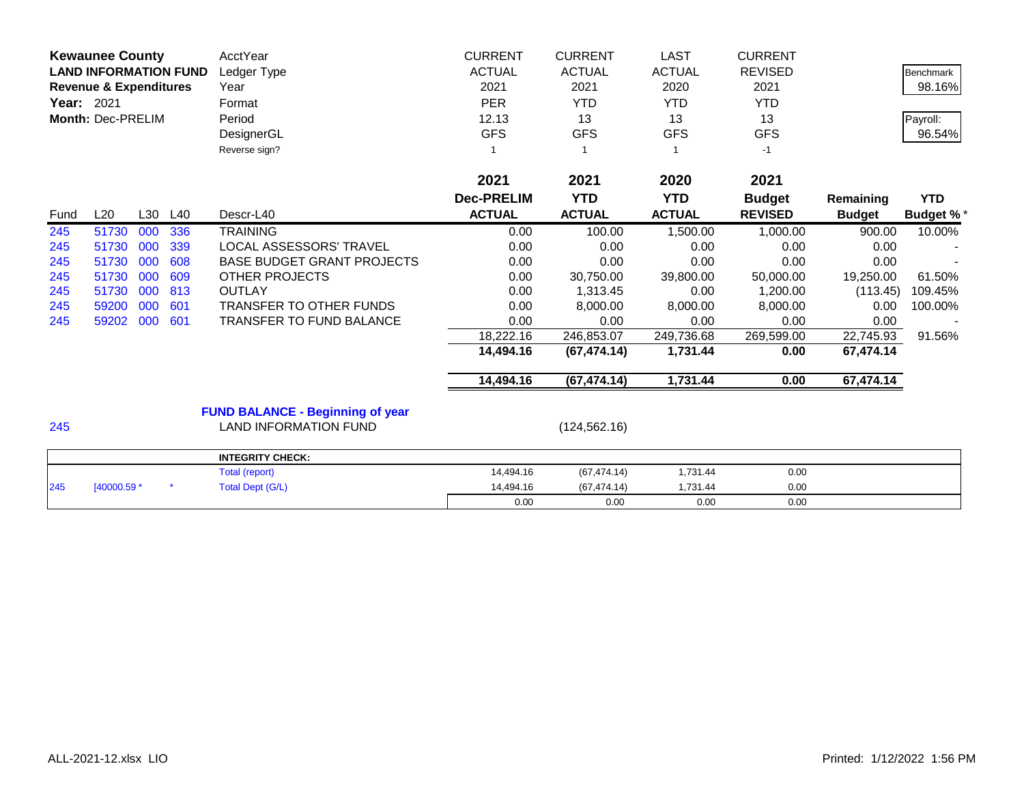| <b>Kewaunee County</b><br><b>LAND INFORMATION FUND</b><br><b>Revenue &amp; Expenditures</b><br>Year: 2021<br>Month: Dec-PRELIM |             |     |     | AcctYear<br>Ledger Type<br>Year<br>Format<br>Period<br>DesignerGL<br>Reverse sign? | <b>CURRENT</b><br><b>ACTUAL</b><br>2021<br><b>PER</b><br>12.13<br><b>GFS</b> | <b>CURRENT</b><br><b>ACTUAL</b><br>2021<br><b>YTD</b><br>13<br><b>GFS</b> | <b>LAST</b><br><b>ACTUAL</b><br>2020<br><b>YTD</b><br>13<br><b>GFS</b> | <b>CURRENT</b><br><b>REVISED</b><br>2021<br><b>YTD</b><br>13<br><b>GFS</b><br>$-1$ |               | <b>Benchmark</b><br>98.16%<br>Payroll:<br>96.54% |
|--------------------------------------------------------------------------------------------------------------------------------|-------------|-----|-----|------------------------------------------------------------------------------------|------------------------------------------------------------------------------|---------------------------------------------------------------------------|------------------------------------------------------------------------|------------------------------------------------------------------------------------|---------------|--------------------------------------------------|
|                                                                                                                                |             |     |     |                                                                                    | 2021                                                                         | 2021                                                                      | 2020                                                                   | 2021                                                                               |               |                                                  |
|                                                                                                                                |             |     |     |                                                                                    | <b>Dec-PRELIM</b>                                                            | <b>YTD</b>                                                                | <b>YTD</b>                                                             | <b>Budget</b>                                                                      | Remaining     | <b>YTD</b>                                       |
| Fund                                                                                                                           | L20         | L30 | L40 | Descr-L40                                                                          | <b>ACTUAL</b>                                                                | <b>ACTUAL</b>                                                             | <b>ACTUAL</b>                                                          | <b>REVISED</b>                                                                     | <b>Budget</b> | <b>Budget %*</b>                                 |
| 245                                                                                                                            | 51730       | 000 | 336 | <b>TRAINING</b>                                                                    | 0.00                                                                         | 100.00                                                                    | 1,500.00                                                               | 1,000.00                                                                           | 900.00        | 10.00%                                           |
| 245                                                                                                                            | 51730       | 000 | 339 | LOCAL ASSESSORS' TRAVEL                                                            | 0.00                                                                         | 0.00                                                                      | 0.00                                                                   | 0.00                                                                               | 0.00          |                                                  |
| 245                                                                                                                            | 51730       | 000 | 608 | <b>BASE BUDGET GRANT PROJECTS</b>                                                  | 0.00                                                                         | 0.00                                                                      | 0.00                                                                   | 0.00                                                                               | 0.00          |                                                  |
| 245                                                                                                                            | 51730       | 000 | 609 | <b>OTHER PROJECTS</b>                                                              | 0.00                                                                         | 30,750.00                                                                 | 39,800.00                                                              | 50,000.00                                                                          | 19,250.00     | 61.50%                                           |
| 245                                                                                                                            | 51730       | 000 | 813 | <b>OUTLAY</b>                                                                      | 0.00                                                                         | 1,313.45                                                                  | 0.00                                                                   | 1,200.00                                                                           | (113.45)      | 109.45%                                          |
| 245                                                                                                                            | 59200       | 000 | 601 | TRANSFER TO OTHER FUNDS                                                            | 0.00                                                                         | 8,000.00                                                                  | 8,000.00                                                               | 8,000.00                                                                           | 0.00          | 100.00%                                          |
| 245                                                                                                                            | 59202 000   |     | 601 | TRANSFER TO FUND BALANCE                                                           | 0.00                                                                         | 0.00                                                                      | 0.00                                                                   | 0.00                                                                               | 0.00          |                                                  |
|                                                                                                                                |             |     |     |                                                                                    | 18,222.16                                                                    | 246,853.07                                                                | 249,736.68                                                             | 269,599.00                                                                         | 22,745.93     | 91.56%                                           |
|                                                                                                                                |             |     |     |                                                                                    | 14,494.16                                                                    | (67, 474.14)                                                              | 1,731.44                                                               | 0.00                                                                               | 67,474.14     |                                                  |
|                                                                                                                                |             |     |     |                                                                                    | 14,494.16                                                                    | (67, 474.14)                                                              | 1,731.44                                                               | 0.00                                                                               | 67,474.14     |                                                  |
|                                                                                                                                |             |     |     | <b>FUND BALANCE - Beginning of year</b>                                            |                                                                              |                                                                           |                                                                        |                                                                                    |               |                                                  |
| 245                                                                                                                            |             |     |     | <b>LAND INFORMATION FUND</b>                                                       |                                                                              | (124, 562.16)                                                             |                                                                        |                                                                                    |               |                                                  |
|                                                                                                                                |             |     |     | <b>INTEGRITY CHECK:</b>                                                            |                                                                              |                                                                           |                                                                        |                                                                                    |               |                                                  |
|                                                                                                                                |             |     |     | Total (report)                                                                     | 14,494.16                                                                    | (67, 474.14)                                                              | 1,731.44                                                               | 0.00                                                                               |               |                                                  |
| 245                                                                                                                            | [40000.59 * |     |     | <b>Total Dept (G/L)</b>                                                            | 14.494.16                                                                    | (67.474.14)                                                               | 1,731.44                                                               | 0.00                                                                               |               |                                                  |

0.00 0.00 0.00 0.00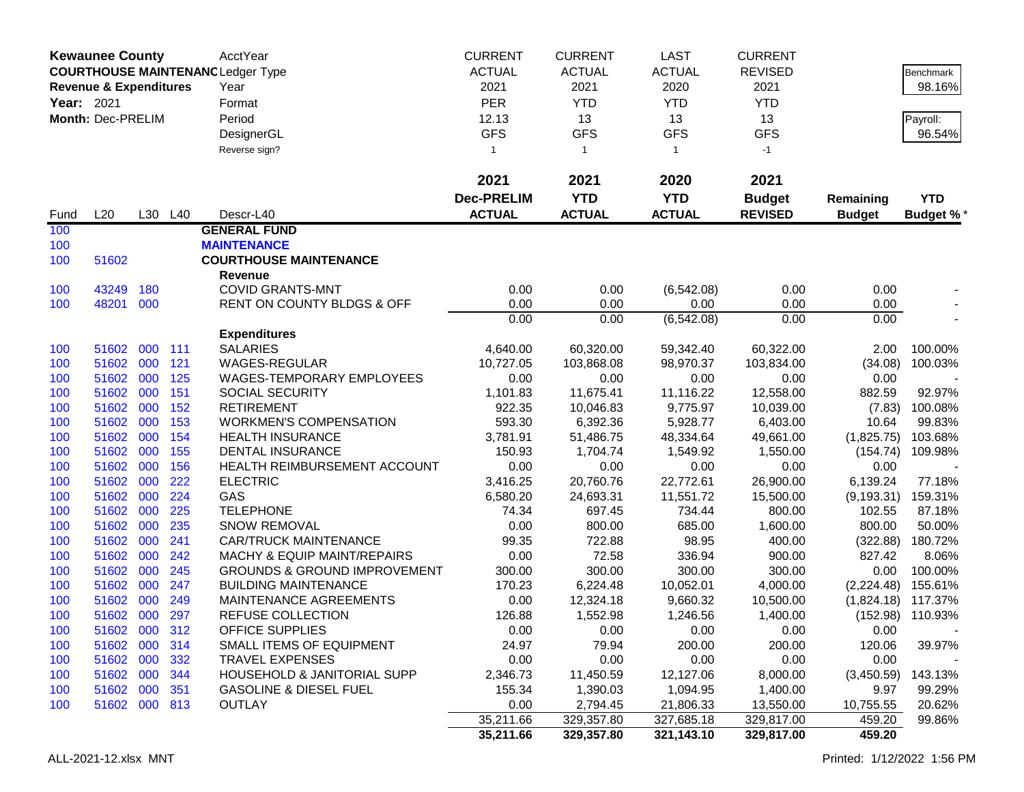|            | <b>Kewaunee County</b>            |            |            | AcctYear                                   | <b>CURRENT</b>    | <b>CURRENT</b>    | <b>LAST</b>       | <b>CURRENT</b>    |                |                  |
|------------|-----------------------------------|------------|------------|--------------------------------------------|-------------------|-------------------|-------------------|-------------------|----------------|------------------|
|            |                                   |            |            | <b>COURTHOUSE MAINTENANC Ledger Type</b>   | <b>ACTUAL</b>     | <b>ACTUAL</b>     | <b>ACTUAL</b>     | <b>REVISED</b>    |                | Benchmark        |
|            | <b>Revenue &amp; Expenditures</b> |            |            | Year                                       | 2021              | 2021              | 2020              | 2021              |                | 98.16%           |
| Year: 2021 |                                   |            |            | Format                                     | <b>PER</b>        | <b>YTD</b>        | <b>YTD</b>        | <b>YTD</b>        |                |                  |
|            | Month: Dec-PRELIM                 |            |            | Period                                     | 12.13             | 13                | 13                | 13                |                | Payroll:         |
|            |                                   |            |            | DesignerGL                                 | <b>GFS</b>        | <b>GFS</b>        | <b>GFS</b>        | <b>GFS</b>        |                | 96.54%           |
|            |                                   |            |            | Reverse sign?                              | 1                 | $\overline{1}$    | $\mathbf{1}$      | $-1$              |                |                  |
|            |                                   |            |            |                                            | 2021              | 2021              | 2020              | 2021              |                |                  |
|            |                                   |            |            |                                            | <b>Dec-PRELIM</b> | <b>YTD</b>        | <b>YTD</b>        | <b>Budget</b>     | Remaining      | <b>YTD</b>       |
| Fund       | L20                               |            | L30 L40    | Descr-L40                                  | <b>ACTUAL</b>     | <b>ACTUAL</b>     | <b>ACTUAL</b>     | <b>REVISED</b>    | <b>Budget</b>  | <b>Budget %*</b> |
| 100        |                                   |            |            | <b>GENERAL FUND</b>                        |                   |                   |                   |                   |                |                  |
| 100        |                                   |            |            | <b>MAINTENANCE</b>                         |                   |                   |                   |                   |                |                  |
| 100        | 51602                             |            |            | <b>COURTHOUSE MAINTENANCE</b>              |                   |                   |                   |                   |                |                  |
|            |                                   |            |            | <b>Revenue</b>                             |                   |                   |                   |                   |                |                  |
| 100        | 43249                             | 180        |            | <b>COVID GRANTS-MNT</b>                    | 0.00              | 0.00              | (6, 542.08)       | 0.00              | 0.00           |                  |
| 100        | 48201                             | 000        |            | RENT ON COUNTY BLDGS & OFF                 | 0.00              | 0.00              | 0.00              | 0.00              | 0.00           |                  |
|            |                                   |            |            |                                            | 0.00              | 0.00              | (6, 542.08)       | 0.00              | 0.00           |                  |
|            |                                   |            |            | <b>Expenditures</b>                        |                   |                   |                   |                   |                |                  |
| 100        | 51602                             | 000        | 111        | <b>SALARIES</b>                            | 4,640.00          | 60,320.00         | 59,342.40         | 60,322.00         | 2.00           | 100.00%          |
| 100        | 51602<br>51602                    | 000        | 121        | WAGES-REGULAR<br>WAGES-TEMPORARY EMPLOYEES | 10,727.05         | 103,868.08        | 98,970.37         | 103,834.00        | (34.08)        | 100.03%          |
| 100<br>100 | 51602                             | 000<br>000 | 125<br>151 | SOCIAL SECURITY                            | 0.00<br>1,101.83  | 0.00<br>11,675.41 | 0.00<br>11,116.22 | 0.00<br>12,558.00 | 0.00<br>882.59 | 92.97%           |
| 100        | 51602                             | 000        | 152        | <b>RETIREMENT</b>                          | 922.35            | 10,046.83         | 9,775.97          | 10,039.00         | (7.83)         | 100.08%          |
| 100        | 51602                             | 000        | 153        | <b>WORKMEN'S COMPENSATION</b>              | 593.30            | 6,392.36          | 5,928.77          | 6,403.00          | 10.64          | 99.83%           |
| 100        | 51602                             | 000        | 154        | <b>HEALTH INSURANCE</b>                    | 3,781.91          | 51,486.75         | 48,334.64         | 49,661.00         | (1,825.75)     | 103.68%          |
| 100        | 51602                             | 000        | 155        | DENTAL INSURANCE                           | 150.93            | 1,704.74          | 1,549.92          | 1,550.00          | (154.74)       | 109.98%          |
| 100        | 51602                             | 000        | 156        | HEALTH REIMBURSEMENT ACCOUNT               | 0.00              | 0.00              | 0.00              | 0.00              | 0.00           |                  |
| 100        | 51602                             | 000        | 222        | <b>ELECTRIC</b>                            | 3,416.25          | 20,760.76         | 22,772.61         | 26,900.00         | 6,139.24       | 77.18%           |
| 100        | 51602                             | 000        | 224        | GAS                                        | 6,580.20          | 24,693.31         | 11,551.72         | 15,500.00         | (9, 193.31)    | 159.31%          |
| 100        | 51602                             | 000        | 225        | <b>TELEPHONE</b>                           | 74.34             | 697.45            | 734.44            | 800.00            | 102.55         | 87.18%           |
| 100        | 51602                             | 000        | 235        | <b>SNOW REMOVAL</b>                        | 0.00              | 800.00            | 685.00            | 1,600.00          | 800.00         | 50.00%           |
| 100        | 51602                             | 000        | 241        | <b>CAR/TRUCK MAINTENANCE</b>               | 99.35             | 722.88            | 98.95             | 400.00            | (322.88)       | 180.72%          |
| 100        | 51602                             | 000        | 242        | <b>MACHY &amp; EQUIP MAINT/REPAIRS</b>     | 0.00              | 72.58             | 336.94            | 900.00            | 827.42         | 8.06%            |
| 100        | 51602                             | 000        | 245        | <b>GROUNDS &amp; GROUND IMPROVEMENT</b>    | 300.00            | 300.00            | 300.00            | 300.00            | 0.00           | 100.00%          |
| 100        | 51602                             | 000        | 247        | <b>BUILDING MAINTENANCE</b>                | 170.23            | 6,224.48          | 10,052.01         | 4,000.00          | (2,224.48)     | 155.61%          |
| 100        | 51602                             | 000        | 249        | MAINTENANCE AGREEMENTS                     | 0.00              | 12,324.18         | 9,660.32          | 10,500.00         | (1,824.18)     | 117.37%          |
| 100        | 51602 000                         |            | 297        | <b>REFUSE COLLECTION</b>                   | 126.88            | 1,552.98          | 1,246.56          | 1,400.00          |                | (152.98) 110.93% |
| 100        | 51602 000 312                     |            |            | OFFICE SUPPLIES                            | 0.00              | 0.00              | 0.00              | 0.00              | 0.00           |                  |
| 100        | 51602 000 314                     |            |            | SMALL ITEMS OF EQUIPMENT                   | 24.97             | 79.94             | 200.00            | 200.00            | 120.06         | 39.97%           |
| 100        | 51602 000                         |            | 332        | <b>TRAVEL EXPENSES</b>                     | 0.00              | 0.00              | 0.00              | 0.00              | 0.00           |                  |
| 100        | 51602 000                         |            | 344        | HOUSEHOLD & JANITORIAL SUPP                | 2,346.73          | 11,450.59         | 12,127.06         | 8,000.00          | (3,450.59)     | 143.13%          |
| 100        | 51602 000                         |            | 351        | <b>GASOLINE &amp; DIESEL FUEL</b>          | 155.34            | 1,390.03          | 1,094.95          | 1,400.00          | 9.97           | 99.29%           |
| 100        | 51602 000 813                     |            |            | <b>OUTLAY</b>                              | 0.00              | 2,794.45          | 21,806.33         | 13,550.00         | 10,755.55      | 20.62%           |
|            |                                   |            |            |                                            | 35,211.66         | 329,357.80        | 327,685.18        | 329,817.00        | 459.20         | 99.86%           |
|            |                                   |            |            |                                            | 35,211.66         | 329,357.80        | 321,143.10        | 329,817.00        | 459.20         |                  |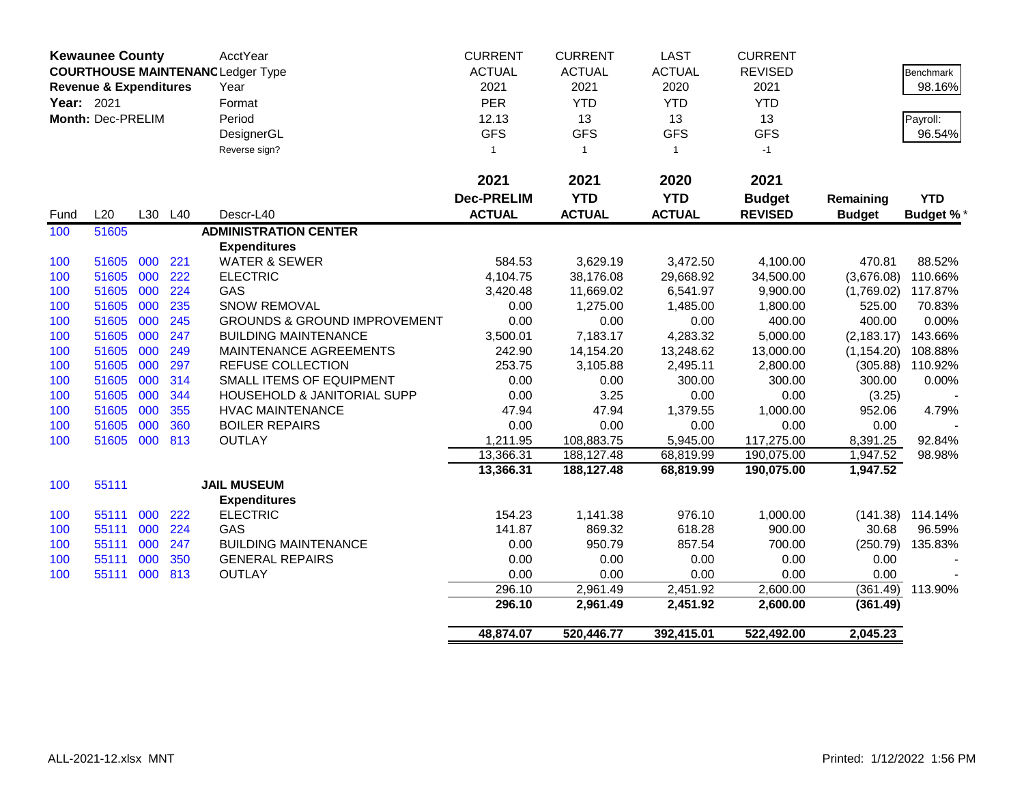|            | <b>Kewaunee County</b>            |     |     | AcctYear                                 | <b>CURRENT</b>    | <b>CURRENT</b> | <b>LAST</b>   | <b>CURRENT</b> |               |                  |
|------------|-----------------------------------|-----|-----|------------------------------------------|-------------------|----------------|---------------|----------------|---------------|------------------|
|            |                                   |     |     | <b>COURTHOUSE MAINTENANC Ledger Type</b> | <b>ACTUAL</b>     | <b>ACTUAL</b>  | <b>ACTUAL</b> | <b>REVISED</b> |               | <b>Benchmark</b> |
|            | <b>Revenue &amp; Expenditures</b> |     |     | Year                                     | 2021              | 2021           | 2020          | 2021           |               | 98.16%           |
| Year: 2021 |                                   |     |     | Format                                   | PER               | <b>YTD</b>     | <b>YTD</b>    | <b>YTD</b>     |               |                  |
|            | Month: Dec-PRELIM                 |     |     | Period                                   | 12.13             | 13             | 13            | 13             |               | Payroll:         |
|            |                                   |     |     | DesignerGL                               | <b>GFS</b>        | <b>GFS</b>     | <b>GFS</b>    | <b>GFS</b>     |               | 96.54%           |
|            |                                   |     |     | Reverse sign?                            | $\mathbf{1}$      | $\overline{1}$ | $\mathbf{1}$  | $-1$           |               |                  |
|            |                                   |     |     |                                          |                   |                |               |                |               |                  |
|            |                                   |     |     |                                          | 2021              | 2021           | 2020          | 2021           |               |                  |
|            |                                   |     |     |                                          | <b>Dec-PRELIM</b> | <b>YTD</b>     | <b>YTD</b>    | <b>Budget</b>  | Remaining     | <b>YTD</b>       |
| Fund       | L20                               | L30 | L40 | Descr-L40                                | <b>ACTUAL</b>     | <b>ACTUAL</b>  | <b>ACTUAL</b> | <b>REVISED</b> | <b>Budget</b> | <b>Budget %*</b> |
| 100        | 51605                             |     |     | <b>ADMINISTRATION CENTER</b>             |                   |                |               |                |               |                  |
|            |                                   |     |     | <b>Expenditures</b>                      |                   |                |               |                |               |                  |
| 100        | 51605                             | 000 | 221 | <b>WATER &amp; SEWER</b>                 | 584.53            | 3,629.19       | 3,472.50      | 4,100.00       | 470.81        | 88.52%           |
| 100        | 51605                             | 000 | 222 | <b>ELECTRIC</b>                          | 4,104.75          | 38,176.08      | 29,668.92     | 34,500.00      | (3,676.08)    | 110.66%          |
| 100        | 51605                             | 000 | 224 | GAS                                      | 3,420.48          | 11,669.02      | 6,541.97      | 9,900.00       | (1,769.02)    | 117.87%          |
| 100        | 51605                             | 000 | 235 | <b>SNOW REMOVAL</b>                      | 0.00              | 1,275.00       | 1,485.00      | 1,800.00       | 525.00        | 70.83%           |
| 100        | 51605                             | 000 | 245 | <b>GROUNDS &amp; GROUND IMPROVEMENT</b>  | 0.00              | 0.00           | 0.00          | 400.00         | 400.00        | 0.00%            |
| 100        | 51605                             | 000 | 247 | <b>BUILDING MAINTENANCE</b>              | 3,500.01          | 7,183.17       | 4,283.32      | 5,000.00       | (2, 183.17)   | 143.66%          |
| 100        | 51605                             | 000 | 249 | MAINTENANCE AGREEMENTS                   | 242.90            | 14,154.20      | 13,248.62     | 13,000.00      | (1, 154.20)   | 108.88%          |
| 100        | 51605                             | 000 | 297 | <b>REFUSE COLLECTION</b>                 | 253.75            | 3,105.88       | 2,495.11      | 2,800.00       | (305.88)      | 110.92%          |
| 100        | 51605                             | 000 | 314 | <b>SMALL ITEMS OF EQUIPMENT</b>          | 0.00              | 0.00           | 300.00        | 300.00         | 300.00        | 0.00%            |
| 100        | 51605                             | 000 | 344 | <b>HOUSEHOLD &amp; JANITORIAL SUPP</b>   | 0.00              | 3.25           | 0.00          | 0.00           | (3.25)        |                  |
| 100        | 51605                             | 000 | 355 | <b>HVAC MAINTENANCE</b>                  | 47.94             | 47.94          | 1,379.55      | 1,000.00       | 952.06        | 4.79%            |
| 100        | 51605                             | 000 | 360 | <b>BOILER REPAIRS</b>                    | 0.00              | 0.00           | 0.00          | 0.00           | 0.00          |                  |
| 100        | 51605                             | 000 | 813 | <b>OUTLAY</b>                            | 1,211.95          | 108,883.75     | 5,945.00      | 117,275.00     | 8,391.25      | 92.84%           |
|            |                                   |     |     |                                          | 13,366.31         | 188,127.48     | 68,819.99     | 190,075.00     | 1,947.52      | 98.98%           |
|            |                                   |     |     |                                          | 13,366.31         | 188,127.48     | 68,819.99     | 190,075.00     | 1,947.52      |                  |
| 100        | 55111                             |     |     | <b>JAIL MUSEUM</b>                       |                   |                |               |                |               |                  |
|            |                                   |     |     | <b>Expenditures</b>                      |                   |                |               |                |               |                  |
| 100        | 55111                             | 000 | 222 | <b>ELECTRIC</b>                          | 154.23            | 1,141.38       | 976.10        | 1,000.00       | (141.38)      | 114.14%          |
| 100        | 55111                             | 000 | 224 | GAS                                      | 141.87            | 869.32         | 618.28        | 900.00         | 30.68         | 96.59%           |
| 100        | 55111                             | 000 | 247 | <b>BUILDING MAINTENANCE</b>              | 0.00              | 950.79         | 857.54        | 700.00         | (250.79)      | 135.83%          |
| 100        | 55111                             | 000 | 350 | <b>GENERAL REPAIRS</b>                   | 0.00              | 0.00           | 0.00          | 0.00           | 0.00          |                  |
| 100        | 55111                             | 000 | 813 | <b>OUTLAY</b>                            | 0.00              | 0.00           | 0.00          | 0.00           | 0.00          |                  |
|            |                                   |     |     |                                          | 296.10            | 2,961.49       | 2,451.92      | 2,600.00       | (361.49)      | 113.90%          |
|            |                                   |     |     |                                          | 296.10            | 2,961.49       | 2,451.92      | 2,600.00       | (361.49)      |                  |
|            |                                   |     |     |                                          | 48,874.07         | 520,446.77     | 392,415.01    | 522,492.00     | 2,045.23      |                  |
|            |                                   |     |     |                                          |                   |                |               |                |               |                  |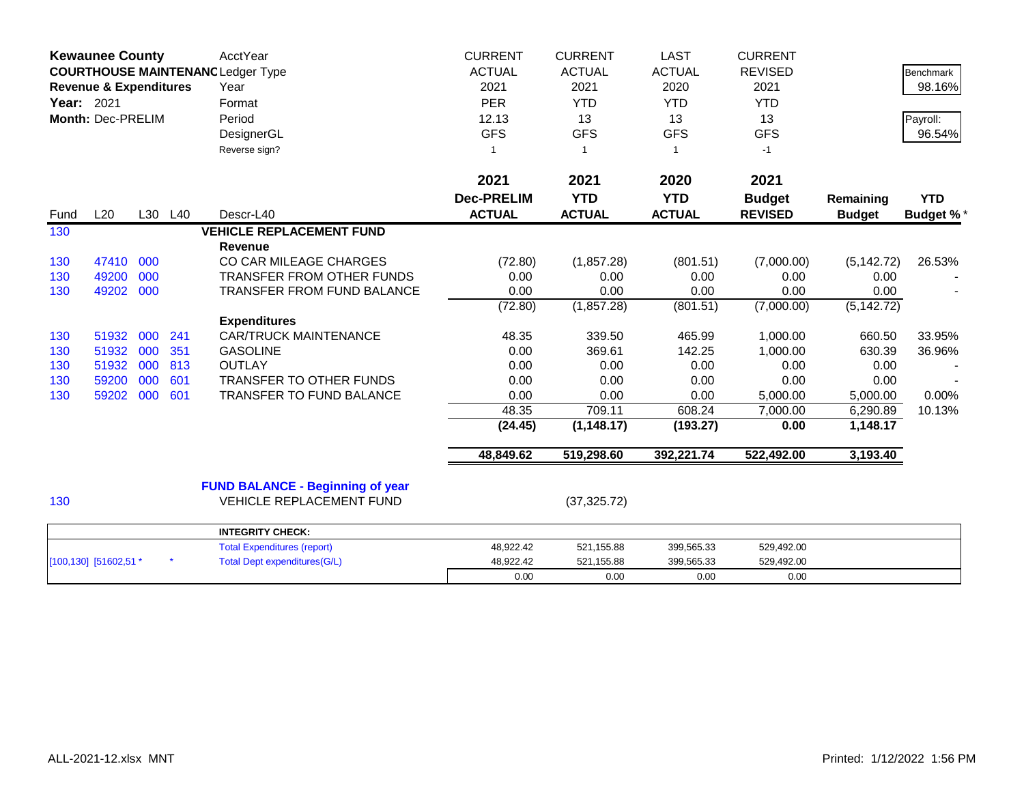|      | <b>Kewaunee County</b><br><b>COURTHOUSE MAINTENANC Ledger Type</b><br><b>Revenue &amp; Expenditures</b><br>Year: 2021<br>Month: Dec-PRELIM |     |         | <b>AcctYear</b><br>Year<br>Format<br>Period<br>DesignerGL<br>Reverse sign? | <b>CURRENT</b><br><b>ACTUAL</b><br>2021<br><b>PER</b><br>12.13<br><b>GFS</b><br>1 | <b>CURRENT</b><br><b>ACTUAL</b><br>2021<br><b>YTD</b><br>13<br><b>GFS</b><br>$\overline{1}$ | <b>LAST</b><br><b>ACTUAL</b><br>2020<br><b>YTD</b><br>13<br><b>GFS</b><br>$\mathbf 1$ | <b>CURRENT</b><br><b>REVISED</b><br>2021<br><b>YTD</b><br>13<br><b>GFS</b><br>$-1$ |                      | <b>Benchmark</b><br>98.16%<br>Payroll:<br>96.54% |
|------|--------------------------------------------------------------------------------------------------------------------------------------------|-----|---------|----------------------------------------------------------------------------|-----------------------------------------------------------------------------------|---------------------------------------------------------------------------------------------|---------------------------------------------------------------------------------------|------------------------------------------------------------------------------------|----------------------|--------------------------------------------------|
|      |                                                                                                                                            |     |         |                                                                            | 2021                                                                              | 2021                                                                                        | 2020                                                                                  | 2021                                                                               |                      |                                                  |
|      |                                                                                                                                            |     |         |                                                                            | <b>Dec-PRELIM</b>                                                                 | <b>YTD</b>                                                                                  | <b>YTD</b>                                                                            | <b>Budget</b>                                                                      | Remaining            | <b>YTD</b>                                       |
| Fund | L20                                                                                                                                        |     | L30 L40 | Descr-L40                                                                  | <b>ACTUAL</b>                                                                     | <b>ACTUAL</b>                                                                               | <b>ACTUAL</b>                                                                         | <b>REVISED</b>                                                                     | <b>Budget</b>        | <b>Budget %*</b>                                 |
| 130  |                                                                                                                                            |     |         | <b>VEHICLE REPLACEMENT FUND</b>                                            |                                                                                   |                                                                                             |                                                                                       |                                                                                    |                      |                                                  |
|      |                                                                                                                                            |     |         | <b>Revenue</b>                                                             |                                                                                   |                                                                                             |                                                                                       |                                                                                    |                      |                                                  |
| 130  | 47410                                                                                                                                      | 000 |         | CO CAR MILEAGE CHARGES                                                     | (72.80)                                                                           | (1,857.28)                                                                                  | (801.51)                                                                              | (7,000.00)                                                                         | (5, 142.72)          | 26.53%                                           |
| 130  | 49200                                                                                                                                      | 000 |         | TRANSFER FROM OTHER FUNDS                                                  | 0.00                                                                              | 0.00                                                                                        | 0.00                                                                                  | 0.00                                                                               | 0.00                 |                                                  |
| 130  | 49202                                                                                                                                      | 000 |         | <b>TRANSFER FROM FUND BALANCE</b>                                          | 0.00                                                                              | 0.00                                                                                        | 0.00                                                                                  | 0.00                                                                               | 0.00                 |                                                  |
|      |                                                                                                                                            |     |         |                                                                            | (72.80)                                                                           | (1,857.28)                                                                                  | (801.51)                                                                              | (7,000.00)                                                                         | (5, 142.72)          |                                                  |
|      |                                                                                                                                            |     |         | <b>Expenditures</b>                                                        |                                                                                   |                                                                                             |                                                                                       |                                                                                    |                      |                                                  |
| 130  | 51932                                                                                                                                      | 000 | 241     | <b>CAR/TRUCK MAINTENANCE</b>                                               | 48.35                                                                             | 339.50                                                                                      | 465.99                                                                                | 1,000.00                                                                           | 660.50               | 33.95%                                           |
| 130  | 51932                                                                                                                                      | 000 | 351     | <b>GASOLINE</b>                                                            | 0.00                                                                              | 369.61                                                                                      | 142.25                                                                                | 1,000.00                                                                           | 630.39               | 36.96%                                           |
| 130  | 51932                                                                                                                                      | 000 | 813     | <b>OUTLAY</b>                                                              | 0.00                                                                              | 0.00                                                                                        | 0.00                                                                                  | 0.00                                                                               | 0.00                 |                                                  |
| 130  | 59200                                                                                                                                      | 000 | 601     | TRANSFER TO OTHER FUNDS                                                    | 0.00                                                                              | 0.00                                                                                        | 0.00                                                                                  | 0.00                                                                               | 0.00                 |                                                  |
| 130  | 59202                                                                                                                                      | 000 | 601     | TRANSFER TO FUND BALANCE                                                   | 0.00<br>48.35                                                                     | 0.00<br>709.11                                                                              | 0.00<br>608.24                                                                        | 5,000.00                                                                           | 5,000.00             | 0.00%                                            |
|      |                                                                                                                                            |     |         |                                                                            |                                                                                   | (1, 148.17)                                                                                 |                                                                                       | 7,000.00<br>0.00                                                                   | 6,290.89<br>1,148.17 | 10.13%                                           |
|      |                                                                                                                                            |     |         |                                                                            | (24.45)                                                                           |                                                                                             | (193.27)                                                                              |                                                                                    |                      |                                                  |
|      |                                                                                                                                            |     |         |                                                                            | 48,849.62                                                                         | 519,298.60                                                                                  | 392,221.74                                                                            | 522,492.00                                                                         | 3,193.40             |                                                  |
|      |                                                                                                                                            |     |         | <b>FUND BALANCE - Beginning of year</b>                                    |                                                                                   |                                                                                             |                                                                                       |                                                                                    |                      |                                                  |
| 130  |                                                                                                                                            |     |         | <b>VEHICLE REPLACEMENT FUND</b>                                            |                                                                                   | (37, 325.72)                                                                                |                                                                                       |                                                                                    |                      |                                                  |
|      |                                                                                                                                            |     |         | <b>INTEGRITY CHECK:</b>                                                    |                                                                                   |                                                                                             |                                                                                       |                                                                                    |                      |                                                  |
|      |                                                                                                                                            |     |         | <b>Total Expenditures (report)</b>                                         | 48,922.42                                                                         | 521,155.88                                                                                  | 399,565.33                                                                            | 529,492.00                                                                         |                      |                                                  |
|      | [100,130] [51602,51 *                                                                                                                      |     |         | <b>Total Dept expenditures(G/L)</b>                                        | 48,922.42                                                                         | 521,155.88                                                                                  | 399,565.33                                                                            | 529,492.00                                                                         |                      |                                                  |
|      |                                                                                                                                            |     |         |                                                                            | 0.00                                                                              | 0.00                                                                                        | 0.00                                                                                  | 0.00                                                                               |                      |                                                  |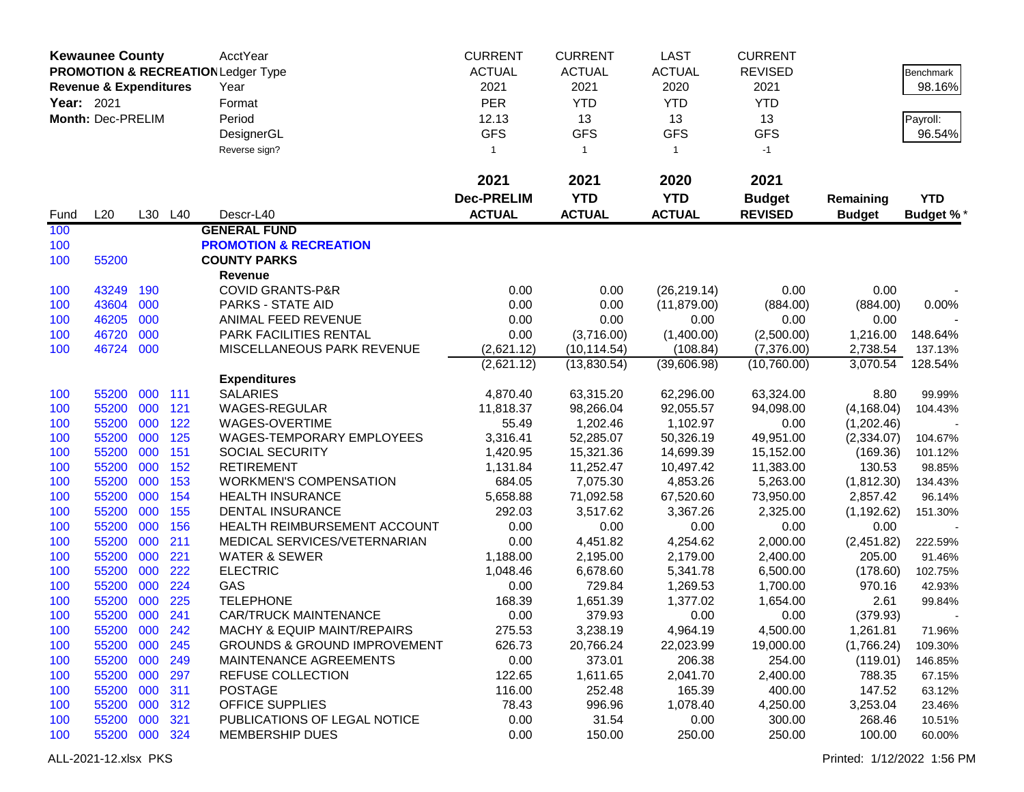|            | <b>Kewaunee County</b>            |     |         | AcctYear                                      | <b>CURRENT</b>    | <b>CURRENT</b> | <b>LAST</b>   | <b>CURRENT</b> |               |            |
|------------|-----------------------------------|-----|---------|-----------------------------------------------|-------------------|----------------|---------------|----------------|---------------|------------|
|            |                                   |     |         | <b>PROMOTION &amp; RECREATION Ledger Type</b> | <b>ACTUAL</b>     | <b>ACTUAL</b>  | <b>ACTUAL</b> | <b>REVISED</b> |               | Benchmark  |
|            | <b>Revenue &amp; Expenditures</b> |     |         | Year                                          | 2021              | 2021           | 2020          | 2021           |               | 98.16%     |
| Year: 2021 |                                   |     |         | Format                                        | PER               | <b>YTD</b>     | <b>YTD</b>    | <b>YTD</b>     |               |            |
|            | Month: Dec-PRELIM                 |     |         | Period                                        | 12.13             | 13             | 13            | 13             |               | Payroll:   |
|            |                                   |     |         | DesignerGL                                    | <b>GFS</b>        | <b>GFS</b>     | <b>GFS</b>    | <b>GFS</b>     |               | 96.54%     |
|            |                                   |     |         | Reverse sign?                                 | $\mathbf{1}$      | $\overline{1}$ | $\mathbf{1}$  | $-1$           |               |            |
|            |                                   |     |         |                                               |                   |                |               |                |               |            |
|            |                                   |     |         |                                               | 2021              | 2021           | 2020          | 2021           |               |            |
|            |                                   |     |         |                                               | <b>Dec-PRELIM</b> | <b>YTD</b>     | <b>YTD</b>    | <b>Budget</b>  | Remaining     | <b>YTD</b> |
| Fund       | L20                               |     | L30 L40 | Descr-L40                                     | <b>ACTUAL</b>     | <b>ACTUAL</b>  | <b>ACTUAL</b> | <b>REVISED</b> | <b>Budget</b> | Budget %*  |
| 100        |                                   |     |         | <b>GENERAL FUND</b>                           |                   |                |               |                |               |            |
| 100        |                                   |     |         | <b>PROMOTION &amp; RECREATION</b>             |                   |                |               |                |               |            |
| 100        | 55200                             |     |         | <b>COUNTY PARKS</b>                           |                   |                |               |                |               |            |
|            |                                   |     |         | Revenue                                       |                   |                |               |                |               |            |
| 100        | 43249                             | 190 |         | <b>COVID GRANTS-P&amp;R</b>                   | 0.00              | 0.00           | (26, 219.14)  | 0.00           | 0.00          |            |
| 100        | 43604                             | 000 |         | <b>PARKS - STATE AID</b>                      | 0.00              | 0.00           | (11, 879.00)  | (884.00)       | (884.00)      | 0.00%      |
| 100        | 46205                             | 000 |         | ANIMAL FEED REVENUE                           | 0.00              | 0.00           | 0.00          | 0.00           | 0.00          |            |
| 100        | 46720                             | 000 |         | PARK FACILITIES RENTAL                        | 0.00              | (3,716.00)     | (1,400.00)    | (2,500.00)     | 1,216.00      | 148.64%    |
| 100        | 46724                             | 000 |         | MISCELLANEOUS PARK REVENUE                    | (2,621.12)        | (10, 114.54)   | (108.84)      | (7,376.00)     | 2,738.54      | 137.13%    |
|            |                                   |     |         |                                               | (2,621.12)        | (13,830.54)    | (39,606.98)   | (10,760.00)    | 3,070.54      | 128.54%    |
|            |                                   |     |         | <b>Expenditures</b>                           |                   |                |               |                |               |            |
| 100        | 55200                             | 000 | 111     | <b>SALARIES</b>                               | 4,870.40          | 63,315.20      | 62,296.00     | 63,324.00      | 8.80          | 99.99%     |
| 100        | 55200                             | 000 | 121     | WAGES-REGULAR                                 | 11,818.37         | 98,266.04      | 92,055.57     | 94,098.00      | (4, 168.04)   | 104.43%    |
| 100        | 55200                             | 000 | 122     | WAGES-OVERTIME                                | 55.49             | 1,202.46       | 1,102.97      | 0.00           | (1,202.46)    |            |
| 100        | 55200                             | 000 | 125     | WAGES-TEMPORARY EMPLOYEES                     | 3,316.41          | 52,285.07      | 50,326.19     | 49,951.00      | (2,334.07)    | 104.67%    |
| 100        | 55200                             | 000 | 151     | <b>SOCIAL SECURITY</b>                        | 1,420.95          | 15,321.36      | 14,699.39     | 15,152.00      | (169.36)      | 101.12%    |
| 100        | 55200                             | 000 | 152     | <b>RETIREMENT</b>                             | 1,131.84          | 11,252.47      | 10,497.42     | 11,383.00      | 130.53        | 98.85%     |
| 100        | 55200                             | 000 | 153     | <b>WORKMEN'S COMPENSATION</b>                 | 684.05            | 7,075.30       | 4,853.26      | 5,263.00       | (1,812.30)    | 134.43%    |
| 100        | 55200                             | 000 | 154     | <b>HEALTH INSURANCE</b>                       | 5,658.88          | 71,092.58      | 67,520.60     | 73,950.00      | 2,857.42      | 96.14%     |
| 100        | 55200                             | 000 | 155     | <b>DENTAL INSURANCE</b>                       | 292.03            | 3,517.62       | 3,367.26      | 2,325.00       | (1, 192.62)   | 151.30%    |
| 100        | 55200                             | 000 | 156     | HEALTH REIMBURSEMENT ACCOUNT                  | 0.00              | 0.00           | 0.00          | 0.00           | 0.00          |            |
| 100        | 55200                             | 000 | 211     | MEDICAL SERVICES/VETERNARIAN                  | 0.00              | 4,451.82       | 4,254.62      | 2,000.00       | (2,451.82)    | 222.59%    |
| 100        | 55200                             | 000 | 221     | <b>WATER &amp; SEWER</b>                      | 1,188.00          | 2,195.00       | 2,179.00      | 2,400.00       | 205.00        | 91.46%     |
| 100        | 55200                             | 000 | 222     | <b>ELECTRIC</b>                               | 1,048.46          | 6,678.60       | 5,341.78      | 6,500.00       | (178.60)      | 102.75%    |
| 100        | 55200                             | 000 | 224     | GAS                                           | 0.00              | 729.84         | 1,269.53      | 1,700.00       | 970.16        | 42.93%     |
| 100        | 55200                             | 000 | 225     | <b>TELEPHONE</b>                              | 168.39            | 1,651.39       | 1,377.02      | 1,654.00       | 2.61          | 99.84%     |
| 100        | 55200 000                         |     | 241     | <b>CAR/TRUCK MAINTENANCE</b>                  | 0.00              | 379.93         | 0.00          | 0.00           | (379.93)      |            |
| 100        | 55200 000                         |     | 242     | <b>MACHY &amp; EQUIP MAINT/REPAIRS</b>        | 275.53            | 3,238.19       | 4,964.19      | 4,500.00       | 1,261.81      | 71.96%     |
| 100        | 55200 000                         |     | 245     | <b>GROUNDS &amp; GROUND IMPROVEMENT</b>       | 626.73            | 20,766.24      | 22,023.99     | 19,000.00      | (1,766.24)    | 109.30%    |
| 100        | 55200 000                         |     | 249     | MAINTENANCE AGREEMENTS                        | 0.00              | 373.01         | 206.38        | 254.00         | (119.01)      | 146.85%    |
| 100        | 55200 000                         |     | 297     | REFUSE COLLECTION                             | 122.65            | 1,611.65       | 2,041.70      | 2,400.00       | 788.35        | 67.15%     |
| 100        | 55200 000                         |     | 311     | <b>POSTAGE</b>                                | 116.00            | 252.48         | 165.39        | 400.00         | 147.52        | 63.12%     |
| 100        | 55200 000                         |     | 312     | <b>OFFICE SUPPLIES</b>                        | 78.43             | 996.96         | 1,078.40      | 4,250.00       | 3,253.04      | 23.46%     |
| 100        | 55200 000                         |     | 321     | PUBLICATIONS OF LEGAL NOTICE                  | 0.00              | 31.54          | 0.00          | 300.00         | 268.46        | 10.51%     |
| 100        | 55200 000 324                     |     |         | <b>MEMBERSHIP DUES</b>                        | 0.00              | 150.00         | 250.00        | 250.00         | 100.00        | 60.00%     |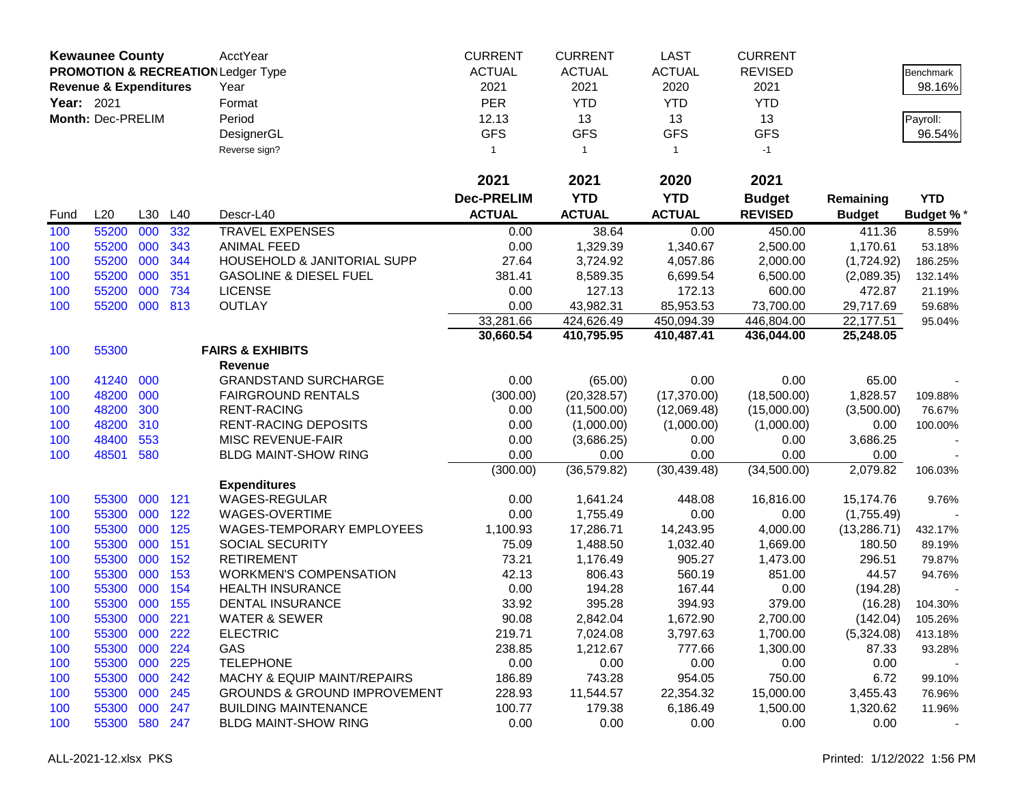|                   | <b>Kewaunee County</b>            |     |         | AcctYear                                      | <b>CURRENT</b>    | <b>CURRENT</b> | <b>LAST</b>   | <b>CURRENT</b> |               |                  |
|-------------------|-----------------------------------|-----|---------|-----------------------------------------------|-------------------|----------------|---------------|----------------|---------------|------------------|
|                   |                                   |     |         | <b>PROMOTION &amp; RECREATION Ledger Type</b> | <b>ACTUAL</b>     | <b>ACTUAL</b>  | <b>ACTUAL</b> | <b>REVISED</b> |               | <b>Benchmark</b> |
|                   | <b>Revenue &amp; Expenditures</b> |     |         | Year                                          | 2021              | 2021           | 2020          | 2021           |               | 98.16%           |
| <b>Year: 2021</b> |                                   |     |         | Format                                        | <b>PER</b>        | <b>YTD</b>     | <b>YTD</b>    | <b>YTD</b>     |               |                  |
|                   | Month: Dec-PRELIM                 |     |         | Period                                        | 12.13             | 13             | 13            | 13             |               | Payroll:         |
|                   |                                   |     |         | DesignerGL                                    | <b>GFS</b>        | <b>GFS</b>     | <b>GFS</b>    | <b>GFS</b>     |               | 96.54%           |
|                   |                                   |     |         | Reverse sign?                                 | $\mathbf{1}$      | $\overline{1}$ | $\mathbf{1}$  | $-1$           |               |                  |
|                   |                                   |     |         |                                               |                   |                |               |                |               |                  |
|                   |                                   |     |         |                                               | 2021              | 2021           | 2020          | 2021           |               |                  |
|                   |                                   |     |         |                                               | <b>Dec-PRELIM</b> | <b>YTD</b>     | <b>YTD</b>    | <b>Budget</b>  | Remaining     | <b>YTD</b>       |
| Fund              | L20                               | L30 | L40     | Descr-L40                                     | <b>ACTUAL</b>     | <b>ACTUAL</b>  | <b>ACTUAL</b> | <b>REVISED</b> | <b>Budget</b> | <b>Budget %*</b> |
| 100               | 55200                             | 000 | 332     | <b>TRAVEL EXPENSES</b>                        | 0.00              | 38.64          | 0.00          | 450.00         | 411.36        | 8.59%            |
| 100               | 55200                             | 000 | 343     | <b>ANIMAL FEED</b>                            | 0.00              | 1,329.39       | 1,340.67      | 2,500.00       | 1,170.61      | 53.18%           |
| 100               | 55200                             | 000 | 344     | HOUSEHOLD & JANITORIAL SUPP                   | 27.64             | 3,724.92       | 4,057.86      | 2,000.00       | (1,724.92)    | 186.25%          |
| 100               | 55200                             | 000 | 351     | <b>GASOLINE &amp; DIESEL FUEL</b>             | 381.41            | 8,589.35       | 6,699.54      | 6,500.00       | (2,089.35)    | 132.14%          |
| 100               | 55200                             | 000 | 734     | <b>LICENSE</b>                                | 0.00              | 127.13         | 172.13        | 600.00         | 472.87        | 21.19%           |
| 100               | 55200 000                         |     | 813     | <b>OUTLAY</b>                                 | 0.00              | 43,982.31      | 85,953.53     | 73,700.00      | 29,717.69     | 59.68%           |
|                   |                                   |     |         |                                               | 33,281.66         | 424,626.49     | 450,094.39    | 446,804.00     | 22,177.51     | 95.04%           |
|                   |                                   |     |         |                                               | 30,660.54         | 410,795.95     | 410,487.41    | 436,044.00     | 25,248.05     |                  |
| 100               | 55300                             |     |         | <b>FAIRS &amp; EXHIBITS</b>                   |                   |                |               |                |               |                  |
|                   |                                   |     |         | Revenue                                       |                   |                |               |                |               |                  |
| 100               | 41240                             | 000 |         | <b>GRANDSTAND SURCHARGE</b>                   | 0.00              | (65.00)        | 0.00          | 0.00           | 65.00         |                  |
| 100               | 48200                             | 000 |         | <b>FAIRGROUND RENTALS</b>                     | (300.00)          | (20, 328.57)   | (17, 370.00)  | (18,500.00)    | 1,828.57      | 109.88%          |
| 100               | 48200                             | 300 |         | <b>RENT-RACING</b>                            | 0.00              | (11,500.00)    | (12,069.48)   | (15,000.00)    | (3,500.00)    | 76.67%           |
| 100               | 48200                             | 310 |         | <b>RENT-RACING DEPOSITS</b>                   | 0.00              | (1,000.00)     | (1,000.00)    | (1,000.00)     | 0.00          | 100.00%          |
| 100               | 48400                             | 553 |         | MISC REVENUE-FAIR                             | 0.00              | (3,686.25)     | 0.00          | 0.00           | 3,686.25      |                  |
| 100               | 48501                             | 580 |         | <b>BLDG MAINT-SHOW RING</b>                   | 0.00              | 0.00           | 0.00          | 0.00           | 0.00          |                  |
|                   |                                   |     |         |                                               | (300.00)          | (36, 579.82)   | (30, 439.48)  | (34,500.00)    | 2,079.82      | 106.03%          |
|                   |                                   |     |         | <b>Expenditures</b>                           |                   |                |               |                |               |                  |
| 100               | 55300                             | 000 | 121     | <b>WAGES-REGULAR</b>                          | 0.00              | 1,641.24       | 448.08        | 16,816.00      | 15,174.76     | 9.76%            |
| 100               | 55300                             | 000 | 122     | WAGES-OVERTIME                                | 0.00              | 1,755.49       | 0.00          | 0.00           | (1,755.49)    |                  |
| 100               | 55300                             | 000 | 125     | WAGES-TEMPORARY EMPLOYEES                     | 1,100.93          | 17,286.71      | 14,243.95     | 4,000.00       | (13, 286.71)  | 432.17%          |
| 100               | 55300                             | 000 | 151     | SOCIAL SECURITY                               | 75.09             | 1,488.50       | 1,032.40      | 1,669.00       | 180.50        | 89.19%           |
| 100               | 55300                             | 000 | 152     | <b>RETIREMENT</b>                             | 73.21             | 1,176.49       | 905.27        | 1,473.00       | 296.51        | 79.87%           |
| 100               | 55300                             | 000 | 153     | <b>WORKMEN'S COMPENSATION</b>                 | 42.13             | 806.43         | 560.19        | 851.00         | 44.57         | 94.76%           |
| 100               | 55300                             | 000 | 154     | <b>HEALTH INSURANCE</b>                       | 0.00              | 194.28         | 167.44        | 0.00           | (194.28)      |                  |
| 100               | 55300                             | 000 | 155     | DENTAL INSURANCE                              | 33.92             | 395.28         | 394.93        | 379.00         | (16.28)       | 104.30%          |
| 100               | 55300                             | 000 | 221     | <b>WATER &amp; SEWER</b>                      | 90.08             | 2,842.04       | 1,672.90      | 2,700.00       | (142.04)      | 105.26%          |
| 100               | 55300                             | 000 | 222     | <b>ELECTRIC</b>                               | 219.71            | 7,024.08       | 3,797.63      | 1,700.00       | (5,324.08)    | 413.18%          |
| 100               | 55300                             | 000 | 224     | GAS                                           | 238.85            | 1,212.67       | 777.66        | 1,300.00       | 87.33         | 93.28%           |
| 100               | 55300 000                         |     | 225     | <b>TELEPHONE</b>                              | 0.00              | 0.00           | 0.00          | 0.00           | 0.00          |                  |
| 100               | 55300 000                         |     | 242     | <b>MACHY &amp; EQUIP MAINT/REPAIRS</b>        | 186.89            | 743.28         | 954.05        | 750.00         | 6.72          | 99.10%           |
| 100               | 55300                             | 000 | 245     | <b>GROUNDS &amp; GROUND IMPROVEMENT</b>       | 228.93            | 11,544.57      | 22,354.32     | 15,000.00      | 3,455.43      | 76.96%           |
| 100               | 55300                             | 000 | 247     | <b>BUILDING MAINTENANCE</b>                   | 100.77            | 179.38         | 6,186.49      | 1,500.00       | 1,320.62      | 11.96%           |
| 100               | 55300                             |     | 580 247 | <b>BLDG MAINT-SHOW RING</b>                   | 0.00              | 0.00           | 0.00          | 0.00           | 0.00          |                  |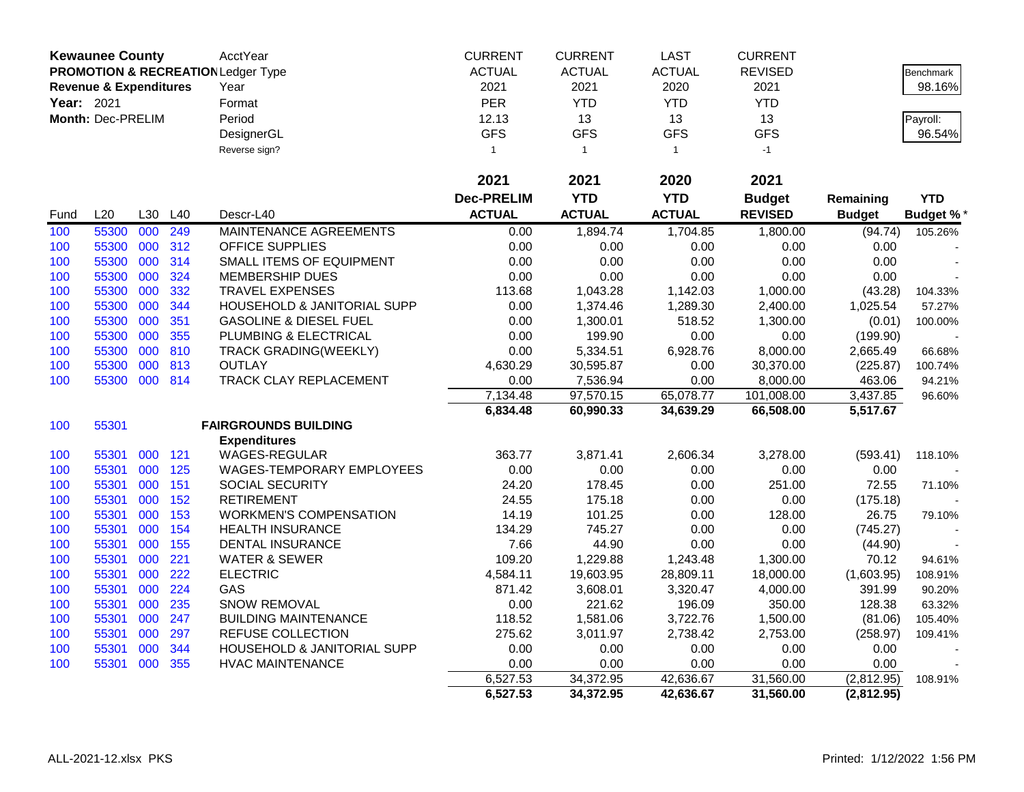| <b>Kewaunee County</b><br><b>ACTUAL</b><br><b>ACTUAL</b><br><b>ACTUAL</b><br><b>PROMOTION &amp; RECREATION Ledger Type</b><br><b>REVISED</b><br>2021<br>2021<br>2020<br><b>Revenue &amp; Expenditures</b><br>Year<br>2021<br>Year: 2021<br><b>PER</b><br><b>YTD</b><br><b>YTD</b><br><b>YTD</b><br>Format<br>Period<br>12.13<br>13<br>13<br>Month: Dec-PRELIM<br>13<br>Payroll: | Benchmark<br>98.16%<br>96.54% |
|---------------------------------------------------------------------------------------------------------------------------------------------------------------------------------------------------------------------------------------------------------------------------------------------------------------------------------------------------------------------------------|-------------------------------|
|                                                                                                                                                                                                                                                                                                                                                                                 |                               |
|                                                                                                                                                                                                                                                                                                                                                                                 |                               |
|                                                                                                                                                                                                                                                                                                                                                                                 |                               |
|                                                                                                                                                                                                                                                                                                                                                                                 |                               |
| <b>GFS</b><br><b>GFS</b><br><b>GFS</b><br><b>GFS</b><br>DesignerGL                                                                                                                                                                                                                                                                                                              |                               |
| Reverse sign?<br>$-1$<br>$\mathbf{1}$<br>$\mathbf{1}$<br>$\mathbf{1}$                                                                                                                                                                                                                                                                                                           |                               |
|                                                                                                                                                                                                                                                                                                                                                                                 |                               |
| 2021<br>2021<br>2020<br>2021                                                                                                                                                                                                                                                                                                                                                    |                               |
| <b>YTD</b><br><b>Dec-PRELIM</b><br><b>YTD</b><br><b>Budget</b><br>Remaining                                                                                                                                                                                                                                                                                                     | <b>YTD</b>                    |
| <b>ACTUAL</b><br>L20<br><b>ACTUAL</b><br><b>ACTUAL</b><br><b>REVISED</b><br>L30<br>L40<br>Descr-L40<br><b>Budget</b><br>Fund                                                                                                                                                                                                                                                    | <b>Budget %*</b>              |
| 55300<br>000<br>249<br>MAINTENANCE AGREEMENTS<br>1,894.74<br>1,704.85<br>(94.74)<br>100<br>0.00<br>1,800.00                                                                                                                                                                                                                                                                     | 105.26%                       |
| 000<br><b>OFFICE SUPPLIES</b><br>55300<br>312<br>0.00<br>0.00<br>0.00<br>0.00<br>0.00<br>100                                                                                                                                                                                                                                                                                    |                               |
| 55300<br>000<br>314<br>0.00<br>0.00<br>0.00<br>0.00<br>100<br>SMALL ITEMS OF EQUIPMENT<br>0.00                                                                                                                                                                                                                                                                                  |                               |
| 000<br>0.00<br>55300<br>324<br>MEMBERSHIP DUES<br>0.00<br>0.00<br>0.00<br>0.00<br>100                                                                                                                                                                                                                                                                                           |                               |
| 55300<br>332<br>000<br><b>TRAVEL EXPENSES</b><br>113.68<br>1,043.28<br>1,142.03<br>1,000.00<br>(43.28)<br>100                                                                                                                                                                                                                                                                   | 104.33%                       |
| 55300<br>000<br>344<br>0.00<br>100<br>HOUSEHOLD & JANITORIAL SUPP<br>1,374.46<br>1,289.30<br>2,400.00<br>1.025.54                                                                                                                                                                                                                                                               | 57.27%                        |
| 55300<br>000<br>351<br><b>GASOLINE &amp; DIESEL FUEL</b><br>0.00<br>518.52<br>1,300.00<br>100<br>1,300.01<br>(0.01)                                                                                                                                                                                                                                                             | 100.00%                       |
| 55300<br>000<br>355<br>PLUMBING & ELECTRICAL<br>0.00<br>199.90<br>0.00<br>0.00<br>100<br>(199.90)                                                                                                                                                                                                                                                                               |                               |
| 55300<br>000<br>810<br><b>TRACK GRADING(WEEKLY)</b><br>0.00<br>5,334.51<br>6,928.76<br>8,000.00<br>2,665.49<br>100                                                                                                                                                                                                                                                              | 66.68%                        |
| 55300<br>000<br>813<br><b>OUTLAY</b><br>4,630.29<br>30,370.00<br>100<br>30,595.87<br>0.00<br>(225.87)                                                                                                                                                                                                                                                                           | 100.74%                       |
| 55300<br>814<br>100<br>000<br>TRACK CLAY REPLACEMENT<br>0.00<br>7,536.94<br>0.00<br>8,000.00<br>463.06                                                                                                                                                                                                                                                                          | 94.21%                        |
| 65,078.77<br>7,134.48<br>97,570.15<br>3,437.85<br>101,008.00                                                                                                                                                                                                                                                                                                                    | 96.60%                        |
| 6,834.48<br>66,508.00<br>5,517.67<br>60,990.33<br>34,639.29                                                                                                                                                                                                                                                                                                                     |                               |
| 55301<br><b>FAIRGROUNDS BUILDING</b><br>100                                                                                                                                                                                                                                                                                                                                     |                               |
| <b>Expenditures</b>                                                                                                                                                                                                                                                                                                                                                             |                               |
| <b>WAGES-REGULAR</b><br>363.77<br>3,871.41<br>2,606.34<br>100<br>55301<br>000 121<br>3,278.00<br>(593.41)                                                                                                                                                                                                                                                                       | 118.10%                       |
| 000<br>55301<br>125<br>WAGES-TEMPORARY EMPLOYEES<br>0.00<br>0.00<br>0.00<br>0.00<br>100<br>0.00                                                                                                                                                                                                                                                                                 |                               |
| 55301<br>000<br>151<br>SOCIAL SECURITY<br>24.20<br>178.45<br>0.00<br>251.00<br>72.55<br>100                                                                                                                                                                                                                                                                                     | 71.10%                        |
| 55301<br>000<br>152<br><b>RETIREMENT</b><br>24.55<br>175.18<br>0.00<br>0.00<br>(175.18)<br>100                                                                                                                                                                                                                                                                                  |                               |
| 55301<br>000<br>153<br><b>WORKMEN'S COMPENSATION</b><br>14.19<br>101.25<br>0.00<br>128.00<br>100<br>26.75                                                                                                                                                                                                                                                                       | 79.10%                        |
| 55301<br>000<br>154<br>745.27<br>0.00<br>100<br><b>HEALTH INSURANCE</b><br>134.29<br>0.00<br>(745.27)                                                                                                                                                                                                                                                                           |                               |
| 7.66<br>55301<br>000<br>155<br>44.90<br>0.00<br>0.00<br>100<br><b>DENTAL INSURANCE</b><br>(44.90)                                                                                                                                                                                                                                                                               |                               |
| 000<br>221<br>109.20<br>1,300.00<br>100<br>55301<br><b>WATER &amp; SEWER</b><br>1,229.88<br>1,243.48<br>70.12                                                                                                                                                                                                                                                                   | 94.61%                        |
| 55301<br>000<br>222<br>4,584.11<br>100<br><b>ELECTRIC</b><br>19,603.95<br>28,809.11<br>18,000.00<br>(1,603.95)                                                                                                                                                                                                                                                                  | 108.91%                       |
| 55301<br>224<br>3,320.47<br>000<br>GAS<br>871.42<br>3,608.01<br>4,000.00<br>391.99<br>100                                                                                                                                                                                                                                                                                       | 90.20%                        |
| 55301<br>000<br>235<br><b>SNOW REMOVAL</b><br>0.00<br>221.62<br>196.09<br>350.00<br>128.38<br>100                                                                                                                                                                                                                                                                               | 63.32%                        |
| 55301<br>000<br>247<br><b>BUILDING MAINTENANCE</b><br>118.52<br>100<br>1,581.06<br>3,722.76<br>1,500.00<br>(81.06)                                                                                                                                                                                                                                                              | 105.40%                       |
| 55301<br>000<br>297<br><b>REFUSE COLLECTION</b><br>275.62<br>2,738.42<br>100<br>3,011.97<br>2,753.00<br>(258.97)                                                                                                                                                                                                                                                                | 109.41%                       |
| 000<br>0.00<br>0.00<br>55301<br>344<br>HOUSEHOLD & JANITORIAL SUPP<br>0.00<br>0.00<br>0.00<br>100                                                                                                                                                                                                                                                                               |                               |
| 55301<br>000<br>355<br>0.00<br>0.00<br>0.00<br>100<br><b>HVAC MAINTENANCE</b><br>0.00<br>0.00                                                                                                                                                                                                                                                                                   |                               |
| 6,527.53<br>34,372.95<br>42,636.67<br>31,560.00<br>(2,812.95)                                                                                                                                                                                                                                                                                                                   | 108.91%                       |
| 6,527.53<br>34,372.95<br>31,560.00<br>(2,812.95)<br>42,636.67                                                                                                                                                                                                                                                                                                                   |                               |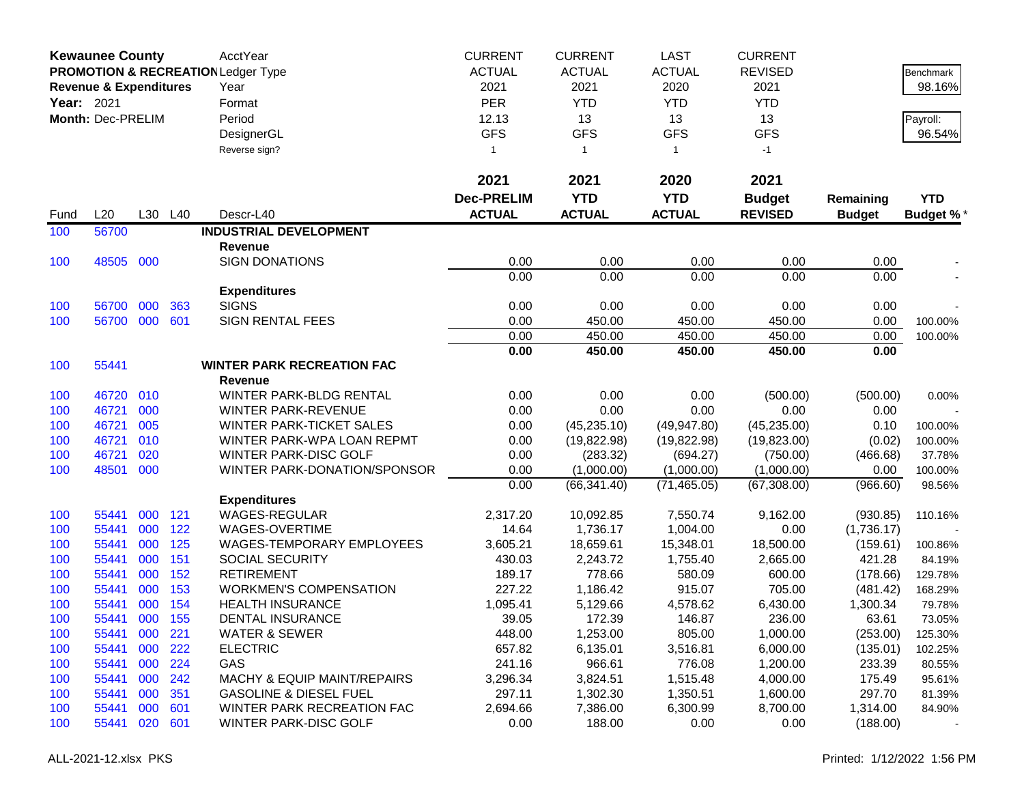|            | <b>Kewaunee County</b>            |     |     | AcctYear                                      | <b>CURRENT</b>    | <b>CURRENT</b> | <b>LAST</b>   | <b>CURRENT</b> |               |            |
|------------|-----------------------------------|-----|-----|-----------------------------------------------|-------------------|----------------|---------------|----------------|---------------|------------|
|            |                                   |     |     | <b>PROMOTION &amp; RECREATION Ledger Type</b> | <b>ACTUAL</b>     | <b>ACTUAL</b>  | <b>ACTUAL</b> | <b>REVISED</b> |               | Benchmark  |
|            | <b>Revenue &amp; Expenditures</b> |     |     | Year                                          | 2021              | 2021           | 2020          | 2021           |               | 98.16%     |
| Year: 2021 |                                   |     |     | Format                                        | PER               | <b>YTD</b>     | <b>YTD</b>    | <b>YTD</b>     |               |            |
|            | Month: Dec-PRELIM                 |     |     | Period                                        | 12.13             | 13             | 13            | 13             |               | Payroll:   |
|            |                                   |     |     | DesignerGL                                    | <b>GFS</b>        | <b>GFS</b>     | <b>GFS</b>    | <b>GFS</b>     |               | 96.54%     |
|            |                                   |     |     | Reverse sign?                                 | $\mathbf{1}$      | $\mathbf{1}$   | $\mathbf{1}$  | $-1$           |               |            |
|            |                                   |     |     |                                               |                   |                |               |                |               |            |
|            |                                   |     |     |                                               | 2021              | 2021           | 2020          | 2021           |               |            |
|            |                                   |     |     |                                               | <b>Dec-PRELIM</b> | <b>YTD</b>     | <b>YTD</b>    | <b>Budget</b>  | Remaining     | <b>YTD</b> |
| Fund       | L20                               | L30 | L40 | Descr-L40                                     | <b>ACTUAL</b>     | <b>ACTUAL</b>  | <b>ACTUAL</b> | <b>REVISED</b> | <b>Budget</b> | Budget %*  |
| 100        | 56700                             |     |     | <b>INDUSTRIAL DEVELOPMENT</b>                 |                   |                |               |                |               |            |
|            |                                   |     |     | <b>Revenue</b>                                |                   |                |               |                |               |            |
| 100        | 48505                             | 000 |     | <b>SIGN DONATIONS</b>                         | 0.00              | 0.00           | 0.00          | 0.00           | 0.00          |            |
|            |                                   |     |     |                                               | 0.00              | 0.00           | 0.00          | 0.00           | 0.00          |            |
|            |                                   |     |     | <b>Expenditures</b>                           |                   |                |               |                |               |            |
| 100        | 56700                             | 000 | 363 | <b>SIGNS</b>                                  | 0.00              | 0.00           | 0.00          | 0.00           | 0.00          |            |
| 100        | 56700                             | 000 | 601 | <b>SIGN RENTAL FEES</b>                       | 0.00              | 450.00         | 450.00        | 450.00         | 0.00          | 100.00%    |
|            |                                   |     |     |                                               | 0.00              | 450.00         | 450.00        | 450.00         | 0.00          | 100.00%    |
|            |                                   |     |     |                                               | 0.00              | 450.00         | 450.00        | 450.00         | 0.00          |            |
| 100        | 55441                             |     |     | <b>WINTER PARK RECREATION FAC</b><br>Revenue  |                   |                |               |                |               |            |
| 100        | 46720                             | 010 |     | WINTER PARK-BLDG RENTAL                       | 0.00              | 0.00           | 0.00          | (500.00)       | (500.00)      | 0.00%      |
| 100        | 46721                             | 000 |     | <b>WINTER PARK-REVENUE</b>                    | 0.00              | 0.00           | 0.00          | 0.00           | 0.00          |            |
| 100        | 46721                             | 005 |     | <b>WINTER PARK-TICKET SALES</b>               | 0.00              | (45, 235.10)   | (49, 947.80)  | (45, 235.00)   | 0.10          | 100.00%    |
| 100        | 46721                             | 010 |     | WINTER PARK-WPA LOAN REPMT                    | 0.00              | (19, 822.98)   | (19, 822.98)  | (19,823.00)    | (0.02)        | 100.00%    |
| 100        | 46721                             | 020 |     | WINTER PARK-DISC GOLF                         | 0.00              | (283.32)       | (694.27)      | (750.00)       | (466.68)      | 37.78%     |
| 100        | 48501                             | 000 |     | WINTER PARK-DONATION/SPONSOR                  | 0.00              | (1,000.00)     | (1,000.00)    | (1,000.00)     | 0.00          | 100.00%    |
|            |                                   |     |     |                                               | 0.00              | (66, 341.40)   | (71, 465.05)  | (67, 308.00)   | (966.60)      | 98.56%     |
|            |                                   |     |     | <b>Expenditures</b>                           |                   |                |               |                |               |            |
| 100        | 55441                             | 000 | 121 | <b>WAGES-REGULAR</b>                          | 2,317.20          | 10,092.85      | 7,550.74      | 9,162.00       | (930.85)      | 110.16%    |
| 100        | 55441                             | 000 | 122 | WAGES-OVERTIME                                | 14.64             | 1,736.17       | 1,004.00      | 0.00           | (1,736.17)    |            |
| 100        | 55441                             | 000 | 125 | WAGES-TEMPORARY EMPLOYEES                     | 3,605.21          | 18,659.61      | 15,348.01     | 18,500.00      | (159.61)      | 100.86%    |
| 100        | 55441                             | 000 | 151 | SOCIAL SECURITY                               | 430.03            | 2,243.72       | 1,755.40      | 2,665.00       | 421.28        | 84.19%     |
| 100        | 55441                             | 000 | 152 | <b>RETIREMENT</b>                             | 189.17            | 778.66         | 580.09        | 600.00         | (178.66)      | 129.78%    |
| 100        | 55441                             | 000 | 153 | <b>WORKMEN'S COMPENSATION</b>                 | 227.22            | 1,186.42       | 915.07        | 705.00         | (481.42)      | 168.29%    |
| 100        | 55441                             | 000 | 154 | <b>HEALTH INSURANCE</b>                       | 1,095.41          | 5,129.66       | 4,578.62      | 6,430.00       | 1,300.34      | 79.78%     |
| 100        | 55441                             | 000 | 155 | DENTAL INSURANCE                              | 39.05             | 172.39         | 146.87        | 236.00         | 63.61         | 73.05%     |
| 100        | 55441                             | 000 | 221 | <b>WATER &amp; SEWER</b>                      | 448.00            | 1,253.00       | 805.00        | 1,000.00       | (253.00)      | 125.30%    |
| 100        | 55441                             | 000 | 222 | <b>ELECTRIC</b>                               | 657.82            | 6,135.01       | 3,516.81      | 6,000.00       | (135.01)      | 102.25%    |
| 100        | 55441                             | 000 | 224 | GAS                                           | 241.16            | 966.61         | 776.08        | 1,200.00       | 233.39        | 80.55%     |
| 100        | 55441                             | 000 | 242 | <b>MACHY &amp; EQUIP MAINT/REPAIRS</b>        | 3,296.34          | 3,824.51       | 1,515.48      | 4,000.00       | 175.49        | 95.61%     |
| 100        | 55441                             | 000 | 351 | <b>GASOLINE &amp; DIESEL FUEL</b>             | 297.11            | 1,302.30       | 1,350.51      | 1,600.00       | 297.70        | 81.39%     |
| 100        | 55441                             | 000 | 601 | WINTER PARK RECREATION FAC                    | 2,694.66          | 7,386.00       | 6,300.99      | 8,700.00       | 1,314.00      | 84.90%     |
| 100        | 55441                             | 020 | 601 | WINTER PARK-DISC GOLF                         | 0.00              | 188.00         | 0.00          | 0.00           | (188.00)      |            |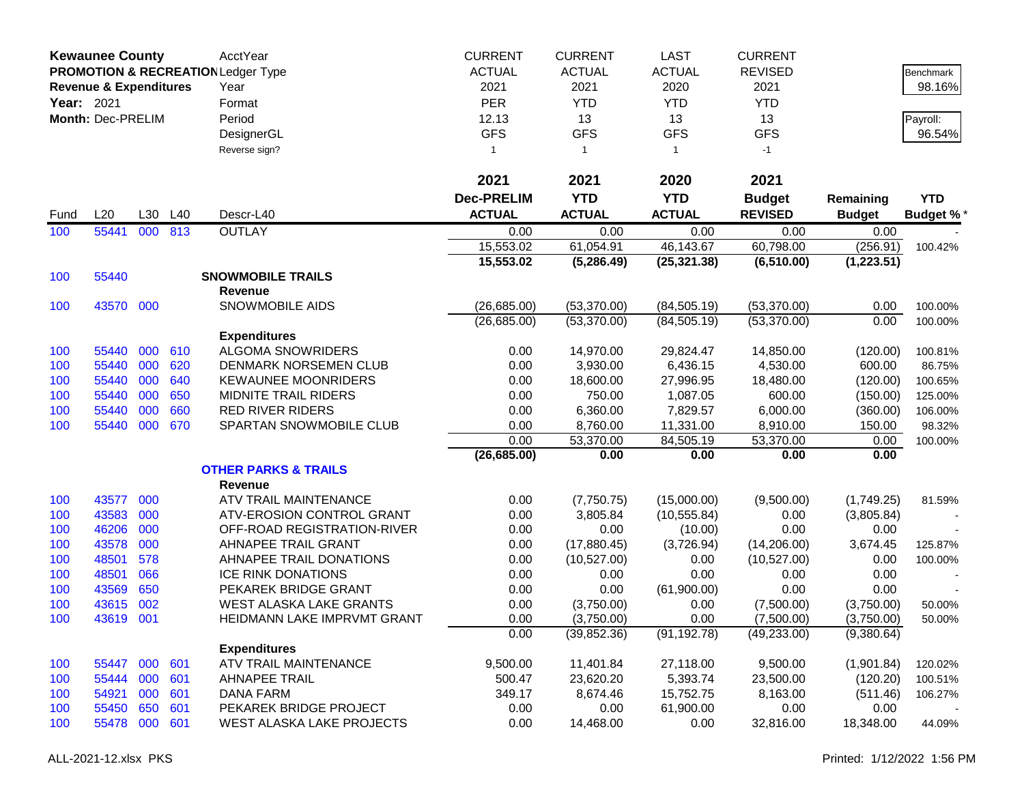|                   | <b>Kewaunee County</b>            |            |            | AcctYear                                      | <b>CURRENT</b>    | <b>CURRENT</b>        | <b>LAST</b>           | <b>CURRENT</b>        |                      |                  |
|-------------------|-----------------------------------|------------|------------|-----------------------------------------------|-------------------|-----------------------|-----------------------|-----------------------|----------------------|------------------|
|                   |                                   |            |            | <b>PROMOTION &amp; RECREATION Ledger Type</b> | <b>ACTUAL</b>     | <b>ACTUAL</b>         | <b>ACTUAL</b>         | <b>REVISED</b>        |                      | <b>Benchmark</b> |
|                   | <b>Revenue &amp; Expenditures</b> |            |            | Year                                          | 2021              | 2021                  | 2020                  | 2021                  |                      | 98.16%           |
| <b>Year: 2021</b> |                                   |            |            | Format                                        | <b>PER</b>        | <b>YTD</b>            | <b>YTD</b>            | <b>YTD</b>            |                      |                  |
|                   | Month: Dec-PRELIM                 |            |            | Period                                        | 12.13             | 13                    | 13                    | 13                    |                      | Payroll:         |
|                   |                                   |            |            | DesignerGL                                    | <b>GFS</b>        | <b>GFS</b>            | <b>GFS</b>            | <b>GFS</b>            |                      | 96.54%           |
|                   |                                   |            |            | Reverse sign?                                 | 1                 | $\overline{1}$        | $\mathbf{1}$          | $-1$                  |                      |                  |
|                   |                                   |            |            |                                               |                   |                       |                       |                       |                      |                  |
|                   |                                   |            |            |                                               | 2021              | 2021                  | 2020                  | 2021                  |                      |                  |
|                   |                                   |            |            |                                               | <b>Dec-PRELIM</b> | <b>YTD</b>            | <b>YTD</b>            | <b>Budget</b>         | Remaining            | <b>YTD</b>       |
| Fund              | L20                               | L30        | L40        | Descr-L40                                     | <b>ACTUAL</b>     | <b>ACTUAL</b>         | <b>ACTUAL</b>         | <b>REVISED</b>        | <b>Budget</b>        | <b>Budget %*</b> |
| 100               | 55441                             | 000        | 813        | <b>OUTLAY</b>                                 | 0.00              | 0.00                  | 0.00                  | 0.00                  | 0.00                 |                  |
|                   |                                   |            |            |                                               | 15,553.02         | 61,054.91             | 46,143.67             | 60,798.00             | (256.91)             | 100.42%          |
|                   |                                   |            |            |                                               | 15,553.02         | (5,286.49)            | (25, 321.38)          | (6, 510.00)           | (1,223.51)           |                  |
| 100               | 55440                             |            |            | <b>SNOWMOBILE TRAILS</b>                      |                   |                       |                       |                       |                      |                  |
|                   |                                   |            |            | <b>Revenue</b>                                |                   |                       |                       |                       |                      |                  |
| 100               | 43570 000                         |            |            | <b>SNOWMOBILE AIDS</b>                        | (26,685.00)       | (53, 370.00)          | (84, 505.19)          | (53,370.00)           | 0.00                 | 100.00%          |
|                   |                                   |            |            |                                               | (26,685.00)       | (53,370.00)           | (84, 505.19)          | (53,370.00)           | 0.00                 | 100.00%          |
|                   |                                   |            |            | <b>Expenditures</b>                           |                   |                       |                       |                       |                      |                  |
| 100               | 55440                             | 000        | 610        | <b>ALGOMA SNOWRIDERS</b>                      | 0.00              | 14,970.00             | 29,824.47             | 14,850.00             | (120.00)             | 100.81%          |
| 100               | 55440                             | 000        | 620        | <b>DENMARK NORSEMEN CLUB</b>                  | 0.00              | 3,930.00              | 6,436.15              | 4,530.00              | 600.00               | 86.75%           |
| 100               | 55440                             | 000        | 640        | <b>KEWAUNEE MOONRIDERS</b>                    | 0.00              | 18,600.00             | 27,996.95             | 18,480.00             | (120.00)             | 100.65%          |
| 100               | 55440                             | 000        | 650        | MIDNITE TRAIL RIDERS                          | 0.00              | 750.00                | 1,087.05              | 600.00                | (150.00)             | 125.00%          |
| 100               | 55440                             | 000        | 660        | <b>RED RIVER RIDERS</b>                       | 0.00              | 6,360.00              | 7,829.57              | 6,000.00              | (360.00)             | 106.00%          |
| 100               | 55440                             | 000        | 670        | SPARTAN SNOWMOBILE CLUB                       | 0.00              | 8,760.00              | 11,331.00             | 8,910.00              | 150.00               | 98.32%           |
|                   |                                   |            |            |                                               | 0.00              | 53,370.00             | 84,505.19             | 53,370.00             | 0.00                 | 100.00%          |
|                   |                                   |            |            |                                               | (26, 685.00)      | 0.00                  | 0.00                  | 0.00                  | 0.00                 |                  |
|                   |                                   |            |            | <b>OTHER PARKS &amp; TRAILS</b>               |                   |                       |                       |                       |                      |                  |
|                   |                                   |            |            | <b>Revenue</b>                                |                   |                       |                       |                       |                      |                  |
| 100               | 43577                             | 000        |            | ATV TRAIL MAINTENANCE                         | 0.00              | (7,750.75)            | (15,000.00)           | (9,500.00)            | (1,749.25)           | 81.59%           |
| 100               | 43583                             | 000        |            | ATV-EROSION CONTROL GRANT                     | 0.00              | 3,805.84              | (10, 555.84)          | 0.00                  | (3,805.84)           |                  |
| 100               | 46206                             | 000        |            | OFF-ROAD REGISTRATION-RIVER                   | 0.00              | 0.00                  | (10.00)               | 0.00                  | 0.00                 |                  |
| 100               | 43578                             | 000        |            | AHNAPEE TRAIL GRANT                           | 0.00              | (17,880.45)           | (3,726.94)            | (14,206.00)           | 3,674.45             | 125.87%          |
| 100               | 48501                             | 578        |            | AHNAPEE TRAIL DONATIONS                       | 0.00              | (10,527.00)           | 0.00                  | (10,527.00)           | 0.00                 | 100.00%          |
| 100               | 48501                             | 066        |            | <b>ICE RINK DONATIONS</b>                     | 0.00              | 0.00                  | 0.00                  | 0.00                  | 0.00                 |                  |
| 100               | 43569                             | 650        |            | PEKAREK BRIDGE GRANT                          | 0.00              | 0.00                  | (61,900.00)           | 0.00                  | 0.00                 |                  |
| 100               | 43615                             | 002        |            | <b>WEST ALASKA LAKE GRANTS</b>                | 0.00              | (3,750.00)            | 0.00                  | (7,500.00)            | (3,750.00)           | 50.00%           |
| 100               | 43619                             | 001        |            | HEIDMANN LAKE IMPRVMT GRANT                   | 0.00              | (3,750.00)            | 0.00                  | (7,500.00)            | (3,750.00)           | 50.00%           |
|                   |                                   |            |            |                                               | 0.00              | (39, 852.36)          | (91, 192.78)          | (49, 233.00)          | (9,380.64)           |                  |
|                   |                                   |            |            | <b>Expenditures</b><br>ATV TRAIL MAINTENANCE  | 9,500.00          |                       |                       |                       |                      |                  |
| 100               | 55447<br>55444                    | 000<br>000 | 601<br>601 | <b>AHNAPEE TRAIL</b>                          | 500.47            | 11,401.84             | 27,118.00<br>5,393.74 | 9,500.00              | (1,901.84)           | 120.02%          |
| 100               | 54921                             | 000        | 601        | <b>DANA FARM</b>                              | 349.17            | 23,620.20<br>8,674.46 | 15,752.75             | 23,500.00<br>8,163.00 | (120.20)<br>(511.46) | 100.51%          |
| 100               | 55450                             | 650        | 601        | PEKAREK BRIDGE PROJECT                        | 0.00              | 0.00                  | 61,900.00             | 0.00                  | 0.00                 | 106.27%          |
| 100<br>100        | 55478                             | 000        | 601        | WEST ALASKA LAKE PROJECTS                     | 0.00              | 14,468.00             | 0.00                  | 32,816.00             | 18,348.00            | 44.09%           |
|                   |                                   |            |            |                                               |                   |                       |                       |                       |                      |                  |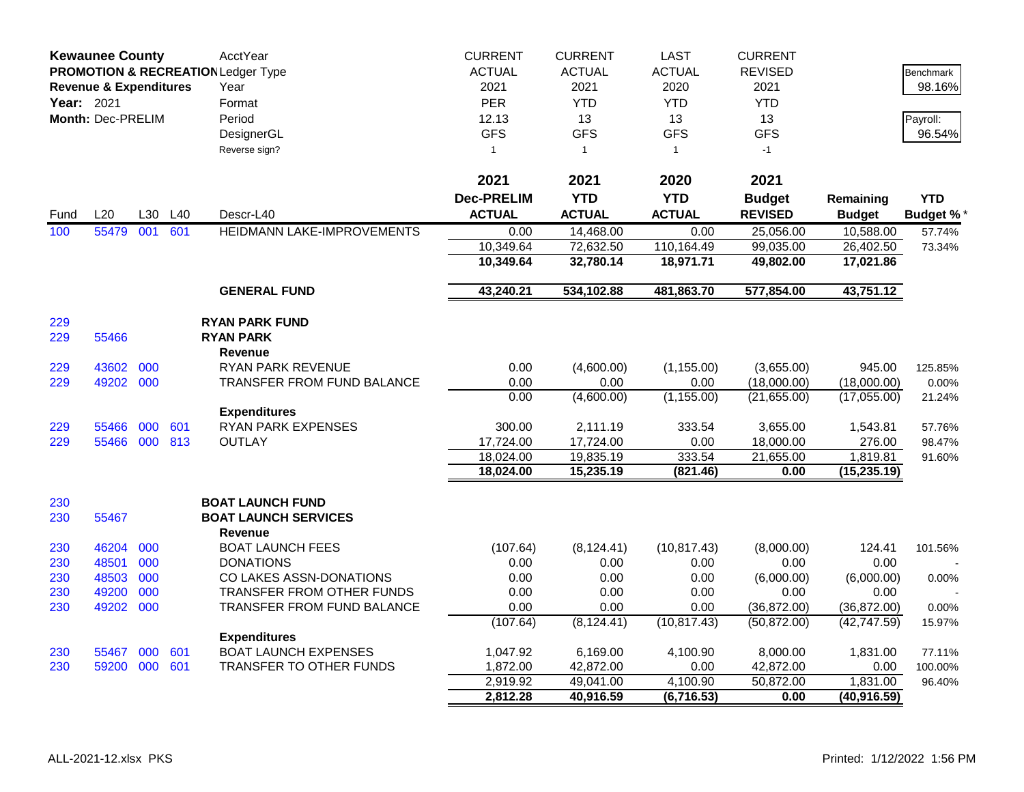|            | <b>Kewaunee County</b>            |     |     | AcctYear                                      | <b>CURRENT</b>       | <b>CURRENT</b>         | <b>LAST</b>            | <b>CURRENT</b>    |                          |                 |
|------------|-----------------------------------|-----|-----|-----------------------------------------------|----------------------|------------------------|------------------------|-------------------|--------------------------|-----------------|
|            |                                   |     |     | <b>PROMOTION &amp; RECREATION Ledger Type</b> | <b>ACTUAL</b>        | <b>ACTUAL</b>          | <b>ACTUAL</b>          | <b>REVISED</b>    |                          | Benchmark       |
|            | <b>Revenue &amp; Expenditures</b> |     |     | Year                                          | 2021                 | 2021                   | 2020                   | 2021              |                          | 98.16%          |
| Year: 2021 |                                   |     |     | Format                                        | <b>PER</b>           | <b>YTD</b>             | <b>YTD</b>             | <b>YTD</b>        |                          |                 |
|            | Month: Dec-PRELIM                 |     |     | Period                                        | 12.13                | 13                     | 13                     | 13                |                          | Payroll:        |
|            |                                   |     |     | DesignerGL                                    | <b>GFS</b>           | <b>GFS</b>             | <b>GFS</b>             | <b>GFS</b>        |                          | 96.54%          |
|            |                                   |     |     | Reverse sign?                                 | $\mathbf{1}$         | $\mathbf{1}$           | $\mathbf{1}$           | $-1$              |                          |                 |
|            |                                   |     |     |                                               |                      |                        |                        |                   |                          |                 |
|            |                                   |     |     |                                               | 2021                 | 2021                   | 2020                   | 2021              |                          |                 |
|            |                                   |     |     |                                               | <b>Dec-PRELIM</b>    | <b>YTD</b>             | <b>YTD</b>             | <b>Budget</b>     | Remaining                | <b>YTD</b>      |
| Fund       | L20                               | L30 | L40 | Descr-L40                                     | <b>ACTUAL</b>        | <b>ACTUAL</b>          | <b>ACTUAL</b>          | <b>REVISED</b>    | <b>Budget</b>            | <b>Budget %</b> |
| 100        | 55479                             | 001 | 601 | HEIDMANN LAKE-IMPROVEMENTS                    | 0.00                 | 14,468.00              | 0.00                   | 25,056.00         | 10,588.00                | 57.74%          |
|            |                                   |     |     |                                               | 10,349.64            | 72,632.50              | 110,164.49             | 99,035.00         | 26,402.50                | 73.34%          |
|            |                                   |     |     |                                               | 10,349.64            | 32,780.14              | 18,971.71              | 49,802.00         | 17,021.86                |                 |
|            |                                   |     |     | <b>GENERAL FUND</b>                           | 43,240.21            | 534,102.88             | 481,863.70             | 577,854.00        | 43,751.12                |                 |
|            |                                   |     |     |                                               |                      |                        |                        |                   |                          |                 |
| 229        |                                   |     |     | <b>RYAN PARK FUND</b>                         |                      |                        |                        |                   |                          |                 |
| 229        | 55466                             |     |     | <b>RYAN PARK</b>                              |                      |                        |                        |                   |                          |                 |
|            |                                   |     |     | Revenue                                       |                      |                        |                        |                   |                          |                 |
| 229        | 43602                             | 000 |     | <b>RYAN PARK REVENUE</b>                      | 0.00                 | (4,600.00)             | (1, 155.00)            | (3,655.00)        | 945.00                   | 125.85%         |
| 229        | 49202 000                         |     |     | <b>TRANSFER FROM FUND BALANCE</b>             | 0.00                 | 0.00                   | 0.00                   | (18,000.00)       | (18,000.00)              | 0.00%           |
|            |                                   |     |     | <b>Expenditures</b>                           | 0.00                 | (4,600.00)             | (1, 155.00)            | (21,655.00)       | (17,055.00)              | 21.24%          |
| 229        | 55466                             | 000 | 601 | <b>RYAN PARK EXPENSES</b>                     | 300.00               | 2,111.19               | 333.54                 | 3,655.00          | 1,543.81                 | 57.76%          |
| 229        | 55466                             | 000 | 813 | <b>OUTLAY</b>                                 | 17,724.00            | 17,724.00              | 0.00                   | 18,000.00         | 276.00                   | 98.47%          |
|            |                                   |     |     |                                               | 18,024.00            | 19,835.19              | 333.54                 | 21,655.00         | 1,819.81                 | 91.60%          |
|            |                                   |     |     |                                               | 18,024.00            | 15,235.19              | (821.46)               | 0.00              | (15, 235.19)             |                 |
|            |                                   |     |     |                                               |                      |                        |                        |                   |                          |                 |
| 230        |                                   |     |     | <b>BOAT LAUNCH FUND</b>                       |                      |                        |                        |                   |                          |                 |
| 230        | 55467                             |     |     | <b>BOAT LAUNCH SERVICES</b>                   |                      |                        |                        |                   |                          |                 |
|            |                                   |     |     | Revenue                                       |                      |                        |                        |                   |                          |                 |
| 230        | 46204                             | 000 |     | <b>BOAT LAUNCH FEES</b>                       | (107.64)             | (8, 124.41)            | (10, 817.43)           | (8,000.00)        | 124.41                   | 101.56%         |
| 230        | 48501                             | 000 |     | <b>DONATIONS</b>                              | 0.00                 | 0.00                   | 0.00                   | 0.00              | 0.00                     |                 |
| 230        | 48503                             | 000 |     | CO LAKES ASSN-DONATIONS                       | 0.00                 | 0.00                   | 0.00                   | (6,000.00)        | (6,000.00)               | 0.00%           |
| 230        | 49200                             | 000 |     | TRANSFER FROM OTHER FUNDS                     | 0.00                 | 0.00                   | 0.00                   | 0.00              | 0.00                     |                 |
| 230        | 49202                             | 000 |     | TRANSFER FROM FUND BALANCE                    | 0.00                 | 0.00                   | 0.00                   | (36,872.00)       | (36,872.00)              | 0.00%           |
|            |                                   |     |     |                                               | (107.64)             | (8, 124.41)            | (10, 817.43)           | (50, 872.00)      | (42, 747.59)             | 15.97%          |
|            |                                   |     |     | <b>Expenditures</b>                           |                      |                        |                        |                   |                          |                 |
| 230        | 55467                             | 000 | 601 | <b>BOAT LAUNCH EXPENSES</b>                   | 1,047.92             | 6,169.00               | 4,100.90               | 8,000.00          | 1,831.00                 | 77.11%          |
| 230        | 59200 000 601                     |     |     | TRANSFER TO OTHER FUNDS                       | 1,872.00             | 42,872.00              | 0.00                   | 42,872.00         | 0.00                     | 100.00%         |
|            |                                   |     |     |                                               | 2,919.92<br>2,812.28 | 49,041.00<br>40,916.59 | 4,100.90<br>(6,716.53) | 50,872.00<br>0.00 | 1,831.00<br>(40, 916.59) | 96.40%          |
|            |                                   |     |     |                                               |                      |                        |                        |                   |                          |                 |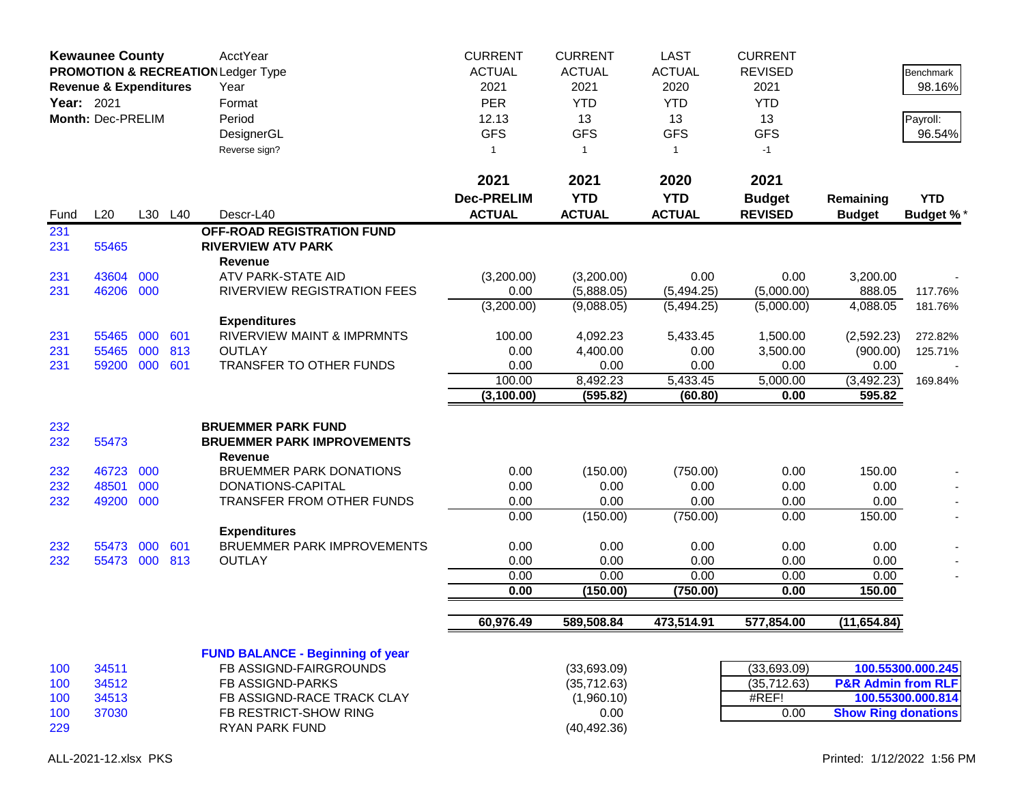|                                 | <b>Kewaunee County</b><br><b>PROMOTION &amp; RECREATION Ledger Type</b><br><b>Revenue &amp; Expenditures</b><br>Year: 2021<br>Month: Dec-PRELIM |                   |                   | <b>AcctYear</b><br>Year<br>Format<br>Period<br>DesignerGL<br>Reverse sign?                                                                                                   | <b>LAST</b><br><b>ACTUAL</b><br>2020<br><b>YTD</b><br>13<br><b>GFS</b><br>$\mathbf{1}$ | <b>CURRENT</b><br><b>REVISED</b><br>2021<br><b>YTD</b><br>13<br><b>GFS</b><br>$-1$ |                                                 | Benchmark<br>98.16%<br>Payroll:<br>96.54%        |                                                             |                                        |
|---------------------------------|-------------------------------------------------------------------------------------------------------------------------------------------------|-------------------|-------------------|------------------------------------------------------------------------------------------------------------------------------------------------------------------------------|----------------------------------------------------------------------------------------|------------------------------------------------------------------------------------|-------------------------------------------------|--------------------------------------------------|-------------------------------------------------------------|----------------------------------------|
| Fund                            | L20                                                                                                                                             |                   | L30 L40           | Descr-L40                                                                                                                                                                    | 2021<br><b>Dec-PRELIM</b><br><b>ACTUAL</b>                                             | 2021<br><b>YTD</b><br><b>ACTUAL</b>                                                | 2020<br><b>YTD</b><br><b>ACTUAL</b>             | 2021<br><b>Budget</b><br><b>REVISED</b>          | Remaining<br><b>Budget</b>                                  | <b>YTD</b><br><b>Budget %*</b>         |
| 231<br>231                      | 55465                                                                                                                                           |                   |                   | OFF-ROAD REGISTRATION FUND<br><b>RIVERVIEW ATV PARK</b><br>Revenue                                                                                                           |                                                                                        |                                                                                    |                                                 |                                                  |                                                             |                                        |
| 231<br>231                      | 43604<br>46206 000                                                                                                                              | 000               |                   | ATV PARK-STATE AID<br>RIVERVIEW REGISTRATION FEES                                                                                                                            | (3,200.00)<br>0.00<br>(3,200.00)                                                       | (3,200.00)<br>(5,888.05)<br>(9,088.05)                                             | 0.00<br>(5,494.25)<br>(5,494.25)                | 0.00<br>(5,000.00)<br>(5,000.00)                 | 3,200.00<br>888.05<br>4,088.05                              | 117.76%<br>181.76%                     |
| 231<br>231<br>231               | 55465<br>55465<br>59200                                                                                                                         | 000<br>000<br>000 | 601<br>813<br>601 | <b>Expenditures</b><br><b>RIVERVIEW MAINT &amp; IMPRMNTS</b><br><b>OUTLAY</b><br><b>TRANSFER TO OTHER FUNDS</b>                                                              | 100.00<br>0.00<br>0.00<br>100.00<br>(3, 100.00)                                        | 4,092.23<br>4,400.00<br>0.00<br>8,492.23<br>(595.82)                               | 5,433.45<br>0.00<br>0.00<br>5,433.45<br>(60.80) | 1,500.00<br>3,500.00<br>0.00<br>5,000.00<br>0.00 | (2,592.23)<br>(900.00)<br>0.00<br>(3,492.23)<br>595.82      | 272.82%<br>125.71%<br>169.84%          |
| 232<br>232                      | 55473                                                                                                                                           |                   |                   | <b>BRUEMMER PARK FUND</b><br><b>BRUEMMER PARK IMPROVEMENTS</b><br><b>Revenue</b>                                                                                             |                                                                                        |                                                                                    |                                                 |                                                  |                                                             |                                        |
| 232<br>232<br>232               | 46723<br>48501<br>49200                                                                                                                         | 000<br>000<br>000 |                   | <b>BRUEMMER PARK DONATIONS</b><br>DONATIONS-CAPITAL<br>TRANSFER FROM OTHER FUNDS                                                                                             | 0.00<br>0.00<br>0.00<br>0.00                                                           | (150.00)<br>0.00<br>0.00<br>(150.00)                                               | (750.00)<br>0.00<br>0.00<br>(750.00)            | 0.00<br>0.00<br>0.00<br>0.00                     | 150.00<br>0.00<br>0.00<br>150.00                            |                                        |
| 232<br>232                      | 55473<br>55473 000 813                                                                                                                          | 000               | 601               | <b>Expenditures</b><br><b>BRUEMMER PARK IMPROVEMENTS</b><br><b>OUTLAY</b>                                                                                                    | 0.00<br>0.00<br>0.00<br>0.00                                                           | 0.00<br>0.00<br>0.00<br>(150.00)                                                   | 0.00<br>0.00<br>0.00<br>(750.00)                | 0.00<br>0.00<br>0.00<br>0.00                     | 0.00<br>0.00<br>0.00<br>150.00                              |                                        |
|                                 |                                                                                                                                                 |                   |                   |                                                                                                                                                                              | 60,976.49                                                                              | 589,508.84                                                                         | 473,514.91                                      | 577,854.00                                       | (11, 654.84)                                                |                                        |
| 100<br>100<br>100<br>100<br>229 | 34511<br>34512<br>34513<br>37030                                                                                                                |                   |                   | <b>FUND BALANCE - Beginning of year</b><br>FB ASSIGND-FAIRGROUNDS<br><b>FB ASSIGND-PARKS</b><br>FB ASSIGND-RACE TRACK CLAY<br>FB RESTRICT-SHOW RING<br><b>RYAN PARK FUND</b> |                                                                                        | (33,693.09)<br>(35, 712.63)<br>(1,960.10)<br>0.00<br>(40, 492.36)                  |                                                 | (33,693.09)<br>(35,712.63)<br>#REF!<br>0.00      | <b>P&amp;R Admin from RLF</b><br><b>Show Ring donations</b> | 100.55300.000.245<br>100.55300.000.814 |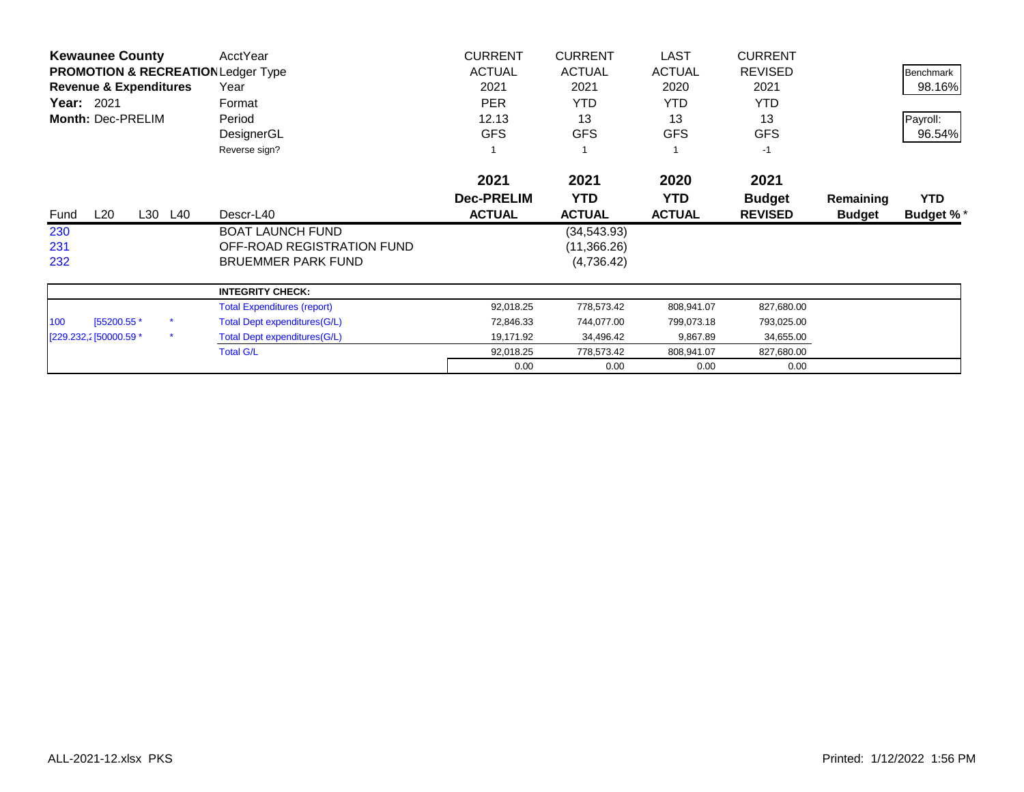| <b>Kewaunee County</b>                        | AcctYear                             | <b>CURRENT</b>    | <b>CURRENT</b> | LAST          | <b>CURRENT</b> |               |                  |
|-----------------------------------------------|--------------------------------------|-------------------|----------------|---------------|----------------|---------------|------------------|
| <b>PROMOTION &amp; RECREATION Ledger Type</b> |                                      | <b>ACTUAL</b>     | <b>ACTUAL</b>  | <b>ACTUAL</b> | <b>REVISED</b> |               | <b>Benchmark</b> |
| <b>Revenue &amp; Expenditures</b>             | Year                                 | 2021              | 2021           | 2020          | 2021           |               | 98.16%           |
| <b>Year: 2021</b>                             | Format                               | <b>PER</b>        | <b>YTD</b>     | YTD.          | <b>YTD</b>     |               |                  |
| Month: Dec-PRELIM                             | Period                               | 12.13             | 13             | 13            | 13             |               | Payroll:         |
|                                               | DesignerGL                           | <b>GFS</b>        | <b>GFS</b>     | <b>GFS</b>    | <b>GFS</b>     |               | 96.54%           |
|                                               | Reverse sign?                        |                   |                |               | $-1$           |               |                  |
|                                               |                                      | 2021              | 2021           | 2020          | 2021           |               |                  |
|                                               |                                      | <b>Dec-PRELIM</b> | <b>YTD</b>     | <b>YTD</b>    | <b>Budget</b>  | Remaining     | <b>YTD</b>       |
| L20<br>L30<br>L40<br>Fund                     | Descr-L40                            | <b>ACTUAL</b>     | <b>ACTUAL</b>  | <b>ACTUAL</b> | <b>REVISED</b> | <b>Budget</b> | <b>Budget %*</b> |
| 230                                           | <b>BOAT LAUNCH FUND</b>              |                   | (34, 543.93)   |               |                |               |                  |
| 231                                           | OFF-ROAD REGISTRATION FUND           |                   | (11,366.26)    |               |                |               |                  |
| 232                                           | <b>BRUEMMER PARK FUND</b>            |                   | (4,736.42)     |               |                |               |                  |
|                                               | <b>INTEGRITY CHECK:</b>              |                   |                |               |                |               |                  |
|                                               | <b>Total Expenditures (report)</b>   | 92,018.25         | 778,573.42     | 808,941.07    | 827,680.00     |               |                  |
| 100<br>[55200.55 *                            | Total Dept expenditures (G/L)        | 72,846.33         | 744,077.00     | 799,073.18    | 793,025.00     |               |                  |
| $\star$<br>[229.232,2] 50000.59 *             | <b>Total Dept expenditures (G/L)</b> | 19,171.92         | 34,496.42      | 9,867.89      | 34,655.00      |               |                  |
|                                               | <b>Total G/L</b>                     | 92,018.25         | 778,573.42     | 808,941.07    | 827,680.00     |               |                  |
|                                               |                                      |                   |                |               |                |               |                  |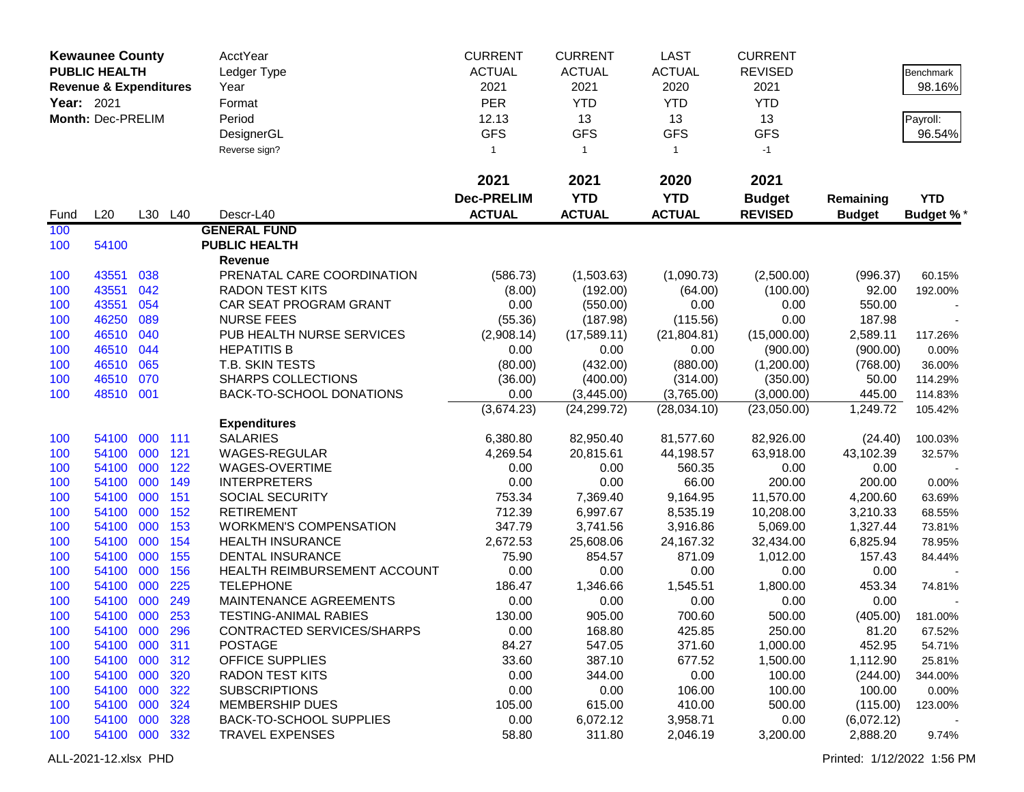|                   | <b>Kewaunee County</b>            |            |            | AcctYear                                               | <b>CURRENT</b>    | <b>CURRENT</b>   | <b>LAST</b>      | <b>CURRENT</b>       |                    |                  |
|-------------------|-----------------------------------|------------|------------|--------------------------------------------------------|-------------------|------------------|------------------|----------------------|--------------------|------------------|
|                   | <b>PUBLIC HEALTH</b>              |            |            | Ledger Type                                            | <b>ACTUAL</b>     | <b>ACTUAL</b>    | <b>ACTUAL</b>    | <b>REVISED</b>       |                    | Benchmark        |
|                   | <b>Revenue &amp; Expenditures</b> |            |            | Year                                                   | 2021              | 2021             | 2020             | 2021                 |                    | 98.16%           |
| <b>Year: 2021</b> |                                   |            |            | Format                                                 | <b>PER</b>        | <b>YTD</b>       | <b>YTD</b>       | <b>YTD</b>           |                    |                  |
|                   | Month: Dec-PRELIM                 |            |            | Period                                                 | 12.13             | 13               | 13               | 13                   |                    | Payroll:         |
|                   |                                   |            |            | DesignerGL                                             | <b>GFS</b>        | <b>GFS</b>       | <b>GFS</b>       | <b>GFS</b>           |                    | 96.54%           |
|                   |                                   |            |            | Reverse sign?                                          | $\mathbf{1}$      | $\mathbf{1}$     | $\mathbf{1}$     | $-1$                 |                    |                  |
|                   |                                   |            |            |                                                        |                   |                  |                  |                      |                    |                  |
|                   |                                   |            |            |                                                        | 2021              | 2021             | 2020             | 2021                 |                    |                  |
|                   |                                   |            |            |                                                        | <b>Dec-PRELIM</b> | <b>YTD</b>       | <b>YTD</b>       | <b>Budget</b>        | Remaining          | <b>YTD</b>       |
| Fund              | L20                               | L30        | L40        | Descr-L40                                              | <b>ACTUAL</b>     | <b>ACTUAL</b>    | <b>ACTUAL</b>    | <b>REVISED</b>       | <b>Budget</b>      | Budget %*        |
| 100               |                                   |            |            | <b>GENERAL FUND</b>                                    |                   |                  |                  |                      |                    |                  |
| 100               | 54100                             |            |            | <b>PUBLIC HEALTH</b>                                   |                   |                  |                  |                      |                    |                  |
|                   |                                   |            |            | Revenue                                                |                   |                  |                  |                      |                    |                  |
| 100               | 43551                             | 038        |            | PRENATAL CARE COORDINATION                             | (586.73)          | (1,503.63)       | (1,090.73)       | (2,500.00)           | (996.37)           | 60.15%           |
| 100               | 43551                             | 042        |            | <b>RADON TEST KITS</b>                                 | (8.00)            | (192.00)         | (64.00)          | (100.00)             | 92.00              | 192.00%          |
| 100               | 43551                             | 054        |            | CAR SEAT PROGRAM GRANT                                 | 0.00              | (550.00)         | 0.00             | 0.00                 | 550.00             |                  |
| 100               | 46250                             | 089        |            | <b>NURSE FEES</b>                                      | (55.36)           | (187.98)         | (115.56)         | 0.00                 | 187.98             |                  |
| 100               | 46510                             | 040        |            | PUB HEALTH NURSE SERVICES                              | (2,908.14)        | (17,589.11)      | (21, 804.81)     | (15,000.00)          | 2,589.11           | 117.26%          |
| 100               | 46510                             | 044        |            | <b>HEPATITIS B</b>                                     | 0.00              | 0.00             | 0.00             | (900.00)             | (900.00)           | 0.00%            |
| 100               | 46510                             | 065        |            | T.B. SKIN TESTS                                        | (80.00)           | (432.00)         | (880.00)         | (1,200.00)           | (768.00)           | 36.00%           |
| 100               | 46510                             | 070        |            | <b>SHARPS COLLECTIONS</b>                              | (36.00)           | (400.00)         | (314.00)         | (350.00)             | 50.00              | 114.29%          |
| 100               | 48510 001                         |            |            | BACK-TO-SCHOOL DONATIONS                               | 0.00              | (3,445.00)       | (3,765.00)       | (3,000.00)           | 445.00             | 114.83%          |
|                   |                                   |            |            |                                                        | (3,674.23)        | (24, 299.72)     | (28,034.10)      | (23,050.00)          | 1,249.72           | 105.42%          |
|                   |                                   |            |            | <b>Expenditures</b>                                    |                   |                  |                  |                      |                    |                  |
| 100               | 54100                             |            | 000 111    | <b>SALARIES</b>                                        | 6,380.80          | 82,950.40        | 81,577.60        | 82,926.00            | (24.40)            | 100.03%          |
| 100               | 54100                             | 000        | 121        | <b>WAGES-REGULAR</b>                                   | 4,269.54          | 20,815.61        | 44,198.57        | 63,918.00            | 43,102.39          | 32.57%           |
| 100               | 54100                             | 000        | 122        | WAGES-OVERTIME                                         | 0.00              | 0.00             | 560.35           | 0.00                 | 0.00               |                  |
| 100               | 54100                             | 000        | 149        | <b>INTERPRETERS</b>                                    | 0.00              | 0.00             | 66.00            | 200.00               | 200.00             | 0.00%            |
| 100               | 54100                             | 000        | 151        | SOCIAL SECURITY                                        | 753.34            | 7,369.40         | 9,164.95         | 11,570.00            | 4,200.60           | 63.69%           |
| 100               | 54100                             | 000        | 152        | <b>RETIREMENT</b>                                      | 712.39            | 6,997.67         | 8,535.19         | 10,208.00            | 3,210.33           | 68.55%           |
| 100               | 54100                             | 000        | 153        | <b>WORKMEN'S COMPENSATION</b>                          | 347.79            | 3,741.56         | 3,916.86         | 5,069.00             | 1,327.44           | 73.81%           |
| 100               | 54100                             | 000        | 154        | <b>HEALTH INSURANCE</b>                                | 2,672.53          | 25,608.06        | 24,167.32        | 32,434.00            | 6,825.94           | 78.95%           |
| 100               | 54100                             | 000        | 155        | <b>DENTAL INSURANCE</b>                                | 75.90             | 854.57           | 871.09           | 1,012.00             | 157.43             | 84.44%           |
| 100               | 54100                             | 000        | 156        | HEALTH REIMBURSEMENT ACCOUNT                           | 0.00              | 0.00             | 0.00             | 0.00                 | 0.00               |                  |
| 100               | 54100                             | 000<br>000 | 225<br>249 | <b>TELEPHONE</b>                                       | 186.47            | 1,346.66         | 1,545.51         | 1,800.00             | 453.34             | 74.81%           |
| 100               | 54100                             | 000        | 253        | MAINTENANCE AGREEMENTS<br><b>TESTING-ANIMAL RABIES</b> | 0.00              | 0.00             | 0.00<br>700.60   | 0.00                 | 0.00               |                  |
| 100               | 54100                             |            |            |                                                        | 130.00            | 905.00           |                  | 500.00               | (405.00)           | 181.00%          |
| 100               | 54100 000 296                     |            |            | CONTRACTED SERVICES/SHARPS<br><b>POSTAGE</b>           | 0.00              | 168.80           | 425.85           | 250.00               | 81.20              | 67.52%           |
| 100<br>100        | 54100<br>54100                    | 000<br>000 | 311<br>312 | OFFICE SUPPLIES                                        | 84.27<br>33.60    | 547.05<br>387.10 | 371.60<br>677.52 | 1,000.00<br>1,500.00 | 452.95<br>1,112.90 | 54.71%<br>25.81% |
| 100               | 54100                             | 000        | 320        | <b>RADON TEST KITS</b>                                 | 0.00              | 344.00           | 0.00             | 100.00               | (244.00)           | 344.00%          |
| 100               | 54100                             | 000        | 322        | <b>SUBSCRIPTIONS</b>                                   | 0.00              | 0.00             | 106.00           | 100.00               | 100.00             | 0.00%            |
| 100               | 54100                             | 000        | 324        | <b>MEMBERSHIP DUES</b>                                 | 105.00            | 615.00           | 410.00           | 500.00               | (115.00)           | 123.00%          |
| 100               | 54100                             | 000        | 328        | BACK-TO-SCHOOL SUPPLIES                                | 0.00              | 6,072.12         | 3,958.71         | 0.00                 | (6,072.12)         |                  |
| 100               | 54100 000 332                     |            |            | <b>TRAVEL EXPENSES</b>                                 | 58.80             | 311.80           | 2,046.19         | 3,200.00             | 2,888.20           | 9.74%            |
|                   |                                   |            |            |                                                        |                   |                  |                  |                      |                    |                  |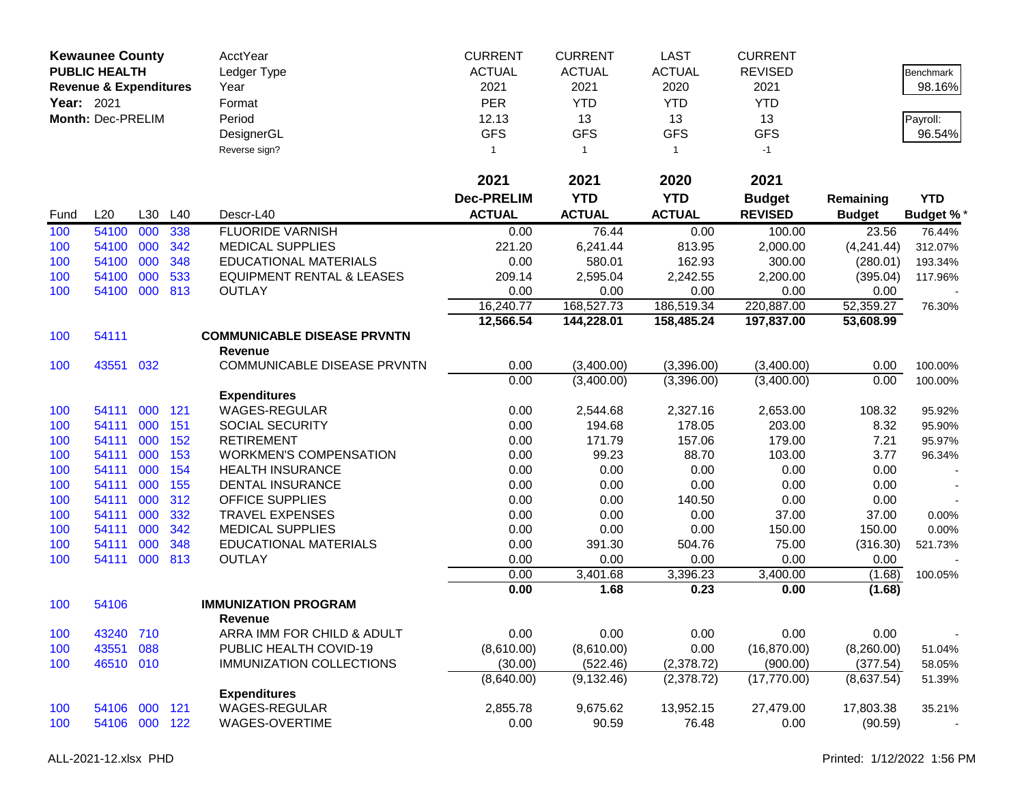|            | <b>Kewaunee County</b>            |         |     | AcctYear                                      | <b>CURRENT</b>    | <b>CURRENT</b> | LAST          | <b>CURRENT</b> |               |                    |
|------------|-----------------------------------|---------|-----|-----------------------------------------------|-------------------|----------------|---------------|----------------|---------------|--------------------|
|            | <b>PUBLIC HEALTH</b>              |         |     | Ledger Type                                   | <b>ACTUAL</b>     | <b>ACTUAL</b>  | <b>ACTUAL</b> | <b>REVISED</b> |               | Benchmark          |
|            | <b>Revenue &amp; Expenditures</b> |         |     | Year                                          | 2021              | 2021           | 2020          | 2021           |               | 98.16%             |
| Year: 2021 |                                   |         |     | Format                                        | <b>PER</b>        | <b>YTD</b>     | <b>YTD</b>    | <b>YTD</b>     |               |                    |
|            | Month: Dec-PRELIM                 |         |     | Period                                        | 12.13             | 13             | 13            | 13             |               |                    |
|            |                                   |         |     | DesignerGL                                    | <b>GFS</b>        | <b>GFS</b>     | <b>GFS</b>    | <b>GFS</b>     |               | Payroll:<br>96.54% |
|            |                                   |         |     |                                               |                   |                |               |                |               |                    |
|            |                                   |         |     | Reverse sign?                                 | 1                 | $\overline{1}$ | $\mathbf{1}$  | $-1$           |               |                    |
|            |                                   |         |     |                                               | 2021              | 2021           | 2020          | 2021           |               |                    |
|            |                                   |         |     |                                               | <b>Dec-PRELIM</b> | <b>YTD</b>     | <b>YTD</b>    | <b>Budget</b>  | Remaining     | <b>YTD</b>         |
| Fund       | L20                               | L30     | L40 | Descr-L40                                     | <b>ACTUAL</b>     | <b>ACTUAL</b>  | <b>ACTUAL</b> | <b>REVISED</b> | <b>Budget</b> | <b>Budget %*</b>   |
| 100        | 54100                             | 000     | 338 | <b>FLUORIDE VARNISH</b>                       | 0.00              | 76.44          | 0.00          | 100.00         | 23.56         | 76.44%             |
| 100        | 54100                             | 000     | 342 | <b>MEDICAL SUPPLIES</b>                       | 221.20            | 6,241.44       | 813.95        | 2,000.00       | (4,241.44)    | 312.07%            |
| 100        | 54100                             | 000     | 348 | <b>EDUCATIONAL MATERIALS</b>                  | 0.00              | 580.01         | 162.93        | 300.00         | (280.01)      | 193.34%            |
| 100        | 54100                             | 000     | 533 | <b>EQUIPMENT RENTAL &amp; LEASES</b>          | 209.14            | 2,595.04       | 2,242.55      | 2,200.00       | (395.04)      | 117.96%            |
| 100        | 54100                             | 000     | 813 | <b>OUTLAY</b>                                 | 0.00              | 0.00           | 0.00          | 0.00           | 0.00          |                    |
|            |                                   |         |     |                                               | 16,240.77         | 168,527.73     | 186,519.34    | 220,887.00     | 52,359.27     | 76.30%             |
|            |                                   |         |     |                                               | 12,566.54         | 144,228.01     | 158,485.24    | 197,837.00     | 53,608.99     |                    |
| 100        | 54111                             |         |     | <b>COMMUNICABLE DISEASE PRVNTN</b>            |                   |                |               |                |               |                    |
|            |                                   |         |     | <b>Revenue</b>                                |                   |                |               |                |               |                    |
| 100        | 43551                             | 032     |     | COMMUNICABLE DISEASE PRVNTN                   | 0.00              | (3,400.00)     | (3,396.00)    | (3,400.00)     | 0.00          | 100.00%            |
|            |                                   |         |     |                                               | 0.00              | (3,400.00)     | (3,396.00)    | (3,400.00)     | 0.00          | 100.00%            |
|            |                                   |         |     | <b>Expenditures</b>                           |                   |                |               |                |               |                    |
| 100        | 54111                             | 000     | 121 | <b>WAGES-REGULAR</b>                          | 0.00              | 2,544.68       | 2,327.16      | 2,653.00       | 108.32        | 95.92%             |
| 100        | 54111                             | 000     | 151 | SOCIAL SECURITY                               | 0.00              | 194.68         | 178.05        | 203.00         | 8.32          | 95.90%             |
| 100        | 54111                             | 000     | 152 | <b>RETIREMENT</b>                             | 0.00              | 171.79         | 157.06        | 179.00         | 7.21          | 95.97%             |
| 100        | 54111                             | 000     | 153 | <b>WORKMEN'S COMPENSATION</b>                 | 0.00              | 99.23          | 88.70         | 103.00         | 3.77          | 96.34%             |
| 100        | 54111                             | 000     | 154 | <b>HEALTH INSURANCE</b>                       | 0.00              | 0.00           | 0.00          | 0.00           | 0.00          |                    |
| 100        | 54111                             | 000     | 155 | <b>DENTAL INSURANCE</b>                       | 0.00              | 0.00           | 0.00          | 0.00           | 0.00          |                    |
| 100        | 54111                             | 000     | 312 | <b>OFFICE SUPPLIES</b>                        | 0.00              | 0.00           | 140.50        | 0.00           | 0.00          |                    |
| 100        | 54111                             | 000     | 332 | TRAVEL EXPENSES                               | 0.00              | 0.00           | 0.00          | 37.00          | 37.00         | 0.00%              |
| 100        | 54111                             | 000     | 342 | <b>MEDICAL SUPPLIES</b>                       | 0.00              | 0.00           | 0.00          | 150.00         | 150.00        | 0.00%              |
| 100        | 54111                             | 000     | 348 | <b>EDUCATIONAL MATERIALS</b>                  | 0.00              | 391.30         | 504.76        | 75.00          | (316.30)      | 521.73%            |
| 100        | 54111                             | 000     | 813 | <b>OUTLAY</b>                                 | 0.00              | 0.00           | 0.00          | 0.00           | 0.00          |                    |
|            |                                   |         |     |                                               | 0.00              | 3,401.68       | 3,396.23      | 3,400.00       | (1.68)        | 100.05%            |
|            |                                   |         |     |                                               | 0.00              | 1.68           | 0.23          | 0.00           | (1.68)        |                    |
| 100        | 54106                             |         |     | <b>IMMUNIZATION PROGRAM</b><br><b>Revenue</b> |                   |                |               |                |               |                    |
| 100        | 43240 710                         |         |     | ARRA IMM FOR CHILD & ADULT                    | 0.00              | 0.00           | 0.00          | 0.00           | 0.00          |                    |
| 100        | 43551                             | 088     |     | PUBLIC HEALTH COVID-19                        | (8,610.00)        | (8,610.00)     | 0.00          | (16,870.00)    | (8,260.00)    | 51.04%             |
| 100        | 46510 010                         |         |     | <b>IMMUNIZATION COLLECTIONS</b>               | (30.00)           | (522.46)       | (2,378.72)    | (900.00)       | (377.54)      | 58.05%             |
|            |                                   |         |     |                                               | (8,640.00)        | (9, 132.46)    | (2,378.72)    | (17,770.00)    | (8,637.54)    | 51.39%             |
|            |                                   |         |     | <b>Expenditures</b>                           |                   |                |               |                |               |                    |
| 100        | 54106                             | 000 121 |     | WAGES-REGULAR                                 | 2,855.78          | 9,675.62       | 13,952.15     | 27,479.00      | 17,803.38     | 35.21%             |
| 100        | 54106                             | 000 122 |     | WAGES-OVERTIME                                | 0.00              | 90.59          | 76.48         | 0.00           | (90.59)       |                    |
|            |                                   |         |     |                                               |                   |                |               |                |               |                    |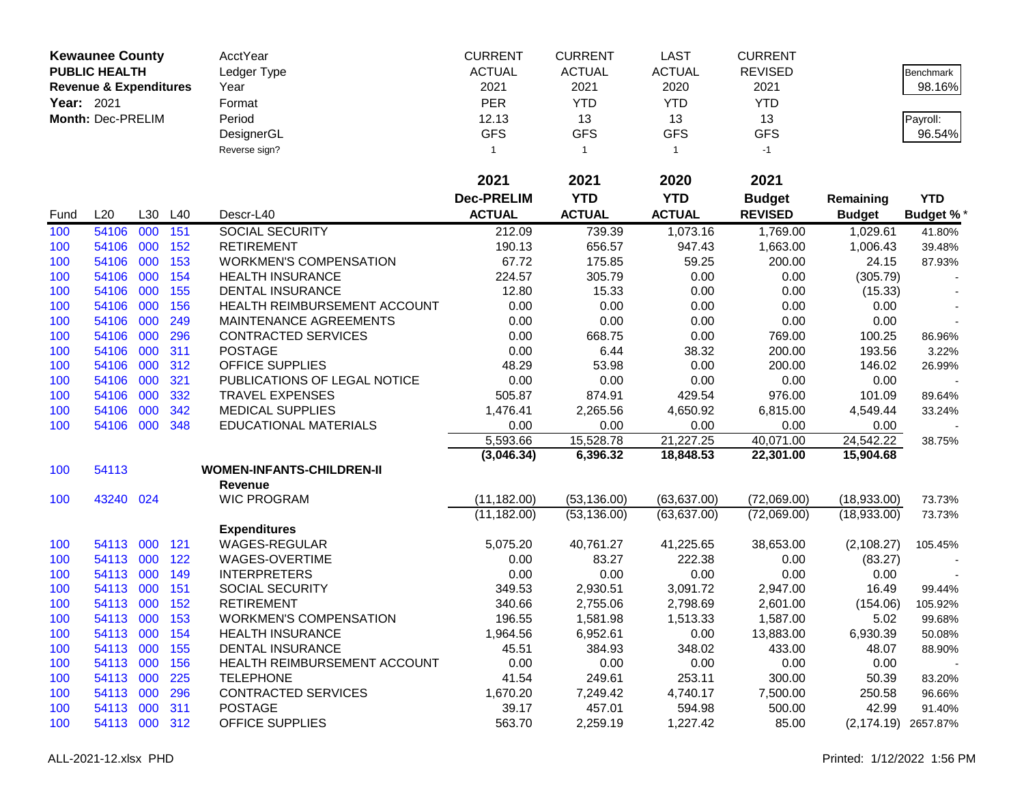|            | <b>Kewaunee County</b>            |     |         | AcctYear                         | <b>CURRENT</b>    | <b>CURRENT</b> | <b>LAST</b>   | <b>CURRENT</b> |               |                  |
|------------|-----------------------------------|-----|---------|----------------------------------|-------------------|----------------|---------------|----------------|---------------|------------------|
|            | <b>PUBLIC HEALTH</b>              |     |         | Ledger Type                      | <b>ACTUAL</b>     | <b>ACTUAL</b>  | <b>ACTUAL</b> | <b>REVISED</b> |               | Benchmark        |
|            | <b>Revenue &amp; Expenditures</b> |     |         | Year                             | 2021              | 2021           | 2020          | 2021           |               | 98.16%           |
| Year: 2021 |                                   |     |         | Format                           | <b>PER</b>        | <b>YTD</b>     | <b>YTD</b>    | <b>YTD</b>     |               |                  |
|            | Month: Dec-PRELIM                 |     |         | Period                           | 12.13             | 13             | 13            | 13             |               | Payroll:         |
|            |                                   |     |         | DesignerGL                       | <b>GFS</b>        | <b>GFS</b>     | <b>GFS</b>    | <b>GFS</b>     |               | 96.54%           |
|            |                                   |     |         | Reverse sign?                    | 1                 | $\overline{1}$ | $\mathbf{1}$  | $-1$           |               |                  |
|            |                                   |     |         |                                  |                   |                |               |                |               |                  |
|            |                                   |     |         |                                  | 2021              | 2021           | 2020          | 2021           |               |                  |
|            |                                   |     |         |                                  | <b>Dec-PRELIM</b> | <b>YTD</b>     | <b>YTD</b>    | <b>Budget</b>  | Remaining     | <b>YTD</b>       |
| Fund       | L20                               |     | L30 L40 | Descr-L40                        | <b>ACTUAL</b>     | <b>ACTUAL</b>  | <b>ACTUAL</b> | <b>REVISED</b> | <b>Budget</b> | <b>Budget %*</b> |
| 100        | 54106                             | 000 | 151     | <b>SOCIAL SECURITY</b>           | 212.09            | 739.39         | 1,073.16      | 1,769.00       | 1,029.61      | 41.80%           |
| 100        | 54106                             | 000 | 152     | <b>RETIREMENT</b>                | 190.13            | 656.57         | 947.43        | 1,663.00       | 1,006.43      | 39.48%           |
| 100        | 54106                             | 000 | 153     | <b>WORKMEN'S COMPENSATION</b>    | 67.72             | 175.85         | 59.25         | 200.00         | 24.15         | 87.93%           |
| 100        | 54106                             | 000 | 154     | <b>HEALTH INSURANCE</b>          | 224.57            | 305.79         | 0.00          | 0.00           | (305.79)      |                  |
| 100        | 54106                             | 000 | 155     | <b>DENTAL INSURANCE</b>          | 12.80             | 15.33          | 0.00          | 0.00           | (15.33)       | $\blacksquare$   |
| 100        | 54106                             | 000 | 156     | HEALTH REIMBURSEMENT ACCOUNT     | 0.00              | 0.00           | 0.00          | 0.00           | 0.00          |                  |
| 100        | 54106                             | 000 | 249     | MAINTENANCE AGREEMENTS           | 0.00              | 0.00           | 0.00          | 0.00           | 0.00          |                  |
| 100        | 54106                             | 000 | 296     | <b>CONTRACTED SERVICES</b>       | 0.00              | 668.75         | 0.00          | 769.00         | 100.25        | 86.96%           |
| 100        | 54106                             | 000 | 311     | <b>POSTAGE</b>                   | 0.00              | 6.44           | 38.32         | 200.00         | 193.56        | 3.22%            |
| 100        | 54106                             | 000 | 312     | <b>OFFICE SUPPLIES</b>           | 48.29             | 53.98          | 0.00          | 200.00         | 146.02        | 26.99%           |
| 100        | 54106                             | 000 | 321     | PUBLICATIONS OF LEGAL NOTICE     | 0.00              | 0.00           | 0.00          | 0.00           | 0.00          |                  |
| 100        | 54106                             | 000 | 332     | <b>TRAVEL EXPENSES</b>           | 505.87            | 874.91         | 429.54        | 976.00         | 101.09        | 89.64%           |
| 100        | 54106                             | 000 | 342     | <b>MEDICAL SUPPLIES</b>          | 1,476.41          | 2,265.56       | 4,650.92      | 6,815.00       | 4,549.44      | 33.24%           |
| 100        | 54106                             | 000 | 348     | EDUCATIONAL MATERIALS            | 0.00              | 0.00           | 0.00          | 0.00           | 0.00          |                  |
|            |                                   |     |         |                                  | 5,593.66          | 15,528.78      | 21,227.25     | 40,071.00      | 24,542.22     | 38.75%           |
|            |                                   |     |         |                                  | (3,046.34)        | 6,396.32       | 18,848.53     | 22,301.00      | 15,904.68     |                  |
| 100        | 54113                             |     |         | <b>WOMEN-INFANTS-CHILDREN-II</b> |                   |                |               |                |               |                  |
|            |                                   |     |         | <b>Revenue</b>                   |                   |                |               |                |               |                  |
| 100        | 43240 024                         |     |         | <b>WIC PROGRAM</b>               | (11, 182.00)      | (53, 136.00)   | (63, 637.00)  | (72,069.00)    | (18,933.00)   | 73.73%           |
|            |                                   |     |         |                                  | (11, 182.00)      | (53, 136.00)   | (63, 637.00)  | (72,069.00)    | (18,933.00)   | 73.73%           |
|            |                                   |     |         | <b>Expenditures</b>              |                   |                |               |                |               |                  |
| 100        | 54113                             | 000 | 121     | WAGES-REGULAR                    | 5,075.20          | 40,761.27      | 41,225.65     | 38,653.00      | (2, 108.27)   | 105.45%          |
| 100        | 54113                             | 000 | 122     | WAGES-OVERTIME                   | 0.00              | 83.27          | 222.38        | 0.00           | (83.27)       |                  |
| 100        | 54113                             | 000 | 149     | <b>INTERPRETERS</b>              | 0.00              | 0.00           | 0.00          | 0.00           | 0.00          |                  |
| 100        | 54113                             | 000 | 151     | <b>SOCIAL SECURITY</b>           | 349.53            | 2,930.51       | 3,091.72      | 2,947.00       | 16.49         | 99.44%           |
| 100        | 54113                             | 000 | 152     | <b>RETIREMENT</b>                | 340.66            | 2,755.06       | 2,798.69      | 2,601.00       | (154.06)      | 105.92%          |
| 100        | 54113 000                         |     | 153     | <b>WORKMEN'S COMPENSATION</b>    | 196.55            | 1,581.98       | 1,513.33      | 1,587.00       | 5.02          | 99.68%           |
| 100        | 54113 000                         |     | 154     | <b>HEALTH INSURANCE</b>          | 1,964.56          | 6,952.61       | 0.00          | 13,883.00      | 6,930.39      | 50.08%           |
| 100        | 54113 000                         |     | 155     | DENTAL INSURANCE                 | 45.51             | 384.93         | 348.02        | 433.00         | 48.07         | 88.90%           |
| 100        | 54113 000                         |     | 156     | HEALTH REIMBURSEMENT ACCOUNT     | 0.00              | 0.00           | 0.00          | 0.00           | 0.00          |                  |
| 100        | 54113 000                         |     | 225     | <b>TELEPHONE</b>                 | 41.54             | 249.61         | 253.11        | 300.00         | 50.39         | 83.20%           |
| 100        | 54113 000                         |     | 296     | <b>CONTRACTED SERVICES</b>       | 1,670.20          | 7,249.42       | 4,740.17      | 7,500.00       | 250.58        | 96.66%           |
| 100        | 54113 000                         |     | 311     | <b>POSTAGE</b>                   | 39.17             | 457.01         | 594.98        | 500.00         | 42.99         | 91.40%           |
| 100        | 54113 000 312                     |     |         | <b>OFFICE SUPPLIES</b>           | 563.70            | 2,259.19       | 1,227.42      | 85.00          | (2, 174.19)   | 2657.87%         |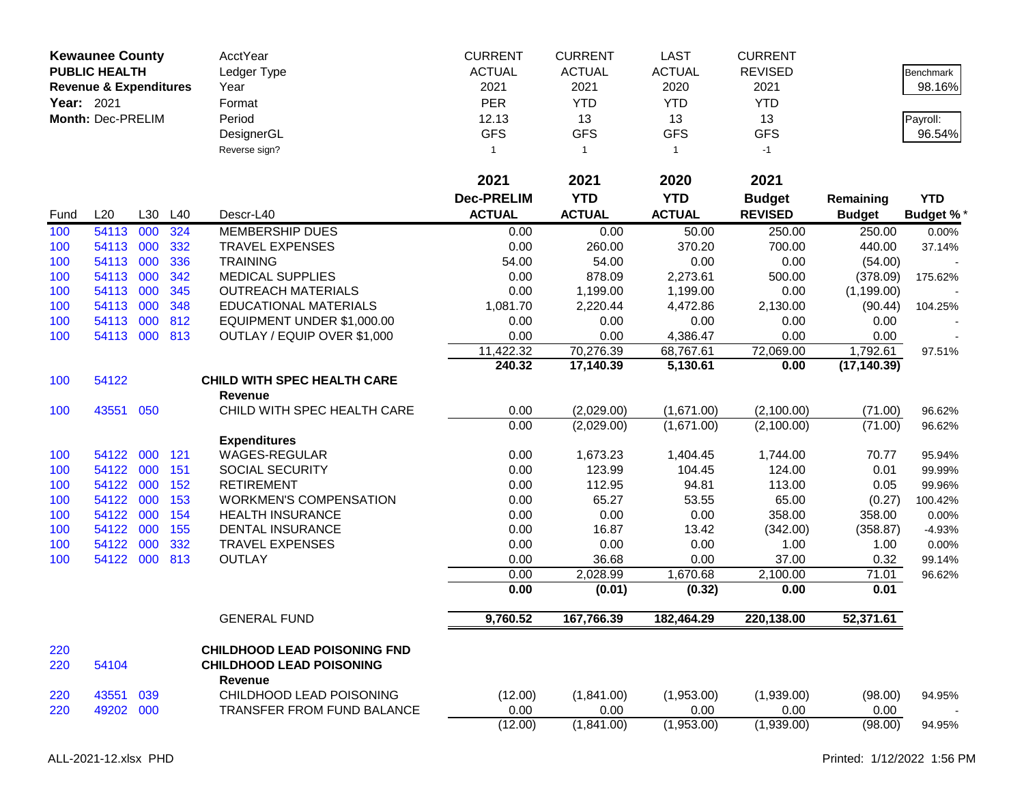|            | <b>Kewaunee County</b><br><b>PUBLIC HEALTH</b><br><b>Revenue &amp; Expenditures</b> |         |     | AcctYear<br>Ledger Type<br>Year                                                          | <b>CURRENT</b><br><b>ACTUAL</b><br>2021 | <b>CURRENT</b><br><b>ACTUAL</b><br>2021 | <b>LAST</b><br><b>ACTUAL</b><br>2020 | <b>CURRENT</b><br><b>REVISED</b><br>2021 |               | Benchmark<br>98.16% |
|------------|-------------------------------------------------------------------------------------|---------|-----|------------------------------------------------------------------------------------------|-----------------------------------------|-----------------------------------------|--------------------------------------|------------------------------------------|---------------|---------------------|
| Year: 2021 |                                                                                     |         |     | Format                                                                                   | <b>PER</b>                              | <b>YTD</b>                              | <b>YTD</b>                           | <b>YTD</b>                               |               |                     |
|            | Month: Dec-PRELIM                                                                   |         |     | Period                                                                                   | 12.13                                   | 13                                      | 13                                   | 13                                       |               |                     |
|            |                                                                                     |         |     | DesignerGL                                                                               | <b>GFS</b>                              | <b>GFS</b>                              | <b>GFS</b>                           | <b>GFS</b>                               |               | Payroll:<br>96.54%  |
|            |                                                                                     |         |     | Reverse sign?                                                                            | $\mathbf{1}$                            | $\mathbf{1}$                            | $\mathbf{1}$                         | $-1$                                     |               |                     |
|            |                                                                                     |         |     |                                                                                          |                                         |                                         |                                      |                                          |               |                     |
|            |                                                                                     |         |     |                                                                                          | 2021                                    | 2021                                    | 2020                                 | 2021                                     |               |                     |
|            |                                                                                     |         |     |                                                                                          | <b>Dec-PRELIM</b>                       | <b>YTD</b>                              | <b>YTD</b>                           | <b>Budget</b>                            | Remaining     | <b>YTD</b>          |
| Fund       | L20                                                                                 | L30     | L40 | Descr-L40                                                                                | <b>ACTUAL</b>                           | <b>ACTUAL</b>                           | <b>ACTUAL</b>                        | <b>REVISED</b>                           | <b>Budget</b> | <b>Budget %*</b>    |
| 100        | 54113                                                                               | 000     | 324 | <b>MEMBERSHIP DUES</b>                                                                   | 0.00                                    | 0.00                                    | 50.00                                | 250.00                                   | 250.00        | 0.00%               |
| 100        | 54113                                                                               | 000     | 332 | <b>TRAVEL EXPENSES</b>                                                                   | 0.00                                    | 260.00                                  | 370.20                               | 700.00                                   | 440.00        | 37.14%              |
| 100        | 54113                                                                               | 000     | 336 | <b>TRAINING</b>                                                                          | 54.00                                   | 54.00                                   | 0.00                                 | 0.00                                     | (54.00)       |                     |
| 100        | 54113                                                                               | 000     | 342 | <b>MEDICAL SUPPLIES</b>                                                                  | 0.00                                    | 878.09                                  | 2,273.61                             | 500.00                                   | (378.09)      | 175.62%             |
| 100        | 54113                                                                               | 000     | 345 | <b>OUTREACH MATERIALS</b>                                                                | 0.00                                    | 1,199.00                                | 1,199.00                             | 0.00                                     | (1, 199.00)   |                     |
| 100        | 54113                                                                               | 000     | 348 | <b>EDUCATIONAL MATERIALS</b>                                                             | 1,081.70                                | 2,220.44                                | 4,472.86                             | 2,130.00                                 | (90.44)       | 104.25%             |
| 100        | 54113                                                                               | 000     | 812 | EQUIPMENT UNDER \$1,000.00                                                               | 0.00                                    | 0.00                                    | 0.00                                 | 0.00                                     | 0.00          |                     |
| 100        | 54113                                                                               | 000 813 |     | OUTLAY / EQUIP OVER \$1,000                                                              | 0.00                                    | 0.00                                    | 4,386.47                             | 0.00                                     | 0.00          |                     |
|            |                                                                                     |         |     |                                                                                          | 11,422.32                               | 70,276.39                               | 68,767.61                            | 72,069.00                                | 1,792.61      | 97.51%              |
|            |                                                                                     |         |     |                                                                                          | 240.32                                  | 17,140.39                               | 5,130.61                             | 0.00                                     | (17, 140.39)  |                     |
| 100        | 54122                                                                               |         |     | <b>CHILD WITH SPEC HEALTH CARE</b><br><b>Revenue</b>                                     |                                         |                                         |                                      |                                          |               |                     |
| 100        | 43551                                                                               | 050     |     | CHILD WITH SPEC HEALTH CARE                                                              | 0.00                                    | (2,029.00)                              | (1,671.00)                           | (2,100.00)                               | (71.00)       | 96.62%              |
|            |                                                                                     |         |     |                                                                                          | 0.00                                    | (2,029.00)                              | (1,671.00)                           | (2,100.00)                               | (71.00)       | 96.62%              |
|            |                                                                                     |         |     | <b>Expenditures</b>                                                                      |                                         |                                         |                                      |                                          |               |                     |
| 100        | 54122                                                                               | 000     | 121 | <b>WAGES-REGULAR</b>                                                                     | 0.00                                    | 1,673.23                                | 1,404.45                             | 1,744.00                                 | 70.77         | 95.94%              |
| 100        | 54122                                                                               | 000     | 151 | SOCIAL SECURITY                                                                          | 0.00                                    | 123.99                                  | 104.45                               | 124.00                                   | 0.01          | 99.99%              |
| 100        | 54122                                                                               | 000     | 152 | <b>RETIREMENT</b>                                                                        | 0.00                                    | 112.95                                  | 94.81                                | 113.00                                   | 0.05          | 99.96%              |
| 100        | 54122                                                                               | 000     | 153 | <b>WORKMEN'S COMPENSATION</b>                                                            | 0.00                                    | 65.27                                   | 53.55                                | 65.00                                    | (0.27)        | 100.42%             |
| 100        | 54122                                                                               | 000     | 154 | <b>HEALTH INSURANCE</b>                                                                  | 0.00                                    | 0.00                                    | 0.00                                 | 358.00                                   | 358.00        | 0.00%               |
| 100        | 54122                                                                               | 000     | 155 | <b>DENTAL INSURANCE</b>                                                                  | 0.00                                    | 16.87                                   | 13.42                                | (342.00)                                 | (358.87)      | $-4.93%$            |
| 100        | 54122                                                                               | 000     | 332 | <b>TRAVEL EXPENSES</b>                                                                   | 0.00                                    | 0.00                                    | 0.00                                 | 1.00                                     | 1.00          | 0.00%               |
| 100        | 54122                                                                               | 000     | 813 | <b>OUTLAY</b>                                                                            | 0.00                                    | 36.68                                   | 0.00                                 | 37.00                                    | 0.32          | 99.14%              |
|            |                                                                                     |         |     |                                                                                          | 0.00                                    | 2,028.99                                | 1,670.68                             | 2,100.00                                 | 71.01         | 96.62%              |
|            |                                                                                     |         |     |                                                                                          | 0.00                                    | (0.01)                                  | (0.32)                               | 0.00                                     | 0.01          |                     |
|            |                                                                                     |         |     | <b>GENERAL FUND</b>                                                                      | 9,760.52                                | 167,766.39                              | 182,464.29                           | 220,138.00                               | 52,371.61     |                     |
|            |                                                                                     |         |     |                                                                                          |                                         |                                         |                                      |                                          |               |                     |
| 220<br>220 | 54104                                                                               |         |     | <b>CHILDHOOD LEAD POISONING FND</b><br><b>CHILDHOOD LEAD POISONING</b><br><b>Revenue</b> |                                         |                                         |                                      |                                          |               |                     |
| 220        | 43551                                                                               | 039     |     | CHILDHOOD LEAD POISONING                                                                 | (12.00)                                 | (1,841.00)                              | (1,953.00)                           | (1,939.00)                               | (98.00)       | 94.95%              |
| 220        | 49202 000                                                                           |         |     | <b>TRANSFER FROM FUND BALANCE</b>                                                        | 0.00                                    | 0.00                                    | 0.00                                 | 0.00                                     | 0.00          |                     |
|            |                                                                                     |         |     |                                                                                          | (12.00)                                 | (1,841.00)                              | (1,953.00)                           | (1,939.00)                               | (98.00)       | 94.95%              |
|            |                                                                                     |         |     |                                                                                          |                                         |                                         |                                      |                                          |               |                     |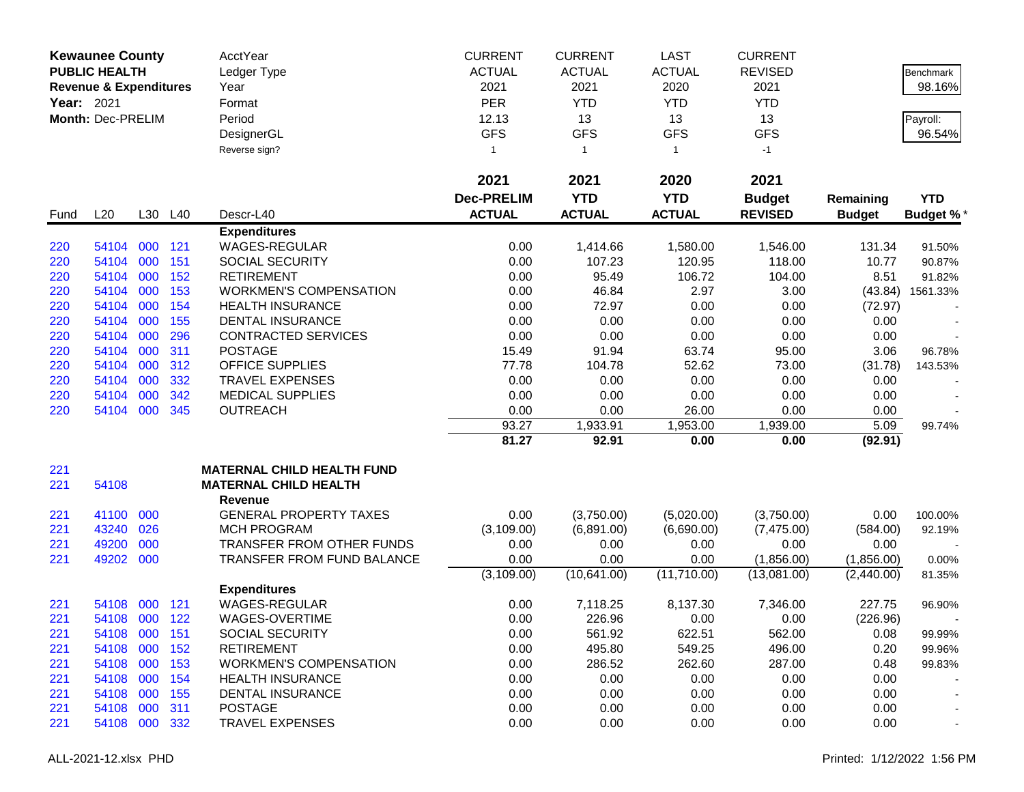|            | <b>Kewaunee County</b>            |     |         | AcctYear                          | <b>CURRENT</b>    | <b>CURRENT</b> | <b>LAST</b>   | <b>CURRENT</b> |               |                  |
|------------|-----------------------------------|-----|---------|-----------------------------------|-------------------|----------------|---------------|----------------|---------------|------------------|
|            | <b>PUBLIC HEALTH</b>              |     |         | Ledger Type                       | <b>ACTUAL</b>     | <b>ACTUAL</b>  | <b>ACTUAL</b> | <b>REVISED</b> |               | Benchmark        |
|            | <b>Revenue &amp; Expenditures</b> |     |         | Year                              | 2021              | 2021           | 2020          | 2021           |               | 98.16%           |
| Year: 2021 |                                   |     |         | Format                            | <b>PER</b>        | <b>YTD</b>     | <b>YTD</b>    | <b>YTD</b>     |               |                  |
|            | Month: Dec-PRELIM                 |     |         | Period                            | 12.13             | 13             | 13            | 13             |               | Payroll:         |
|            |                                   |     |         | DesignerGL                        | <b>GFS</b>        | <b>GFS</b>     | <b>GFS</b>    | <b>GFS</b>     |               | 96.54%           |
|            |                                   |     |         | Reverse sign?                     | 1                 | $\overline{1}$ | $\mathbf{1}$  | $-1$           |               |                  |
|            |                                   |     |         |                                   |                   |                |               |                |               |                  |
|            |                                   |     |         |                                   | 2021              | 2021           | 2020          | 2021           |               |                  |
|            |                                   |     |         |                                   | <b>Dec-PRELIM</b> | <b>YTD</b>     | <b>YTD</b>    | <b>Budget</b>  | Remaining     | <b>YTD</b>       |
| Fund       | L20                               |     | L30 L40 | Descr-L40                         | <b>ACTUAL</b>     | <b>ACTUAL</b>  | <b>ACTUAL</b> | <b>REVISED</b> | <b>Budget</b> | <b>Budget %*</b> |
|            |                                   |     |         | <b>Expenditures</b>               |                   |                |               |                |               |                  |
| 220        | 54104                             | 000 | 121     | WAGES-REGULAR                     | 0.00              | 1,414.66       | 1,580.00      | 1,546.00       | 131.34        | 91.50%           |
| 220        | 54104                             | 000 | 151     | <b>SOCIAL SECURITY</b>            | 0.00              | 107.23         | 120.95        | 118.00         | 10.77         | 90.87%           |
| 220        | 54104                             | 000 | 152     | <b>RETIREMENT</b>                 | 0.00              | 95.49          | 106.72        | 104.00         | 8.51          | 91.82%           |
| 220        | 54104                             | 000 | 153     | <b>WORKMEN'S COMPENSATION</b>     | 0.00              | 46.84          | 2.97          | 3.00           | (43.84)       | 1561.33%         |
| 220        | 54104                             | 000 | 154     | <b>HEALTH INSURANCE</b>           | 0.00              | 72.97          | 0.00          | 0.00           | (72.97)       |                  |
| 220        | 54104                             | 000 | 155     | <b>DENTAL INSURANCE</b>           | 0.00              | 0.00           | 0.00          | 0.00           | 0.00          |                  |
| 220        | 54104                             | 000 | 296     | <b>CONTRACTED SERVICES</b>        | 0.00              | 0.00           | 0.00          | 0.00           | 0.00          |                  |
| 220        | 54104                             | 000 | 311     | <b>POSTAGE</b>                    | 15.49             | 91.94          | 63.74         | 95.00          | 3.06          | 96.78%           |
| 220        | 54104                             | 000 | 312     | OFFICE SUPPLIES                   | 77.78             | 104.78         | 52.62         | 73.00          | (31.78)       | 143.53%          |
| 220        | 54104                             | 000 | 332     | <b>TRAVEL EXPENSES</b>            | 0.00              | 0.00           | 0.00          | 0.00           | 0.00          |                  |
| 220        | 54104                             | 000 | 342     | <b>MEDICAL SUPPLIES</b>           | 0.00              | 0.00           | 0.00          | 0.00           | 0.00          |                  |
| 220        | 54104                             | 000 | 345     | <b>OUTREACH</b>                   | 0.00              | 0.00           | 26.00         | 0.00           | 0.00          |                  |
|            |                                   |     |         |                                   | 93.27             | 1,933.91       | 1,953.00      | 1,939.00       | 5.09          | 99.74%           |
|            |                                   |     |         |                                   | 81.27             | 92.91          | 0.00          | 0.00           | (92.91)       |                  |
| 221        |                                   |     |         | <b>MATERNAL CHILD HEALTH FUND</b> |                   |                |               |                |               |                  |
| 221        | 54108                             |     |         | <b>MATERNAL CHILD HEALTH</b>      |                   |                |               |                |               |                  |
|            |                                   |     |         | <b>Revenue</b>                    |                   |                |               |                |               |                  |
| 221        | 41100                             | 000 |         | <b>GENERAL PROPERTY TAXES</b>     | 0.00              | (3,750.00)     | (5,020.00)    | (3,750.00)     | 0.00          | 100.00%          |
| 221        | 43240                             | 026 |         | <b>MCH PROGRAM</b>                | (3, 109.00)       | (6,891.00)     | (6,690.00)    | (7, 475.00)    | (584.00)      | 92.19%           |
| 221        | 49200                             | 000 |         | TRANSFER FROM OTHER FUNDS         | 0.00              | 0.00           | 0.00          | 0.00           | 0.00          |                  |
| 221        | 49202                             | 000 |         | TRANSFER FROM FUND BALANCE        | 0.00              | 0.00           | 0.00          | (1,856.00)     | (1,856.00)    | 0.00%            |
|            |                                   |     |         |                                   | (3,109.00)        | (10,641.00)    | (11,710.00)   | (13,081.00)    | (2,440.00)    | 81.35%           |
|            |                                   |     |         | <b>Expenditures</b>               |                   |                |               |                |               |                  |
| 221        | 54108                             | 000 | 121     | <b>WAGES-REGULAR</b>              | 0.00              | 7,118.25       | 8,137.30      | 7,346.00       | 227.75        | 96.90%           |
| 221        | 54108                             | 000 | 122     | WAGES-OVERTIME                    | 0.00              | 226.96         | 0.00          | 0.00           | (226.96)      |                  |
| 221        | 54108 000                         |     | 151     | <b>SOCIAL SECURITY</b>            | 0.00              | 561.92         | 622.51        | 562.00         | 0.08          | 99.99%           |
| 221        | 54108                             | 000 | 152     | <b>RETIREMENT</b>                 | 0.00              | 495.80         | 549.25        | 496.00         | 0.20          | 99.96%           |
| 221        | 54108 000                         |     | 153     | <b>WORKMEN'S COMPENSATION</b>     | 0.00              | 286.52         | 262.60        | 287.00         | 0.48          | 99.83%           |
| 221        | 54108                             | 000 | 154     | <b>HEALTH INSURANCE</b>           | 0.00              | 0.00           | 0.00          | 0.00           | 0.00          |                  |
| 221        | 54108                             | 000 | 155     | <b>DENTAL INSURANCE</b>           | 0.00              | 0.00           | 0.00          | 0.00           | 0.00          |                  |
| 221        | 54108                             | 000 | 311     | <b>POSTAGE</b>                    | 0.00              | 0.00           | 0.00          | 0.00           | 0.00          |                  |
| 221        | 54108 000 332                     |     |         | <b>TRAVEL EXPENSES</b>            | 0.00              | 0.00           | 0.00          | 0.00           | 0.00          |                  |
|            |                                   |     |         |                                   |                   |                |               |                |               |                  |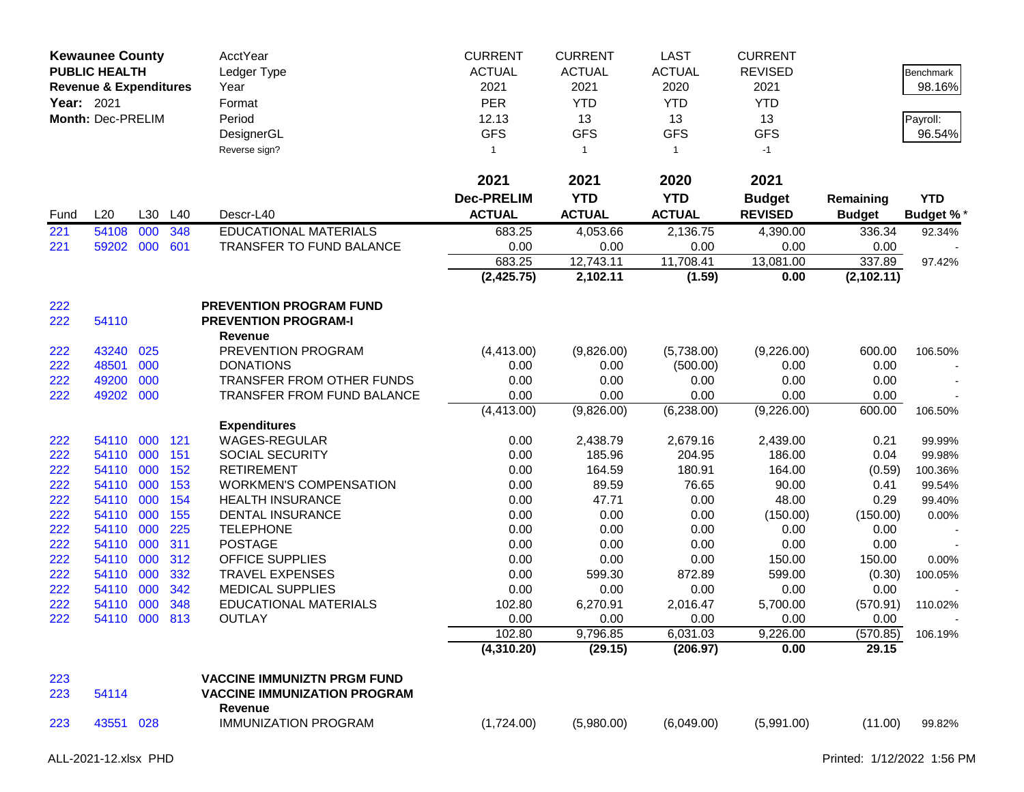| <b>Kewaunee County</b><br><b>PUBLIC HEALTH</b><br><b>Revenue &amp; Expenditures</b><br>Year: 2021<br>Month: Dec-PRELIM |                |            |            | AcctYear<br>Ledger Type<br>Year<br>Format<br>Period<br>DesignerGL<br>Reverse sign? | <b>CURRENT</b><br><b>ACTUAL</b><br>2021<br>PER<br>12.13<br><b>GFS</b><br>$\mathbf{1}$ | <b>CURRENT</b><br><b>ACTUAL</b><br>2021<br><b>YTD</b><br>13<br><b>GFS</b><br>$\overline{1}$ | <b>LAST</b><br><b>ACTUAL</b><br>2020<br><b>YTD</b><br>13<br><b>GFS</b><br>$\mathbf{1}$ | <b>CURRENT</b><br><b>REVISED</b><br>2021<br><b>YTD</b><br>13<br><b>GFS</b><br>$-1$ |                  | Benchmark<br>98.16%<br>Payroll:<br>96.54% |
|------------------------------------------------------------------------------------------------------------------------|----------------|------------|------------|------------------------------------------------------------------------------------|---------------------------------------------------------------------------------------|---------------------------------------------------------------------------------------------|----------------------------------------------------------------------------------------|------------------------------------------------------------------------------------|------------------|-------------------------------------------|
|                                                                                                                        |                |            |            |                                                                                    | 2021                                                                                  | 2021                                                                                        | 2020                                                                                   | 2021                                                                               |                  |                                           |
|                                                                                                                        |                |            |            |                                                                                    | <b>Dec-PRELIM</b>                                                                     | <b>YTD</b>                                                                                  | <b>YTD</b>                                                                             | <b>Budget</b>                                                                      | Remaining        | <b>YTD</b>                                |
| Fund                                                                                                                   | L20            | L30        | L40        | Descr-L40                                                                          | <b>ACTUAL</b>                                                                         | <b>ACTUAL</b>                                                                               | <b>ACTUAL</b>                                                                          | <b>REVISED</b>                                                                     | <b>Budget</b>    | <b>Budget %*</b>                          |
| 221                                                                                                                    | 54108          | 000        | 348        | <b>EDUCATIONAL MATERIALS</b>                                                       | 683.25                                                                                | 4,053.66                                                                                    | 2,136.75                                                                               | 4,390.00                                                                           | 336.34           | 92.34%                                    |
| 221                                                                                                                    | 59202          | 000        | 601        | TRANSFER TO FUND BALANCE                                                           | 0.00                                                                                  | 0.00                                                                                        | 0.00                                                                                   | 0.00                                                                               | 0.00             |                                           |
|                                                                                                                        |                |            |            |                                                                                    | 683.25                                                                                | 12,743.11                                                                                   | 11,708.41                                                                              | 13,081.00                                                                          | 337.89           | 97.42%                                    |
|                                                                                                                        |                |            |            |                                                                                    | (2, 425.75)                                                                           | 2,102.11                                                                                    | (1.59)                                                                                 | 0.00                                                                               | (2, 102.11)      |                                           |
| 222                                                                                                                    |                |            |            | <b>PREVENTION PROGRAM FUND</b>                                                     |                                                                                       |                                                                                             |                                                                                        |                                                                                    |                  |                                           |
| 222                                                                                                                    | 54110          |            |            | <b>PREVENTION PROGRAM-I</b>                                                        |                                                                                       |                                                                                             |                                                                                        |                                                                                    |                  |                                           |
|                                                                                                                        |                |            |            | Revenue                                                                            |                                                                                       |                                                                                             |                                                                                        |                                                                                    |                  |                                           |
| 222                                                                                                                    | 43240          | 025        |            | PREVENTION PROGRAM                                                                 | (4,413.00)                                                                            | (9,826.00)                                                                                  | (5,738.00)                                                                             | (9,226.00)                                                                         | 600.00           | 106.50%                                   |
| 222                                                                                                                    | 48501          | 000        |            | <b>DONATIONS</b>                                                                   | 0.00                                                                                  | 0.00                                                                                        | (500.00)                                                                               | 0.00                                                                               | 0.00             |                                           |
| 222                                                                                                                    | 49200          | 000        |            | TRANSFER FROM OTHER FUNDS                                                          | 0.00                                                                                  | 0.00                                                                                        | 0.00                                                                                   | 0.00                                                                               | 0.00             |                                           |
| 222                                                                                                                    | 49202          | 000        |            | TRANSFER FROM FUND BALANCE                                                         | 0.00                                                                                  | 0.00                                                                                        | 0.00                                                                                   | 0.00                                                                               | 0.00             |                                           |
|                                                                                                                        |                |            |            |                                                                                    | (4, 413.00)                                                                           | (9,826.00)                                                                                  | (6,238.00)                                                                             | (9,226.00)                                                                         | 600.00           | 106.50%                                   |
|                                                                                                                        |                |            |            | <b>Expenditures</b>                                                                |                                                                                       |                                                                                             |                                                                                        |                                                                                    |                  |                                           |
| 222                                                                                                                    | 54110          | 000        | 121        | <b>WAGES-REGULAR</b>                                                               | 0.00                                                                                  | 2,438.79                                                                                    | 2,679.16                                                                               | 2,439.00                                                                           | 0.21             | 99.99%                                    |
| 222                                                                                                                    | 54110          | 000        | 151        | <b>SOCIAL SECURITY</b>                                                             | 0.00                                                                                  | 185.96                                                                                      | 204.95                                                                                 | 186.00                                                                             | 0.04             | 99.98%                                    |
| 222                                                                                                                    | 54110          | 000        | 152        | <b>RETIREMENT</b>                                                                  | 0.00                                                                                  | 164.59                                                                                      | 180.91                                                                                 | 164.00                                                                             | (0.59)           | 100.36%                                   |
| 222                                                                                                                    | 54110          | 000        | 153        | <b>WORKMEN'S COMPENSATION</b>                                                      | 0.00                                                                                  | 89.59                                                                                       | 76.65                                                                                  | 90.00                                                                              | 0.41             | 99.54%                                    |
| 222<br>222                                                                                                             | 54110<br>54110 | 000<br>000 | 154<br>155 | <b>HEALTH INSURANCE</b><br>DENTAL INSURANCE                                        | 0.00<br>0.00                                                                          | 47.71<br>0.00                                                                               | 0.00<br>0.00                                                                           | 48.00                                                                              | 0.29             | 99.40%<br>0.00%                           |
| 222                                                                                                                    | 54110          | 000        | 225        | <b>TELEPHONE</b>                                                                   | 0.00                                                                                  | 0.00                                                                                        | 0.00                                                                                   | (150.00)<br>0.00                                                                   | (150.00)<br>0.00 |                                           |
| 222                                                                                                                    | 54110          | 000        | 311        | <b>POSTAGE</b>                                                                     | 0.00                                                                                  | 0.00                                                                                        | 0.00                                                                                   | 0.00                                                                               | 0.00             |                                           |
| 222                                                                                                                    | 54110          | 000        | 312        | <b>OFFICE SUPPLIES</b>                                                             | 0.00                                                                                  | 0.00                                                                                        | 0.00                                                                                   | 150.00                                                                             | 150.00           | 0.00%                                     |
| 222                                                                                                                    | 54110          | 000        | 332        | <b>TRAVEL EXPENSES</b>                                                             | 0.00                                                                                  | 599.30                                                                                      | 872.89                                                                                 | 599.00                                                                             | (0.30)           | 100.05%                                   |
| 222                                                                                                                    | 54110          | 000        | 342        | <b>MEDICAL SUPPLIES</b>                                                            | 0.00                                                                                  | 0.00                                                                                        | 0.00                                                                                   | 0.00                                                                               | 0.00             |                                           |
| 222                                                                                                                    | 54110          | 000        | 348        | <b>EDUCATIONAL MATERIALS</b>                                                       | 102.80                                                                                | 6,270.91                                                                                    | 2,016.47                                                                               | 5,700.00                                                                           | (570.91)         | 110.02%                                   |
| 222                                                                                                                    | 54110          | 000        | 813        | <b>OUTLAY</b>                                                                      | 0.00                                                                                  | 0.00                                                                                        | 0.00                                                                                   | 0.00                                                                               | 0.00             |                                           |
|                                                                                                                        |                |            |            |                                                                                    | 102.80                                                                                | 9,796.85                                                                                    | 6,031.03                                                                               | 9,226.00                                                                           | (570.85)         | 106.19%                                   |
|                                                                                                                        |                |            |            |                                                                                    | (4,310.20)                                                                            | (29.15)                                                                                     | (206.97)                                                                               | 0.00                                                                               | 29.15            |                                           |
|                                                                                                                        |                |            |            |                                                                                    |                                                                                       |                                                                                             |                                                                                        |                                                                                    |                  |                                           |
| 223                                                                                                                    |                |            |            | <b>VACCINE IMMUNIZTN PRGM FUND</b>                                                 |                                                                                       |                                                                                             |                                                                                        |                                                                                    |                  |                                           |
| 223                                                                                                                    | 54114          |            |            | <b>VACCINE IMMUNIZATION PROGRAM</b>                                                |                                                                                       |                                                                                             |                                                                                        |                                                                                    |                  |                                           |
| 223                                                                                                                    | 43551          | 028        |            | Revenue<br><b>IMMUNIZATION PROGRAM</b>                                             | (1,724.00)                                                                            | (5,980.00)                                                                                  | (6,049.00)                                                                             | (5,991.00)                                                                         | (11.00)          | 99.82%                                    |
|                                                                                                                        |                |            |            |                                                                                    |                                                                                       |                                                                                             |                                                                                        |                                                                                    |                  |                                           |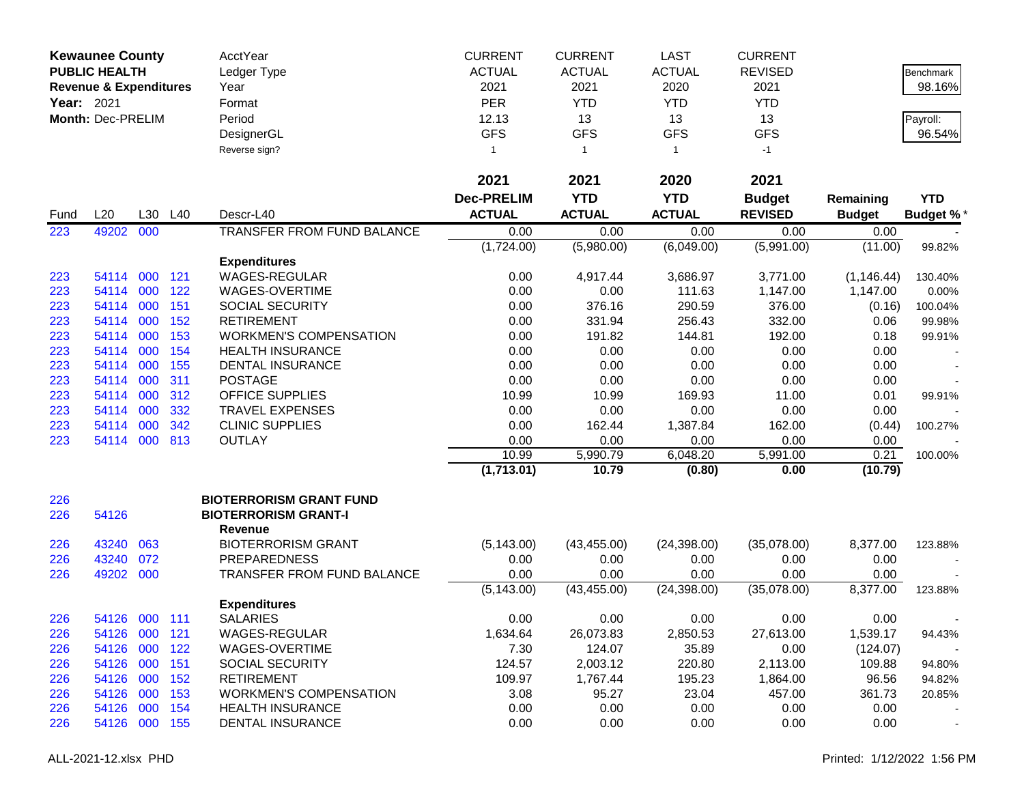|                   | <b>Kewaunee County</b>            |         |     | <b>AcctYear</b>                | <b>CURRENT</b>    | <b>CURRENT</b> | <b>LAST</b>   | <b>CURRENT</b> |               |                  |
|-------------------|-----------------------------------|---------|-----|--------------------------------|-------------------|----------------|---------------|----------------|---------------|------------------|
|                   | <b>PUBLIC HEALTH</b>              |         |     | Ledger Type                    | <b>ACTUAL</b>     | <b>ACTUAL</b>  | <b>ACTUAL</b> | <b>REVISED</b> |               | <b>Benchmark</b> |
|                   | <b>Revenue &amp; Expenditures</b> |         |     | Year                           | 2021              | 2021           | 2020          | 2021           |               | 98.16%           |
| <b>Year: 2021</b> |                                   |         |     | Format                         | <b>PER</b>        | <b>YTD</b>     | <b>YTD</b>    | <b>YTD</b>     |               |                  |
|                   | Month: Dec-PRELIM                 |         |     | Period                         | 12.13             | 13             | 13            | 13             |               | Payroll:         |
|                   |                                   |         |     | DesignerGL                     | <b>GFS</b>        | <b>GFS</b>     | <b>GFS</b>    | <b>GFS</b>     |               | 96.54%           |
|                   |                                   |         |     | Reverse sign?                  | 1                 | $\overline{1}$ | $\mathbf{1}$  | $-1$           |               |                  |
|                   |                                   |         |     |                                |                   |                |               |                |               |                  |
|                   |                                   |         |     |                                | 2021              | 2021           | 2020          | 2021           |               |                  |
|                   |                                   |         |     |                                | <b>Dec-PRELIM</b> | <b>YTD</b>     | <b>YTD</b>    | <b>Budget</b>  | Remaining     | <b>YTD</b>       |
| Fund              | L20                               | L30     | L40 | Descr-L40                      | <b>ACTUAL</b>     | <b>ACTUAL</b>  | <b>ACTUAL</b> | <b>REVISED</b> | <b>Budget</b> | <b>Budget %</b>  |
| 223               | 49202                             | 000     |     | TRANSFER FROM FUND BALANCE     | 0.00              | 0.00           | 0.00          | 0.00           | 0.00          |                  |
|                   |                                   |         |     |                                | (1,724.00)        | (5,980.00)     | (6,049.00)    | (5,991.00)     | (11.00)       | 99.82%           |
|                   |                                   |         |     | <b>Expenditures</b>            |                   |                |               |                |               |                  |
| 223               | 54114                             | 000     | 121 | WAGES-REGULAR                  | 0.00              | 4,917.44       | 3,686.97      | 3,771.00       | (1, 146.44)   | 130.40%          |
| 223               | 54114                             | 000     | 122 | WAGES-OVERTIME                 | 0.00              | 0.00           | 111.63        | 1,147.00       | 1,147.00      | 0.00%            |
| 223               | 54114                             | 000     | 151 | <b>SOCIAL SECURITY</b>         | 0.00              | 376.16         | 290.59        | 376.00         | (0.16)        | 100.04%          |
| 223               | 54114                             | 000     | 152 | <b>RETIREMENT</b>              | 0.00              | 331.94         | 256.43        | 332.00         | 0.06          | 99.98%           |
| 223               | 54114                             | 000     | 153 | <b>WORKMEN'S COMPENSATION</b>  | 0.00              | 191.82         | 144.81        | 192.00         | 0.18          | 99.91%           |
| 223               | 54114                             | 000     | 154 | <b>HEALTH INSURANCE</b>        | 0.00              | 0.00           | 0.00          | 0.00           | 0.00          |                  |
| 223               | 54114                             | 000     | 155 | <b>DENTAL INSURANCE</b>        | 0.00              | 0.00           | 0.00          | 0.00           | 0.00          |                  |
| 223               | 54114                             | 000     | 311 | <b>POSTAGE</b>                 | 0.00              | 0.00           | 0.00          | 0.00           | 0.00          |                  |
| 223               | 54114                             | 000     | 312 | <b>OFFICE SUPPLIES</b>         | 10.99             | 10.99          | 169.93        | 11.00          | 0.01          | 99.91%           |
| 223               | 54114                             | 000     | 332 | <b>TRAVEL EXPENSES</b>         | 0.00              | 0.00           | 0.00          | 0.00           | 0.00          |                  |
| 223               | 54114                             | 000     | 342 | <b>CLINIC SUPPLIES</b>         | 0.00              | 162.44         | 1,387.84      | 162.00         | (0.44)        | 100.27%          |
| 223               | 54114                             | 000     | 813 | <b>OUTLAY</b>                  | 0.00              | 0.00           | 0.00          | 0.00           | 0.00          |                  |
|                   |                                   |         |     |                                | 10.99             | 5,990.79       | 6,048.20      | 5,991.00       | 0.21          | 100.00%          |
|                   |                                   |         |     |                                | (1,713.01)        | 10.79          | (0.80)        | 0.00           | (10.79)       |                  |
| 226               |                                   |         |     | <b>BIOTERRORISM GRANT FUND</b> |                   |                |               |                |               |                  |
| 226               | 54126                             |         |     | <b>BIOTERRORISM GRANT-I</b>    |                   |                |               |                |               |                  |
|                   |                                   |         |     | <b>Revenue</b>                 |                   |                |               |                |               |                  |
| 226               | 43240                             | 063     |     | <b>BIOTERRORISM GRANT</b>      | (5, 143.00)       | (43, 455.00)   | (24, 398.00)  | (35,078.00)    | 8,377.00      | 123.88%          |
| 226               | 43240                             | 072     |     | <b>PREPAREDNESS</b>            | 0.00              | 0.00           | 0.00          | 0.00           | 0.00          |                  |
| 226               | 49202                             | 000     |     | TRANSFER FROM FUND BALANCE     | 0.00              | 0.00           | 0.00          | 0.00           | 0.00          |                  |
|                   |                                   |         |     |                                | (5, 143.00)       | (43, 455.00)   | (24, 398.00)  | (35,078.00)    | 8,377.00      | 123.88%          |
|                   |                                   |         |     | <b>Expenditures</b>            |                   |                |               |                |               |                  |
| 226               | 54126                             | 000 111 |     | <b>SALARIES</b>                | 0.00              | 0.00           | 0.00          | 0.00           | 0.00          |                  |
| 226               | 54126                             | 000 121 |     | WAGES-REGULAR                  | 1,634.64          | 26,073.83      | 2,850.53      | 27,613.00      | 1,539.17      | 94.43%           |
| 226               | 54126                             | 000     | 122 | WAGES-OVERTIME                 | 7.30              | 124.07         | 35.89         | 0.00           | (124.07)      |                  |
| 226               | 54126                             | 000     | 151 | <b>SOCIAL SECURITY</b>         | 124.57            | 2,003.12       | 220.80        | 2,113.00       | 109.88        | 94.80%           |
| 226               | 54126                             | 000     | 152 | <b>RETIREMENT</b>              | 109.97            | 1,767.44       | 195.23        | 1,864.00       | 96.56         | 94.82%           |
| 226               | 54126                             | 000     | 153 | <b>WORKMEN'S COMPENSATION</b>  | 3.08              | 95.27          | 23.04         | 457.00         | 361.73        | 20.85%           |
| 226               | 54126                             | 000 154 |     | <b>HEALTH INSURANCE</b>        | 0.00              | 0.00           | 0.00          | 0.00           | 0.00          |                  |
| 226               | 54126 000 155                     |         |     | DENTAL INSURANCE               | 0.00              | 0.00           | 0.00          | 0.00           | 0.00          | $\blacksquare$   |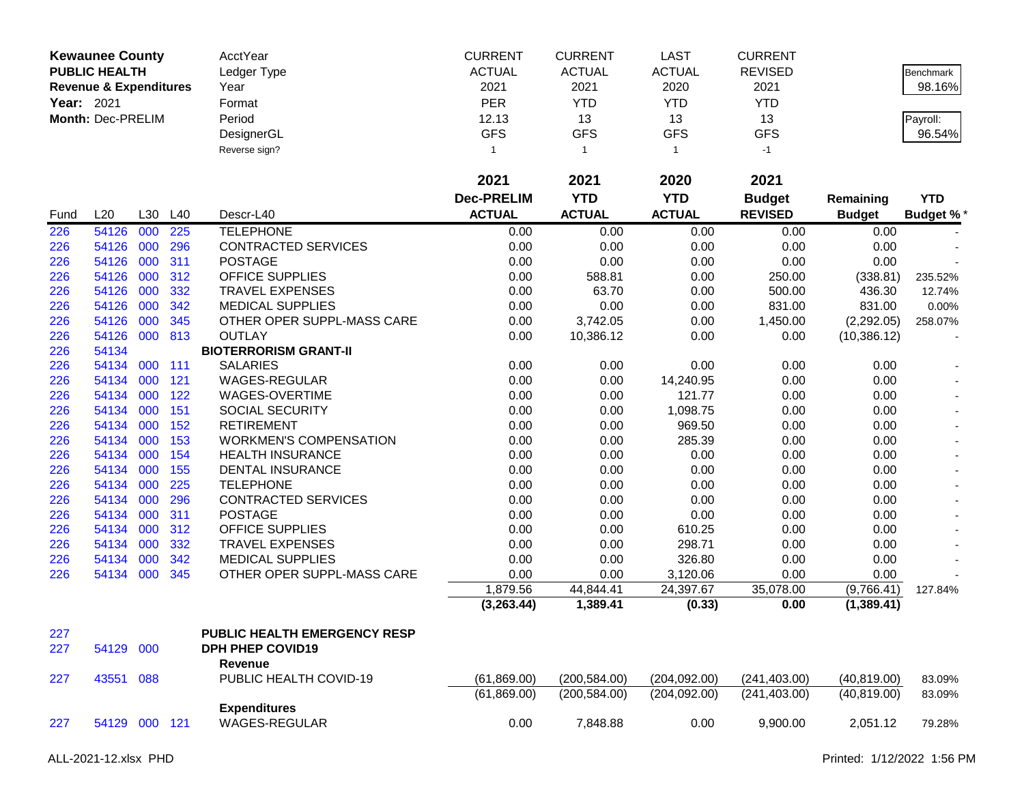| Year: 2021 | <b>Kewaunee County</b><br><b>PUBLIC HEALTH</b><br><b>Revenue &amp; Expenditures</b><br>Month: Dec-PRELIM |         |         | AcctYear<br>Ledger Type<br>Year<br>Format<br>Period<br>DesignerGL | <b>CURRENT</b><br><b>ACTUAL</b><br>2021<br><b>PER</b><br>12.13<br><b>GFS</b> | <b>CURRENT</b><br><b>ACTUAL</b><br>2021<br><b>YTD</b><br>13<br><b>GFS</b> | <b>LAST</b><br><b>ACTUAL</b><br>2020<br><b>YTD</b><br>13<br><b>GFS</b> | <b>CURRENT</b><br><b>REVISED</b><br>2021<br><b>YTD</b><br>13<br><b>GFS</b> |               | Benchmark<br>98.16%<br>Payroll:<br>96.54% |
|------------|----------------------------------------------------------------------------------------------------------|---------|---------|-------------------------------------------------------------------|------------------------------------------------------------------------------|---------------------------------------------------------------------------|------------------------------------------------------------------------|----------------------------------------------------------------------------|---------------|-------------------------------------------|
|            |                                                                                                          |         |         | Reverse sign?                                                     | $\mathbf{1}$                                                                 | $\mathbf{1}$                                                              | $\mathbf{1}$                                                           | $-1$                                                                       |               |                                           |
|            |                                                                                                          |         |         |                                                                   | 2021                                                                         | 2021                                                                      | 2020                                                                   | 2021                                                                       |               |                                           |
|            |                                                                                                          |         |         |                                                                   | <b>Dec-PRELIM</b>                                                            | <b>YTD</b>                                                                | <b>YTD</b>                                                             | <b>Budget</b>                                                              | Remaining     | <b>YTD</b>                                |
| Fund       | L20                                                                                                      |         | L30 L40 | Descr-L40                                                         | <b>ACTUAL</b>                                                                | <b>ACTUAL</b>                                                             | <b>ACTUAL</b>                                                          | <b>REVISED</b>                                                             | <b>Budget</b> | <b>Budget %*</b>                          |
| 226        | 54126                                                                                                    | 000     | 225     | <b>TELEPHONE</b>                                                  | 0.00                                                                         | 0.00                                                                      | 0.00                                                                   | 0.00                                                                       | 0.00          |                                           |
| 226        | 54126                                                                                                    | 000     | 296     | CONTRACTED SERVICES                                               | 0.00                                                                         | 0.00                                                                      | 0.00                                                                   | 0.00                                                                       | 0.00          |                                           |
| 226        | 54126                                                                                                    | 000     | 311     | <b>POSTAGE</b>                                                    | 0.00                                                                         | 0.00                                                                      | 0.00                                                                   | 0.00                                                                       | 0.00          |                                           |
| 226        | 54126                                                                                                    | 000     | 312     | OFFICE SUPPLIES                                                   | 0.00                                                                         | 588.81                                                                    | 0.00                                                                   | 250.00                                                                     | (338.81)      | 235.52%                                   |
| 226        | 54126                                                                                                    | 000     | 332     | <b>TRAVEL EXPENSES</b>                                            | 0.00                                                                         | 63.70                                                                     | 0.00                                                                   | 500.00                                                                     | 436.30        | 12.74%                                    |
| 226        | 54126                                                                                                    | 000     | 342     | <b>MEDICAL SUPPLIES</b>                                           | 0.00                                                                         | 0.00                                                                      | 0.00                                                                   | 831.00                                                                     | 831.00        | 0.00%                                     |
| 226        | 54126                                                                                                    | 000     | 345     | OTHER OPER SUPPL-MASS CARE                                        | 0.00                                                                         | 3,742.05                                                                  | 0.00                                                                   | 1,450.00                                                                   | (2,292.05)    | 258.07%                                   |
| 226        | 54126                                                                                                    |         | 000 813 | <b>OUTLAY</b>                                                     | 0.00                                                                         | 10,386.12                                                                 | 0.00                                                                   | 0.00                                                                       | (10, 386.12)  |                                           |
| 226        | 54134                                                                                                    |         |         | <b>BIOTERRORISM GRANT-II</b>                                      |                                                                              |                                                                           |                                                                        |                                                                            |               |                                           |
| 226        | 54134                                                                                                    | 000 111 |         | <b>SALARIES</b>                                                   | 0.00                                                                         | 0.00                                                                      | 0.00                                                                   | 0.00                                                                       | 0.00          |                                           |
| 226        | 54134                                                                                                    | 000     | 121     | WAGES-REGULAR                                                     | 0.00                                                                         | 0.00                                                                      | 14,240.95                                                              | 0.00                                                                       | 0.00          |                                           |
| 226        | 54134 000                                                                                                |         | 122     | WAGES-OVERTIME                                                    | 0.00                                                                         | 0.00                                                                      | 121.77                                                                 | 0.00                                                                       | 0.00          |                                           |
| 226        | 54134 000                                                                                                |         | 151     | SOCIAL SECURITY                                                   | 0.00                                                                         | 0.00                                                                      | 1,098.75                                                               | 0.00                                                                       | 0.00          |                                           |
| 226        | 54134                                                                                                    | 000     | 152     | <b>RETIREMENT</b>                                                 | 0.00                                                                         | 0.00                                                                      | 969.50                                                                 | 0.00                                                                       | 0.00          |                                           |
| 226        | 54134                                                                                                    | 000     | 153     | <b>WORKMEN'S COMPENSATION</b>                                     | 0.00                                                                         | 0.00                                                                      | 285.39                                                                 | 0.00                                                                       | 0.00          |                                           |
| 226        | 54134                                                                                                    | 000     | 154     | <b>HEALTH INSURANCE</b>                                           | 0.00                                                                         | 0.00                                                                      | 0.00                                                                   | 0.00                                                                       | 0.00          |                                           |
| 226        | 54134                                                                                                    | 000     | 155     | <b>DENTAL INSURANCE</b>                                           | 0.00                                                                         | 0.00                                                                      | 0.00                                                                   | 0.00                                                                       | 0.00          |                                           |
| 226        | 54134                                                                                                    | 000     | 225     | <b>TELEPHONE</b>                                                  | 0.00                                                                         | 0.00                                                                      | 0.00                                                                   | 0.00                                                                       | 0.00          |                                           |
| 226        | 54134                                                                                                    | 000     | 296     | CONTRACTED SERVICES                                               | 0.00                                                                         | 0.00                                                                      | 0.00                                                                   | 0.00                                                                       | 0.00          |                                           |
| 226        | 54134                                                                                                    | 000     | 311     | <b>POSTAGE</b>                                                    | 0.00                                                                         | 0.00                                                                      | 0.00                                                                   | 0.00                                                                       | 0.00          |                                           |
| 226        | 54134                                                                                                    | 000     | 312     | OFFICE SUPPLIES                                                   | 0.00                                                                         | 0.00                                                                      | 610.25                                                                 | 0.00                                                                       | 0.00          |                                           |
| 226        | 54134                                                                                                    | 000     | 332     | <b>TRAVEL EXPENSES</b>                                            | 0.00                                                                         | 0.00                                                                      | 298.71                                                                 | 0.00                                                                       | 0.00          |                                           |
| 226        | 54134                                                                                                    | 000     | 342     | <b>MEDICAL SUPPLIES</b>                                           | 0.00                                                                         | 0.00                                                                      | 326.80                                                                 | 0.00                                                                       | 0.00          |                                           |
| 226        | 54134 000                                                                                                |         | 345     | OTHER OPER SUPPL-MASS CARE                                        | 0.00                                                                         | 0.00                                                                      | 3,120.06                                                               | 0.00                                                                       | 0.00          |                                           |
|            |                                                                                                          |         |         |                                                                   | 1,879.56                                                                     | 44,844.41                                                                 | 24,397.67                                                              | 35,078.00                                                                  | (9,766.41)    | 127.84%                                   |
|            |                                                                                                          |         |         |                                                                   | (3,263.44)                                                                   | 1,389.41                                                                  | (0.33)                                                                 | 0.00                                                                       | (1,389.41)    |                                           |
| 227        |                                                                                                          |         |         | PUBLIC HEALTH EMERGENCY RESP                                      |                                                                              |                                                                           |                                                                        |                                                                            |               |                                           |
| 227        | 54129                                                                                                    | 000     |         | <b>DPH PHEP COVID19</b>                                           |                                                                              |                                                                           |                                                                        |                                                                            |               |                                           |
|            |                                                                                                          |         |         | Revenue                                                           |                                                                              |                                                                           |                                                                        |                                                                            |               |                                           |
| 227        | 43551 088                                                                                                |         |         | PUBLIC HEALTH COVID-19                                            | (61, 869.00)                                                                 | (200, 584.00)                                                             | (204, 092.00)                                                          | (241, 403.00)                                                              | (40, 819.00)  | 83.09%                                    |
|            |                                                                                                          |         |         |                                                                   | (61,869.00)                                                                  | (200, 584.00)                                                             | (204, 092.00)                                                          | (241, 403.00)                                                              | (40, 819.00)  | 83.09%                                    |
|            |                                                                                                          |         |         | <b>Expenditures</b>                                               |                                                                              |                                                                           |                                                                        |                                                                            |               |                                           |
| 227        | 54129 000 121                                                                                            |         |         | WAGES-REGULAR                                                     | 0.00                                                                         | 7,848.88                                                                  | 0.00                                                                   | 9,900.00                                                                   | 2,051.12      | 79.28%                                    |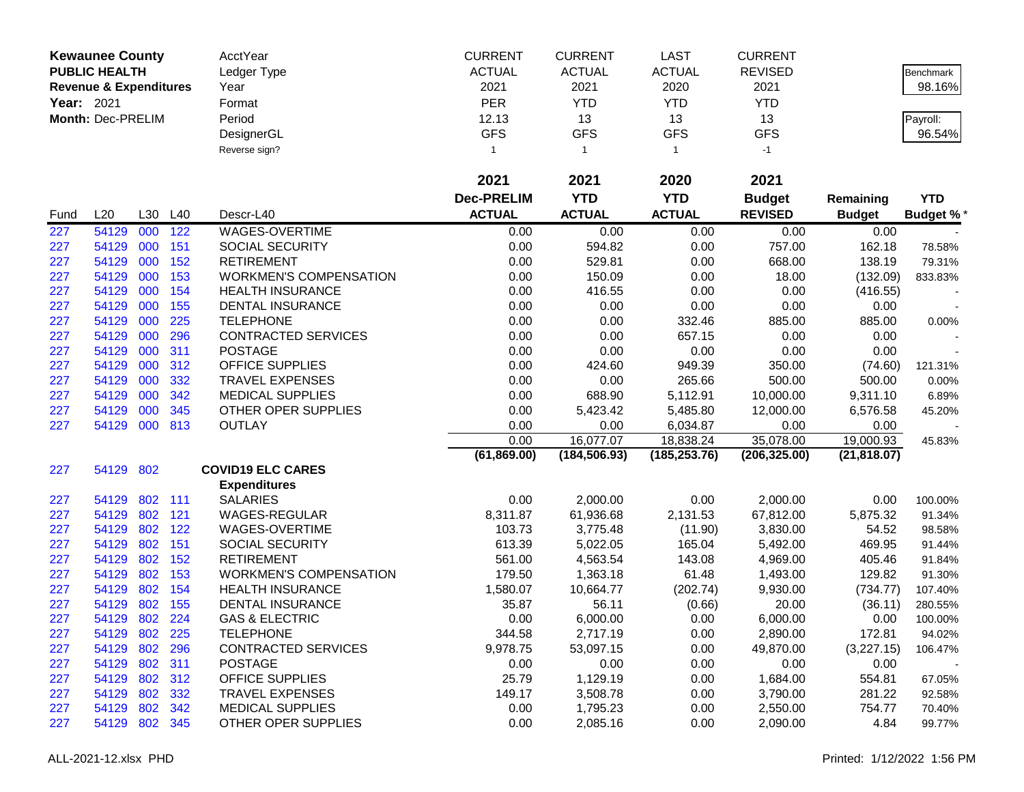|            | <b>Kewaunee County</b>            |            |            | AcctYear                                    | <b>CURRENT</b>    | <b>CURRENT</b>       | LAST            | <b>CURRENT</b>       |                  |                    |
|------------|-----------------------------------|------------|------------|---------------------------------------------|-------------------|----------------------|-----------------|----------------------|------------------|--------------------|
|            | <b>PUBLIC HEALTH</b>              |            |            | Ledger Type                                 | <b>ACTUAL</b>     | <b>ACTUAL</b>        | <b>ACTUAL</b>   | <b>REVISED</b>       |                  | Benchmark          |
|            | <b>Revenue &amp; Expenditures</b> |            |            | Year                                        | 2021              | 2021                 | 2020            | 2021                 |                  | 98.16%             |
| Year: 2021 |                                   |            |            | Format                                      | PER               | <b>YTD</b>           | <b>YTD</b>      | <b>YTD</b>           |                  |                    |
|            | Month: Dec-PRELIM                 |            |            | Period                                      | 12.13             | 13                   | 13              | 13                   |                  | Payroll:           |
|            |                                   |            |            | DesignerGL                                  | <b>GFS</b>        | <b>GFS</b>           | <b>GFS</b>      | <b>GFS</b>           |                  | 96.54%             |
|            |                                   |            |            | Reverse sign?                               | 1                 | $\overline{1}$       | $\mathbf{1}$    | $-1$                 |                  |                    |
|            |                                   |            |            |                                             |                   |                      |                 |                      |                  |                    |
|            |                                   |            |            |                                             | 2021              | 2021                 | 2020            | 2021                 |                  |                    |
|            |                                   |            |            |                                             | <b>Dec-PRELIM</b> | <b>YTD</b>           | <b>YTD</b>      | <b>Budget</b>        | Remaining        | <b>YTD</b>         |
| Fund       | L20                               |            | L30 L40    | Descr-L40                                   | <b>ACTUAL</b>     | <b>ACTUAL</b>        | <b>ACTUAL</b>   | <b>REVISED</b>       | <b>Budget</b>    | <b>Budget %*</b>   |
| 227        | 54129                             | 000        | 122        | <b>WAGES-OVERTIME</b>                       | 0.00              | 0.00                 | 0.00            | 0.00                 | 0.00             |                    |
| 227        | 54129                             | 000        | 151        | <b>SOCIAL SECURITY</b>                      | 0.00              | 594.82               | 0.00            | 757.00               | 162.18           | 78.58%             |
| 227        | 54129                             | 000        | 152        | <b>RETIREMENT</b>                           | 0.00              | 529.81               | 0.00            | 668.00               | 138.19           | 79.31%             |
| 227        | 54129                             | 000        | 153        | <b>WORKMEN'S COMPENSATION</b>               | 0.00              | 150.09               | 0.00            | 18.00                | (132.09)         | 833.83%            |
| 227        | 54129                             | 000        | 154        | <b>HEALTH INSURANCE</b>                     | 0.00              | 416.55               | 0.00            | 0.00                 | (416.55)         |                    |
| 227        | 54129                             | 000        | 155        | <b>DENTAL INSURANCE</b>                     | 0.00              | 0.00                 | 0.00            | 0.00                 | 0.00             |                    |
| 227        | 54129                             | 000        | 225        | <b>TELEPHONE</b>                            | 0.00              | 0.00                 | 332.46          | 885.00               | 885.00           | 0.00%              |
| 227        | 54129                             | 000        | 296        | <b>CONTRACTED SERVICES</b>                  | 0.00              | 0.00                 | 657.15          | 0.00                 | 0.00             |                    |
| 227        | 54129                             | 000        | 311        | <b>POSTAGE</b>                              | 0.00              | 0.00                 | 0.00            | 0.00                 | 0.00             |                    |
| 227        | 54129                             | 000        | 312        | OFFICE SUPPLIES                             | 0.00              | 424.60               | 949.39          | 350.00               | (74.60)          | 121.31%            |
| 227        | 54129                             | 000        | 332        | <b>TRAVEL EXPENSES</b>                      | 0.00              | 0.00                 | 265.66          | 500.00               | 500.00           | 0.00%              |
| 227        | 54129                             | 000        | 342        | <b>MEDICAL SUPPLIES</b>                     | 0.00              | 688.90               | 5,112.91        | 10,000.00            | 9,311.10         | 6.89%              |
| 227        | 54129                             | 000        | 345        | OTHER OPER SUPPLIES                         | 0.00              | 5,423.42             | 5,485.80        | 12,000.00            | 6,576.58         | 45.20%             |
| 227        | 54129                             | 000        | 813        | <b>OUTLAY</b>                               | 0.00              | 0.00                 | 6,034.87        | 0.00                 | 0.00             |                    |
|            |                                   |            |            |                                             | 0.00              | 16,077.07            | 18,838.24       | 35,078.00            | 19,000.93        | 45.83%             |
|            |                                   |            |            |                                             | (61, 869.00)      | (184, 506.93)        | (185, 253.76)   | (206, 325.00)        | (21, 818.07)     |                    |
| 227        | 54129 802                         |            |            | <b>COVID19 ELC CARES</b>                    |                   |                      |                 |                      |                  |                    |
|            |                                   |            |            | <b>Expenditures</b>                         |                   |                      |                 |                      |                  |                    |
| 227        | 54129                             |            | 802 111    | <b>SALARIES</b>                             | 0.00              | 2,000.00             | 0.00            | 2,000.00             | 0.00             | 100.00%            |
| 227        | 54129                             | 802        | 121        | WAGES-REGULAR                               | 8,311.87          | 61,936.68            | 2,131.53        | 67,812.00            | 5,875.32         | 91.34%             |
| 227        | 54129                             | 802<br>802 | 122<br>151 | WAGES-OVERTIME                              | 103.73            | 3,775.48             | (11.90)         | 3,830.00             | 54.52            | 98.58%             |
| 227        | 54129                             | 802        |            | <b>SOCIAL SECURITY</b><br><b>RETIREMENT</b> | 613.39            | 5,022.05             | 165.04          | 5,492.00             | 469.95           | 91.44%             |
| 227<br>227 | 54129<br>54129                    | 802        | 152<br>153 | <b>WORKMEN'S COMPENSATION</b>               | 561.00<br>179.50  | 4,563.54<br>1,363.18 | 143.08<br>61.48 | 4,969.00<br>1,493.00 | 405.46<br>129.82 | 91.84%             |
| 227        | 54129                             | 802        | 154        | <b>HEALTH INSURANCE</b>                     | 1,580.07          | 10,664.77            | (202.74)        | 9,930.00             | (734.77)         | 91.30%<br>107.40%  |
| 227        | 54129                             | 802        | 155        | DENTAL INSURANCE                            | 35.87             | 56.11                | (0.66)          | 20.00                | (36.11)          |                    |
| 227        | 54129                             | 802        | 224        | <b>GAS &amp; ELECTRIC</b>                   | 0.00              | 6,000.00             | 0.00            | 6,000.00             | 0.00             | 280.55%<br>100.00% |
| 227        | 54129                             | 802        | 225        | <b>TELEPHONE</b>                            | 344.58            | 2,717.19             | 0.00            | 2,890.00             | 172.81           | 94.02%             |
| 227        | 54129                             | 802        | 296        | <b>CONTRACTED SERVICES</b>                  | 9,978.75          | 53,097.15            | 0.00            | 49,870.00            | (3,227.15)       | 106.47%            |
| 227        | 54129                             |            | 802 311    | <b>POSTAGE</b>                              | 0.00              | 0.00                 | 0.00            | 0.00                 | 0.00             |                    |
| 227        | 54129                             |            | 802 312    | <b>OFFICE SUPPLIES</b>                      | 25.79             | 1,129.19             | 0.00            | 1,684.00             | 554.81           | 67.05%             |
| 227        | 54129                             | 802        | 332        | <b>TRAVEL EXPENSES</b>                      | 149.17            | 3,508.78             | 0.00            | 3,790.00             | 281.22           | 92.58%             |
| 227        | 54129                             | 802        | 342        | <b>MEDICAL SUPPLIES</b>                     | 0.00              | 1,795.23             | 0.00            | 2,550.00             | 754.77           | 70.40%             |
| 227        | 54129                             | 802 345    |            | OTHER OPER SUPPLIES                         | 0.00              | 2,085.16             | 0.00            | 2,090.00             | 4.84             | 99.77%             |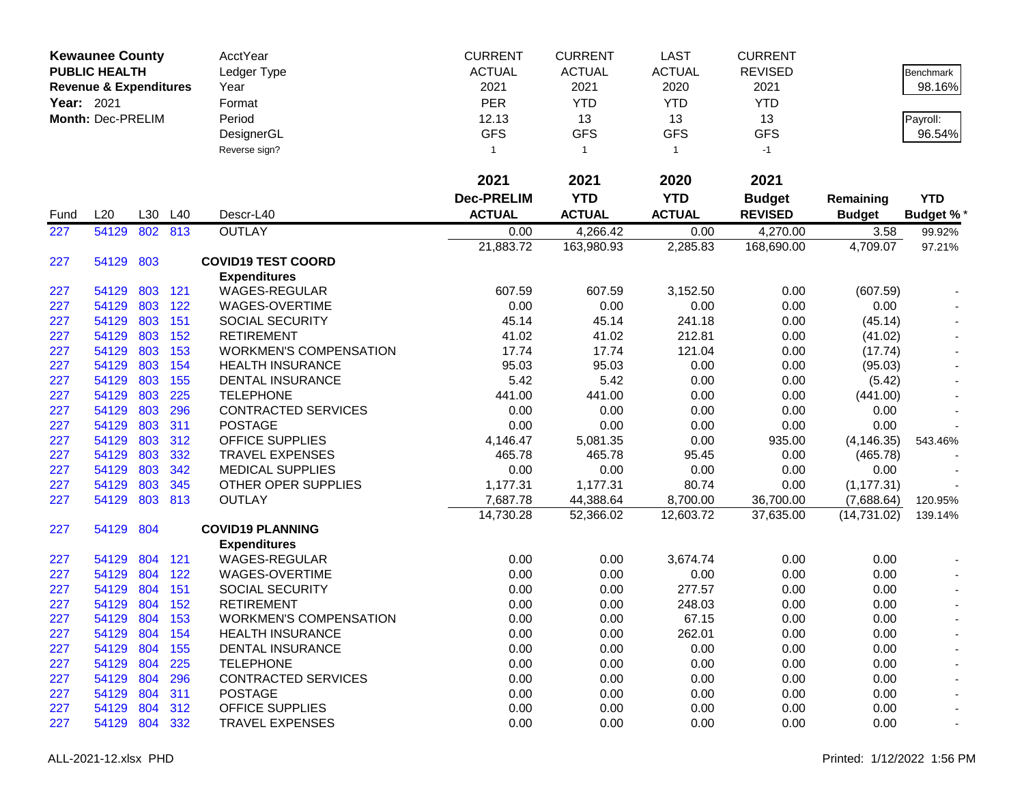|            | <b>Kewaunee County</b><br><b>PUBLIC HEALTH</b> |         |         | AcctYear<br>Ledger Type       | <b>CURRENT</b><br><b>ACTUAL</b> | <b>CURRENT</b><br><b>ACTUAL</b> | <b>LAST</b><br><b>ACTUAL</b> | <b>CURRENT</b><br><b>REVISED</b> |               | Benchmark        |
|------------|------------------------------------------------|---------|---------|-------------------------------|---------------------------------|---------------------------------|------------------------------|----------------------------------|---------------|------------------|
|            | <b>Revenue &amp; Expenditures</b>              |         |         | Year                          | 2021                            | 2021                            | 2020                         | 2021                             |               | 98.16%           |
| Year: 2021 |                                                |         |         | Format                        | PER                             | <b>YTD</b>                      | <b>YTD</b>                   | <b>YTD</b>                       |               |                  |
|            | Month: Dec-PRELIM                              |         |         | Period                        | 12.13                           | 13                              | 13                           | 13                               |               | Payroll:         |
|            |                                                |         |         | DesignerGL                    | <b>GFS</b>                      | <b>GFS</b>                      | <b>GFS</b>                   | <b>GFS</b>                       |               | 96.54%           |
|            |                                                |         |         | Reverse sign?                 | 1                               | $\overline{1}$                  | $\mathbf{1}$                 | $-1$                             |               |                  |
|            |                                                |         |         |                               | 2021                            | 2021                            | 2020                         | 2021                             |               |                  |
|            |                                                |         |         |                               | <b>Dec-PRELIM</b>               | <b>YTD</b>                      | <b>YTD</b>                   | <b>Budget</b>                    | Remaining     | <b>YTD</b>       |
| Fund       | L20                                            |         | L30 L40 | Descr-L40                     | <b>ACTUAL</b>                   | <b>ACTUAL</b>                   | <b>ACTUAL</b>                | <b>REVISED</b>                   | <b>Budget</b> | <b>Budget %*</b> |
| 227        | 54129                                          | 802     | 813     | <b>OUTLAY</b>                 | 0.00                            | 4,266.42                        | 0.00                         | 4,270.00                         | 3.58          | 99.92%           |
|            |                                                |         |         |                               | 21,883.72                       | 163,980.93                      | 2,285.83                     | 168,690.00                       | 4,709.07      | 97.21%           |
| 227        | 54129                                          | 803     |         | <b>COVID19 TEST COORD</b>     |                                 |                                 |                              |                                  |               |                  |
|            |                                                |         |         | <b>Expenditures</b>           |                                 |                                 |                              |                                  |               |                  |
| 227        | 54129                                          | 803 121 |         | WAGES-REGULAR                 | 607.59                          | 607.59                          | 3,152.50                     | 0.00                             | (607.59)      |                  |
| 227        | 54129                                          | 803     | 122     | WAGES-OVERTIME                | 0.00                            | 0.00                            | 0.00                         | 0.00                             | 0.00          |                  |
| 227        | 54129                                          | 803     | 151     | <b>SOCIAL SECURITY</b>        | 45.14                           | 45.14                           | 241.18                       | 0.00                             | (45.14)       |                  |
| 227        | 54129                                          | 803     | 152     | <b>RETIREMENT</b>             | 41.02                           | 41.02                           | 212.81                       | 0.00                             | (41.02)       |                  |
| 227        | 54129                                          | 803     | 153     | <b>WORKMEN'S COMPENSATION</b> | 17.74                           | 17.74                           | 121.04                       | 0.00                             | (17.74)       |                  |
| 227        | 54129                                          | 803     | 154     | <b>HEALTH INSURANCE</b>       | 95.03                           | 95.03                           | 0.00                         | 0.00                             | (95.03)       |                  |
| 227        | 54129                                          | 803     | 155     | <b>DENTAL INSURANCE</b>       | 5.42                            | 5.42                            | 0.00                         | 0.00                             | (5.42)        |                  |
| 227        | 54129                                          | 803     | 225     | <b>TELEPHONE</b>              | 441.00                          | 441.00                          | 0.00                         | 0.00                             | (441.00)      |                  |
| 227        | 54129                                          | 803     | 296     | <b>CONTRACTED SERVICES</b>    | 0.00                            | 0.00                            | 0.00                         | 0.00                             | 0.00          |                  |
| 227        | 54129                                          | 803     | 311     | <b>POSTAGE</b>                | 0.00                            | 0.00                            | 0.00                         | 0.00                             | 0.00          |                  |
| 227        | 54129                                          | 803     | 312     | <b>OFFICE SUPPLIES</b>        | 4,146.47                        | 5,081.35                        | 0.00                         | 935.00                           | (4, 146.35)   | 543.46%          |
| 227        | 54129                                          | 803     | 332     | <b>TRAVEL EXPENSES</b>        | 465.78                          | 465.78                          | 95.45                        | 0.00                             | (465.78)      |                  |
| 227        | 54129                                          | 803     | 342     | <b>MEDICAL SUPPLIES</b>       | 0.00                            | 0.00                            | 0.00                         | 0.00                             | 0.00          |                  |
| 227        | 54129                                          | 803     | 345     | OTHER OPER SUPPLIES           | 1,177.31                        | 1,177.31                        | 80.74                        | 0.00                             | (1, 177.31)   |                  |
| 227        | 54129                                          | 803     | 813     | <b>OUTLAY</b>                 | 7,687.78                        | 44,388.64                       | 8,700.00                     | 36,700.00                        | (7,688.64)    | 120.95%          |
|            |                                                |         |         |                               | 14,730.28                       | 52,366.02                       | 12,603.72                    | 37,635.00                        | (14, 731.02)  | 139.14%          |
| 227        | 54129                                          | 804     |         | <b>COVID19 PLANNING</b>       |                                 |                                 |                              |                                  |               |                  |
|            |                                                |         |         | <b>Expenditures</b>           |                                 |                                 |                              |                                  |               |                  |
| 227        | 54129                                          | 804     | 121     | <b>WAGES-REGULAR</b>          | 0.00                            | 0.00                            | 3,674.74                     | 0.00                             | 0.00          |                  |
| 227        | 54129                                          | 804     | 122     | WAGES-OVERTIME                | 0.00                            | 0.00                            | 0.00                         | 0.00                             | 0.00          |                  |
| 227        | 54129                                          | 804     | 151     | SOCIAL SECURITY               | 0.00                            | 0.00                            | 277.57                       | 0.00                             | 0.00          |                  |
| 227        | 54129                                          | 804     | 152     | <b>RETIREMENT</b>             | 0.00                            | 0.00                            | 248.03                       | 0.00                             | 0.00          |                  |
| 227        | 54129                                          | 804     | 153     | <b>WORKMEN'S COMPENSATION</b> | 0.00                            | 0.00                            | 67.15                        | 0.00                             | 0.00          |                  |
| 227        | 54129                                          | 804 154 |         | HEALTH INSURANCE              | 0.00                            | 0.00                            | 262.01                       | 0.00                             | 0.00          | $\blacksquare$   |
| 227        | 54129 804                                      |         | 155     | <b>DENTAL INSURANCE</b>       | 0.00                            | 0.00                            | 0.00                         | 0.00                             | 0.00          |                  |
| 227        | 54129                                          | 804     | 225     | <b>TELEPHONE</b>              | 0.00                            | 0.00                            | 0.00                         | 0.00                             | 0.00          |                  |
| 227        | 54129                                          | 804     | 296     | <b>CONTRACTED SERVICES</b>    | 0.00                            | 0.00                            | 0.00                         | 0.00                             | 0.00          |                  |
| 227        | 54129                                          | 804     | 311     | <b>POSTAGE</b>                | 0.00                            | 0.00                            | 0.00                         | 0.00                             | 0.00          |                  |
| 227        | 54129                                          | 804 312 |         | <b>OFFICE SUPPLIES</b>        | 0.00                            | 0.00                            | 0.00                         | 0.00                             | 0.00          |                  |
| 227        | 54129 804 332                                  |         |         | <b>TRAVEL EXPENSES</b>        | 0.00                            | 0.00                            | 0.00                         | 0.00                             | 0.00          |                  |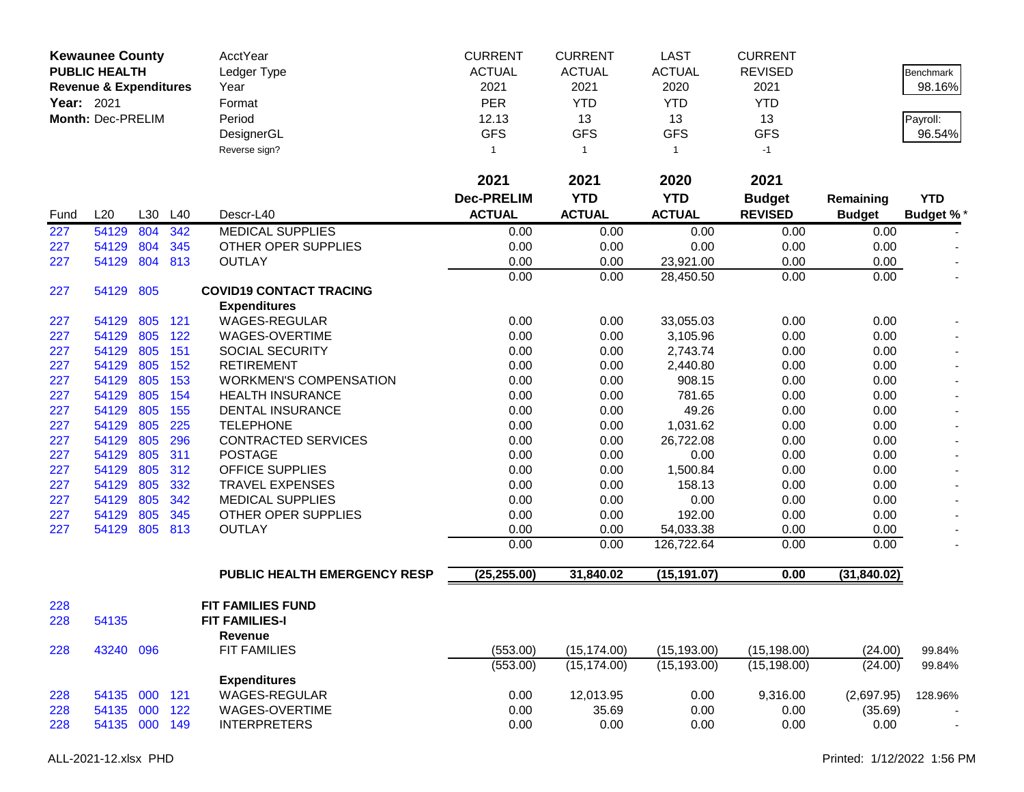|                   | <b>Kewaunee County</b>            |         |         | AcctYear                       | <b>CURRENT</b>    | <b>CURRENT</b> | LAST          | <b>CURRENT</b> |               |                  |
|-------------------|-----------------------------------|---------|---------|--------------------------------|-------------------|----------------|---------------|----------------|---------------|------------------|
|                   | <b>PUBLIC HEALTH</b>              |         |         | Ledger Type                    | <b>ACTUAL</b>     | <b>ACTUAL</b>  | <b>ACTUAL</b> | <b>REVISED</b> |               | <b>Benchmark</b> |
|                   | <b>Revenue &amp; Expenditures</b> |         |         | Year                           | 2021              | 2021           | 2020          | 2021           |               | 98.16%           |
| <b>Year: 2021</b> |                                   |         |         | Format                         | <b>PER</b>        | <b>YTD</b>     | <b>YTD</b>    | <b>YTD</b>     |               |                  |
|                   | Month: Dec-PRELIM                 |         |         | Period                         | 12.13             | 13             | 13            | 13             |               | Payroll:         |
|                   |                                   |         |         | DesignerGL                     | <b>GFS</b>        | <b>GFS</b>     | <b>GFS</b>    | <b>GFS</b>     |               | 96.54%           |
|                   |                                   |         |         |                                | 1                 |                | $\mathbf{1}$  |                |               |                  |
|                   |                                   |         |         | Reverse sign?                  |                   | $\overline{1}$ |               | $-1$           |               |                  |
|                   |                                   |         |         |                                | 2021              | 2021           | 2020          | 2021           |               |                  |
|                   |                                   |         |         |                                | <b>Dec-PRELIM</b> | <b>YTD</b>     | <b>YTD</b>    | <b>Budget</b>  | Remaining     | <b>YTD</b>       |
| Fund              | L20                               | L30     | L40     | Descr-L40                      | <b>ACTUAL</b>     | <b>ACTUAL</b>  | <b>ACTUAL</b> | <b>REVISED</b> | <b>Budget</b> | <b>Budget %*</b> |
| 227               | 54129                             | 804     | 342     | <b>MEDICAL SUPPLIES</b>        | 0.00              | 0.00           | 0.00          | 0.00           | 0.00          |                  |
| 227               | 54129                             | 804     | 345     | OTHER OPER SUPPLIES            | 0.00              | 0.00           | 0.00          | 0.00           | 0.00          |                  |
| 227               | 54129                             | 804     | 813     | <b>OUTLAY</b>                  | 0.00              | 0.00           | 23,921.00     | 0.00           | 0.00          |                  |
|                   |                                   |         |         |                                | 0.00              | 0.00           | 28,450.50     | 0.00           | 0.00          |                  |
| 227               | 54129 805                         |         |         | <b>COVID19 CONTACT TRACING</b> |                   |                |               |                |               |                  |
|                   |                                   |         |         | <b>Expenditures</b>            |                   |                |               |                |               |                  |
| 227               | 54129                             |         | 805 121 | WAGES-REGULAR                  | 0.00              | 0.00           | 33,055.03     | 0.00           | 0.00          |                  |
| 227               | 54129                             | 805     | 122     | WAGES-OVERTIME                 | 0.00              | 0.00           | 3,105.96      | 0.00           | 0.00          |                  |
| 227               | 54129                             | 805     | 151     | SOCIAL SECURITY                | 0.00              | 0.00           | 2,743.74      | 0.00           | 0.00          |                  |
| 227               | 54129                             | 805     | 152     | <b>RETIREMENT</b>              | 0.00              | 0.00           | 2,440.80      | 0.00           | 0.00          |                  |
| 227               | 54129                             | 805     | 153     | <b>WORKMEN'S COMPENSATION</b>  | 0.00              | 0.00           | 908.15        | 0.00           | 0.00          |                  |
| 227               | 54129                             | 805     | 154     | <b>HEALTH INSURANCE</b>        | 0.00              | 0.00           | 781.65        | 0.00           | 0.00          |                  |
| 227               | 54129                             | 805     | 155     | DENTAL INSURANCE               | 0.00              | 0.00           | 49.26         | 0.00           | 0.00          |                  |
| 227               | 54129                             | 805     | 225     | <b>TELEPHONE</b>               | 0.00              | 0.00           | 1,031.62      | 0.00           | 0.00          |                  |
| 227               | 54129                             | 805     | 296     | <b>CONTRACTED SERVICES</b>     | 0.00              | 0.00           | 26,722.08     | 0.00           | 0.00          |                  |
| 227               | 54129                             | 805     | 311     | <b>POSTAGE</b>                 | 0.00              | 0.00           | 0.00          | 0.00           | 0.00          |                  |
| 227               | 54129                             | 805     | 312     | <b>OFFICE SUPPLIES</b>         | 0.00              | 0.00           | 1,500.84      | 0.00           | 0.00          |                  |
| 227               | 54129                             | 805     | 332     | <b>TRAVEL EXPENSES</b>         | 0.00              | 0.00           | 158.13        | 0.00           | 0.00          |                  |
| 227               | 54129                             | 805     | 342     | <b>MEDICAL SUPPLIES</b>        | 0.00              | 0.00           | 0.00          | 0.00           | 0.00          |                  |
| 227               | 54129                             | 805     | 345     | OTHER OPER SUPPLIES            | 0.00              | 0.00           | 192.00        | 0.00           | 0.00          |                  |
| 227               | 54129                             | 805     | 813     | <b>OUTLAY</b>                  | 0.00              | 0.00           | 54,033.38     | 0.00           | 0.00          |                  |
|                   |                                   |         |         |                                | 0.00              | 0.00           | 126,722.64    | 0.00           | 0.00          |                  |
|                   |                                   |         |         | PUBLIC HEALTH EMERGENCY RESP   | (25, 255.00)      | 31,840.02      | (15, 191.07)  | 0.00           | (31, 840.02)  |                  |
|                   |                                   |         |         |                                |                   |                |               |                |               |                  |
| 228               |                                   |         |         | FIT FAMILIES FUND              |                   |                |               |                |               |                  |
| 228               | 54135                             |         |         | <b>FIT FAMILIES-I</b>          |                   |                |               |                |               |                  |
|                   |                                   |         |         | Revenue                        |                   |                |               |                |               |                  |
| 228               | 43240                             | 096     |         | <b>FIT FAMILIES</b>            | (553.00)          | (15, 174.00)   | (15, 193.00)  | (15, 198.00)   | (24.00)       | 99.84%           |
|                   |                                   |         |         |                                | (553.00)          | (15, 174.00)   | (15, 193.00)  | (15, 198.00)   | (24.00)       | 99.84%           |
|                   |                                   |         |         | <b>Expenditures</b>            |                   |                |               |                |               |                  |
| 228               | 54135                             | 000 121 |         | WAGES-REGULAR                  | 0.00              | 12,013.95      | 0.00          | 9,316.00       | (2,697.95)    | 128.96%          |
| 228               | 54135                             |         | 000 122 | WAGES-OVERTIME                 | 0.00              | 35.69          | 0.00          | 0.00           | (35.69)       |                  |
| 228               | 54135                             |         | 000 149 | <b>INTERPRETERS</b>            | 0.00              | 0.00           | 0.00          | 0.00           | 0.00          | $\sim$           |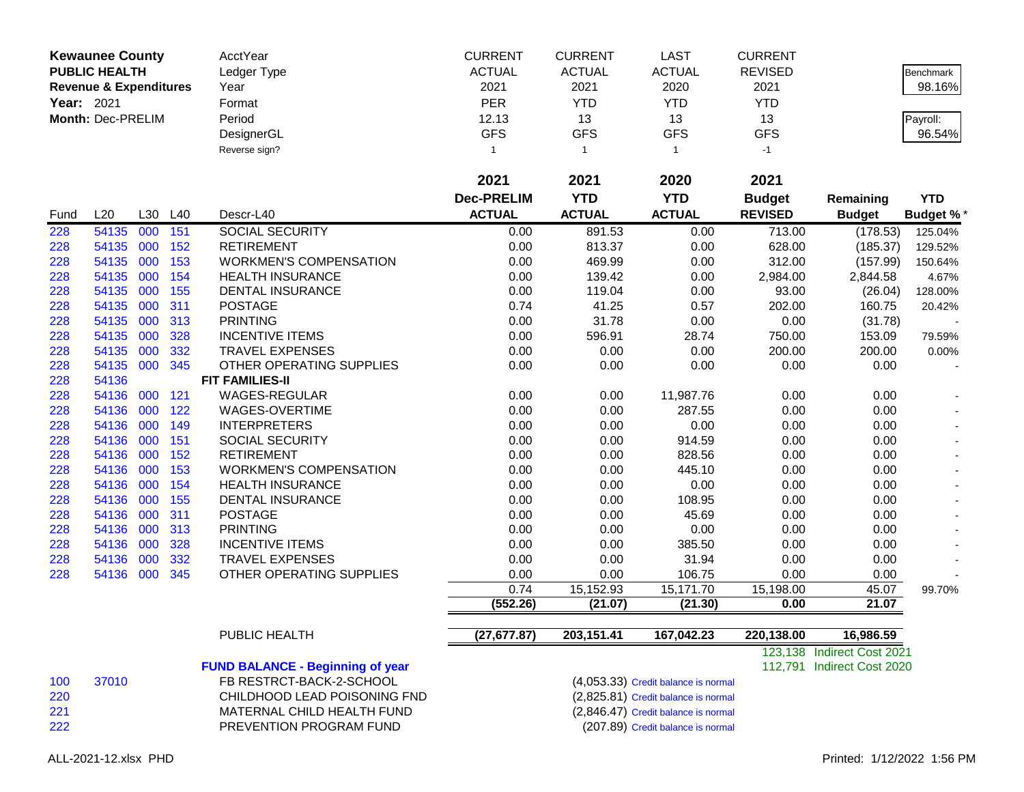|      | <b>Kewaunee County</b>            |         |     | AcctYear                                | <b>CURRENT</b>    | <b>CURRENT</b> | <b>LAST</b>                         | <b>CURRENT</b> |                            |                 |
|------|-----------------------------------|---------|-----|-----------------------------------------|-------------------|----------------|-------------------------------------|----------------|----------------------------|-----------------|
|      | <b>PUBLIC HEALTH</b>              |         |     | Ledger Type                             | <b>ACTUAL</b>     | <b>ACTUAL</b>  | <b>ACTUAL</b>                       | <b>REVISED</b> |                            | Benchmark       |
|      | <b>Revenue &amp; Expenditures</b> |         |     | Year                                    | 2021              | 2021           | 2020                                | 2021           |                            | 98.16%          |
|      | Year: 2021                        |         |     | Format                                  | <b>PER</b>        | <b>YTD</b>     | <b>YTD</b>                          | <b>YTD</b>     |                            |                 |
|      | Month: Dec-PRELIM                 |         |     | Period                                  | 12.13             | 13             | 13                                  | 13             |                            | Payroll:        |
|      |                                   |         |     | DesignerGL                              | <b>GFS</b>        | <b>GFS</b>     | <b>GFS</b>                          | <b>GFS</b>     |                            | 96.54%          |
|      |                                   |         |     | Reverse sign?                           | $\mathbf{1}$      | $\mathbf{1}$   | $\mathbf{1}$                        | $-1$           |                            |                 |
|      |                                   |         |     |                                         | 2021              | 2021           | 2020                                | 2021           |                            |                 |
|      |                                   |         |     |                                         |                   |                |                                     |                |                            |                 |
|      |                                   |         |     |                                         | <b>Dec-PRELIM</b> | <b>YTD</b>     | <b>YTD</b>                          | <b>Budget</b>  | Remaining                  | <b>YTD</b>      |
| Fund | L20                               | L30 L40 |     | Descr-L40                               | <b>ACTUAL</b>     | <b>ACTUAL</b>  | <b>ACTUAL</b>                       | <b>REVISED</b> | <b>Budget</b>              | <b>Budget %</b> |
| 228  | 54135                             | 000     | 151 | <b>SOCIAL SECURITY</b>                  | 0.00              | 891.53         | 0.00                                | 713.00         | (178.53)                   | 125.04%         |
| 228  | 54135                             | 000     | 152 | <b>RETIREMENT</b>                       | 0.00              | 813.37         | 0.00                                | 628.00         | (185.37)                   | 129.52%         |
| 228  | 54135                             | 000     | 153 | <b>WORKMEN'S COMPENSATION</b>           | 0.00              | 469.99         | 0.00                                | 312.00         | (157.99)                   | 150.64%         |
| 228  | 54135                             | 000     | 154 | <b>HEALTH INSURANCE</b>                 | 0.00              | 139.42         | 0.00                                | 2,984.00       | 2,844.58                   | 4.67%           |
| 228  | 54135                             | 000     | 155 | DENTAL INSURANCE                        | 0.00              | 119.04         | 0.00                                | 93.00          | (26.04)                    | 128.00%         |
| 228  | 54135                             | 000     | 311 | <b>POSTAGE</b>                          | 0.74              | 41.25          | 0.57                                | 202.00         | 160.75                     | 20.42%          |
| 228  | 54135                             | 000     | 313 | <b>PRINTING</b>                         | 0.00              | 31.78          | 0.00                                | 0.00           | (31.78)                    |                 |
| 228  | 54135                             | 000     | 328 | <b>INCENTIVE ITEMS</b>                  | 0.00              | 596.91         | 28.74                               | 750.00         | 153.09                     | 79.59%          |
| 228  | 54135                             | 000     | 332 | <b>TRAVEL EXPENSES</b>                  | 0.00              | 0.00           | 0.00                                | 200.00         | 200.00                     | 0.00%           |
| 228  | 54135                             | 000     | 345 | OTHER OPERATING SUPPLIES                | 0.00              | 0.00           | 0.00                                | 0.00           | 0.00                       |                 |
| 228  | 54136                             |         |     | <b>FIT FAMILIES-II</b>                  |                   |                |                                     |                |                            |                 |
| 228  | 54136                             | 000     | 121 | <b>WAGES-REGULAR</b>                    | 0.00              | 0.00           | 11,987.76                           | 0.00           | 0.00                       |                 |
| 228  | 54136                             | 000     | 122 | WAGES-OVERTIME                          | 0.00              | 0.00           | 287.55                              | 0.00           | 0.00                       |                 |
| 228  | 54136                             | 000     | 149 | <b>INTERPRETERS</b>                     | 0.00              | 0.00           | 0.00                                | 0.00           | 0.00                       |                 |
| 228  | 54136                             | 000     | 151 | <b>SOCIAL SECURITY</b>                  | 0.00              | 0.00           | 914.59                              | 0.00           | 0.00                       |                 |
| 228  | 54136                             | 000     | 152 | <b>RETIREMENT</b>                       | 0.00              | 0.00           | 828.56                              | 0.00           | 0.00                       |                 |
| 228  | 54136                             | 000     | 153 | <b>WORKMEN'S COMPENSATION</b>           | 0.00              | 0.00           | 445.10                              | 0.00           | 0.00                       |                 |
| 228  | 54136                             | 000     | 154 | HEALTH INSURANCE                        | 0.00              | 0.00           | 0.00                                | 0.00           | 0.00                       |                 |
| 228  | 54136                             | 000     | 155 | DENTAL INSURANCE                        | 0.00              | 0.00           | 108.95                              | 0.00           | 0.00                       |                 |
| 228  | 54136                             | 000     | 311 | <b>POSTAGE</b>                          | 0.00              | 0.00           | 45.69                               | 0.00           | 0.00                       |                 |
| 228  | 54136                             | 000     | 313 | <b>PRINTING</b>                         | 0.00              | 0.00           | 0.00                                | 0.00           | 0.00                       |                 |
| 228  | 54136                             | 000     | 328 | <b>INCENTIVE ITEMS</b>                  | 0.00              | 0.00           | 385.50                              | 0.00           | 0.00                       |                 |
| 228  | 54136                             | 000     | 332 | <b>TRAVEL EXPENSES</b>                  | 0.00              | 0.00           | 31.94                               | 0.00           | 0.00                       |                 |
| 228  | 54136                             | 000     | 345 | OTHER OPERATING SUPPLIES                | 0.00              | 0.00           | 106.75                              | 0.00           | 0.00                       |                 |
|      |                                   |         |     |                                         | 0.74              | 15,152.93      | 15,171.70                           | 15,198.00      | 45.07                      | 99.70%          |
|      |                                   |         |     |                                         | (552.26)          | (21.07)        | (21.30)                             | 0.00           | 21.07                      |                 |
|      |                                   |         |     | PUBLIC HEALTH                           | (27, 677.87)      | 203, 151.41    | 167,042.23                          | 220,138.00     | 16,986.59                  |                 |
|      |                                   |         |     |                                         |                   |                |                                     |                | 123,138 Indirect Cost 2021 |                 |
|      |                                   |         |     | <b>FUND BALANCE - Beginning of year</b> |                   |                |                                     |                | 112,791 Indirect Cost 2020 |                 |
| 100  | 37010                             |         |     | FB RESTRCT-BACK-2-SCHOOL                |                   |                | (4,053.33) Credit balance is normal |                |                            |                 |
|      |                                   |         |     |                                         |                   |                |                                     |                |                            |                 |

220 CHILDHOOD LEAD POISONING FND (2,825.81) Credit balance is normal<br>221 MATERNAL CHILD HEALTH FUND (2,846.47) Credit balance is normal 221 MATERNAL CHILD HEALTH FUND (2,846.47) Credit balance is normal<br>222 PREVENTION PROGRAM FUND (207.89) Credit balance is normal PREVENTION PROGRAM FUND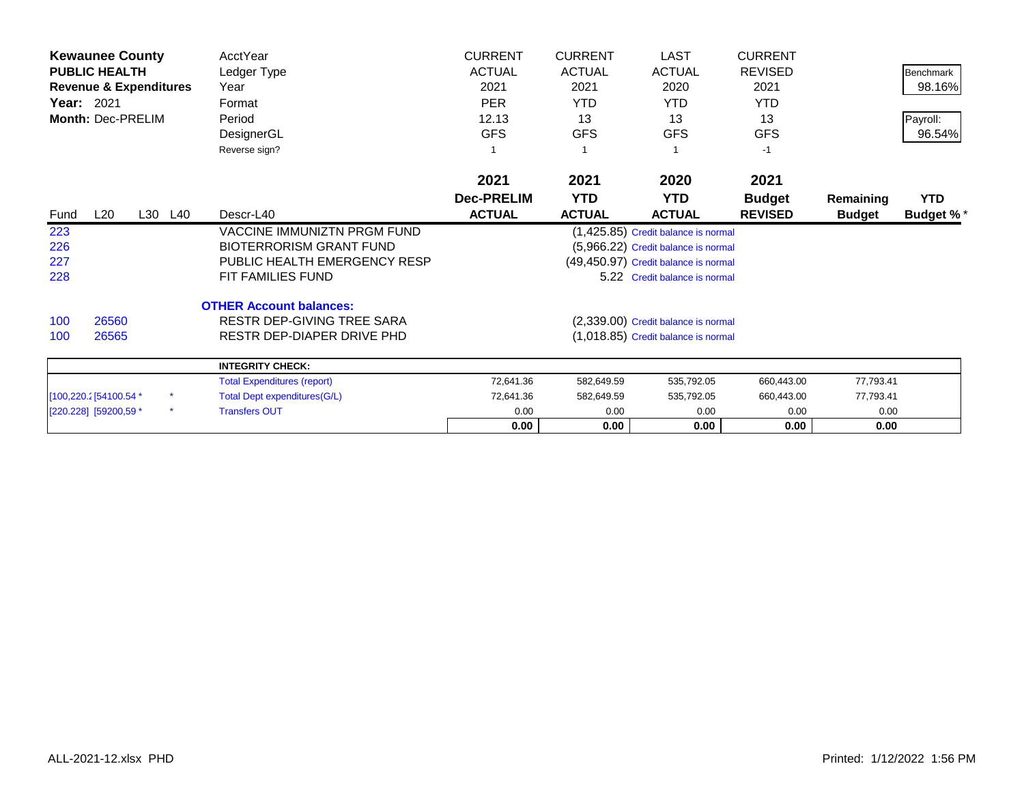|                        | <b>Kewaunee County</b>            |         | AcctYear                            | <b>CURRENT</b>    | <b>CURRENT</b> | <b>LAST</b>                          | <b>CURRENT</b> |               |                  |
|------------------------|-----------------------------------|---------|-------------------------------------|-------------------|----------------|--------------------------------------|----------------|---------------|------------------|
|                        | <b>PUBLIC HEALTH</b>              |         | Ledger Type                         | <b>ACTUAL</b>     | <b>ACTUAL</b>  | <b>ACTUAL</b>                        | <b>REVISED</b> |               | <b>Benchmark</b> |
|                        | <b>Revenue &amp; Expenditures</b> |         | Year                                | 2021              | 2021           | 2020                                 | 2021           |               | 98.16%           |
| <b>Year: 2021</b>      |                                   |         | Format                              | <b>PER</b>        | <b>YTD</b>     | <b>YTD</b>                           | <b>YTD</b>     |               |                  |
|                        | Month: Dec-PRELIM                 |         | Period                              | 12.13             | 13             | 13                                   | 13             |               | Payroll:         |
|                        |                                   |         | DesignerGL                          | <b>GFS</b>        | <b>GFS</b>     | <b>GFS</b>                           | <b>GFS</b>     |               | 96.54%           |
|                        |                                   |         | Reverse sign?                       |                   |                |                                      | $-1$           |               |                  |
|                        |                                   |         |                                     | 2021              | 2021           | 2020                                 | 2021           |               |                  |
|                        |                                   |         |                                     | <b>Dec-PRELIM</b> | <b>YTD</b>     | YTD.                                 | <b>Budget</b>  | Remaining     | <b>YTD</b>       |
| Fund                   | L20                               | L30 L40 | Descr-L40                           | <b>ACTUAL</b>     | <b>ACTUAL</b>  | <b>ACTUAL</b>                        | <b>REVISED</b> | <b>Budget</b> | <b>Budget %*</b> |
| 223                    |                                   |         | <b>VACCINE IMMUNIZTN PRGM FUND</b>  |                   |                | (1,425.85) Credit balance is normal  |                |               |                  |
| 226                    |                                   |         | <b>BIOTERRORISM GRANT FUND</b>      |                   |                | (5,966.22) Credit balance is normal  |                |               |                  |
| 227                    |                                   |         | PUBLIC HEALTH EMERGENCY RESP        |                   |                | (49,450.97) Credit balance is normal |                |               |                  |
| 228                    |                                   |         | FIT FAMILIES FUND                   |                   |                | 5.22 Credit balance is normal        |                |               |                  |
|                        |                                   |         | <b>OTHER Account balances:</b>      |                   |                |                                      |                |               |                  |
| 100                    | 26560                             |         | RESTR DEP-GIVING TREE SARA          |                   |                | (2,339.00) Credit balance is normal  |                |               |                  |
| 100                    | 26565                             |         | RESTR DEP-DIAPER DRIVE PHD          |                   |                | (1,018.85) Credit balance is normal  |                |               |                  |
|                        |                                   |         | <b>INTEGRITY CHECK:</b>             |                   |                |                                      |                |               |                  |
|                        |                                   |         | <b>Total Expenditures (report)</b>  | 72,641.36         | 582,649.59     | 535,792.05                           | 660,443.00     | 77,793.41     |                  |
| [100,220.2] 54100.54 * |                                   |         | <b>Total Dept expenditures(G/L)</b> | 72,641.36         | 582,649.59     | 535,792.05                           | 660,443.00     | 77,793.41     |                  |
| [220.228] [59200,59 *  |                                   | $\star$ | <b>Transfers OUT</b>                | 0.00              | 0.00           | 0.00                                 | 0.00           | 0.00          |                  |
|                        |                                   |         |                                     | 0.00              | 0.00           | 0.00                                 | 0.00           | 0.00          |                  |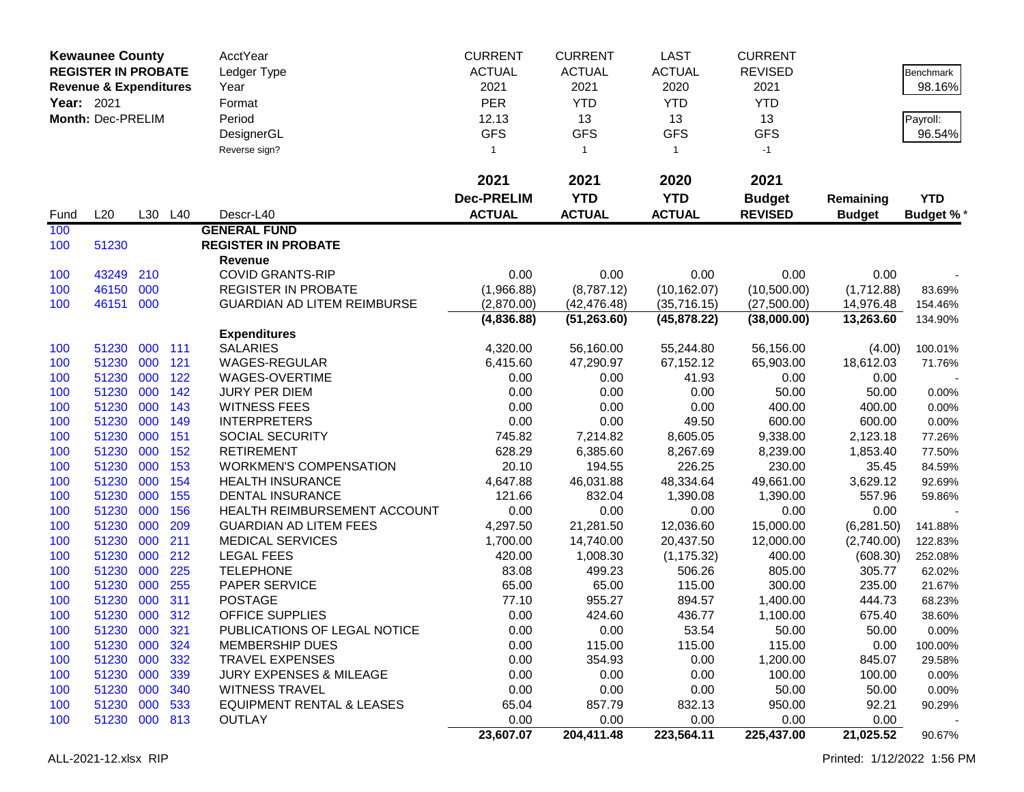|            | <b>Kewaunee County</b><br><b>REGISTER IN PROBATE</b><br><b>Revenue &amp; Expenditures</b><br><b>Year: 2021</b><br>Month: Dec-PRELIM |            | AcctYear<br>Ledger Type<br>Year<br>Format<br>Period<br>DesignerGL<br>Reverse sign? |                                                          | <b>CURRENT</b><br><b>ACTUAL</b><br>2021<br><b>PER</b><br>12.13<br><b>GFS</b><br>$\mathbf{1}$ | <b>CURRENT</b><br><b>ACTUAL</b><br>2021<br><b>YTD</b><br>13<br><b>GFS</b><br>$\overline{1}$ | <b>LAST</b><br><b>ACTUAL</b><br>2020<br><b>YTD</b><br>13<br><b>GFS</b><br>$\mathbf{1}$ | <b>CURRENT</b><br><b>REVISED</b><br>2021<br><b>YTD</b><br>13<br><b>GFS</b><br>$-1$ |                   | Benchmark<br>98.16%<br>Payroll:<br>96.54% |
|------------|-------------------------------------------------------------------------------------------------------------------------------------|------------|------------------------------------------------------------------------------------|----------------------------------------------------------|----------------------------------------------------------------------------------------------|---------------------------------------------------------------------------------------------|----------------------------------------------------------------------------------------|------------------------------------------------------------------------------------|-------------------|-------------------------------------------|
|            |                                                                                                                                     |            |                                                                                    |                                                          | 2021                                                                                         | 2021                                                                                        | 2020                                                                                   | 2021                                                                               |                   |                                           |
|            |                                                                                                                                     |            |                                                                                    |                                                          | <b>Dec-PRELIM</b>                                                                            | <b>YTD</b>                                                                                  | <b>YTD</b>                                                                             | <b>Budget</b>                                                                      | Remaining         | <b>YTD</b>                                |
| Fund       | L20                                                                                                                                 |            | L30 L40                                                                            | Descr-L40                                                | <b>ACTUAL</b>                                                                                | <b>ACTUAL</b>                                                                               | <b>ACTUAL</b>                                                                          | <b>REVISED</b>                                                                     | <b>Budget</b>     | <b>Budget %*</b>                          |
| 100<br>100 | 51230                                                                                                                               |            |                                                                                    | <b>GENERAL FUND</b><br><b>REGISTER IN PROBATE</b>        |                                                                                              |                                                                                             |                                                                                        |                                                                                    |                   |                                           |
|            |                                                                                                                                     |            |                                                                                    | Revenue                                                  |                                                                                              |                                                                                             |                                                                                        |                                                                                    |                   |                                           |
| 100        | 43249                                                                                                                               | 210        |                                                                                    | <b>COVID GRANTS-RIP</b>                                  | 0.00                                                                                         | 0.00                                                                                        | 0.00                                                                                   | 0.00                                                                               | 0.00              |                                           |
| 100        | 46150                                                                                                                               | 000        |                                                                                    | <b>REGISTER IN PROBATE</b>                               | (1,966.88)                                                                                   | (8,787.12)                                                                                  | (10, 162.07)                                                                           | (10,500.00)                                                                        | (1,712.88)        | 83.69%                                    |
| 100        | 46151 000                                                                                                                           |            |                                                                                    | <b>GUARDIAN AD LITEM REIMBURSE</b>                       | (2,870.00)                                                                                   | (42, 476.48)                                                                                | (35,716.15)                                                                            | (27,500.00)                                                                        | 14,976.48         | 154.46%                                   |
|            |                                                                                                                                     |            |                                                                                    |                                                          | (4,836.88)                                                                                   | (51, 263.60)                                                                                | (45,878.22)                                                                            | (38,000.00)                                                                        | 13,263.60         | 134.90%                                   |
|            |                                                                                                                                     |            |                                                                                    | <b>Expenditures</b>                                      |                                                                                              |                                                                                             |                                                                                        |                                                                                    |                   |                                           |
| 100        | 51230                                                                                                                               | 000        | 111                                                                                | <b>SALARIES</b>                                          | 4,320.00                                                                                     | 56,160.00                                                                                   | 55,244.80                                                                              | 56,156.00                                                                          | (4.00)            | 100.01%                                   |
| 100        | 51230                                                                                                                               | 000        | 121                                                                                | WAGES-REGULAR                                            | 6,415.60                                                                                     | 47,290.97                                                                                   | 67,152.12                                                                              | 65,903.00                                                                          | 18,612.03         | 71.76%                                    |
| 100        | 51230                                                                                                                               | 000        | 122                                                                                | WAGES-OVERTIME                                           | 0.00                                                                                         | 0.00                                                                                        | 41.93                                                                                  | 0.00                                                                               | 0.00              |                                           |
| 100        | 51230                                                                                                                               | 000        | 142                                                                                | JURY PER DIEM                                            | 0.00                                                                                         | 0.00                                                                                        | 0.00                                                                                   | 50.00                                                                              | 50.00             | 0.00%                                     |
| 100        | 51230                                                                                                                               | 000        | 143                                                                                | <b>WITNESS FEES</b>                                      | 0.00                                                                                         | 0.00                                                                                        | 0.00                                                                                   | 400.00                                                                             | 400.00            | 0.00%                                     |
| 100        | 51230                                                                                                                               | 000        | 149                                                                                | <b>INTERPRETERS</b>                                      | 0.00                                                                                         | 0.00                                                                                        | 49.50                                                                                  | 600.00                                                                             | 600.00            | 0.00%                                     |
| 100        | 51230                                                                                                                               | 000        | 151                                                                                | SOCIAL SECURITY                                          | 745.82                                                                                       | 7,214.82                                                                                    | 8,605.05                                                                               | 9,338.00                                                                           | 2,123.18          | 77.26%                                    |
| 100        | 51230<br>51230                                                                                                                      | 000<br>000 | 152<br>153                                                                         | <b>RETIREMENT</b>                                        | 628.29<br>20.10                                                                              | 6,385.60                                                                                    | 8,267.69<br>226.25                                                                     | 8,239.00                                                                           | 1,853.40          | 77.50%                                    |
| 100        | 51230                                                                                                                               | 000        | 154                                                                                | <b>WORKMEN'S COMPENSATION</b><br><b>HEALTH INSURANCE</b> | 4,647.88                                                                                     | 194.55<br>46,031.88                                                                         | 48,334.64                                                                              | 230.00<br>49,661.00                                                                | 35.45<br>3,629.12 | 84.59%                                    |
| 100<br>100 | 51230                                                                                                                               | 000        | 155                                                                                | <b>DENTAL INSURANCE</b>                                  | 121.66                                                                                       | 832.04                                                                                      | 1,390.08                                                                               | 1,390.00                                                                           | 557.96            | 92.69%<br>59.86%                          |
| 100        | 51230                                                                                                                               | 000        | 156                                                                                | HEALTH REIMBURSEMENT ACCOUNT                             | 0.00                                                                                         | 0.00                                                                                        | 0.00                                                                                   | 0.00                                                                               | 0.00              |                                           |
| 100        | 51230                                                                                                                               | 000        | 209                                                                                | <b>GUARDIAN AD LITEM FEES</b>                            | 4,297.50                                                                                     | 21,281.50                                                                                   | 12,036.60                                                                              | 15,000.00                                                                          | (6,281.50)        | 141.88%                                   |
| 100        | 51230                                                                                                                               | 000        | 211                                                                                | <b>MEDICAL SERVICES</b>                                  | 1,700.00                                                                                     | 14,740.00                                                                                   | 20,437.50                                                                              | 12,000.00                                                                          | (2,740.00)        | 122.83%                                   |
| 100        | 51230                                                                                                                               | 000        | 212                                                                                | <b>LEGAL FEES</b>                                        | 420.00                                                                                       | 1,008.30                                                                                    | (1, 175.32)                                                                            | 400.00                                                                             | (608.30)          | 252.08%                                   |
| 100        | 51230                                                                                                                               | 000        | 225                                                                                | <b>TELEPHONE</b>                                         | 83.08                                                                                        | 499.23                                                                                      | 506.26                                                                                 | 805.00                                                                             | 305.77            | 62.02%                                    |
| 100        | 51230                                                                                                                               | 000        | 255                                                                                | PAPER SERVICE                                            | 65.00                                                                                        | 65.00                                                                                       | 115.00                                                                                 | 300.00                                                                             | 235.00            | 21.67%                                    |
| 100        | 51230                                                                                                                               | 000        | 311                                                                                | <b>POSTAGE</b>                                           | 77.10                                                                                        | 955.27                                                                                      | 894.57                                                                                 | 1,400.00                                                                           | 444.73            | 68.23%                                    |
| 100        | 51230 000 312                                                                                                                       |            |                                                                                    | <b>OFFICE SUPPLIES</b>                                   | 0.00                                                                                         | 424.60                                                                                      | 436.77                                                                                 | 1,100.00                                                                           | 675.40            | 38.60%                                    |
| 100        | 51230 000                                                                                                                           |            | 321                                                                                | PUBLICATIONS OF LEGAL NOTICE                             | 0.00                                                                                         | 0.00                                                                                        | 53.54                                                                                  | 50.00                                                                              | 50.00             | $0.00\%$                                  |
| 100        | 51230                                                                                                                               | 000        | 324                                                                                | <b>MEMBERSHIP DUES</b>                                   | 0.00                                                                                         | 115.00                                                                                      | 115.00                                                                                 | 115.00                                                                             | 0.00              | 100.00%                                   |
| 100        | 51230 000                                                                                                                           |            | 332                                                                                | TRAVEL EXPENSES                                          | 0.00                                                                                         | 354.93                                                                                      | 0.00                                                                                   | 1,200.00                                                                           | 845.07            | 29.58%                                    |
| 100        | 51230 000                                                                                                                           |            | 339                                                                                | <b>JURY EXPENSES &amp; MILEAGE</b>                       | 0.00                                                                                         | 0.00                                                                                        | 0.00                                                                                   | 100.00                                                                             | 100.00            | 0.00%                                     |
| 100        | 51230 000                                                                                                                           |            | 340                                                                                | <b>WITNESS TRAVEL</b>                                    | 0.00                                                                                         | 0.00                                                                                        | 0.00                                                                                   | 50.00                                                                              | 50.00             | 0.00%                                     |
| 100        | 51230 000 533                                                                                                                       |            |                                                                                    | <b>EQUIPMENT RENTAL &amp; LEASES</b>                     | 65.04                                                                                        | 857.79                                                                                      | 832.13                                                                                 | 950.00                                                                             | 92.21             | 90.29%                                    |
| 100        | 51230 000 813                                                                                                                       |            |                                                                                    | <b>OUTLAY</b>                                            | 0.00                                                                                         | 0.00                                                                                        | 0.00                                                                                   | 0.00                                                                               | 0.00              |                                           |
|            |                                                                                                                                     |            |                                                                                    |                                                          | 23,607.07                                                                                    | 204,411.48                                                                                  | 223,564.11                                                                             | 225,437.00                                                                         | 21,025.52         | 90.67%                                    |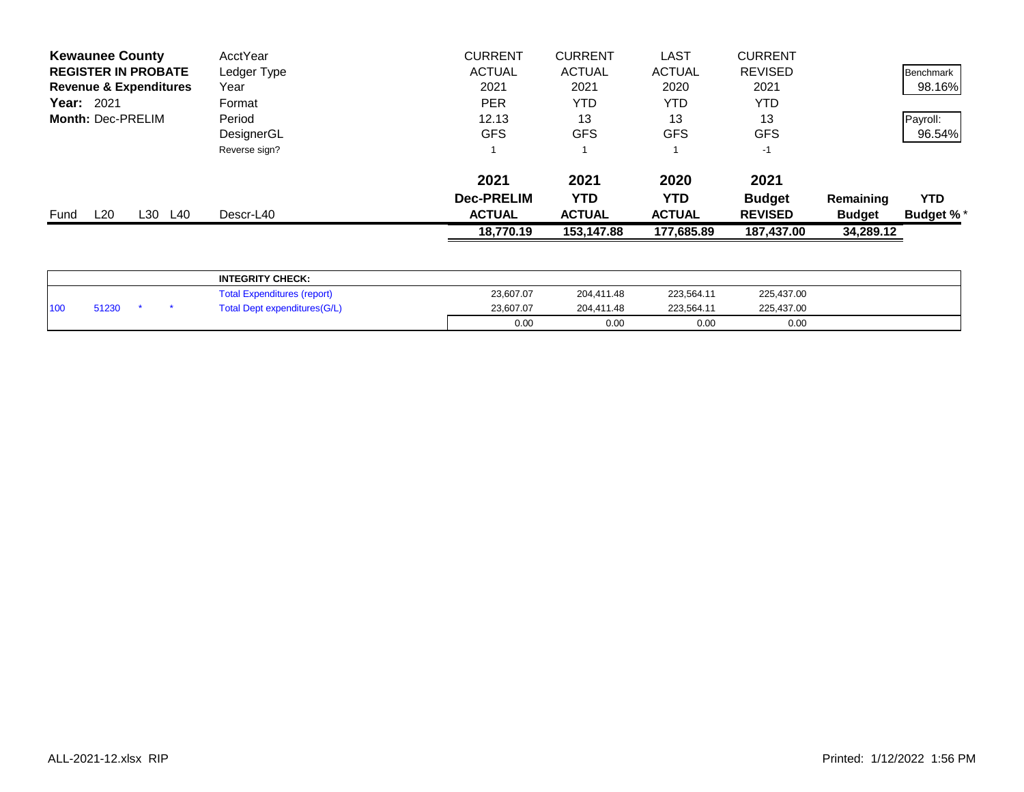| <b>Kewaunee County</b>            | AcctYear      | <b>CURRENT</b>    | <b>CURRENT</b> | <b>LAST</b>   | <b>CURRENT</b> |               |                  |
|-----------------------------------|---------------|-------------------|----------------|---------------|----------------|---------------|------------------|
| <b>REGISTER IN PROBATE</b>        | Ledger Type   | <b>ACTUAL</b>     | <b>ACTUAL</b>  | <b>ACTUAL</b> | <b>REVISED</b> |               | Benchmark        |
| <b>Revenue &amp; Expenditures</b> | Year          | 2021              | 2021           | 2020          | 2021           |               | 98.16%           |
| <b>Year: 2021</b>                 | Format        | <b>PER</b>        | YTD            | YTD           | YTD            |               |                  |
| Month: Dec-PRELIM                 | Period        | 12.13             | 13             | 13            | 13             |               | Payroll:         |
|                                   | DesignerGL    | <b>GFS</b>        | <b>GFS</b>     | <b>GFS</b>    | <b>GFS</b>     |               | 96.54%           |
|                                   | Reverse sign? |                   |                |               | -1             |               |                  |
|                                   |               | 2021              | 2021           | 2020          | 2021           |               |                  |
|                                   |               | <b>Dec-PRELIM</b> | YTD            | YTD           | <b>Budget</b>  | Remaining     | <b>YTD</b>       |
| L20<br>L30<br>L40<br>Fund         | Descr-L40     | <b>ACTUAL</b>     | <b>ACTUAL</b>  | <b>ACTUAL</b> | <b>REVISED</b> | <b>Budget</b> | <b>Budget %*</b> |
|                                   |               | 18,770.19         | 153,147.88     | 177,685.89    | 187,437.00     | 34,289.12     |                  |
|                                   |               |                   |                |               |                |               |                  |

|                 |       |  | <b>INTEGRITY CHECK:</b>            |           |            |            |            |  |
|-----------------|-------|--|------------------------------------|-----------|------------|------------|------------|--|
|                 |       |  | <b>Total Expenditures (report)</b> | 23,607.07 | 204,411.48 | 223,564.11 | 225,437.00 |  |
| 10 <sub>0</sub> | 51230 |  | Total Dept expenditures(G/L)       | 23.607.07 | 204.411.48 | 223.564.11 | 225,437.00 |  |
|                 |       |  |                                    | 0.00      | 0.00       | 0.00       | 0.00       |  |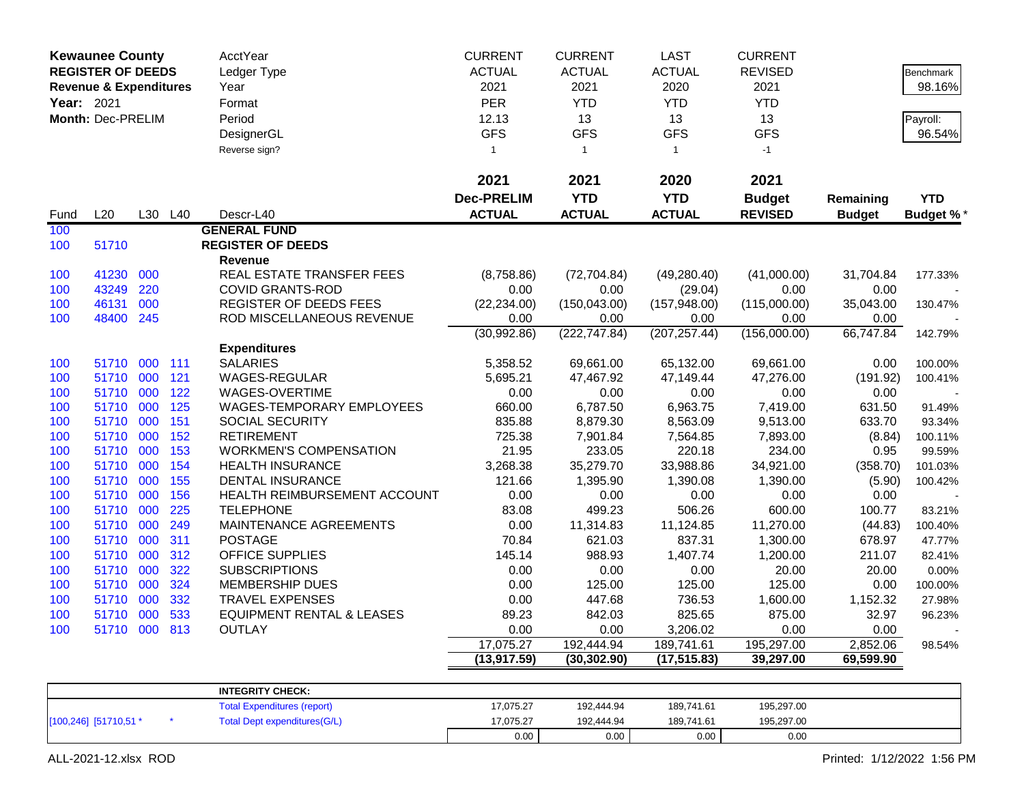|            | <b>Kewaunee County</b>            |     |         | AcctYear                             | <b>CURRENT</b>    | <b>CURRENT</b> | <b>LAST</b>   | <b>CURRENT</b> |               |                  |
|------------|-----------------------------------|-----|---------|--------------------------------------|-------------------|----------------|---------------|----------------|---------------|------------------|
|            | <b>REGISTER OF DEEDS</b>          |     |         | Ledger Type                          | <b>ACTUAL</b>     | <b>ACTUAL</b>  | <b>ACTUAL</b> | <b>REVISED</b> |               | Benchmark        |
|            | <b>Revenue &amp; Expenditures</b> |     |         | Year                                 | 2021              | 2021           | 2020          | 2021           |               | 98.16%           |
| Year: 2021 |                                   |     |         | Format                               | <b>PER</b>        | <b>YTD</b>     | <b>YTD</b>    | <b>YTD</b>     |               |                  |
|            | Month: Dec-PRELIM                 |     |         | Period                               | 12.13             | 13             | 13            | 13             |               | Payroll:         |
|            |                                   |     |         | DesignerGL                           | <b>GFS</b>        | <b>GFS</b>     | <b>GFS</b>    | <b>GFS</b>     |               | 96.54%           |
|            |                                   |     |         | Reverse sign?                        | 1                 | $\overline{1}$ | $\mathbf{1}$  | $-1$           |               |                  |
|            |                                   |     |         |                                      |                   |                |               |                |               |                  |
|            |                                   |     |         |                                      | 2021              | 2021           | 2020          | 2021           |               |                  |
|            |                                   |     |         |                                      | <b>Dec-PRELIM</b> | <b>YTD</b>     | <b>YTD</b>    | <b>Budget</b>  | Remaining     | <b>YTD</b>       |
| Fund       | L20                               |     | L30 L40 | Descr-L40                            | <b>ACTUAL</b>     | <b>ACTUAL</b>  | <b>ACTUAL</b> | <b>REVISED</b> | <b>Budget</b> | <b>Budget %*</b> |
| 100        |                                   |     |         | <b>GENERAL FUND</b>                  |                   |                |               |                |               |                  |
| 100        | 51710                             |     |         | <b>REGISTER OF DEEDS</b>             |                   |                |               |                |               |                  |
|            |                                   |     |         | <b>Revenue</b>                       |                   |                |               |                |               |                  |
| 100        | 41230                             | 000 |         | REAL ESTATE TRANSFER FEES            | (8,758.86)        | (72, 704.84)   | (49, 280.40)  | (41,000.00)    | 31,704.84     | 177.33%          |
| 100        | 43249                             | 220 |         | <b>COVID GRANTS-ROD</b>              | 0.00              | 0.00           | (29.04)       | 0.00           | 0.00          |                  |
| 100        | 46131                             | 000 |         | REGISTER OF DEEDS FEES               | (22, 234.00)      | (150, 043.00)  | (157, 948.00) | (115,000.00)   | 35,043.00     | 130.47%          |
| 100        | 48400 245                         |     |         | ROD MISCELLANEOUS REVENUE            | 0.00              | 0.00           | 0.00          | 0.00           | 0.00          |                  |
|            |                                   |     |         |                                      | (30,992.86)       | (222, 747.84)  | (207, 257.44) | (156,000.00)   | 66,747.84     | 142.79%          |
|            |                                   |     |         | <b>Expenditures</b>                  |                   |                |               |                |               |                  |
| 100        | 51710                             | 000 | 111     | <b>SALARIES</b>                      | 5,358.52          | 69,661.00      | 65,132.00     | 69,661.00      | 0.00          | 100.00%          |
| 100        | 51710                             | 000 | 121     | <b>WAGES-REGULAR</b>                 | 5,695.21          | 47,467.92      | 47,149.44     | 47,276.00      | (191.92)      | 100.41%          |
| 100        | 51710                             | 000 | 122     | WAGES-OVERTIME                       | 0.00              | 0.00           | 0.00          | 0.00           | 0.00          |                  |
| 100        | 51710                             | 000 | 125     | <b>WAGES-TEMPORARY EMPLOYEES</b>     | 660.00            | 6,787.50       | 6,963.75      | 7,419.00       | 631.50        | 91.49%           |
| 100        | 51710                             | 000 | 151     | SOCIAL SECURITY                      | 835.88            | 8,879.30       | 8,563.09      | 9,513.00       | 633.70        | 93.34%           |
| 100        | 51710                             | 000 | 152     | <b>RETIREMENT</b>                    | 725.38            | 7,901.84       | 7,564.85      | 7,893.00       | (8.84)        | 100.11%          |
| 100        | 51710                             | 000 | 153     | <b>WORKMEN'S COMPENSATION</b>        | 21.95             | 233.05         | 220.18        | 234.00         | 0.95          | 99.59%           |
| 100        | 51710                             | 000 | 154     | <b>HEALTH INSURANCE</b>              | 3,268.38          | 35,279.70      | 33,988.86     | 34,921.00      | (358.70)      | 101.03%          |
| 100        | 51710                             | 000 | 155     | DENTAL INSURANCE                     | 121.66            | 1,395.90       | 1,390.08      | 1,390.00       | (5.90)        | 100.42%          |
| 100        | 51710                             | 000 | 156     | HEALTH REIMBURSEMENT ACCOUNT         | 0.00              | 0.00           | 0.00          | 0.00           | 0.00          |                  |
| 100        | 51710                             | 000 | 225     | <b>TELEPHONE</b>                     | 83.08             | 499.23         | 506.26        | 600.00         | 100.77        | 83.21%           |
| 100        | 51710                             | 000 | 249     | MAINTENANCE AGREEMENTS               | 0.00              | 11,314.83      | 11,124.85     | 11,270.00      | (44.83)       | 100.40%          |
| 100        | 51710                             | 000 | 311     | <b>POSTAGE</b>                       | 70.84             | 621.03         | 837.31        | 1,300.00       | 678.97        | 47.77%           |
| 100        | 51710                             | 000 | 312     | <b>OFFICE SUPPLIES</b>               | 145.14            | 988.93         | 1,407.74      | 1,200.00       | 211.07        | 82.41%           |
| 100        | 51710                             | 000 | 322     | <b>SUBSCRIPTIONS</b>                 | 0.00              | 0.00           | 0.00          | 20.00          | 20.00         | 0.00%            |
| 100        | 51710                             | 000 | 324     | <b>MEMBERSHIP DUES</b>               | 0.00              | 125.00         | 125.00        | 125.00         | 0.00          | 100.00%          |
| 100        | 51710                             | 000 | 332     | <b>TRAVEL EXPENSES</b>               | 0.00              | 447.68         | 736.53        | 1,600.00       | 1,152.32      | 27.98%           |
| 100        | 51710 000                         |     | 533     | <b>EQUIPMENT RENTAL &amp; LEASES</b> | 89.23             | 842.03         | 825.65        | 875.00         | 32.97         | 96.23%           |
| 100        | 51710 000 813                     |     |         | OUTLAY                               | 0.00              | 0.00           | 3,206.02      | 0.00           | $0.00\,$      |                  |
|            |                                   |     |         |                                      | 17,075.27         | 192,444.94     | 189,741.61    | 195,297.00     | 2,852.06      | 98.54%           |
|            |                                   |     |         |                                      | (13, 917.59)      | (30, 302.90)   | (17, 515.83)  | 39,297.00      | 69,599.90     |                  |
|            |                                   |     |         | <b>INTEGRITY CHECK:</b>              |                   |                |               |                |               |                  |
|            |                                   |     |         | <b>Total Expenditures (report)</b>   | 17,075.27         | 192,444.94     | 189,741.61    | 195,297.00     |               |                  |
|            | [100,246] [51710,51 *             |     |         | <b>Total Dept expenditures(G/L)</b>  | 17,075.27         | 192,444.94     | 189,741.61    | 195,297.00     |               |                  |

0.00 0.00 0.00 0.00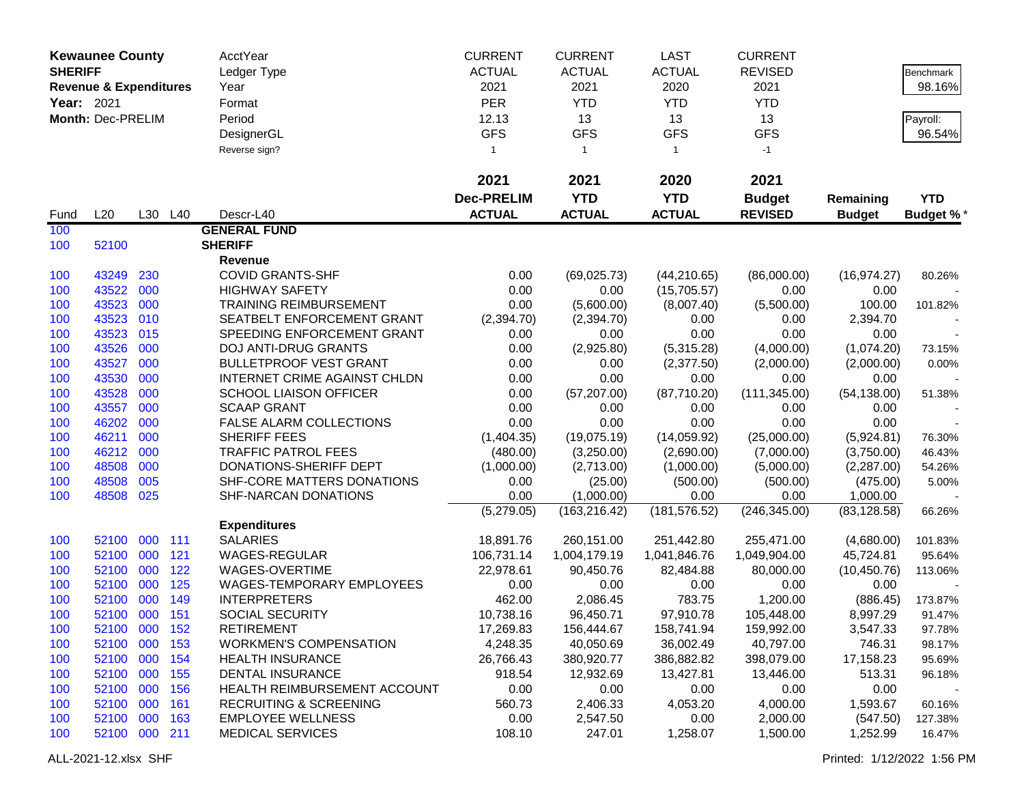|                | <b>Kewaunee County</b>            |     |         | AcctYear                          | <b>CURRENT</b>    | <b>CURRENT</b> | <b>LAST</b>   | <b>CURRENT</b> |               |                  |
|----------------|-----------------------------------|-----|---------|-----------------------------------|-------------------|----------------|---------------|----------------|---------------|------------------|
| <b>SHERIFF</b> |                                   |     |         | Ledger Type                       | <b>ACTUAL</b>     | <b>ACTUAL</b>  | <b>ACTUAL</b> | <b>REVISED</b> |               | Benchmark        |
|                | <b>Revenue &amp; Expenditures</b> |     |         | Year                              | 2021              | 2021           | 2020          | 2021           |               | 98.16%           |
| Year: 2021     |                                   |     |         | Format                            | <b>PER</b>        | <b>YTD</b>     | <b>YTD</b>    | <b>YTD</b>     |               |                  |
|                | Month: Dec-PRELIM                 |     |         | Period                            | 12.13             | 13             | 13            | 13             |               | Payroll:         |
|                |                                   |     |         | DesignerGL                        | <b>GFS</b>        | <b>GFS</b>     | <b>GFS</b>    | <b>GFS</b>     |               | 96.54%           |
|                |                                   |     |         | Reverse sign?                     | $\mathbf{1}$      | $\overline{1}$ | $\mathbf{1}$  | $-1$           |               |                  |
|                |                                   |     |         |                                   |                   |                |               |                |               |                  |
|                |                                   |     |         |                                   | 2021              | 2021           | 2020          | 2021           |               |                  |
|                |                                   |     |         |                                   | <b>Dec-PRELIM</b> | <b>YTD</b>     | <b>YTD</b>    | <b>Budget</b>  | Remaining     | <b>YTD</b>       |
| Fund           | L20                               |     | L30 L40 | Descr-L40                         | <b>ACTUAL</b>     | <b>ACTUAL</b>  | <b>ACTUAL</b> | <b>REVISED</b> | <b>Budget</b> | <b>Budget %*</b> |
| 100            |                                   |     |         | <b>GENERAL FUND</b>               |                   |                |               |                |               |                  |
| 100            | 52100                             |     |         | <b>SHERIFF</b>                    |                   |                |               |                |               |                  |
|                |                                   |     |         | Revenue                           |                   |                |               |                |               |                  |
| 100            | 43249                             | 230 |         | <b>COVID GRANTS-SHF</b>           | 0.00              | (69,025.73)    | (44, 210.65)  | (86,000.00)    | (16, 974.27)  | 80.26%           |
| 100            | 43522                             | 000 |         | <b>HIGHWAY SAFETY</b>             | 0.00              | 0.00           | (15,705.57)   | 0.00           | 0.00          |                  |
| 100            | 43523                             | 000 |         | <b>TRAINING REIMBURSEMENT</b>     | 0.00              | (5,600.00)     | (8,007.40)    | (5,500.00)     | 100.00        | 101.82%          |
| 100            | 43523                             | 010 |         | SEATBELT ENFORCEMENT GRANT        | (2,394.70)        | (2,394.70)     | 0.00          | 0.00           | 2,394.70      |                  |
| 100            | 43523                             | 015 |         | SPEEDING ENFORCEMENT GRANT        | 0.00              | 0.00           | 0.00          | 0.00           | 0.00          |                  |
| 100            | 43526                             | 000 |         | DOJ ANTI-DRUG GRANTS              | 0.00              | (2,925.80)     | (5,315.28)    | (4,000.00)     | (1,074.20)    | 73.15%           |
| 100            | 43527                             | 000 |         | <b>BULLETPROOF VEST GRANT</b>     | 0.00              | 0.00           | (2,377.50)    | (2,000.00)     | (2,000.00)    | 0.00%            |
| 100            | 43530                             | 000 |         | INTERNET CRIME AGAINST CHLDN      | 0.00              | 0.00           | 0.00          | 0.00           | 0.00          |                  |
| 100            | 43528                             | 000 |         | <b>SCHOOL LIAISON OFFICER</b>     | 0.00              | (57, 207.00)   | (87,710.20)   | (111, 345.00)  | (54, 138.00)  | 51.38%           |
| 100            | 43557                             | 000 |         | <b>SCAAP GRANT</b>                | 0.00              | 0.00           | 0.00          | 0.00           | 0.00          |                  |
| 100            | 46202                             | 000 |         | FALSE ALARM COLLECTIONS           | 0.00              | 0.00           | 0.00          | 0.00           | 0.00          |                  |
| 100            | 46211                             | 000 |         | SHERIFF FEES                      | (1,404.35)        | (19,075.19)    | (14,059.92)   | (25,000.00)    | (5,924.81)    | 76.30%           |
| 100            | 46212                             | 000 |         | <b>TRAFFIC PATROL FEES</b>        | (480.00)          | (3,250.00)     | (2,690.00)    | (7,000.00)     | (3,750.00)    | 46.43%           |
| 100            | 48508                             | 000 |         | DONATIONS-SHERIFF DEPT            | (1,000.00)        | (2,713.00)     | (1,000.00)    | (5,000.00)     | (2,287.00)    | 54.26%           |
| 100            | 48508                             | 005 |         | SHF-CORE MATTERS DONATIONS        | 0.00              | (25.00)        | (500.00)      | (500.00)       | (475.00)      | 5.00%            |
| 100            | 48508                             | 025 |         | SHF-NARCAN DONATIONS              | 0.00              | (1,000.00)     | 0.00          | 0.00           | 1,000.00      |                  |
|                |                                   |     |         |                                   | (5,279.05)        | (163, 216.42)  | (181, 576.52) | (246, 345.00)  | (83, 128.58)  | 66.26%           |
|                |                                   |     |         | <b>Expenditures</b>               |                   |                |               |                |               |                  |
| 100            | 52100                             | 000 | 111     | <b>SALARIES</b>                   | 18,891.76         | 260,151.00     | 251,442.80    | 255,471.00     | (4,680.00)    | 101.83%          |
| 100            | 52100                             | 000 | 121     | WAGES-REGULAR                     | 106,731.14        | 1,004,179.19   | 1,041,846.76  | 1,049,904.00   | 45,724.81     | 95.64%           |
| 100            | 52100 000                         |     | 122     | WAGES-OVERTIME                    | 22,978.61         | 90,450.76      | 82,484.88     | 80,000.00      | (10, 450.76)  | 113.06%          |
| 100            | 52100 000                         |     | 125     | WAGES-TEMPORARY EMPLOYEES         | 0.00              | 0.00           | 0.00          | 0.00           | 0.00          |                  |
| 100            | 52100 000                         |     | 149     | <b>INTERPRETERS</b>               | 462.00            | 2,086.45       | 783.75        | 1,200.00       | (886.45)      | 173.87%          |
| 100            | 52100 000 151                     |     |         | SOCIAL SECURITY                   | 10,738.16         | 96,450.71      | 97,910.78     | 105,448.00     | 8,997.29      | 91.47%           |
| 100            | 52100 000 152                     |     |         | <b>RETIREMENT</b>                 | 17,269.83         | 156,444.67     | 158,741.94    | 159,992.00     | 3,547.33      | 97.78%           |
| 100            | 52100 000 153                     |     |         | <b>WORKMEN'S COMPENSATION</b>     | 4,248.35          | 40,050.69      | 36,002.49     | 40,797.00      | 746.31        | 98.17%           |
| 100            | 52100 000 154                     |     |         | <b>HEALTH INSURANCE</b>           | 26,766.43         | 380,920.77     | 386,882.82    | 398,079.00     | 17,158.23     | 95.69%           |
| 100            | 52100 000 155                     |     |         | <b>DENTAL INSURANCE</b>           | 918.54            | 12,932.69      | 13,427.81     | 13,446.00      | 513.31        | 96.18%           |
| 100            | 52100 000                         |     | 156     | HEALTH REIMBURSEMENT ACCOUNT      | 0.00              | 0.00           | 0.00          | 0.00           | 0.00          |                  |
| 100            | 52100 000                         |     | 161     | <b>RECRUITING &amp; SCREENING</b> | 560.73            | 2,406.33       | 4,053.20      | 4,000.00       | 1,593.67      | 60.16%           |
| 100            | 52100 000                         |     | 163     | <b>EMPLOYEE WELLNESS</b>          | 0.00              | 2,547.50       | 0.00          | 2,000.00       | (547.50)      | 127.38%          |
| 100            | 52100 000 211                     |     |         | <b>MEDICAL SERVICES</b>           | 108.10            | 247.01         | 1,258.07      | 1,500.00       | 1,252.99      | 16.47%           |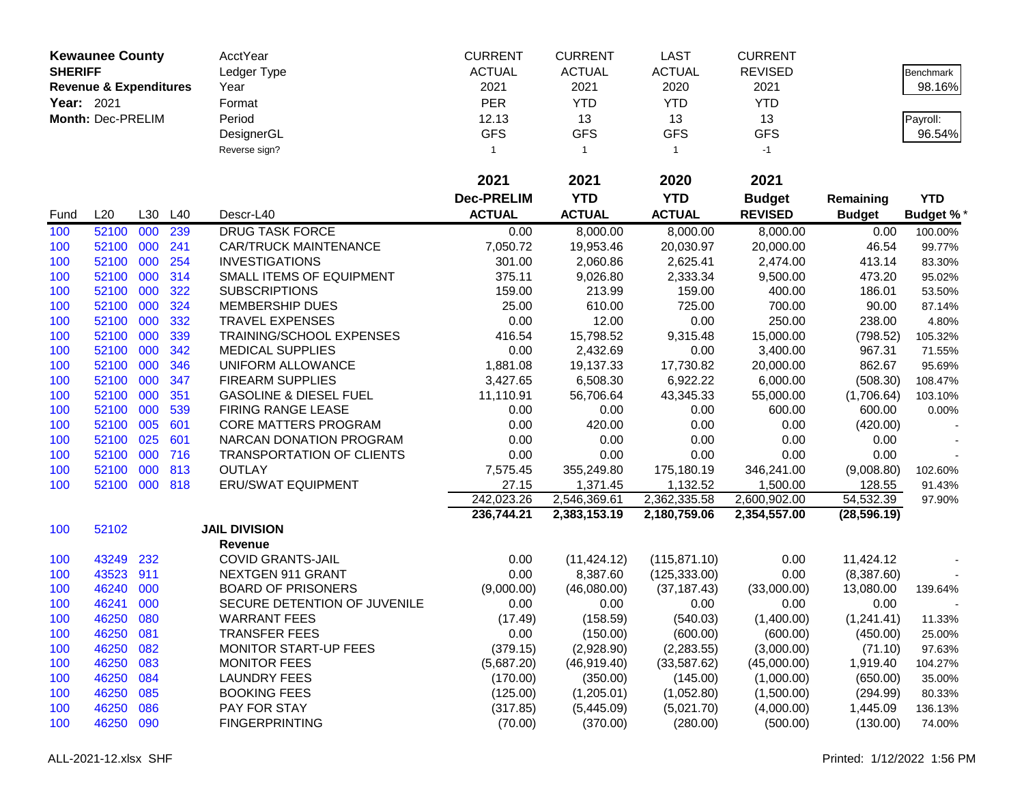|                | <b>Kewaunee County</b>            |     |         | AcctYear                          | <b>CURRENT</b>    | <b>CURRENT</b> | <b>LAST</b>   | <b>CURRENT</b> |               |                  |
|----------------|-----------------------------------|-----|---------|-----------------------------------|-------------------|----------------|---------------|----------------|---------------|------------------|
| <b>SHERIFF</b> |                                   |     |         | Ledger Type                       | <b>ACTUAL</b>     | <b>ACTUAL</b>  | <b>ACTUAL</b> | <b>REVISED</b> |               | Benchmark        |
|                | <b>Revenue &amp; Expenditures</b> |     |         | Year                              | 2021              | 2021           | 2020          | 2021           |               | 98.16%           |
| Year: 2021     |                                   |     |         | Format                            | <b>PER</b>        | <b>YTD</b>     | <b>YTD</b>    | <b>YTD</b>     |               |                  |
|                | Month: Dec-PRELIM                 |     |         | Period                            | 12.13             | 13             | 13            | 13             |               | Payroll:         |
|                |                                   |     |         | DesignerGL                        | <b>GFS</b>        | <b>GFS</b>     | <b>GFS</b>    | <b>GFS</b>     |               | 96.54%           |
|                |                                   |     |         | Reverse sign?                     | $\mathbf{1}$      | $\mathbf{1}$   | $\mathbf{1}$  | $-1$           |               |                  |
|                |                                   |     |         |                                   |                   |                |               |                |               |                  |
|                |                                   |     |         |                                   | 2021              | 2021           | 2020          | 2021           |               |                  |
|                |                                   |     |         |                                   | <b>Dec-PRELIM</b> | <b>YTD</b>     | <b>YTD</b>    | <b>Budget</b>  | Remaining     | <b>YTD</b>       |
| Fund           | L20                               | L30 | L40     | Descr-L40                         | <b>ACTUAL</b>     | <b>ACTUAL</b>  | <b>ACTUAL</b> | <b>REVISED</b> | <b>Budget</b> | <b>Budget %*</b> |
| 100            | 52100                             | 000 | 239     | <b>DRUG TASK FORCE</b>            | 0.00              | 8,000.00       | 8,000.00      | 8,000.00       | 0.00          | 100.00%          |
| 100            | 52100                             | 000 | 241     | <b>CAR/TRUCK MAINTENANCE</b>      | 7,050.72          | 19,953.46      | 20,030.97     | 20,000.00      | 46.54         | 99.77%           |
| 100            | 52100                             | 000 | 254     | <b>INVESTIGATIONS</b>             | 301.00            | 2,060.86       | 2,625.41      | 2,474.00       | 413.14        | 83.30%           |
| 100            | 52100                             | 000 | 314     | SMALL ITEMS OF EQUIPMENT          | 375.11            | 9,026.80       | 2,333.34      | 9,500.00       | 473.20        | 95.02%           |
| 100            | 52100                             | 000 | 322     | <b>SUBSCRIPTIONS</b>              | 159.00            | 213.99         | 159.00        | 400.00         | 186.01        | 53.50%           |
| 100            | 52100                             | 000 | 324     | <b>MEMBERSHIP DUES</b>            | 25.00             | 610.00         | 725.00        | 700.00         | 90.00         | 87.14%           |
| 100            | 52100                             | 000 | 332     | <b>TRAVEL EXPENSES</b>            | 0.00              | 12.00          | 0.00          | 250.00         | 238.00        | 4.80%            |
| 100            | 52100                             | 000 | 339     | TRAINING/SCHOOL EXPENSES          | 416.54            | 15,798.52      | 9,315.48      | 15,000.00      | (798.52)      | 105.32%          |
| 100            | 52100                             | 000 | 342     | <b>MEDICAL SUPPLIES</b>           | 0.00              | 2,432.69       | 0.00          | 3,400.00       | 967.31        | 71.55%           |
| 100            | 52100                             | 000 | 346     | UNIFORM ALLOWANCE                 | 1,881.08          | 19,137.33      | 17,730.82     | 20,000.00      | 862.67        | 95.69%           |
| 100            | 52100                             | 000 | 347     | <b>FIREARM SUPPLIES</b>           | 3,427.65          | 6,508.30       | 6,922.22      | 6,000.00       | (508.30)      | 108.47%          |
| 100            | 52100                             | 000 | 351     | <b>GASOLINE &amp; DIESEL FUEL</b> | 11,110.91         | 56,706.64      | 43,345.33     | 55,000.00      | (1,706.64)    | 103.10%          |
| 100            | 52100                             | 000 | 539     | FIRING RANGE LEASE                | 0.00              | 0.00           | 0.00          | 600.00         | 600.00        | 0.00%            |
| 100            | 52100                             | 005 | 601     | CORE MATTERS PROGRAM              | 0.00              | 420.00         | 0.00          | 0.00           | (420.00)      |                  |
| 100            | 52100                             | 025 | 601     | NARCAN DONATION PROGRAM           | 0.00              | 0.00           | 0.00          | 0.00           | 0.00          |                  |
| 100            | 52100                             | 000 | 716     | <b>TRANSPORTATION OF CLIENTS</b>  | 0.00              | 0.00           | 0.00          | 0.00           | 0.00          |                  |
| 100            | 52100                             | 000 | 813     | <b>OUTLAY</b>                     | 7,575.45          | 355,249.80     | 175,180.19    | 346,241.00     | (9,008.80)    | 102.60%          |
| 100            | 52100                             |     | 000 818 | <b>ERU/SWAT EQUIPMENT</b>         | 27.15             | 1,371.45       | 1,132.52      | 1,500.00       | 128.55        | 91.43%           |
|                |                                   |     |         |                                   | 242,023.26        | 2,546,369.61   | 2,362,335.58  | 2,600,902.00   | 54,532.39     | 97.90%           |
|                |                                   |     |         |                                   | 236,744.21        | 2,383,153.19   | 2,180,759.06  | 2,354,557.00   | (28, 596.19)  |                  |
| 100            | 52102                             |     |         | <b>JAIL DIVISION</b>              |                   |                |               |                |               |                  |
|                |                                   |     |         | <b>Revenue</b>                    |                   |                |               |                |               |                  |
| 100            | 43249                             | 232 |         | <b>COVID GRANTS-JAIL</b>          | 0.00              | (11, 424.12)   | (115, 871.10) | 0.00           | 11,424.12     |                  |
| 100            | 43523                             | 911 |         | NEXTGEN 911 GRANT                 | 0.00              | 8,387.60       | (125, 333.00) | 0.00           | (8,387.60)    |                  |
| 100            | 46240                             | 000 |         | <b>BOARD OF PRISONERS</b>         | (9,000.00)        | (46,080.00)    | (37, 187.43)  | (33,000.00)    | 13,080.00     | 139.64%          |
| 100            | 46241                             | 000 |         | SECURE DETENTION OF JUVENILE      | 0.00              | 0.00           | 0.00          | 0.00           | 0.00          |                  |
| 100            | 46250                             | 080 |         | <b>WARRANT FEES</b>               | (17.49)           | (158.59)       | (540.03)      | (1,400.00)     | (1,241.41)    | 11.33%           |
| 100            | 46250                             | 081 |         | <b>TRANSFER FEES</b>              | 0.00              | (150.00)       | (600.00)      | (600.00)       | (450.00)      | 25.00%           |
| 100            | 46250                             | 082 |         | <b>MONITOR START-UP FEES</b>      | (379.15)          | (2,928.90)     | (2,283.55)    | (3,000.00)     | (71.10)       | 97.63%           |
| 100            | 46250                             | 083 |         | <b>MONITOR FEES</b>               | (5,687.20)        | (46, 919.40)   | (33,587.62)   | (45,000.00)    | 1,919.40      | 104.27%          |
| 100            | 46250                             | 084 |         | <b>LAUNDRY FEES</b>               | (170.00)          | (350.00)       | (145.00)      | (1,000.00)     | (650.00)      | 35.00%           |
| 100            | 46250                             | 085 |         | <b>BOOKING FEES</b>               | (125.00)          | (1,205.01)     | (1,052.80)    | (1,500.00)     | (294.99)      | 80.33%           |
| 100            | 46250                             | 086 |         | PAY FOR STAY                      | (317.85)          | (5,445.09)     | (5,021.70)    | (4,000.00)     | 1,445.09      | 136.13%          |
| 100            | 46250                             | 090 |         | <b>FINGERPRINTING</b>             | (70.00)           | (370.00)       | (280.00)      | (500.00)       | (130.00)      | 74.00%           |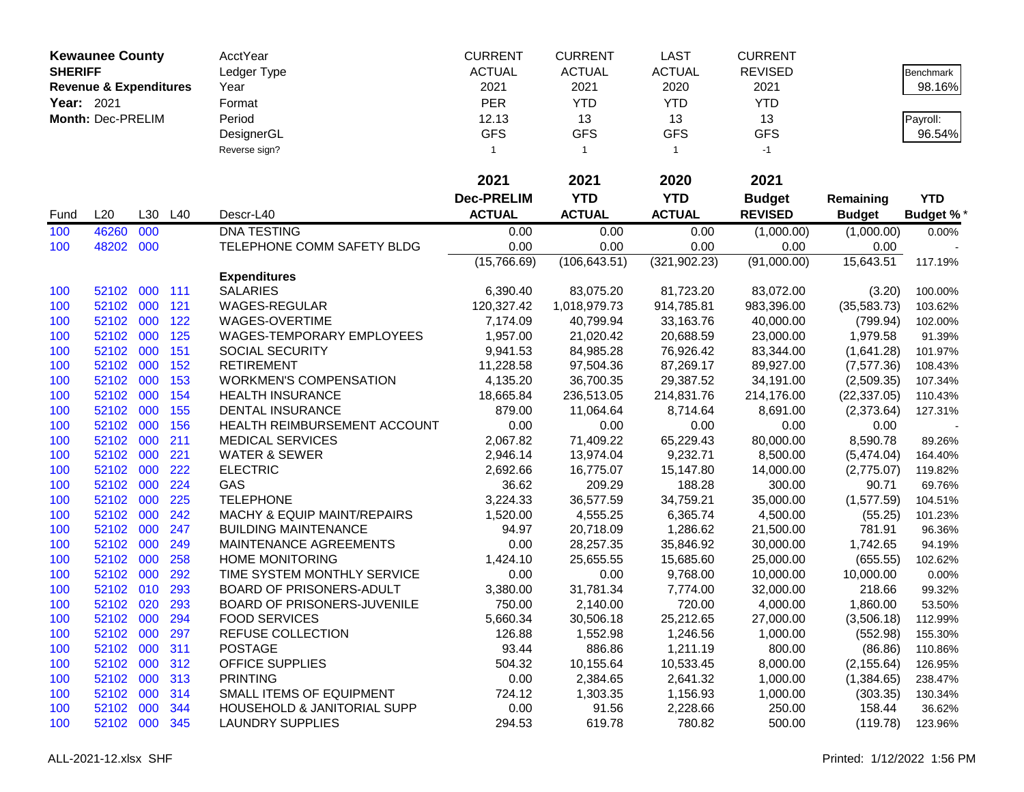|                | <b>Kewaunee County</b>            |         |     | <b>AcctYear</b>                        | <b>CURRENT</b>    | <b>CURRENT</b> | <b>LAST</b>   | <b>CURRENT</b> |               |                  |
|----------------|-----------------------------------|---------|-----|----------------------------------------|-------------------|----------------|---------------|----------------|---------------|------------------|
| <b>SHERIFF</b> |                                   |         |     | Ledger Type                            | <b>ACTUAL</b>     | <b>ACTUAL</b>  | <b>ACTUAL</b> | <b>REVISED</b> |               | Benchmark        |
|                | <b>Revenue &amp; Expenditures</b> |         |     | Year                                   | 2021              | 2021           | 2020          | 2021           |               | 98.16%           |
| Year: 2021     |                                   |         |     | Format                                 | <b>PER</b>        | <b>YTD</b>     | <b>YTD</b>    | <b>YTD</b>     |               |                  |
|                | Month: Dec-PRELIM                 |         |     | Period                                 | 12.13             | 13             | 13            | 13             |               | Payroll:         |
|                |                                   |         |     | DesignerGL                             | <b>GFS</b>        | <b>GFS</b>     | <b>GFS</b>    | <b>GFS</b>     |               | 96.54%           |
|                |                                   |         |     | Reverse sign?                          | 1                 | $\overline{1}$ | $\mathbf{1}$  | $-1$           |               |                  |
|                |                                   |         |     |                                        |                   |                |               |                |               |                  |
|                |                                   |         |     |                                        | 2021              | 2021           | 2020          | 2021           |               |                  |
|                |                                   |         |     |                                        | <b>Dec-PRELIM</b> | <b>YTD</b>     | <b>YTD</b>    | <b>Budget</b>  | Remaining     | <b>YTD</b>       |
| Fund           | L20                               | L30     | L40 | Descr-L40                              | <b>ACTUAL</b>     | <b>ACTUAL</b>  | <b>ACTUAL</b> | <b>REVISED</b> | <b>Budget</b> | <b>Budget %*</b> |
| 100            | 46260                             | 000     |     | <b>DNA TESTING</b>                     | 0.00              | 0.00           | 0.00          | (1,000.00)     | (1,000.00)    | 0.00%            |
| 100            | 48202                             | 000     |     | TELEPHONE COMM SAFETY BLDG             | 0.00              | 0.00           | 0.00          | 0.00           | 0.00          |                  |
|                |                                   |         |     |                                        | (15,766.69)       | (106, 643.51)  | (321, 902.23) | (91,000.00)    | 15,643.51     | 117.19%          |
|                |                                   |         |     | <b>Expenditures</b>                    |                   |                |               |                |               |                  |
| 100            | 52102                             | 000 111 |     | <b>SALARIES</b>                        | 6,390.40          | 83,075.20      | 81,723.20     | 83,072.00      | (3.20)        | 100.00%          |
| 100            | 52102                             | 000     | 121 | WAGES-REGULAR                          | 120,327.42        | 1,018,979.73   | 914,785.81    | 983,396.00     | (35,583.73)   | 103.62%          |
| 100            | 52102 000                         |         | 122 | WAGES-OVERTIME                         | 7,174.09          | 40,799.94      | 33,163.76     | 40,000.00      | (799.94)      | 102.00%          |
| 100            | 52102                             | 000     | 125 | <b>WAGES-TEMPORARY EMPLOYEES</b>       | 1,957.00          | 21,020.42      | 20,688.59     | 23,000.00      | 1,979.58      | 91.39%           |
| 100            | 52102                             | 000     | 151 | SOCIAL SECURITY                        | 9,941.53          | 84,985.28      | 76,926.42     | 83,344.00      | (1,641.28)    | 101.97%          |
| 100            | 52102                             | 000     | 152 | <b>RETIREMENT</b>                      | 11,228.58         | 97,504.36      | 87,269.17     | 89,927.00      | (7, 577.36)   | 108.43%          |
| 100            | 52102                             | 000     | 153 | <b>WORKMEN'S COMPENSATION</b>          | 4,135.20          | 36,700.35      | 29,387.52     | 34,191.00      | (2,509.35)    | 107.34%          |
| 100            | 52102                             | 000     | 154 | <b>HEALTH INSURANCE</b>                | 18,665.84         | 236,513.05     | 214,831.76    | 214,176.00     | (22, 337.05)  | 110.43%          |
| 100            | 52102                             | 000     | 155 | <b>DENTAL INSURANCE</b>                | 879.00            | 11,064.64      | 8,714.64      | 8,691.00       | (2,373.64)    | 127.31%          |
| 100            | 52102                             | 000     | 156 | HEALTH REIMBURSEMENT ACCOUNT           | 0.00              | 0.00           | 0.00          | 0.00           | 0.00          |                  |
| 100            | 52102                             | 000     | 211 | <b>MEDICAL SERVICES</b>                | 2,067.82          | 71,409.22      | 65,229.43     | 80,000.00      | 8,590.78      | 89.26%           |
| 100            | 52102 000                         |         | 221 | <b>WATER &amp; SEWER</b>               | 2,946.14          | 13,974.04      | 9,232.71      | 8,500.00       | (5,474.04)    | 164.40%          |
| 100            | 52102                             | 000     | 222 | <b>ELECTRIC</b>                        | 2,692.66          | 16,775.07      | 15,147.80     | 14,000.00      | (2,775.07)    | 119.82%          |
| 100            | 52102                             | 000     | 224 | GAS                                    | 36.62             | 209.29         | 188.28        | 300.00         | 90.71         | 69.76%           |
| 100            | 52102                             | 000     | 225 | <b>TELEPHONE</b>                       | 3,224.33          | 36,577.59      | 34,759.21     | 35,000.00      | (1,577.59)    | 104.51%          |
| 100            | 52102                             | 000     | 242 | MACHY & EQUIP MAINT/REPAIRS            | 1,520.00          | 4,555.25       | 6,365.74      | 4,500.00       | (55.25)       | 101.23%          |
| 100            | 52102                             | 000     | 247 | <b>BUILDING MAINTENANCE</b>            | 94.97             | 20,718.09      | 1,286.62      | 21,500.00      | 781.91        | 96.36%           |
| 100            | 52102                             | 000     | 249 | MAINTENANCE AGREEMENTS                 | 0.00              | 28,257.35      | 35,846.92     | 30,000.00      | 1,742.65      | 94.19%           |
| 100            | 52102                             | 000     | 258 | <b>HOME MONITORING</b>                 | 1,424.10          | 25,655.55      | 15,685.60     | 25,000.00      | (655.55)      | 102.62%          |
| 100            | 52102                             | 000     | 292 | TIME SYSTEM MONTHLY SERVICE            | 0.00              | 0.00           | 9,768.00      | 10,000.00      | 10,000.00     | 0.00%            |
| 100            | 52102                             | 010     | 293 | BOARD OF PRISONERS-ADULT               | 3,380.00          | 31,781.34      | 7,774.00      | 32,000.00      | 218.66        | 99.32%           |
| 100            | 52102                             | 020     | 293 | BOARD OF PRISONERS-JUVENILE            | 750.00            | 2,140.00       | 720.00        | 4,000.00       | 1,860.00      | 53.50%           |
| 100            | 52102 000                         |         | 294 | <b>FOOD SERVICES</b>                   | 5,660.34          | 30,506.18      | 25,212.65     | 27,000.00      | (3,506.18)    | 112.99%          |
| 100            | 52102 000                         |         | 297 | REFUSE COLLECTION                      | 126.88            | 1,552.98       | 1,246.56      | 1,000.00       | (552.98)      | 155.30%          |
| 100            | 52102 000                         |         | 311 | <b>POSTAGE</b>                         | 93.44             | 886.86         | 1,211.19      | 800.00         | (86.86)       | 110.86%          |
| 100            | 52102 000 312                     |         |     | <b>OFFICE SUPPLIES</b>                 | 504.32            | 10,155.64      | 10,533.45     | 8,000.00       | (2, 155.64)   | 126.95%          |
| 100            | 52102 000                         |         | 313 | <b>PRINTING</b>                        | 0.00              | 2,384.65       | 2,641.32      | 1,000.00       | (1,384.65)    | 238.47%          |
| 100            | 52102 000                         |         | 314 | SMALL ITEMS OF EQUIPMENT               | 724.12            | 1,303.35       | 1,156.93      | 1,000.00       | (303.35)      | 130.34%          |
| 100            | 52102 000                         |         | 344 | <b>HOUSEHOLD &amp; JANITORIAL SUPP</b> | 0.00              | 91.56          | 2,228.66      | 250.00         | 158.44        | 36.62%           |
| 100            | 52102 000                         |         | 345 | <b>LAUNDRY SUPPLIES</b>                | 294.53            | 619.78         | 780.82        | 500.00         | (119.78)      | 123.96%          |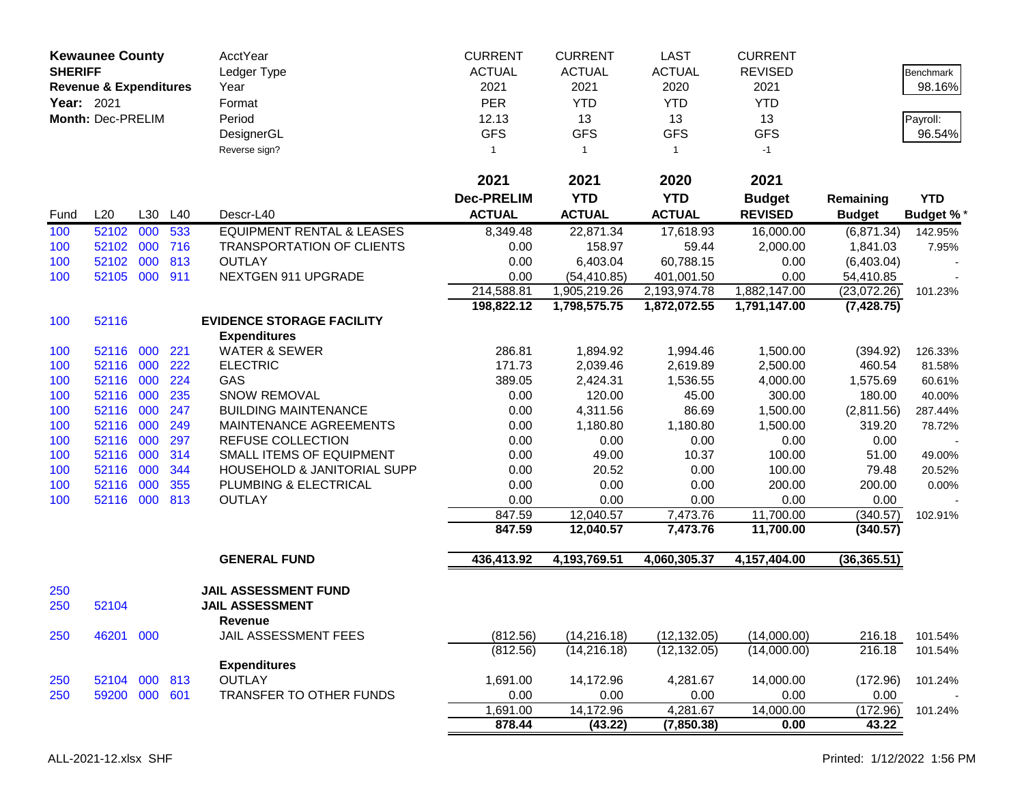| <b>SHERIFF</b>    | <b>Kewaunee County</b>            |     |         | <b>AcctYear</b><br>Ledger Type         | <b>CURRENT</b><br><b>ACTUAL</b> | <b>CURRENT</b><br><b>ACTUAL</b> | <b>LAST</b><br><b>ACTUAL</b> | <b>CURRENT</b><br><b>REVISED</b> |               | <b>Benchmark</b> |
|-------------------|-----------------------------------|-----|---------|----------------------------------------|---------------------------------|---------------------------------|------------------------------|----------------------------------|---------------|------------------|
|                   | <b>Revenue &amp; Expenditures</b> |     |         | Year                                   | 2021                            | 2021                            | 2020                         | 2021                             |               | 98.16%           |
| <b>Year: 2021</b> |                                   |     |         | Format                                 | <b>PER</b>                      | <b>YTD</b>                      | <b>YTD</b>                   | <b>YTD</b>                       |               |                  |
|                   | Month: Dec-PRELIM                 |     |         | Period                                 | 12.13                           | 13                              | 13                           | 13                               |               | Payroll:         |
|                   |                                   |     |         | DesignerGL                             | <b>GFS</b>                      | <b>GFS</b>                      | <b>GFS</b>                   | <b>GFS</b>                       |               | 96.54%           |
|                   |                                   |     |         | Reverse sign?                          | $\mathbf{1}$                    | $\overline{1}$                  | $\mathbf{1}$                 | $-1$                             |               |                  |
|                   |                                   |     |         |                                        |                                 |                                 |                              |                                  |               |                  |
|                   |                                   |     |         |                                        | 2021                            | 2021                            | 2020                         | 2021                             |               |                  |
|                   |                                   |     |         |                                        | <b>Dec-PRELIM</b>               | <b>YTD</b>                      | <b>YTD</b>                   | <b>Budget</b>                    | Remaining     | <b>YTD</b>       |
| Fund              | L20                               |     | L30 L40 | Descr-L40                              | <b>ACTUAL</b>                   | <b>ACTUAL</b>                   | <b>ACTUAL</b>                | <b>REVISED</b>                   | <b>Budget</b> | <b>Budget %*</b> |
| 100               | 52102                             | 000 | 533     | <b>EQUIPMENT RENTAL &amp; LEASES</b>   | 8,349.48                        | 22,871.34                       | 17,618.93                    | 16,000.00                        | (6,871.34)    | 142.95%          |
| 100               | 52102                             | 000 | 716     | <b>TRANSPORTATION OF CLIENTS</b>       | 0.00                            | 158.97                          | 59.44                        | 2,000.00                         | 1,841.03      | 7.95%            |
| 100               | 52102                             | 000 | 813     | <b>OUTLAY</b>                          | 0.00                            | 6,403.04                        | 60,788.15                    | 0.00                             | (6,403.04)    |                  |
| 100               | 52105 000                         |     | 911     | NEXTGEN 911 UPGRADE                    | 0.00                            | (54, 410.85)                    | 401,001.50                   | 0.00                             | 54,410.85     |                  |
|                   |                                   |     |         |                                        | 214,588.81                      | 1,905,219.26                    | 2,193,974.78                 | 1,882,147.00                     | (23,072.26)   | 101.23%          |
|                   |                                   |     |         |                                        | 198,822.12                      | 1,798,575.75                    | 1,872,072.55                 | 1,791,147.00                     | (7, 428.75)   |                  |
| 100               | 52116                             |     |         | <b>EVIDENCE STORAGE FACILITY</b>       |                                 |                                 |                              |                                  |               |                  |
|                   |                                   |     |         | <b>Expenditures</b>                    |                                 |                                 |                              |                                  |               |                  |
| 100               | 52116 000                         |     | 221     | <b>WATER &amp; SEWER</b>               | 286.81                          | 1,894.92                        | 1,994.46                     | 1,500.00                         | (394.92)      | 126.33%          |
| 100               | 52116 000                         |     | 222     | <b>ELECTRIC</b>                        | 171.73                          | 2,039.46                        | 2,619.89                     | 2,500.00                         | 460.54        | 81.58%           |
| 100               | 52116 000                         |     | 224     | GAS                                    | 389.05                          | 2,424.31                        | 1,536.55                     | 4,000.00                         | 1,575.69      | 60.61%           |
| 100               | 52116 000                         |     | 235     | <b>SNOW REMOVAL</b>                    | 0.00                            | 120.00                          | 45.00                        | 300.00                           | 180.00        | 40.00%           |
| 100               | 52116 000                         |     | 247     | <b>BUILDING MAINTENANCE</b>            | 0.00                            | 4,311.56                        | 86.69                        | 1,500.00                         | (2,811.56)    | 287.44%          |
| 100               | 52116 000                         |     | 249     | MAINTENANCE AGREEMENTS                 | 0.00                            | 1,180.80                        | 1,180.80                     | 1,500.00                         | 319.20        | 78.72%           |
| 100               | 52116 000                         |     | 297     | <b>REFUSE COLLECTION</b>               | 0.00                            | 0.00                            | 0.00                         | 0.00                             | 0.00          |                  |
| 100               | 52116                             | 000 | 314     | SMALL ITEMS OF EQUIPMENT               | 0.00                            | 49.00                           | 10.37                        | 100.00                           | 51.00         | 49.00%           |
| 100               | 52116                             | 000 | 344     | HOUSEHOLD & JANITORIAL SUPP            | 0.00                            | 20.52                           | 0.00                         | 100.00                           | 79.48         | 20.52%           |
| 100               | 52116 000                         |     | 355     | PLUMBING & ELECTRICAL                  | 0.00                            | 0.00                            | 0.00                         | 200.00                           | 200.00        | 0.00%            |
| 100               | 52116 000 813                     |     |         | <b>OUTLAY</b>                          | 0.00                            | 0.00                            | 0.00                         | 0.00                             | 0.00          |                  |
|                   |                                   |     |         |                                        | 847.59                          | 12,040.57                       | 7,473.76                     | 11,700.00                        | (340.57)      | 102.91%          |
|                   |                                   |     |         |                                        | 847.59                          | 12,040.57                       | 7,473.76                     | 11,700.00                        | (340.57)      |                  |
|                   |                                   |     |         | <b>GENERAL FUND</b>                    | 436,413.92                      | 4,193,769.51                    | 4,060,305.37                 | 4,157,404.00                     | (36, 365.51)  |                  |
| 250               |                                   |     |         | JAIL ASSESSMENT FUND                   |                                 |                                 |                              |                                  |               |                  |
| 250               | 52104                             |     |         | <b>JAIL ASSESSMENT</b>                 |                                 |                                 |                              |                                  |               |                  |
| 250               | 46201 000                         |     |         | <b>Revenue</b><br>JAIL ASSESSMENT FEES | (812.56)                        | (14, 216.18)                    | (12, 132.05)                 | (14,000.00)                      | 216.18        | 101.54%          |
|                   |                                   |     |         |                                        | (812.56)                        | (14, 216.18)                    | (12, 132.05)                 | (14,000.00)                      | 216.18        | 101.54%          |
|                   |                                   |     |         | <b>Expenditures</b>                    |                                 |                                 |                              |                                  |               |                  |
| 250               | 52104 000 813                     |     |         | <b>OUTLAY</b>                          | 1,691.00                        | 14,172.96                       | 4,281.67                     | 14,000.00                        | (172.96)      | 101.24%          |
| 250               | 59200 000                         |     | 601     | TRANSFER TO OTHER FUNDS                | 0.00                            | 0.00                            | 0.00                         | 0.00                             | 0.00          |                  |
|                   |                                   |     |         |                                        | 1,691.00                        | 14,172.96                       | 4,281.67                     | 14,000.00                        | (172.96)      | 101.24%          |
|                   |                                   |     |         |                                        | 878.44                          | (43.22)                         | (7,850.38)                   | 0.00                             | 43.22         |                  |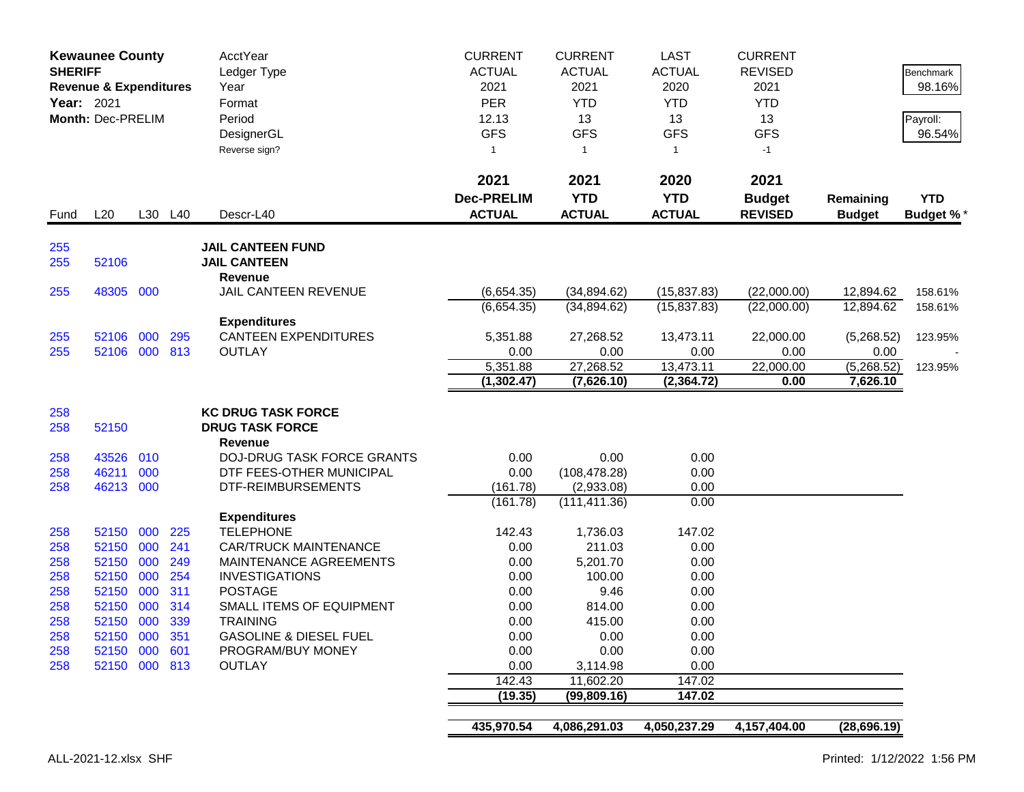|            | <b>Kewaunee County</b><br><b>SHERIFF</b><br><b>Revenue &amp; Expenditures</b><br>Year: 2021<br>Month: Dec-PRELIM |     |         | <b>AcctYear</b><br>Ledger Type<br>Year<br>Format<br>Period<br>DesignerGL<br>Reverse sign? | <b>CURRENT</b><br><b>ACTUAL</b><br>2021<br><b>PER</b><br>12.13<br><b>GFS</b><br>$\mathbf{1}$ | <b>CURRENT</b><br><b>ACTUAL</b><br>2021<br><b>YTD</b><br>13<br><b>GFS</b><br>$\overline{1}$ | <b>LAST</b><br><b>ACTUAL</b><br>2020<br><b>YTD</b><br>13<br><b>GFS</b><br>$\mathbf{1}$ | <b>CURRENT</b><br><b>REVISED</b><br>2021<br><b>YTD</b><br>13<br><b>GFS</b><br>$-1$ |                            | Benchmark<br>98.16%<br>Payroll:<br>96.54% |
|------------|------------------------------------------------------------------------------------------------------------------|-----|---------|-------------------------------------------------------------------------------------------|----------------------------------------------------------------------------------------------|---------------------------------------------------------------------------------------------|----------------------------------------------------------------------------------------|------------------------------------------------------------------------------------|----------------------------|-------------------------------------------|
| Fund       | L20                                                                                                              |     | L30 L40 | Descr-L40                                                                                 | 2021<br><b>Dec-PRELIM</b><br><b>ACTUAL</b>                                                   | 2021<br><b>YTD</b><br><b>ACTUAL</b>                                                         | 2020<br><b>YTD</b><br><b>ACTUAL</b>                                                    | 2021<br><b>Budget</b><br><b>REVISED</b>                                            | Remaining<br><b>Budget</b> | <b>YTD</b><br><b>Budget %*</b>            |
| 255<br>255 | 52106                                                                                                            |     |         | <b>JAIL CANTEEN FUND</b><br><b>JAIL CANTEEN</b>                                           |                                                                                              |                                                                                             |                                                                                        |                                                                                    |                            |                                           |
| 255        | 48305 000                                                                                                        |     |         | Revenue<br>JAIL CANTEEN REVENUE                                                           | (6,654.35)                                                                                   | (34, 894.62)                                                                                | (15, 837.83)                                                                           | (22,000.00)                                                                        | 12,894.62                  | 158.61%                                   |
|            |                                                                                                                  |     |         |                                                                                           | (6,654.35)                                                                                   | (34,894.62)                                                                                 | (15, 837.83)                                                                           | (22,000.00)                                                                        | 12,894.62                  | 158.61%                                   |
|            |                                                                                                                  |     |         | <b>Expenditures</b>                                                                       |                                                                                              |                                                                                             |                                                                                        |                                                                                    |                            |                                           |
| 255        | 52106 000                                                                                                        |     | 295     | <b>CANTEEN EXPENDITURES</b>                                                               | 5,351.88                                                                                     | 27,268.52                                                                                   | 13,473.11                                                                              | 22,000.00                                                                          | (5,268.52)                 | 123.95%                                   |
| 255        | 52106 000 813                                                                                                    |     |         | <b>OUTLAY</b>                                                                             | 0.00                                                                                         | 0.00                                                                                        | 0.00                                                                                   | 0.00                                                                               | 0.00                       |                                           |
|            |                                                                                                                  |     |         |                                                                                           | $\overline{5,}351.88$                                                                        | 27,268.52                                                                                   | 13,473.11                                                                              | 22,000.00                                                                          | (5,268.52)                 | 123.95%                                   |
|            |                                                                                                                  |     |         |                                                                                           | (1, 302.47)                                                                                  | (7,626.10)                                                                                  | (2, 364.72)                                                                            | 0.00                                                                               | 7,626.10                   |                                           |
|            |                                                                                                                  |     |         | <b>KC DRUG TASK FORCE</b>                                                                 |                                                                                              |                                                                                             |                                                                                        |                                                                                    |                            |                                           |
| 258<br>258 | 52150                                                                                                            |     |         | <b>DRUG TASK FORCE</b>                                                                    |                                                                                              |                                                                                             |                                                                                        |                                                                                    |                            |                                           |
|            |                                                                                                                  |     |         | <b>Revenue</b>                                                                            |                                                                                              |                                                                                             |                                                                                        |                                                                                    |                            |                                           |
| 258        | 43526                                                                                                            | 010 |         | <b>DOJ-DRUG TASK FORCE GRANTS</b>                                                         | 0.00                                                                                         | 0.00                                                                                        | 0.00                                                                                   |                                                                                    |                            |                                           |
| 258        | 46211                                                                                                            | 000 |         | DTF FEES-OTHER MUNICIPAL                                                                  | 0.00                                                                                         | (108, 478.28)                                                                               | 0.00                                                                                   |                                                                                    |                            |                                           |
| 258        | 46213 000                                                                                                        |     |         | DTF-REIMBURSEMENTS                                                                        | (161.78)                                                                                     | (2,933.08)                                                                                  | 0.00                                                                                   |                                                                                    |                            |                                           |
|            |                                                                                                                  |     |         |                                                                                           | (161.78)                                                                                     | (111, 411.36)                                                                               | 0.00                                                                                   |                                                                                    |                            |                                           |
|            |                                                                                                                  |     |         | <b>Expenditures</b>                                                                       |                                                                                              |                                                                                             |                                                                                        |                                                                                    |                            |                                           |
| 258        | 52150 000                                                                                                        |     | 225     | <b>TELEPHONE</b>                                                                          | 142.43                                                                                       | 1,736.03                                                                                    | 147.02                                                                                 |                                                                                    |                            |                                           |
| 258        | 52150 000                                                                                                        |     | 241     | <b>CAR/TRUCK MAINTENANCE</b>                                                              | 0.00                                                                                         | 211.03                                                                                      | 0.00                                                                                   |                                                                                    |                            |                                           |
| 258        | 52150                                                                                                            | 000 | 249     | MAINTENANCE AGREEMENTS                                                                    | 0.00                                                                                         | 5,201.70                                                                                    | 0.00                                                                                   |                                                                                    |                            |                                           |
| 258        | 52150                                                                                                            | 000 | 254     | <b>INVESTIGATIONS</b>                                                                     | 0.00                                                                                         | 100.00                                                                                      | 0.00                                                                                   |                                                                                    |                            |                                           |
| 258        | 52150                                                                                                            | 000 | 311     | <b>POSTAGE</b>                                                                            | 0.00                                                                                         | 9.46                                                                                        | 0.00                                                                                   |                                                                                    |                            |                                           |
| 258        | 52150<br>52150 000                                                                                               | 000 | 314     | SMALL ITEMS OF EQUIPMENT<br><b>TRAINING</b>                                               | 0.00                                                                                         | 814.00                                                                                      | 0.00<br>0.00                                                                           |                                                                                    |                            |                                           |
| 258<br>258 | 52150 000 351                                                                                                    |     | 339     | <b>GASOLINE &amp; DIESEL FUEL</b>                                                         | 0.00<br>0.00                                                                                 | 415.00<br>0.00                                                                              | 0.00                                                                                   |                                                                                    |                            |                                           |
| 258        | 52150 000 601                                                                                                    |     |         | PROGRAM/BUY MONEY                                                                         | 0.00                                                                                         | 0.00                                                                                        | 0.00                                                                                   |                                                                                    |                            |                                           |
| 258        | 52150 000 813                                                                                                    |     |         | <b>OUTLAY</b>                                                                             | 0.00                                                                                         | 3,114.98                                                                                    | 0.00                                                                                   |                                                                                    |                            |                                           |
|            |                                                                                                                  |     |         |                                                                                           | 142.43                                                                                       | 11,602.20                                                                                   | 147.02                                                                                 |                                                                                    |                            |                                           |
|            |                                                                                                                  |     |         |                                                                                           | (19.35)                                                                                      | (99,809.16)                                                                                 | 147.02                                                                                 |                                                                                    |                            |                                           |
|            |                                                                                                                  |     |         |                                                                                           |                                                                                              |                                                                                             |                                                                                        |                                                                                    |                            |                                           |
|            |                                                                                                                  |     |         |                                                                                           | 435,970.54                                                                                   | 4,086,291.03                                                                                | 4,050,237.29                                                                           | 4,157,404.00                                                                       | (28, 696.19)               |                                           |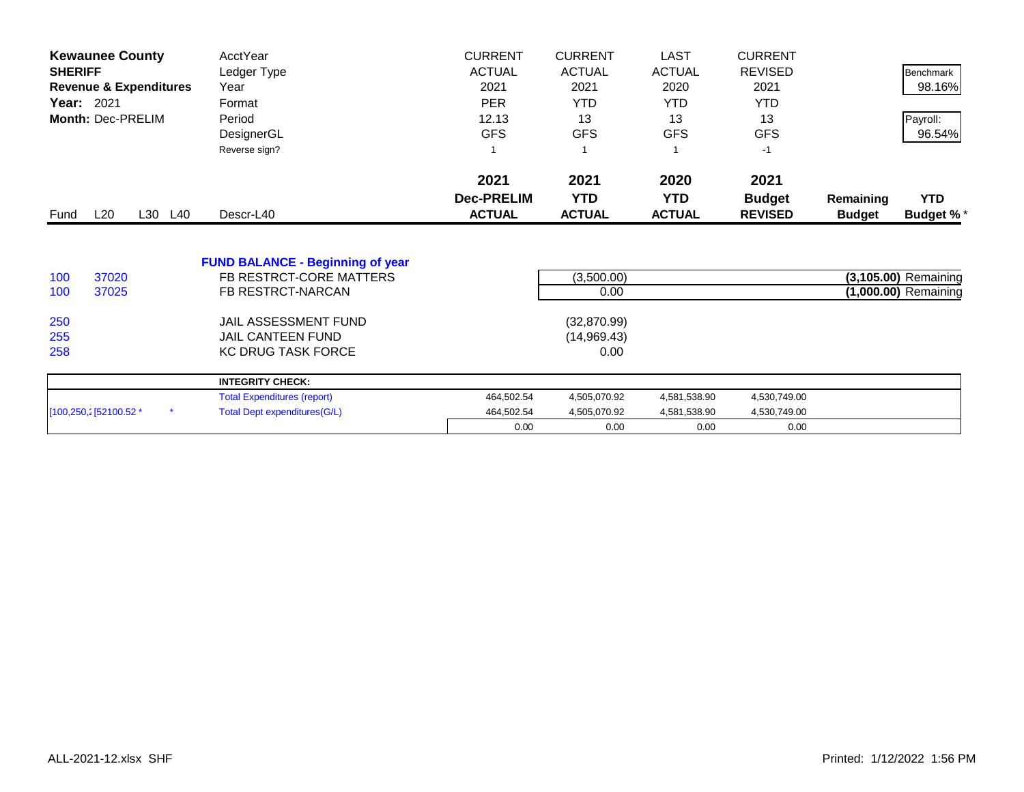| <b>Kewaunee County</b>            |         | AcctYear                                | <b>CURRENT</b>    | <b>CURRENT</b> | <b>LAST</b>   | <b>CURRENT</b> |               |                      |
|-----------------------------------|---------|-----------------------------------------|-------------------|----------------|---------------|----------------|---------------|----------------------|
| <b>SHERIFF</b>                    |         | Ledger Type                             | <b>ACTUAL</b>     | <b>ACTUAL</b>  | <b>ACTUAL</b> | <b>REVISED</b> |               | Benchmark            |
| <b>Revenue &amp; Expenditures</b> |         | Year                                    | 2021              | 2021           | 2020          | 2021           |               | 98.16%               |
| Year: 2021                        |         | Format                                  | <b>PER</b>        | <b>YTD</b>     | <b>YTD</b>    | <b>YTD</b>     |               |                      |
| Month: Dec-PRELIM                 |         | Period                                  | 12.13             | 13             | 13            | 13             |               | Payroll:             |
|                                   |         | DesignerGL                              | <b>GFS</b>        | <b>GFS</b>     | <b>GFS</b>    | <b>GFS</b>     |               | 96.54%               |
|                                   |         | Reverse sign?                           | 1                 |                |               | $-1$           |               |                      |
|                                   |         |                                         | 2021              | 2021           | 2020          | 2021           |               |                      |
|                                   |         |                                         | <b>Dec-PRELIM</b> | <b>YTD</b>     | <b>YTD</b>    | <b>Budget</b>  | Remaining     | <b>YTD</b>           |
| L20<br>Fund                       | L30 L40 | Descr-L40                               | <b>ACTUAL</b>     | <b>ACTUAL</b>  | <b>ACTUAL</b> | <b>REVISED</b> | <b>Budget</b> | <b>Budget %*</b>     |
|                                   |         | <b>FUND BALANCE - Beginning of year</b> |                   |                |               |                |               |                      |
| 100<br>37020                      |         | FB RESTRCT-CORE MATTERS                 |                   | (3,500.00)     |               |                |               | (3,105.00) Remaining |
| 37025<br>100                      |         | FB RESTRCT-NARCAN                       |                   | 0.00           |               |                |               | (1,000.00) Remaining |
| 250                               |         | JAIL ASSESSMENT FUND                    |                   | (32,870.99)    |               |                |               |                      |
| 255                               |         | JAIL CANTEEN FUND                       |                   | (14,969.43)    |               |                |               |                      |
| 258                               |         | <b>KC DRUG TASK FORCE</b>               |                   | 0.00           |               |                |               |                      |
|                                   |         | <b>INTEGRITY CHECK:</b>                 |                   |                |               |                |               |                      |
|                                   |         | <b>Total Expenditures (report)</b>      | 464,502.54        | 4,505,070.92   | 4,581,538.90  | 4,530,749.00   |               |                      |
| [100,250,2 [52100.52 *            |         | <b>Total Dept expenditures(G/L)</b>     | 464,502.54        | 4,505,070.92   | 4,581,538.90  | 4,530,749.00   |               |                      |
|                                   |         |                                         | 0.00              | 0.00           | 0.00          | 0.00           |               |                      |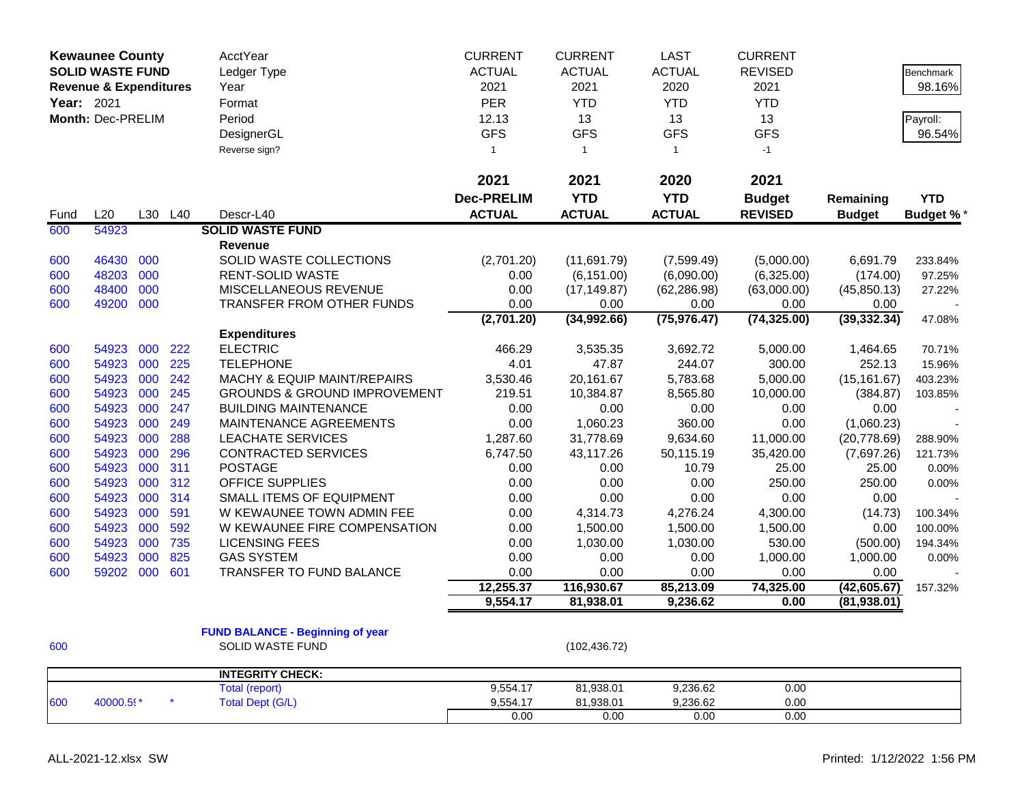|            | <b>Kewaunee County</b>            |     |         | AcctYear                                | <b>CURRENT</b>    | <b>CURRENT</b> | <b>LAST</b>   | <b>CURRENT</b> |               |                  |
|------------|-----------------------------------|-----|---------|-----------------------------------------|-------------------|----------------|---------------|----------------|---------------|------------------|
|            | <b>SOLID WASTE FUND</b>           |     |         | Ledger Type                             | <b>ACTUAL</b>     | <b>ACTUAL</b>  | <b>ACTUAL</b> | <b>REVISED</b> |               | <b>Benchmark</b> |
|            | <b>Revenue &amp; Expenditures</b> |     |         | Year                                    | 2021              | 2021           | 2020          | 2021           |               | 98.16%           |
| Year: 2021 |                                   |     |         | Format                                  | <b>PER</b>        | <b>YTD</b>     | <b>YTD</b>    | <b>YTD</b>     |               |                  |
|            | Month: Dec-PRELIM                 |     |         | Period                                  | 12.13             | 13             | 13            | 13             |               | Payroll:         |
|            |                                   |     |         | DesignerGL                              | <b>GFS</b>        | <b>GFS</b>     | <b>GFS</b>    | <b>GFS</b>     |               | 96.54%           |
|            |                                   |     |         | Reverse sign?                           | $\overline{1}$    | $\overline{1}$ | $\mathbf{1}$  | $-1$           |               |                  |
|            |                                   |     |         |                                         |                   |                |               |                |               |                  |
|            |                                   |     |         |                                         | 2021              | 2021           | 2020          | 2021           |               |                  |
|            |                                   |     |         |                                         | <b>Dec-PRELIM</b> | <b>YTD</b>     | <b>YTD</b>    | <b>Budget</b>  | Remaining     | <b>YTD</b>       |
| Fund       | L20                               |     | L30 L40 | Descr-L40                               | <b>ACTUAL</b>     | <b>ACTUAL</b>  | <b>ACTUAL</b> | <b>REVISED</b> | <b>Budget</b> | <b>Budget %*</b> |
| 600        | 54923                             |     |         | <b>SOLID WASTE FUND</b>                 |                   |                |               |                |               |                  |
|            |                                   |     |         | <b>Revenue</b>                          |                   |                |               |                |               |                  |
| 600        | 46430                             | 000 |         | SOLID WASTE COLLECTIONS                 | (2,701.20)        | (11,691.79)    | (7,599.49)    | (5,000.00)     | 6,691.79      | 233.84%          |
| 600        | 48203                             | 000 |         | <b>RENT-SOLID WASTE</b>                 | 0.00              | (6, 151.00)    | (6,090.00)    | (6,325.00)     | (174.00)      | 97.25%           |
| 600        | 48400                             | 000 |         | <b>MISCELLANEOUS REVENUE</b>            | 0.00              | (17, 149.87)   | (62, 286.98)  | (63,000.00)    | (45, 850.13)  | 27.22%           |
| 600        | 49200                             | 000 |         | TRANSFER FROM OTHER FUNDS               | 0.00              | 0.00           | 0.00          | 0.00           | 0.00          |                  |
|            |                                   |     |         |                                         | (2,701.20)        | (34,992.66)    | (75, 976.47)  | (74, 325.00)   | (39, 332.34)  | 47.08%           |
|            |                                   |     |         | <b>Expenditures</b>                     |                   |                |               |                |               |                  |
| 600        | 54923                             | 000 | 222     | <b>ELECTRIC</b>                         | 466.29            | 3,535.35       | 3,692.72      | 5,000.00       | 1,464.65      | 70.71%           |
| 600        | 54923                             | 000 | 225     | <b>TELEPHONE</b>                        | 4.01              | 47.87          | 244.07        | 300.00         | 252.13        | 15.96%           |
| 600        | 54923                             | 000 | 242     | MACHY & EQUIP MAINT/REPAIRS             | 3,530.46          | 20,161.67      | 5,783.68      | 5,000.00       | (15, 161.67)  | 403.23%          |
| 600        | 54923                             | 000 | 245     | <b>GROUNDS &amp; GROUND IMPROVEMENT</b> | 219.51            | 10,384.87      | 8,565.80      | 10,000.00      | (384.87)      | 103.85%          |
| 600        | 54923                             | 000 | 247     | <b>BUILDING MAINTENANCE</b>             | 0.00              | 0.00           | 0.00          | 0.00           | 0.00          |                  |
| 600        | 54923                             | 000 | 249     | MAINTENANCE AGREEMENTS                  | 0.00              | 1,060.23       | 360.00        | 0.00           | (1,060.23)    |                  |
| 600        | 54923                             | 000 | 288     | <b>LEACHATE SERVICES</b>                | 1,287.60          | 31,778.69      | 9,634.60      | 11,000.00      | (20, 778.69)  | 288.90%          |
| 600        | 54923                             | 000 | 296     | CONTRACTED SERVICES                     | 6,747.50          | 43,117.26      | 50,115.19     | 35,420.00      | (7,697.26)    | 121.73%          |
| 600        | 54923                             | 000 | 311     | <b>POSTAGE</b>                          | 0.00              | 0.00           | 10.79         | 25.00          | 25.00         | 0.00%            |
| 600        | 54923                             | 000 | 312     | OFFICE SUPPLIES                         | 0.00              | 0.00           | 0.00          | 250.00         | 250.00        | 0.00%            |
| 600        | 54923                             | 000 | 314     | <b>SMALL ITEMS OF EQUIPMENT</b>         | 0.00              | 0.00           | 0.00          | 0.00           | 0.00          |                  |
| 600        | 54923                             | 000 | 591     | W KEWAUNEE TOWN ADMIN FEE               | 0.00              | 4,314.73       | 4,276.24      | 4,300.00       | (14.73)       | 100.34%          |
| 600        | 54923                             | 000 | 592     | W KEWAUNEE FIRE COMPENSATION            | 0.00              | 1,500.00       | 1,500.00      | 1,500.00       | 0.00          | 100.00%          |
| 600        | 54923                             | 000 | 735     | <b>LICENSING FEES</b>                   | 0.00              | 1,030.00       | 1,030.00      | 530.00         | (500.00)      | 194.34%          |
| 600        | 54923                             | 000 | 825     | <b>GAS SYSTEM</b>                       | 0.00              | 0.00           | 0.00          | 1,000.00       | 1,000.00      | 0.00%            |
| 600        | 59202                             | 000 | 601     | <b>TRANSFER TO FUND BALANCE</b>         | 0.00              | 0.00           | 0.00          | 0.00           | 0.00          |                  |
|            |                                   |     |         |                                         | 12,255.37         | 116,930.67     | 85,213.09     | 74,325.00      | (42,605.67)   | 157.32%          |
|            |                                   |     |         |                                         | 9,554.17          | 81,938.01      | 9,236.62      | 0.00           | (81,938.01)   |                  |
|            |                                   |     |         |                                         |                   |                |               |                |               |                  |
|            |                                   |     |         | <b>FUND BALANCE - Beginning of year</b> |                   |                |               |                |               |                  |
| 600        |                                   |     |         | <b>SOLID WASTE FUND</b>                 |                   | (102, 436.72)  |               |                |               |                  |
|            |                                   |     |         | <b>INTEGRITY CHECK:</b>                 |                   |                |               |                |               |                  |
|            |                                   |     |         | <b>Total (report)</b>                   | 9,554.17          | 81,938.01      | 9,236.62      | 0.00           |               |                  |
| 600        | 40000.59*                         |     |         | <b>Total Dept (G/L)</b>                 | 9,554.17          | 81,938.01      | 9,236.62      | 0.00           |               |                  |
|            |                                   |     |         |                                         | 0.00              | 0.00           | 0.00          | 0.00           |               |                  |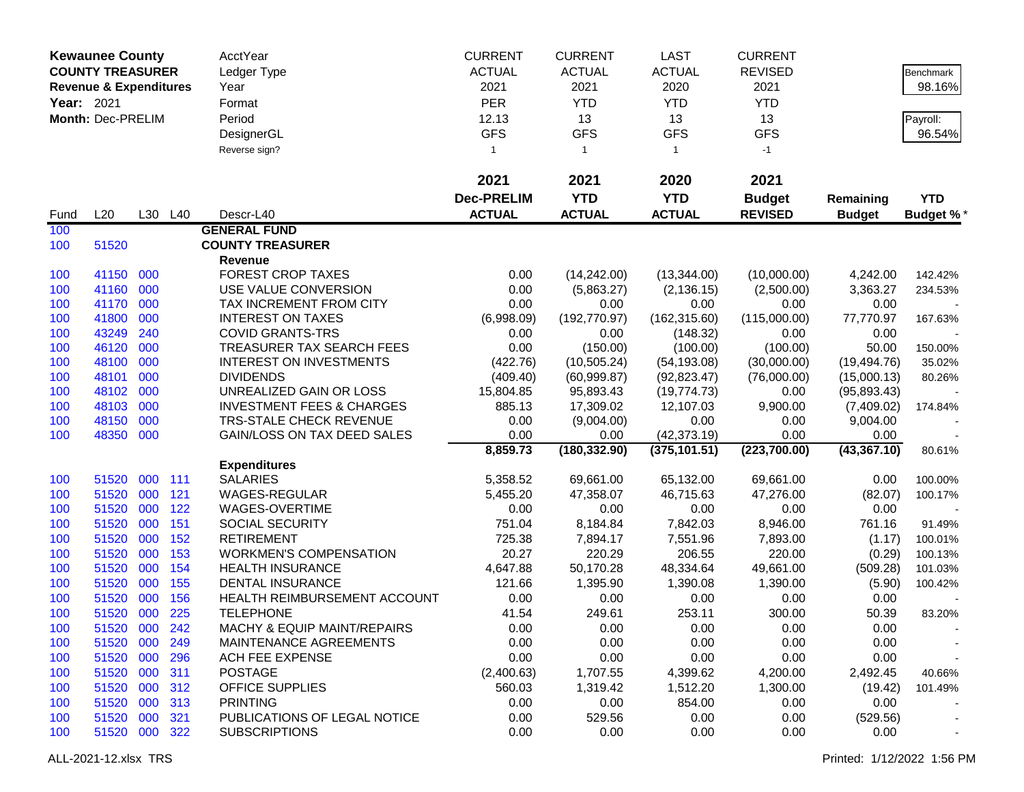|            | <b>Kewaunee County</b>            |     |         | AcctYear                             | <b>CURRENT</b>    | <b>CURRENT</b> | <b>LAST</b>   | <b>CURRENT</b> |               |            |
|------------|-----------------------------------|-----|---------|--------------------------------------|-------------------|----------------|---------------|----------------|---------------|------------|
|            | <b>COUNTY TREASURER</b>           |     |         | Ledger Type                          | <b>ACTUAL</b>     | <b>ACTUAL</b>  | <b>ACTUAL</b> | <b>REVISED</b> |               | Benchmark  |
|            | <b>Revenue &amp; Expenditures</b> |     |         | Year                                 | 2021              | 2021           | 2020          | 2021           |               | 98.16%     |
| Year: 2021 |                                   |     |         | Format                               | <b>PER</b>        | <b>YTD</b>     | <b>YTD</b>    | <b>YTD</b>     |               |            |
|            | Month: Dec-PRELIM                 |     |         | Period                               | 12.13             | 13             | 13            | 13             |               | Payroll:   |
|            |                                   |     |         | DesignerGL                           | <b>GFS</b>        | <b>GFS</b>     | <b>GFS</b>    | <b>GFS</b>     |               | 96.54%     |
|            |                                   |     |         |                                      |                   |                |               |                |               |            |
|            |                                   |     |         | Reverse sign?                        | $\mathbf{1}$      | $\mathbf{1}$   | $\mathbf{1}$  | $-1$           |               |            |
|            |                                   |     |         |                                      | 2021              | 2021           | 2020          | 2021           |               |            |
|            |                                   |     |         |                                      | <b>Dec-PRELIM</b> | <b>YTD</b>     | <b>YTD</b>    | <b>Budget</b>  | Remaining     | <b>YTD</b> |
| Fund       | L20                               |     | L30 L40 | Descr-L40                            | <b>ACTUAL</b>     | <b>ACTUAL</b>  | <b>ACTUAL</b> | <b>REVISED</b> | <b>Budget</b> | Budget %*  |
| 100        |                                   |     |         | <b>GENERAL FUND</b>                  |                   |                |               |                |               |            |
| 100        | 51520                             |     |         | <b>COUNTY TREASURER</b>              |                   |                |               |                |               |            |
|            |                                   |     |         | Revenue                              |                   |                |               |                |               |            |
| 100        | 41150                             | 000 |         | <b>FOREST CROP TAXES</b>             | 0.00              | (14, 242.00)   | (13, 344.00)  | (10,000.00)    | 4,242.00      | 142.42%    |
| 100        | 41160                             | 000 |         | USE VALUE CONVERSION                 | 0.00              | (5,863.27)     | (2, 136.15)   | (2,500.00)     | 3,363.27      | 234.53%    |
| 100        | 41170                             | 000 |         | TAX INCREMENT FROM CITY              | 0.00              | 0.00           | 0.00          | 0.00           | 0.00          |            |
| 100        | 41800                             | 000 |         | <b>INTEREST ON TAXES</b>             | (6,998.09)        | (192, 770.97)  | (162, 315.60) | (115,000.00)   | 77,770.97     | 167.63%    |
| 100        | 43249                             | 240 |         | <b>COVID GRANTS-TRS</b>              | 0.00              | 0.00           | (148.32)      | 0.00           | 0.00          |            |
| 100        | 46120                             | 000 |         | TREASURER TAX SEARCH FEES            | 0.00              | (150.00)       | (100.00)      | (100.00)       | 50.00         | 150.00%    |
| 100        | 48100                             | 000 |         | <b>INTEREST ON INVESTMENTS</b>       | (422.76)          | (10, 505.24)   | (54, 193.08)  | (30,000.00)    | (19, 494.76)  | 35.02%     |
| 100        | 48101                             | 000 |         | <b>DIVIDENDS</b>                     | (409.40)          | (60, 999.87)   | (92, 823.47)  | (76,000.00)    | (15,000.13)   | 80.26%     |
| 100        | 48102                             | 000 |         | UNREALIZED GAIN OR LOSS              | 15,804.85         | 95,893.43      | (19, 774.73)  | 0.00           | (95,893.43)   |            |
| 100        | 48103                             | 000 |         | <b>INVESTMENT FEES &amp; CHARGES</b> | 885.13            | 17,309.02      | 12,107.03     | 9,900.00       | (7,409.02)    | 174.84%    |
| 100        | 48150                             | 000 |         | TRS-STALE CHECK REVENUE              | 0.00              | (9,004.00)     | 0.00          | 0.00           | 9,004.00      |            |
| 100        | 48350                             | 000 |         | GAIN/LOSS ON TAX DEED SALES          | 0.00              | 0.00           | (42, 373.19)  | 0.00           | 0.00          |            |
|            |                                   |     |         |                                      | 8,859.73          | (180, 332.90)  | (375, 101.51) | (223,700.00)   | (43, 367.10)  | 80.61%     |
|            |                                   |     |         | <b>Expenditures</b>                  |                   |                |               |                |               |            |
| 100        | 51520                             | 000 | 111     | <b>SALARIES</b>                      | 5,358.52          | 69,661.00      | 65,132.00     | 69,661.00      | 0.00          | 100.00%    |
| 100        | 51520                             | 000 | 121     | WAGES-REGULAR                        | 5,455.20          | 47,358.07      | 46,715.63     | 47,276.00      | (82.07)       | 100.17%    |
| 100        | 51520                             | 000 | 122     | WAGES-OVERTIME                       | 0.00              | 0.00           | 0.00          | 0.00           | 0.00          |            |
| 100        | 51520                             | 000 | 151     | <b>SOCIAL SECURITY</b>               | 751.04            | 8,184.84       | 7,842.03      | 8,946.00       | 761.16        | 91.49%     |
| 100        | 51520                             | 000 | 152     | <b>RETIREMENT</b>                    | 725.38            | 7,894.17       | 7,551.96      | 7,893.00       | (1.17)        | 100.01%    |
| 100        | 51520                             | 000 | 153     | <b>WORKMEN'S COMPENSATION</b>        | 20.27             | 220.29         | 206.55        | 220.00         | (0.29)        | 100.13%    |
| 100        | 51520                             | 000 | 154     | <b>HEALTH INSURANCE</b>              | 4,647.88          | 50,170.28      | 48,334.64     | 49,661.00      | (509.28)      | 101.03%    |
| 100        | 51520                             | 000 | 155     | <b>DENTAL INSURANCE</b>              | 121.66            | 1,395.90       | 1,390.08      | 1,390.00       | (5.90)        | 100.42%    |
| 100        | 51520                             | 000 | 156     | HEALTH REIMBURSEMENT ACCOUNT         | 0.00              | 0.00           | 0.00          | 0.00           | 0.00          |            |
| 100        | 51520                             | 000 | 225     | <b>TELEPHONE</b>                     | 41.54             | 249.61         | 253.11        | 300.00         | 50.39         | 83.20%     |
| 100        | 51520 000 242                     |     |         | MACHY & EQUIP MAINT/REPAIRS          | 0.00              | 0.00           | 0.00          | 0.00           | 0.00          |            |
| 100        | 51520 000                         |     | 249     | MAINTENANCE AGREEMENTS               | 0.00              | 0.00           | 0.00          | 0.00           | 0.00          |            |
| 100        | 51520                             | 000 | 296     | ACH FEE EXPENSE                      | 0.00              | 0.00           | 0.00          | 0.00           | 0.00          |            |
| 100        | 51520                             | 000 | 311     | <b>POSTAGE</b>                       | (2,400.63)        | 1,707.55       | 4,399.62      | 4,200.00       | 2,492.45      | 40.66%     |
| 100        | 51520                             | 000 | 312     | <b>OFFICE SUPPLIES</b>               | 560.03            | 1,319.42       | 1,512.20      | 1,300.00       | (19.42)       | 101.49%    |
| 100        | 51520                             | 000 | 313     | <b>PRINTING</b>                      | 0.00              | 0.00           | 854.00        | 0.00           | 0.00          |            |
| 100        | 51520                             | 000 | 321     | PUBLICATIONS OF LEGAL NOTICE         | 0.00              | 529.56         | 0.00          | 0.00           | (529.56)      |            |
| 100        | 51520 000 322                     |     |         | <b>SUBSCRIPTIONS</b>                 | 0.00              | 0.00           | 0.00          | 0.00           | 0.00          |            |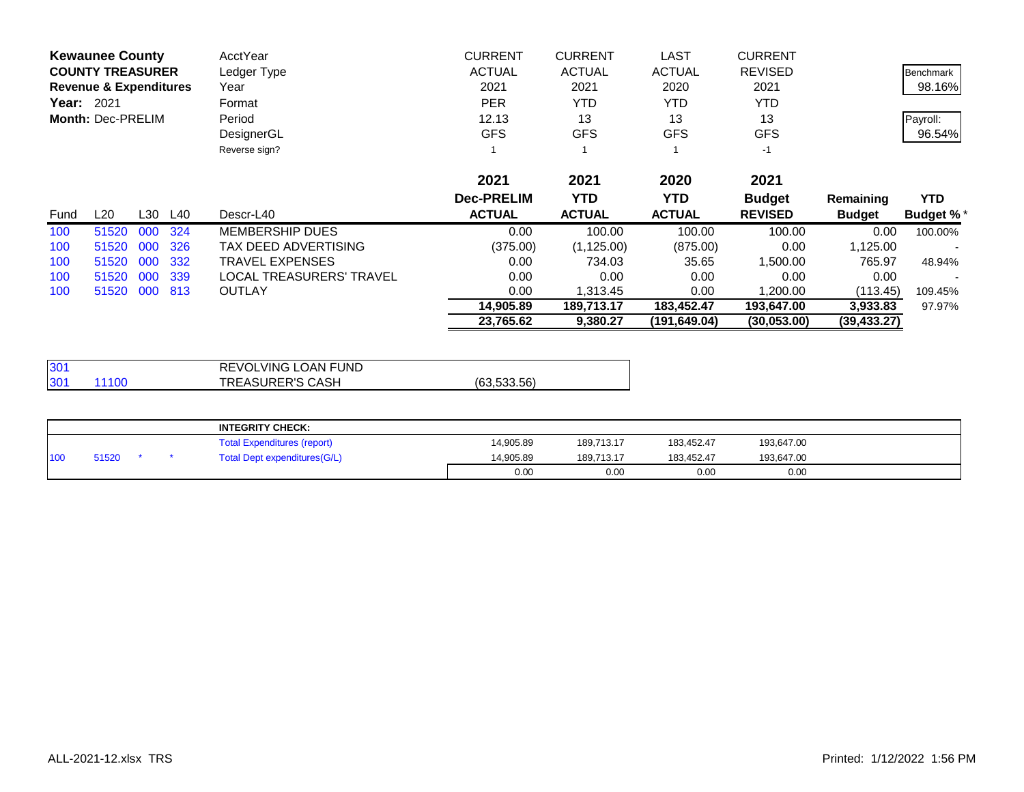| <b>Kewaunee County</b>            | AcctYear                 | <b>CURRENT</b>    | <b>CURRENT</b> | <b>LAST</b>   | <b>CURRENT</b> |               |                  |
|-----------------------------------|--------------------------|-------------------|----------------|---------------|----------------|---------------|------------------|
| <b>COUNTY TREASURER</b>           | Ledger Type              | <b>ACTUAL</b>     | <b>ACTUAL</b>  | <b>ACTUAL</b> | <b>REVISED</b> |               | Benchmark        |
| <b>Revenue &amp; Expenditures</b> | Year                     | 2021              | 2021           | 2020          | 2021           |               | 98.16%           |
| Year: 2021                        | Format                   | <b>PER</b>        | <b>YTD</b>     | <b>YTD</b>    | YTD            |               |                  |
| Month: Dec-PRELIM                 | Period                   | 12.13             | 13             | 13            | 13             |               | Payroll:         |
|                                   | DesignerGL               | <b>GFS</b>        | <b>GFS</b>     | <b>GFS</b>    | <b>GFS</b>     |               | 96.54%           |
|                                   | Reverse sign?            |                   |                |               | $-1$           |               |                  |
|                                   |                          | 2021              | 2021           | 2020          | 2021           |               |                  |
|                                   |                          | <b>Dec-PRELIM</b> | <b>YTD</b>     | YTD.          | <b>Budget</b>  | Remaining     | <b>YTD</b>       |
| L20<br>L30 L40<br>Fund            | Descr-L40                | <b>ACTUAL</b>     | <b>ACTUAL</b>  | <b>ACTUAL</b> | <b>REVISED</b> | <b>Budget</b> | <b>Budget %*</b> |
| 324<br>100<br>51520<br>000        | <b>MEMBERSHIP DUES</b>   | 0.00              | 100.00         | 100.00        | 100.00         | 0.00          | 100.00%          |
| 326<br>51520<br>000<br>100        | TAX DEED ADVERTISING     | (375.00)          | (1, 125.00)    | (875.00)      | 0.00           | 1,125.00      |                  |
| 000<br>332<br>100<br>51520        | <b>TRAVEL EXPENSES</b>   | 0.00              | 734.03         | 35.65         | 1,500.00       | 765.97        | 48.94%           |
| 000<br>339<br>51520<br>100        | LOCAL TREASURERS' TRAVEL | 0.00              | 0.00           | 0.00          | 0.00           | 0.00          |                  |
| 000<br>813<br>51520<br>100        | <b>OUTLAY</b>            | 0.00              | 1,313.45       | 0.00          | 1,200.00       | (113.45)      | 109.45%          |
|                                   |                          | 14,905.89         | 189,713.17     | 183,452.47    | 193,647.00     | 3,933.83      | 97.97%           |
|                                   |                          | 23,765.62         | 9,380.27       | (191.649.04)  | (30,053.00)    | (39, 433.27)  |                  |

| 130 <sup>4</sup>          | REVOLVING LOAN FUND     |             |
|---------------------------|-------------------------|-------------|
| 130 <sup>4</sup><br>11100 | <b>TREASURER'S CASH</b> | (63.533.56) |

|     |       |  | <b>INTEGRITY CHECK:</b>            |           |            |            |            |  |
|-----|-------|--|------------------------------------|-----------|------------|------------|------------|--|
|     |       |  | <b>Total Expenditures (report)</b> | 14.905.89 | 189.713.17 | 183,452.47 | 193,647.00 |  |
| 100 | 51520 |  | Total Dept expenditures(G/L)       | 14,905.89 | 189.713.17 | 183,452.47 | 193,647.00 |  |
|     |       |  |                                    | 0.00      | 0.00       | 0.00       | 0.00       |  |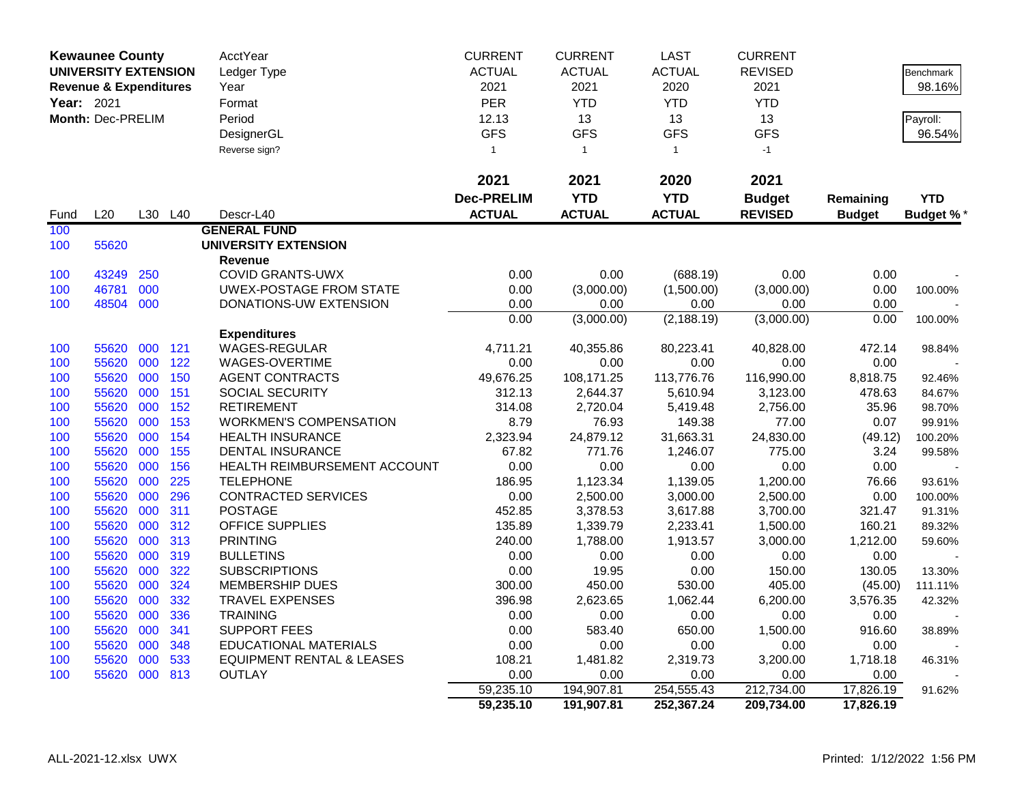|                   | <b>Kewaunee County</b>            |     |     | AcctYear                             | <b>CURRENT</b>    | <b>CURRENT</b> | <b>LAST</b>   | <b>CURRENT</b> |               |                  |
|-------------------|-----------------------------------|-----|-----|--------------------------------------|-------------------|----------------|---------------|----------------|---------------|------------------|
|                   | <b>UNIVERSITY EXTENSION</b>       |     |     | Ledger Type                          | <b>ACTUAL</b>     | <b>ACTUAL</b>  | <b>ACTUAL</b> | <b>REVISED</b> |               | <b>Benchmark</b> |
|                   | <b>Revenue &amp; Expenditures</b> |     |     | Year                                 | 2021              | 2021           | 2020          | 2021           |               | 98.16%           |
| <b>Year: 2021</b> |                                   |     |     | Format                               | <b>PER</b>        | <b>YTD</b>     | <b>YTD</b>    | <b>YTD</b>     |               |                  |
|                   | Month: Dec-PRELIM                 |     |     | Period                               | 12.13             | 13             | 13            | 13             |               | Payroll:         |
|                   |                                   |     |     | DesignerGL                           | <b>GFS</b>        | <b>GFS</b>     | <b>GFS</b>    | <b>GFS</b>     |               | 96.54%           |
|                   |                                   |     |     | Reverse sign?                        | $\mathbf{1}$      | $\mathbf{1}$   | $\mathbf{1}$  | $-1$           |               |                  |
|                   |                                   |     |     |                                      |                   |                |               |                |               |                  |
|                   |                                   |     |     |                                      | 2021              | 2021           | 2020          | 2021           |               |                  |
|                   |                                   |     |     |                                      | <b>Dec-PRELIM</b> | <b>YTD</b>     | <b>YTD</b>    | <b>Budget</b>  | Remaining     | <b>YTD</b>       |
| Fund              | L20                               | L30 | L40 | Descr-L40                            | <b>ACTUAL</b>     | <b>ACTUAL</b>  | <b>ACTUAL</b> | <b>REVISED</b> | <b>Budget</b> |                  |
| 100               |                                   |     |     | <b>GENERAL FUND</b>                  |                   |                |               |                |               | <b>Budget %*</b> |
|                   |                                   |     |     |                                      |                   |                |               |                |               |                  |
| 100               | 55620                             |     |     | <b>UNIVERSITY EXTENSION</b>          |                   |                |               |                |               |                  |
| 100               | 43249                             | 250 |     | Revenue<br><b>COVID GRANTS-UWX</b>   | 0.00              | 0.00           | (688.19)      | 0.00           | 0.00          |                  |
| 100               | 46781                             | 000 |     | UWEX-POSTAGE FROM STATE              | 0.00              | (3,000.00)     | (1,500.00)    | (3,000.00)     | 0.00          | 100.00%          |
| 100               | 48504 000                         |     |     | DONATIONS-UW EXTENSION               | 0.00              | 0.00           | 0.00          | 0.00           | 0.00          |                  |
|                   |                                   |     |     |                                      | 0.00              | (3,000.00)     | (2, 188.19)   | (3,000.00)     | 0.00          | 100.00%          |
|                   |                                   |     |     | <b>Expenditures</b>                  |                   |                |               |                |               |                  |
| 100               | 55620                             | 000 | 121 | WAGES-REGULAR                        | 4,711.21          | 40,355.86      | 80,223.41     | 40,828.00      | 472.14        | 98.84%           |
| 100               | 55620                             | 000 | 122 | WAGES-OVERTIME                       | 0.00              | 0.00           | 0.00          | 0.00           | 0.00          |                  |
| 100               | 55620                             | 000 | 150 | <b>AGENT CONTRACTS</b>               | 49,676.25         | 108,171.25     | 113,776.76    | 116,990.00     | 8,818.75      | 92.46%           |
| 100               | 55620                             | 000 | 151 | SOCIAL SECURITY                      | 312.13            | 2,644.37       | 5,610.94      | 3,123.00       | 478.63        | 84.67%           |
| 100               | 55620                             | 000 | 152 | <b>RETIREMENT</b>                    | 314.08            | 2,720.04       | 5,419.48      | 2,756.00       | 35.96         | 98.70%           |
| 100               | 55620                             | 000 | 153 | <b>WORKMEN'S COMPENSATION</b>        | 8.79              | 76.93          | 149.38        | 77.00          | 0.07          | 99.91%           |
| 100               | 55620                             | 000 | 154 | <b>HEALTH INSURANCE</b>              | 2,323.94          | 24,879.12      | 31,663.31     | 24,830.00      | (49.12)       | 100.20%          |
| 100               | 55620                             | 000 | 155 | <b>DENTAL INSURANCE</b>              | 67.82             | 771.76         | 1,246.07      | 775.00         | 3.24          | 99.58%           |
| 100               | 55620                             | 000 | 156 | HEALTH REIMBURSEMENT ACCOUNT         | 0.00              | 0.00           | 0.00          | 0.00           | 0.00          |                  |
| 100               | 55620                             | 000 | 225 | <b>TELEPHONE</b>                     | 186.95            | 1,123.34       | 1,139.05      | 1,200.00       | 76.66         | 93.61%           |
| 100               | 55620                             | 000 | 296 | <b>CONTRACTED SERVICES</b>           | 0.00              | 2,500.00       | 3,000.00      | 2,500.00       | 0.00          | 100.00%          |
| 100               | 55620                             | 000 | 311 | <b>POSTAGE</b>                       | 452.85            | 3,378.53       | 3,617.88      | 3,700.00       | 321.47        | 91.31%           |
| 100               | 55620                             | 000 | 312 | <b>OFFICE SUPPLIES</b>               | 135.89            | 1,339.79       | 2,233.41      | 1,500.00       | 160.21        | 89.32%           |
| 100               | 55620                             | 000 | 313 | <b>PRINTING</b>                      | 240.00            | 1,788.00       | 1,913.57      | 3,000.00       | 1,212.00      | 59.60%           |
| 100               | 55620                             | 000 | 319 | <b>BULLETINS</b>                     | 0.00              | 0.00           | 0.00          | 0.00           | 0.00          |                  |
| 100               | 55620                             | 000 | 322 | <b>SUBSCRIPTIONS</b>                 | 0.00              | 19.95          | 0.00          | 150.00         | 130.05        | 13.30%           |
| 100               | 55620                             | 000 | 324 | <b>MEMBERSHIP DUES</b>               | 300.00            | 450.00         | 530.00        | 405.00         | (45.00)       | 111.11%          |
| 100               | 55620                             | 000 | 332 | <b>TRAVEL EXPENSES</b>               | 396.98            | 2,623.65       | 1,062.44      | 6,200.00       | 3,576.35      | 42.32%           |
| 100               | 55620                             | 000 | 336 | <b>TRAINING</b>                      | 0.00              | 0.00           | 0.00          | 0.00           | 0.00          |                  |
| 100               | 55620                             | 000 | 341 | <b>SUPPORT FEES</b>                  | 0.00              | 583.40         | 650.00        | 1,500.00       | 916.60        | 38.89%           |
| 100               | 55620                             | 000 | 348 | <b>EDUCATIONAL MATERIALS</b>         | 0.00              | 0.00           | 0.00          | 0.00           | 0.00          |                  |
| 100               | 55620                             | 000 | 533 | <b>EQUIPMENT RENTAL &amp; LEASES</b> | 108.21            | 1,481.82       | 2,319.73      | 3,200.00       | 1,718.18      | 46.31%           |
| 100               | 55620                             | 000 | 813 | <b>OUTLAY</b>                        | 0.00              | 0.00           | 0.00          | 0.00           | 0.00          |                  |
|                   |                                   |     |     |                                      | 59,235.10         | 194,907.81     | 254,555.43    | 212,734.00     | 17,826.19     | 91.62%           |
|                   |                                   |     |     |                                      | 59,235.10         | 191,907.81     | 252,367.24    | 209,734.00     | 17,826.19     |                  |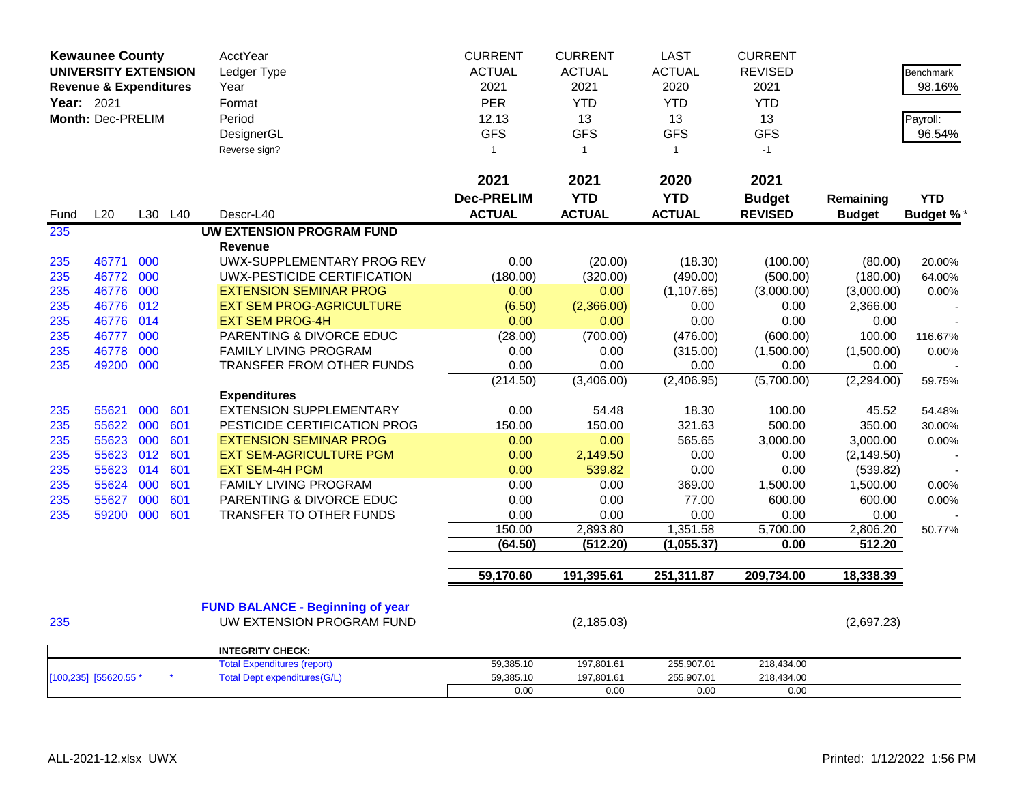| <b>Kewaunee County</b>            |       |         |     | AcctYear                                | <b>CURRENT</b>    | <b>CURRENT</b> | <b>LAST</b>   | <b>CURRENT</b> |               |                  |
|-----------------------------------|-------|---------|-----|-----------------------------------------|-------------------|----------------|---------------|----------------|---------------|------------------|
| <b>UNIVERSITY EXTENSION</b>       |       |         |     | Ledger Type                             | <b>ACTUAL</b>     | <b>ACTUAL</b>  | <b>ACTUAL</b> | <b>REVISED</b> |               | <b>Benchmark</b> |
| <b>Revenue &amp; Expenditures</b> |       |         |     | Year                                    | 2021              | 2021           | 2020          | 2021           |               | 98.16%           |
| Year: 2021                        |       |         |     | Format                                  | <b>PER</b>        | <b>YTD</b>     | <b>YTD</b>    | <b>YTD</b>     |               |                  |
| Month: Dec-PRELIM                 |       |         |     | Period                                  | 12.13             | 13             | 13            | 13             |               | Payroll:         |
|                                   |       |         |     | DesignerGL                              | <b>GFS</b>        | <b>GFS</b>     | <b>GFS</b>    | <b>GFS</b>     |               | 96.54%           |
|                                   |       |         |     | Reverse sign?                           | $\mathbf{1}$      | $\mathbf{1}$   | $\mathbf{1}$  | $-1$           |               |                  |
|                                   |       |         |     |                                         |                   |                |               |                |               |                  |
|                                   |       |         |     |                                         | 2021              | 2021           | 2020          | 2021           |               |                  |
|                                   |       |         |     |                                         | <b>Dec-PRELIM</b> | <b>YTD</b>     | <b>YTD</b>    | <b>Budget</b>  | Remaining     | <b>YTD</b>       |
| Fund                              | L20   | L30 L40 |     | Descr-L40                               | <b>ACTUAL</b>     | <b>ACTUAL</b>  | <b>ACTUAL</b> | <b>REVISED</b> | <b>Budget</b> | <b>Budget %*</b> |
| 235                               |       |         |     | <b>UW EXTENSION PROGRAM FUND</b>        |                   |                |               |                |               |                  |
|                                   |       |         |     | <b>Revenue</b>                          |                   |                |               |                |               |                  |
| 235                               | 46771 | 000     |     | UWX-SUPPLEMENTARY PROG REV              | 0.00              | (20.00)        | (18.30)       | (100.00)       | (80.00)       | 20.00%           |
| 235                               | 46772 | 000     |     | UWX-PESTICIDE CERTIFICATION             | (180.00)          | (320.00)       | (490.00)      | (500.00)       | (180.00)      | 64.00%           |
| 235                               | 46776 | 000     |     | <b>EXTENSION SEMINAR PROG</b>           | 0.00              | 0.00           | (1, 107.65)   | (3,000.00)     | (3,000.00)    | 0.00%            |
| 235                               | 46776 | 012     |     | <b>EXT SEM PROG-AGRICULTURE</b>         | (6.50)            | (2,366.00)     | 0.00          | 0.00           | 2,366.00      |                  |
| 235                               | 46776 | 014     |     | <b>EXT SEM PROG-4H</b>                  | 0.00              | 0.00           | 0.00          | 0.00           | 0.00          |                  |
| 235                               | 46777 | 000     |     | PARENTING & DIVORCE EDUC                | (28.00)           | (700.00)       | (476.00)      | (600.00)       | 100.00        | 116.67%          |
| 235                               | 46778 | 000     |     | FAMILY LIVING PROGRAM                   | 0.00              | 0.00           | (315.00)      | (1,500.00)     | (1,500.00)    | 0.00%            |
| 235                               | 49200 | 000     |     | TRANSFER FROM OTHER FUNDS               | 0.00              | 0.00           | 0.00          | 0.00           | 0.00          |                  |
|                                   |       |         |     |                                         | (214.50)          | (3,406.00)     | (2,406.95)    | (5,700.00)     | (2,294.00)    | 59.75%           |
|                                   |       |         |     | <b>Expenditures</b>                     |                   |                |               |                |               |                  |
| 235                               | 55621 | 000     | 601 | <b>EXTENSION SUPPLEMENTARY</b>          | 0.00              | 54.48          | 18.30         | 100.00         | 45.52         | 54.48%           |
| 235                               | 55622 | 000     | 601 | PESTICIDE CERTIFICATION PROG            | 150.00            | 150.00         | 321.63        | 500.00         | 350.00        | 30.00%           |
| 235                               | 55623 | 000     | 601 | <b>EXTENSION SEMINAR PROG</b>           | 0.00              | 0.00           | 565.65        | 3,000.00       | 3,000.00      | 0.00%            |
| 235                               | 55623 | 012     | 601 | <b>EXT SEM-AGRICULTURE PGM</b>          | 0.00              | 2,149.50       | 0.00          | 0.00           | (2, 149.50)   |                  |
| 235                               | 55623 | 014     | 601 | <b>EXT SEM-4H PGM</b>                   | 0.00              | 539.82         | 0.00          | 0.00           | (539.82)      |                  |
| 235                               | 55624 | 000     | 601 | FAMILY LIVING PROGRAM                   | 0.00              | 0.00           | 369.00        | 1,500.00       | 1,500.00      | 0.00%            |
| 235                               | 55627 | 000     | 601 | PARENTING & DIVORCE EDUC                | 0.00              | 0.00           | 77.00         | 600.00         | 600.00        | 0.00%            |
| 235                               | 59200 | 000     | 601 | TRANSFER TO OTHER FUNDS                 | 0.00              | 0.00           | 0.00          | 0.00           | 0.00          |                  |
|                                   |       |         |     |                                         | 150.00            | 2,893.80       | 1,351.58      | 5,700.00       | 2,806.20      | 50.77%           |
|                                   |       |         |     |                                         | (64.50)           | (512.20)       | (1,055.37)    | 0.00           | 512.20        |                  |
|                                   |       |         |     |                                         | 59,170.60         | 191,395.61     | 251,311.87    | 209,734.00     | 18,338.39     |                  |
|                                   |       |         |     |                                         |                   |                |               |                |               |                  |
|                                   |       |         |     | <b>FUND BALANCE - Beginning of year</b> |                   |                |               |                |               |                  |
| 235                               |       |         |     | UW EXTENSION PROGRAM FUND               |                   | (2, 185.03)    |               |                | (2,697.23)    |                  |
|                                   |       |         |     |                                         |                   |                |               |                |               |                  |
|                                   |       |         |     | <b>INTEGRITY CHECK:</b>                 |                   |                |               |                |               |                  |
|                                   |       |         |     | <b>Total Expenditures (report)</b>      | 59,385.10         | 197,801.61     | 255,907.01    | 218,434.00     |               |                  |
| [100,235] [55620.55 *             |       |         |     | <b>Total Dept expenditures(G/L)</b>     | 59,385.10         | 197,801.61     | 255,907.01    | 218,434.00     |               |                  |
|                                   |       |         |     |                                         | 0.00              | 0.00           | 0.00          | 0.00           |               |                  |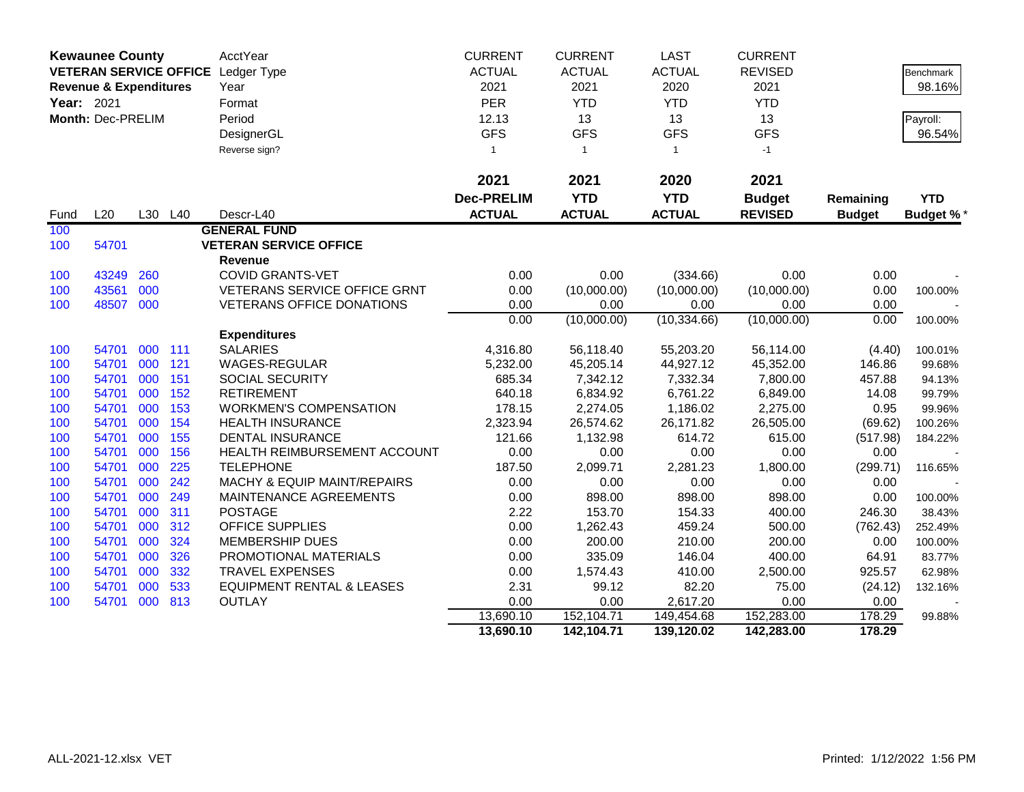|            | <b>Kewaunee County</b>            |            |            | AcctYear                                                       | <b>CURRENT</b>    | <b>CURRENT</b>    | <b>LAST</b>     | <b>CURRENT</b>    |                 |                  |
|------------|-----------------------------------|------------|------------|----------------------------------------------------------------|-------------------|-------------------|-----------------|-------------------|-----------------|------------------|
|            |                                   |            |            | VETERAN SERVICE OFFICE Ledger Type                             | <b>ACTUAL</b>     | <b>ACTUAL</b>     | <b>ACTUAL</b>   | <b>REVISED</b>    |                 | Benchmark        |
|            | <b>Revenue &amp; Expenditures</b> |            |            | Year                                                           | 2021              | 2021              | 2020            | 2021              |                 | 98.16%           |
| Year: 2021 |                                   |            |            | Format                                                         | PER               | <b>YTD</b>        | <b>YTD</b>      | <b>YTD</b>        |                 |                  |
|            | Month: Dec-PRELIM                 |            |            | Period                                                         | 12.13             | 13                | 13              | 13                |                 | Payroll:         |
|            |                                   |            |            | DesignerGL                                                     | <b>GFS</b>        | <b>GFS</b>        | <b>GFS</b>      | <b>GFS</b>        |                 | 96.54%           |
|            |                                   |            |            | Reverse sign?                                                  | -1                | $\mathbf{1}$      | $\mathbf{1}$    | $-1$              |                 |                  |
|            |                                   |            |            |                                                                |                   |                   |                 |                   |                 |                  |
|            |                                   |            |            |                                                                | 2021              | 2021              | 2020            | 2021              |                 |                  |
|            |                                   |            |            |                                                                | <b>Dec-PRELIM</b> | <b>YTD</b>        | <b>YTD</b>      | <b>Budget</b>     | Remaining       | <b>YTD</b>       |
| Fund       | L20                               |            | L30 L40    | Descr-L40                                                      | <b>ACTUAL</b>     | <b>ACTUAL</b>     | <b>ACTUAL</b>   | <b>REVISED</b>    | <b>Budget</b>   | <b>Budget %*</b> |
| 100        |                                   |            |            | <b>GENERAL FUND</b>                                            |                   |                   |                 |                   |                 |                  |
| 100        | 54701                             |            |            | <b>VETERAN SERVICE OFFICE</b>                                  |                   |                   |                 |                   |                 |                  |
|            |                                   |            |            | <b>Revenue</b>                                                 |                   |                   |                 |                   |                 |                  |
| 100        | 43249                             | 260        |            | <b>COVID GRANTS-VET</b>                                        | 0.00              | 0.00              | (334.66)        | 0.00              | 0.00            |                  |
| 100        | 43561                             | 000        |            | VETERANS SERVICE OFFICE GRNT                                   | 0.00              | (10,000.00)       | (10,000.00)     | (10,000.00)       | 0.00            | 100.00%          |
| 100        | 48507                             | 000        |            | <b>VETERANS OFFICE DONATIONS</b>                               | 0.00              | 0.00              | 0.00            | 0.00              | 0.00            |                  |
|            |                                   |            |            |                                                                | 0.00              | (10,000.00)       | (10, 334.66)    | (10,000.00)       | 0.00            | 100.00%          |
|            |                                   |            |            | <b>Expenditures</b>                                            |                   |                   |                 |                   |                 |                  |
| 100        | 54701                             | 000        | 111        | <b>SALARIES</b>                                                | 4,316.80          | 56,118.40         | 55,203.20       | 56,114.00         | (4.40)          | 100.01%          |
| 100        | 54701                             | 000        | 121        | WAGES-REGULAR                                                  | 5,232.00          | 45,205.14         | 44,927.12       | 45,352.00         | 146.86          | 99.68%           |
| 100        | 54701                             | 000        | 151        | <b>SOCIAL SECURITY</b>                                         | 685.34            | 7,342.12          | 7,332.34        | 7,800.00          | 457.88          | 94.13%           |
| 100        | 54701                             | 000        | 152        | <b>RETIREMENT</b>                                              | 640.18            | 6,834.92          | 6,761.22        | 6,849.00          | 14.08           | 99.79%           |
| 100        | 54701                             | 000        | 153        | <b>WORKMEN'S COMPENSATION</b>                                  | 178.15            | 2,274.05          | 1,186.02        | 2,275.00          | 0.95            | 99.96%           |
| 100        | 54701                             | 000        | 154        | <b>HEALTH INSURANCE</b>                                        | 2,323.94          | 26,574.62         | 26,171.82       | 26,505.00         | (69.62)         | 100.26%          |
| 100        | 54701                             | 000        | 155        | <b>DENTAL INSURANCE</b>                                        | 121.66            | 1,132.98          | 614.72          | 615.00            | (517.98)        | 184.22%          |
| 100        | 54701                             | 000        | 156        | HEALTH REIMBURSEMENT ACCOUNT                                   | 0.00              | 0.00              | 0.00            | 0.00              | 0.00            |                  |
| 100        | 54701                             | 000        | 225        | <b>TELEPHONE</b>                                               | 187.50            | 2,099.71          | 2,281.23        | 1,800.00          | (299.71)        | 116.65%          |
| 100        | 54701                             | 000        | 242        | <b>MACHY &amp; EQUIP MAINT/REPAIRS</b>                         | 0.00              | 0.00              | 0.00            | 0.00              | 0.00            |                  |
| 100        | 54701                             | 000        | 249        | MAINTENANCE AGREEMENTS                                         | 0.00              | 898.00            | 898.00          | 898.00            | 0.00            | 100.00%          |
| 100        | 54701                             | 000        | 311        | <b>POSTAGE</b>                                                 | 2.22              | 153.70            | 154.33          | 400.00            | 246.30          | 38.43%           |
| 100        | 54701                             | 000        | 312        | <b>OFFICE SUPPLIES</b>                                         | 0.00              | 1,262.43          | 459.24          | 500.00            | (762.43)        | 252.49%          |
| 100        | 54701                             | 000        | 324        | <b>MEMBERSHIP DUES</b>                                         | 0.00              | 200.00            | 210.00          | 200.00            | 0.00            | 100.00%          |
| 100        | 54701                             | 000        | 326        | PROMOTIONAL MATERIALS                                          | 0.00              | 335.09            | 146.04          | 400.00            | 64.91           | 83.77%           |
| 100        | 54701<br>54701                    | 000<br>000 | 332<br>533 | <b>TRAVEL EXPENSES</b><br><b>EQUIPMENT RENTAL &amp; LEASES</b> | 0.00<br>2.31      | 1,574.43<br>99.12 | 410.00<br>82.20 | 2,500.00<br>75.00 | 925.57          | 62.98%           |
| 100<br>100 | 54701                             | 000        | 813        | <b>OUTLAY</b>                                                  | 0.00              | 0.00              | 2,617.20        | 0.00              | (24.12)<br>0.00 | 132.16%          |
|            |                                   |            |            |                                                                | 13,690.10         | 152,104.71        | 149,454.68      | 152,283.00        | 178.29          | 99.88%           |
|            |                                   |            |            |                                                                | 13,690.10         | 142,104.71        | 139,120.02      | 142,283.00        | 178.29          |                  |
|            |                                   |            |            |                                                                |                   |                   |                 |                   |                 |                  |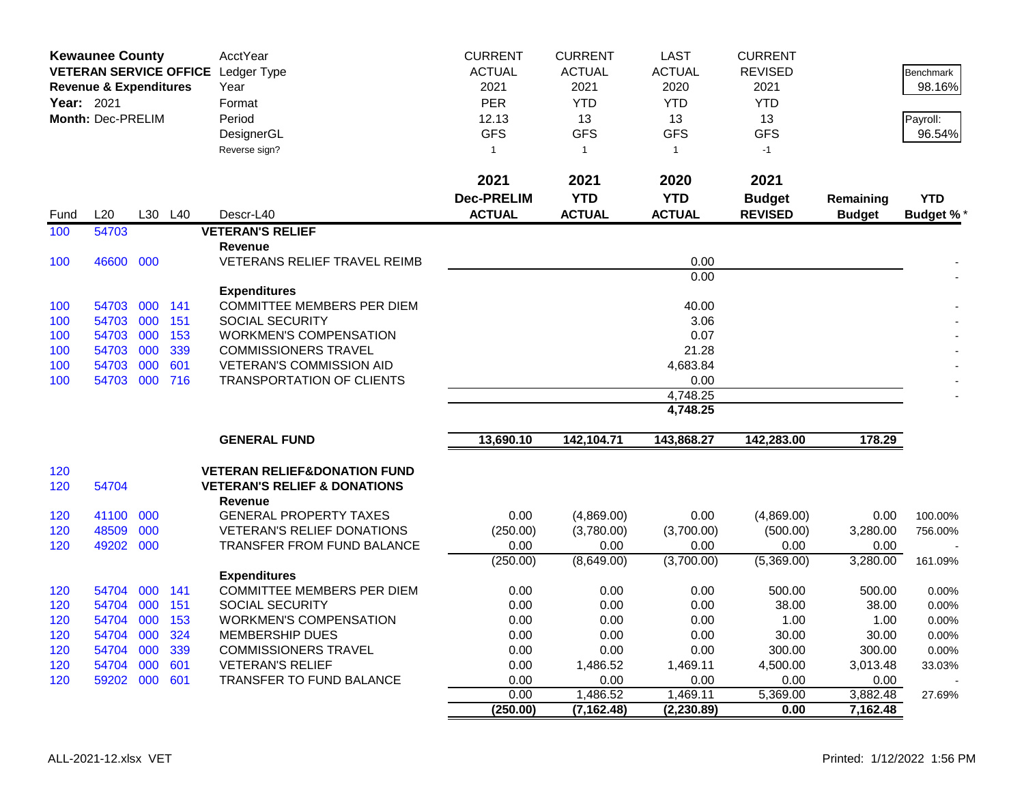|            | <b>Kewaunee County</b>            |         |            | AcctYear                                                  | <b>CURRENT</b>    | <b>CURRENT</b>   | <b>LAST</b>      | <b>CURRENT</b>   |                  |                  |
|------------|-----------------------------------|---------|------------|-----------------------------------------------------------|-------------------|------------------|------------------|------------------|------------------|------------------|
|            |                                   |         |            | VETERAN SERVICE OFFICE Ledger Type                        | <b>ACTUAL</b>     | <b>ACTUAL</b>    | <b>ACTUAL</b>    | <b>REVISED</b>   |                  | <b>Benchmark</b> |
|            | <b>Revenue &amp; Expenditures</b> |         |            | Year                                                      | 2021              | 2021             | 2020             | 2021             |                  | 98.16%           |
| Year: 2021 |                                   |         |            | Format                                                    | <b>PER</b>        | <b>YTD</b>       | <b>YTD</b>       | <b>YTD</b>       |                  |                  |
|            | Month: Dec-PRELIM                 |         |            | Period                                                    | 12.13             | 13               | 13               | 13               |                  | Payroll:         |
|            |                                   |         |            | DesignerGL                                                | <b>GFS</b>        | <b>GFS</b>       | <b>GFS</b>       | <b>GFS</b>       |                  | 96.54%           |
|            |                                   |         |            | Reverse sign?                                             | $\mathbf{1}$      | $\mathbf{1}$     | $\mathbf{1}$     | $-1$             |                  |                  |
|            |                                   |         |            |                                                           |                   |                  |                  |                  |                  |                  |
|            |                                   |         |            |                                                           | 2021              | 2021             | 2020             | 2021             |                  |                  |
|            |                                   |         |            |                                                           | <b>Dec-PRELIM</b> | <b>YTD</b>       | <b>YTD</b>       | <b>Budget</b>    | Remaining        | <b>YTD</b>       |
| Fund       | L20                               | L30     | L40        | Descr-L40                                                 | <b>ACTUAL</b>     | <b>ACTUAL</b>    | <b>ACTUAL</b>    | <b>REVISED</b>   | <b>Budget</b>    | <b>Budget %*</b> |
| 100        | 54703                             |         |            | <b>VETERAN'S RELIEF</b>                                   |                   |                  |                  |                  |                  |                  |
|            |                                   |         |            | <b>Revenue</b>                                            |                   |                  |                  |                  |                  |                  |
| 100        | 46600 000                         |         |            | VETERANS RELIEF TRAVEL REIMB                              |                   |                  | 0.00             |                  |                  |                  |
|            |                                   |         |            |                                                           |                   |                  | 0.00             |                  |                  |                  |
|            |                                   |         |            | <b>Expenditures</b>                                       |                   |                  |                  |                  |                  |                  |
| 100        | 54703                             | 000 141 |            | <b>COMMITTEE MEMBERS PER DIEM</b>                         |                   |                  | 40.00            |                  |                  |                  |
| 100        | 54703 000                         |         | 151        | <b>SOCIAL SECURITY</b>                                    |                   |                  | 3.06             |                  |                  |                  |
| 100        | 54703 000                         |         | 153        | <b>WORKMEN'S COMPENSATION</b>                             |                   |                  | 0.07             |                  |                  |                  |
| 100        | 54703                             | 000     | 339        | <b>COMMISSIONERS TRAVEL</b>                               |                   |                  | 21.28            |                  |                  |                  |
| 100        | 54703 000                         |         | 601        | <b>VETERAN'S COMMISSION AID</b>                           |                   |                  | 4,683.84         |                  |                  |                  |
| 100        | 54703 000 716                     |         |            | <b>TRANSPORTATION OF CLIENTS</b>                          |                   |                  | 0.00             |                  |                  |                  |
|            |                                   |         |            |                                                           |                   |                  | 4,748.25         |                  |                  |                  |
|            |                                   |         |            |                                                           |                   |                  | 4,748.25         |                  |                  |                  |
|            |                                   |         |            | <b>GENERAL FUND</b>                                       | 13,690.10         | 142,104.71       | 143,868.27       | 142,283.00       | 178.29           |                  |
| 120        |                                   |         |            | <b>VETERAN RELIEF&amp;DONATION FUND</b>                   |                   |                  |                  |                  |                  |                  |
| 120        | 54704                             |         |            | <b>VETERAN'S RELIEF &amp; DONATIONS</b><br><b>Revenue</b> |                   |                  |                  |                  |                  |                  |
| 120        | 41100                             | 000     |            | <b>GENERAL PROPERTY TAXES</b>                             | 0.00              | (4,869.00)       | 0.00             | (4,869.00)       | 0.00             | 100.00%          |
| 120        | 48509                             | 000     |            | <b>VETERAN'S RELIEF DONATIONS</b>                         | (250.00)          | (3,780.00)       | (3,700.00)       | (500.00)         | 3,280.00         | 756.00%          |
| 120        | 49202 000                         |         |            | TRANSFER FROM FUND BALANCE                                | 0.00              | 0.00             | 0.00             | 0.00             | 0.00             |                  |
|            |                                   |         |            |                                                           | (250.00)          | (8,649.00)       | (3,700.00)       | (5,369.00)       | 3,280.00         | 161.09%          |
|            |                                   |         |            | <b>Expenditures</b>                                       |                   |                  |                  |                  |                  |                  |
| 120        | 54704                             | 000     | 141        | <b>COMMITTEE MEMBERS PER DIEM</b>                         | 0.00              | 0.00             | 0.00             | 500.00           | 500.00           | 0.00%            |
| 120        | 54704 000                         |         | 151        | <b>SOCIAL SECURITY</b>                                    | 0.00              | 0.00             | 0.00             | 38.00            | 38.00            | 0.00%            |
| 120        | 54704 000                         |         | 153        | <b>WORKMEN'S COMPENSATION</b>                             | 0.00              | 0.00             | 0.00             | 1.00             | 1.00             | 0.00%            |
| 120        | 54704                             | 000     | 324        | <b>MEMBERSHIP DUES</b>                                    | 0.00              | 0.00             | 0.00             | 30.00            | 30.00            | 0.00%            |
| 120        | 54704                             | 000     | 339        | <b>COMMISSIONERS TRAVEL</b>                               | 0.00              | 0.00             | 0.00             | 300.00           | 300.00           | 0.00%            |
| 120        | 54704 000<br>59202 000            |         | 601<br>601 | <b>VETERAN'S RELIEF</b><br>TRANSFER TO FUND BALANCE       | 0.00<br>0.00      | 1,486.52<br>0.00 | 1,469.11<br>0.00 | 4,500.00<br>0.00 | 3,013.48<br>0.00 | 33.03%           |
| 120        |                                   |         |            |                                                           | 0.00              | 1,486.52         | 1,469.11         | 5,369.00         | 3,882.48         | 27.69%           |
|            |                                   |         |            |                                                           | (250.00)          | (7, 162.48)      | (2, 230.89)      | 0.00             | 7,162.48         |                  |
|            |                                   |         |            |                                                           |                   |                  |                  |                  |                  |                  |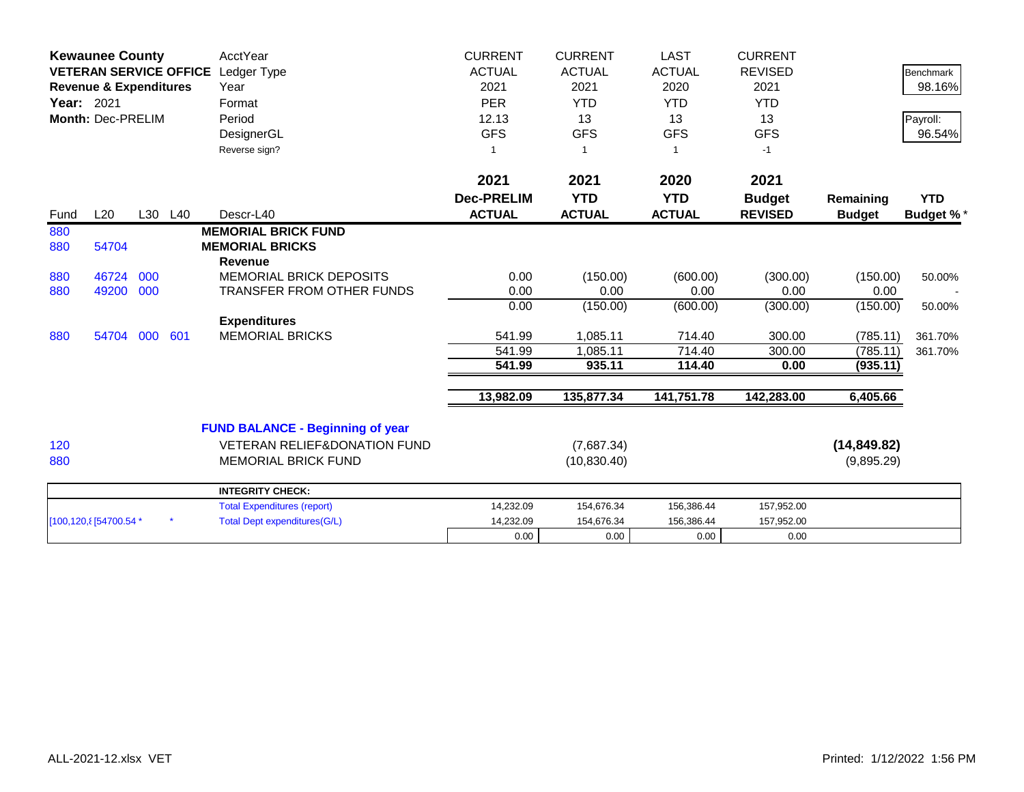|                   | <b>Kewaunee County</b>            |     |         | <b>AcctYear</b>                         | <b>CURRENT</b>      | <b>CURRENT</b> | <b>LAST</b>   | <b>CURRENT</b> |               |                  |
|-------------------|-----------------------------------|-----|---------|-----------------------------------------|---------------------|----------------|---------------|----------------|---------------|------------------|
|                   | <b>VETERAN SERVICE OFFICE</b>     |     |         | Ledger Type                             | <b>ACTUAL</b>       | <b>ACTUAL</b>  | <b>ACTUAL</b> | <b>REVISED</b> |               | <b>Benchmark</b> |
|                   | <b>Revenue &amp; Expenditures</b> |     |         | Year                                    | 2021                | 2021           | 2020          | 2021           |               | 98.16%           |
| <b>Year: 2021</b> |                                   |     |         | Format                                  | <b>PER</b>          | <b>YTD</b>     | <b>YTD</b>    | <b>YTD</b>     |               |                  |
|                   | Month: Dec-PRELIM                 |     |         | Period                                  | 12.13               | 13             | 13            | 13             |               | Payroll:         |
|                   |                                   |     |         | DesignerGL                              | <b>GFS</b>          | <b>GFS</b>     | <b>GFS</b>    | <b>GFS</b>     |               | 96.54%           |
|                   |                                   |     |         | Reverse sign?                           |                     |                | $\mathbf{1}$  | $-1$           |               |                  |
|                   |                                   |     |         |                                         | 2021                | 2021           | 2020          | 2021           |               |                  |
|                   |                                   |     |         |                                         | <b>Dec-PRELIM</b>   | <b>YTD</b>     | <b>YTD</b>    | <b>Budget</b>  | Remaining     | <b>YTD</b>       |
| Fund              | L20                               |     | L30 L40 | Descr-L40                               | <b>ACTUAL</b>       | <b>ACTUAL</b>  | <b>ACTUAL</b> | <b>REVISED</b> | <b>Budget</b> | <b>Budget %*</b> |
| 880               |                                   |     |         | <b>MEMORIAL BRICK FUND</b>              |                     |                |               |                |               |                  |
| 880               | 54704                             |     |         | <b>MEMORIAL BRICKS</b>                  |                     |                |               |                |               |                  |
|                   |                                   |     |         | <b>Revenue</b>                          |                     |                |               |                |               |                  |
| 880               | 46724                             | 000 |         | <b>MEMORIAL BRICK DEPOSITS</b>          | 0.00                | (150.00)       | (600.00)      | (300.00)       | (150.00)      | 50.00%           |
| 880               | 49200 000                         |     |         | <b>TRANSFER FROM OTHER FUNDS</b>        | 0.00                | 0.00           | 0.00          | 0.00           | 0.00          |                  |
|                   |                                   |     |         |                                         | 0.00                | (150.00)       | (600.00)      | (300.00)       | (150.00)      | 50.00%           |
|                   |                                   |     |         | <b>Expenditures</b>                     |                     |                |               |                |               |                  |
| 880               | 54704                             | 000 | 601     | <b>MEMORIAL BRICKS</b>                  | 541.99              | 1,085.11       | 714.40        | 300.00         | (785.11)      | 361.70%          |
|                   |                                   |     |         |                                         | $\overline{541.99}$ | 1,085.11       | 714.40        | 300.00         | (785.11)      | 361.70%          |
|                   |                                   |     |         |                                         | 541.99              | 935.11         | 114.40        | 0.00           | (935.11)      |                  |
|                   |                                   |     |         |                                         | 13,982.09           | 135,877.34     | 141,751.78    | 142,283.00     | 6,405.66      |                  |
|                   |                                   |     |         | <b>FUND BALANCE - Beginning of year</b> |                     |                |               |                |               |                  |
| 120               |                                   |     |         | <b>VETERAN RELIEF&amp;DONATION FUND</b> |                     | (7,687.34)     |               |                | (14, 849.82)  |                  |
| 880               |                                   |     |         | <b>MEMORIAL BRICK FUND</b>              |                     | (10, 830.40)   |               |                | (9,895.29)    |                  |
|                   |                                   |     |         |                                         |                     |                |               |                |               |                  |
|                   |                                   |     |         | <b>INTEGRITY CHECK:</b>                 |                     |                |               |                |               |                  |
|                   |                                   |     |         | <b>Total Expenditures (report)</b>      | 14,232.09           | 154,676.34     | 156,386.44    | 157,952.00     |               |                  |
|                   | [100,120, 8] 54700.54 *           |     |         | <b>Total Dept expenditures(G/L)</b>     | 14,232.09           | 154,676.34     | 156,386.44    | 157,952.00     |               |                  |
|                   |                                   |     |         |                                         | 0.00                | 0.00           | 0.00          | 0.00           |               |                  |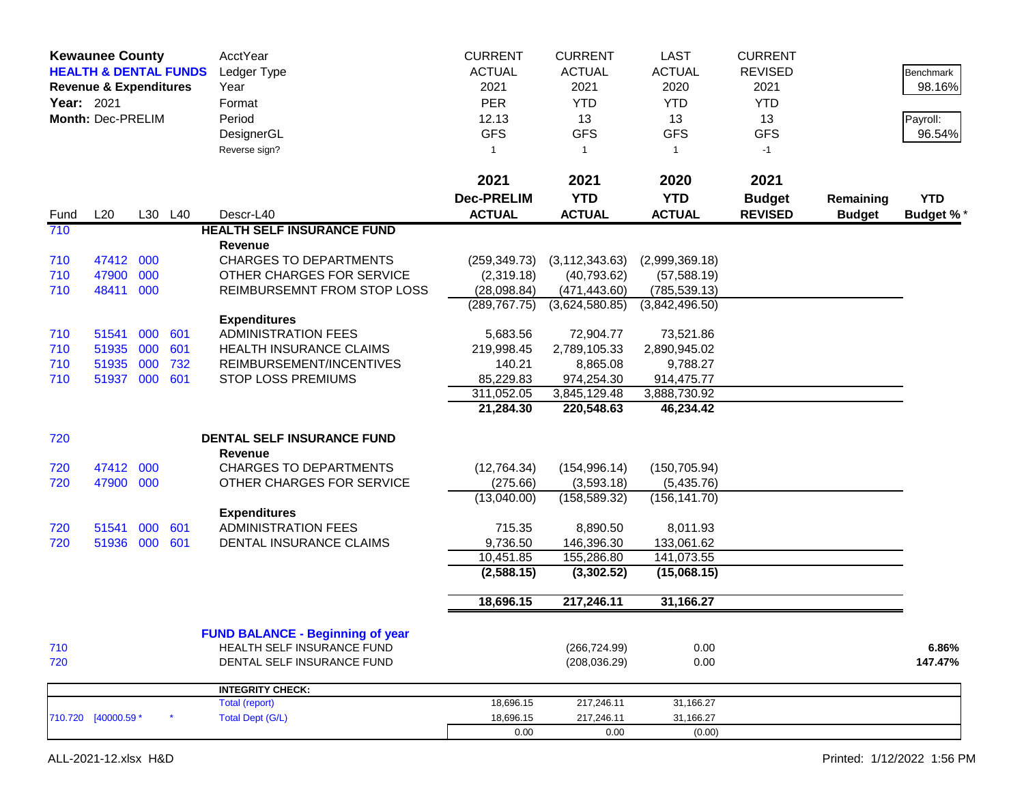|      | <b>Kewaunee County</b><br><b>HEALTH &amp; DENTAL FUNDS</b><br><b>Revenue &amp; Expenditures</b><br>Year: 2021<br>Month: Dec-PRELIM |     |         | AcctYear<br>Ledger Type<br>Year<br>Format<br>Period<br>DesignerGL<br>Reverse sign? | <b>CURRENT</b><br><b>ACTUAL</b><br>2021<br><b>PER</b><br>12.13<br><b>GFS</b><br>1 | <b>CURRENT</b><br><b>ACTUAL</b><br>2021<br><b>YTD</b><br>13<br><b>GFS</b><br>$\mathbf{1}$ | <b>LAST</b><br><b>ACTUAL</b><br>2020<br><b>YTD</b><br>13<br><b>GFS</b><br>1 | <b>CURRENT</b><br><b>REVISED</b><br>2021<br><b>YTD</b><br>13<br><b>GFS</b><br>$-1$ |                            | Benchmark<br>98.16%<br>Payroll:<br>96.54% |
|------|------------------------------------------------------------------------------------------------------------------------------------|-----|---------|------------------------------------------------------------------------------------|-----------------------------------------------------------------------------------|-------------------------------------------------------------------------------------------|-----------------------------------------------------------------------------|------------------------------------------------------------------------------------|----------------------------|-------------------------------------------|
|      |                                                                                                                                    |     |         |                                                                                    | 2021                                                                              | 2021                                                                                      | 2020                                                                        | 2021                                                                               |                            |                                           |
| Fund | L20                                                                                                                                |     | L30 L40 | Descr-L40                                                                          | <b>Dec-PRELIM</b><br><b>ACTUAL</b>                                                | <b>YTD</b><br><b>ACTUAL</b>                                                               | <b>YTD</b><br><b>ACTUAL</b>                                                 | <b>Budget</b><br><b>REVISED</b>                                                    | Remaining<br><b>Budget</b> | <b>YTD</b><br><b>Budget %*</b>            |
| 710  |                                                                                                                                    |     |         | <b>HEALTH SELF INSURANCE FUND</b>                                                  |                                                                                   |                                                                                           |                                                                             |                                                                                    |                            |                                           |
|      |                                                                                                                                    |     |         | Revenue                                                                            |                                                                                   |                                                                                           |                                                                             |                                                                                    |                            |                                           |
| 710  | 47412 000                                                                                                                          |     |         | <b>CHARGES TO DEPARTMENTS</b>                                                      | (259, 349.73)                                                                     | (3, 112, 343.63)                                                                          | (2,999,369.18)                                                              |                                                                                    |                            |                                           |
| 710  | 47900                                                                                                                              | 000 |         | OTHER CHARGES FOR SERVICE                                                          | (2,319.18)                                                                        | (40,793.62)                                                                               | (57, 588.19)                                                                |                                                                                    |                            |                                           |
| 710  | 48411                                                                                                                              | 000 |         | REIMBURSEMNT FROM STOP LOSS                                                        | (28,098.84)                                                                       | (471, 443.60)                                                                             | (785, 539.13)                                                               |                                                                                    |                            |                                           |
|      |                                                                                                                                    |     |         | <b>Expenditures</b>                                                                | (289, 767.75)                                                                     | (3,624,580.85)                                                                            | (3,842,496.50)                                                              |                                                                                    |                            |                                           |
| 710  | 51541                                                                                                                              | 000 | 601     | <b>ADMINISTRATION FEES</b>                                                         | 5,683.56                                                                          | 72,904.77                                                                                 | 73,521.86                                                                   |                                                                                    |                            |                                           |
| 710  | 51935                                                                                                                              | 000 | 601     | <b>HEALTH INSURANCE CLAIMS</b>                                                     | 219,998.45                                                                        | 2,789,105.33                                                                              | 2,890,945.02                                                                |                                                                                    |                            |                                           |
| 710  | 51935                                                                                                                              | 000 | 732     | REIMBURSEMENT/INCENTIVES                                                           | 140.21                                                                            | 8,865.08                                                                                  | 9,788.27                                                                    |                                                                                    |                            |                                           |
| 710  | 51937 000                                                                                                                          |     | 601     | <b>STOP LOSS PREMIUMS</b>                                                          | 85,229.83                                                                         | 974,254.30                                                                                | 914,475.77                                                                  |                                                                                    |                            |                                           |
|      |                                                                                                                                    |     |         |                                                                                    | 311,052.05                                                                        | 3,845,129.48                                                                              | 3,888,730.92                                                                |                                                                                    |                            |                                           |
|      |                                                                                                                                    |     |         |                                                                                    | 21,284.30                                                                         | 220,548.63                                                                                | 46,234.42                                                                   |                                                                                    |                            |                                           |
| 720  |                                                                                                                                    |     |         | DENTAL SELF INSURANCE FUND                                                         |                                                                                   |                                                                                           |                                                                             |                                                                                    |                            |                                           |
|      |                                                                                                                                    |     |         | Revenue                                                                            |                                                                                   |                                                                                           |                                                                             |                                                                                    |                            |                                           |
| 720  | 47412                                                                                                                              | 000 |         | <b>CHARGES TO DEPARTMENTS</b>                                                      | (12,764.34)                                                                       | (154, 996.14)                                                                             | (150, 705.94)                                                               |                                                                                    |                            |                                           |
| 720  | 47900 000                                                                                                                          |     |         | OTHER CHARGES FOR SERVICE                                                          | (275.66)                                                                          | (3,593.18)                                                                                | (5,435.76)                                                                  |                                                                                    |                            |                                           |
|      |                                                                                                                                    |     |         |                                                                                    | (13,040.00)                                                                       | (158, 589.32)                                                                             | (156, 141.70)                                                               |                                                                                    |                            |                                           |
| 720  | 51541                                                                                                                              | 000 | 601     | <b>Expenditures</b><br><b>ADMINISTRATION FEES</b>                                  | 715.35                                                                            | 8,890.50                                                                                  | 8,011.93                                                                    |                                                                                    |                            |                                           |
| 720  | 51936 000                                                                                                                          |     | 601     | DENTAL INSURANCE CLAIMS                                                            | 9,736.50                                                                          | 146,396.30                                                                                | 133,061.62                                                                  |                                                                                    |                            |                                           |
|      |                                                                                                                                    |     |         |                                                                                    | 10,451.85                                                                         | 155,286.80                                                                                | 141,073.55                                                                  |                                                                                    |                            |                                           |
|      |                                                                                                                                    |     |         |                                                                                    | (2,588.15)                                                                        | (3,302.52)                                                                                | (15,068.15)                                                                 |                                                                                    |                            |                                           |
|      |                                                                                                                                    |     |         |                                                                                    |                                                                                   |                                                                                           |                                                                             |                                                                                    |                            |                                           |
|      |                                                                                                                                    |     |         |                                                                                    | 18,696.15                                                                         | 217,246.11                                                                                | 31,166.27                                                                   |                                                                                    |                            |                                           |
|      |                                                                                                                                    |     |         | <b>FUND BALANCE - Beginning of year</b>                                            |                                                                                   |                                                                                           |                                                                             |                                                                                    |                            |                                           |
| 710  |                                                                                                                                    |     |         | HEALTH SELF INSURANCE FUND                                                         |                                                                                   | (266, 724.99)                                                                             | 0.00                                                                        |                                                                                    |                            | 6.86%                                     |
| 720  |                                                                                                                                    |     |         | DENTAL SELF INSURANCE FUND                                                         |                                                                                   | (208, 036.29)                                                                             | 0.00                                                                        |                                                                                    |                            | 147.47%                                   |
|      |                                                                                                                                    |     |         | <b>INTEGRITY CHECK:</b>                                                            |                                                                                   |                                                                                           |                                                                             |                                                                                    |                            |                                           |
|      |                                                                                                                                    |     |         | Total (report)                                                                     | 18,696.15                                                                         | 217,246.11                                                                                | 31,166.27                                                                   |                                                                                    |                            |                                           |
|      | 710.720 [40000.59 *                                                                                                                |     |         | <b>Total Dept (G/L)</b>                                                            | 18,696.15                                                                         | 217,246.11                                                                                | 31,166.27                                                                   |                                                                                    |                            |                                           |
|      |                                                                                                                                    |     |         |                                                                                    | 0.00                                                                              | 0.00                                                                                      | (0.00)                                                                      |                                                                                    |                            |                                           |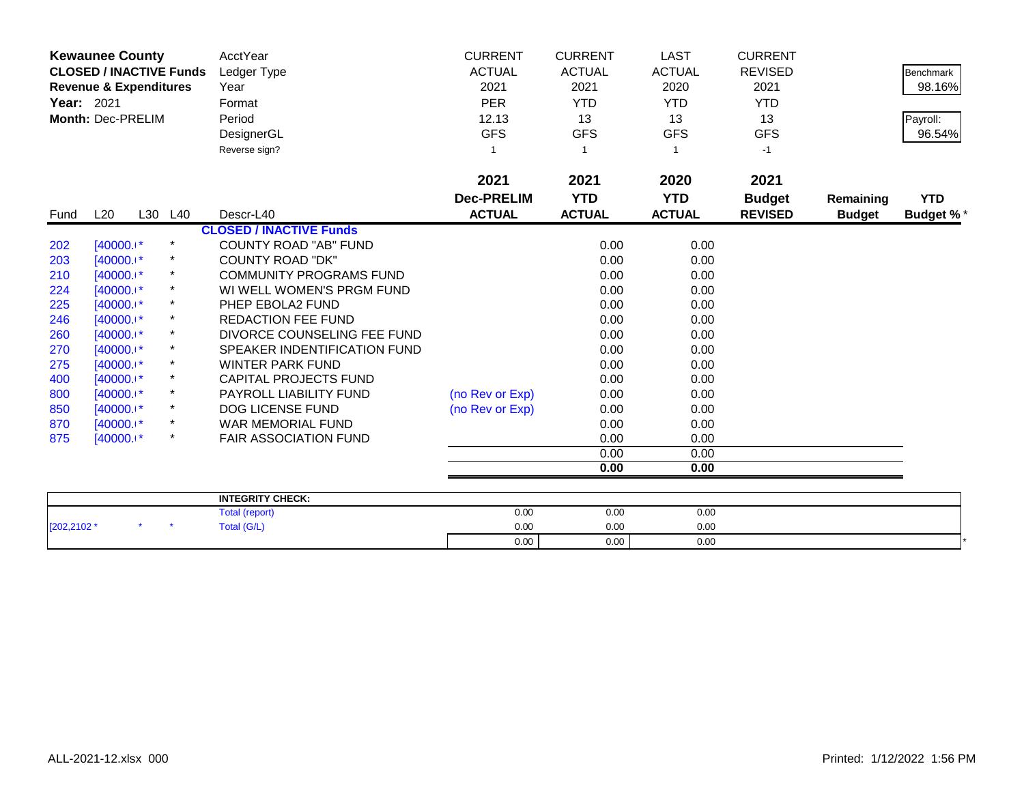|                   | <b>Kewaunee County</b>            |         |            | AcctYear                       | <b>CURRENT</b>    | <b>CURRENT</b> | <b>LAST</b>   | <b>CURRENT</b> |               |                  |
|-------------------|-----------------------------------|---------|------------|--------------------------------|-------------------|----------------|---------------|----------------|---------------|------------------|
|                   | <b>CLOSED / INACTIVE Funds</b>    |         |            | Ledger Type                    | <b>ACTUAL</b>     | <b>ACTUAL</b>  | <b>ACTUAL</b> | <b>REVISED</b> |               | <b>Benchmark</b> |
|                   | <b>Revenue &amp; Expenditures</b> |         |            | Year                           | 2021              | 2021           | 2020          | 2021           |               | 98.16%           |
| <b>Year: 2021</b> |                                   |         |            | Format                         | <b>PER</b>        | <b>YTD</b>     | <b>YTD</b>    | <b>YTD</b>     |               |                  |
|                   | Month: Dec-PRELIM                 |         |            | Period                         | 12.13             | 13             | 13            | 13             |               | Payroll:         |
|                   |                                   |         |            | DesignerGL                     | <b>GFS</b>        | <b>GFS</b>     | <b>GFS</b>    | <b>GFS</b>     |               | 96.54%           |
|                   |                                   |         |            | Reverse sign?                  | 1                 | -1             |               | $-1$           |               |                  |
|                   |                                   |         |            |                                | 2021              | 2021           | 2020          | 2021           |               |                  |
|                   |                                   |         |            |                                | <b>Dec-PRELIM</b> | <b>YTD</b>     | <b>YTD</b>    | <b>Budget</b>  | Remaining     | <b>YTD</b>       |
| Fund              | L20                               | L30 L40 |            | Descr-L40                      | <b>ACTUAL</b>     | <b>ACTUAL</b>  | <b>ACTUAL</b> | <b>REVISED</b> | <b>Budget</b> | <b>Budget %*</b> |
|                   |                                   |         |            | <b>CLOSED / INACTIVE Funds</b> |                   |                |               |                |               |                  |
| 202               | $[40000.1*]$                      |         | $^\star$   | <b>COUNTY ROAD "AB" FUND</b>   |                   | 0.00           | 0.00          |                |               |                  |
| 203               | $[40000.1*$                       |         |            | <b>COUNTY ROAD "DK"</b>        |                   | 0.00           | 0.00          |                |               |                  |
| 210               | $[40000.1*]$                      |         | $\star$    | <b>COMMUNITY PROGRAMS FUND</b> |                   | 0.00           | 0.00          |                |               |                  |
| 224               | $[40000.1*]$                      |         |            | WI WELL WOMEN'S PRGM FUND      |                   | 0.00           | 0.00          |                |               |                  |
| 225               | $[40000.1*]$                      |         |            | PHEP EBOLA2 FUND               |                   | 0.00           | 0.00          |                |               |                  |
| 246               | $[40000.1*]$                      |         | $^{\star}$ | <b>REDACTION FEE FUND</b>      |                   | 0.00           | 0.00          |                |               |                  |
| 260               | $[40000.1*$                       |         |            | DIVORCE COUNSELING FEE FUND    |                   | 0.00           | 0.00          |                |               |                  |
| 270               | [40000.1*                         |         | $\star$    | SPEAKER INDENTIFICATION FUND   |                   | 0.00           | 0.00          |                |               |                  |
| 275               | $[40000.1*]$                      |         |            | <b>WINTER PARK FUND</b>        |                   | 0.00           | 0.00          |                |               |                  |
| 400               | $[40000.1*]$                      |         | *          | CAPITAL PROJECTS FUND          |                   | 0.00           | 0.00          |                |               |                  |
| 800               | $[40000.1*]$                      |         | $^\star$   | PAYROLL LIABILITY FUND         | (no Rev or Exp)   | 0.00           | 0.00          |                |               |                  |
| 850               | $[40000.1*]$                      |         | *          | <b>DOG LICENSE FUND</b>        | (no Rev or Exp)   | 0.00           | 0.00          |                |               |                  |
| 870               | $[40000.1*$                       |         | $\star$    | WAR MEMORIAL FUND              |                   | 0.00           | 0.00          |                |               |                  |
| 875               | $[40000.1*]$                      |         | $^\star$   | <b>FAIR ASSOCIATION FUND</b>   |                   | 0.00           | 0.00          |                |               |                  |
|                   |                                   |         |            |                                |                   | 0.00           | 0.00          |                |               |                  |
|                   |                                   |         |            |                                |                   | 0.00           | 0.00          |                |               |                  |
|                   |                                   |         |            | <b>INTEGRITY CHECK:</b>        |                   |                |               |                |               |                  |
|                   |                                   |         |            |                                |                   |                |               |                |               |                  |

|             |  | <b>INTEGRITY CHECK:</b> |      |      |      |  |
|-------------|--|-------------------------|------|------|------|--|
|             |  | Total (report)          | 0.00 | 0.00 | 0.00 |  |
| [202,2102 * |  | <b>Total (G/L)</b>      | 0.00 | 0.00 | 0.00 |  |
|             |  |                         | 0.00 | 0.00 | 0.00 |  |